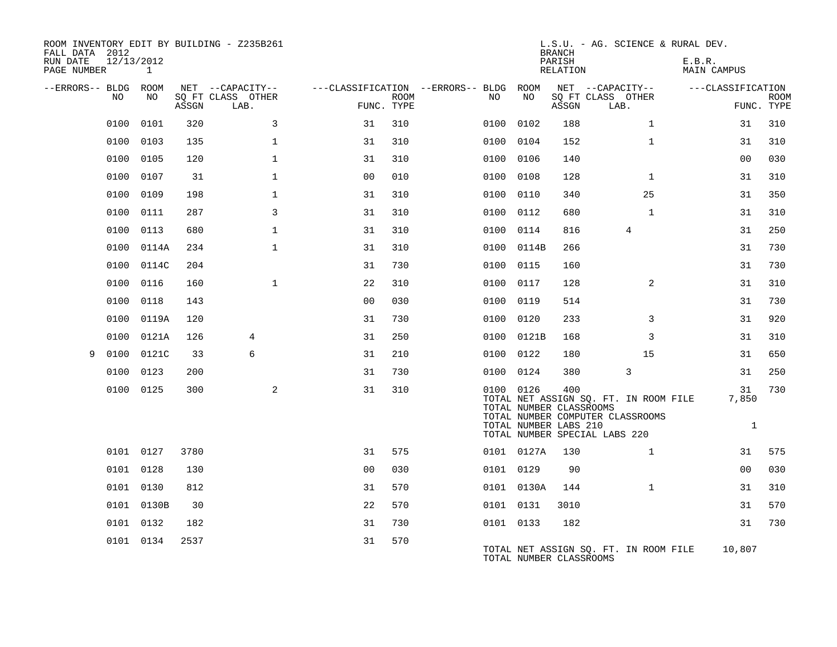| FALL DATA 2012<br>RUN DATE | 12/13/2012 |            |       | ROOM INVENTORY EDIT BY BUILDING - Z235B261    |                |             |                                                |      |                                                               | <b>BRANCH</b><br>PARISH | L.S.U. - AG. SCIENCE & RURAL DEV.                                                                          | E.B.R.                      |                           |
|----------------------------|------------|------------|-------|-----------------------------------------------|----------------|-------------|------------------------------------------------|------|---------------------------------------------------------------|-------------------------|------------------------------------------------------------------------------------------------------------|-----------------------------|---------------------------|
| PAGE NUMBER                |            | 1          |       |                                               |                |             |                                                |      |                                                               | RELATION                |                                                                                                            | <b>MAIN CAMPUS</b>          |                           |
| --ERRORS-- BLDG ROOM       | NO         | NO         | ASSGN | NET --CAPACITY--<br>SQ FT CLASS OTHER<br>LAB. | FUNC. TYPE     | <b>ROOM</b> | ---CLASSIFICATION --ERRORS-- BLDG ROOM<br>NO . |      | NO                                                            | ASSGN                   | NET --CAPACITY--<br>SQ FT CLASS OTHER<br>LAB.                                                              | ---CLASSIFICATION           | <b>ROOM</b><br>FUNC. TYPE |
|                            | 0100       | 0101       | 320   | 3                                             | 31             | 310         |                                                |      | 0100 0102                                                     | 188                     | $\mathbf{1}$                                                                                               | 31                          | 310                       |
|                            | 0100       | 0103       | 135   | $\mathbf 1$                                   | 31             | 310         |                                                |      | 0100 0104                                                     | 152                     | $\mathbf{1}$                                                                                               | 31                          | 310                       |
|                            | 0100       | 0105       | 120   | $\mathbf{1}$                                  | 31             | 310         |                                                |      | 0100 0106                                                     | 140                     |                                                                                                            | 0 <sub>0</sub>              | 030                       |
|                            | 0100       | 0107       | 31    | $\mathbf 1$                                   | 00             | 010         |                                                |      | 0100 0108                                                     | 128                     | $\mathbf{1}$                                                                                               | 31                          | 310                       |
|                            | 0100       | 0109       | 198   | $\mathbf 1$                                   | 31             | 310         |                                                |      | 0100 0110                                                     | 340                     | 25                                                                                                         | 31                          | 350                       |
|                            |            | 0100 0111  | 287   | 3                                             | 31             | 310         |                                                |      | 0100 0112                                                     | 680                     | $\mathbf{1}$                                                                                               | 31                          | 310                       |
|                            | 0100       | 0113       | 680   | $\mathbf 1$                                   | 31             | 310         |                                                |      | 0100 0114                                                     | 816                     | 4                                                                                                          | 31                          | 250                       |
|                            | 0100       | 0114A      | 234   | $\mathbf{1}$                                  | 31             | 310         |                                                |      | 0100 0114B                                                    | 266                     |                                                                                                            | 31                          | 730                       |
|                            | 0100       | 0114C      | 204   |                                               | 31             | 730         |                                                | 0100 | 0115                                                          | 160                     |                                                                                                            | 31                          | 730                       |
|                            | 0100       | 0116       | 160   | $\mathbf{1}$                                  | 22             | 310         |                                                |      | 0100 0117                                                     | 128                     | 2                                                                                                          | 31                          | 310                       |
|                            | 0100       | 0118       | 143   |                                               | 0 <sub>0</sub> | 030         |                                                | 0100 | 0119                                                          | 514                     |                                                                                                            | 31                          | 730                       |
|                            | 0100       | 0119A      | 120   |                                               | 31             | 730         |                                                |      | 0100 0120                                                     | 233                     | 3                                                                                                          | 31                          | 920                       |
|                            | 0100       | 0121A      | 126   | 4                                             | 31             | 250         |                                                |      | 0100 0121B                                                    | 168                     | 3                                                                                                          | 31                          | 310                       |
| 9                          | 0100       | 0121C      | 33    | 6                                             | 31             | 210         |                                                |      | 0100 0122                                                     | 180                     | 15                                                                                                         | 31                          | 650                       |
|                            | 0100       | 0123       | 200   |                                               | 31             | 730         |                                                |      | 0100 0124                                                     | 380                     | 3                                                                                                          | 31                          | 250                       |
|                            | 0100 0125  |            | 300   | 2                                             | 31             | 310         |                                                |      | 0100 0126<br>TOTAL NUMBER CLASSROOMS<br>TOTAL NUMBER LABS 210 | 400                     | TOTAL NET ASSIGN SQ. FT. IN ROOM FILE<br>TOTAL NUMBER COMPUTER CLASSROOMS<br>TOTAL NUMBER SPECIAL LABS 220 | 31<br>7,850<br>$\mathbf{1}$ | 730                       |
|                            |            | 0101 0127  | 3780  |                                               | 31             | 575         |                                                |      | 0101 0127A                                                    | 130                     | $\mathbf{1}$                                                                                               | 31                          | 575                       |
|                            | 0101 0128  |            | 130   |                                               | 0 <sub>0</sub> | 030         |                                                |      | 0101 0129                                                     | 90                      |                                                                                                            | 0 <sub>0</sub>              | 030                       |
|                            | 0101 0130  |            | 812   |                                               | 31             | 570         |                                                |      | 0101 0130A                                                    | 144                     | $\mathbf{1}$                                                                                               | 31                          | 310                       |
|                            |            | 0101 0130B | 30    |                                               | 22             | 570         |                                                |      | 0101 0131                                                     | 3010                    |                                                                                                            | 31                          | 570                       |
|                            |            | 0101 0132  | 182   |                                               | 31             | 730         |                                                |      | 0101 0133                                                     | 182                     |                                                                                                            | 31                          | 730                       |
|                            |            | 0101 0134  | 2537  |                                               | 31             | 570         |                                                |      | TOTAL NUMBER CLASSROOMS                                       |                         | TOTAL NET ASSIGN SO. FT. IN ROOM FILE                                                                      | 10,807                      |                           |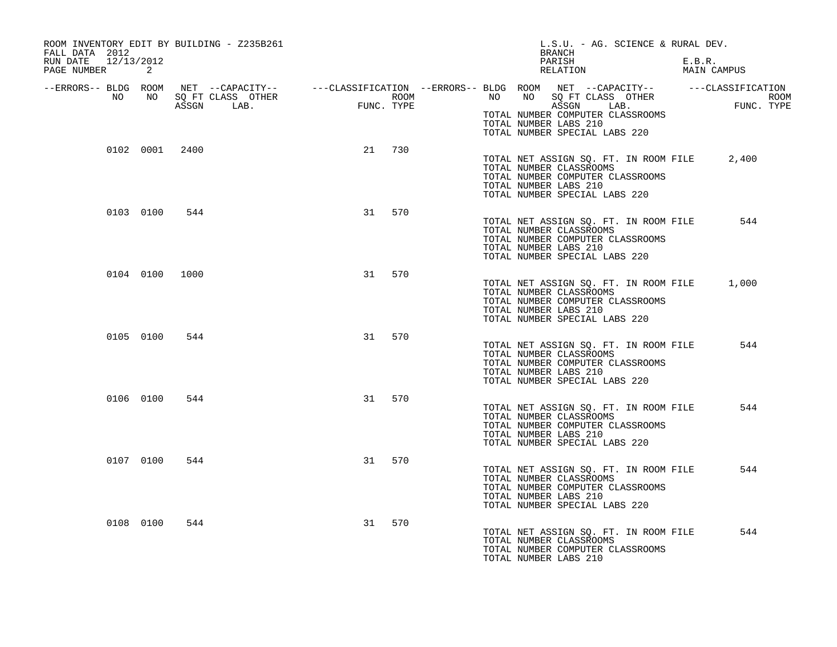| ROOM INVENTORY EDIT BY BUILDING - Z235B261<br>FALL DATA 2012 |                |                |    |        | BRANCH                                           | L.S.U. - AG. SCIENCE & RURAL DEV.                                                                                                                                                                                                                                                                         |        |             |  |
|--------------------------------------------------------------|----------------|----------------|----|--------|--------------------------------------------------|-----------------------------------------------------------------------------------------------------------------------------------------------------------------------------------------------------------------------------------------------------------------------------------------------------------|--------|-------------|--|
| RUN DATE 12/13/2012<br>PAGE NUMBER 2                         |                |                |    |        |                                                  | PARISH<br>RELATION                                                                                                                                                                                                                                                                                        | E.B.R. | MAIN CAMPUS |  |
|                                                              |                |                |    |        | TOTAL NUMBER LABS 210                            | ERRORS-- BLDG ROOM NET --CAPACITY--- --CLASSIFICATION --ERRORS-- BLDG ROOM NET --CAPACITY----------CLASSIFICATION--<br>NO NO SQ FT CLASS OTHER ROOM NO ROOM NO SQ FT CLASS OTHER ROOM<br>ASSGN LAB. FUNC. TYPE 1999 1999 1999 1999 1<br>TOTAL NUMBER COMPUTER CLASSROOMS<br>TOTAL NUMBER SPECIAL LABS 220 |        |             |  |
|                                                              |                | 0102 0001 2400 |    | 21 730 | TOTAL NUMBER CLASSROOMS<br>TOTAL NUMBER LABS 210 | TOTAL NET ASSIGN SQ. FT. IN ROOM FILE 2,400<br>TOTAL NUMBER COMPUTER CLASSROOMS<br>TOTAL NUMBER SPECIAL LABS 220                                                                                                                                                                                          |        |             |  |
|                                                              | 0103 0100 544  |                |    | 31 570 | TOTAL NUMBER CLASSROOMS<br>TOTAL NUMBER LABS 210 | TOTAL NET ASSIGN SQ. FT. IN ROOM FILE<br>TOTAL NUMBER COMPUTER CLASSROOMS<br>TOTAL NUMBER SPECIAL LABS 220                                                                                                                                                                                                |        | 544         |  |
|                                                              | 0104 0100 1000 |                | 31 | 570    | TOTAL NUMBER CLASSROOMS<br>TOTAL NUMBER LABS 210 | TOTAL NET ASSIGN SQ. FT. IN ROOM FILE<br>TOTAL NUMBER COMPUTER CLASSROOMS<br>TOTAL NUMBER SPECIAL LABS 220                                                                                                                                                                                                |        | 1,000       |  |
|                                                              | 0105 0100      | 544            |    | 31 570 | TOTAL NUMBER CLASSROOMS<br>TOTAL NUMBER LABS 210 | TOTAL NET ASSIGN SQ. FT. IN ROOM FILE<br>TOTAL NUMBER COMPUTER CLASSROOMS<br>TOTAL NUMBER SPECIAL LABS 220                                                                                                                                                                                                |        | 544         |  |
|                                                              | 0106 0100      | 544            |    | 31 570 | TOTAL NUMBER CLASSROOMS<br>TOTAL NUMBER LABS 210 | TOTAL NET ASSIGN SQ. FT. IN ROOM FILE<br>TOTAL NUMBER COMPUTER CLASSROOMS<br>TOTAL NUMBER SPECIAL LABS 220                                                                                                                                                                                                |        | 544         |  |
|                                                              | 0107 0100      | 544            | 31 | 570    | TOTAL NUMBER CLASSROOMS<br>TOTAL NUMBER LABS 210 | TOTAL NET ASSIGN SQ. FT. IN ROOM FILE<br>TOTAL NUMBER COMPUTER CLASSROOMS<br>TOTAL NUMBER SPECIAL LABS 220                                                                                                                                                                                                |        | 544         |  |
|                                                              | 0108 0100      | 544            | 31 | 570    | TOTAL NUMBER CLASSROOMS<br>TOTAL NUMBER LABS 210 | TOTAL NET ASSIGN SQ. FT. IN ROOM FILE<br>TOTAL NUMBER COMPUTER CLASSROOMS                                                                                                                                                                                                                                 |        | 544         |  |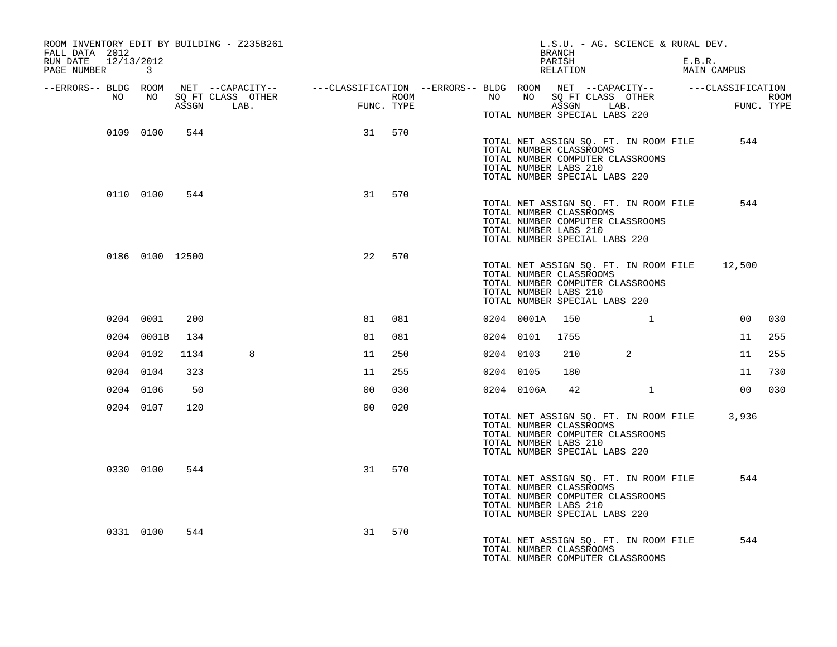| ROOM INVENTORY EDIT BY BUILDING - Z235B261<br>FALL DATA 2012                                                                                                                                                                         |                 |      |   |                |        |           |                | L.S.U. - AG. SCIENCE & RURAL DEV.<br>BRANCH                                                                                                                           |                |        |                                             |        |
|--------------------------------------------------------------------------------------------------------------------------------------------------------------------------------------------------------------------------------------|-----------------|------|---|----------------|--------|-----------|----------------|-----------------------------------------------------------------------------------------------------------------------------------------------------------------------|----------------|--------|---------------------------------------------|--------|
| RUN DATE 12/13/2012<br>PAGE NUMBER 3                                                                                                                                                                                                 |                 |      |   |                |        |           |                | PARISH<br>RELATION                                                                                                                                                    |                | E.B.R. | MAIN CAMPUS                                 |        |
| ERRORS-- BLDG ROOM NET --CAPACITY--- --CLASSIFICATION--ERRORS-- BLDG ROOM NET --CAPACITY----------CLASSIFICATION--<br>NO NO SQ FT CLASS OTHER ROOM NO ROOM NO SQ FT CLASS OTHER ROOM<br>ASSGN LAB. FUNC. TYPE ASSGN ASSGN LAB. FUNC. |                 |      |   |                |        |           |                |                                                                                                                                                                       |                |        | FUNC. TYPE                                  |        |
|                                                                                                                                                                                                                                      |                 |      |   |                |        |           |                | TOTAL NUMBER SPECIAL LABS 220                                                                                                                                         |                |        |                                             |        |
|                                                                                                                                                                                                                                      | 0109 0100       | 544  |   |                | 31 570 |           |                | TOTAL NET ASSIGN SQ. FT. IN ROOM FILE<br>TOTAL NUMBER CLASSROOMS<br>TOTAL NUMBER COMPUTER CLASSROOMS<br>TOTAL NUMBER LABS 210<br>TOTAL NUMBER SPECIAL LABS 220        |                |        | 544                                         |        |
|                                                                                                                                                                                                                                      | 0110 0100       | 544  |   |                | 31 570 |           |                | TOTAL NET ASSIGN SQ. FT. IN ROOM FILE<br>TOTAL NUMBER CLASSROOMS<br>TOTAL NUMBER COMPUTER CLASSROOMS<br>TOTAL NUMBER LABS 210<br>TOTAL NUMBER SPECIAL LABS 220        |                |        | 544                                         |        |
|                                                                                                                                                                                                                                      | 0186 0100 12500 |      |   | 22             | 570    |           |                | TOTAL NET ASSIGN SQ. FT. IN ROOM FILE 12,500<br>TOTAL NUMBER CLASSROOMS<br>TOTAL NUMBER COMPUTER CLASSROOMS<br>TOTAL NUMBER LABS 210<br>TOTAL NUMBER SPECIAL LABS 220 |                |        |                                             |        |
|                                                                                                                                                                                                                                      | 0204 0001       | 200  |   | 81             | 081    |           | 0204 0001A 150 |                                                                                                                                                                       | $\overline{1}$ |        |                                             | 00 030 |
|                                                                                                                                                                                                                                      | 0204 0001B      | 134  |   | 81             | 081    |           | 0204 0101      | 1755                                                                                                                                                                  |                |        |                                             | 11 255 |
|                                                                                                                                                                                                                                      | 0204 0102       | 1134 | 8 | 11             | 250    | 0204 0103 |                | 210                                                                                                                                                                   | $\overline{2}$ |        | 11                                          | 255    |
|                                                                                                                                                                                                                                      | 0204 0104       | 323  |   | 11             | 255    | 0204 0105 |                | 180                                                                                                                                                                   |                |        | 11                                          | 730    |
|                                                                                                                                                                                                                                      | 0204 0106       | 50   |   | 00             | 030    |           | 0204 0106A     | 42                                                                                                                                                                    | $\mathbf{1}$   |        | 00                                          | 030    |
|                                                                                                                                                                                                                                      | 0204 0107       | 120  |   | 0 <sub>0</sub> | 020    |           |                | TOTAL NUMBER CLASSROOMS<br>TOTAL NUMBER COMPUTER CLASSROOMS<br>TOTAL NUMBER LABS 210<br>TOTAL NUMBER SPECIAL LABS 220                                                 |                |        | TOTAL NET ASSIGN SQ. FT. IN ROOM FILE 3,936 |        |
|                                                                                                                                                                                                                                      | 0330 0100       | 544  |   |                | 31 570 |           |                | TOTAL NET ASSIGN SO. FT. IN ROOM FILE<br>TOTAL NUMBER CLASSROOMS<br>TOTAL NUMBER COMPUTER CLASSROOMS<br>TOTAL NUMBER LABS 210<br>TOTAL NUMBER SPECIAL LABS 220        |                |        | 544                                         |        |
|                                                                                                                                                                                                                                      | 0331 0100       | 544  |   | 31             | 570    |           |                | TOTAL NET ASSIGN SQ. FT. IN ROOM FILE<br>TOTAL NUMBER CLASSROOMS<br>TOTAL NUMBER COMPUTER CLASSROOMS                                                                  |                |        | 544                                         |        |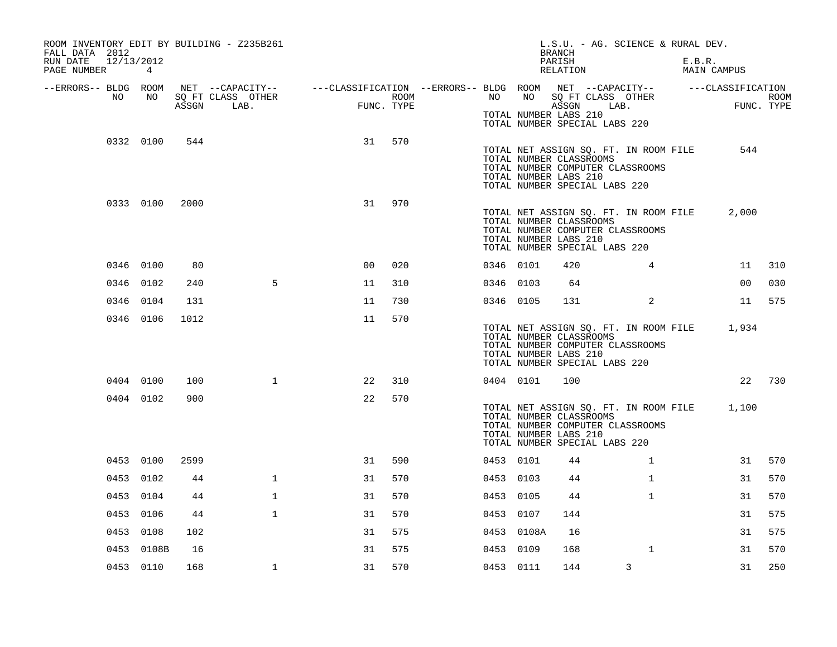| ROOM INVENTORY EDIT BY BUILDING - Z235B261<br>FALL DATA 2012<br>12/13/2012<br>RUN DATE |            |      |                                                                                                                    |                |            |           |            | L.S.U. - AG. SCIENCE & RURAL DEV.<br><b>BRANCH</b><br>PARISH                                                                                                         |                | E.B.R. |                |             |
|----------------------------------------------------------------------------------------|------------|------|--------------------------------------------------------------------------------------------------------------------|----------------|------------|-----------|------------|----------------------------------------------------------------------------------------------------------------------------------------------------------------------|----------------|--------|----------------|-------------|
| PAGE NUMBER                                                                            | 4          |      |                                                                                                                    |                |            |           |            | RELATION                                                                                                                                                             |                |        | MAIN CAMPUS    |             |
| --ERRORS-- BLDG ROOM<br>NO                                                             | NO         |      | NET --CAPACITY-- ----CLASSIFICATION --ERRORS-- BLDG ROOM NET --CAPACITY-- -----CLASSIFICATION<br>SQ FT CLASS OTHER |                | ROOM       | NO        | NO         | SQ FT CLASS OTHER                                                                                                                                                    |                |        |                | <b>ROOM</b> |
|                                                                                        |            |      | ASSGN LAB.                                                                                                         |                | FUNC. TYPE |           |            | ASSGN LAB.<br>TOTAL NUMBER LABS 210<br>TOTAL NUMBER SPECIAL LABS 220                                                                                                 |                |        | FUNC. TYPE     |             |
|                                                                                        | 0332 0100  | 544  |                                                                                                                    | 31             | 570        |           |            | TOTAL NET ASSIGN SQ. FT. IN ROOM FILE<br>TOTAL NUMBER CLASSROOMS<br>TOTAL NUMBER COMPUTER CLASSROOMS<br>TOTAL NUMBER LABS 210<br>TOTAL NUMBER SPECIAL LABS 220       |                |        | 544            |             |
|                                                                                        | 0333 0100  | 2000 |                                                                                                                    | 31             | 970        |           |            | TOTAL NET ASSIGN SQ. FT. IN ROOM FILE<br>TOTAL NUMBER CLASSROOMS<br>TOTAL NUMBER COMPUTER CLASSROOMS<br>TOTAL NUMBER LABS 210<br>TOTAL NUMBER SPECIAL LABS 220       |                |        | 2,000          |             |
|                                                                                        | 0346 0100  | 80   |                                                                                                                    | 0 <sub>0</sub> | 020        | 0346 0101 |            | 420                                                                                                                                                                  | $\overline{4}$ |        | 11             | 310         |
|                                                                                        | 0346 0102  | 240  | 5                                                                                                                  | 11             | 310        | 0346 0103 |            | 64                                                                                                                                                                   |                |        | 0 <sub>0</sub> | 030         |
|                                                                                        | 0346 0104  | 131  |                                                                                                                    | 11             | 730        | 0346 0105 |            | 131                                                                                                                                                                  | $\overline{a}$ |        |                | 11 575      |
|                                                                                        | 0346 0106  | 1012 |                                                                                                                    | 11             | 570        |           |            | TOTAL NET ASSIGN SQ. FT. IN ROOM FILE 1,934<br>TOTAL NUMBER CLASSROOMS<br>TOTAL NUMBER COMPUTER CLASSROOMS<br>TOTAL NUMBER LABS 210<br>TOTAL NUMBER SPECIAL LABS 220 |                |        |                |             |
|                                                                                        | 0404 0100  | 100  | $\mathbf{1}$                                                                                                       | 22             | 310        | 0404 0101 |            | 100                                                                                                                                                                  |                |        |                | 22 730      |
|                                                                                        | 0404 0102  | 900  |                                                                                                                    | 22             | 570        |           |            | TOTAL NET ASSIGN SQ. FT. IN ROOM FILE 1,100<br>TOTAL NUMBER CLASSROOMS<br>TOTAL NUMBER COMPUTER CLASSROOMS<br>TOTAL NUMBER LABS 210<br>TOTAL NUMBER SPECIAL LABS 220 |                |        |                |             |
|                                                                                        | 0453 0100  | 2599 |                                                                                                                    | 31             | 590        | 0453 0101 |            | 44                                                                                                                                                                   | $\mathbf{1}$   |        | 31             | 570         |
|                                                                                        | 0453 0102  | 44   | $\mathbf 1$                                                                                                        | 31             | 570        | 0453 0103 |            | 44                                                                                                                                                                   | $\mathbf{1}$   |        | 31             | 570         |
|                                                                                        | 0453 0104  | 44   | $\mathbf{1}$                                                                                                       | 31             | 570        | 0453 0105 |            | 44                                                                                                                                                                   | $\mathbf{1}$   |        | 31             | 570         |
|                                                                                        | 0453 0106  | 44   | $\mathbf{1}$                                                                                                       | 31             | 570        | 0453 0107 |            | 144                                                                                                                                                                  |                |        | 31             | 575         |
|                                                                                        | 0453 0108  | 102  |                                                                                                                    | 31             | 575        |           | 0453 0108A | 16                                                                                                                                                                   |                |        | 31             | 575         |
|                                                                                        | 0453 0108B | 16   |                                                                                                                    | 31             | 575        | 0453 0109 |            | 168                                                                                                                                                                  | $\mathbf{1}$   |        | 31             | 570         |
|                                                                                        | 0453 0110  | 168  | $\mathbf{1}$                                                                                                       | 31             | 570        | 0453 0111 |            | 144                                                                                                                                                                  | 3              |        | 31             | 250         |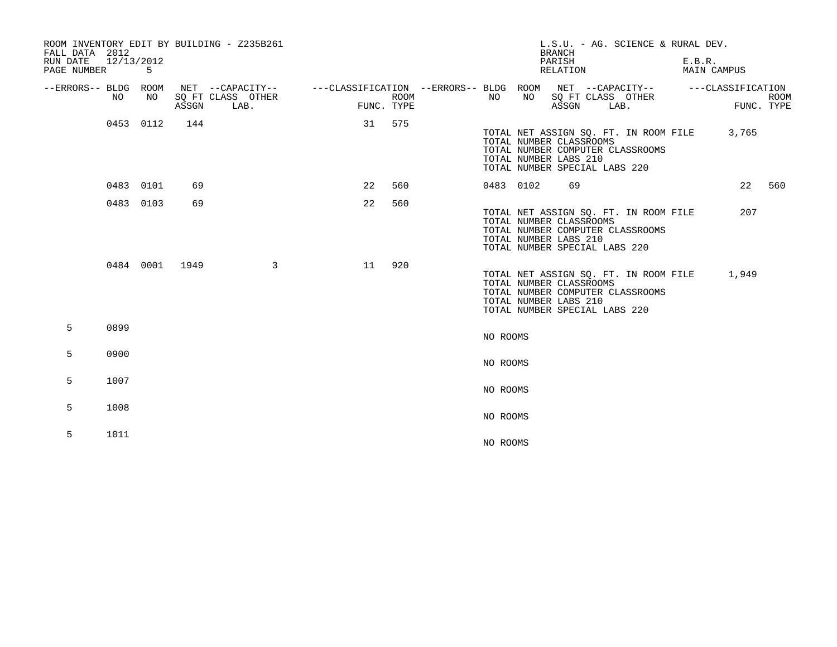| FALL DATA 2012<br>RUN DATE<br>PAGE NUMBER | 12/13/2012 | 5         |                | ROOM INVENTORY EDIT BY BUILDING - Z235B261                                                                                  |    |                           |           |    | L.S.U. - AG. SCIENCE & RURAL DEV.<br><b>BRANCH</b><br>PARISH<br>RELATION                                                                                       | E.B.R.<br>MAIN CAMPUS |       |                           |
|-------------------------------------------|------------|-----------|----------------|-----------------------------------------------------------------------------------------------------------------------------|----|---------------------------|-----------|----|----------------------------------------------------------------------------------------------------------------------------------------------------------------|-----------------------|-------|---------------------------|
| --ERRORS-- BLDG ROOM                      | NO.        | NO        | ASSGN          | NET --CAPACITY-- - ---CLASSIFICATION --ERRORS-- BLDG ROOM NET --CAPACITY-- - ---CLASSIFICATION<br>SQ FT CLASS OTHER<br>LAB. |    | <b>ROOM</b><br>FUNC. TYPE | NO        | NO | SQ FT CLASS OTHER<br>ASSGN<br>LAB.                                                                                                                             |                       |       | <b>ROOM</b><br>FUNC. TYPE |
|                                           |            | 0453 0112 | 144            |                                                                                                                             |    | 31 575                    |           |    | TOTAL NET ASSIGN SQ. FT. IN ROOM FILE<br>TOTAL NUMBER CLASSROOMS<br>TOTAL NUMBER COMPUTER CLASSROOMS<br>TOTAL NUMBER LABS 210<br>TOTAL NUMBER SPECIAL LABS 220 |                       | 3,765 |                           |
|                                           | 0483 0101  |           | 69             |                                                                                                                             | 22 | 560                       | 0483 0102 |    | 69                                                                                                                                                             |                       |       | 22 560                    |
|                                           | 0483 0103  |           | 69             |                                                                                                                             | 22 | 560                       |           |    | TOTAL NET ASSIGN SQ. FT. IN ROOM FILE<br>TOTAL NUMBER CLASSROOMS<br>TOTAL NUMBER COMPUTER CLASSROOMS<br>TOTAL NUMBER LABS 210<br>TOTAL NUMBER SPECIAL LABS 220 |                       | 207   |                           |
|                                           |            |           | 0484 0001 1949 | $\mathbf{3}$                                                                                                                | 11 | 920                       |           |    | TOTAL NET ASSIGN SO. FT. IN ROOM FILE<br>TOTAL NUMBER CLASSROOMS<br>TOTAL NUMBER COMPUTER CLASSROOMS<br>TOTAL NUMBER LABS 210<br>TOTAL NUMBER SPECIAL LABS 220 |                       | 1,949 |                           |
| 5                                         | 0899       |           |                |                                                                                                                             |    |                           | NO ROOMS  |    |                                                                                                                                                                |                       |       |                           |
| 5                                         | 0900       |           |                |                                                                                                                             |    |                           | NO ROOMS  |    |                                                                                                                                                                |                       |       |                           |
| 5                                         | 1007       |           |                |                                                                                                                             |    |                           | NO ROOMS  |    |                                                                                                                                                                |                       |       |                           |
| 5                                         | 1008       |           |                |                                                                                                                             |    |                           | NO ROOMS  |    |                                                                                                                                                                |                       |       |                           |
| 5                                         | 1011       |           |                |                                                                                                                             |    |                           | NO ROOMS  |    |                                                                                                                                                                |                       |       |                           |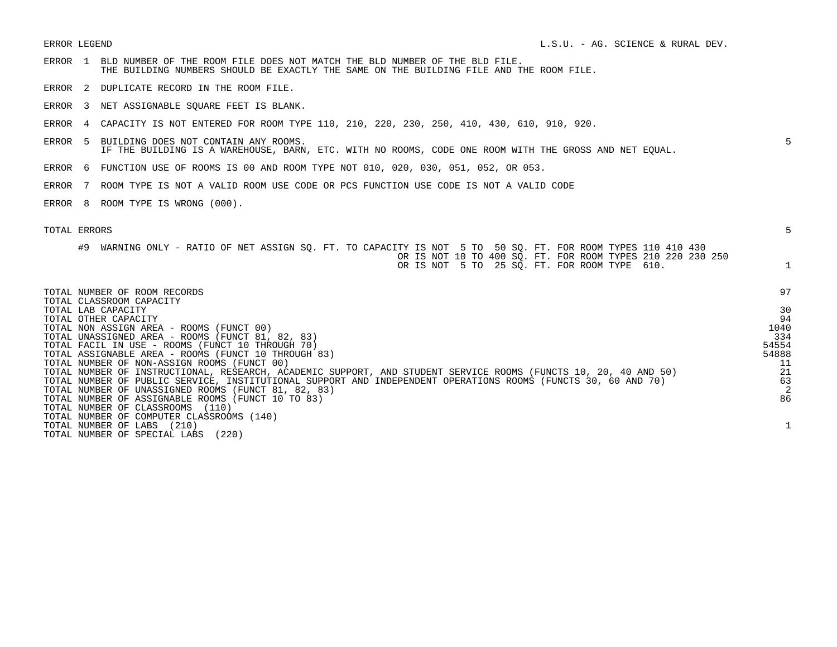- ERROR 1 BLD NUMBER OF THE ROOM FILE DOES NOT MATCH THE BLD NUMBER OF THE BLD FILE. THE BUILDING NUMBERS SHOULD BE EXACTLY THE SAME ON THE BUILDING FILE AND THE ROOM FILE.
- ERROR 2 DUPLICATE RECORD IN THE ROOM FILE.
- ERROR 3 NET ASSIGNABLE SQUARE FEET IS BLANK.
- ERROR 4 CAPACITY IS NOT ENTERED FOR ROOM TYPE 110, 210, 220, 230, 250, 410, 430, 610, 910, 920.
- ERROR 5 BUILDING DOES NOT CONTAIN ANY ROOMS. 5 IF THE BUILDING IS A WAREHOUSE, BARN, ETC. WITH NO ROOMS, CODE ONE ROOM WITH THE GROSS AND NET EQUAL.
- ERROR 6 FUNCTION USE OF ROOMS IS 00 AND ROOM TYPE NOT 010, 020, 030, 051, 052, OR 053.
- ERROR 7 ROOM TYPE IS NOT A VALID ROOM USE CODE OR PCS FUNCTION USE CODE IS NOT A VALID CODE
- ERROR 8 ROOM TYPE IS WRONG (000).

## TOTAL ERRORS 5 #9 WARNING ONLY - RATIO OF NET ASSIGN SQ. FT. TO CAPACITY IS NOT 5 TO 50 SQ. FT. FOR ROOM TYPES 110 410 430 OR IS NOT 10 TO 400 SQ. FT. FOR ROOM TYPES 210 220 230 250 OR IS NOT 5 TO 25 SQ. FT. FOR ROOM TYPE 610. 1 TOTAL NUMBER OF ROOM RECORDS 97 TOTAL CLASSROOM CAPACITY TOTAL LAB CAPACITY 30 TOTAL OTHER CAPACITY 94 TOTAL NON ASSIGN AREA - ROOMS (FUNCT 00) 1040 TOTAL UNASSIGNED AREA - ROOMS (FUNCT 81, 82, 83)<br>TOTAL FACIL IN USE - ROOMS (FUNCT 10 THROUGH 70) 334 TOTAL FACIL IN USE - ROOMS (FUNCT 10 THROUGH 70) TOTAL ASSIGNABLE AREA - ROOMS (FUNCT 10 THROUGH 83) 54888 TOTAL NUMBER OF NON-ASSIGN ROOMS (FUNCT 00) 11 TOTAL NUMBER OF INSTRUCTIONAL, RESEARCH, ACADEMIC SUPPORT, AND STUDENT SERVICE ROOMS (FUNCTS 10, 20, 40 AND 50) 21 TOTAL NUMBER OF PUBLIC SERVICE, INSTITUTIONAL SUPPORT AND INDEPENDENT OPERATIONS ROOMS (FUNCTS 30, 60 AND 70) 63 TOTAL NUMBER OF UNASSIGNED ROOMS (FUNCT 81, 82, 83) 2 TOTAL NUMBER OF ASSIGNABLE ROOMS (FUNCT 10 TO 83) 86 TOTAL NUMBER OF CLASSROOMS (110) TOTAL NUMBER OF COMPUTER CLASSROOMS (140) TOTAL NUMBER OF LABS (210) 1 TOTAL NUMBER OF SPECIAL LABS (220)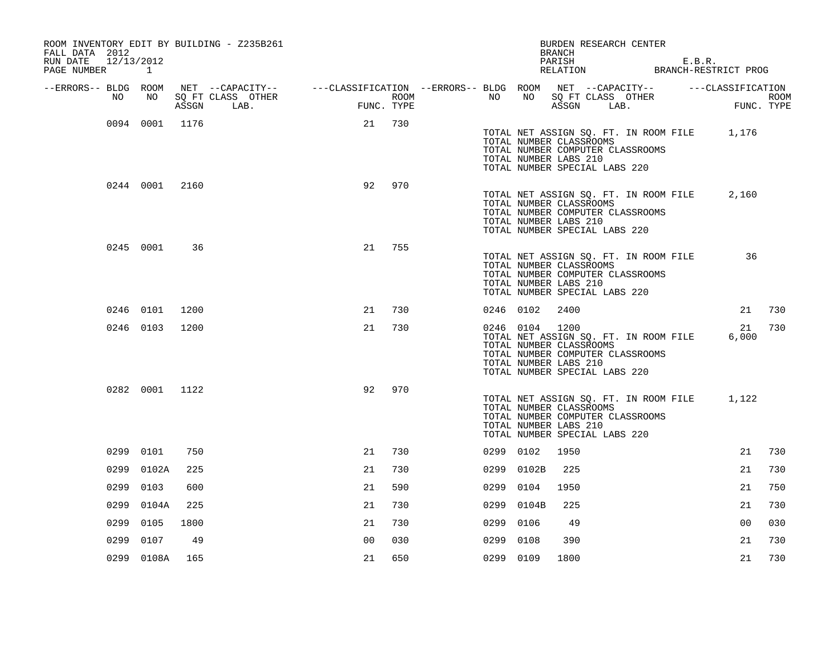| ROOM INVENTORY EDIT BY BUILDING - Z235B261<br>FALL DATA 2012 |                |       |                                                                                                |                |            |                  |           |                | BURDEN RESEARCH CENTER<br><b>BRANCH</b>                                                                                                                              |  |             |                    |
|--------------------------------------------------------------|----------------|-------|------------------------------------------------------------------------------------------------|----------------|------------|------------------|-----------|----------------|----------------------------------------------------------------------------------------------------------------------------------------------------------------------|--|-------------|--------------------|
| RUN DATE<br>12/13/2012<br>PAGE NUMBER 1                      |                |       |                                                                                                |                |            |                  |           |                | PARISH<br>PARISH E.B.R.<br>RELATION BRANCH-RESTRICT PROG                                                                                                             |  | E.B.R.      |                    |
| --ERRORS-- BLDG ROOM                                         |                |       | NET --CAPACITY-- - ---CLASSIFICATION --ERRORS-- BLDG ROOM NET --CAPACITY-- - ---CLASSIFICATION |                |            |                  |           |                |                                                                                                                                                                      |  |             |                    |
| NO                                                           | NO             | ASSGN | SQ FT CLASS OTHER<br>LAB.                                                                      | <b>EXECUTE</b> | FUNC. TYPE | ROOM <b>ROOM</b> | NO 11     |                | NO SQ FT CLASS OTHER<br>ASSGN LAB.                                                                                                                                   |  |             | ROOM<br>FUNC. TYPE |
|                                                              | 0094 0001 1176 |       |                                                                                                | 21             | 730        |                  |           |                | TOTAL NET ASSIGN SQ. FT. IN ROOM FILE 1,176<br>TOTAL NUMBER CLASSROOMS<br>TOTAL NUMBER COMPUTER CLASSROOMS<br>TOTAL NUMBER LABS 210<br>TOTAL NUMBER SPECIAL LABS 220 |  |             |                    |
|                                                              | 0244 0001 2160 |       |                                                                                                | 92             | 970        |                  |           |                | TOTAL NET ASSIGN SQ. FT. IN ROOM FILE<br>TOTAL NUMBER CLASSROOMS<br>TOTAL NUMBER COMPUTER CLASSROOMS<br>TOTAL NUMBER LABS 210<br>TOTAL NUMBER SPECIAL LABS 220       |  | 2,160       |                    |
|                                                              | 0245 0001      | 36    |                                                                                                | 21             | 755        |                  |           |                | TOTAL NET ASSIGN SQ. FT. IN ROOM FILE<br>TOTAL NUMBER CLASSROOMS<br>TOTAL NUMBER COMPUTER CLASSROOMS<br>TOTAL NUMBER LABS 210<br>TOTAL NUMBER SPECIAL LABS 220       |  | 36          |                    |
|                                                              | 0246 0101      | 1200  |                                                                                                | 21             | 730        |                  | 0246 0102 |                | 2400                                                                                                                                                                 |  | 21          | 730                |
|                                                              | 0246 0103      | 1200  |                                                                                                | 21             | 730        |                  |           | 0246 0104 1200 | TOTAL NET ASSIGN SQ. FT. IN ROOM FILE<br>TOTAL NUMBER CLASSROOMS<br>TOTAL NUMBER COMPUTER CLASSROOMS<br>TOTAL NUMBER LABS 210<br>TOTAL NUMBER SPECIAL LABS 220       |  | 21<br>6,000 | 730                |
|                                                              | 0282 0001 1122 |       |                                                                                                | 92             | 970        |                  |           |                | TOTAL NET ASSIGN SQ. FT. IN ROOM FILE<br>TOTAL NUMBER CLASSROOMS<br>TOTAL NUMBER COMPUTER CLASSROOMS<br>TOTAL NUMBER LABS 210<br>TOTAL NUMBER SPECIAL LABS 220       |  | 1,122       |                    |
|                                                              | 0299 0101      | 750   |                                                                                                | 21             | 730        |                  | 0299 0102 |                | 1950                                                                                                                                                                 |  | 21          | 730                |
|                                                              | 0299 0102A     | 225   |                                                                                                | 21             | 730        |                  |           | 0299 0102B     | 225                                                                                                                                                                  |  | 21          | 730                |
|                                                              | 0299 0103      | 600   |                                                                                                | 21             | 590        |                  | 0299      | 0104           | 1950                                                                                                                                                                 |  | 21          | 750                |
| 0299                                                         | 0104A          | 225   |                                                                                                | 21             | 730        |                  | 0299      | 0104B          | 225                                                                                                                                                                  |  | 21          | 730                |
| 0299                                                         | 0105           | 1800  |                                                                                                | 21             | 730        |                  | 0299 0106 |                | 49                                                                                                                                                                   |  | 00          | 030                |
| 0299                                                         | 0107           | 49    |                                                                                                | 0 <sub>0</sub> | 030        |                  | 0299      | 0108           | 390                                                                                                                                                                  |  | 21          | 730                |
|                                                              | 0299 0108A     | 165   |                                                                                                | 21             | 650        |                  | 0299 0109 |                | 1800                                                                                                                                                                 |  | 21          | 730                |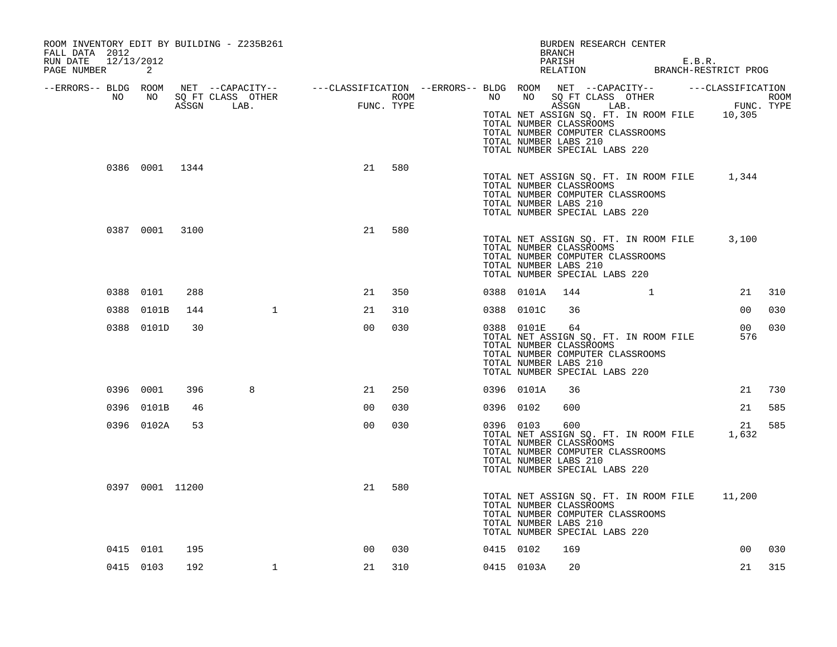| ROOM INVENTORY EDIT BY BUILDING - Z235B261<br>FALL DATA 2012 |                 |     |                                                                                                                                                                                                                             |                |     |           |            | BURDEN RESEARCH CENTER<br>BRANCH                                                                                                                                      |              |                        |        |
|--------------------------------------------------------------|-----------------|-----|-----------------------------------------------------------------------------------------------------------------------------------------------------------------------------------------------------------------------------|----------------|-----|-----------|------------|-----------------------------------------------------------------------------------------------------------------------------------------------------------------------|--------------|------------------------|--------|
| RUN DATE 12/13/2012<br>PAGE NUMBER                           | 2               |     |                                                                                                                                                                                                                             |                |     |           |            | PARISH E.B.R.<br>RELATION BRANCH-RESTRICT PROG                                                                                                                        |              |                        |        |
|                                                              |                 |     | ERRORS-- BLDG ROOM NET --CAPACITY--- --CLASSIFICATION --ERRORS-- BLDG ROOM NET --CAPACITY--------------------<br>NO NO SQ FT CLASS OTHER ROOM ROOM NO SQ FT CLASS OTHER ROOM ROOM ROOM NO SQ FT CLASS OTHER ROOM ASSGN LAB. |                |     |           |            | TOTAL NET ASSIGN SQ. FT. IN ROOM FILE 10,305<br>TOTAL NUMBER CLASSROOMS<br>TOTAL NUMBER COMPUTER CLASSROOMS                                                           |              |                        |        |
|                                                              | 0386 0001 1344  |     |                                                                                                                                                                                                                             | 21             | 580 |           |            | TOTAL NUMBER LABS 210<br>TOTAL NUMBER SPECIAL LABS 220                                                                                                                |              |                        |        |
|                                                              |                 |     |                                                                                                                                                                                                                             |                |     |           |            | TOTAL NET ASSIGN SQ. FT. IN ROOM FILE 1,344<br>TOTAL NUMBER CLASSROOMS<br>TOTAL NUMBER COMPUTER CLASSROOMS<br>TOTAL NUMBER LABS 210<br>TOTAL NUMBER SPECIAL LABS 220  |              |                        |        |
|                                                              | 0387 0001 3100  |     |                                                                                                                                                                                                                             | 21             | 580 |           |            | TOTAL NET ASSIGN SQ. FT. IN ROOM FILE 3,100<br>TOTAL NUMBER CLASSROOMS<br>TOTAL NUMBER COMPUTER CLASSROOMS<br>TOTAL NUMBER LABS 210<br>TOTAL NUMBER SPECIAL LABS 220  |              |                        |        |
|                                                              | 0388 0101       | 288 |                                                                                                                                                                                                                             | 21             | 350 |           | 0388 0101A | 144                                                                                                                                                                   | $\mathbf{1}$ |                        | 21 310 |
|                                                              | 0388 0101B      | 144 | $\mathbf{1}$                                                                                                                                                                                                                | 21             | 310 |           | 0388 0101C | 36                                                                                                                                                                    |              | 00 <sub>o</sub>        | 030    |
|                                                              | 0388 0101D      | 30  |                                                                                                                                                                                                                             | 0 <sub>0</sub> | 030 |           | 0388 0101E | 64<br>TOTAL NET ASSIGN SQ. FT. IN ROOM FILE<br>TOTAL NUMBER CLASSROOMS<br>TOTAL NUMBER COMPUTER CLASSROOMS<br>TOTAL NUMBER LABS 210<br>TOTAL NUMBER SPECIAL LABS 220  |              | 00 <sub>o</sub><br>576 | 030    |
|                                                              | 0396 0001       | 396 | 8                                                                                                                                                                                                                           | 21             | 250 |           | 0396 0101A | 36                                                                                                                                                                    |              | 21                     | 730    |
|                                                              | 0396 0101B      | 46  |                                                                                                                                                                                                                             | 0 <sub>0</sub> | 030 | 0396 0102 |            | 600                                                                                                                                                                   |              | 21                     | 585    |
|                                                              | 0396 0102A      | 53  |                                                                                                                                                                                                                             | 0 <sub>0</sub> | 030 |           | 0396 0103  | 600<br>TOTAL NET ASSIGN SQ. FT. IN ROOM FILE<br>TOTAL NUMBER CLASSROOMS<br>TOTAL NUMBER COMPUTER CLASSROOMS<br>TOTAL NUMBER LABS 210<br>TOTAL NUMBER SPECIAL LABS 220 |              | 21<br>1,632            | 585    |
|                                                              | 0397 0001 11200 |     |                                                                                                                                                                                                                             | 21             | 580 |           |            | TOTAL NET ASSIGN SQ. FT. IN ROOM FILE 11,200<br>TOTAL NUMBER CLASSROOMS<br>TOTAL NUMBER COMPUTER CLASSROOMS<br>TOTAL NUMBER LABS 210<br>TOTAL NUMBER SPECIAL LABS 220 |              |                        |        |
|                                                              | 0415 0101       | 195 |                                                                                                                                                                                                                             | 00             | 030 | 0415 0102 |            | 169                                                                                                                                                                   |              | 00                     | 030    |
|                                                              | 0415 0103       | 192 | $\mathbf{1}$                                                                                                                                                                                                                | 21             | 310 |           | 0415 0103A | 20                                                                                                                                                                    |              | 21                     | 315    |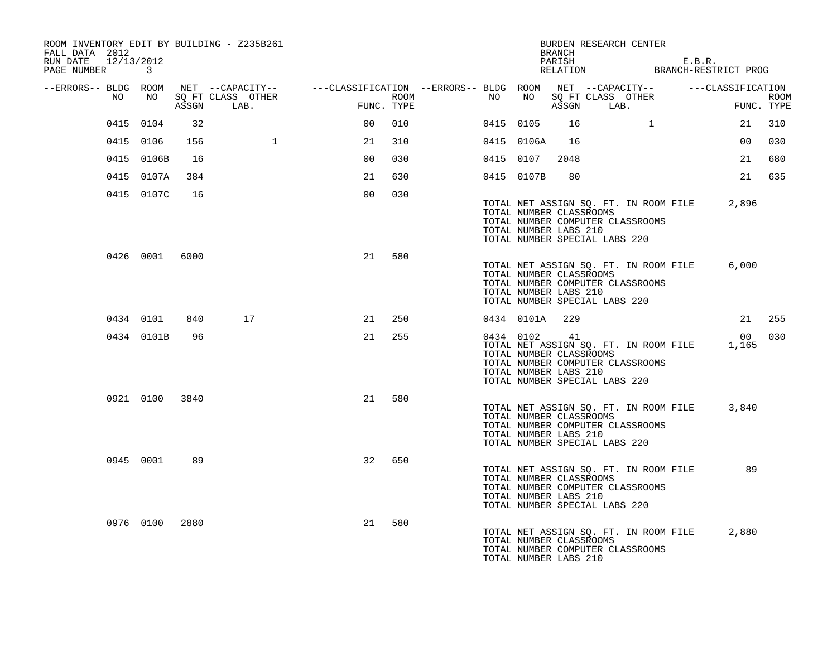| ROOM INVENTORY EDIT BY BUILDING - Z235B261<br>FALL DATA 2012<br>RUN DATE 12/13/2012<br>PAGE NUMBER 3 |                |       |                              |                                                                                                                                                                                                       |     |  |                | BRANCH                                                           | BURDEN RESEARCH CENTER<br>PARISH E.B.R.<br>RELATION BRANCH-RESTRICT PROG                                                                    |                 |                           |
|------------------------------------------------------------------------------------------------------|----------------|-------|------------------------------|-------------------------------------------------------------------------------------------------------------------------------------------------------------------------------------------------------|-----|--|----------------|------------------------------------------------------------------|---------------------------------------------------------------------------------------------------------------------------------------------|-----------------|---------------------------|
| --ERRORS-- BLDG ROOM<br>NO                                                                           |                | ASSGN | NO SQ FT CLASS OTHER<br>LAB. | NET --CAPACITY-- - ---CLASSIFICATION --ERRORS-- BLDG ROOM NET --CAPACITY-- - ---CLASSIFICATION<br>$\begin{aligned} \mathbf{F}^{\text{I}}\text{I}\text{I}\text{M}\text{C} \end{aligned}$<br>FUNC. TYPE |     |  |                |                                                                  | ROOM NO NO SQ FT CLASS OTHER<br>ASSGN LAB.                                                                                                  | FUN             | <b>ROOM</b><br>FUNC. TYPE |
|                                                                                                      | 0415 0104      | 32    |                              | 0 <sub>0</sub>                                                                                                                                                                                        | 010 |  | 0415 0105      | 16                                                               | $\overline{1}$                                                                                                                              | 21              | 310                       |
|                                                                                                      | 0415 0106      | 156   | $\mathbf{1}$                 | 21                                                                                                                                                                                                    | 310 |  | 0415 0106A     | 16                                                               |                                                                                                                                             | 00 <sub>o</sub> | 030                       |
|                                                                                                      | 0415 0106B     | 16    |                              | 0 <sup>0</sup>                                                                                                                                                                                        | 030 |  | 0415 0107      | 2048                                                             |                                                                                                                                             | 21              | 680                       |
|                                                                                                      | 0415 0107A     | 384   |                              | 21                                                                                                                                                                                                    | 630 |  | 0415 0107B     | 80                                                               |                                                                                                                                             | 21              | 635                       |
|                                                                                                      | 0415 0107C     | 16    |                              | 0 <sub>0</sub>                                                                                                                                                                                        | 030 |  |                | TOTAL NUMBER CLASSROOMS<br>TOTAL NUMBER LABS 210                 | TOTAL NET ASSIGN SQ. FT. IN ROOM FILE 2,896<br>TOTAL NUMBER COMPUTER CLASSROOMS<br>TOTAL NUMBER SPECIAL LABS 220                            |                 |                           |
|                                                                                                      | 0426 0001 6000 |       |                              | 21                                                                                                                                                                                                    | 580 |  |                | TOTAL NUMBER LABS 210                                            | TOTAL NET ASSIGN SQ. FT. IN ROOM FILE<br>TOTAL NUMBER CLASSROOMS<br>TOTAL NUMBER COMPUTER CLASSROOMS<br>TOTAL NUMBER SPECIAL LABS 220       | 6,000           |                           |
|                                                                                                      | 0434 0101      | 840   | 17                           | 21                                                                                                                                                                                                    | 250 |  | 0434 0101A 229 |                                                                  |                                                                                                                                             |                 | 21 255                    |
|                                                                                                      | 0434 0101B     | 96    |                              | 21                                                                                                                                                                                                    | 255 |  |                | 0434 0102 41<br>TOTAL NUMBER CLASSROOMS<br>TOTAL NUMBER LABS 210 | TOTAL NET ASSIGN SQ. FT. IN ROOM FILE 1,165<br>TOTAL NUMBER COMPUTER CLASSROOMS<br>TOTAL NUMBER SPECIAL LABS 220                            | 00 030          |                           |
|                                                                                                      | 0921 0100 3840 |       |                              | 21                                                                                                                                                                                                    | 580 |  |                | TOTAL NUMBER LABS 210                                            | TOTAL NET ASSIGN SQ. FT. IN ROOM FILE 3,840<br>TOTAL NUMBER CLASSROOMS<br>TOTAL NUMBER COMPUTER CLASSROOMS<br>TOTAL NUMBER SPECIAL LABS 220 |                 |                           |
|                                                                                                      | 0945 0001      | 89    |                              | 32                                                                                                                                                                                                    | 650 |  |                | TOTAL NUMBER CLASSROOMS<br>TOTAL NUMBER LABS 210                 | TOTAL NET ASSIGN SQ. FT. IN ROOM FILE<br>TOTAL NUMBER COMPUTER CLASSROOMS<br>TOTAL NUMBER SPECIAL LABS 220                                  | 89              |                           |
|                                                                                                      | 0976 0100      | 2880  |                              | 21                                                                                                                                                                                                    | 580 |  |                | TOTAL NUMBER CLASSROOMS<br>TOTAL NUMBER LABS 210                 | TOTAL NET ASSIGN SQ. FT. IN ROOM FILE 2,880<br>TOTAL NUMBER COMPUTER CLASSROOMS                                                             |                 |                           |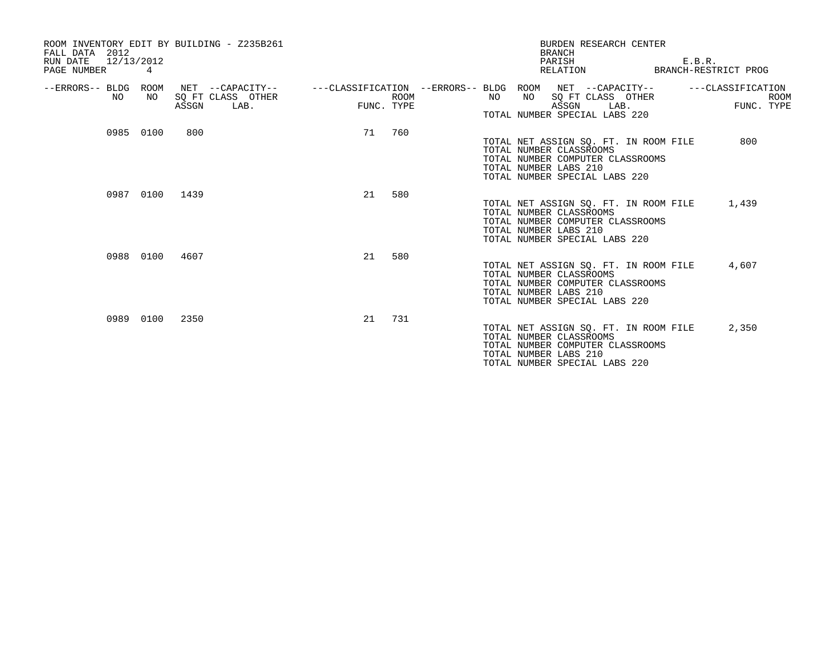| ROOM INVENTORY EDIT BY BUILDING - Z235B261<br>FALL DATA 2012<br>RUN DATE<br>12/13/2012<br>PAGE NUMBER | 4         |                |                                               |                                        |                           |                                                                                   |    | <b>BRANCH</b><br>PARISH<br>RELATION                                             |      | BURDEN RESEARCH CENTER                                                    | E.B.R.<br>BRANCH-RESTRICT PROG |                           |
|-------------------------------------------------------------------------------------------------------|-----------|----------------|-----------------------------------------------|----------------------------------------|---------------------------|-----------------------------------------------------------------------------------|----|---------------------------------------------------------------------------------|------|---------------------------------------------------------------------------|--------------------------------|---------------------------|
| --ERRORS-- BLDG ROOM<br>NO.                                                                           | NO        | ASSGN          | NET --CAPACITY--<br>SQ FT CLASS OTHER<br>LAB. | ---CLASSIFICATION --ERRORS-- BLDG ROOM | <b>ROOM</b><br>FUNC. TYPE | NO                                                                                | NO | NET --CAPACITY--<br>SQ FT CLASS OTHER<br>ASSGN<br>TOTAL NUMBER SPECIAL LABS 220 | LAB. |                                                                           | ---CLASSIFICATION              | <b>ROOM</b><br>FUNC. TYPE |
|                                                                                                       | 0985 0100 | 800            |                                               | 71                                     | 760                       | TOTAL NUMBER CLASSROOMS<br>TOTAL NUMBER LABS 210                                  |    | TOTAL NUMBER SPECIAL LABS 220                                                   |      | TOTAL NET ASSIGN SO. FT. IN ROOM FILE<br>TOTAL NUMBER COMPUTER CLASSROOMS | 800                            |                           |
|                                                                                                       |           | 0987 0100 1439 |                                               | 21                                     | 580                       | TOTAL NUMBER CLASSROOMS<br>TOTAL NUMBER LABS 210<br>TOTAL NUMBER SPECIAL LABS 220 |    |                                                                                 |      | TOTAL NET ASSIGN SQ. FT. IN ROOM FILE<br>TOTAL NUMBER COMPUTER CLASSROOMS | 1,439                          |                           |
|                                                                                                       | 0988 0100 | 4607           |                                               | 21                                     | 580                       | TOTAL NUMBER CLASSROOMS<br>TOTAL NUMBER LABS 210                                  |    | TOTAL NUMBER SPECIAL LABS 220                                                   |      | TOTAL NET ASSIGN SQ. FT. IN ROOM FILE<br>TOTAL NUMBER COMPUTER CLASSROOMS | 4,607                          |                           |
|                                                                                                       | 0989 0100 | 2350           |                                               | 21                                     | 731                       | TOTAL NUMBER CLASSROOMS<br>TOTAL NUMBER LABS 210                                  |    | TOTAL NUMBER SPECIAL LABS 220                                                   |      | TOTAL NET ASSIGN SO. FT. IN ROOM FILE<br>TOTAL NUMBER COMPUTER CLASSROOMS | 2,350                          |                           |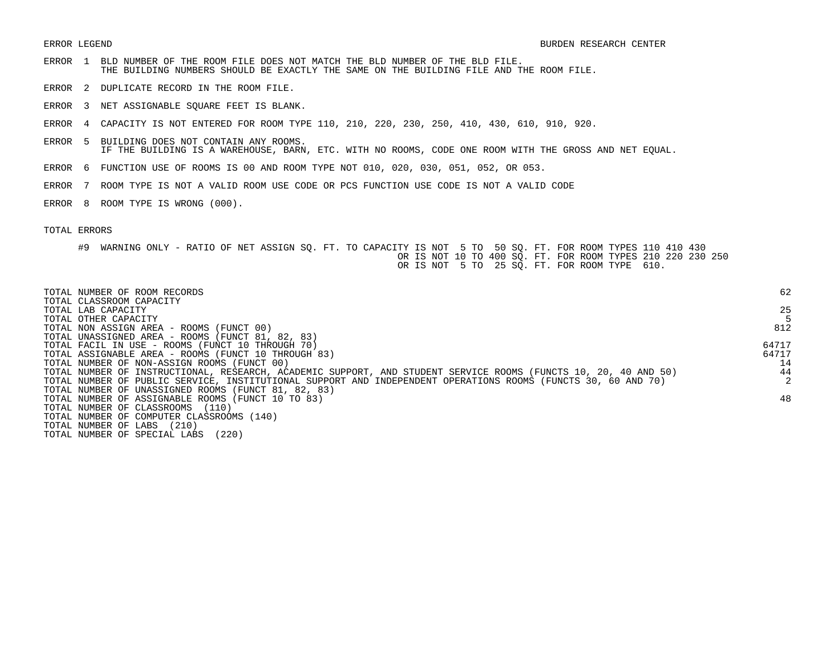- ERROR 1 BLD NUMBER OF THE ROOM FILE DOES NOT MATCH THE BLD NUMBER OF THE BLD FILE. THE BUILDING NUMBERS SHOULD BE EXACTLY THE SAME ON THE BUILDING FILE AND THE ROOM FILE.
- ERROR 2 DUPLICATE RECORD IN THE ROOM FILE.
- ERROR 3 NET ASSIGNABLE SQUARE FEET IS BLANK.
- ERROR 4 CAPACITY IS NOT ENTERED FOR ROOM TYPE 110, 210, 220, 230, 250, 410, 430, 610, 910, 920.
- ERROR 5 BUILDING DOES NOT CONTAIN ANY ROOMS. IF THE BUILDING IS A WAREHOUSE, BARN, ETC. WITH NO ROOMS, CODE ONE ROOM WITH THE GROSS AND NET EQUAL.
- ERROR 6 FUNCTION USE OF ROOMS IS 00 AND ROOM TYPE NOT 010, 020, 030, 051, 052, OR 053.
- ERROR 7 ROOM TYPE IS NOT A VALID ROOM USE CODE OR PCS FUNCTION USE CODE IS NOT A VALID CODE
- ERROR 8 ROOM TYPE IS WRONG (000).

## TOTAL ERRORS

#9 WARNING ONLY - RATIO OF NET ASSIGN SQ. FT. TO CAPACITY IS NOT 5 TO 50 SQ. FT. FOR ROOM TYPES 110 410 430 OR IS NOT 10 TO 400 SQ. FT. FOR ROOM TYPES 210 220 230 250 OR IS NOT 5 TO 25 SQ. FT. FOR ROOM TYPE 610.

| TOTAL NUMBER OF ROOM RECORDS<br>TOTAL CLASSROOM CAPACITY                                                        | 62    |
|-----------------------------------------------------------------------------------------------------------------|-------|
| TOTAL LAB CAPACITY                                                                                              | 25    |
| TOTAL OTHER CAPACITY                                                                                            |       |
| TOTAL NON ASSIGN AREA - ROOMS (FUNCT 00)                                                                        | 812   |
| TOTAL UNASSIGNED AREA - ROOMS (FUNCT 81, 82, 83)                                                                |       |
| TOTAL FACIL IN USE - ROOMS (FUNCT 10 THROUGH 70)                                                                | 64717 |
| TOTAL ASSIGNABLE AREA - ROOMS (FUNCT 10 THROUGH 83)                                                             | 64717 |
| TOTAL NUMBER OF NON-ASSIGN ROOMS (FUNCT 00)                                                                     | 14    |
| TOTAL NUMBER OF INSTRUCTIONAL, RESEARCH, ACADEMIC SUPPORT, AND STUDENT SERVICE ROOMS (FUNCTS 10, 20, 40 AND 50) | 44    |
| TOTAL NUMBER OF PUBLIC SERVICE, INSTITUTIONAL SUPPORT AND INDEPENDENT OPERATIONS ROOMS (FUNCTS 30, 60 AND 70)   |       |
| TOTAL NUMBER OF UNASSIGNED ROOMS (FUNCT 81, 82, 83)                                                             |       |
| TOTAL NUMBER OF ASSIGNABLE ROOMS (FUNCT 10 TO 83)                                                               | 48    |
| TOTAL NUMBER OF CLASSROOMS<br>(110)                                                                             |       |
| TOTAL NUMBER OF COMPUTER CLASSROOMS (140)                                                                       |       |
| (210)<br>TOTAL NUMBER OF LABS                                                                                   |       |
| (220)<br>TOTAL NUMBER OF SPECIAL LABS                                                                           |       |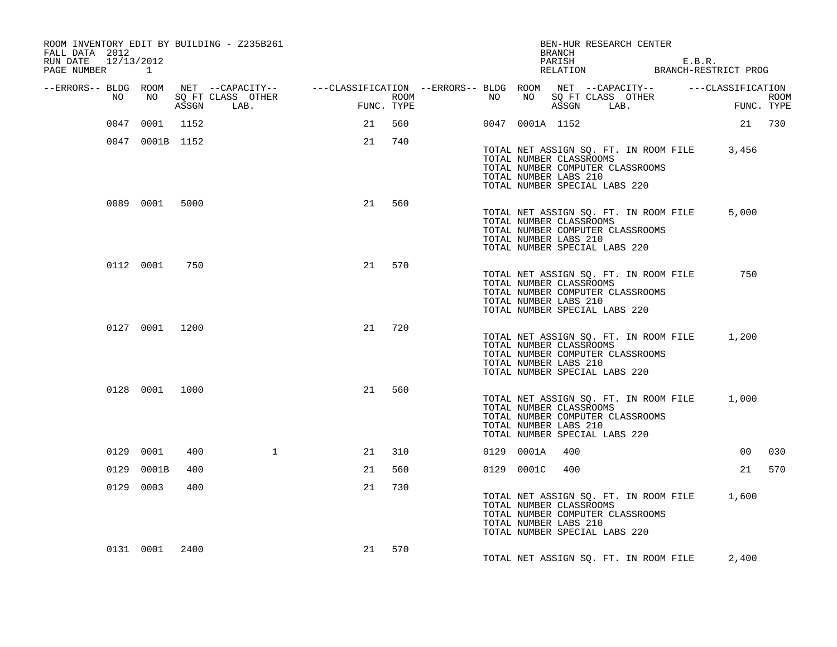| FALL DATA 2012<br>RUN DATE<br>PAGE NUMBER | 12/13/2012 | $\mathbf{1}$    |       | ROOM INVENTORY EDIT BY BUILDING - Z235B261 |                                                                                                |        |            |                  |    |                 | <b>BRANCH</b><br>PARISH                                                           | BEN-HUR RESEARCH CENTER                                                   | E.B.R.<br>RELATION BRANCH-RESTRICT PROG     |        |     |
|-------------------------------------------|------------|-----------------|-------|--------------------------------------------|------------------------------------------------------------------------------------------------|--------|------------|------------------|----|-----------------|-----------------------------------------------------------------------------------|---------------------------------------------------------------------------|---------------------------------------------|--------|-----|
| --ERRORS-- BLDG ROOM                      | NO         | NO              | ASSGN | SQ FT CLASS OTHER<br>LAB.                  | NET --CAPACITY-- - ---CLASSIFICATION --ERRORS-- BLDG ROOM NET --CAPACITY-- - ---CLASSIFICATION |        | FUNC. TYPE | ROOM <b>ROOM</b> | NO |                 | ASSGN LAB.                                                                        | NO SQ FT CLASS OTHER                                                      | ROOM<br>FUNC. TYPE                          |        |     |
|                                           |            | 0047 0001 1152  |       |                                            |                                                                                                | 21 560 |            |                  |    | 0047 0001A 1152 |                                                                                   |                                                                           |                                             | 21 730 |     |
|                                           |            | 0047 0001B 1152 |       |                                            |                                                                                                | 21     | 740        |                  |    |                 |                                                                                   |                                                                           |                                             |        |     |
|                                           |            |                 |       |                                            |                                                                                                |        |            |                  |    |                 | TOTAL NUMBER CLASSROOMS<br>TOTAL NUMBER LABS 210<br>TOTAL NUMBER SPECIAL LABS 220 | TOTAL NUMBER COMPUTER CLASSROOMS                                          | TOTAL NET ASSIGN SQ. FT. IN ROOM FILE 3,456 |        |     |
|                                           |            | 0089 0001       | 5000  |                                            |                                                                                                | 21     | 560        |                  |    |                 | TOTAL NUMBER CLASSROOMS<br>TOTAL NUMBER LABS 210<br>TOTAL NUMBER SPECIAL LABS 220 | TOTAL NET ASSIGN SQ. FT. IN ROOM FILE<br>TOTAL NUMBER COMPUTER CLASSROOMS |                                             | 5,000  |     |
|                                           |            | 0112 0001       | 750   |                                            |                                                                                                | 21     | 570        |                  |    |                 | TOTAL NUMBER CLASSROOMS<br>TOTAL NUMBER LABS 210<br>TOTAL NUMBER SPECIAL LABS 220 | TOTAL NET ASSIGN SQ. FT. IN ROOM FILE<br>TOTAL NUMBER COMPUTER CLASSROOMS |                                             | 750    |     |
|                                           |            | 0127 0001 1200  |       |                                            |                                                                                                | 21     | 720        |                  |    |                 | TOTAL NUMBER CLASSROOMS<br>TOTAL NUMBER LABS 210<br>TOTAL NUMBER SPECIAL LABS 220 | TOTAL NET ASSIGN SQ. FT. IN ROOM FILE<br>TOTAL NUMBER COMPUTER CLASSROOMS |                                             | 1,200  |     |
|                                           |            | 0128 0001 1000  |       |                                            |                                                                                                | 21     | 560        |                  |    |                 | TOTAL NUMBER CLASSROOMS<br>TOTAL NUMBER LABS 210<br>TOTAL NUMBER SPECIAL LABS 220 | TOTAL NET ASSIGN SQ. FT. IN ROOM FILE<br>TOTAL NUMBER COMPUTER CLASSROOMS |                                             | 1,000  |     |
|                                           |            | 0129 0001       | 400   | $\mathbf{1}$                               |                                                                                                | 21     | 310        |                  |    | 0129 0001A      | 400                                                                               |                                                                           |                                             | 00     | 030 |
|                                           |            | 0129 0001B      | 400   |                                            |                                                                                                | 21     | 560        |                  |    | 0129 0001C      | 400                                                                               |                                                                           |                                             | 21     | 570 |
|                                           |            | 0129 0003       | 400   |                                            |                                                                                                | 21     | 730        |                  |    |                 | TOTAL NUMBER CLASSROOMS<br>TOTAL NUMBER LABS 210<br>TOTAL NUMBER SPECIAL LABS 220 | TOTAL NET ASSIGN SQ. FT. IN ROOM FILE<br>TOTAL NUMBER COMPUTER CLASSROOMS |                                             | 1,600  |     |
|                                           |            | 0131 0001       | 2400  |                                            |                                                                                                | 21     | 570        |                  |    |                 |                                                                                   | TOTAL NET ASSIGN SQ. FT. IN ROOM FILE                                     |                                             | 2,400  |     |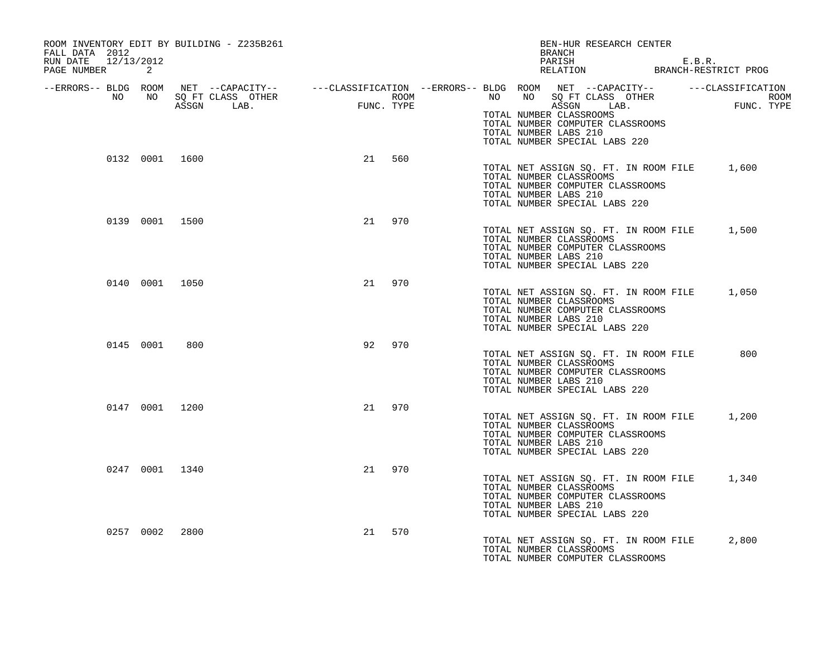| ROOM INVENTORY EDIT BY BUILDING - Z235B261<br>FALL DATA 2012 |                |                                                                                                                                                                                                                                      |    |        | BRANCH                                                                                                                                                               | BEN-HUR RESEARCH CENTER                        |     |
|--------------------------------------------------------------|----------------|--------------------------------------------------------------------------------------------------------------------------------------------------------------------------------------------------------------------------------------|----|--------|----------------------------------------------------------------------------------------------------------------------------------------------------------------------|------------------------------------------------|-----|
| RUN DATE 12/13/2012<br>PAGE NUMBER 2                         |                |                                                                                                                                                                                                                                      |    |        |                                                                                                                                                                      | PARISH E.B.R.<br>RELATION BRANCH-RESTRICT PROG |     |
|                                                              |                | ERRORS-- BLDG ROOM NET --CAPACITY--- --CLASSIFICATION --ERRORS-- BLDG ROOM NET --CAPACITY--------------------<br>NO NO SQ FT CLASS OTHER ROOM ROOM NO SQ FT CLASS OTHER ROOM ROOM NO SQ FT CLASS OTHER ROOM<br>ASSGN LAB. FUNC. TYPE |    |        | TOTAL NUMBER CLASSROOMS<br>TOTAL NUMBER COMPUTER CLASSROOMS<br>TOTAL NUMBER LABS 210<br>TOTAL NUMBER SPECIAL LABS 220                                                |                                                |     |
|                                                              | 0132 0001 1600 |                                                                                                                                                                                                                                      |    | 21 560 | TOTAL NET ASSIGN SQ. FT. IN ROOM FILE 1,600<br>TOTAL NUMBER CLASSROOMS<br>TOTAL NUMBER COMPUTER CLASSROOMS<br>TOTAL NUMBER LABS 210<br>TOTAL NUMBER SPECIAL LABS 220 |                                                |     |
|                                                              | 0139 0001 1500 |                                                                                                                                                                                                                                      |    | 21 970 | TOTAL NET ASSIGN SQ. FT. IN ROOM FILE 1,500<br>TOTAL NUMBER CLASSROOMS<br>TOTAL NUMBER COMPUTER CLASSROOMS<br>TOTAL NUMBER LABS 210<br>TOTAL NUMBER SPECIAL LABS 220 |                                                |     |
|                                                              | 0140 0001 1050 |                                                                                                                                                                                                                                      |    | 21 970 | TOTAL NET ASSIGN SQ. FT. IN ROOM FILE 1,050<br>TOTAL NUMBER CLASSROOMS<br>TOTAL NUMBER COMPUTER CLASSROOMS<br>TOTAL NUMBER LABS 210<br>TOTAL NUMBER SPECIAL LABS 220 |                                                |     |
| 0145 0001                                                    | 800            |                                                                                                                                                                                                                                      | 92 | 970    | TOTAL NET ASSIGN SQ. FT. IN ROOM FILE<br>TOTAL NUMBER CLASSROOMS<br>TOTAL NUMBER COMPUTER CLASSROOMS<br>TOTAL NUMBER LABS 210<br>TOTAL NUMBER SPECIAL LABS 220       |                                                | 800 |
|                                                              | 0147 0001 1200 |                                                                                                                                                                                                                                      |    | 21 970 | TOTAL NET ASSIGN SQ. FT. IN ROOM FILE 1,200<br>TOTAL NUMBER CLASSROOMS<br>TOTAL NUMBER COMPUTER CLASSROOMS<br>TOTAL NUMBER LABS 210<br>TOTAL NUMBER SPECIAL LABS 220 |                                                |     |
|                                                              | 0247 0001 1340 |                                                                                                                                                                                                                                      |    | 21 970 | TOTAL NET ASSIGN SQ. FT. IN ROOM FILE 1,340<br>TOTAL NUMBER CLASSROOMS<br>TOTAL NUMBER COMPUTER CLASSROOMS<br>TOTAL NUMBER LABS 210<br>TOTAL NUMBER SPECIAL LABS 220 |                                                |     |
|                                                              | 0257 0002 2800 |                                                                                                                                                                                                                                      | 21 | 570    | TOTAL NET ASSIGN SQ. FT. IN ROOM FILE 2,800<br>TOTAL NUMBER CLASSROOMS<br>TOTAL NUMBER COMPUTER CLASSROOMS                                                           |                                                |     |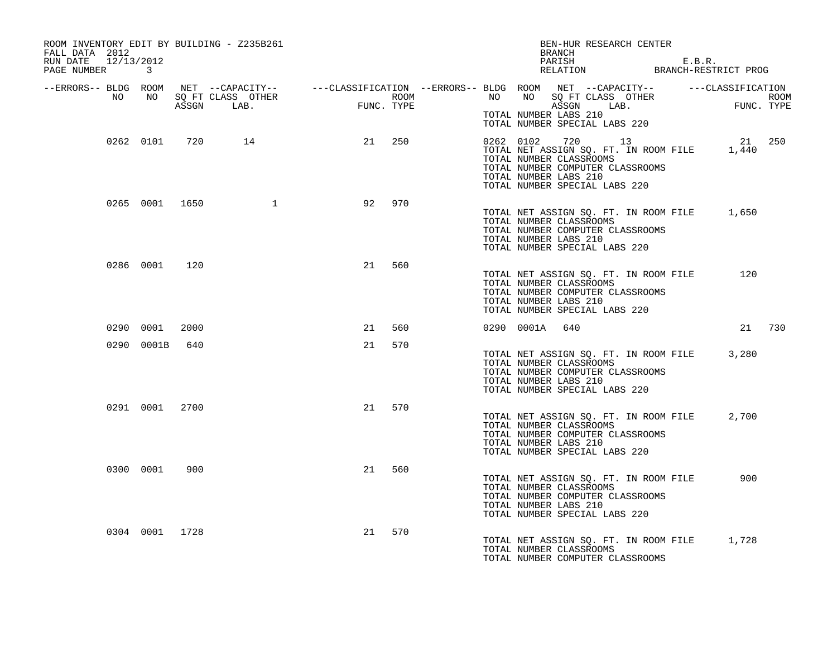| ROOM INVENTORY EDIT BY BUILDING - Z235B261<br>FALL DATA 2012<br>RUN DATE 12/13/2012<br>PAGE NUMBER 3 |                |                  |                                                                                                                                                                                                                                  |        |  |                | BEN-HUR RESEARCH CENTER<br>BRANCH<br>PARISH E.B.R.<br>RELATION BRANCH-RESTRICT PROG                                                                                                      | E.B.R. |        |  |
|------------------------------------------------------------------------------------------------------|----------------|------------------|----------------------------------------------------------------------------------------------------------------------------------------------------------------------------------------------------------------------------------|--------|--|----------------|------------------------------------------------------------------------------------------------------------------------------------------------------------------------------------------|--------|--------|--|
|                                                                                                      |                |                  | ERRORS-- BLDG ROOM NET --CAPACITY--- --CLASSIFICATION --ERRORS-- BLDG ROOM NET --CAPACITY--------------------<br>NO NO SQ FT CLASS OTHER ROOM NO BO THER ROOM NO ASSGN LAB. TUNC. TYPE ASSGN ASSGN ASSGN ASSGN ASSGN ASSGN ASSGN |        |  |                |                                                                                                                                                                                          |        |        |  |
|                                                                                                      |                |                  |                                                                                                                                                                                                                                  |        |  |                | TOTAL NUMBER LABS 210<br>TOTAL NUMBER SPECIAL LABS 220                                                                                                                                   |        |        |  |
|                                                                                                      |                | 0262 0101 720 14 | 21 250                                                                                                                                                                                                                           |        |  |                | 0262 0102 720 13<br>TOTAL NET ASSIGN SQ. FT. IN ROOM FILE 1,440<br>TOTAL NUMBER CLASSROOMS<br>TOTAL NUMBER COMPUTER CLASSROOMS<br>TOTAL NUMBER LABS 210<br>TOTAL NUMBER SPECIAL LABS 220 |        | 21 250 |  |
|                                                                                                      | 0265 0001 1650 |                  | 92                                                                                                                                                                                                                               | 970    |  |                | TOTAL NET ASSIGN SQ. FT. IN ROOM FILE 1,650<br>TOTAL NUMBER CLASSROOMS<br>TOTAL NUMBER COMPUTER CLASSROOMS<br>TOTAL NUMBER LABS 210<br>TOTAL NUMBER SPECIAL LABS 220                     |        |        |  |
|                                                                                                      | 0286 0001 120  |                  | 21 560                                                                                                                                                                                                                           |        |  |                | TOTAL NET ASSIGN SQ. FT. IN ROOM FILE 120<br>TOTAL NUMBER CLASSROOMS<br>TOTAL NUMBER COMPUTER CLASSROOMS<br>TOTAL NUMBER LABS 210<br>TOTAL NUMBER SPECIAL LABS 220                       |        |        |  |
|                                                                                                      | 0290 0001 2000 |                  |                                                                                                                                                                                                                                  | 21 560 |  | 0290 0001A 640 |                                                                                                                                                                                          |        | 21 730 |  |
|                                                                                                      | 0290 0001B 640 |                  |                                                                                                                                                                                                                                  | 21 570 |  |                | TOTAL NET ASSIGN SQ. FT. IN ROOM FILE 3,280<br>TOTAL NUMBER CLASSROOMS<br>TOTAL NUMBER COMPUTER CLASSROOMS<br>TOTAL NUMBER LABS 210<br>TOTAL NUMBER SPECIAL LABS 220                     |        |        |  |
|                                                                                                      | 0291 0001 2700 |                  | 21 570                                                                                                                                                                                                                           |        |  |                | TOTAL NET ASSIGN SQ. FT. IN ROOM FILE<br>TOTAL NUMBER CLASSROOMS<br>TOTAL NUMBER COMPUTER CLASSROOMS<br>TOTAL NUMBER LABS 210<br>TOTAL NUMBER SPECIAL LABS 220                           |        | 2,700  |  |
|                                                                                                      | 0300 0001 900  |                  |                                                                                                                                                                                                                                  | 21 560 |  |                | TOTAL NET ASSIGN SQ. FT. IN ROOM FILE<br>TOTAL NUMBER CLASSROOMS<br>TOTAL NUMBER COMPUTER CLASSROOMS<br>TOTAL NUMBER LABS 210<br>TOTAL NUMBER SPECIAL LABS 220                           |        | 900    |  |
|                                                                                                      | 0304 0001 1728 |                  | 21                                                                                                                                                                                                                               | 570    |  |                | TOTAL NET ASSIGN SQ. FT. IN ROOM FILE 1,728<br>TOTAL NUMBER CLASSROOMS<br>TOTAL NUMBER COMPUTER CLASSROOMS                                                                               |        |        |  |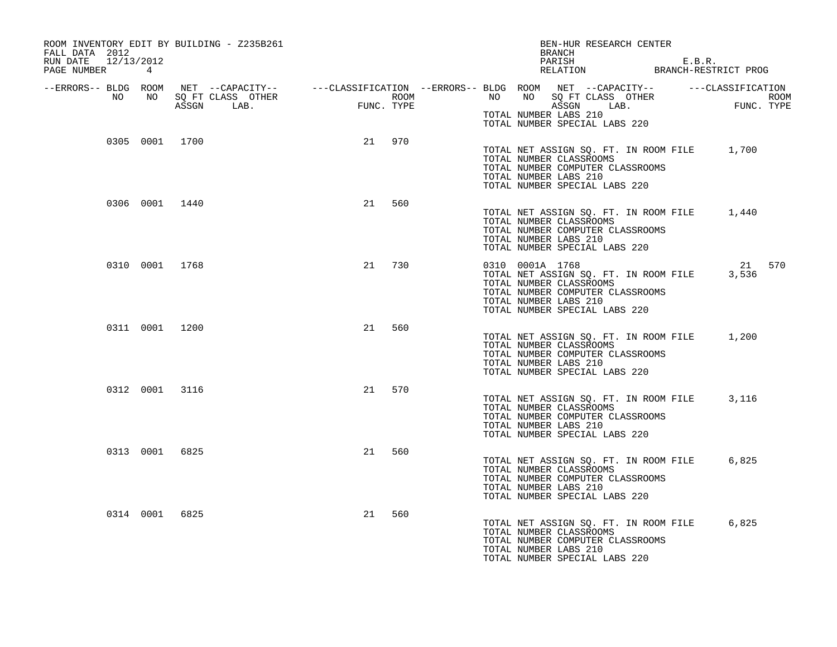| FALL DATA 2012<br>RUN DATE 12/13/2012<br>PAGE NUMBER 4 |       | ROOM INVENTORY EDIT BY BUILDING - Z235B261 |           | BEN-HUR RESEARCH CENTER<br>BRANCH<br>PARISH E.B.R.<br>RELATION BRANCH-RESTRICT PROG                                                                                                                        |
|--------------------------------------------------------|-------|--------------------------------------------|-----------|------------------------------------------------------------------------------------------------------------------------------------------------------------------------------------------------------------|
| --ERRORS-- BLDG ROOM                                   | NO NO |                                            |           | NET --CAPACITY-- ----CLASSIFICATION --ERRORS-- BLDG ROOM NET --CAPACITY-- -----CLASSIFICATION<br>SQ FT CLASS OTHER ROOM ROOM NO SQ FT CLASS OTHER ROOM ROOM<br>ASSGN LAB. FUNC. TYPE ASSGN LAB. FUNC. TYPE |
|                                                        |       |                                            |           | TOTAL NUMBER LABS 210<br>TOTAL NUMBER SPECIAL LABS 220                                                                                                                                                     |
|                                                        |       | 0305 0001 1700                             | 21 970    | TOTAL NET ASSIGN SQ. FT. IN ROOM FILE 1,700<br>TOTAL NUMBER CLASSROOMS<br>TOTAL NUMBER COMPUTER CLASSROOMS<br>TOTAL NUMBER LABS 210<br>TOTAL NUMBER SPECIAL LABS 220                                       |
|                                                        |       | 0306 0001 1440                             | 21<br>560 | TOTAL NET ASSIGN SQ. FT. IN ROOM FILE 1,440<br>TOTAL NUMBER CLASSROOMS<br>TOTAL NUMBER COMPUTER CLASSROOMS<br>TOTAL NUMBER LABS 210<br>TOTAL NUMBER SPECIAL LABS 220                                       |
|                                                        |       | 0310 0001 1768                             | 21<br>730 | 0310 0001A 1768<br>21 570<br>TOTAL NET ASSIGN SQ. FT. IN ROOM FILE<br>3,536<br>TOTAL NUMBER CLASSROOMS<br>TOTAL NUMBER COMPUTER CLASSROOMS<br>TOTAL NUMBER LABS 210<br>TOTAL NUMBER SPECIAL LABS 220       |
|                                                        |       | 0311 0001 1200                             | 21 560    | TOTAL NET ASSIGN SQ. FT. IN ROOM FILE 1,200<br>TOTAL NUMBER CLASSROOMS<br>TOTAL NUMBER COMPUTER CLASSROOMS<br>TOTAL NUMBER LABS 210<br>TOTAL NUMBER SPECIAL LABS 220                                       |
|                                                        |       | 0312 0001 3116                             | 21<br>570 | TOTAL NET ASSIGN SQ. FT. IN ROOM FILE 3,116<br>TOTAL NUMBER CLASSROOMS<br>TOTAL NUMBER COMPUTER CLASSROOMS<br>TOTAL NUMBER LABS 210<br>TOTAL NUMBER SPECIAL LABS 220                                       |
|                                                        |       | 0313 0001 6825                             | 21<br>560 | 6,825<br>TOTAL NET ASSIGN SQ. FT. IN ROOM FILE<br>TOTAL NUMBER CLASSROOMS<br>TOTAL NUMBER COMPUTER CLASSROOMS<br>TOTAL NUMBER LABS 210<br>TOTAL NUMBER SPECIAL LABS 220                                    |
|                                                        |       | 0314 0001 6825                             | 21<br>560 | TOTAL NET ASSIGN SQ. FT. IN ROOM FILE<br>6,825<br>TOTAL NUMBER CLASSROOMS<br>TOTAL NUMBER COMPUTER CLASSROOMS<br>TOTAL NUMBER LABS 210<br>TOTAL NUMBER SPECIAL LABS 220                                    |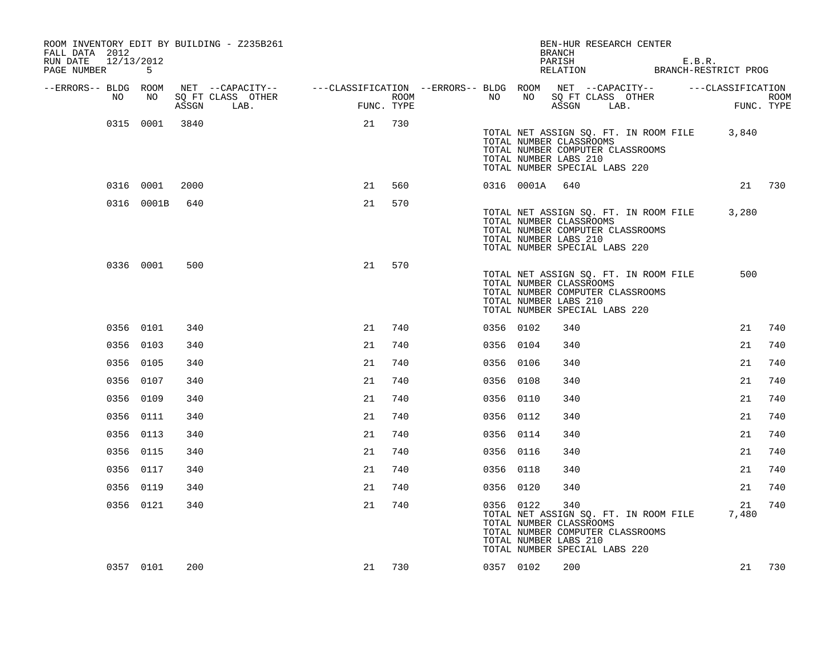| FALL DATA 2012<br>RUN DATE<br>PAGE NUMBER |    | 12/13/2012<br>-5 |       | ROOM INVENTORY EDIT BY BUILDING - Z235B261                                 |     |                    |           |            | BEN-HUR RESEARCH CENTER<br><b>BRANCH</b><br>PARISH<br>RELATION BRANCH-RESTRICT PROG                                                                                   |      | E.B.R. |                   |        |
|-------------------------------------------|----|------------------|-------|----------------------------------------------------------------------------|-----|--------------------|-----------|------------|-----------------------------------------------------------------------------------------------------------------------------------------------------------------------|------|--------|-------------------|--------|
| --ERRORS-- BLDG ROOM                      |    |                  |       | NET --CAPACITY-- - ---CLASSIFICATION --ERRORS-- BLDG ROOM NET --CAPACITY-- |     |                    |           |            |                                                                                                                                                                       |      |        | ---CLASSIFICATION |        |
|                                           | NO | NO               | ASSGN | SQ FT CLASS OTHER<br>LAB.                                                  | FUN | ROOM<br>FUNC. TYPE | NO        |            | NO SQ FT CLASS OTHER<br>ASSGN                                                                                                                                         | LAB. |        | FUNC. TYPE        | ROOM   |
|                                           |    | 0315 0001 3840   |       |                                                                            | 21  | 730                |           |            | TOTAL NET ASSIGN SQ. FT. IN ROOM FILE 3,840<br>TOTAL NUMBER CLASSROOMS<br>TOTAL NUMBER COMPUTER CLASSROOMS<br>TOTAL NUMBER LABS 210<br>TOTAL NUMBER SPECIAL LABS 220  |      |        |                   |        |
|                                           |    | 0316 0001        | 2000  |                                                                            | 21  | 560                |           | 0316 0001A | 640                                                                                                                                                                   |      |        |                   | 21 730 |
|                                           |    | 0316 0001B       | 640   |                                                                            | 21  | 570                |           |            |                                                                                                                                                                       |      |        |                   |        |
|                                           |    |                  |       |                                                                            |     |                    |           |            | TOTAL NET ASSIGN SQ. FT. IN ROOM FILE 3,280<br>TOTAL NUMBER CLASSROOMS<br>TOTAL NUMBER COMPUTER CLASSROOMS<br>TOTAL NUMBER LABS 210<br>TOTAL NUMBER SPECIAL LABS 220  |      |        |                   |        |
|                                           |    | 0336 0001        | 500   |                                                                            | 21  | 570                |           |            | TOTAL NET ASSIGN SQ. FT. IN ROOM FILE<br>TOTAL NUMBER CLASSROOMS<br>TOTAL NUMBER COMPUTER CLASSROOMS<br>TOTAL NUMBER LABS 210<br>TOTAL NUMBER SPECIAL LABS 220        |      |        | 500               |        |
|                                           |    | 0356 0101        | 340   |                                                                            | 21  | 740                | 0356 0102 |            | 340                                                                                                                                                                   |      |        | 21                | 740    |
|                                           |    | 0356 0103        | 340   |                                                                            | 21  | 740                | 0356 0104 |            | 340                                                                                                                                                                   |      |        | 21                | 740    |
|                                           |    | 0356 0105        | 340   |                                                                            | 21  | 740                | 0356 0106 |            | 340                                                                                                                                                                   |      |        | 21                | 740    |
|                                           |    | 0356 0107        | 340   |                                                                            | 21  | 740                | 0356 0108 |            | 340                                                                                                                                                                   |      |        | 21                | 740    |
|                                           |    | 0356 0109        | 340   |                                                                            | 21  | 740                | 0356 0110 |            | 340                                                                                                                                                                   |      |        | 21                | 740    |
|                                           |    | 0356 0111        | 340   |                                                                            | 21  | 740                | 0356 0112 |            | 340                                                                                                                                                                   |      |        | 21                | 740    |
|                                           |    | 0356 0113        | 340   |                                                                            | 21  | 740                | 0356 0114 |            | 340                                                                                                                                                                   |      |        | 21                | 740    |
|                                           |    | 0356 0115        | 340   |                                                                            | 21  | 740                | 0356 0116 |            | 340                                                                                                                                                                   |      |        | 21                | 740    |
|                                           |    | 0356 0117        | 340   |                                                                            | 21  | 740                | 0356 0118 |            | 340                                                                                                                                                                   |      |        | 21                | 740    |
|                                           |    | 0356 0119        | 340   |                                                                            | 21  | 740                | 0356 0120 |            | 340                                                                                                                                                                   |      |        | 21                | 740    |
|                                           |    | 0356 0121        | 340   |                                                                            | 21  | 740                | 0356 0122 |            | 340<br>TOTAL NET ASSIGN SQ. FT. IN ROOM FILE<br>TOTAL NUMBER CLASSROOMS<br>TOTAL NUMBER COMPUTER CLASSROOMS<br>TOTAL NUMBER LABS 210<br>TOTAL NUMBER SPECIAL LABS 220 |      |        | 21<br>7,480       | 740    |
|                                           |    | 0357 0101        | 200   |                                                                            | 21  | 730                | 0357 0102 |            | 200                                                                                                                                                                   |      |        | 21                | 730    |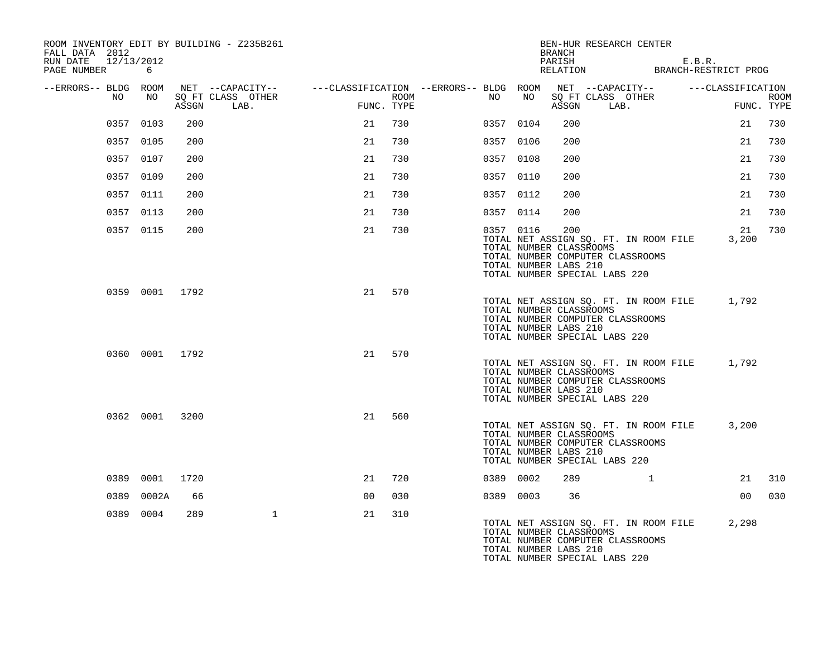| ROOM INVENTORY EDIT BY BUILDING - Z235B261<br>FALL DATA 2012 |                |       |                                                                             |                |      |    |           | <b>BRANCH</b>                                           |                               | BEN-HUR RESEARCH CENTER                                                         |                   |             |             |
|--------------------------------------------------------------|----------------|-------|-----------------------------------------------------------------------------|----------------|------|----|-----------|---------------------------------------------------------|-------------------------------|---------------------------------------------------------------------------------|-------------------|-------------|-------------|
| RUN DATE<br>12/13/2012<br>PAGE NUMBER                        | 6              |       |                                                                             |                |      |    |           | PARISH                                                  |                               | PARISH<br>RELATION BRANCH-RESTRICT PROG                                         | E.B.R.            |             |             |
| --ERRORS-- BLDG ROOM                                         |                |       | NET --CAPACITY--    ---CLASSIFICATION --ERRORS-- BLDG ROOM NET --CAPACITY-- |                |      |    |           |                                                         |                               |                                                                                 | ---CLASSIFICATION |             |             |
| NO                                                           | NO             | ASSGN | SO FT CLASS OTHER<br>LAB.                                                   | FUNC. TYPE     | ROOM | NO | NO        | ASSGN                                                   | LAB.                          | SQ FT CLASS OTHER                                                               |                   | FUNC. TYPE  | <b>ROOM</b> |
|                                                              | 0357 0103      | 200   |                                                                             | 21             | 730  |    | 0357 0104 | 200                                                     |                               |                                                                                 |                   | 21          | 730         |
|                                                              | 0357 0105      | 200   |                                                                             | 21             | 730  |    | 0357 0106 | 200                                                     |                               |                                                                                 |                   | 21          | 730         |
|                                                              | 0357 0107      | 200   |                                                                             | 21             | 730  |    | 0357 0108 | 200                                                     |                               |                                                                                 |                   | 21          | 730         |
|                                                              | 0357 0109      | 200   |                                                                             | 21             | 730  |    | 0357 0110 | 200                                                     |                               |                                                                                 |                   | 21          | 730         |
|                                                              | 0357 0111      | 200   |                                                                             | 21             | 730  |    | 0357 0112 | 200                                                     |                               |                                                                                 |                   | 21          | 730         |
|                                                              | 0357 0113      | 200   |                                                                             | 21             | 730  |    | 0357 0114 | 200                                                     |                               |                                                                                 |                   | 21          | 730         |
|                                                              | 0357 0115      | 200   |                                                                             | 21             | 730  |    | 0357 0116 | 200<br>TOTAL NUMBER CLASSROOMS<br>TOTAL NUMBER LABS 210 | TOTAL NUMBER SPECIAL LABS 220 | TOTAL NET ASSIGN SQ. FT. IN ROOM FILE<br>TOTAL NUMBER COMPUTER CLASSROOMS       |                   | 21<br>3,200 | 730         |
|                                                              | 0359 0001 1792 |       |                                                                             | 21             | 570  |    |           | TOTAL NUMBER CLASSROOMS<br>TOTAL NUMBER LABS 210        | TOTAL NUMBER SPECIAL LABS 220 | TOTAL NET ASSIGN SQ. FT. IN ROOM FILE<br>TOTAL NUMBER COMPUTER CLASSROOMS       |                   | 1,792       |             |
|                                                              | 0360 0001 1792 |       |                                                                             | 21             | 570  |    |           | TOTAL NUMBER CLASSROOMS<br>TOTAL NUMBER LABS 210        | TOTAL NUMBER SPECIAL LABS 220 | TOTAL NET ASSIGN SQ. FT. IN ROOM FILE 1,792<br>TOTAL NUMBER COMPUTER CLASSROOMS |                   |             |             |
|                                                              | 0362 0001 3200 |       |                                                                             | 21             | 560  |    |           | TOTAL NUMBER CLASSROOMS<br>TOTAL NUMBER LABS 210        | TOTAL NUMBER SPECIAL LABS 220 | TOTAL NET ASSIGN SQ. FT. IN ROOM FILE<br>TOTAL NUMBER COMPUTER CLASSROOMS       |                   | 3,200       |             |
|                                                              | 0389 0001      | 1720  |                                                                             | 21             | 720  |    | 0389 0002 | 289                                                     |                               | $\mathbf{1}$                                                                    |                   | 21          | 310         |
| 0389                                                         | 0002A          | 66    |                                                                             | 0 <sub>0</sub> | 030  |    | 0389 0003 | 36                                                      |                               |                                                                                 |                   | 00          | 030         |
|                                                              | 0389 0004      | 289   | $\mathbf{1}$                                                                | 21             | 310  |    |           | TOTAL NUMBER CLASSROOMS<br>TOTAL NUMBER LABS 210        | TOTAL NUMBER SPECIAL LABS 220 | TOTAL NET ASSIGN SQ. FT. IN ROOM FILE<br>TOTAL NUMBER COMPUTER CLASSROOMS       |                   | 2,298       |             |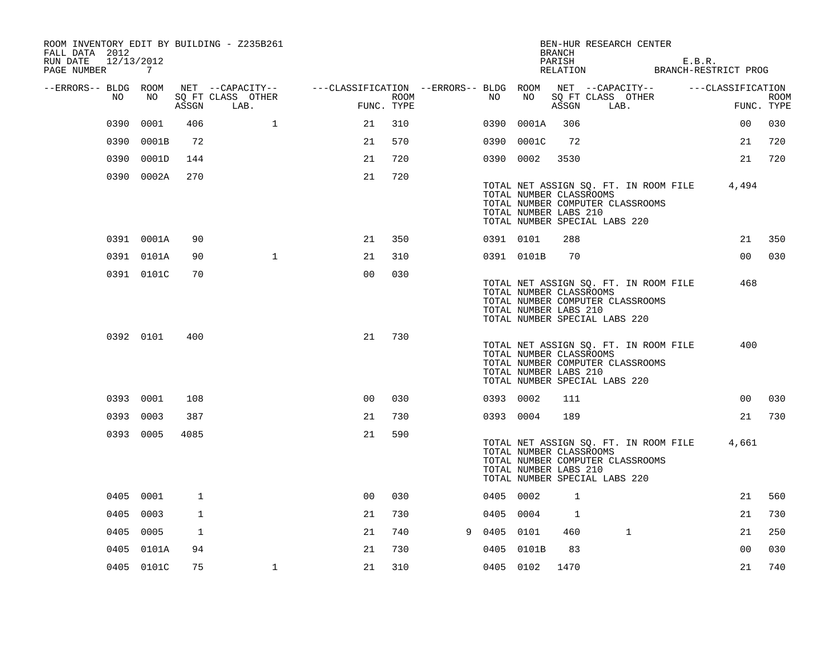| ROOM INVENTORY EDIT BY BUILDING - Z235B261<br>FALL DATA 2012<br>RUN DATE<br>12/13/2012<br>PAGE NUMBER | 7          |              |                                       |                                                         |      |   |           |                                                  | <b>BRANCH</b><br>PARISH<br>RELATION | BEN-HUR RESEARCH CENTER                                                                                    | E.B.R. | BRANCH-RESTRICT PROG |             |
|-------------------------------------------------------------------------------------------------------|------------|--------------|---------------------------------------|---------------------------------------------------------|------|---|-----------|--------------------------------------------------|-------------------------------------|------------------------------------------------------------------------------------------------------------|--------|----------------------|-------------|
| --ERRORS-- BLDG ROOM<br>NO                                                                            | NO         |              | NET --CAPACITY--<br>SQ FT CLASS OTHER | ---CLASSIFICATION --ERRORS-- BLDG ROOM NET --CAPACITY-- | ROOM |   | NO        | NO                                               |                                     | SQ FT CLASS OTHER                                                                                          |        | ---CLASSIFICATION    | <b>ROOM</b> |
|                                                                                                       |            | ASSGN        | LAB.                                  | FUNC. TYPE                                              |      |   |           |                                                  | ASSGN                               | LAB.                                                                                                       |        |                      | FUNC. TYPE  |
| 0390                                                                                                  | 0001       | 406          | $\mathbf{1}$                          | 21                                                      | 310  |   | 0390      | 0001A                                            | 306                                 |                                                                                                            |        | 00                   | 030         |
| 0390                                                                                                  | 0001B      | 72           |                                       | 21                                                      | 570  |   | 0390      | 0001C                                            | 72                                  |                                                                                                            |        | 21                   | 720         |
|                                                                                                       | 0390 0001D | 144          |                                       | 21                                                      | 720  |   | 0390 0002 |                                                  | 3530                                |                                                                                                            |        | 21                   | 720         |
|                                                                                                       | 0390 0002A | 270          |                                       | 21                                                      | 720  |   |           | TOTAL NUMBER CLASSROOMS<br>TOTAL NUMBER LABS 210 |                                     | TOTAL NET ASSIGN SQ. FT. IN ROOM FILE<br>TOTAL NUMBER COMPUTER CLASSROOMS<br>TOTAL NUMBER SPECIAL LABS 220 |        | 4,494                |             |
|                                                                                                       | 0391 0001A | 90           |                                       | 21                                                      | 350  |   | 0391 0101 |                                                  | 288                                 |                                                                                                            |        | 21                   | 350         |
|                                                                                                       | 0391 0101A | 90           | $\mathbf{1}$                          | 21                                                      | 310  |   |           | 0391 0101B                                       | 70                                  |                                                                                                            |        | 0 <sub>0</sub>       | 030         |
|                                                                                                       | 0391 0101C | 70           |                                       | 0 <sub>0</sub>                                          | 030  |   |           | TOTAL NUMBER CLASSROOMS<br>TOTAL NUMBER LABS 210 |                                     | TOTAL NET ASSIGN SQ. FT. IN ROOM FILE<br>TOTAL NUMBER COMPUTER CLASSROOMS<br>TOTAL NUMBER SPECIAL LABS 220 |        | 468                  |             |
|                                                                                                       | 0392 0101  | 400          |                                       | 21                                                      | 730  |   |           | TOTAL NUMBER CLASSROOMS<br>TOTAL NUMBER LABS 210 |                                     | TOTAL NET ASSIGN SQ. FT. IN ROOM FILE<br>TOTAL NUMBER COMPUTER CLASSROOMS<br>TOTAL NUMBER SPECIAL LABS 220 |        | 400                  |             |
|                                                                                                       | 0393 0001  | 108          |                                       | 0 <sup>0</sup>                                          | 030  |   | 0393 0002 |                                                  | 111                                 |                                                                                                            |        | 00                   | 030         |
|                                                                                                       | 0393 0003  | 387          |                                       | 21                                                      | 730  |   | 0393 0004 |                                                  | 189                                 |                                                                                                            |        | 21                   | 730         |
|                                                                                                       | 0393 0005  | 4085         |                                       | 21                                                      | 590  |   |           | TOTAL NUMBER CLASSROOMS<br>TOTAL NUMBER LABS 210 |                                     | TOTAL NET ASSIGN SQ. FT. IN ROOM FILE<br>TOTAL NUMBER COMPUTER CLASSROOMS<br>TOTAL NUMBER SPECIAL LABS 220 |        | 4,661                |             |
|                                                                                                       | 0405 0001  | $\mathbf{1}$ |                                       | 0 <sub>0</sub>                                          | 030  |   | 0405 0002 |                                                  | $\mathbf{1}$                        |                                                                                                            |        | 21                   | 560         |
| 0405                                                                                                  | 0003       | 1            |                                       | 21                                                      | 730  |   | 0405 0004 |                                                  | 1                                   |                                                                                                            |        | 21                   | 730         |
| 0405                                                                                                  | 0005       | $\mathbf{1}$ |                                       | 21                                                      | 740  | 9 | 0405      | 0101                                             | 460                                 | $\mathbf 1$                                                                                                |        | 21                   | 250         |
|                                                                                                       | 0405 0101A | 94           |                                       | 21                                                      | 730  |   |           | 0405 0101B                                       | 83                                  |                                                                                                            |        | 0 <sub>0</sub>       | 030         |
|                                                                                                       | 0405 0101C | 75           | $\mathbf 1$                           | 21                                                      | 310  |   | 0405 0102 |                                                  | 1470                                |                                                                                                            |        | 21                   | 740         |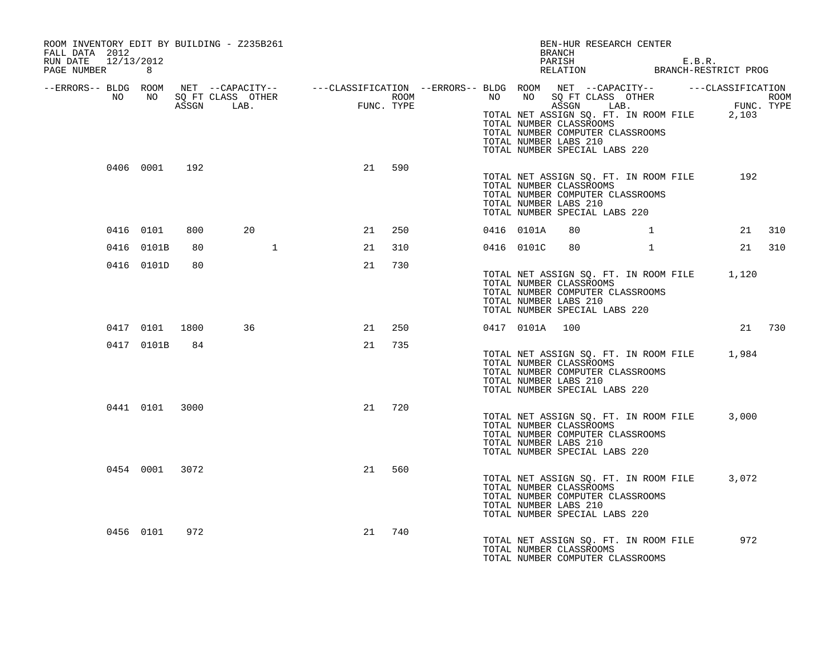| ROOM INVENTORY EDIT BY BUILDING - Z235B261<br>FALL DATA 2012<br>RUN DATE 12/13/2012                                                                                                                                                  |                |     |                   |    |        |  |                | BEN-HUR RESEARCH CENTER<br>BRANCH                                                                                                                                    |              |                   |        |  |
|--------------------------------------------------------------------------------------------------------------------------------------------------------------------------------------------------------------------------------------|----------------|-----|-------------------|----|--------|--|----------------|----------------------------------------------------------------------------------------------------------------------------------------------------------------------|--------------|-------------------|--------|--|
| PAGE NUMBER 8                                                                                                                                                                                                                        |                |     |                   |    |        |  |                | PARISH E.B.R.<br>RELATION BRANCH-RESTRICT PROG                                                                                                                       |              |                   |        |  |
| ERRORS-- BLDG ROOM NET --CAPACITY--- --CLASSIFICATION --ERRORS-- BLDG ROOM NET --CAPACITY--------------------<br>NO NO SQ FT CLASS OTHER ROOM ROOM NO SQ FT CLASS OTHER ROOM ROOM NO SQ FT CLASS OTHER ROOM ROOM ROOM ROOM ROOM<br>A |                |     |                   |    |        |  |                | TOTAL NET ASSIGN SQ. FT. IN ROOM FILE 2,103<br>TOTAL NUMBER CLASSROOMS<br>TOTAL NUMBER COMPUTER CLASSROOMS<br>TOTAL NUMBER LABS 210<br>TOTAL NUMBER SPECIAL LABS 220 |              |                   |        |  |
|                                                                                                                                                                                                                                      | 0406 0001 192  |     |                   |    | 21 590 |  |                | TOTAL NET ASSIGN SQ. FT. IN ROOM FILE 192<br>TOTAL NUMBER CLASSROOMS<br>TOTAL NUMBER COMPUTER CLASSROOMS<br>TOTAL NUMBER LABS 210<br>TOTAL NUMBER SPECIAL LABS 220   |              |                   |        |  |
|                                                                                                                                                                                                                                      | 0416 0101      | 800 | 20                | 21 | 250    |  | 0416 0101A     | 80                                                                                                                                                                   |              | $1 \qquad \qquad$ | 21 310 |  |
|                                                                                                                                                                                                                                      | 0416 0101B     | 80  |                   | 21 | 310    |  | 0416 0101C     | 80                                                                                                                                                                   | $\mathbf{1}$ |                   | 21 310 |  |
|                                                                                                                                                                                                                                      | 0416 0101D     | 80  |                   | 21 | 730    |  |                | TOTAL NET ASSIGN SO. FT. IN ROOM FILE 1,120<br>TOTAL NUMBER CLASSROOMS<br>TOTAL NUMBER COMPUTER CLASSROOMS<br>TOTAL NUMBER LABS 210<br>TOTAL NUMBER SPECIAL LABS 220 |              |                   |        |  |
|                                                                                                                                                                                                                                      |                |     | 0417 0101 1800 36 |    | 21 250 |  | 0417 0101A 100 |                                                                                                                                                                      |              |                   | 21 730 |  |
|                                                                                                                                                                                                                                      | 0417 0101B 84  |     |                   |    | 21 735 |  |                | TOTAL NET ASSIGN SQ. FT. IN ROOM FILE 1,984<br>TOTAL NUMBER CLASSROOMS<br>TOTAL NUMBER COMPUTER CLASSROOMS<br>TOTAL NUMBER LABS 210<br>TOTAL NUMBER SPECIAL LABS 220 |              |                   |        |  |
|                                                                                                                                                                                                                                      | 0441 0101 3000 |     |                   | 21 | 720    |  |                | TOTAL NET ASSIGN SQ. FT. IN ROOM FILE<br>TOTAL NUMBER CLASSROOMS<br>TOTAL NUMBER COMPUTER CLASSROOMS<br>TOTAL NUMBER LABS 210<br>TOTAL NUMBER SPECIAL LABS 220       |              |                   | 3,000  |  |
|                                                                                                                                                                                                                                      | 0454 0001 3072 |     |                   |    | 21 560 |  |                | TOTAL NET ASSIGN SQ. FT. IN ROOM FILE<br>TOTAL NUMBER CLASSROOMS<br>TOTAL NUMBER COMPUTER CLASSROOMS<br>TOTAL NUMBER LABS 210<br>TOTAL NUMBER SPECIAL LABS 220       |              |                   | 3,072  |  |
|                                                                                                                                                                                                                                      | 0456 0101      | 972 |                   | 21 | 740    |  |                | TOTAL NET ASSIGN SQ. FT. IN ROOM FILE<br>TOTAL NUMBER CLASSROOMS<br>TOTAL NUMBER COMPUTER CLASSROOMS                                                                 |              |                   | 972    |  |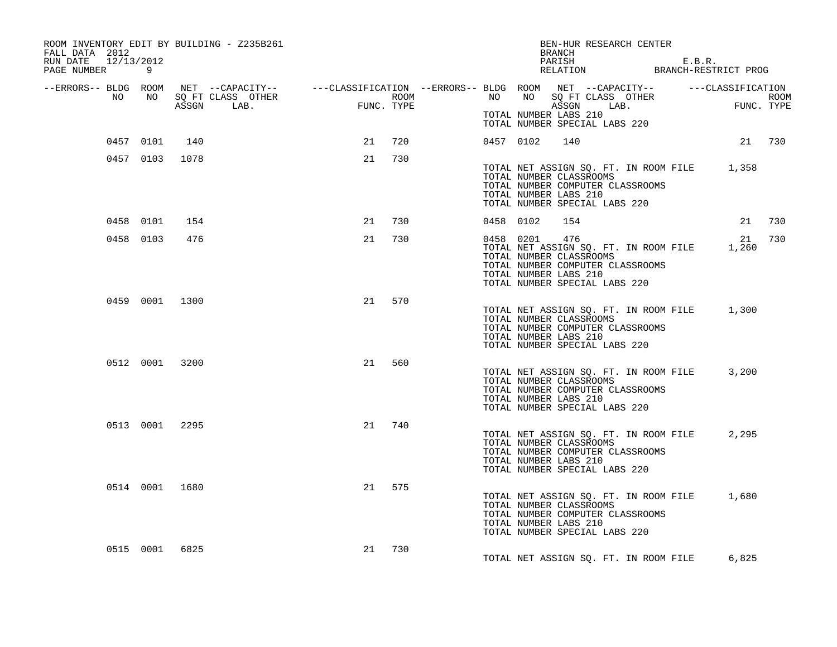| ROOM INVENTORY EDIT BY BUILDING - Z235B261<br>FALL DATA 2012<br>RUN DATE 12/13/2012<br>PAGE NUMBER<br>9 |                                                                                                                                                                                                                                      |        |     |           |           | BEN-HUR RESEARCH CENTER<br>BRANCH<br>PARISH E.B.R.<br>RELATION BRANCH-RESTRICT PROG                                                                                                   |        |        |
|---------------------------------------------------------------------------------------------------------|--------------------------------------------------------------------------------------------------------------------------------------------------------------------------------------------------------------------------------------|--------|-----|-----------|-----------|---------------------------------------------------------------------------------------------------------------------------------------------------------------------------------------|--------|--------|
|                                                                                                         | ERRORS-- BLDG ROOM NET --CAPACITY--- --CLASSIFICATION --ERRORS-- BLDG ROOM NET --CAPACITY--------------------<br>NO NO SQ FT CLASS OTHER ROOM ROOM NO SQ FT CLASS OTHER ROOM ROOM NO SQ FT CLASS OTHER ROOM ROOM ROOM ROOM ROOM<br>A |        |     |           |           |                                                                                                                                                                                       |        |        |
|                                                                                                         |                                                                                                                                                                                                                                      |        |     |           |           | TOTAL NUMBER LABS 210<br>TOTAL NUMBER SPECIAL LABS 220                                                                                                                                |        |        |
| 0457 0101                                                                                               | 140                                                                                                                                                                                                                                  | 21     | 720 |           | 0457 0102 | 140                                                                                                                                                                                   | 21 730 |        |
| 0457 0103 1078                                                                                          |                                                                                                                                                                                                                                      | 21     | 730 |           |           | TOTAL NET ASSIGN SQ. FT. IN ROOM FILE 1,358<br>TOTAL NUMBER CLASSROOMS<br>TOTAL NUMBER COMPUTER CLASSROOMS<br>TOTAL NUMBER LABS 210<br>TOTAL NUMBER SPECIAL LABS 220                  |        |        |
| 0458 0101                                                                                               | 154                                                                                                                                                                                                                                  | 21 730 |     | 0458 0102 |           | 154                                                                                                                                                                                   |        | 21 730 |
| 0458 0103                                                                                               | 476                                                                                                                                                                                                                                  | 21     | 730 |           |           | 0458 0201 476<br>TOTAL NET ASSIGN SQ. FT. IN ROOM FILE 1,260<br>TOTAL NUMBER CLASSROOMS<br>TOTAL NUMBER COMPUTER CLASSROOMS<br>TOTAL NUMBER LABS 210<br>TOTAL NUMBER SPECIAL LABS 220 | 21 730 |        |
| 0459 0001 1300                                                                                          |                                                                                                                                                                                                                                      | 21     | 570 |           |           | TOTAL NET ASSIGN SQ. FT. IN ROOM FILE 1,300<br>TOTAL NUMBER CLASSROOMS<br>TOTAL NUMBER COMPUTER CLASSROOMS<br>TOTAL NUMBER LABS 210<br>TOTAL NUMBER SPECIAL LABS 220                  |        |        |
| 0512 0001 3200                                                                                          |                                                                                                                                                                                                                                      | 21     | 560 |           |           | TOTAL NET ASSIGN SQ. FT. IN ROOM FILE 3,200<br>TOTAL NUMBER CLASSROOMS<br>TOTAL NUMBER COMPUTER CLASSROOMS<br>TOTAL NUMBER LABS 210<br>TOTAL NUMBER SPECIAL LABS 220                  |        |        |
| 0513 0001 2295                                                                                          |                                                                                                                                                                                                                                      | 21     | 740 |           |           | TOTAL NET ASSIGN SQ. FT. IN ROOM FILE<br>TOTAL NUMBER CLASSROOMS<br>TOTAL NUMBER COMPUTER CLASSROOMS<br>TOTAL NUMBER LABS 210<br>TOTAL NUMBER SPECIAL LABS 220                        | 2,295  |        |
| 0514 0001 1680                                                                                          |                                                                                                                                                                                                                                      | 21 575 |     |           |           | TOTAL NET ASSIGN SQ. FT. IN ROOM FILE 1,680<br>TOTAL NUMBER CLASSROOMS<br>TOTAL NUMBER COMPUTER CLASSROOMS<br>TOTAL NUMBER LABS 210<br>TOTAL NUMBER SPECIAL LABS 220                  |        |        |
| 0515 0001 6825                                                                                          |                                                                                                                                                                                                                                      | 21 730 |     |           |           | TOTAL NET ASSIGN SQ. FT. IN ROOM FILE                                                                                                                                                 | 6,825  |        |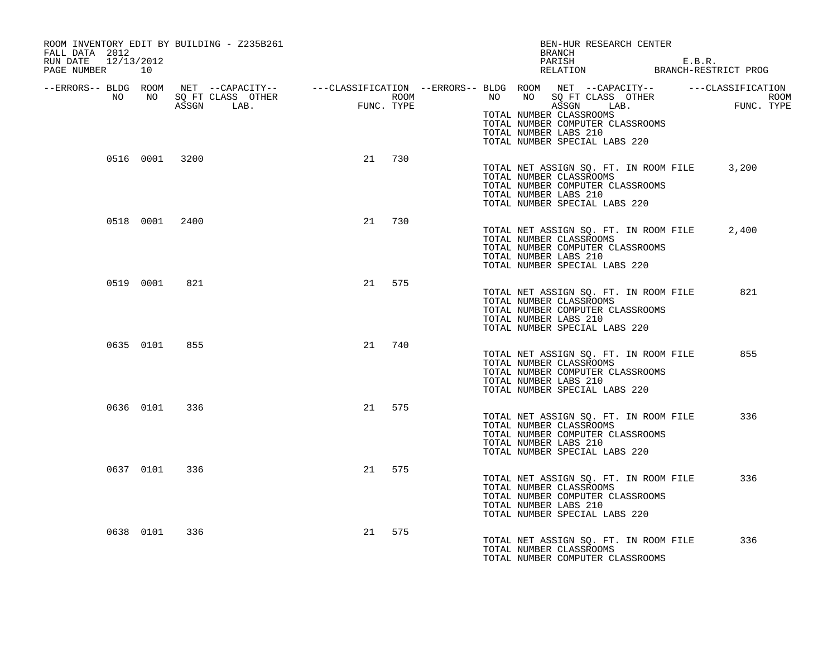| ROOM INVENTORY EDIT BY BUILDING - Z235B261<br>FALL DATA 2012<br>RUN DATE 12/13/2012<br>PAGE NUMBER 10 |     |        |     | BEN-HUR RESEARCH CENTER<br>BRANCH<br>PARISH E.B.R. E.B.R. RELATION BRANCH-RESTRICT PROG                                                                                                                                                                                                                                                                       |  |
|-------------------------------------------------------------------------------------------------------|-----|--------|-----|---------------------------------------------------------------------------------------------------------------------------------------------------------------------------------------------------------------------------------------------------------------------------------------------------------------------------------------------------------------|--|
|                                                                                                       |     |        |     | ERRORS-- BLDG ROOM NET --CAPACITY--- --CLASSIFICATION --ERRORS-- BLDG ROOM NET --CAPACITY----------CLASSIFICATION--<br>NO NO SQ FT CLASS OTHER ROOM NO ROOM ROOM ROOM NO SQ FT CLASS OTHER ROOM<br>ASSGN LAB. FUNC. TYPE ASSGN ASSGN<br>TOTAL NUMBER CLASSROOMS<br>TOTAL NUMBER COMPUTER CLASSROOMS<br>TOTAL NUMBER LABS 210<br>TOTAL NUMBER SPECIAL LABS 220 |  |
| 0516 0001 3200                                                                                        |     | 21 730 |     | TOTAL NET ASSIGN SQ. FT. IN ROOM FILE 3,200<br>TOTAL NUMBER CLASSROOMS<br>TOTAL NUMBER COMPUTER CLASSROOMS<br>TOTAL NUMBER LABS 210<br>TOTAL NUMBER SPECIAL LABS 220                                                                                                                                                                                          |  |
| 0518 0001 2400                                                                                        |     | 21     | 730 | TOTAL NET ASSIGN SQ. FT. IN ROOM FILE<br>2,400<br>TOTAL NUMBER CLASSROOMS<br>TOTAL NUMBER COMPUTER CLASSROOMS<br>TOTAL NUMBER LABS 210<br>TOTAL NUMBER SPECIAL LABS 220                                                                                                                                                                                       |  |
| 0519 0001                                                                                             | 821 | 21 575 |     | 821<br>TOTAL NET ASSIGN SO. FT. IN ROOM FILE<br>TOTAL NUMBER CLASSROOMS<br>TOTAL NUMBER COMPUTER CLASSROOMS<br>TOTAL NUMBER LABS 210<br>TOTAL NUMBER SPECIAL LABS 220                                                                                                                                                                                         |  |
| 0635 0101                                                                                             | 855 | 21     | 740 | TOTAL NET ASSIGN SQ. FT. IN ROOM FILE<br>855<br>TOTAL NUMBER CLASSROOMS<br>TOTAL NUMBER COMPUTER CLASSROOMS<br>TOTAL NUMBER LABS 210<br>TOTAL NUMBER SPECIAL LABS 220                                                                                                                                                                                         |  |
| 0636 0101                                                                                             | 336 | 21 575 |     | 336<br>TOTAL NET ASSIGN SQ. FT. IN ROOM FILE<br>TOTAL NUMBER CLASSROOMS<br>TOTAL NUMBER COMPUTER CLASSROOMS<br>TOTAL NUMBER LABS 210<br>TOTAL NUMBER SPECIAL LABS 220                                                                                                                                                                                         |  |
| 0637 0101 336                                                                                         |     | 21 575 |     | TOTAL NET ASSIGN SO. FT. IN ROOM FILE<br>336<br>TOTAL NUMBER CLASSROOMS<br>TOTAL NUMBER COMPUTER CLASSROOMS<br>TOTAL NUMBER LABS 210<br>TOTAL NUMBER SPECIAL LABS 220                                                                                                                                                                                         |  |
| 0638 0101                                                                                             | 336 | 21     | 575 | TOTAL NET ASSIGN SO. FT. IN ROOM FILE<br>336<br>TOTAL NUMBER CLASSROOMS<br>TOTAL NUMBER COMPUTER CLASSROOMS                                                                                                                                                                                                                                                   |  |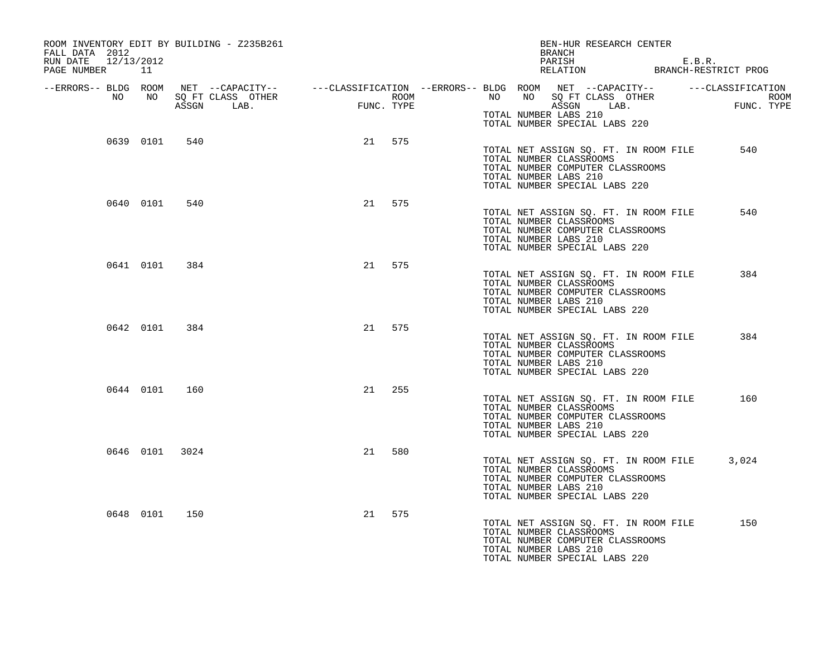| ROOM INVENTORY EDIT BY BUILDING - Z235B261<br>FALL DATA 2012<br>RUN DATE 12/13/2012<br>PAGE NUMBER 11 |               |                |    |        |  | BEN-HUR RESEARCH CENTER<br>BRANCH<br>PARISH E.B.R.<br>RELATION BRANCH-RESTRICT PROG                                                                                                                                                                                                            |       |
|-------------------------------------------------------------------------------------------------------|---------------|----------------|----|--------|--|------------------------------------------------------------------------------------------------------------------------------------------------------------------------------------------------------------------------------------------------------------------------------------------------|-------|
|                                                                                                       |               |                |    |        |  | ERRORS-- BLDG ROOM NET --CAPACITY--- --CLASSIFICATION --ERRORS-- BLDG ROOM NET --CAPACITY--------------------<br>NO NO SQ FT CLASS OTHER ROOM ROOM NO SQ FT CLASS OTHER ROOM ROOM NO SQ FT CLASS OTHER ROOM ROOM ROOM ROOM ROOM<br>A<br>TOTAL NUMBER LABS 210<br>TOTAL NUMBER SPECIAL LABS 220 |       |
|                                                                                                       | 0639 0101     | 540            |    | 21 575 |  | TOTAL NET ASSIGN SQ. FT. IN ROOM FILE<br>TOTAL NUMBER CLASSROOMS<br>TOTAL NUMBER COMPUTER CLASSROOMS<br>TOTAL NUMBER LABS 210<br>TOTAL NUMBER SPECIAL LABS 220                                                                                                                                 | 540   |
|                                                                                                       | 0640 0101     | 540            |    | 21 575 |  | TOTAL NET ASSIGN SQ. FT. IN ROOM FILE<br>TOTAL NUMBER CLASSROOMS<br>TOTAL NUMBER COMPUTER CLASSROOMS<br>TOTAL NUMBER LABS 210<br>TOTAL NUMBER SPECIAL LABS 220                                                                                                                                 | 540   |
|                                                                                                       | 0641 0101     | 384            |    | 21 575 |  | TOTAL NET ASSIGN SQ. FT. IN ROOM FILE<br>TOTAL NUMBER CLASSROOMS<br>TOTAL NUMBER COMPUTER CLASSROOMS<br>TOTAL NUMBER LABS 210<br>TOTAL NUMBER SPECIAL LABS 220                                                                                                                                 | 384   |
|                                                                                                       | 0642 0101     | 384            |    | 21 575 |  | TOTAL NET ASSIGN SQ. FT. IN ROOM FILE<br>TOTAL NUMBER CLASSROOMS<br>TOTAL NUMBER COMPUTER CLASSROOMS<br>TOTAL NUMBER LABS 210<br>TOTAL NUMBER SPECIAL LABS 220                                                                                                                                 | 384   |
|                                                                                                       | 0644 0101 160 |                | 21 | 255    |  | TOTAL NET ASSIGN SQ. FT. IN ROOM FILE<br>TOTAL NUMBER CLASSROOMS<br>TOTAL NUMBER COMPUTER CLASSROOMS<br>TOTAL NUMBER LABS 210<br>TOTAL NUMBER SPECIAL LABS 220                                                                                                                                 | 160   |
|                                                                                                       |               | 0646 0101 3024 | 21 | 580    |  | TOTAL NET ASSIGN SQ. FT. IN ROOM FILE<br>TOTAL NUMBER CLASSROOMS<br>TOTAL NUMBER COMPUTER CLASSROOMS<br>TOTAL NUMBER LABS 210<br>TOTAL NUMBER SPECIAL LABS 220                                                                                                                                 | 3,024 |
|                                                                                                       | 0648 0101     | 150            |    | 21 575 |  | TOTAL NET ASSIGN SQ. FT. IN ROOM FILE<br>TOTAL NUMBER CLASSROOMS<br>TOTAL NUMBER COMPUTER CLASSROOMS<br>TOTAL NUMBER LABS 210<br>TOTAL NUMBER SPECIAL LABS 220                                                                                                                                 | 150   |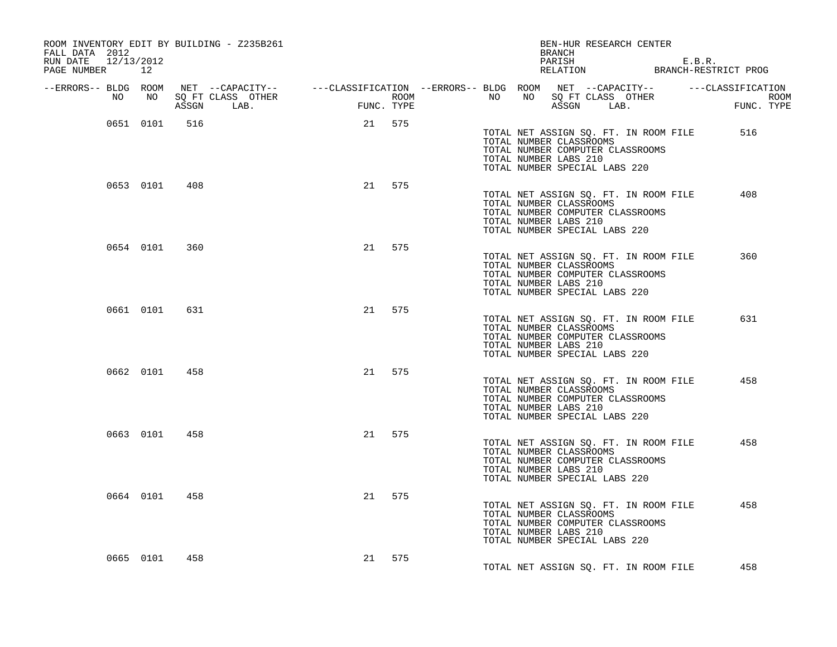| ROOM INVENTORY EDIT BY BUILDING - Z235B261<br>FALL DATA 2012                                                               |           |               | BRANCH               |                                             | BEN-HUR RESEARCH CENTER |  |                       |                                                          |                                  |                                       |                                                                  |      |
|----------------------------------------------------------------------------------------------------------------------------|-----------|---------------|----------------------|---------------------------------------------|-------------------------|--|-----------------------|----------------------------------------------------------|----------------------------------|---------------------------------------|------------------------------------------------------------------|------|
| RUN DATE 12/13/2012<br>PAGE NUMBER 12                                                                                      |           |               |                      |                                             |                         |  |                       |                                                          |                                  |                                       | PARISH E.B.R.<br>RELATION BRANCH-RESTRICT PROG                   |      |
| --ERRORS-- BLDG ROOM NET --CAPACITY-- -----CLASSIFICATION --ERRORS-- BLDG ROOM NET --CAPACITY-- ------CLASSIFICATION<br>NO |           |               | NO SQ FT CLASS OTHER | $\begin{tabular}{cc} \bf FUN \end{tabular}$ | ROOM                    |  |                       |                                                          |                                  |                                       | NO NO SQ FT CLASS OTHER<br>NO NO SQ FT CLASS OTHER<br>ASSON LAB. | ROOM |
|                                                                                                                            |           |               | ASSGN LAB.           | FUNC. TYPE                                  |                         |  |                       |                                                          |                                  |                                       | FUNC. TYPE                                                       |      |
|                                                                                                                            | 0651 0101 | 516           |                      | 21 575                                      |                         |  | TOTAL NUMBER LABS 210 | TOTAL NUMBER CLASSROOMS<br>TOTAL NUMBER SPECIAL LABS 220 | TOTAL NUMBER COMPUTER CLASSROOMS | TOTAL NET ASSIGN SQ. FT. IN ROOM FILE | 516                                                              |      |
|                                                                                                                            |           | 0653 0101 408 |                      | 21 575                                      |                         |  | TOTAL NUMBER LABS 210 | TOTAL NUMBER CLASSROOMS<br>TOTAL NUMBER SPECIAL LABS 220 | TOTAL NUMBER COMPUTER CLASSROOMS | TOTAL NET ASSIGN SQ. FT. IN ROOM FILE | 408                                                              |      |
|                                                                                                                            | 0654 0101 | 360           |                      | 21 575                                      |                         |  | TOTAL NUMBER LABS 210 | TOTAL NUMBER CLASSROOMS<br>TOTAL NUMBER SPECIAL LABS 220 | TOTAL NUMBER COMPUTER CLASSROOMS | TOTAL NET ASSIGN SQ. FT. IN ROOM FILE | 360                                                              |      |
|                                                                                                                            | 0661 0101 | 631           |                      | 21 575                                      |                         |  | TOTAL NUMBER LABS 210 | TOTAL NUMBER CLASSROOMS<br>TOTAL NUMBER SPECIAL LABS 220 | TOTAL NUMBER COMPUTER CLASSROOMS | TOTAL NET ASSIGN SQ. FT. IN ROOM FILE | 631                                                              |      |
|                                                                                                                            |           | 0662 0101 458 |                      | 21 575                                      |                         |  | TOTAL NUMBER LABS 210 | TOTAL NUMBER CLASSROOMS<br>TOTAL NUMBER SPECIAL LABS 220 | TOTAL NUMBER COMPUTER CLASSROOMS | TOTAL NET ASSIGN SQ. FT. IN ROOM FILE | 458                                                              |      |
|                                                                                                                            | 0663 0101 | 458           |                      | 21 575                                      |                         |  | TOTAL NUMBER LABS 210 | TOTAL NUMBER CLASSROOMS<br>TOTAL NUMBER SPECIAL LABS 220 | TOTAL NUMBER COMPUTER CLASSROOMS | TOTAL NET ASSIGN SQ. FT. IN ROOM FILE | 458                                                              |      |
|                                                                                                                            | 0664 0101 | 458           |                      | 21 575                                      |                         |  | TOTAL NUMBER LABS 210 | TOTAL NUMBER CLASSROOMS<br>TOTAL NUMBER SPECIAL LABS 220 | TOTAL NUMBER COMPUTER CLASSROOMS | TOTAL NET ASSIGN SQ. FT. IN ROOM FILE | 458                                                              |      |
| 0665 0101                                                                                                                  |           | 458           |                      | 21 575                                      |                         |  |                       |                                                          |                                  | TOTAL NET ASSIGN SQ. FT. IN ROOM FILE | 458                                                              |      |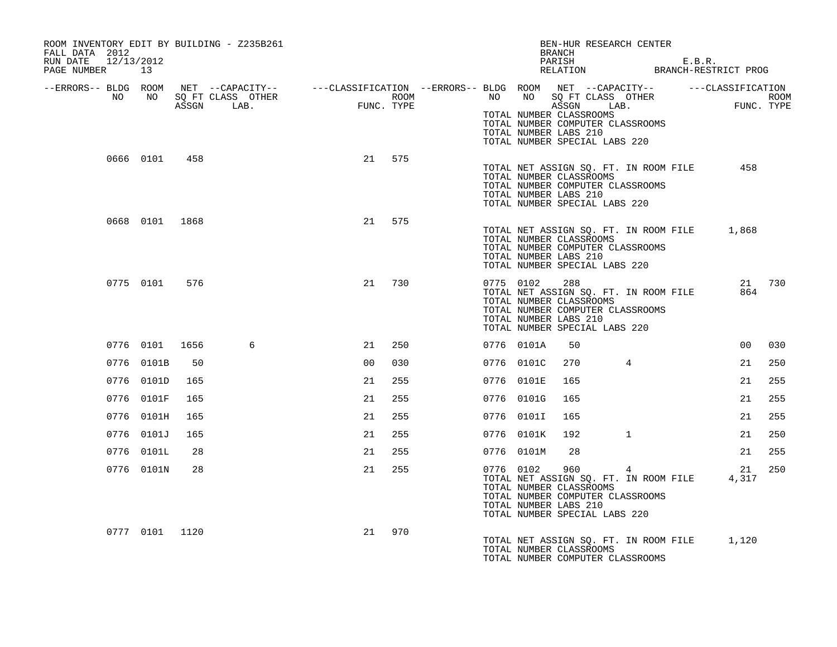| ROOM INVENTORY EDIT BY BUILDING - Z235B261<br>FALL DATA 2012<br>RUN DATE 12/13/2012<br>PAGE NUMBER 13                                                                                                                                |                |     |   |                |     |  |               | BEN-HUR RESEARCH CENTER<br>BRANCH<br>PARISH E.B.R.<br>RELATION BRANCH-RESTRICT PROG                                                                                                                                                                                                                  |                |                |        |
|--------------------------------------------------------------------------------------------------------------------------------------------------------------------------------------------------------------------------------------|----------------|-----|---|----------------|-----|--|---------------|------------------------------------------------------------------------------------------------------------------------------------------------------------------------------------------------------------------------------------------------------------------------------------------------------|----------------|----------------|--------|
| ERRORS-- BLDG ROOM NET --CAPACITY--- --CLASSIFICATION --ERRORS-- BLDG ROOM NET --CAPACITY---------CLASSIFICATION--<br>NO NO SQ FT CLASS OTHER ROOM NO ROOM NO SQ FT CLASS OTHER ROOM<br>ASSGN LAB. FUNC. TYPE 1999 1999 1999 1999 19 |                |     |   |                |     |  |               | TOTAL NUMBER CLASSROOMS<br>TOTAL NUMBER COMPUTER CLASSROOMS<br>TOTAL NUMBER LABS 210<br>TOTAL NUMBER SPECIAL LABS 220                                                                                                                                                                                |                |                |        |
|                                                                                                                                                                                                                                      | 0666 0101 458  |     |   | 21 575         |     |  |               | TOTAL NET ASSIGN SQ. FT. IN ROOM FILE<br>TOTAL NUMBER CLASSROOMS<br>TOTAL NUMBER COMPUTER CLASSROOMS<br>TOTAL NUMBER LABS 210<br>TOTAL NUMBER SPECIAL LABS 220                                                                                                                                       |                | 458            |        |
|                                                                                                                                                                                                                                      | 0668 0101 1868 |     |   | 21 575         |     |  |               | TOTAL NET ASSIGN SQ. FT. IN ROOM FILE 1,868<br>TOTAL NUMBER CLASSROOMS<br>TOTAL NUMBER COMPUTER CLASSROOMS<br>TOTAL NUMBER LABS 210<br>TOTAL NUMBER SPECIAL LABS 220                                                                                                                                 |                |                |        |
|                                                                                                                                                                                                                                      | 0775 0101 576  |     |   | 21             | 730 |  | 0775 0102 288 | TOTAL NET ASSIGN SQ. FT. IN ROOM FILE<br>TOTAL NUMBER CLASSROOMS<br>TOTAL NUMBER COMPUTER CLASSROOMS<br>TOTAL NUMBER LABS 210<br>TOTAL NUMBER SPECIAL LABS 220                                                                                                                                       |                | 864            | 21 730 |
|                                                                                                                                                                                                                                      | 0776 0101 1656 |     | 6 | 21             | 250 |  | 0776 0101A    | 50                                                                                                                                                                                                                                                                                                   |                | 0 <sub>0</sub> | 030    |
|                                                                                                                                                                                                                                      | 0776 0101B     | 50  |   | 0 <sub>0</sub> | 030 |  | 0776 0101C    | 270                                                                                                                                                                                                                                                                                                  | $\overline{4}$ | 21             | 250    |
|                                                                                                                                                                                                                                      | 0776 0101D     | 165 |   | 21             | 255 |  | 0776 0101E    | 165                                                                                                                                                                                                                                                                                                  |                | 21             | 255    |
|                                                                                                                                                                                                                                      | 0776 0101F     | 165 |   | 21             | 255 |  | 0776 0101G    | 165                                                                                                                                                                                                                                                                                                  |                | 21             | 255    |
|                                                                                                                                                                                                                                      | 0776 0101H     | 165 |   | 21             | 255 |  | 0776 0101I    | 165                                                                                                                                                                                                                                                                                                  |                | 21             | 255    |
|                                                                                                                                                                                                                                      | 0776 0101J     | 165 |   | 21             | 255 |  | 0776 0101K    | 192                                                                                                                                                                                                                                                                                                  | $\mathbf{1}$   | 21             | 250    |
|                                                                                                                                                                                                                                      | 0776 0101L     | 28  |   | 21             | 255 |  | 0776 0101M    | 28                                                                                                                                                                                                                                                                                                   |                | 21             | 255    |
|                                                                                                                                                                                                                                      | 0776 0101N     | 28  |   | 21             | 255 |  |               | $\begin{array}{cccc} \texttt{0776} & \texttt{0102} & \texttt{960} & \texttt{4} & \texttt{21} \\ \texttt{TOTAL NET ASSIGN SQ. FT. IN ROM FILE} & \texttt{4,317} \end{array}$<br>TOTAL NUMBER CLASSROOMS<br>TOTAL NUMBER COMPUTER CLASSROOMS<br>TOTAL NUMBER LABS 210<br>TOTAL NUMBER SPECIAL LABS 220 |                | 21             | 250    |
|                                                                                                                                                                                                                                      | 0777 0101 1120 |     |   | 21             | 970 |  |               | TOTAL NET ASSIGN SQ. FT. IN ROOM FILE 1,120<br>TOTAL NUMBER CLASSROOMS<br>TOTAL NUMBER COMPUTER CLASSROOMS                                                                                                                                                                                           |                |                |        |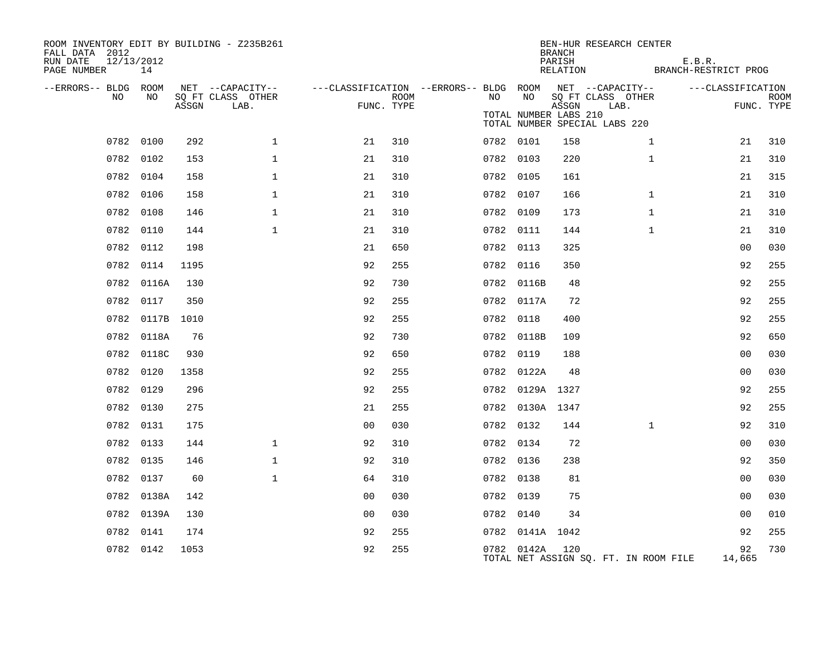| ROOM INVENTORY EDIT BY BUILDING - Z235B261<br>FALL DATA 2012<br>12/13/2012<br>RUN DATE<br>PAGE NUMBER | 14              |       |                                       |                                        |      |           |                       | <b>BRANCH</b><br>PARISH<br>RELATION | BEN-HUR RESEARCH CENTER               | E.B.R.<br>BRANCH-RESTRICT PROG |                   |             |
|-------------------------------------------------------------------------------------------------------|-----------------|-------|---------------------------------------|----------------------------------------|------|-----------|-----------------------|-------------------------------------|---------------------------------------|--------------------------------|-------------------|-------------|
| --ERRORS-- BLDG ROOM<br>NO.                                                                           | NO              |       | NET --CAPACITY--<br>SQ FT CLASS OTHER | ---CLASSIFICATION --ERRORS-- BLDG ROOM | ROOM | NO        | NO                    |                                     | NET --CAPACITY--<br>SQ FT CLASS OTHER |                                | ---CLASSIFICATION | <b>ROOM</b> |
|                                                                                                       |                 | ASSGN | LAB.                                  | FUNC. TYPE                             |      |           | TOTAL NUMBER LABS 210 | ASSGN                               | LAB.<br>TOTAL NUMBER SPECIAL LABS 220 |                                | FUNC. TYPE        |             |
|                                                                                                       | 0782 0100       | 292   | $\mathbf{1}$                          | 21                                     | 310  | 0782 0101 |                       | 158                                 | $\mathbf{1}$                          |                                | 21                | 310         |
|                                                                                                       | 0782 0102       | 153   | $\mathbf 1$                           | 21                                     | 310  | 0782 0103 |                       | 220                                 | $\mathbf{1}$                          |                                | 21                | 310         |
|                                                                                                       | 0782 0104       | 158   | $\mathbf 1$                           | 21                                     | 310  | 0782 0105 |                       | 161                                 |                                       |                                | 21                | 315         |
|                                                                                                       | 0782 0106       | 158   | $\mathbf 1$                           | 21                                     | 310  | 0782 0107 |                       | 166                                 | $\mathbf{1}$                          |                                | 21                | 310         |
|                                                                                                       | 0782 0108       | 146   | $\mathbf{1}$                          | 21                                     | 310  | 0782 0109 |                       | 173                                 | $\mathbf{1}$                          |                                | 21                | 310         |
|                                                                                                       | 0782 0110       | 144   | $\mathbf{1}$                          | 21                                     | 310  | 0782 0111 |                       | 144                                 | $\mathbf{1}$                          |                                | 21                | 310         |
|                                                                                                       | 0782 0112       | 198   |                                       | 21                                     | 650  | 0782 0113 |                       | 325                                 |                                       |                                | 0 <sub>0</sub>    | 030         |
|                                                                                                       | 0782 0114       | 1195  |                                       | 92                                     | 255  | 0782 0116 |                       | 350                                 |                                       |                                | 92                | 255         |
|                                                                                                       | 0782 0116A      | 130   |                                       | 92                                     | 730  |           | 0782 0116B            | 48                                  |                                       |                                | 92                | 255         |
|                                                                                                       | 0782 0117       | 350   |                                       | 92                                     | 255  |           | 0782 0117A            | 72                                  |                                       |                                | 92                | 255         |
|                                                                                                       | 0782 0117B 1010 |       |                                       | 92                                     | 255  | 0782 0118 |                       | 400                                 |                                       |                                | 92                | 255         |
|                                                                                                       | 0782 0118A      | 76    |                                       | 92                                     | 730  |           | 0782 0118B            | 109                                 |                                       |                                | 92                | 650         |
|                                                                                                       | 0782 0118C      | 930   |                                       | 92                                     | 650  | 0782 0119 |                       | 188                                 |                                       |                                | 0 <sub>0</sub>    | 030         |
|                                                                                                       | 0782 0120       | 1358  |                                       | 92                                     | 255  |           | 0782 0122A            | 48                                  |                                       |                                | 0 <sub>0</sub>    | 030         |
|                                                                                                       | 0782 0129       | 296   |                                       | 92                                     | 255  |           | 0782 0129A 1327       |                                     |                                       |                                | 92                | 255         |
|                                                                                                       | 0782 0130       | 275   |                                       | 21                                     | 255  |           | 0782 0130A 1347       |                                     |                                       |                                | 92                | 255         |
|                                                                                                       | 0782 0131       | 175   |                                       | 0 <sub>0</sub>                         | 030  | 0782 0132 |                       | 144                                 | $\mathbf{1}$                          |                                | 92                | 310         |
|                                                                                                       | 0782 0133       | 144   | $\mathbf 1$                           | 92                                     | 310  | 0782 0134 |                       | 72                                  |                                       |                                | 0 <sub>0</sub>    | 030         |
|                                                                                                       | 0782 0135       | 146   | $\mathbf{1}$                          | 92                                     | 310  | 0782 0136 |                       | 238                                 |                                       |                                | 92                | 350         |
|                                                                                                       | 0782 0137       | 60    | $\mathbf{1}$                          | 64                                     | 310  | 0782 0138 |                       | 81                                  |                                       |                                | 0 <sub>0</sub>    | 030         |
|                                                                                                       | 0782 0138A      | 142   |                                       | 0 <sub>0</sub>                         | 030  | 0782 0139 |                       | 75                                  |                                       |                                | 0 <sub>0</sub>    | 030         |
|                                                                                                       | 0782 0139A      | 130   |                                       | 0 <sub>0</sub>                         | 030  | 0782 0140 |                       | 34                                  |                                       |                                | 0 <sub>0</sub>    | 010         |
|                                                                                                       | 0782 0141       | 174   |                                       | 92                                     | 255  |           | 0782 0141A 1042       |                                     |                                       |                                | 92                | 255         |
|                                                                                                       | 0782 0142       | 1053  |                                       | 92                                     | 255  |           | 0782 0142A 120        |                                     | TOTAL NET ASSIGN SQ. FT. IN ROOM FILE |                                | 92<br>14,665      | 730         |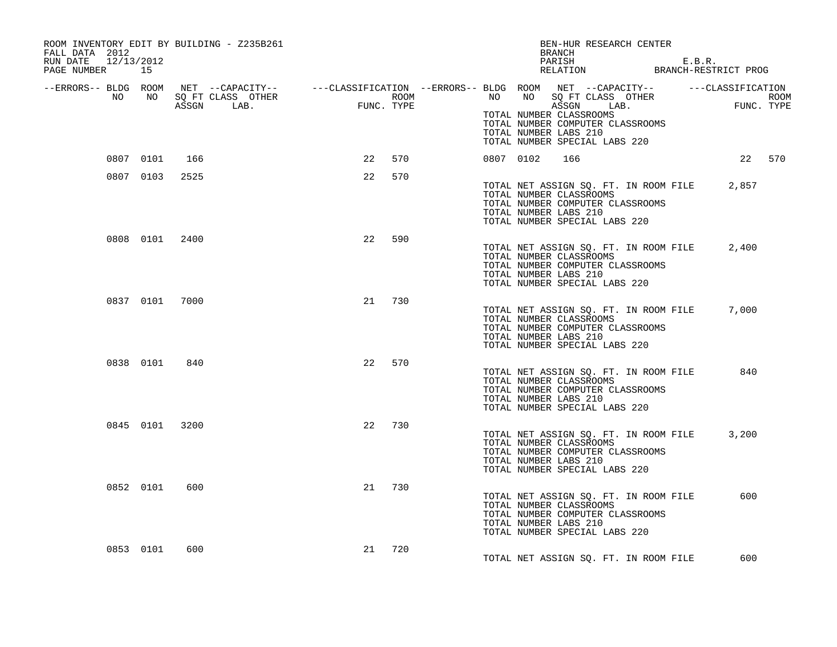| FALL DATA 2012<br>RUN DATE 12/13/2012<br>PAGE NUMBER 15 | ROOM INVENTORY EDIT BY BUILDING - Z235B261 |           | BEN-HUR RESEARCH CENTER<br>BRANCH<br>PARISH E.B.R.<br>RELATION BRANCH-RESTRICT PROG                                                                                                                                                                                                                                                                                                                                             |        |
|---------------------------------------------------------|--------------------------------------------|-----------|---------------------------------------------------------------------------------------------------------------------------------------------------------------------------------------------------------------------------------------------------------------------------------------------------------------------------------------------------------------------------------------------------------------------------------|--------|
|                                                         |                                            |           | ERRORS-- BLDG ROOM NET --CAPACITY--- --CLASSIFICATION--ERRORS-- BLDG ROOM NET --CAPACITY----------CLASSIFICATION--<br>ROOM MO SQ FT CLASS OTHER ROOM NO SQ FT CLASS OTHER ROOM NO SQ FT CLASS OTHER<br>ASSGN LAB. FUNC. TYPE ASSGN A<br>ROOM NO NO SQ FT CLASS OTHER ROOM NO NO SQ FT CLASS OTHER ROOM<br>TOTAL NUMBER CLASSROOMS<br>TOTAL NUMBER COMPUTER CLASSROOMS<br>TOTAL NUMBER LABS 210<br>TOTAL NUMBER SPECIAL LABS 220 |        |
| 0807 0101                                               | 166                                        | 22<br>570 | 0807 0102<br>166                                                                                                                                                                                                                                                                                                                                                                                                                | 22 570 |
| 0807 0103 2525                                          |                                            | 22<br>570 | TOTAL NET ASSIGN SQ. FT. IN ROOM FILE<br>TOTAL NUMBER CLASSROOMS<br>TOTAL NUMBER COMPUTER CLASSROOMS<br>TOTAL NUMBER LABS 210<br>TOTAL NUMBER SPECIAL LABS 220                                                                                                                                                                                                                                                                  | 2,857  |
| 0808 0101 2400                                          |                                            | 22<br>590 | TOTAL NET ASSIGN SQ. FT. IN ROOM FILE 2,400<br>TOTAL NUMBER CLASSROOMS<br>TOTAL NUMBER COMPUTER CLASSROOMS<br>TOTAL NUMBER LABS 210<br>TOTAL NUMBER SPECIAL LABS 220                                                                                                                                                                                                                                                            |        |
| 0837 0101 7000                                          |                                            | 730<br>21 | TOTAL NET ASSIGN SQ. FT. IN ROOM FILE<br>TOTAL NUMBER CLASSROOMS<br>TOTAL NUMBER COMPUTER CLASSROOMS<br>TOTAL NUMBER LABS 210<br>TOTAL NUMBER SPECIAL LABS 220                                                                                                                                                                                                                                                                  | 7,000  |
| 0838 0101                                               | 840                                        | 22<br>570 | TOTAL NET ASSIGN SQ. FT. IN ROOM FILE<br>TOTAL NUMBER CLASSROOMS<br>TOTAL NUMBER COMPUTER CLASSROOMS<br>TOTAL NUMBER LABS 210<br>TOTAL NUMBER SPECIAL LABS 220                                                                                                                                                                                                                                                                  | 840    |
| 0845 0101 3200                                          |                                            | 22<br>730 | TOTAL NET ASSIGN SQ. FT. IN ROOM FILE<br>TOTAL NUMBER CLASSROOMS<br>TOTAL NUMBER COMPUTER CLASSROOMS<br>TOTAL NUMBER LABS 210<br>TOTAL NUMBER SPECIAL LABS 220                                                                                                                                                                                                                                                                  | 3,200  |
| 0852 0101                                               | 600                                        | 730<br>21 | TOTAL NET ASSIGN SQ. FT. IN ROOM FILE<br>TOTAL NUMBER CLASSROOMS<br>TOTAL NUMBER COMPUTER CLASSROOMS<br>TOTAL NUMBER LABS 210<br>TOTAL NUMBER SPECIAL LABS 220                                                                                                                                                                                                                                                                  | 600    |
| 0853 0101                                               | 600                                        | 21<br>720 | TOTAL NET ASSIGN SQ. FT. IN ROOM FILE                                                                                                                                                                                                                                                                                                                                                                                           | 600    |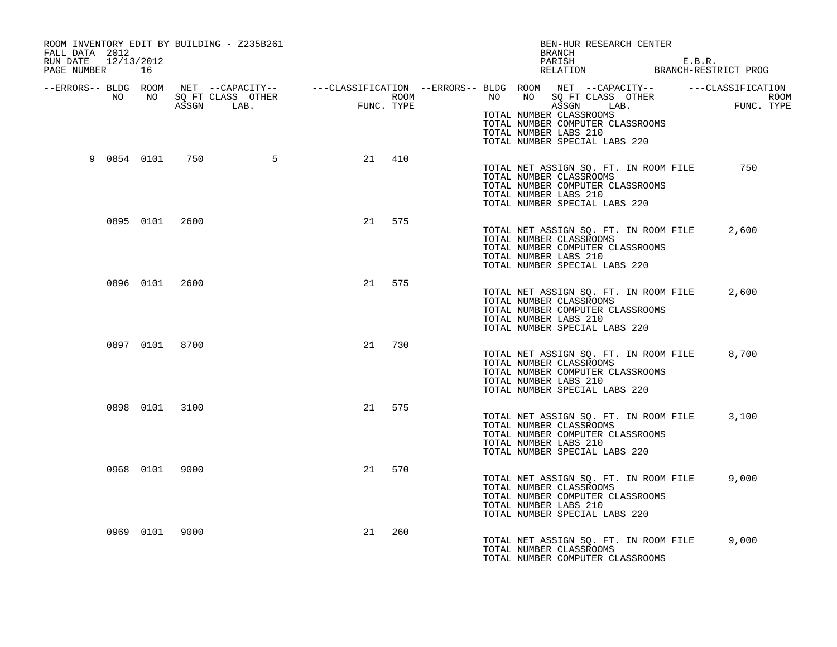| ROOM INVENTORY EDIT BY BUILDING - Z235B261<br>FALL DATA 2012<br>RUN DATE 12/13/2012<br>PAGE NUMBER 16 |                   |           | BEN-HUR RESEARCH CENTER<br>BRANCH<br>PARISH E.B.R.<br>RELATION BRANCH-RESTRICT PROG                                                                                                                                                                                                                                                                           |
|-------------------------------------------------------------------------------------------------------|-------------------|-----------|---------------------------------------------------------------------------------------------------------------------------------------------------------------------------------------------------------------------------------------------------------------------------------------------------------------------------------------------------------------|
|                                                                                                       |                   |           | ERRORS-- BLDG ROOM NET --CAPACITY--- --CLASSIFICATION --ERRORS-- BLDG ROOM NET --CAPACITY--------------------<br>NO NO SQ FT CLASS OTHER ROOM ROOM NO SQ FT CLASS OTHER ROOM ROOM NO SQ FT CLASS OTHER ROOM ROOM ROOM ROOM ROOM<br>A<br>TOTAL NUMBER CLASSROOMS<br>TOTAL NUMBER COMPUTER CLASSROOMS<br>TOTAL NUMBER LABS 210<br>TOTAL NUMBER SPECIAL LABS 220 |
|                                                                                                       | 9 0854 0101 750 5 | 21 410    | TOTAL NET ASSIGN SQ. FT. IN ROOM FILE<br>750<br>TOTAL NUMBER CLASSROOMS<br>TOTAL NUMBER COMPUTER CLASSROOMS<br>TOTAL NUMBER LABS 210<br>TOTAL NUMBER SPECIAL LABS 220                                                                                                                                                                                         |
| 0895 0101 2600                                                                                        |                   | 21 575    | TOTAL NET ASSIGN SQ. FT. IN ROOM FILE<br>2,600<br>TOTAL NUMBER CLASSROOMS<br>TOTAL NUMBER COMPUTER CLASSROOMS<br>TOTAL NUMBER LABS 210<br>TOTAL NUMBER SPECIAL LABS 220                                                                                                                                                                                       |
| 0896 0101 2600                                                                                        |                   | 21 575    | TOTAL NET ASSIGN SO. FT. IN ROOM FILE<br>2,600<br>TOTAL NUMBER CLASSROOMS<br>TOTAL NUMBER COMPUTER CLASSROOMS<br>TOTAL NUMBER LABS 210<br>TOTAL NUMBER SPECIAL LABS 220                                                                                                                                                                                       |
| 0897 0101 8700                                                                                        |                   | 21<br>730 | TOTAL NET ASSIGN SQ. FT. IN ROOM FILE<br>8,700<br>TOTAL NUMBER CLASSROOMS<br>TOTAL NUMBER COMPUTER CLASSROOMS<br>TOTAL NUMBER LABS 210<br>TOTAL NUMBER SPECIAL LABS 220                                                                                                                                                                                       |
| 0898 0101 3100                                                                                        |                   | 21 575    | TOTAL NET ASSIGN SQ. FT. IN ROOM FILE<br>3,100<br>TOTAL NUMBER CLASSROOMS<br>TOTAL NUMBER COMPUTER CLASSROOMS<br>TOTAL NUMBER LABS 210<br>TOTAL NUMBER SPECIAL LABS 220                                                                                                                                                                                       |
| 0968 0101 9000                                                                                        |                   | 21 570    | TOTAL NET ASSIGN SQ. FT. IN ROOM FILE<br>9,000<br>TOTAL NUMBER CLASSROOMS<br>TOTAL NUMBER COMPUTER CLASSROOMS<br>TOTAL NUMBER LABS 210<br>TOTAL NUMBER SPECIAL LABS 220                                                                                                                                                                                       |
| 0969 0101 9000                                                                                        |                   | 260<br>21 | TOTAL NET ASSIGN SQ. FT. IN ROOM FILE<br>9,000<br>TOTAL NUMBER CLASSROOMS<br>TOTAL NUMBER COMPUTER CLASSROOMS                                                                                                                                                                                                                                                 |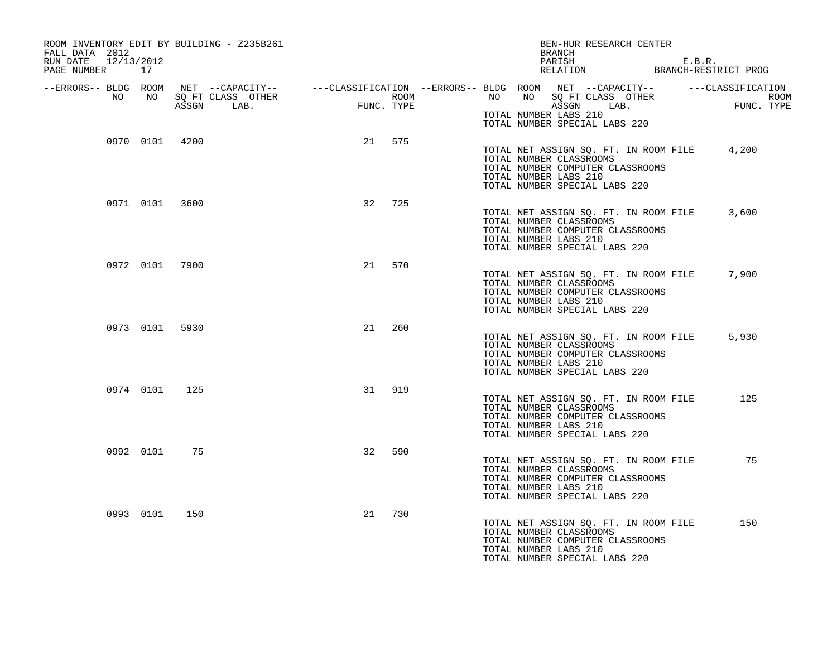| FALL DATA 2012<br>12/13/2012<br>RUN DATE<br>PAGE NUMBER 17 |           | ROOM INVENTORY EDIT BY BUILDING - Z235B261 |           | BEN-HUR RESEARCH CENTER<br>BRANCH<br>PARISH E.B.R.<br>RELATION BRANCH-RESTRICT PROG                                                                                                                                                                                  |
|------------------------------------------------------------|-----------|--------------------------------------------|-----------|----------------------------------------------------------------------------------------------------------------------------------------------------------------------------------------------------------------------------------------------------------------------|
| --ERRORS-- BLDG ROOM<br>NO                                 | NO 11     |                                            |           | NET --CAPACITY-- ----CLASSIFICATION --ERRORS---BLDG ROOM NET --CAPACITY-- -----CLASSIFICATION<br>SQ FT CLASS OTHER ROOM ROOM NO SQ FT CLASS OTHER ROOM ROOM<br>ASSGN LAB. FUNC. TYPE ASSGN LAB. FUNC. TYPE<br>TOTAL NUMBER LABS 210<br>TOTAL NUMBER SPECIAL LABS 220 |
|                                                            |           | 0970 0101 4200                             | 21 575    | TOTAL NET ASSIGN SQ. FT. IN ROOM FILE 4,200<br>TOTAL NUMBER CLASSROOMS<br>TOTAL NUMBER COMPUTER CLASSROOMS<br>TOTAL NUMBER LABS 210<br>TOTAL NUMBER SPECIAL LABS 220                                                                                                 |
|                                                            |           | 0971 0101 3600                             | 725<br>32 | TOTAL NET ASSIGN SQ. FT. IN ROOM FILE<br>3,600<br>TOTAL NUMBER CLASSROOMS<br>TOTAL NUMBER COMPUTER CLASSROOMS<br>TOTAL NUMBER LABS 210<br>TOTAL NUMBER SPECIAL LABS 220                                                                                              |
|                                                            |           | 0972 0101 7900                             | 21<br>570 | 7,900<br>TOTAL NET ASSIGN SQ. FT. IN ROOM FILE<br>TOTAL NUMBER CLASSROOMS<br>TOTAL NUMBER COMPUTER CLASSROOMS<br>TOTAL NUMBER LABS 210<br>TOTAL NUMBER SPECIAL LABS 220                                                                                              |
|                                                            |           | 0973 0101 5930                             | 21<br>260 | TOTAL NET ASSIGN SQ. FT. IN ROOM FILE<br>5,930<br>TOTAL NUMBER CLASSROOMS<br>TOTAL NUMBER COMPUTER CLASSROOMS<br>TOTAL NUMBER LABS 210<br>TOTAL NUMBER SPECIAL LABS 220                                                                                              |
|                                                            | 0974 0101 | 125                                        | 31<br>919 | TOTAL NET ASSIGN SQ. FT. IN ROOM FILE<br>125<br>TOTAL NUMBER CLASSROOMS<br>TOTAL NUMBER COMPUTER CLASSROOMS<br>TOTAL NUMBER LABS 210<br>TOTAL NUMBER SPECIAL LABS 220                                                                                                |
|                                                            | 0992 0101 | 75                                         | 32<br>590 | TOTAL NET ASSIGN SQ. FT. IN ROOM FILE 75<br>TOTAL NUMBER CLASSROOMS<br>TOTAL NUMBER COMPUTER CLASSROOMS<br>TOTAL NUMBER LABS 210<br>TOTAL NUMBER SPECIAL LABS 220                                                                                                    |
|                                                            | 0993 0101 | 150                                        | 730<br>21 | 150<br>TOTAL NET ASSIGN SQ. FT. IN ROOM FILE<br>TOTAL NUMBER CLASSROOMS<br>TOTAL NUMBER COMPUTER CLASSROOMS<br>TOTAL NUMBER LABS 210<br>TOTAL NUMBER SPECIAL LABS 220                                                                                                |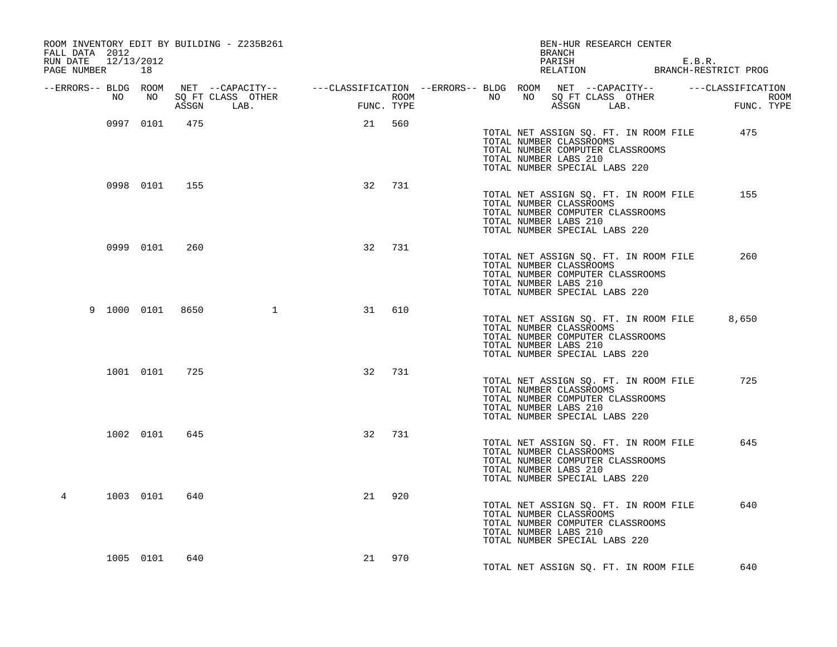| ROOM INVENTORY EDIT BY BUILDING - Z235B261<br>FALL DATA 2012<br>RUN DATE 12/13/2012<br>PAGE NUMBER 18 |               |     |                                                                                                                      |                   |     |      |  | BRANCH                                           |                               | BEN-HUR RESEARCH CENTER                                                   | PARISH E.B.R.<br>RELATION BRANCH-RESTRICT PROG |                    |
|-------------------------------------------------------------------------------------------------------|---------------|-----|----------------------------------------------------------------------------------------------------------------------|-------------------|-----|------|--|--------------------------------------------------|-------------------------------|---------------------------------------------------------------------------|------------------------------------------------|--------------------|
|                                                                                                       |               |     | --ERRORS-- BLDG ROOM NET --CAPACITY-- -----CLASSIFICATION --ERRORS-- BLDG ROOM NET --CAPACITY-- ------CLASSIFICATION |                   |     |      |  |                                                  |                               |                                                                           |                                                |                    |
| NO                                                                                                    | NO            |     | SQ FT CLASS OTHER<br>ASSGN LAB.                                                                                      | FUN<br>FUNC. TYPE |     | ROOM |  |                                                  |                               |                                                                           | NO NO SOFT CLASS OTHER<br>ASSEN LAB. FUR       | ROOM<br>FUNC. TYPE |
|                                                                                                       | 0997 0101     | 475 |                                                                                                                      | 21 560            |     |      |  | TOTAL NUMBER CLASSROOMS<br>TOTAL NUMBER LABS 210 | TOTAL NUMBER SPECIAL LABS 220 | TOTAL NUMBER COMPUTER CLASSROOMS                                          | TOTAL NET ASSIGN SQ. FT. IN ROOM FILE 475      |                    |
|                                                                                                       | 0998 0101 155 |     |                                                                                                                      | 32 731            |     |      |  | TOTAL NUMBER CLASSROOMS<br>TOTAL NUMBER LABS 210 | TOTAL NUMBER SPECIAL LABS 220 | TOTAL NET ASSIGN SQ. FT. IN ROOM FILE<br>TOTAL NUMBER COMPUTER CLASSROOMS | 155                                            |                    |
|                                                                                                       | 0999 0101     | 260 |                                                                                                                      | 32                | 731 |      |  | TOTAL NUMBER CLASSROOMS<br>TOTAL NUMBER LABS 210 | TOTAL NUMBER SPECIAL LABS 220 | TOTAL NET ASSIGN SQ. FT. IN ROOM FILE<br>TOTAL NUMBER COMPUTER CLASSROOMS | 260                                            |                    |
| 9 1000 0101 8650                                                                                      |               |     | $\mathbf 1$                                                                                                          | 31                | 610 |      |  | TOTAL NUMBER CLASSROOMS<br>TOTAL NUMBER LABS 210 | TOTAL NUMBER SPECIAL LABS 220 | TOTAL NET ASSIGN SQ. FT. IN ROOM FILE<br>TOTAL NUMBER COMPUTER CLASSROOMS | 8,650                                          |                    |
|                                                                                                       | 1001 0101 725 |     |                                                                                                                      | 32                | 731 |      |  | TOTAL NUMBER CLASSROOMS<br>TOTAL NUMBER LABS 210 | TOTAL NUMBER SPECIAL LABS 220 | TOTAL NET ASSIGN SQ. FT. IN ROOM FILE<br>TOTAL NUMBER COMPUTER CLASSROOMS | 725                                            |                    |
|                                                                                                       | 1002 0101     | 645 |                                                                                                                      | 32                | 731 |      |  | TOTAL NUMBER CLASSROOMS<br>TOTAL NUMBER LABS 210 | TOTAL NUMBER SPECIAL LABS 220 | TOTAL NET ASSIGN SQ. FT. IN ROOM FILE<br>TOTAL NUMBER COMPUTER CLASSROOMS | 645                                            |                    |
| 4                                                                                                     | 1003 0101     | 640 |                                                                                                                      | 21                | 920 |      |  | TOTAL NUMBER CLASSROOMS<br>TOTAL NUMBER LABS 210 | TOTAL NUMBER SPECIAL LABS 220 | TOTAL NET ASSIGN SQ. FT. IN ROOM FILE<br>TOTAL NUMBER COMPUTER CLASSROOMS | 640                                            |                    |
|                                                                                                       | 1005 0101     | 640 |                                                                                                                      | 21 970            |     |      |  |                                                  |                               | TOTAL NET ASSIGN SO. FT. IN ROOM FILE                                     | 640                                            |                    |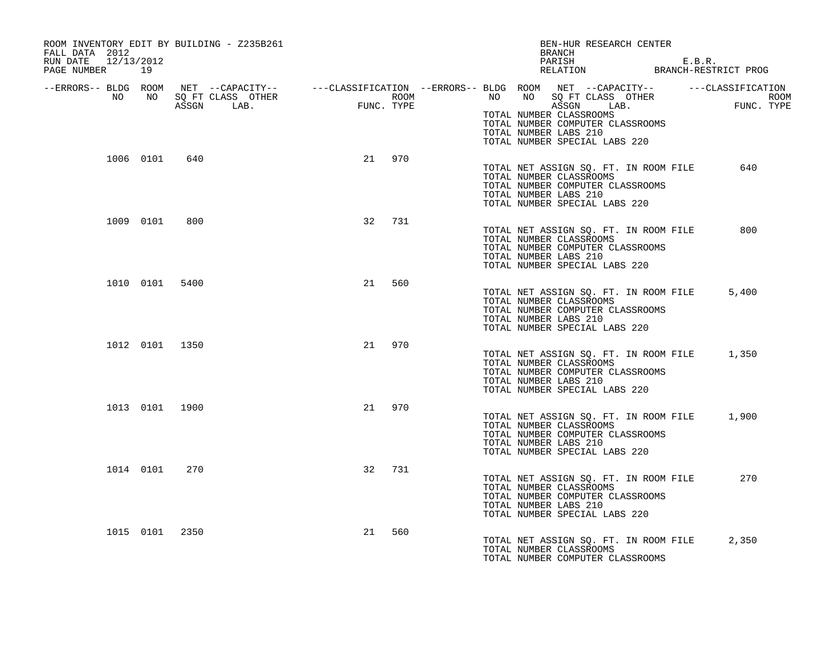| ROOM INVENTORY EDIT BY BUILDING - Z235B261<br>FALL DATA 2012<br>RUN DATE 12/13/2012<br>PAGE NUMBER 19 |           |                |                                                                                                                                            |              |            |             | BRANCH                                                                                                                                                               | BEN-HUR RESEARCH CENTER |  | PARISH E.B.R.<br>RELATION BRANCH-RESTRICT PROG |
|-------------------------------------------------------------------------------------------------------|-----------|----------------|--------------------------------------------------------------------------------------------------------------------------------------------|--------------|------------|-------------|----------------------------------------------------------------------------------------------------------------------------------------------------------------------|-------------------------|--|------------------------------------------------|
|                                                                                                       |           |                |                                                                                                                                            |              |            |             |                                                                                                                                                                      |                         |  |                                                |
| NO                                                                                                    |           |                | --ERRORS-- BLDG ROOM NET --CAPACITY-- ----CLASSIFICATION --ERRORS-- BLDG ROOM NET --CAPACITY-- -----CLASSIFICATION<br>NO SQ FT CLASS OTHER |              |            | <b>ROOM</b> | NO NO SQ FT CLASS OTHER                                                                                                                                              |                         |  |                                                |
|                                                                                                       |           |                | ASSGN LAB.                                                                                                                                 | $\tt FUNC$ . | FUNC. TYPE |             | TOTAL NUMBER CLASSROOMS<br>TOTAL NUMBER COMPUTER CLASSROOMS<br>TOTAL NUMBER LABS 210                                                                                 | ASSGN LAB.              |  | ROOM<br>FUNC. TYPE                             |
|                                                                                                       |           |                |                                                                                                                                            |              |            |             | TOTAL NUMBER SPECIAL LABS 220                                                                                                                                        |                         |  |                                                |
|                                                                                                       |           | 1006 0101 640  |                                                                                                                                            |              | 21 970     |             | TOTAL NET ASSIGN SQ. FT. IN ROOM FILE<br>TOTAL NUMBER CLASSROOMS<br>TOTAL NUMBER COMPUTER CLASSROOMS<br>TOTAL NUMBER LABS 210<br>TOTAL NUMBER SPECIAL LABS 220       |                         |  | 640                                            |
|                                                                                                       | 1009 0101 | 800            |                                                                                                                                            | 32           | 731        |             |                                                                                                                                                                      |                         |  |                                                |
|                                                                                                       |           |                |                                                                                                                                            |              |            |             | TOTAL NET ASSIGN SQ. FT. IN ROOM FILE<br>TOTAL NUMBER CLASSROOMS<br>TOTAL NUMBER COMPUTER CLASSROOMS<br>TOTAL NUMBER LABS 210<br>TOTAL NUMBER SPECIAL LABS 220       |                         |  | 800                                            |
|                                                                                                       |           | 1010 0101 5400 |                                                                                                                                            |              | 560<br>21  |             |                                                                                                                                                                      |                         |  |                                                |
|                                                                                                       |           |                |                                                                                                                                            |              |            |             | TOTAL NET ASSIGN SO. FT. IN ROOM FILE<br>TOTAL NUMBER CLASSROOMS<br>TOTAL NUMBER COMPUTER CLASSROOMS<br>TOTAL NUMBER LABS 210<br>TOTAL NUMBER SPECIAL LABS 220       |                         |  | 5,400                                          |
|                                                                                                       |           | 1012 0101 1350 |                                                                                                                                            | 21           | 970        |             |                                                                                                                                                                      |                         |  |                                                |
|                                                                                                       |           |                |                                                                                                                                            |              |            |             | TOTAL NET ASSIGN SQ. FT. IN ROOM FILE 1,350<br>TOTAL NUMBER CLASSROOMS<br>TOTAL NUMBER COMPUTER CLASSROOMS<br>TOTAL NUMBER LABS 210<br>TOTAL NUMBER SPECIAL LABS 220 |                         |  |                                                |
|                                                                                                       |           | 1013 0101 1900 |                                                                                                                                            | 21           | 970        |             |                                                                                                                                                                      |                         |  |                                                |
|                                                                                                       |           |                |                                                                                                                                            |              |            |             | TOTAL NET ASSIGN SQ. FT. IN ROOM FILE<br>TOTAL NUMBER CLASSROOMS<br>TOTAL NUMBER COMPUTER CLASSROOMS<br>TOTAL NUMBER LABS 210<br>TOTAL NUMBER SPECIAL LABS 220       |                         |  | 1,900                                          |
|                                                                                                       | 1014 0101 | 270            |                                                                                                                                            |              | 32 731     |             |                                                                                                                                                                      |                         |  |                                                |
|                                                                                                       |           |                |                                                                                                                                            |              |            |             | TOTAL NET ASSIGN SQ. FT. IN ROOM FILE<br>TOTAL NUMBER CLASSROOMS<br>TOTAL NUMBER COMPUTER CLASSROOMS<br>TOTAL NUMBER LABS 210<br>TOTAL NUMBER SPECIAL LABS 220       |                         |  | 270                                            |
|                                                                                                       |           | 1015 0101 2350 |                                                                                                                                            | 21           | 560        |             |                                                                                                                                                                      |                         |  |                                                |
|                                                                                                       |           |                |                                                                                                                                            |              |            |             | TOTAL NET ASSIGN SQ. FT. IN ROOM FILE<br>TOTAL NUMBER CLASSROOMS<br>TOTAL NUMBER COMPUTER CLASSROOMS                                                                 |                         |  | 2,350                                          |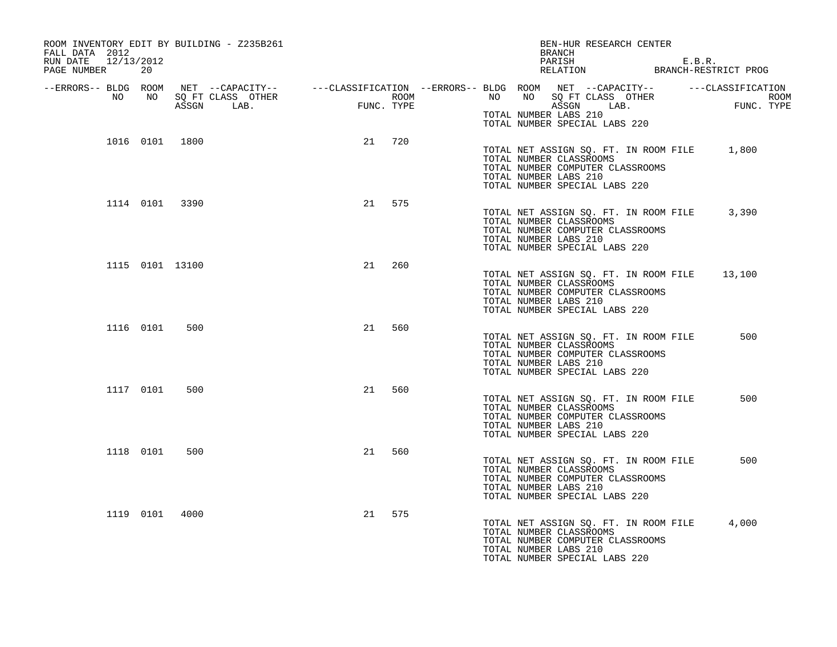| FALL DATA 2012<br>12/13/2012<br>RUN DATE<br>PAGE NUMBER | -20       | ROOM INVENTORY EDIT BY BUILDING - Z235B261 |        |     | BEN-HUR RESEARCH CENTER<br>BRANCH<br>PARISH E.B.R.<br>RELATION BRANCH-RESTRICT PROG                                                                                                                                                  |  |
|---------------------------------------------------------|-----------|--------------------------------------------|--------|-----|--------------------------------------------------------------------------------------------------------------------------------------------------------------------------------------------------------------------------------------|--|
|                                                         |           |                                            |        |     | ERRORS-- BLDG ROOM NET --CAPACITY--- --CLASSIFICATION --ERRORS-- BLDG ROOM NET --CAPACITY----------CLASSIFICATION--<br>NO NO SQ FT CLASS OTHER ROOM NO ROOM ROOM ROOM NO SQ FT CLASS OTHER ROOM<br>ASSGN LAB. FUNC. TYPE ASSGN ASSGN |  |
|                                                         |           |                                            |        |     | TOTAL NUMBER LABS 210<br>TOTAL NUMBER SPECIAL LABS 220                                                                                                                                                                               |  |
|                                                         |           | 1016 0101 1800                             | 21 720 |     | TOTAL NET ASSIGN SQ. FT. IN ROOM FILE 1,800<br>TOTAL NUMBER CLASSROOMS<br>TOTAL NUMBER COMPUTER CLASSROOMS<br>TOTAL NUMBER LABS 210<br>TOTAL NUMBER SPECIAL LABS 220                                                                 |  |
|                                                         |           | 1114 0101 3390                             | 21 575 |     | TOTAL NET ASSIGN SQ. FT. IN ROOM FILE 3,390<br>TOTAL NUMBER CLASSROOMS<br>TOTAL NUMBER COMPUTER CLASSROOMS<br>TOTAL NUMBER LABS 210<br>TOTAL NUMBER SPECIAL LABS 220                                                                 |  |
|                                                         |           | 1115 0101 13100                            | 21     | 260 | TOTAL NET ASSIGN SQ. FT. IN ROOM FILE<br>13,100<br>TOTAL NUMBER CLASSROOMS<br>TOTAL NUMBER COMPUTER CLASSROOMS<br>TOTAL NUMBER LABS 210<br>TOTAL NUMBER SPECIAL LABS 220                                                             |  |
|                                                         | 1116 0101 | 500                                        | 21 560 |     | TOTAL NET ASSIGN SQ. FT. IN ROOM FILE<br>500<br>TOTAL NUMBER CLASSROOMS<br>TOTAL NUMBER COMPUTER CLASSROOMS<br>TOTAL NUMBER LABS 210<br>TOTAL NUMBER SPECIAL LABS 220                                                                |  |
|                                                         | 1117 0101 | 500                                        | 21     | 560 | TOTAL NET ASSIGN SQ. FT. IN ROOM FILE<br>500<br>TOTAL NUMBER CLASSROOMS<br>TOTAL NUMBER COMPUTER CLASSROOMS<br>TOTAL NUMBER LABS 210<br>TOTAL NUMBER SPECIAL LABS 220                                                                |  |
|                                                         | 1118 0101 | 500                                        | 21     | 560 | 500<br>TOTAL NET ASSIGN SQ. FT. IN ROOM FILE<br>TOTAL NUMBER CLASSROOMS<br>TOTAL NUMBER COMPUTER CLASSROOMS<br>TOTAL NUMBER LABS 210<br>TOTAL NUMBER SPECIAL LABS 220                                                                |  |
|                                                         |           | 1119 0101 4000                             | 21 575 |     | TOTAL NET ASSIGN SQ. FT. IN ROOM FILE<br>4,000<br>TOTAL NUMBER CLASSROOMS<br>TOTAL NUMBER COMPUTER CLASSROOMS<br>TOTAL NUMBER LABS 210<br>TOTAL NUMBER SPECIAL LABS 220                                                              |  |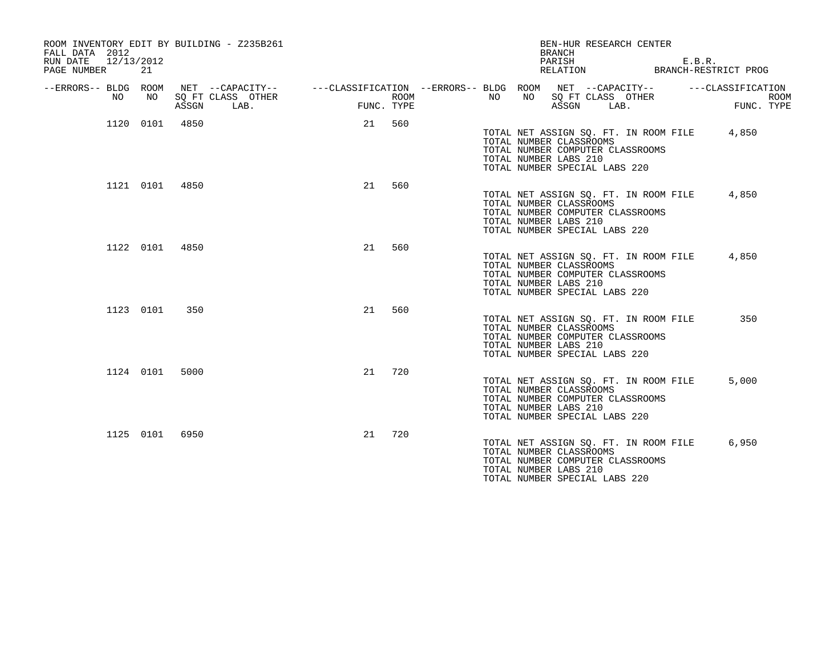| FALL DATA 2012<br>12/13/2012<br>RUN DATE<br>PAGE NUMBER | 21        | ROOM INVENTORY EDIT BY BUILDING - Z235B261 |            | BEN-HUR RESEARCH CENTER<br><b>BRANCH</b><br>PARISH<br>E.B.R.<br>RELATION<br>BRANCH-RESTRICT PROG                                                                                        |
|---------------------------------------------------------|-----------|--------------------------------------------|------------|-----------------------------------------------------------------------------------------------------------------------------------------------------------------------------------------|
| --ERRORS-- BLDG ROOM<br>NO.                             | NO.       | SQ FT CLASS OTHER<br>ASSGN<br>LAB.         | FUNC. TYPE | NET --CAPACITY--    ---CLASSIFICATION --ERRORS-- BLDG ROOM NET --CAPACITY--<br>---CLASSIFICATION<br>NO<br>NO<br>SQ FT CLASS OTHER<br>ROOM<br><b>ROOM</b><br>ASSGN<br>LAB.<br>FUNC. TYPE |
|                                                         | 1120 0101 | 4850                                       | 21<br>560  | 4,850<br>TOTAL NET ASSIGN SQ. FT. IN ROOM FILE<br>TOTAL NUMBER CLASSROOMS<br>TOTAL NUMBER COMPUTER CLASSROOMS<br>TOTAL NUMBER LABS 210<br>TOTAL NUMBER SPECIAL LABS 220                 |
|                                                         |           | 1121 0101 4850                             | 560<br>21  | 4,850<br>TOTAL NET ASSIGN SQ. FT. IN ROOM FILE<br>TOTAL NUMBER CLASSROOMS<br>TOTAL NUMBER COMPUTER CLASSROOMS<br>TOTAL NUMBER LABS 210<br>TOTAL NUMBER SPECIAL LABS 220                 |
|                                                         | 1122 0101 | 4850                                       | 560<br>21  | TOTAL NET ASSIGN SQ. FT. IN ROOM FILE<br>4,850<br>TOTAL NUMBER CLASSROOMS<br>TOTAL NUMBER COMPUTER CLASSROOMS<br>TOTAL NUMBER LABS 210<br>TOTAL NUMBER SPECIAL LABS 220                 |
|                                                         | 1123 0101 | 350                                        | 560<br>21  | 350<br>TOTAL NET ASSIGN SQ. FT. IN ROOM FILE<br>TOTAL NUMBER CLASSROOMS<br>TOTAL NUMBER COMPUTER CLASSROOMS<br>TOTAL NUMBER LABS 210<br>TOTAL NUMBER SPECIAL LABS 220                   |
|                                                         | 1124 0101 | 5000                                       | 21<br>720  | 5,000<br>TOTAL NET ASSIGN SQ. FT. IN ROOM FILE<br>TOTAL NUMBER CLASSROOMS<br>TOTAL NUMBER COMPUTER CLASSROOMS<br>TOTAL NUMBER LABS 210<br>TOTAL NUMBER SPECIAL LABS 220                 |
|                                                         | 1125 0101 | 6950                                       | 720<br>21  | TOTAL NET ASSIGN SQ. FT. IN ROOM FILE<br>6,950<br>TOTAL NUMBER CLASSROOMS<br>TOTAL NUMBER COMPUTER CLASSROOMS<br>TOTAL NUMBER LABS 210<br>TOTAL NUMBER SPECIAL LABS 220                 |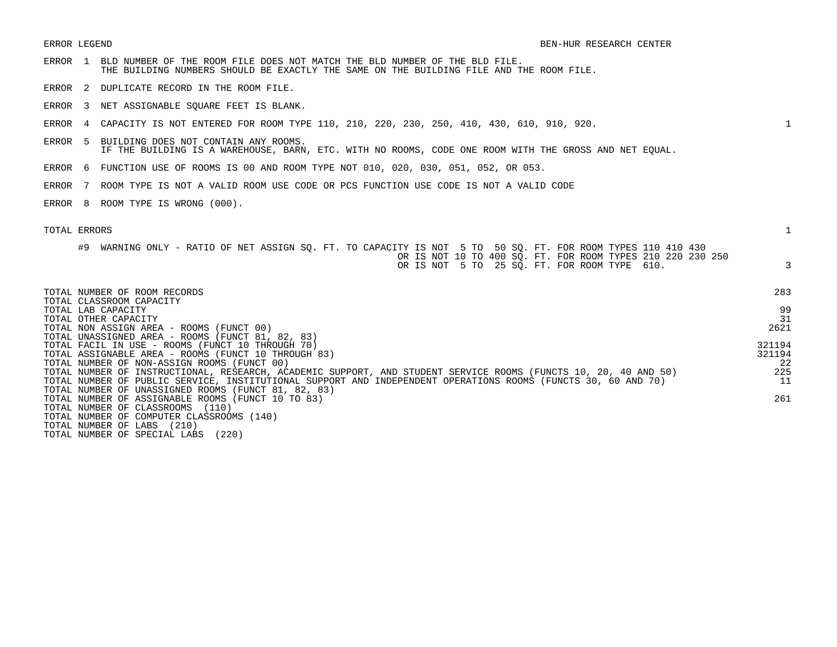- ERROR 1 BLD NUMBER OF THE ROOM FILE DOES NOT MATCH THE BLD NUMBER OF THE BLD FILE. THE BUILDING NUMBERS SHOULD BE EXACTLY THE SAME ON THE BUILDING FILE AND THE ROOM FILE. ERROR 2 DUPLICATE RECORD IN THE ROOM FILE. ERROR 3 NET ASSIGNABLE SQUARE FEET IS BLANK. ERROR 4 CAPACITY IS NOT ENTERED FOR ROOM TYPE 110, 210, 220, 230, 250, 410, 430, 610, 910, 920. 1 ERROR 5 BUILDING DOES NOT CONTAIN ANY ROOMS. IF THE BUILDING IS A WAREHOUSE, BARN, ETC. WITH NO ROOMS, CODE ONE ROOM WITH THE GROSS AND NET EQUAL. ERROR 6 FUNCTION USE OF ROOMS IS 00 AND ROOM TYPE NOT 010, 020, 030, 051, 052, OR 053. ERROR 7 ROOM TYPE IS NOT A VALID ROOM USE CODE OR PCS FUNCTION USE CODE IS NOT A VALID CODE ERROR 8 ROOM TYPE IS WRONG (000). TOTAL ERRORS 1 #9 WARNING ONLY - RATIO OF NET ASSIGN SQ. FT. TO CAPACITY IS NOT 5 TO 50 SQ. FT. FOR ROOM TYPES 110 410 430 OR IS NOT 10 TO 400 SQ. FT. FOR ROOM TYPES 210 220 230 250 OR IS NOT 5 TO 25 SQ. FT. FOR ROOM TYPE 610. 3 TOTAL NUMBER OF ROOM RECORDS 283 TOTAL CLASSROOM CAPACITY TOTAL LAB CAPACITY 99 TOTAL OTHER CAPACITY 31 TOTAL NON ASSIGN AREA - ROOMS (FUNCT 00) 2621 TOTAL UNASSIGNED AREA - ROOMS (FUNCT 81, 82, 83) TOTAL FACIL IN USE – ROOMS (FUNCT 10 THROUGH 70)<br>TOTAL ASSIGNARLE AREA – ROOMS (FUNCT 10 THROUGH 83) TOTAL ASSIGNABLE AREA - ROOMS (FUNCT 10 THROUGH 83) TOTAL NUMBER OF NON-ASSIGN ROOMS (FUNCT 00) 22 TOTAL NUMBER OF INSTRUCTIONAL, RESEARCH, ACADEMIC SUPPORT, AND STUDENT SERVICE ROOMS (FUNCTS 10, 20, 40 AND 50) 225 TOTAL NUMBER OF PUBLIC SERVICE, INSTITUTIONAL SUPPORT AND INDEPENDENT OPERATIONS ROOMS (FUNCTS 30, 60 AND 70) 11 TOTAL NUMBER OF UNASSIGNED ROOMS (FUNCT 81, 82, 83) TOTAL NUMBER OF ASSIGNABLE ROOMS (FUNCT 10 TO 83) 261 TOTAL NUMBER OF CLASSROOMS (110) TOTAL NUMBER OF COMPUTER CLASSROOMS (140) TOTAL NUMBER OF LABS (210)
- TOTAL NUMBER OF SPECIAL LABS (220)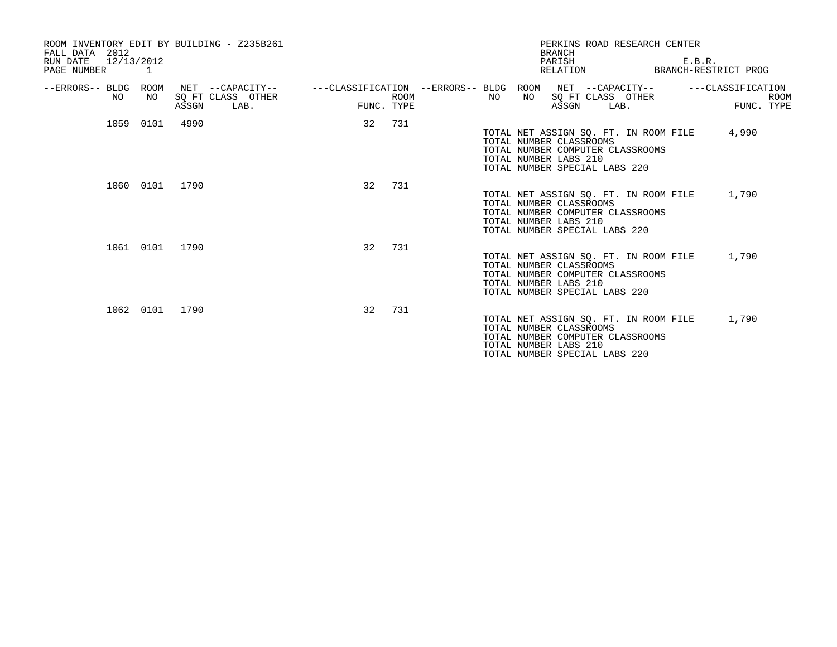| FALL DATA 2012                        |           | ROOM INVENTORY EDIT BY BUILDING - Z235B261 |    |             |     | <b>BRANCH</b>                                                                                                                                                  | PERKINS ROAD RESEARCH CENTER |        |                      |             |
|---------------------------------------|-----------|--------------------------------------------|----|-------------|-----|----------------------------------------------------------------------------------------------------------------------------------------------------------------|------------------------------|--------|----------------------|-------------|
| RUN DATE<br>12/13/2012<br>PAGE NUMBER | $\sim$ 1  |                                            |    |             |     | PARISH<br>RELATION                                                                                                                                             |                              | E.B.R. | BRANCH-RESTRICT PROG |             |
| --ERRORS-- BLDG ROOM<br>NO.           | NO        | NET --CAPACITY--<br>SQ FT CLASS OTHER      |    | <b>ROOM</b> | NO. | ---CLASSIFICATION --ERRORS-- BLDG ROOM NET --CAPACITY--<br>NO                                                                                                  | SQ FT CLASS OTHER            |        | ---CLASSIFICATION    | <b>ROOM</b> |
|                                       |           | ASSGN<br>LAB.                              |    | FUNC. TYPE  |     | ASSGN                                                                                                                                                          | LAB.                         |        | FUNC. TYPE           |             |
|                                       | 1059 0101 | 4990                                       | 32 | 731         |     | TOTAL NET ASSIGN SQ. FT. IN ROOM FILE<br>TOTAL NUMBER CLASSROOMS<br>TOTAL NUMBER COMPUTER CLASSROOMS<br>TOTAL NUMBER LABS 210<br>TOTAL NUMBER SPECIAL LABS 220 |                              |        | 4,990                |             |
|                                       | 1060 0101 | 1790                                       | 32 | 731         |     | TOTAL NET ASSIGN SQ. FT. IN ROOM FILE<br>TOTAL NUMBER CLASSROOMS<br>TOTAL NUMBER COMPUTER CLASSROOMS<br>TOTAL NUMBER LABS 210<br>TOTAL NUMBER SPECIAL LABS 220 |                              |        | 1,790                |             |
|                                       | 1061 0101 | 1790                                       | 32 | 731         |     | TOTAL NET ASSIGN SQ. FT. IN ROOM FILE<br>TOTAL NUMBER CLASSROOMS<br>TOTAL NUMBER COMPUTER CLASSROOMS<br>TOTAL NUMBER LABS 210<br>TOTAL NUMBER SPECIAL LABS 220 |                              |        | 1,790                |             |
|                                       | 1062 0101 | 1790                                       | 32 | 731         |     | TOTAL NET ASSIGN SO. FT. IN ROOM FILE<br>TOTAL NUMBER CLASSROOMS<br>TOTAL NUMBER COMPUTER CLASSROOMS<br>TOTAL NUMBER LABS 210<br>TOTAL NUMBER SPECIAL LABS 220 |                              |        | 1,790                |             |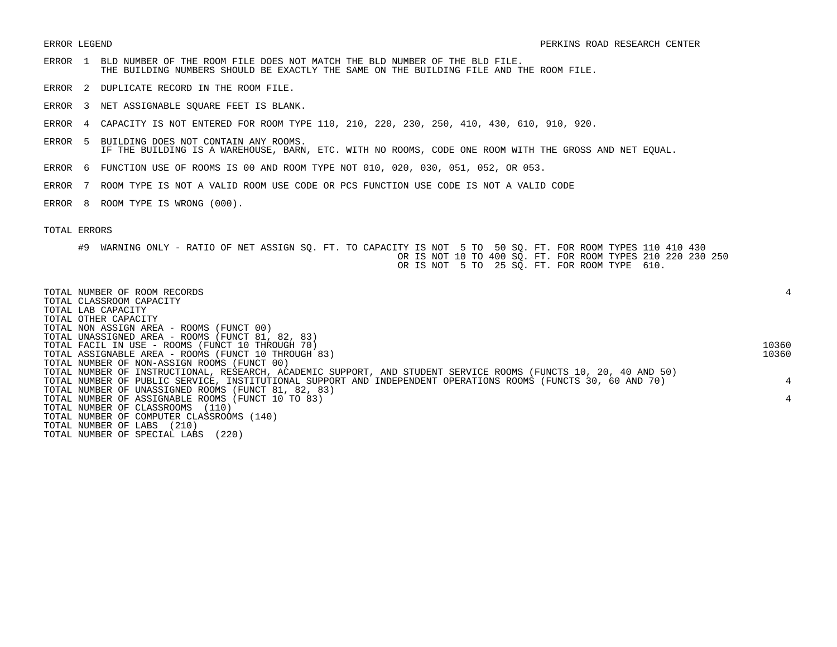- ERROR 1 BLD NUMBER OF THE ROOM FILE DOES NOT MATCH THE BLD NUMBER OF THE BLD FILE. THE BUILDING NUMBERS SHOULD BE EXACTLY THE SAME ON THE BUILDING FILE AND THE ROOM FILE.
- ERROR 2 DUPLICATE RECORD IN THE ROOM FILE.
- ERROR 3 NET ASSIGNABLE SQUARE FEET IS BLANK.
- ERROR 4 CAPACITY IS NOT ENTERED FOR ROOM TYPE 110, 210, 220, 230, 250, 410, 430, 610, 910, 920.
- ERROR 5 BUILDING DOES NOT CONTAIN ANY ROOMS. IF THE BUILDING IS A WAREHOUSE, BARN, ETC. WITH NO ROOMS, CODE ONE ROOM WITH THE GROSS AND NET EQUAL.
- ERROR 6 FUNCTION USE OF ROOMS IS 00 AND ROOM TYPE NOT 010, 020, 030, 051, 052, OR 053.
- ERROR 7 ROOM TYPE IS NOT A VALID ROOM USE CODE OR PCS FUNCTION USE CODE IS NOT A VALID CODE
- ERROR 8 ROOM TYPE IS WRONG (000).

## TOTAL ERRORS

#9 WARNING ONLY - RATIO OF NET ASSIGN SQ. FT. TO CAPACITY IS NOT 5 TO 50 SQ. FT. FOR ROOM TYPES 110 410 430 OR IS NOT 10 TO 400 SQ. FT. FOR ROOM TYPES 210 220 230 250 OR IS NOT 5 TO 25 SQ. FT. FOR ROOM TYPE 610.

| TOTAL NUMBER OF ROOM RECORDS                                                                                    |       |
|-----------------------------------------------------------------------------------------------------------------|-------|
| TOTAL CLASSROOM CAPACITY                                                                                        |       |
| TOTAL LAB CAPACITY                                                                                              |       |
| TOTAL OTHER CAPACITY                                                                                            |       |
| TOTAL NON ASSIGN AREA - ROOMS (FUNCT 00)                                                                        |       |
| TOTAL UNASSIGNED AREA - ROOMS (FUNCT 81, 82, 83)                                                                |       |
| TOTAL FACIL IN USE - ROOMS (FUNCT 10 THROUGH 70)                                                                | 10360 |
| TOTAL ASSIGNABLE AREA - ROOMS (FUNCT 10 THROUGH 83)                                                             | 10360 |
| TOTAL NUMBER OF NON-ASSIGN ROOMS (FUNCT 00)                                                                     |       |
| TOTAL NUMBER OF INSTRUCTIONAL, RESEARCH, ACADEMIC SUPPORT, AND STUDENT SERVICE ROOMS (FUNCTS 10, 20, 40 AND 50) |       |
| TOTAL NUMBER OF PUBLIC SERVICE, INSTITUTIONAL SUPPORT AND INDEPENDENT OPERATIONS ROOMS (FUNCTS 30, 60 AND 70)   | 4     |
| TOTAL NUMBER OF UNASSIGNED ROOMS (FUNCT 81, 82, 83)                                                             |       |
| TOTAL NUMBER OF ASSIGNABLE ROOMS (FUNCT 10 TO 83)                                                               | 4     |
| TOTAL NUMBER OF CLASSROOMS (110)                                                                                |       |
| TOTAL NUMBER OF COMPUTER CLASSROOMS (140)                                                                       |       |
| TOTAL NUMBER OF LABS<br>(210)                                                                                   |       |
| (220)<br>TOTAL NUMBER OF SPECIAL LABS                                                                           |       |
|                                                                                                                 |       |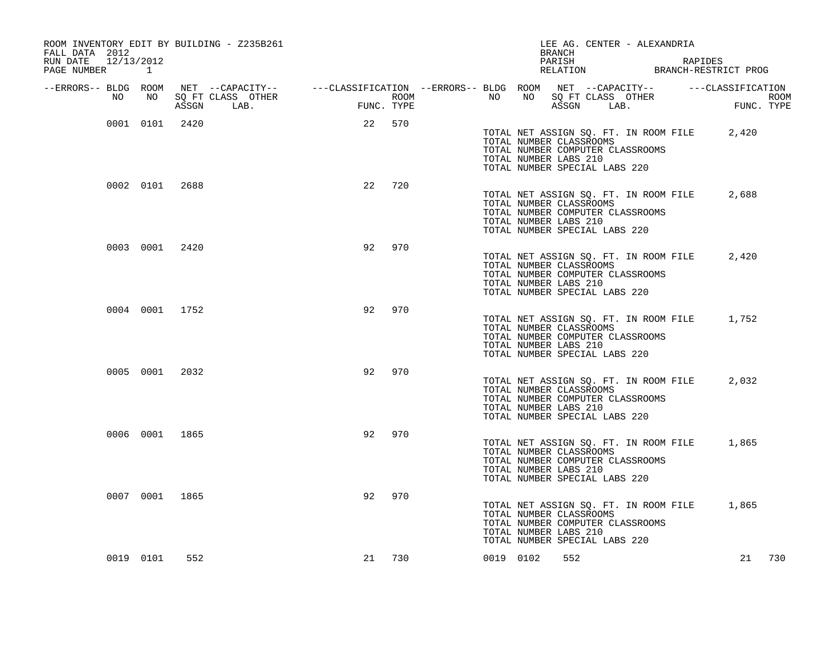| ROOM INVENTORY EDIT BY BUILDING - Z235B261<br>FALL DATA 2012<br>RUN DATE | 12/13/2012 |           |                |            |                   |            |     |                                                                                                                    |           |                       | <b>BRANCH</b><br>PARISH |                                                          | LEE AG. CENTER - ALEXANDRIA                                               | RAPIDES                                     |            |      |
|--------------------------------------------------------------------------|------------|-----------|----------------|------------|-------------------|------------|-----|--------------------------------------------------------------------------------------------------------------------|-----------|-----------------------|-------------------------|----------------------------------------------------------|---------------------------------------------------------------------------|---------------------------------------------|------------|------|
| PAGE NUMBER 1                                                            |            |           |                |            |                   |            |     |                                                                                                                    |           |                       |                         |                                                          |                                                                           | RELATION BRANCH-RESTRICT PROG               |            |      |
| --ERRORS-- BLDG ROOM                                                     | NO         | NO        |                |            | SQ FT CLASS OTHER |            |     | NET --CAPACITY-- - ---CLASSIFICATION --ERRORS-- BLDG ROOM NET --CAPACITY-- - ---CLASSIFICATION<br>ROOM <b>ROOM</b> | NO        | NO                    |                         |                                                          | SQ FT CLASS OTHER                                                         |                                             |            | ROOM |
|                                                                          |            |           |                | ASSGN LAB. |                   | FUNC. TYPE |     |                                                                                                                    |           |                       |                         | ASSGN LAB.                                               |                                                                           |                                             | FUNC. TYPE |      |
|                                                                          |            |           | 0001 0101 2420 |            |                   | 22 570     |     |                                                                                                                    |           | TOTAL NUMBER LABS 210 |                         | TOTAL NUMBER CLASSROOMS<br>TOTAL NUMBER SPECIAL LABS 220 | TOTAL NET ASSIGN SQ. FT. IN ROOM FILE<br>TOTAL NUMBER COMPUTER CLASSROOMS |                                             | 2,420      |      |
|                                                                          |            |           | 0002 0101 2688 |            |                   | 22         | 720 |                                                                                                                    |           | TOTAL NUMBER LABS 210 |                         | TOTAL NUMBER CLASSROOMS<br>TOTAL NUMBER SPECIAL LABS 220 | TOTAL NET ASSIGN SQ. FT. IN ROOM FILE<br>TOTAL NUMBER COMPUTER CLASSROOMS |                                             | 2,688      |      |
|                                                                          |            |           | 0003 0001 2420 |            |                   | 92         | 970 |                                                                                                                    |           | TOTAL NUMBER LABS 210 |                         | TOTAL NUMBER CLASSROOMS<br>TOTAL NUMBER SPECIAL LABS 220 | TOTAL NET ASSIGN SQ. FT. IN ROOM FILE<br>TOTAL NUMBER COMPUTER CLASSROOMS |                                             | 2,420      |      |
|                                                                          |            |           | 0004 0001 1752 |            |                   | 92         | 970 |                                                                                                                    |           | TOTAL NUMBER LABS 210 |                         | TOTAL NUMBER CLASSROOMS<br>TOTAL NUMBER SPECIAL LABS 220 | TOTAL NUMBER COMPUTER CLASSROOMS                                          | TOTAL NET ASSIGN SQ. FT. IN ROOM FILE 1,752 |            |      |
|                                                                          |            |           | 0005 0001 2032 |            |                   | 92         | 970 |                                                                                                                    |           | TOTAL NUMBER LABS 210 |                         | TOTAL NUMBER CLASSROOMS<br>TOTAL NUMBER SPECIAL LABS 220 | TOTAL NET ASSIGN SQ. FT. IN ROOM FILE<br>TOTAL NUMBER COMPUTER CLASSROOMS |                                             | 2,032      |      |
|                                                                          |            |           | 0006 0001 1865 |            |                   | 92         | 970 |                                                                                                                    |           | TOTAL NUMBER LABS 210 |                         | TOTAL NUMBER CLASSROOMS<br>TOTAL NUMBER SPECIAL LABS 220 | TOTAL NET ASSIGN SQ. FT. IN ROOM FILE<br>TOTAL NUMBER COMPUTER CLASSROOMS |                                             | 1,865      |      |
|                                                                          |            |           | 0007 0001 1865 |            |                   | 92         | 970 |                                                                                                                    |           | TOTAL NUMBER LABS 210 |                         | TOTAL NUMBER CLASSROOMS<br>TOTAL NUMBER SPECIAL LABS 220 | TOTAL NUMBER COMPUTER CLASSROOMS                                          | TOTAL NET ASSIGN SQ. FT. IN ROOM FILE 1,865 |            |      |
|                                                                          |            | 0019 0101 | 552            |            |                   | 21         | 730 |                                                                                                                    | 0019 0102 |                       | 552                     |                                                          |                                                                           |                                             | 21         | 730  |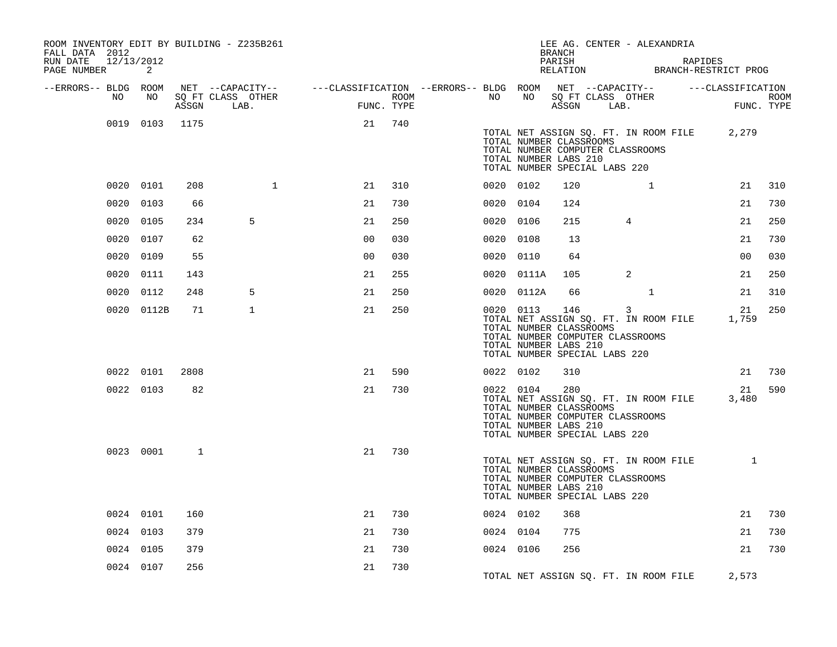| ROOM INVENTORY EDIT BY BUILDING - Z235B261<br>FALL DATA 2012<br>RUN DATE 12/13/2012<br>PAGE NUMBER | 2              |      |                                 |                                                                                                |      |           |            | BRANCH<br>PARISH                                                                                                             |              | LEE AG. CENTER - ALEXANDRIA           | RAPIDES<br>RELATION BRANCH-RESTRICT PROG |                    |
|----------------------------------------------------------------------------------------------------|----------------|------|---------------------------------|------------------------------------------------------------------------------------------------|------|-----------|------------|------------------------------------------------------------------------------------------------------------------------------|--------------|---------------------------------------|------------------------------------------|--------------------|
| --ERRORS-- BLDG ROOM                                                                               |                |      |                                 | NET --CAPACITY-- - ---CLASSIFICATION --ERRORS-- BLDG ROOM NET --CAPACITY-- - ---CLASSIFICATION |      |           |            |                                                                                                                              |              |                                       |                                          |                    |
| NO                                                                                                 | NO             |      | SQ FT CLASS OTHER<br>ASSGN LAB. | FUNC. TYPE                                                                                     | ROOM | NO        | NO         | SQ FT CLASS OTHER<br>ASSGN LAB.                                                                                              |              |                                       |                                          | ROOM<br>FUNC. TYPE |
|                                                                                                    |                |      |                                 |                                                                                                |      |           |            |                                                                                                                              |              |                                       |                                          |                    |
|                                                                                                    | 0019 0103 1175 |      |                                 | 21                                                                                             | 740  |           |            | TOTAL NUMBER CLASSROOMS<br>TOTAL NUMBER COMPUTER CLASSROOMS<br>TOTAL NUMBER LABS 210<br>TOTAL NUMBER SPECIAL LABS 220        |              | TOTAL NET ASSIGN SQ. FT. IN ROOM FILE | 2,279                                    |                    |
|                                                                                                    | 0020 0101      | 208  | $\mathbf{1}$                    | 21                                                                                             | 310  | 0020 0102 |            | 120                                                                                                                          | $\mathbf{1}$ |                                       | 21                                       | 310                |
|                                                                                                    | 0020 0103      | 66   |                                 | 21                                                                                             | 730  | 0020 0104 |            | 124                                                                                                                          |              |                                       | 21                                       | 730                |
|                                                                                                    | 0020 0105      | 234  | 5                               | 21                                                                                             | 250  | 0020 0106 |            | 215                                                                                                                          | 4            |                                       | 21                                       | 250                |
|                                                                                                    | 0020 0107      | 62   |                                 | 0 <sub>0</sub>                                                                                 | 030  | 0020 0108 |            | 13                                                                                                                           |              |                                       | 21                                       | 730                |
|                                                                                                    | 0020 0109      | 55   |                                 | 0 <sub>0</sub>                                                                                 | 030  | 0020 0110 |            | 64                                                                                                                           |              |                                       | 0 <sub>0</sub>                           | 030                |
|                                                                                                    | 0020 0111      | 143  |                                 | 21                                                                                             | 255  |           | 0020 0111A | 105                                                                                                                          | 2            |                                       | 21                                       | 250                |
|                                                                                                    | 0020 0112      | 248  | 5                               | 21                                                                                             | 250  |           | 0020 0112A | 66                                                                                                                           | $\mathbf{1}$ |                                       | 21                                       | 310                |
|                                                                                                    | 0020 0112B     | 71   | $\mathbf{1}$                    | 21                                                                                             | 250  | 0020 0113 |            | 146<br>TOTAL NUMBER CLASSROOMS<br>TOTAL NUMBER COMPUTER CLASSROOMS<br>TOTAL NUMBER LABS 210<br>TOTAL NUMBER SPECIAL LABS 220 | 3            | TOTAL NET ASSIGN SQ. FT. IN ROOM FILE | 21<br>1,759                              | 250                |
|                                                                                                    | 0022 0101      | 2808 |                                 | 21                                                                                             | 590  | 0022 0102 |            | 310                                                                                                                          |              |                                       | 21                                       | 730                |
|                                                                                                    | 0022 0103      | 82   |                                 | 21                                                                                             | 730  |           | 0022 0104  | 280<br>TOTAL NUMBER CLASSROOMS<br>TOTAL NUMBER COMPUTER CLASSROOMS<br>TOTAL NUMBER LABS 210<br>TOTAL NUMBER SPECIAL LABS 220 |              | TOTAL NET ASSIGN SQ. FT. IN ROOM FILE | 21<br>3,480                              | 590                |
|                                                                                                    | 0023 0001      | 1    |                                 | 21                                                                                             | 730  |           |            | TOTAL NUMBER CLASSROOMS<br>TOTAL NUMBER COMPUTER CLASSROOMS<br>TOTAL NUMBER LABS 210<br>TOTAL NUMBER SPECIAL LABS 220        |              | TOTAL NET ASSIGN SQ. FT. IN ROOM FILE | 1                                        |                    |
|                                                                                                    | 0024 0101      | 160  |                                 | 21                                                                                             | 730  | 0024 0102 |            | 368                                                                                                                          |              |                                       | 21                                       | 730                |
|                                                                                                    | 0024 0103      | 379  |                                 | 21                                                                                             | 730  | 0024 0104 |            | 775                                                                                                                          |              |                                       | 21                                       | 730                |
|                                                                                                    | 0024 0105      | 379  |                                 | 21                                                                                             | 730  | 0024 0106 |            | 256                                                                                                                          |              |                                       | 21                                       | 730                |
|                                                                                                    | 0024 0107      | 256  |                                 | 21                                                                                             | 730  |           |            |                                                                                                                              |              | TOTAL NET ASSIGN SQ. FT. IN ROOM FILE | 2,573                                    |                    |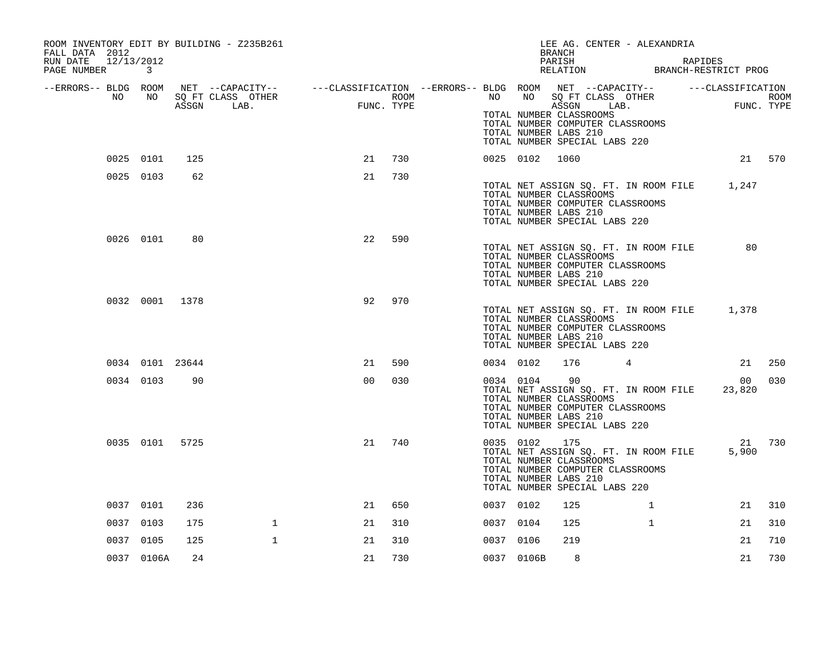| ROOM INVENTORY EDIT BY BUILDING - Z235B261<br>FALL DATA 2012<br>RUN DATE<br>12/13/2012<br>PAGE NUMBER | 3               |       |                                                                                                                                                                                                                        |                |     |           |              | <b>BRANCH</b><br>PARISH                                                                  | LEE AG. CENTER - ALEXANDRIA<br>PARISH RAPIDES<br>RELATION BRANCH-RESTRICT PROG   | RAPIDES |        |
|-------------------------------------------------------------------------------------------------------|-----------------|-------|------------------------------------------------------------------------------------------------------------------------------------------------------------------------------------------------------------------------|----------------|-----|-----------|--------------|------------------------------------------------------------------------------------------|----------------------------------------------------------------------------------|---------|--------|
| --ERRORS-- BLDG ROOM<br>NO                                                                            | NO              | ASSGN | NET --CAPACITY-- ---CLASSIFICATION --ERRORS-- BLDG ROOM NET --CAPACITY-- ----CLASSIFICATION<br>SQ FT CLASS OTHER ROOM NO SQ FT CLASS OTHER ROOM ROOM NESSGN LAB. FUNC. TYPE ASSGN LAB. FUNC. TYPE<br>SQ FT CLASS OTHER |                |     |           |              | TOTAL NUMBER CLASSROOMS<br>TOTAL NUMBER LABS 210<br>TOTAL NUMBER SPECIAL LABS 220        | TOTAL NUMBER COMPUTER CLASSROOMS                                                 |         |        |
|                                                                                                       | 0025 0101       | 125   |                                                                                                                                                                                                                        | 21             | 730 |           | 0025 0102    | 1060                                                                                     |                                                                                  |         | 21 570 |
|                                                                                                       | 0025 0103       | 62    |                                                                                                                                                                                                                        | 21             | 730 |           |              | TOTAL NUMBER CLASSROOMS<br>TOTAL NUMBER LABS 210<br>TOTAL NUMBER SPECIAL LABS 220        | TOTAL NET ASSIGN SQ. FT. IN ROOM FILE 1,247<br>TOTAL NUMBER COMPUTER CLASSROOMS  |         |        |
|                                                                                                       | 0026 0101       | 80    |                                                                                                                                                                                                                        | 22             | 590 |           |              | TOTAL NUMBER CLASSROOMS<br>TOTAL NUMBER LABS 210<br>TOTAL NUMBER SPECIAL LABS 220        | TOTAL NET ASSIGN SQ. FT. IN ROOM FILE 80<br>TOTAL NUMBER COMPUTER CLASSROOMS     |         |        |
|                                                                                                       | 0032 0001 1378  |       |                                                                                                                                                                                                                        | 92             | 970 |           |              | TOTAL NUMBER CLASSROOMS<br>TOTAL NUMBER LABS 210<br>TOTAL NUMBER SPECIAL LABS 220        | TOTAL NET ASSIGN SQ. FT. IN ROOM FILE 1,378<br>TOTAL NUMBER COMPUTER CLASSROOMS  |         |        |
|                                                                                                       | 0034 0101 23644 |       |                                                                                                                                                                                                                        | 21             | 590 | 0034 0102 |              | 176                                                                                      | 4                                                                                | 21      | 250    |
|                                                                                                       | 0034 0103       | 90    |                                                                                                                                                                                                                        | 0 <sup>0</sup> | 030 |           | 0034 0104 90 | TOTAL NUMBER CLASSROOMS<br>TOTAL NUMBER LABS 210<br>TOTAL NUMBER SPECIAL LABS 220        | TOTAL NET ASSIGN SQ. FT. IN ROOM FILE 23,820<br>TOTAL NUMBER COMPUTER CLASSROOMS | 00      | 030    |
|                                                                                                       | 0035 0101 5725  |       |                                                                                                                                                                                                                        | 21             | 740 | 0035 0102 |              | 175<br>TOTAL NUMBER CLASSROOMS<br>TOTAL NUMBER LABS 210<br>TOTAL NUMBER SPECIAL LABS 220 | TOTAL NET ASSIGN SQ. FT. IN ROOM FILE<br>TOTAL NUMBER COMPUTER CLASSROOMS        | 5,900   | 21 730 |
|                                                                                                       | 0037 0101       | 236   |                                                                                                                                                                                                                        | 21             | 650 | 0037 0102 |              | 125                                                                                      | $\mathbf{1}$                                                                     | 21      | 310    |
|                                                                                                       | 0037 0103       | 175   | $\mathbf{1}$                                                                                                                                                                                                           | 21             | 310 | 0037 0104 |              | 125                                                                                      | $\mathbf{1}$                                                                     | 21      | 310    |
|                                                                                                       | 0037 0105       | 125   | $\mathbf{1}$                                                                                                                                                                                                           | 21             | 310 | 0037 0106 |              | 219                                                                                      |                                                                                  | 21      | 710    |
|                                                                                                       | 0037 0106A      | 24    |                                                                                                                                                                                                                        | 21             | 730 |           | 0037 0106B   | 8                                                                                        |                                                                                  | 21      | 730    |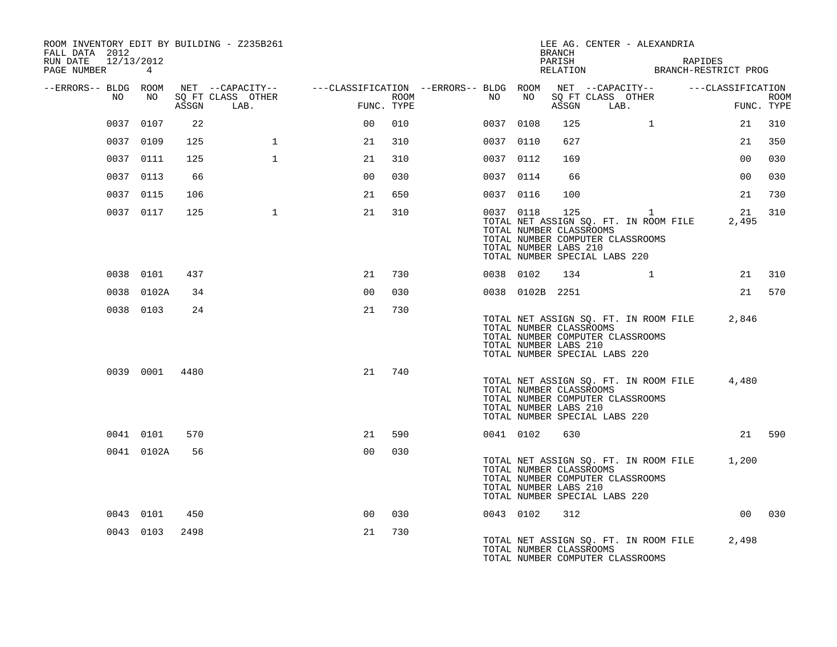| ROOM INVENTORY EDIT BY BUILDING - Z235B261<br>FALL DATA 2012<br>RUN DATE 12/13/2012<br>PAGE NUMBER 4 |                |      |                                 |                |      |                                                                                                        |                                                               | BRANCH<br>PARISH | LEE AG. CENTER - ALEXANDRIA<br>PARISH RAPIDES<br>RELATION BRANCH-RESTRICT PROG                                               | RAPIDES         |                           |
|------------------------------------------------------------------------------------------------------|----------------|------|---------------------------------|----------------|------|--------------------------------------------------------------------------------------------------------|---------------------------------------------------------------|------------------|------------------------------------------------------------------------------------------------------------------------------|-----------------|---------------------------|
| --ERRORS-- BLDG ROOM<br>NO                                                                           | NO             |      | SO FT CLASS OTHER<br>ASSGN LAB. | FUNC. TYPE     | ROOM | NET --CAPACITY--    ---CLASSIFICATION --ERRORS-- BLDG ROOM NET --CAPACITY--    ---CLASSIFICATION<br>NO | NO                                                            |                  | SQ FT CLASS OTHER<br>ASSGN LAB.                                                                                              | $\overline{F}$  | <b>ROOM</b><br>FUNC. TYPE |
|                                                                                                      | 0037 0107      | 22   |                                 | 0 <sup>0</sup> | 010  |                                                                                                        | 0037 0108                                                     | 125              | $\mathbf{1}$                                                                                                                 | 21              | 310                       |
|                                                                                                      | 0037 0109      | 125  | $\mathbf{1}$                    | 21             | 310  |                                                                                                        | 0037 0110                                                     | 627              |                                                                                                                              | 21              | 350                       |
|                                                                                                      | 0037 0111      | 125  | $\mathbf{1}$                    | 21             | 310  |                                                                                                        | 0037 0112                                                     | 169              |                                                                                                                              | 0 <sub>0</sub>  | 030                       |
|                                                                                                      | 0037 0113      | 66   |                                 | 0 <sub>0</sub> | 030  |                                                                                                        | 0037 0114                                                     | 66               |                                                                                                                              | 00 <sup>o</sup> | 030                       |
|                                                                                                      | 0037 0115      | 106  |                                 | 21             | 650  |                                                                                                        | 0037 0116                                                     | 100              |                                                                                                                              | 21              | 730                       |
|                                                                                                      | 0037 0117      | 125  | 1                               | 21             | 310  |                                                                                                        | 0037 0118<br>TOTAL NUMBER CLASSROOMS<br>TOTAL NUMBER LABS 210 | 125              | $\overline{1}$<br>TOTAL NET ASSIGN SQ. FT. IN ROOM FILE<br>TOTAL NUMBER COMPUTER CLASSROOMS<br>TOTAL NUMBER SPECIAL LABS 220 | 2,495           | 21 310                    |
|                                                                                                      | 0038 0101      | 437  |                                 | 21             | 730  |                                                                                                        | 0038 0102                                                     | 134              | $\mathbf{1}$                                                                                                                 |                 | 21 310                    |
|                                                                                                      | 0038 0102A     | 34   |                                 | 0 <sub>0</sub> | 030  |                                                                                                        | 0038 0102B 2251                                               |                  |                                                                                                                              |                 | 21 570                    |
|                                                                                                      | 0038 0103      | 24   |                                 | 21             | 730  |                                                                                                        | TOTAL NUMBER CLASSROOMS<br>TOTAL NUMBER LABS 210              |                  | TOTAL NET ASSIGN SQ. FT. IN ROOM FILE 2,846<br>TOTAL NUMBER COMPUTER CLASSROOMS<br>TOTAL NUMBER SPECIAL LABS 220             |                 |                           |
|                                                                                                      | 0039 0001 4480 |      |                                 | 21             | 740  |                                                                                                        | TOTAL NUMBER CLASSROOMS<br>TOTAL NUMBER LABS 210              |                  | TOTAL NET ASSIGN SQ. FT. IN ROOM FILE<br>TOTAL NUMBER COMPUTER CLASSROOMS<br>TOTAL NUMBER SPECIAL LABS 220                   | 4,480           |                           |
|                                                                                                      | 0041 0101      | 570  |                                 | 21             | 590  |                                                                                                        | 0041 0102                                                     | 630              |                                                                                                                              |                 | 21 590                    |
|                                                                                                      | 0041 0102A     | 56   |                                 | 0 <sub>0</sub> | 030  |                                                                                                        | TOTAL NUMBER CLASSROOMS<br>TOTAL NUMBER LABS 210              |                  | TOTAL NET ASSIGN SQ. FT. IN ROOM FILE 1,200<br>TOTAL NUMBER COMPUTER CLASSROOMS<br>TOTAL NUMBER SPECIAL LABS 220             |                 |                           |
|                                                                                                      | 0043 0101      | 450  |                                 | 0 <sub>0</sub> | 030  |                                                                                                        | 0043 0102                                                     | 312              |                                                                                                                              |                 | 00 030                    |
|                                                                                                      | 0043 0103      | 2498 |                                 | 21             | 730  |                                                                                                        | TOTAL NUMBER CLASSROOMS                                       |                  | TOTAL NET ASSIGN SQ. FT. IN ROOM FILE<br>TOTAL NUMBER COMPUTER CLASSROOMS                                                    | 2,498           |                           |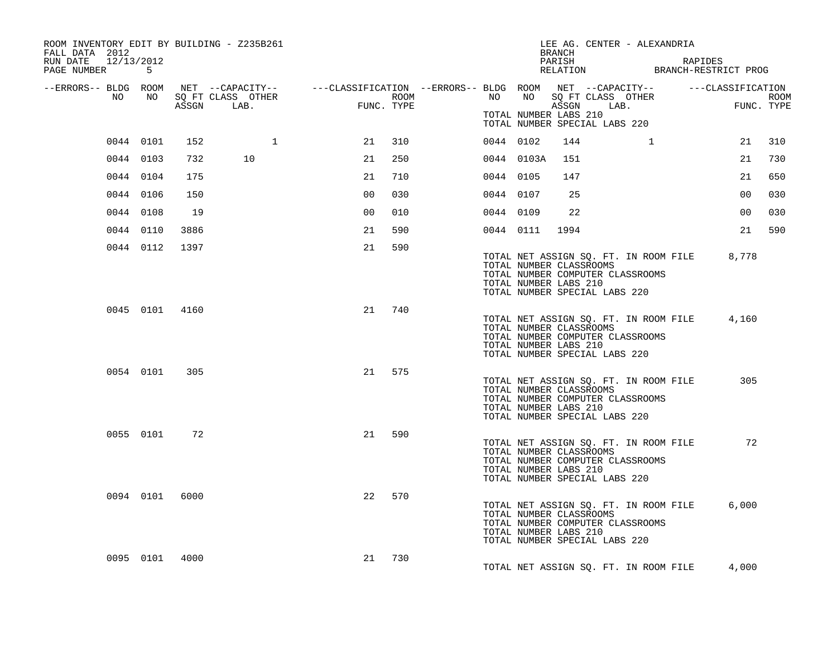| ROOM INVENTORY EDIT BY BUILDING - Z235B261<br>FALL DATA 2012<br>RUN DATE 12/13/2012<br>PAGE NUMBER 5                     |           |                |                                 |                |            |                  |           |                                                  | BRANCH<br>PARISH | LEE AG. CENTER - ALEXANDRIA                                                                                | RAPIDES | PARISH<br>RELATION BRANCH-RESTRICT PROG     |                    |
|--------------------------------------------------------------------------------------------------------------------------|-----------|----------------|---------------------------------|----------------|------------|------------------|-----------|--------------------------------------------------|------------------|------------------------------------------------------------------------------------------------------------|---------|---------------------------------------------|--------------------|
| --ERRORS-- BLDG ROOM NET --CAPACITY-- ----CLASSIFICATION --ERRORS-- BLDG ROOM NET --CAPACITY-- -----CLASSIFICATION<br>NO | NO        |                | SQ FT CLASS OTHER<br>ASSGN LAB. | FUNC           | FUNC. TYPE | ROOM <b>ROOM</b> |           | NO NO<br>TOTAL NUMBER LABS 210                   |                  | SQ FT CLASS OTHER<br>ASSGN LAB.<br>TOTAL NUMBER SPECIAL LABS 220                                           |         |                                             | ROOM<br>FUNC. TYPE |
|                                                                                                                          | 0044 0101 | 152            | 1                               | 21             | 310        |                  | 0044 0102 |                                                  | 144              |                                                                                                            |         | 21                                          | 310                |
| 0044 0103                                                                                                                |           | 732            | 10                              | 21             | 250        |                  |           | 0044 0103A                                       | 151              |                                                                                                            |         | 21                                          | 730                |
|                                                                                                                          | 0044 0104 | 175            |                                 | 21             | 710        |                  | 0044 0105 |                                                  | 147              |                                                                                                            |         | 21                                          | 650                |
|                                                                                                                          | 0044 0106 | 150            |                                 | 0 <sup>0</sup> | 030        |                  | 0044 0107 |                                                  | 25               |                                                                                                            |         | 00                                          | 030                |
|                                                                                                                          | 0044 0108 | 19             |                                 | 0 <sup>0</sup> | 010        |                  | 0044 0109 |                                                  | 22               |                                                                                                            |         | 00 <sub>o</sub>                             | 030                |
|                                                                                                                          | 0044 0110 | 3886           |                                 | 21             | 590        |                  | 0044 0111 |                                                  | 1994             |                                                                                                            |         | 21                                          | 590                |
|                                                                                                                          | 0044 0112 | 1397           |                                 | 21             | 590        |                  |           | TOTAL NUMBER CLASSROOMS<br>TOTAL NUMBER LABS 210 |                  | TOTAL NUMBER COMPUTER CLASSROOMS<br>TOTAL NUMBER SPECIAL LABS 220                                          |         | TOTAL NET ASSIGN SQ. FT. IN ROOM FILE 8,778 |                    |
|                                                                                                                          |           | 0045 0101 4160 |                                 | 21             | 740        |                  |           | TOTAL NUMBER CLASSROOMS<br>TOTAL NUMBER LABS 210 |                  | TOTAL NUMBER COMPUTER CLASSROOMS<br>TOTAL NUMBER SPECIAL LABS 220                                          |         | TOTAL NET ASSIGN SQ. FT. IN ROOM FILE 4,160 |                    |
|                                                                                                                          | 0054 0101 | 305            |                                 |                | 21 575     |                  |           | TOTAL NUMBER CLASSROOMS<br>TOTAL NUMBER LABS 210 |                  | TOTAL NET ASSIGN SQ. FT. IN ROOM FILE<br>TOTAL NUMBER COMPUTER CLASSROOMS<br>TOTAL NUMBER SPECIAL LABS 220 |         | 305                                         |                    |
|                                                                                                                          | 0055 0101 | 72             |                                 | 21             | 590        |                  |           | TOTAL NUMBER CLASSROOMS<br>TOTAL NUMBER LABS 210 |                  | TOTAL NET ASSIGN SQ. FT. IN ROOM FILE<br>TOTAL NUMBER COMPUTER CLASSROOMS<br>TOTAL NUMBER SPECIAL LABS 220 |         | 72                                          |                    |
|                                                                                                                          |           | 0094 0101 6000 |                                 | 22             | 570        |                  |           | TOTAL NUMBER CLASSROOMS<br>TOTAL NUMBER LABS 210 |                  | TOTAL NET ASSIGN SQ. FT. IN ROOM FILE<br>TOTAL NUMBER COMPUTER CLASSROOMS<br>TOTAL NUMBER SPECIAL LABS 220 |         | 6,000                                       |                    |
|                                                                                                                          |           | 0095 0101 4000 |                                 | 21             | 730        |                  |           |                                                  |                  | TOTAL NET ASSIGN SQ. FT. IN ROOM FILE                                                                      |         | 4,000                                       |                    |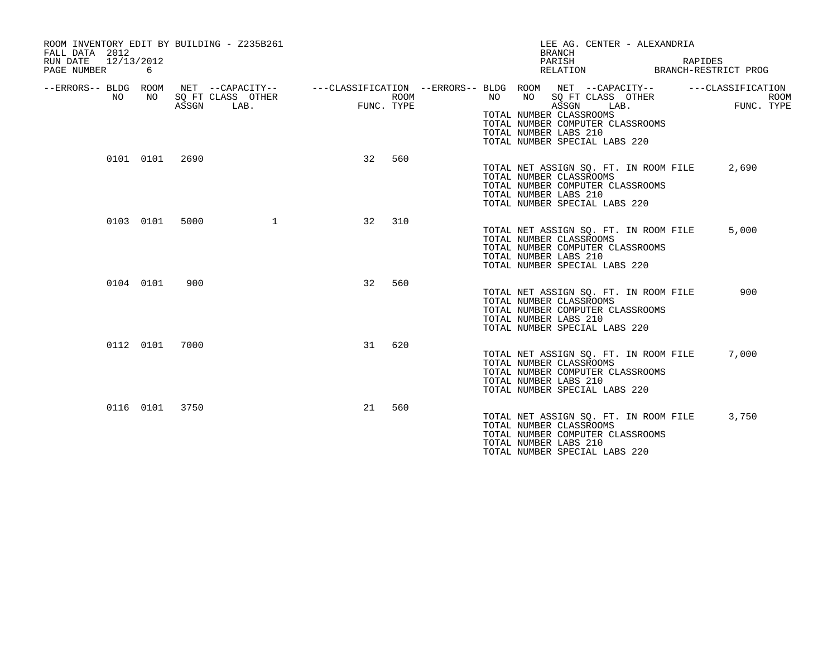| ROOM INVENTORY EDIT BY BUILDING - Z235B261<br>FALL DATA 2012<br>RUN DATE<br>PAGE NUMBER | 12/13/2012<br>6 |                |                                                                                                          |            |      |                                                                                                | <b>BRANCH</b><br>PARISH<br>RELATION | LEE AG. CENTER - ALEXANDRIA                                               | RAPIDES<br>BRANCH-RESTRICT PROG                |
|-----------------------------------------------------------------------------------------|-----------------|----------------|----------------------------------------------------------------------------------------------------------|------------|------|------------------------------------------------------------------------------------------------|-------------------------------------|---------------------------------------------------------------------------|------------------------------------------------|
| --ERRORS-- BLDG ROOM<br>NO.                                                             | NO.             | ASSGN          | NET --CAPACITY--    ---CLASSIFICATION --ERRORS-- BLDG ROOM NET --CAPACITY--<br>SQ FT CLASS OTHER<br>LAB. | FUNC. TYPE | ROOM | NO.<br>NO<br>TOTAL NUMBER CLASSROOMS<br>TOTAL NUMBER LABS 210<br>TOTAL NUMBER SPECIAL LABS 220 | ASSGN                               | SQ FT CLASS OTHER<br>LAB.<br>TOTAL NUMBER COMPUTER CLASSROOMS             | ---CLASSIFICATION<br><b>ROOM</b><br>FUNC. TYPE |
|                                                                                         | 0101 0101       | 2690           |                                                                                                          | 32         | 560  | TOTAL NUMBER CLASSROOMS<br>TOTAL NUMBER LABS 210<br>TOTAL NUMBER SPECIAL LABS 220              |                                     | TOTAL NET ASSIGN SQ. FT. IN ROOM FILE<br>TOTAL NUMBER COMPUTER CLASSROOMS | 2,690                                          |
|                                                                                         | 0103 0101       | 5000           | $\mathbf{1}$                                                                                             | 32         | 310  | TOTAL NUMBER CLASSROOMS<br>TOTAL NUMBER LABS 210<br>TOTAL NUMBER SPECIAL LABS 220              |                                     | TOTAL NET ASSIGN SQ. FT. IN ROOM FILE<br>TOTAL NUMBER COMPUTER CLASSROOMS | 5,000                                          |
|                                                                                         | 0104 0101       | 900            |                                                                                                          | 32         | 560  | TOTAL NUMBER CLASSROOMS<br>TOTAL NUMBER LABS 210<br>TOTAL NUMBER SPECIAL LABS 220              |                                     | TOTAL NET ASSIGN SQ. FT. IN ROOM FILE<br>TOTAL NUMBER COMPUTER CLASSROOMS | 900                                            |
|                                                                                         | 0112 0101       | 7000           |                                                                                                          | 31         | 620  | TOTAL NUMBER CLASSROOMS<br>TOTAL NUMBER LABS 210<br>TOTAL NUMBER SPECIAL LABS 220              |                                     | TOTAL NET ASSIGN SQ. FT. IN ROOM FILE<br>TOTAL NUMBER COMPUTER CLASSROOMS | 7,000                                          |
|                                                                                         |                 | 0116 0101 3750 |                                                                                                          | 21         | 560  | TOTAL NUMBER CLASSROOMS<br>TOTAL NUMBER LABS 210<br>TOTAL NUMBER SPECIAL LABS 220              |                                     | TOTAL NET ASSIGN SQ. FT. IN ROOM FILE<br>TOTAL NUMBER COMPUTER CLASSROOMS | 3,750                                          |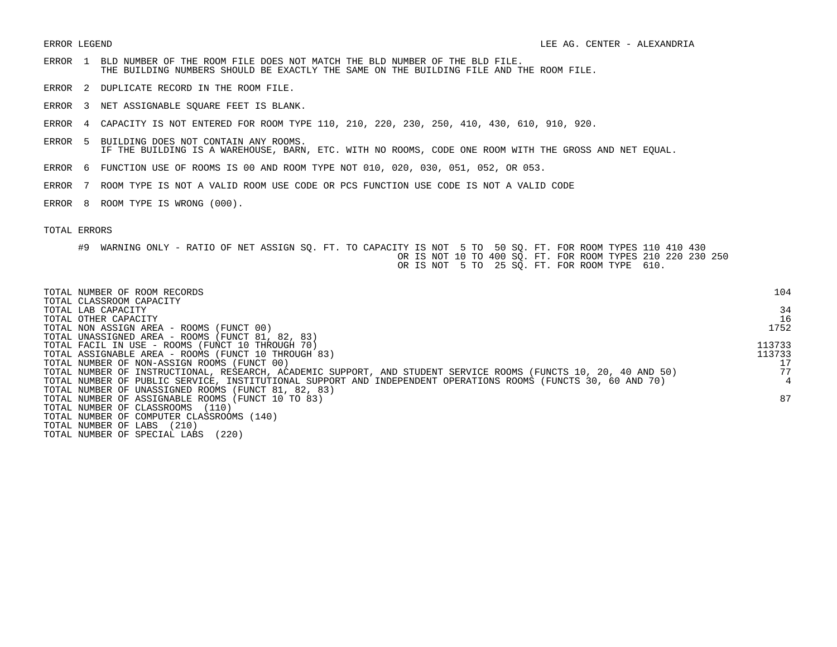- ERROR 1 BLD NUMBER OF THE ROOM FILE DOES NOT MATCH THE BLD NUMBER OF THE BLD FILE. THE BUILDING NUMBERS SHOULD BE EXACTLY THE SAME ON THE BUILDING FILE AND THE ROOM FILE.
- ERROR 2 DUPLICATE RECORD IN THE ROOM FILE.
- ERROR 3 NET ASSIGNABLE SQUARE FEET IS BLANK.
- ERROR 4 CAPACITY IS NOT ENTERED FOR ROOM TYPE 110, 210, 220, 230, 250, 410, 430, 610, 910, 920.
- ERROR 5 BUILDING DOES NOT CONTAIN ANY ROOMS. IF THE BUILDING IS A WAREHOUSE, BARN, ETC. WITH NO ROOMS, CODE ONE ROOM WITH THE GROSS AND NET EQUAL.
- ERROR 6 FUNCTION USE OF ROOMS IS 00 AND ROOM TYPE NOT 010, 020, 030, 051, 052, OR 053.
- ERROR 7 ROOM TYPE IS NOT A VALID ROOM USE CODE OR PCS FUNCTION USE CODE IS NOT A VALID CODE
- ERROR 8 ROOM TYPE IS WRONG (000).

| TOTAL NUMBER OF ROOM RECORDS                                                                                    | 104    |
|-----------------------------------------------------------------------------------------------------------------|--------|
| TOTAL CLASSROOM CAPACITY<br>TOTAL LAB CAPACITY                                                                  | 34     |
| TOTAL OTHER CAPACITY                                                                                            | 16     |
| TOTAL NON ASSIGN AREA - ROOMS (FUNCT 00)                                                                        | 1752   |
| TOTAL UNASSIGNED AREA - ROOMS (FUNCT 81, 82, 83)                                                                |        |
| TOTAL FACIL IN USE - ROOMS (FUNCT 10 THROUGH 70)                                                                | 113733 |
| TOTAL ASSIGNABLE AREA - ROOMS (FUNCT 10 THROUGH 83)                                                             | 113733 |
| TOTAL NUMBER OF NON-ASSIGN ROOMS (FUNCT 00)                                                                     |        |
| TOTAL NUMBER OF INSTRUCTIONAL, RESEARCH, ACADEMIC SUPPORT, AND STUDENT SERVICE ROOMS (FUNCTS 10, 20, 40 AND 50) | 77     |
| TOTAL NUMBER OF PUBLIC SERVICE, INSTITUTIONAL SUPPORT AND INDEPENDENT OPERATIONS ROOMS (FUNCTS 30, 60 AND 70)   |        |
| TOTAL NUMBER OF UNASSIGNED ROOMS (FUNCT 81, 82, 83)                                                             |        |
| TOTAL NUMBER OF ASSIGNABLE ROOMS (FUNCT 10 TO 83)                                                               | 87     |
| TOTAL NUMBER OF CLASSROOMS<br>(110)                                                                             |        |
| TOTAL NUMBER OF COMPUTER CLASSROOMS (140)                                                                       |        |
| (210)<br>TOTAL NUMBER OF LABS                                                                                   |        |
| (220)<br>TOTAL NUMBER OF SPECIAL LABS                                                                           |        |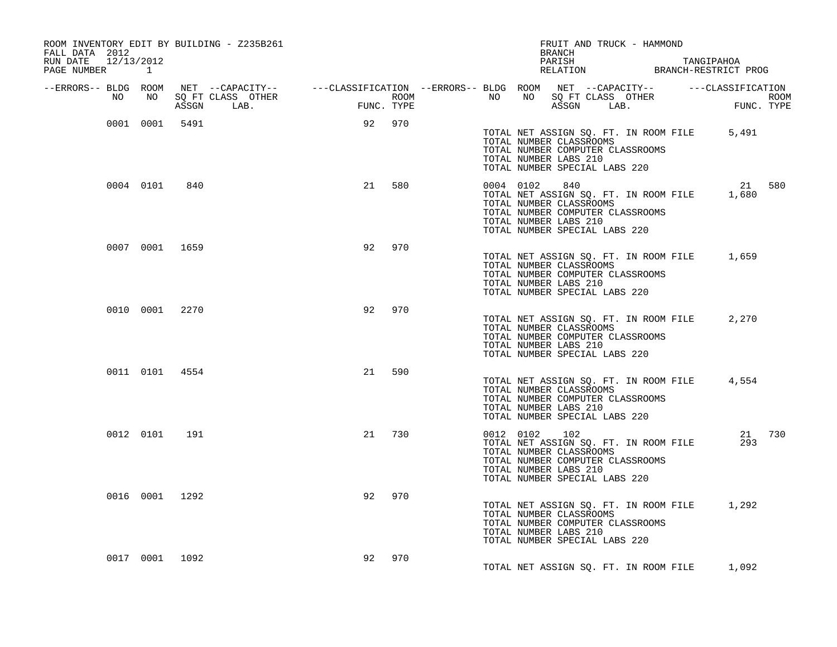| ROOM INVENTORY EDIT BY BUILDING - Z235B261<br>FALL DATA 2012 |        |     | FRUIT AND TRUCK - HAMMOND<br>BRANCH                                                                                                                                                                                                  |
|--------------------------------------------------------------|--------|-----|--------------------------------------------------------------------------------------------------------------------------------------------------------------------------------------------------------------------------------------|
| RUN DATE 12/13/2012<br>PAGE NUMBER 1                         |        |     | PARISH PARISH TANGIPAHOA<br>RELATION BRANCH-RESTRICT PROG                                                                                                                                                                            |
|                                                              |        |     |                                                                                                                                                                                                                                      |
|                                                              |        |     | ERRORS-- BLDG ROOM NET --CAPACITY--- --CLASSIFICATION --ERRORS-- BLDG ROOM NET --CAPACITY--- ---CLASSIFICATION<br>NO NO SQ FT CLASS OTHER ROOM NO BORT CLASS OTHER ROOM NO SQ FT CLASS OTHER ROOM<br>ASSGN LAB. FUNC. TYPE ASSGN LAB |
| 0001 0001 5491                                               | 92 970 |     | TOTAL NET ASSIGN SQ. FT. IN ROOM FILE 5,491<br>TOTAL NUMBER CLASSROOMS<br>TOTAL NUMBER COMPUTER CLASSROOMS<br>TOTAL NUMBER LABS 210<br>TOTAL NUMBER SPECIAL LABS 220                                                                 |
| 0004 0101 840                                                | 21 580 |     | 21 580<br>0004 0102 840<br>TOTAL NET ASSIGN SQ. FT. IN ROOM FILE 1,680<br>TOTAL NUMBER CLASSROOMS<br>TOTAL NUMBER COMPUTER CLASSROOMS<br>TOTAL NUMBER LABS 210<br>TOTAL NUMBER SPECIAL LABS 220                                      |
| 0007 0001 1659                                               | 92     | 970 | TOTAL NET ASSIGN SQ. FT. IN ROOM FILE 1,659<br>TOTAL NUMBER CLASSROOMS<br>TOTAL NUMBER COMPUTER CLASSROOMS<br>TOTAL NUMBER LABS 210<br>TOTAL NUMBER SPECIAL LABS 220                                                                 |
| 0010 0001 2270                                               | 92     | 970 | TOTAL NET ASSIGN SQ. FT. IN ROOM FILE 2,270<br>TOTAL NUMBER CLASSROOMS<br>TOTAL NUMBER COMPUTER CLASSROOMS<br>TOTAL NUMBER LABS 210<br>TOTAL NUMBER SPECIAL LABS 220                                                                 |
| 0011 0101 4554                                               | 21 590 |     | TOTAL NET ASSIGN SQ. FT. IN ROOM FILE 4,554<br>TOTAL NUMBER CLASSROOMS<br>TOTAL NUMBER COMPUTER CLASSROOMS<br>TOTAL NUMBER LABS 210<br>TOTAL NUMBER SPECIAL LABS 220                                                                 |
| 0012 0101 191                                                | 21     | 730 | 0012 0102 102<br>21 730<br>TOTAL NET ASSIGN SQ. FT. IN ROOM FILE<br>293<br>TOTAL NUMBER CLASSROOMS<br>TOTAL NUMBER COMPUTER CLASSROOMS<br>TOTAL NUMBER LABS 210<br>TOTAL NUMBER SPECIAL LABS 220                                     |
| 0016 0001 1292                                               | 92     | 970 | TOTAL NET ASSIGN SQ. FT. IN ROOM FILE 1,292<br>TOTAL NUMBER CLASSROOMS<br>TOTAL NUMBER COMPUTER CLASSROOMS<br>TOTAL NUMBER LABS 210<br>TOTAL NUMBER SPECIAL LABS 220                                                                 |
| 0017 0001 1092                                               | 92     | 970 | TOTAL NET ASSIGN SQ. FT. IN ROOM FILE 1,092                                                                                                                                                                                          |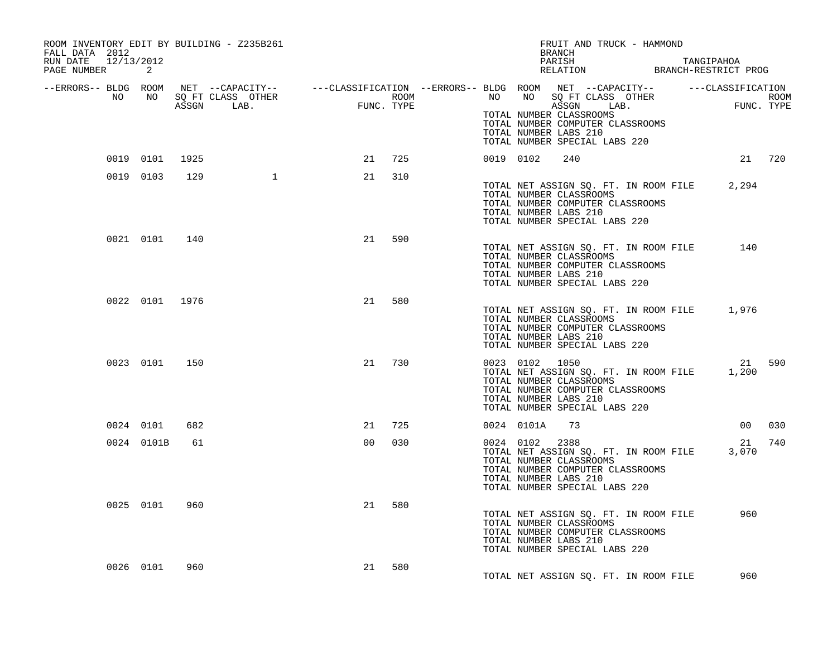| ROOM INVENTORY EDIT BY BUILDING - Z235B261<br>FALL DATA 2012<br>RUN DATE 12/13/2012<br>PAGE NUMBER 2 |                |     |                |        |  | FRUIT AND TRUCK - HAMMOND<br>BRANCH<br>PARISH TANGIPAHOA RELATION BRANCH-RESTRICT PROG                                                                                                                                                                                                                                                                        |             |        |
|------------------------------------------------------------------------------------------------------|----------------|-----|----------------|--------|--|---------------------------------------------------------------------------------------------------------------------------------------------------------------------------------------------------------------------------------------------------------------------------------------------------------------------------------------------------------------|-------------|--------|
|                                                                                                      |                |     |                |        |  |                                                                                                                                                                                                                                                                                                                                                               |             |        |
|                                                                                                      |                |     |                |        |  | ERRORS-- BLDG ROOM NET --CAPACITY--- --CLASSIFICATION --ERRORS-- BLDG ROOM NET --CAPACITY----------CLASSIFICATION--<br>NO NO SQ FT CLASS OTHER ROOM NO ROOM ROOM ROOM NO SQ FT CLASS OTHER ROOM<br>ASSGN LAB. FUNC. TYPE ASSGN ASSGN<br>TOTAL NUMBER CLASSROOMS<br>TOTAL NUMBER COMPUTER CLASSROOMS<br>TOTAL NUMBER LABS 210<br>TOTAL NUMBER SPECIAL LABS 220 |             |        |
|                                                                                                      | 0019 0101 1925 |     |                | 21 725 |  | 0019 0102<br>240                                                                                                                                                                                                                                                                                                                                              | 21 720      |        |
|                                                                                                      | 0019 0103      | 129 |                | 21 310 |  | TOTAL NET ASSIGN SQ. FT. IN ROOM FILE 2,294<br>TOTAL NUMBER CLASSROOMS<br>TOTAL NUMBER COMPUTER CLASSROOMS<br>TOTAL NUMBER LABS 210<br>TOTAL NUMBER SPECIAL LABS 220                                                                                                                                                                                          |             |        |
|                                                                                                      | 0021 0101 140  |     | 21             | 590    |  | TOTAL NET ASSIGN SQ. FT. IN ROOM FILE<br>TOTAL NUMBER CLASSROOMS<br>TOTAL NUMBER COMPUTER CLASSROOMS<br>TOTAL NUMBER LABS 210<br>TOTAL NUMBER SPECIAL LABS 220                                                                                                                                                                                                | 140         |        |
|                                                                                                      | 0022 0101 1976 |     | 21             | 580    |  | TOTAL NET ASSIGN SQ. FT. IN ROOM FILE 1,976<br>TOTAL NUMBER CLASSROOMS<br>TOTAL NUMBER COMPUTER CLASSROOMS<br>TOTAL NUMBER LABS 210<br>TOTAL NUMBER SPECIAL LABS 220                                                                                                                                                                                          |             |        |
|                                                                                                      | 0023 0101      | 150 | 21             | 730    |  | 0023 0102 1050<br>TOTAL NET ASSIGN SQ. FT. IN ROOM FILE 1,200<br>TOTAL NUMBER CLASSROOMS<br>TOTAL NUMBER COMPUTER CLASSROOMS<br>TOTAL NUMBER LABS 210<br>TOTAL NUMBER SPECIAL LABS 220                                                                                                                                                                        |             | 21 590 |
|                                                                                                      | 0024 0101      | 682 | 21             | 725    |  | 0024 0101A 73                                                                                                                                                                                                                                                                                                                                                 |             | 00 030 |
|                                                                                                      | 0024 0101B     | 61  | 0 <sub>0</sub> | 030    |  | 0024 0102 2388<br>TOTAL NET ASSIGN SQ. FT. IN ROOM FILE<br>TOTAL NUMBER CLASSROOMS<br>TOTAL NUMBER COMPUTER CLASSROOMS<br>TOTAL NUMBER LABS 210<br>TOTAL NUMBER SPECIAL LABS 220                                                                                                                                                                              | 21<br>3,070 | 740    |
|                                                                                                      | 0025 0101      | 960 | 21             | 580    |  | TOTAL NET ASSIGN SQ. FT. IN ROOM FILE<br>TOTAL NUMBER CLASSROOMS<br>TOTAL NUMBER COMPUTER CLASSROOMS<br>TOTAL NUMBER LABS 210<br>TOTAL NUMBER SPECIAL LABS 220                                                                                                                                                                                                | 960         |        |
|                                                                                                      | 0026 0101      | 960 | 21             | 580    |  | TOTAL NET ASSIGN SQ. FT. IN ROOM FILE                                                                                                                                                                                                                                                                                                                         | 960         |        |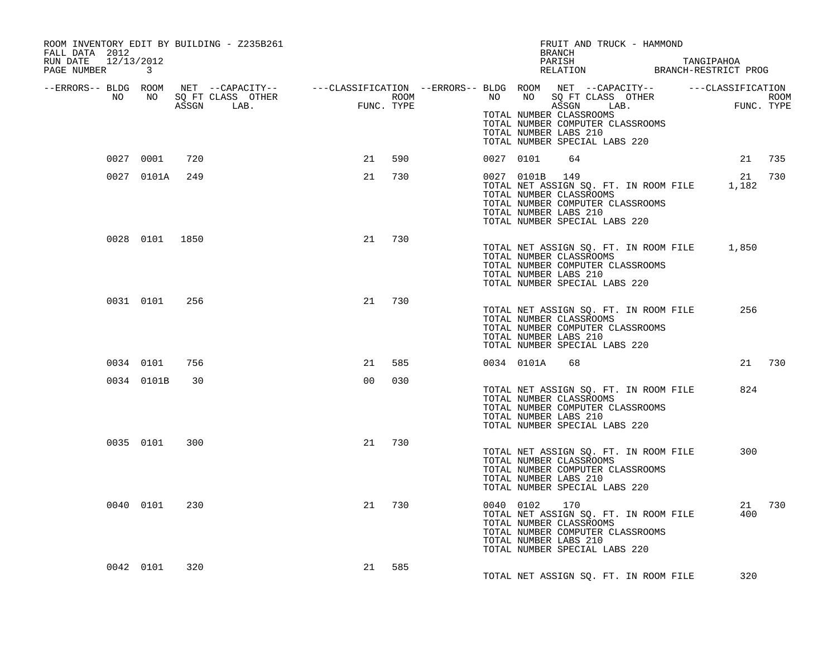| ROOM INVENTORY EDIT BY BUILDING - Z235B261<br>FALL DATA 2012<br>RUN DATE 12/13/2012<br>PAGE NUMBER 3 |                |     |                |     |  |                | FRUIT AND TRUCK - HAMMOND<br>BRANCH<br>PARISH TANGIPAHOA RELATION BRANCH-RESTRICT PROG                                                                                                                                                                                                                                                                       |               |  |
|------------------------------------------------------------------------------------------------------|----------------|-----|----------------|-----|--|----------------|--------------------------------------------------------------------------------------------------------------------------------------------------------------------------------------------------------------------------------------------------------------------------------------------------------------------------------------------------------------|---------------|--|
|                                                                                                      |                |     |                |     |  |                | ERRORS-- BLDG ROOM NET --CAPACITY--- --CLASSIFICATION --ERRORS-- BLDG ROOM NET --CAPACITY----------CLASSIFICATION--<br>NO NO SQ FT CLASS OTHER ROOM NO ROOM NO SQ FT CLASS OTHER ROOM NO SQ FT CLASS OTHER ROOM<br>ASSGN LAB. FUNC.<br>TOTAL NUMBER CLASSROOMS<br>TOTAL NUMBER COMPUTER CLASSROOMS<br>TOTAL NUMBER LABS 210<br>TOTAL NUMBER SPECIAL LABS 220 |               |  |
|                                                                                                      | 0027 0001      | 720 | 21 590         |     |  | 0027 0101 64   |                                                                                                                                                                                                                                                                                                                                                              | 21 735        |  |
|                                                                                                      | 0027 0101A     | 249 | 21             | 730 |  | 0027 0101B 149 | TOTAL NET ASSIGN SQ. FT. IN ROOM FILE 1,182<br>TOTAL NUMBER CLASSROOMS<br>TOTAL NUMBER COMPUTER CLASSROOMS<br>TOTAL NUMBER LABS 210<br>TOTAL NUMBER SPECIAL LABS 220                                                                                                                                                                                         | 21 730        |  |
|                                                                                                      | 0028 0101 1850 |     | 21             | 730 |  |                | TOTAL NET ASSIGN SQ. FT. IN ROOM FILE 1,850<br>TOTAL NUMBER CLASSROOMS<br>TOTAL NUMBER COMPUTER CLASSROOMS<br>TOTAL NUMBER LABS 210<br>TOTAL NUMBER SPECIAL LABS 220                                                                                                                                                                                         |               |  |
|                                                                                                      | 0031 0101      | 256 | 21             | 730 |  |                | TOTAL NET ASSIGN SQ. FT. IN ROOM FILE<br>TOTAL NUMBER CLASSROOMS<br>TOTAL NUMBER COMPUTER CLASSROOMS<br>TOTAL NUMBER LABS 210<br>TOTAL NUMBER SPECIAL LABS 220                                                                                                                                                                                               | 256           |  |
| 0034 0101                                                                                            |                | 756 | 21             | 585 |  | 0034 0101A     | 68                                                                                                                                                                                                                                                                                                                                                           | 21 730        |  |
|                                                                                                      | 0034 0101B     | 30  | 0 <sub>0</sub> | 030 |  |                | TOTAL NET ASSIGN SQ. FT. IN ROOM FILE<br>TOTAL NUMBER CLASSROOMS<br>TOTAL NUMBER COMPUTER CLASSROOMS<br>TOTAL NUMBER LABS 210<br>TOTAL NUMBER SPECIAL LABS 220                                                                                                                                                                                               | 824           |  |
|                                                                                                      | 0035 0101      | 300 | 21             | 730 |  |                | TOTAL NET ASSIGN SQ. FT. IN ROOM FILE<br>TOTAL NUMBER CLASSROOMS<br>TOTAL NUMBER COMPUTER CLASSROOMS<br>TOTAL NUMBER LABS 210<br>TOTAL NUMBER SPECIAL LABS 220                                                                                                                                                                                               | 300           |  |
|                                                                                                      | 0040 0101      | 230 | 21             | 730 |  | 0040 0102 170  | TOTAL NET ASSIGN SQ. FT. IN ROOM FILE<br>TOTAL NUMBER CLASSROOMS<br>TOTAL NUMBER COMPUTER CLASSROOMS<br>TOTAL NUMBER LABS 210<br>TOTAL NUMBER SPECIAL LABS 220                                                                                                                                                                                               | 21 730<br>400 |  |
| 0042 0101                                                                                            |                | 320 | 21 585         |     |  |                | TOTAL NET ASSIGN SQ. FT. IN ROOM FILE                                                                                                                                                                                                                                                                                                                        | 320           |  |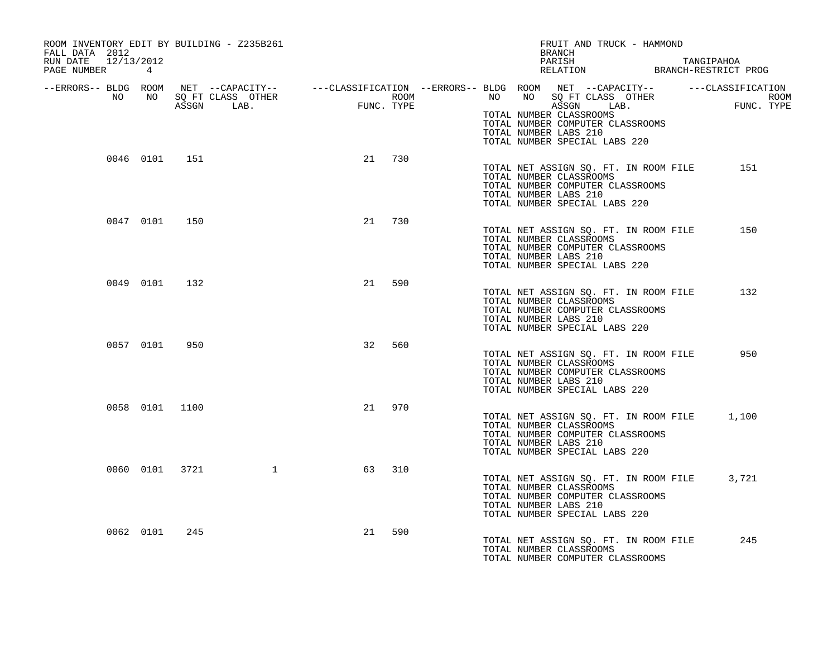| ROOM INVENTORY EDIT BY BUILDING - Z235B261<br>FALL DATA 2012 |                |                  |    |        | FRUIT AND TRUCK - HAMMOND<br>BRANCH                                                                                                                                                                                                                                                                                                                           |
|--------------------------------------------------------------|----------------|------------------|----|--------|---------------------------------------------------------------------------------------------------------------------------------------------------------------------------------------------------------------------------------------------------------------------------------------------------------------------------------------------------------------|
| RUN DATE 12/13/2012<br>PAGE NUMBER 4                         |                |                  |    |        | PARISH TANGIPAHOA RELATION BRANCH-RESTRICT PROG                                                                                                                                                                                                                                                                                                               |
|                                                              |                |                  |    |        | ERRORS-- BLDG ROOM NET --CAPACITY--- --CLASSIFICATION --ERRORS-- BLDG ROOM NET --CAPACITY--------------------<br>NO NO SQ FT CLASS OTHER ROOM ROOM NO SQ FT CLASS OTHER ROOM ROOM NO SQ FT CLASS OTHER ROOM ROOM ROOM ROOM ROOM<br>A<br>TOTAL NUMBER CLASSROOMS<br>TOTAL NUMBER COMPUTER CLASSROOMS<br>TOTAL NUMBER LABS 210<br>TOTAL NUMBER SPECIAL LABS 220 |
|                                                              | 0046 0101 151  |                  |    | 21 730 | TOTAL NET ASSIGN SO. FT. IN ROOM FILE<br>151<br>TOTAL NUMBER CLASSROOMS<br>TOTAL NUMBER COMPUTER CLASSROOMS<br>TOTAL NUMBER LABS 210<br>TOTAL NUMBER SPECIAL LABS 220                                                                                                                                                                                         |
| 0047 0101 150                                                |                |                  | 21 | 730    | TOTAL NET ASSIGN SQ. FT. IN ROOM FILE<br>150<br>TOTAL NUMBER CLASSROOMS<br>TOTAL NUMBER COMPUTER CLASSROOMS<br>TOTAL NUMBER LABS 210<br>TOTAL NUMBER SPECIAL LABS 220                                                                                                                                                                                         |
| 0049 0101 132                                                |                |                  |    | 21 590 | TOTAL NET ASSIGN SQ. FT. IN ROOM FILE<br>132<br>TOTAL NUMBER CLASSROOMS<br>TOTAL NUMBER COMPUTER CLASSROOMS<br>TOTAL NUMBER LABS 210<br>TOTAL NUMBER SPECIAL LABS 220                                                                                                                                                                                         |
| 0057 0101                                                    | 950            |                  | 32 | 560    | TOTAL NET ASSIGN SQ. FT. IN ROOM FILE<br>950<br>TOTAL NUMBER CLASSROOMS<br>TOTAL NUMBER COMPUTER CLASSROOMS<br>TOTAL NUMBER LABS 210<br>TOTAL NUMBER SPECIAL LABS 220                                                                                                                                                                                         |
|                                                              | 0058 0101 1100 |                  |    | 21 970 | TOTAL NET ASSIGN SQ. FT. IN ROOM FILE<br>1,100<br>TOTAL NUMBER CLASSROOMS<br>TOTAL NUMBER COMPUTER CLASSROOMS<br>TOTAL NUMBER LABS 210<br>TOTAL NUMBER SPECIAL LABS 220                                                                                                                                                                                       |
|                                                              |                | 0060 0101 3721 1 | 63 | 310    | TOTAL NET ASSIGN SQ. FT. IN ROOM FILE<br>3,721<br>TOTAL NUMBER CLASSROOMS<br>TOTAL NUMBER COMPUTER CLASSROOMS<br>TOTAL NUMBER LABS 210<br>TOTAL NUMBER SPECIAL LABS 220                                                                                                                                                                                       |
| 0062 0101                                                    | 245            |                  | 21 | 590    | TOTAL NET ASSIGN SO. FT. IN ROOM FILE<br>245<br>TOTAL NUMBER CLASSROOMS<br>TOTAL NUMBER COMPUTER CLASSROOMS                                                                                                                                                                                                                                                   |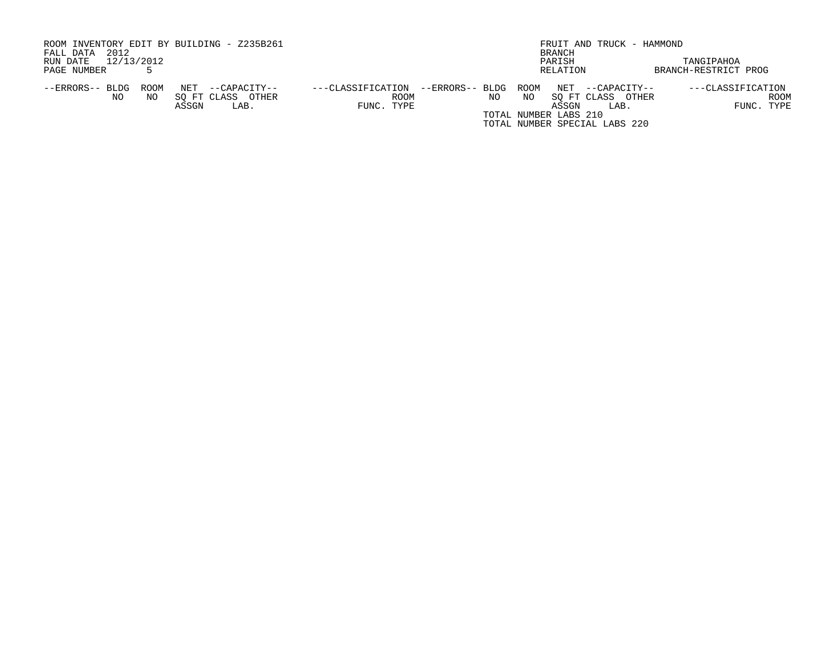| ROOM INVENTORY EDIT BY BUILDING - Z235B261 |                                   |                               | FRUIT AND TRUCK - HAMMOND             |
|--------------------------------------------|-----------------------------------|-------------------------------|---------------------------------------|
| 2012<br>FALL DATA                          |                                   | BRANCH                        |                                       |
| 12/13/2012<br>RUN DATE                     |                                   | PARISH                        | TANGIPAHOA                            |
| PAGE NUMBER                                |                                   | RELATION                      | BRANCH-RESTRICT PROG                  |
|                                            |                                   |                               |                                       |
| NET<br>--ERRORS-- BLDG<br>ROOM             | ---CLASSIFICATION<br>--CAPACITY-- | ROOM<br>--ERRORS-- BLDG       | NET --CAPACITY--<br>---CLASSIFICATION |
| SO FT CLASS OTHER<br>NO.<br>NO.            | ROOM                              | NO.<br>NO                     | ROOM<br>SO FT CLASS OTHER             |
| ASSGN                                      | FUNC. TYPE<br>LAB.                |                               | FUNC. TYPE<br>ASSGN<br>LAB.           |
|                                            |                                   | TOTAL NUMBER LABS 210         |                                       |
|                                            |                                   | TOTAL NUMBER SPECIAL LABS 220 |                                       |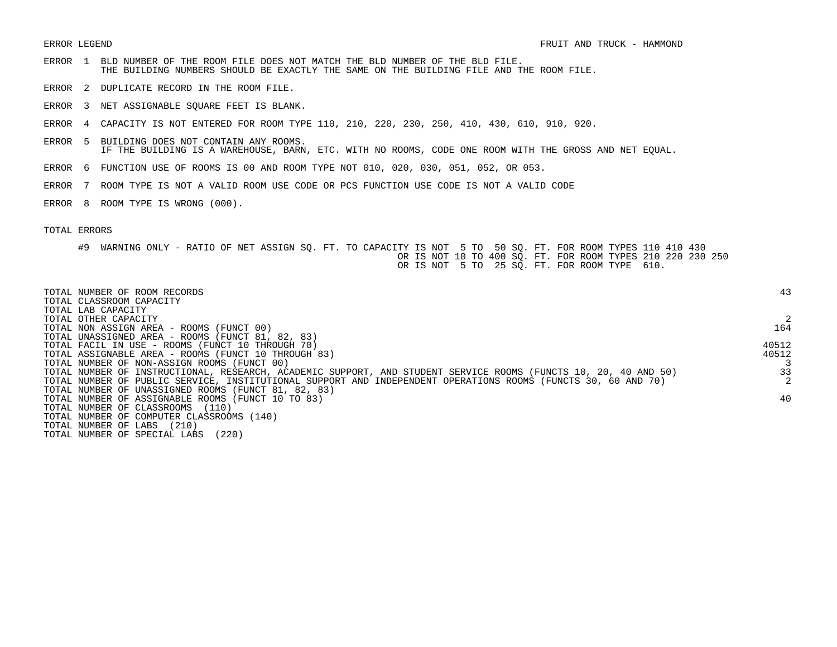- ERROR 1 BLD NUMBER OF THE ROOM FILE DOES NOT MATCH THE BLD NUMBER OF THE BLD FILE. THE BUILDING NUMBERS SHOULD BE EXACTLY THE SAME ON THE BUILDING FILE AND THE ROOM FILE.
- ERROR 2 DUPLICATE RECORD IN THE ROOM FILE.
- ERROR 3 NET ASSIGNABLE SQUARE FEET IS BLANK.
- ERROR 4 CAPACITY IS NOT ENTERED FOR ROOM TYPE 110, 210, 220, 230, 250, 410, 430, 610, 910, 920.
- ERROR 5 BUILDING DOES NOT CONTAIN ANY ROOMS. IF THE BUILDING IS A WAREHOUSE, BARN, ETC. WITH NO ROOMS, CODE ONE ROOM WITH THE GROSS AND NET EQUAL.
- ERROR 6 FUNCTION USE OF ROOMS IS 00 AND ROOM TYPE NOT 010, 020, 030, 051, 052, OR 053.
- ERROR 7 ROOM TYPE IS NOT A VALID ROOM USE CODE OR PCS FUNCTION USE CODE IS NOT A VALID CODE
- ERROR 8 ROOM TYPE IS WRONG (000).

| TOTAL NUMBER OF ROOM RECORDS<br>TOTAL CLASSROOM CAPACITY<br>TOTAL LAB CAPACITY                                  | 43    |
|-----------------------------------------------------------------------------------------------------------------|-------|
| TOTAL OTHER CAPACITY                                                                                            |       |
| TOTAL NON ASSIGN AREA - ROOMS (FUNCT 00)                                                                        | 164   |
| TOTAL UNASSIGNED AREA - ROOMS (FUNCT 81, 82, 83)                                                                |       |
| TOTAL FACIL IN USE - ROOMS (FUNCT 10 THROUGH 70)                                                                | 40512 |
| TOTAL ASSIGNABLE AREA - ROOMS (FUNCT 10 THROUGH 83)                                                             | 40512 |
| TOTAL NUMBER OF NON-ASSIGN ROOMS (FUNCT 00)                                                                     |       |
| TOTAL NUMBER OF INSTRUCTIONAL, RESEARCH, ACADEMIC SUPPORT, AND STUDENT SERVICE ROOMS (FUNCTS 10, 20, 40 AND 50) | 33    |
| TOTAL NUMBER OF PUBLIC SERVICE, INSTITUTIONAL SUPPORT AND INDEPENDENT OPERATIONS ROOMS (FUNCTS 30, 60 AND 70)   | 2     |
| TOTAL NUMBER OF UNASSIGNED ROOMS (FUNCT 81, 82, 83)                                                             |       |
| TOTAL NUMBER OF ASSIGNABLE ROOMS (FUNCT 10 TO 83)                                                               | 40    |
| TOTAL NUMBER OF CLASSROOMS<br>(110)                                                                             |       |
| TOTAL NUMBER OF COMPUTER CLASSROOMS (140)                                                                       |       |
| (210)<br>TOTAL NUMBER OF LABS                                                                                   |       |
| TOTAL NUMBER OF SPECIAL LABS<br>(220)                                                                           |       |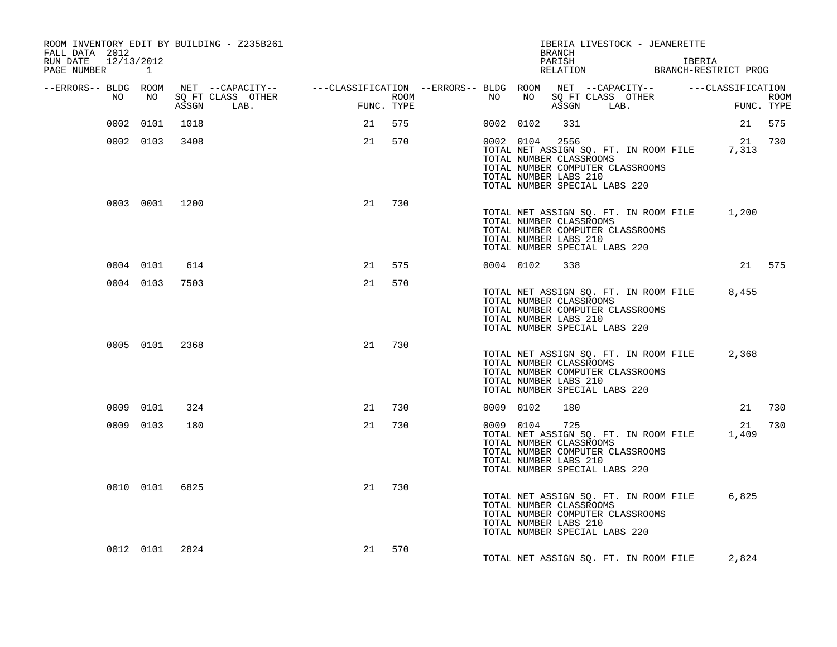| ROOM INVENTORY EDIT BY BUILDING - Z235B261<br>FALL DATA 2012<br>RUN DATE 12/13/2012<br>PAGE NUMBER 1 |                |      |                                                                                                 |    |            |             |           |           | <b>BRANCH</b><br>PARISH                                            |                               | IBERIA LIVESTOCK - JEANERETTE                                             | IBERIA<br>RELATION BRANCH-RESTRICT PROG     |             |
|------------------------------------------------------------------------------------------------------|----------------|------|-------------------------------------------------------------------------------------------------|----|------------|-------------|-----------|-----------|--------------------------------------------------------------------|-------------------------------|---------------------------------------------------------------------------|---------------------------------------------|-------------|
| --ERRORS-- BLDG ROOM                                                                                 |                |      | NET --CAPACITY-- -----CLASSIFICATION --ERRORS-- BLDG ROOM NET --CAPACITY-- ------CLASSIFICATION |    |            |             |           |           |                                                                    |                               |                                                                           |                                             |             |
| NO                                                                                                   | NO             |      | SO FT CLASS OTHER<br>ASSGN LAB.                                                                 |    | FUNC. TYPE | <b>ROOM</b> | NO        |           |                                                                    |                               | NO SQ FT CLASS OTHER<br>ASSGN LAB.                                        | FUNC. TYPE                                  | <b>ROOM</b> |
|                                                                                                      | 0002 0101      | 1018 |                                                                                                 | 21 | 575        |             | 0002 0102 |           | 331                                                                |                               |                                                                           | 21 575                                      |             |
|                                                                                                      | 0002 0103      | 3408 |                                                                                                 | 21 | 570        |             |           |           | 0002 0104 2556<br>TOTAL NUMBER CLASSROOMS<br>TOTAL NUMBER LABS 210 | TOTAL NUMBER SPECIAL LABS 220 | TOTAL NET ASSIGN SQ. FT. IN ROOM FILE<br>TOTAL NUMBER COMPUTER CLASSROOMS | 21 730<br>7,313                             |             |
|                                                                                                      | 0003 0001 1200 |      |                                                                                                 | 21 | 730        |             |           |           | TOTAL NUMBER CLASSROOMS<br>TOTAL NUMBER LABS 210                   | TOTAL NUMBER SPECIAL LABS 220 | TOTAL NUMBER COMPUTER CLASSROOMS                                          | TOTAL NET ASSIGN SQ. FT. IN ROOM FILE 1,200 |             |
|                                                                                                      | 0004 0101      | 614  |                                                                                                 | 21 | 575        |             | 0004 0102 |           | 338                                                                |                               |                                                                           | 21 575                                      |             |
|                                                                                                      | 0004 0103      | 7503 |                                                                                                 | 21 | 570        |             |           |           | TOTAL NUMBER CLASSROOMS<br>TOTAL NUMBER LABS 210                   | TOTAL NUMBER SPECIAL LABS 220 | TOTAL NET ASSIGN SQ. FT. IN ROOM FILE<br>TOTAL NUMBER COMPUTER CLASSROOMS | 8,455                                       |             |
|                                                                                                      | 0005 0101 2368 |      |                                                                                                 | 21 | 730        |             |           |           | TOTAL NUMBER CLASSROOMS<br>TOTAL NUMBER LABS 210                   | TOTAL NUMBER SPECIAL LABS 220 | TOTAL NET ASSIGN SQ. FT. IN ROOM FILE<br>TOTAL NUMBER COMPUTER CLASSROOMS | 2,368                                       |             |
|                                                                                                      | 0009 0101      | 324  |                                                                                                 | 21 | 730        |             | 0009 0102 |           | 180                                                                |                               |                                                                           | 21                                          | 730         |
|                                                                                                      | 0009 0103      | 180  |                                                                                                 | 21 | 730        |             |           | 0009 0104 | 725<br>TOTAL NUMBER CLASSROOMS<br>TOTAL NUMBER LABS 210            | TOTAL NUMBER SPECIAL LABS 220 | TOTAL NET ASSIGN SQ. FT. IN ROOM FILE<br>TOTAL NUMBER COMPUTER CLASSROOMS | 1,409                                       | 21 730      |
|                                                                                                      | 0010 0101 6825 |      |                                                                                                 | 21 | 730        |             |           |           | TOTAL NUMBER CLASSROOMS<br>TOTAL NUMBER LABS 210                   | TOTAL NUMBER SPECIAL LABS 220 | TOTAL NET ASSIGN SQ. FT. IN ROOM FILE<br>TOTAL NUMBER COMPUTER CLASSROOMS | 6,825                                       |             |
|                                                                                                      | 0012 0101      | 2824 |                                                                                                 | 21 | 570        |             |           |           |                                                                    |                               | TOTAL NET ASSIGN SQ. FT. IN ROOM FILE                                     | 2,824                                       |             |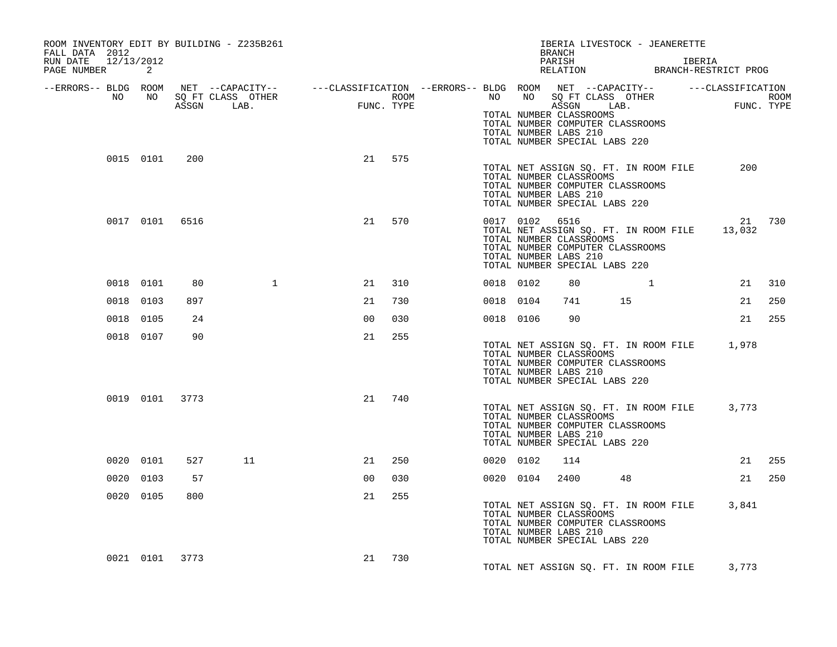| ROOM INVENTORY EDIT BY BUILDING - Z235B261<br>FALL DATA 2012<br>RUN DATE 12/13/2012 |                |     |                                 |                                  |        | IBERIA LIVESTOCK - JEANERETTE<br>BRANCH<br>PARISH<br>IBERIA                                                                                                                                                                                                                                            |     |
|-------------------------------------------------------------------------------------|----------------|-----|---------------------------------|----------------------------------|--------|--------------------------------------------------------------------------------------------------------------------------------------------------------------------------------------------------------------------------------------------------------------------------------------------------------|-----|
| PAGE NUMBER                                                                         | 2              |     |                                 |                                  |        | PARISH<br>RELATION BRANCH-RESTRICT PROG                                                                                                                                                                                                                                                                |     |
| --ERRORS-- BLDG ROOM<br>NO                                                          | NO             |     | SQ FT CLASS OTHER<br>ASSGN LAB. | $\texttt{FUNC}\,.$<br>FUNC. TYPE |        | NET --CAPACITY--   ---CLASSIFICATION --ERRORS-- BLDG ROOM NET --CAPACITY--   ---CLASSIFICATION<br>NO NO SQ FT CLASS OTHER<br>NO NO SQ FT CLASS OTHER FUNC TYPE<br><b>ROOM</b><br>TOTAL NUMBER CLASSROOMS<br>TOTAL NUMBER COMPUTER CLASSROOMS<br>TOTAL NUMBER LABS 210<br>TOTAL NUMBER SPECIAL LABS 220 |     |
|                                                                                     | 0015 0101      | 200 |                                 |                                  | 21 575 | TOTAL NET ASSIGN SO. FT. IN ROOM FILE<br>200<br>TOTAL NUMBER CLASSROOMS<br>TOTAL NUMBER COMPUTER CLASSROOMS<br>TOTAL NUMBER LABS 210<br>TOTAL NUMBER SPECIAL LABS 220                                                                                                                                  |     |
|                                                                                     | 0017 0101 6516 |     |                                 | 21                               | 570    | 0017 0102 6516<br>21 730<br>TOTAL NET ASSIGN SQ. FT. IN ROOM FILE<br>13,032<br>TOTAL NUMBER CLASSROOMS<br>TOTAL NUMBER COMPUTER CLASSROOMS<br>TOTAL NUMBER LABS 210<br>TOTAL NUMBER SPECIAL LABS 220                                                                                                   |     |
|                                                                                     | 0018 0101      | 80  | $\mathbf{1}$                    | 21                               | 310    | 0018 0102<br>80<br>21 310                                                                                                                                                                                                                                                                              |     |
|                                                                                     | 0018 0103      | 897 |                                 | 21                               | 730    | 21<br>0018 0104<br>741<br>15                                                                                                                                                                                                                                                                           | 250 |
|                                                                                     | 0018 0105      | 24  |                                 | 00                               | 030    | 21 255<br>0018 0106<br>90                                                                                                                                                                                                                                                                              |     |
|                                                                                     | 0018 0107      | 90  |                                 | 21                               | 255    | TOTAL NET ASSIGN SQ. FT. IN ROOM FILE 1,978<br>TOTAL NUMBER CLASSROOMS<br>TOTAL NUMBER COMPUTER CLASSROOMS<br>TOTAL NUMBER LABS 210<br>TOTAL NUMBER SPECIAL LABS 220                                                                                                                                   |     |
|                                                                                     | 0019 0101 3773 |     |                                 | 21                               | 740    | TOTAL NET ASSIGN SQ. FT. IN ROOM FILE 3,773<br>TOTAL NUMBER CLASSROOMS<br>TOTAL NUMBER COMPUTER CLASSROOMS<br>TOTAL NUMBER LABS 210<br>TOTAL NUMBER SPECIAL LABS 220                                                                                                                                   |     |
|                                                                                     | 0020 0101      | 527 | 11                              | 21                               | 250    | 21<br>0020 0102<br>114                                                                                                                                                                                                                                                                                 | 255 |
|                                                                                     | 0020 0103      | 57  |                                 | 00                               | 030    | 21 250<br>0020 0104<br>2400<br>48                                                                                                                                                                                                                                                                      |     |
|                                                                                     | 0020 0105      | 800 |                                 | 21                               | 255    | TOTAL NET ASSIGN SQ. FT. IN ROOM FILE 3,841<br>TOTAL NUMBER CLASSROOMS<br>TOTAL NUMBER COMPUTER CLASSROOMS<br>TOTAL NUMBER LABS 210<br>TOTAL NUMBER SPECIAL LABS 220                                                                                                                                   |     |
|                                                                                     | 0021 0101 3773 |     |                                 | 21                               | 730    | TOTAL NET ASSIGN SQ. FT. IN ROOM FILE 3,773                                                                                                                                                                                                                                                            |     |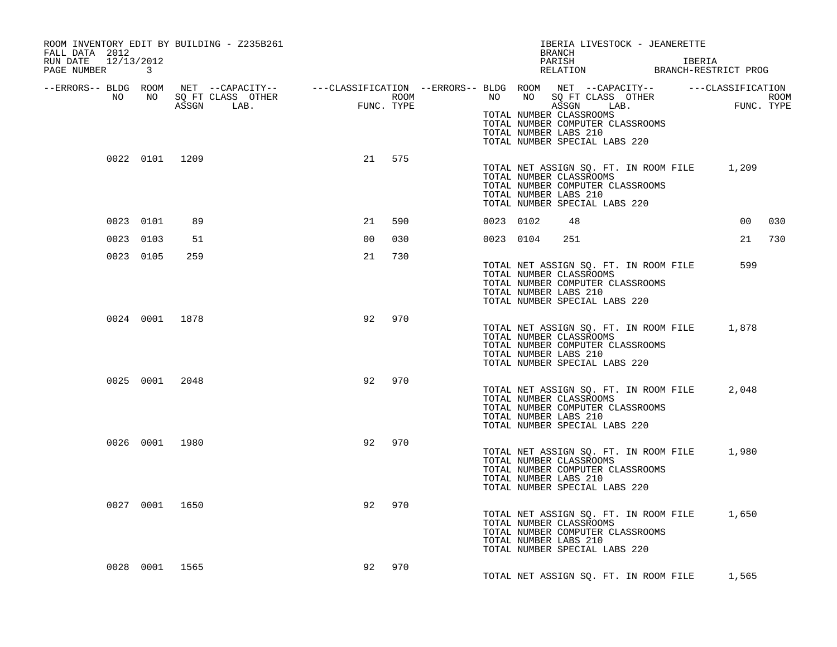| ROOM INVENTORY EDIT BY BUILDING - Z235B261<br>FALL DATA 2012<br>RUN DATE 12/13/2012<br>PAGE NUMBER 3 |                |                                 |                                                |            |             | IBERIA LIVESTOCK - JEANERETTE<br>BRANCH<br>PARISH<br>IBERIA<br>PARISH LBERIA<br>RELATION BRANCH-RESTRICT PROG |                                                                                                                                                                                                                                                                                                             |  |       |     |
|------------------------------------------------------------------------------------------------------|----------------|---------------------------------|------------------------------------------------|------------|-------------|---------------------------------------------------------------------------------------------------------------|-------------------------------------------------------------------------------------------------------------------------------------------------------------------------------------------------------------------------------------------------------------------------------------------------------------|--|-------|-----|
| NO .                                                                                                 | NO             | SQ FT CLASS OTHER<br>ASSGN LAB. | $\begin{array}{lll} \mathrm{FUNC} \end{array}$ | FUNC. TYPE | <b>ROOM</b> |                                                                                                               | --ERRORS-- BLDG ROOM NET --CAPACITY-- ----CLASSIFICATION --ERRORS-- BLDG ROOM NET --CAPACITY-- -----CLASSIFICATION<br>NO NO SQ FT CLASS OTHER<br>NO NO SQ FT CLASS OTHER FUNC TYPE<br>TOTAL NUMBER CLASSROOMS<br>TOTAL NUMBER COMPUTER CLASSROOMS<br>TOTAL NUMBER LABS 210<br>TOTAL NUMBER SPECIAL LABS 220 |  |       |     |
|                                                                                                      | 0022 0101 1209 |                                 |                                                | 21 575     |             |                                                                                                               | TOTAL NET ASSIGN SQ. FT. IN ROOM FILE 1,209<br>TOTAL NUMBER CLASSROOMS<br>TOTAL NUMBER COMPUTER CLASSROOMS<br>TOTAL NUMBER LABS 210<br>TOTAL NUMBER SPECIAL LABS 220                                                                                                                                        |  |       |     |
| 0023 0101                                                                                            | 89             |                                 | 21                                             | 590        |             | 0023 0102                                                                                                     | 48                                                                                                                                                                                                                                                                                                          |  | 00    | 030 |
| 0023 0103                                                                                            | 51             |                                 | 0 <sup>0</sup>                                 | 030        |             | 0023 0104                                                                                                     | 251                                                                                                                                                                                                                                                                                                         |  | 21    | 730 |
| 0023 0105                                                                                            | 259            |                                 | 21                                             | 730        |             |                                                                                                               | TOTAL NET ASSIGN SQ. FT. IN ROOM FILE<br>TOTAL NUMBER CLASSROOMS<br>TOTAL NUMBER COMPUTER CLASSROOMS<br>TOTAL NUMBER LABS 210<br>TOTAL NUMBER SPECIAL LABS 220                                                                                                                                              |  | 599   |     |
|                                                                                                      | 0024 0001 1878 |                                 | 92                                             | 970        |             |                                                                                                               | TOTAL NET ASSIGN SQ. FT. IN ROOM FILE 1,878<br>TOTAL NUMBER CLASSROOMS<br>TOTAL NUMBER COMPUTER CLASSROOMS<br>TOTAL NUMBER LABS 210<br>TOTAL NUMBER SPECIAL LABS 220                                                                                                                                        |  |       |     |
|                                                                                                      | 0025 0001 2048 |                                 | 92                                             | 970        |             |                                                                                                               | TOTAL NET ASSIGN SQ. FT. IN ROOM FILE<br>TOTAL NUMBER CLASSROOMS<br>TOTAL NUMBER COMPUTER CLASSROOMS<br>TOTAL NUMBER LABS 210<br>TOTAL NUMBER SPECIAL LABS 220                                                                                                                                              |  | 2,048 |     |
|                                                                                                      | 0026 0001 1980 |                                 | 92                                             | 970        |             |                                                                                                               | TOTAL NET ASSIGN SQ. FT. IN ROOM FILE 1,980<br>TOTAL NUMBER CLASSROOMS<br>TOTAL NUMBER COMPUTER CLASSROOMS<br>TOTAL NUMBER LABS 210<br>TOTAL NUMBER SPECIAL LABS 220                                                                                                                                        |  |       |     |
|                                                                                                      | 0027 0001 1650 |                                 | 92                                             | 970        |             |                                                                                                               | TOTAL NET ASSIGN SQ. FT. IN ROOM FILE 1,650<br>TOTAL NUMBER CLASSROOMS<br>TOTAL NUMBER COMPUTER CLASSROOMS<br>TOTAL NUMBER LABS 210<br>TOTAL NUMBER SPECIAL LABS 220                                                                                                                                        |  |       |     |
|                                                                                                      | 0028 0001 1565 |                                 | 92                                             | 970        |             |                                                                                                               | TOTAL NET ASSIGN SQ. FT. IN ROOM FILE                                                                                                                                                                                                                                                                       |  | 1,565 |     |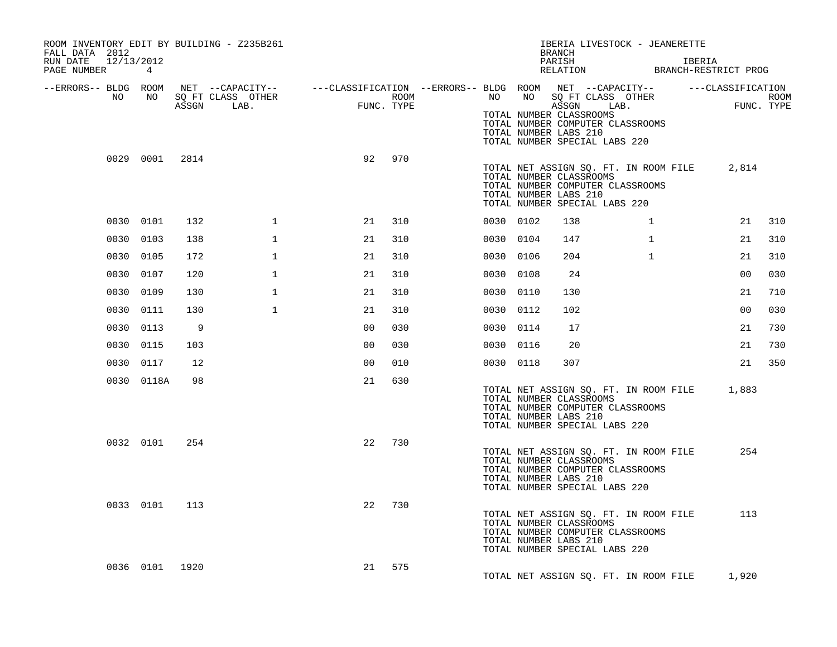| ROOM INVENTORY EDIT BY BUILDING - Z235B261<br>FALL DATA 2012<br>12/13/2012<br>RUN DATE<br>PAGE NUMBER | 4          |       |                                               |                                                                       |      |           |                                                                                                                                                                | <b>BRANCH</b><br>PARISH<br>RELATION |      |              | IBERIA LIVESTOCK - JEANERETTE<br>IBERIA | BRANCH-RESTRICT PROG |                           |
|-------------------------------------------------------------------------------------------------------|------------|-------|-----------------------------------------------|-----------------------------------------------------------------------|------|-----------|----------------------------------------------------------------------------------------------------------------------------------------------------------------|-------------------------------------|------|--------------|-----------------------------------------|----------------------|---------------------------|
| --ERRORS-- BLDG ROOM<br>NO                                                                            | NO         | ASSGN | NET --CAPACITY--<br>SQ FT CLASS OTHER<br>LAB. | ---CLASSIFICATION --ERRORS-- BLDG ROOM NET --CAPACITY--<br>FUNC. TYPE | ROOM | NO        | NO<br>TOTAL NUMBER CLASSROOMS<br>TOTAL NUMBER COMPUTER CLASSROOMS<br>TOTAL NUMBER LABS 210<br>TOTAL NUMBER SPECIAL LABS 220                                    | SQ FT CLASS OTHER<br>ASSGN          | LAB. |              |                                         | ---CLASSIFICATION    | <b>ROOM</b><br>FUNC. TYPE |
|                                                                                                       | 0029 0001  | 2814  |                                               | 92                                                                    | 970  |           | TOTAL NUMBER CLASSROOMS<br>TOTAL NUMBER COMPUTER CLASSROOMS<br>TOTAL NUMBER LABS 210<br>TOTAL NUMBER SPECIAL LABS 220                                          |                                     |      |              | TOTAL NET ASSIGN SQ. FT. IN ROOM FILE   | 2,814                |                           |
|                                                                                                       | 0030 0101  | 132   | 1                                             | 21                                                                    | 310  | 0030 0102 |                                                                                                                                                                | 138                                 |      | $\mathbf{1}$ |                                         | 21                   | 310                       |
| 0030                                                                                                  | 0103       | 138   | $\mathbf 1$                                   | 21                                                                    | 310  | 0030 0104 |                                                                                                                                                                | 147                                 |      | $\mathbf{1}$ |                                         | 21                   | 310                       |
|                                                                                                       | 0030 0105  | 172   | 1                                             | 21                                                                    | 310  | 0030 0106 |                                                                                                                                                                | 204                                 |      | $\mathbf{1}$ |                                         | 21                   | 310                       |
|                                                                                                       | 0030 0107  | 120   | $\mathbf 1$                                   | 21                                                                    | 310  | 0030 0108 |                                                                                                                                                                | 24                                  |      |              |                                         | 00                   | 030                       |
|                                                                                                       | 0030 0109  | 130   | $\mathbf 1$                                   | 21                                                                    | 310  | 0030 0110 |                                                                                                                                                                | 130                                 |      |              |                                         | 21                   | 710                       |
| 0030                                                                                                  | 0111       | 130   | $\mathbf 1$                                   | 21                                                                    | 310  | 0030      | 0112                                                                                                                                                           | 102                                 |      |              |                                         | 0 <sub>0</sub>       | 030                       |
| 0030                                                                                                  | 0113       | 9     |                                               | 00                                                                    | 030  | 0030 0114 |                                                                                                                                                                | 17                                  |      |              |                                         | 21                   | 730                       |
|                                                                                                       | 0030 0115  | 103   |                                               | 00                                                                    | 030  | 0030 0116 |                                                                                                                                                                | 20                                  |      |              |                                         | 21                   | 730                       |
|                                                                                                       | 0030 0117  | 12    |                                               | 00                                                                    | 010  | 0030 0118 |                                                                                                                                                                | 307                                 |      |              |                                         | 21                   | 350                       |
|                                                                                                       | 0030 0118A | 98    |                                               | 21                                                                    | 630  |           | TOTAL NUMBER CLASSROOMS<br>TOTAL NUMBER COMPUTER CLASSROOMS<br>TOTAL NUMBER LABS 210<br>TOTAL NUMBER SPECIAL LABS 220                                          |                                     |      |              | TOTAL NET ASSIGN SQ. FT. IN ROOM FILE   | 1,883                |                           |
|                                                                                                       | 0032 0101  | 254   |                                               | 22                                                                    | 730  |           | TOTAL NET ASSIGN SQ. FT. IN ROOM FILE<br>TOTAL NUMBER CLASSROOMS<br>TOTAL NUMBER COMPUTER CLASSROOMS<br>TOTAL NUMBER LABS 210<br>TOTAL NUMBER SPECIAL LABS 220 |                                     |      |              |                                         | 254                  |                           |
|                                                                                                       | 0033 0101  | 113   |                                               | 22                                                                    | 730  |           | TOTAL NET ASSIGN SQ. FT. IN ROOM FILE<br>TOTAL NUMBER CLASSROOMS<br>TOTAL NUMBER COMPUTER CLASSROOMS<br>TOTAL NUMBER LABS 210<br>TOTAL NUMBER SPECIAL LABS 220 |                                     |      |              |                                         | 113                  |                           |
|                                                                                                       | 0036 0101  | 1920  |                                               | 21                                                                    | 575  |           | TOTAL NET ASSIGN SQ. FT. IN ROOM FILE                                                                                                                          |                                     |      |              |                                         | 1,920                |                           |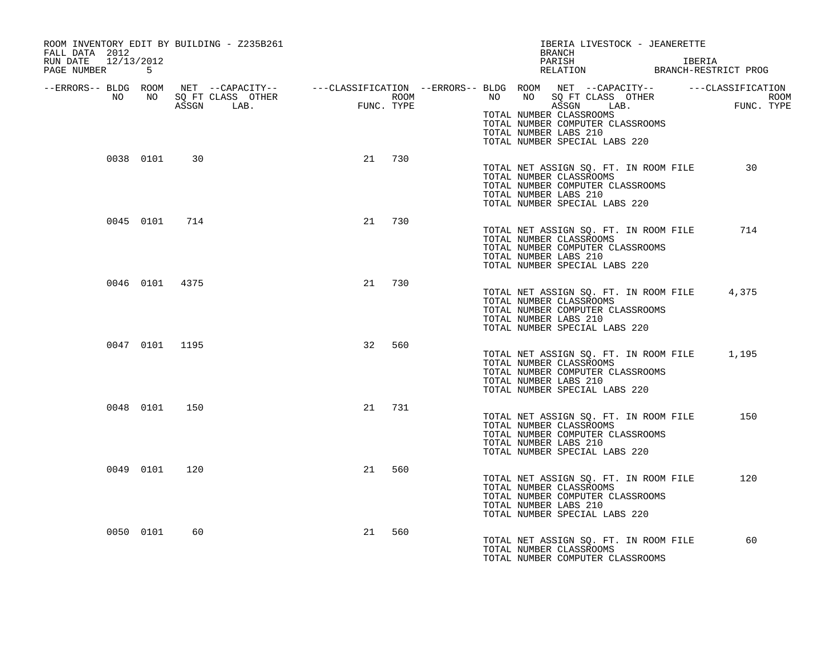| ROOM INVENTORY EDIT BY BUILDING - Z235B261<br>FALL DATA 2012<br>RUN DATE 12/13/2012<br>PAGE NUMBER 5 |           |                |                                                                          |    |            | IBERIA LIVESTOCK - JEANERETTE<br>BRANCH<br>PARISH IBERIA IBERIA RELATION BRANCH-RESTRICT PROG                                                                                                                                                                                                                              |  |
|------------------------------------------------------------------------------------------------------|-----------|----------------|--------------------------------------------------------------------------|----|------------|----------------------------------------------------------------------------------------------------------------------------------------------------------------------------------------------------------------------------------------------------------------------------------------------------------------------------|--|
|                                                                                                      |           |                | BLDG ROOM NET --CAPACITI--<br>NO NO SQFT CLASS OTHER<br>ASSAN LAB. FUNC. |    | FUNC. TYPE | --ERRORS-- BLDG ROOM NET --CAPACITY-- -----CLASSIFICATION --ERRORS-- BLDG ROOM NET --CAPACITY-- -----CLASSIFICATION<br>NO NO SQ FT CLASS OTHER<br><b>ROOM</b><br>ROOM<br>FUNC. TYPE<br>ASSGN LAB.<br>TOTAL NUMBER CLASSROOMS<br>TOTAL NUMBER COMPUTER CLASSROOMS<br>TOTAL NUMBER LABS 210<br>TOTAL NUMBER SPECIAL LABS 220 |  |
|                                                                                                      |           | 0038 0101 30   |                                                                          |    | 21 730     | 30<br>TOTAL NET ASSIGN SQ. FT. IN ROOM FILE<br>TOTAL NUMBER CLASSROOMS<br>TOTAL NUMBER COMPUTER CLASSROOMS<br>TOTAL NUMBER LABS 210<br>TOTAL NUMBER SPECIAL LABS 220                                                                                                                                                       |  |
|                                                                                                      |           | 0045 0101 714  |                                                                          | 21 | 730        | TOTAL NET ASSIGN SQ. FT. IN ROOM FILE<br>714<br>TOTAL NUMBER CLASSROOMS<br>TOTAL NUMBER COMPUTER CLASSROOMS<br>TOTAL NUMBER LABS 210<br>TOTAL NUMBER SPECIAL LABS 220                                                                                                                                                      |  |
|                                                                                                      |           | 0046 0101 4375 |                                                                          | 21 | 730        | TOTAL NET ASSIGN SQ. FT. IN ROOM FILE 4,375<br>TOTAL NUMBER CLASSROOMS<br>TOTAL NUMBER COMPUTER CLASSROOMS<br>TOTAL NUMBER LABS 210<br>TOTAL NUMBER SPECIAL LABS 220                                                                                                                                                       |  |
|                                                                                                      |           | 0047 0101 1195 |                                                                          | 32 | 560        | TOTAL NET ASSIGN SQ. FT. IN ROOM FILE 1,195<br>TOTAL NUMBER CLASSROOMS<br>TOTAL NUMBER COMPUTER CLASSROOMS<br>TOTAL NUMBER LABS 210<br>TOTAL NUMBER SPECIAL LABS 220                                                                                                                                                       |  |
|                                                                                                      |           | 0048 0101 150  |                                                                          | 21 | 731        | TOTAL NET ASSIGN SQ. FT. IN ROOM FILE<br>150<br>TOTAL NUMBER CLASSROOMS<br>TOTAL NUMBER COMPUTER CLASSROOMS<br>TOTAL NUMBER LABS 210<br>TOTAL NUMBER SPECIAL LABS 220                                                                                                                                                      |  |
|                                                                                                      | 0049 0101 | 120            |                                                                          |    | 21 560     | TOTAL NET ASSIGN SQ. FT. IN ROOM FILE<br>120<br>TOTAL NUMBER CLASSROOMS<br>TOTAL NUMBER COMPUTER CLASSROOMS<br>TOTAL NUMBER LABS 210<br>TOTAL NUMBER SPECIAL LABS 220                                                                                                                                                      |  |
|                                                                                                      | 0050 0101 | 60             |                                                                          | 21 | 560        | 60<br>TOTAL NET ASSIGN SQ. FT. IN ROOM FILE<br>TOTAL NUMBER CLASSROOMS<br>TOTAL NUMBER COMPUTER CLASSROOMS                                                                                                                                                                                                                 |  |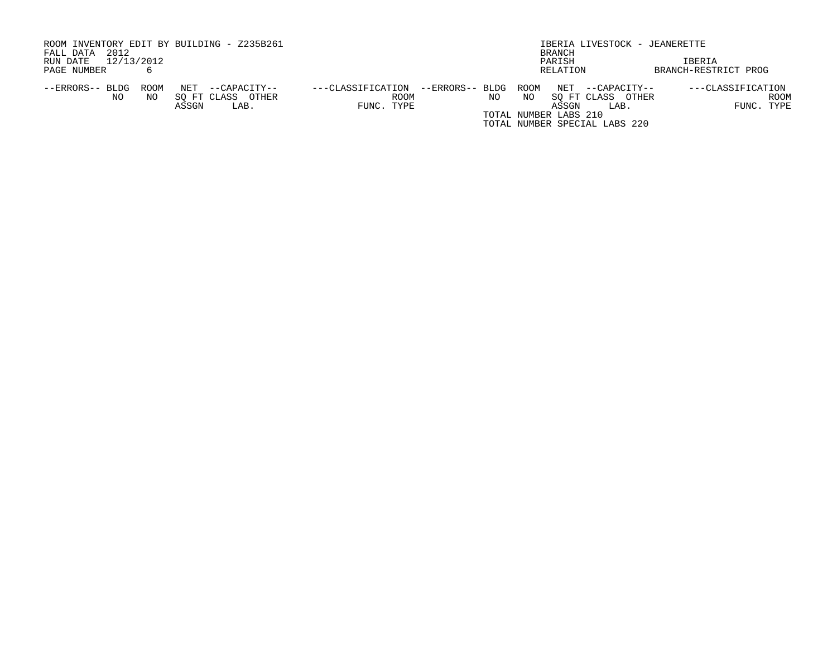| ROOM INVENTORY EDIT BY BUILDING - Z235B261     |                                      | IBERIA LIVESTOCK - JEANERETTE |                                       |  |  |  |  |  |
|------------------------------------------------|--------------------------------------|-------------------------------|---------------------------------------|--|--|--|--|--|
| 2012<br>FALL DATA                              |                                      | BRANCH                        |                                       |  |  |  |  |  |
| 12/13/2012<br>RUN DATE                         |                                      | PARISH                        | IBERIA                                |  |  |  |  |  |
| PAGE NUMBER                                    |                                      | RELATION                      | BRANCH-RESTRICT PROG                  |  |  |  |  |  |
|                                                |                                      |                               |                                       |  |  |  |  |  |
| NET<br>--ERRORS-- BLDG<br>ROOM<br>--CAPACITY-- | ---CLASSIFICATION<br>--ERRORS-- BLDG | ROOM                          | NET --CAPACITY--<br>---CLASSIFICATION |  |  |  |  |  |
| SO FT CLASS OTHER<br>NO.<br>NO.                | ROOM                                 | NO.<br>NO                     | ROOM<br>SO FT CLASS OTHER             |  |  |  |  |  |
| ASSGN<br>LAB.                                  | FUNC. TYPE                           | ASSGN                         | FUNC. TYPE<br>LAB.                    |  |  |  |  |  |
|                                                |                                      | TOTAL NUMBER LABS 210         |                                       |  |  |  |  |  |
|                                                |                                      | TOTAL NUMBER SPECIAL LABS 220 |                                       |  |  |  |  |  |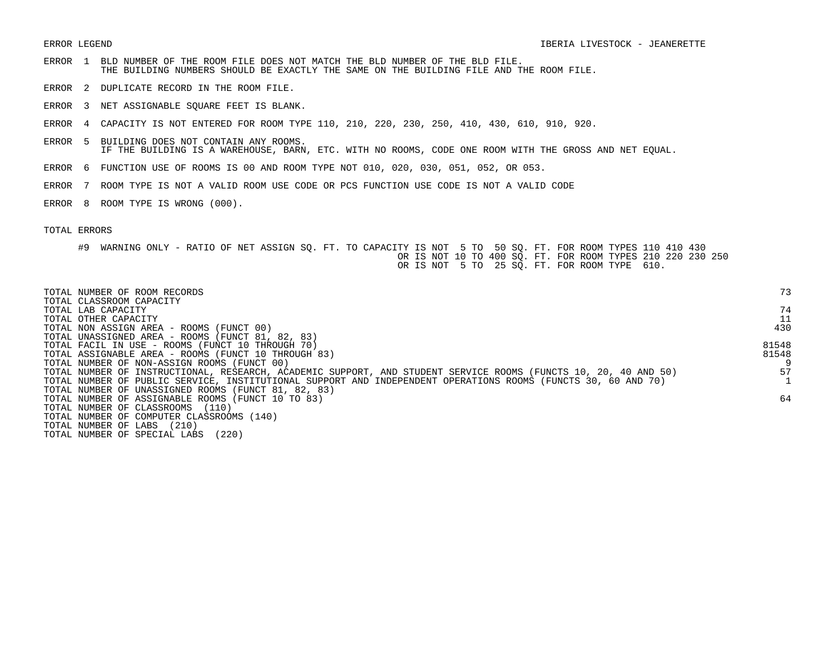- ERROR 1 BLD NUMBER OF THE ROOM FILE DOES NOT MATCH THE BLD NUMBER OF THE BLD FILE. THE BUILDING NUMBERS SHOULD BE EXACTLY THE SAME ON THE BUILDING FILE AND THE ROOM FILE.
- ERROR 2 DUPLICATE RECORD IN THE ROOM FILE.
- ERROR 3 NET ASSIGNABLE SQUARE FEET IS BLANK.
- ERROR 4 CAPACITY IS NOT ENTERED FOR ROOM TYPE 110, 210, 220, 230, 250, 410, 430, 610, 910, 920.
- ERROR 5 BUILDING DOES NOT CONTAIN ANY ROOMS. IF THE BUILDING IS A WAREHOUSE, BARN, ETC. WITH NO ROOMS, CODE ONE ROOM WITH THE GROSS AND NET EQUAL.
- ERROR 6 FUNCTION USE OF ROOMS IS 00 AND ROOM TYPE NOT 010, 020, 030, 051, 052, OR 053.
- ERROR 7 ROOM TYPE IS NOT A VALID ROOM USE CODE OR PCS FUNCTION USE CODE IS NOT A VALID CODE
- ERROR 8 ROOM TYPE IS WRONG (000).

| TOTAL NUMBER OF ROOM RECORDS<br>TOTAL CLASSROOM CAPACITY                                                        | 73    |
|-----------------------------------------------------------------------------------------------------------------|-------|
| TOTAL LAB CAPACITY                                                                                              | 74    |
| TOTAL OTHER CAPACITY                                                                                            | 11    |
| TOTAL NON ASSIGN AREA - ROOMS (FUNCT 00)                                                                        | 430   |
| TOTAL UNASSIGNED AREA - ROOMS (FUNCT 81, 82, 83)                                                                |       |
| TOTAL FACIL IN USE - ROOMS (FUNCT 10 THROUGH 70)                                                                | 81548 |
| TOTAL ASSIGNABLE AREA - ROOMS (FUNCT 10 THROUGH 83)                                                             | 81548 |
| TOTAL NUMBER OF NON-ASSIGN ROOMS (FUNCT 00)                                                                     |       |
| TOTAL NUMBER OF INSTRUCTIONAL, RESEARCH, ACADEMIC SUPPORT, AND STUDENT SERVICE ROOMS (FUNCTS 10, 20, 40 AND 50) | 57    |
| TOTAL NUMBER OF PUBLIC SERVICE, INSTITUTIONAL SUPPORT AND INDEPENDENT OPERATIONS ROOMS (FUNCTS 30, 60 AND 70)   |       |
| TOTAL NUMBER OF UNASSIGNED ROOMS (FUNCT 81, 82, 83)                                                             |       |
| TOTAL NUMBER OF ASSIGNABLE ROOMS (FUNCT 10 TO 83)                                                               | 64    |
| TOTAL NUMBER OF CLASSROOMS (110)                                                                                |       |
| TOTAL NUMBER OF COMPUTER CLASSROOMS (140)                                                                       |       |
| (210)<br>TOTAL NUMBER OF LABS                                                                                   |       |
| (220)<br>TOTAL NUMBER OF SPECIAL LABS                                                                           |       |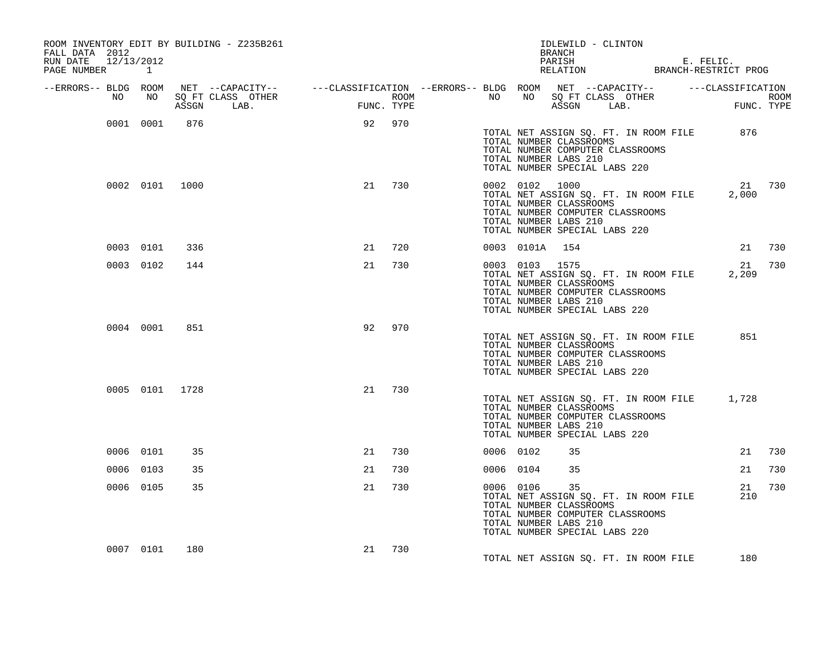| ROOM INVENTORY EDIT BY BUILDING - Z235B261<br>FALL DATA 2012<br>RUN DATE 12/13/2012<br>PAGE NUMBER 1 |                |     |                                                                                                                                                                                                            |    |        |           |                                                                    | BRANCH<br>PARISH | IDLEWILD - CLINTON                                                                           |                                       | E. FELIC.<br>RELATION BRANCH-RESTRICT PROG  |        |
|------------------------------------------------------------------------------------------------------|----------------|-----|------------------------------------------------------------------------------------------------------------------------------------------------------------------------------------------------------------|----|--------|-----------|--------------------------------------------------------------------|------------------|----------------------------------------------------------------------------------------------|---------------------------------------|---------------------------------------------|--------|
| --ERRORS-- BLDG ROOM                                                                                 |                |     | NET --CAPACITY-- ----CLASSIFICATION --ERRORS-- BLDG ROOM NET --CAPACITY-- -----CLASSIFICATION<br>SQ FT CLASS OTHER ROOM ROOM NO SQ FT CLASS OTHER ROOM ROOM<br>ASSGN LAB. FUNC. TYPE ASSGN LAB. FUNC. TYPE |    |        |           |                                                                    |                  |                                                                                              |                                       |                                             |        |
| NO                                                                                                   | NO 11          |     |                                                                                                                                                                                                            |    |        |           |                                                                    |                  |                                                                                              |                                       |                                             |        |
|                                                                                                      | 0001 0001      | 876 |                                                                                                                                                                                                            |    | 92 970 |           | TOTAL NUMBER CLASSROOMS<br>TOTAL NUMBER LABS 210                   |                  | TOTAL NUMBER COMPUTER CLASSROOMS<br>TOTAL NUMBER SPECIAL LABS 220                            | TOTAL NET ASSIGN SQ. FT. IN ROOM FILE | 876                                         |        |
|                                                                                                      | 0002 0101 1000 |     |                                                                                                                                                                                                            |    | 21 730 |           | 0002 0102 1000<br>TOTAL NUMBER LABS 210                            |                  | TOTAL NUMBER CLASSROOMS<br>TOTAL NUMBER COMPUTER CLASSROOMS<br>TOTAL NUMBER SPECIAL LABS 220 | TOTAL NET ASSIGN SQ. FT. IN ROOM FILE | 2,000                                       | 21 730 |
|                                                                                                      | 0003 0101      | 336 |                                                                                                                                                                                                            | 21 | 720    |           | 0003 0101A 154                                                     |                  |                                                                                              |                                       |                                             | 21 730 |
|                                                                                                      | 0003 0102      | 144 |                                                                                                                                                                                                            | 21 | 730    |           | 0003 0103 1575<br>TOTAL NUMBER CLASSROOMS<br>TOTAL NUMBER LABS 210 |                  | TOTAL NUMBER COMPUTER CLASSROOMS<br>TOTAL NUMBER SPECIAL LABS 220                            | TOTAL NET ASSIGN SQ. FT. IN ROOM FILE | 2,209                                       | 21 730 |
|                                                                                                      | 0004 0001      | 851 |                                                                                                                                                                                                            | 92 | 970    |           | TOTAL NUMBER CLASSROOMS<br>TOTAL NUMBER LABS 210                   |                  | TOTAL NUMBER COMPUTER CLASSROOMS<br>TOTAL NUMBER SPECIAL LABS 220                            | TOTAL NET ASSIGN SQ. FT. IN ROOM FILE | 851                                         |        |
|                                                                                                      | 0005 0101 1728 |     |                                                                                                                                                                                                            | 21 | 730    |           | TOTAL NUMBER CLASSROOMS<br>TOTAL NUMBER LABS 210                   |                  | TOTAL NUMBER COMPUTER CLASSROOMS<br>TOTAL NUMBER SPECIAL LABS 220                            |                                       | TOTAL NET ASSIGN SQ. FT. IN ROOM FILE 1,728 |        |
|                                                                                                      | 0006 0101      | 35  |                                                                                                                                                                                                            | 21 | 730    | 0006 0102 |                                                                    | 35               |                                                                                              |                                       | 21                                          | 730    |
|                                                                                                      | 0006 0103      | 35  |                                                                                                                                                                                                            | 21 | 730    |           | 0006 0104                                                          | 35               |                                                                                              |                                       | 21                                          | 730    |
|                                                                                                      | 0006 0105      | 35  |                                                                                                                                                                                                            | 21 | 730    |           | 0006 0106<br>TOTAL NUMBER LABS 210                                 | 35               | TOTAL NUMBER CLASSROOMS<br>TOTAL NUMBER COMPUTER CLASSROOMS<br>TOTAL NUMBER SPECIAL LABS 220 | TOTAL NET ASSIGN SQ. FT. IN ROOM FILE | 21<br>210                                   | 730    |
|                                                                                                      | 0007 0101      | 180 |                                                                                                                                                                                                            | 21 | 730    |           |                                                                    |                  |                                                                                              | TOTAL NET ASSIGN SQ. FT. IN ROOM FILE | 180                                         |        |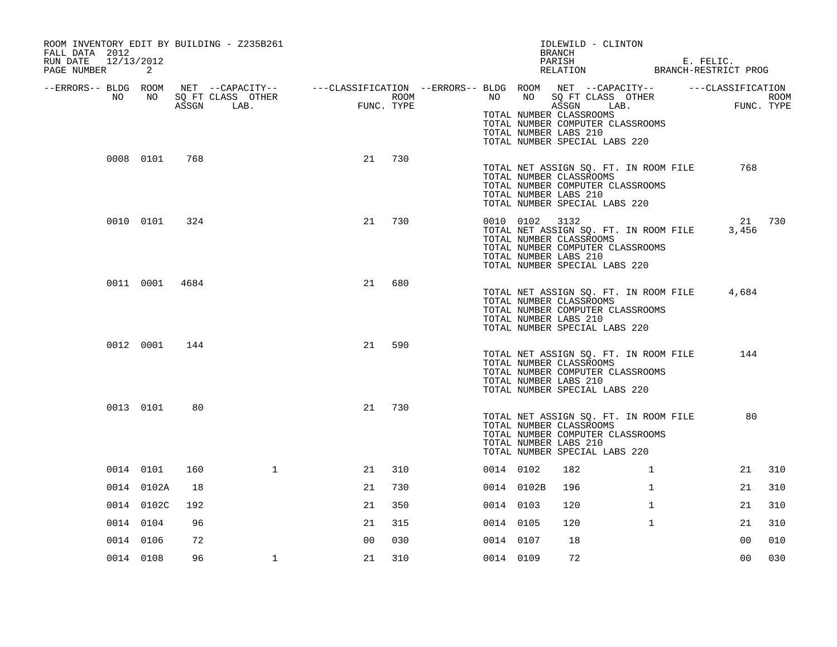| ROOM INVENTORY EDIT BY BUILDING - Z235B261<br>FALL DATA 2012 |                              |     |                                                                                                                                   |                |                           |           |            | IDLEWILD - CLINTON<br>BRANCH                                                                                                                                                                            |              |                                                   |                    |
|--------------------------------------------------------------|------------------------------|-----|-----------------------------------------------------------------------------------------------------------------------------------|----------------|---------------------------|-----------|------------|---------------------------------------------------------------------------------------------------------------------------------------------------------------------------------------------------------|--------------|---------------------------------------------------|--------------------|
| 12/13/2012<br>RUN DATE<br>PAGE NUMBER                        | 2                            |     |                                                                                                                                   |                |                           |           |            | PARISH                                                                                                                                                                                                  |              | PARISH E. FELIC.<br>RELATION BRANCH-RESTRICT PROG |                    |
| --ERRORS-- BLDG ROOM<br>NO                                   | NO <sub>1</sub><br>0008 0101 | 768 | NET --CAPACITY-- - ---CLASSIFICATION --ERRORS-- BLDG ROOM NET --CAPACITY-- - ---CLASSIFICATION<br>SQ FT CLASS OTHER<br>ASSGN LAB. | FUNC<br>21     | ROOM<br>FUNC. TYPE<br>730 |           |            | NO NO SQ FT CLASS OTHER<br>ASSGN LAB.<br>TOTAL NUMBER CLASSROOMS<br>TOTAL NUMBER COMPUTER CLASSROOMS<br>TOTAL NUMBER LABS 210<br>TOTAL NUMBER SPECIAL LABS 220<br>TOTAL NET ASSIGN SQ. FT. IN ROOM FILE |              | 768                                               | ROOM<br>FUNC. TYPE |
|                                                              |                              |     |                                                                                                                                   |                |                           |           |            | TOTAL NUMBER CLASSROOMS<br>TOTAL NUMBER COMPUTER CLASSROOMS<br>TOTAL NUMBER LABS 210<br>TOTAL NUMBER SPECIAL LABS 220                                                                                   |              |                                                   |                    |
|                                                              | 0010 0101                    | 324 |                                                                                                                                   | 21             | 730                       |           | 0010 0102  | 3132<br>TOTAL NET ASSIGN SQ. FT. IN ROOM FILE<br>TOTAL NUMBER CLASSROOMS<br>TOTAL NUMBER COMPUTER CLASSROOMS<br>TOTAL NUMBER LABS 210<br>TOTAL NUMBER SPECIAL LABS 220                                  |              | 3,456                                             | 21 730             |
|                                                              | 0011 0001 4684               |     |                                                                                                                                   | 21             | 680                       |           |            | TOTAL NUMBER CLASSROOMS<br>TOTAL NUMBER COMPUTER CLASSROOMS<br>TOTAL NUMBER LABS 210<br>TOTAL NUMBER SPECIAL LABS 220                                                                                   |              | TOTAL NET ASSIGN SQ. FT. IN ROOM FILE 4,684       |                    |
|                                                              | 0012 0001                    | 144 |                                                                                                                                   | 21             | 590                       |           |            | TOTAL NET ASSIGN SQ. FT. IN ROOM FILE<br>TOTAL NUMBER CLASSROOMS<br>TOTAL NUMBER COMPUTER CLASSROOMS<br>TOTAL NUMBER LABS 210<br>TOTAL NUMBER SPECIAL LABS 220                                          |              | 144                                               |                    |
|                                                              | 0013 0101                    | 80  |                                                                                                                                   | 21             | 730                       |           |            | TOTAL NET ASSIGN SQ. FT. IN ROOM FILE<br>TOTAL NUMBER CLASSROOMS<br>TOTAL NUMBER COMPUTER CLASSROOMS<br>TOTAL NUMBER LABS 210<br>TOTAL NUMBER SPECIAL LABS 220                                          |              | 80                                                |                    |
|                                                              | 0014 0101                    | 160 | $\mathbf{1}$                                                                                                                      | 21             | 310                       | 0014 0102 |            | 182                                                                                                                                                                                                     | $\mathbf{1}$ | 21                                                | 310                |
|                                                              | 0014 0102A                   | 18  |                                                                                                                                   | 21             | 730                       |           | 0014 0102B | 196                                                                                                                                                                                                     | $\mathbf{1}$ | 21                                                | 310                |
|                                                              | 0014 0102C                   | 192 |                                                                                                                                   | 21             | 350                       | 0014 0103 |            | 120                                                                                                                                                                                                     | $\mathbf{1}$ | 21                                                | 310                |
| 0014 0104                                                    |                              | 96  |                                                                                                                                   | 21             | 315                       | 0014 0105 |            | 120                                                                                                                                                                                                     | $\mathbf{1}$ | 21                                                | 310                |
| 0014 0106                                                    |                              | 72  |                                                                                                                                   | 0 <sub>0</sub> | 030                       | 0014 0107 |            | 18                                                                                                                                                                                                      |              | 0 <sub>0</sub>                                    | 010                |
|                                                              | 0014 0108                    | 96  | $\mathbf 1$                                                                                                                       | 21             | 310                       | 0014 0109 |            | 72                                                                                                                                                                                                      |              | 0 <sub>0</sub>                                    | 030                |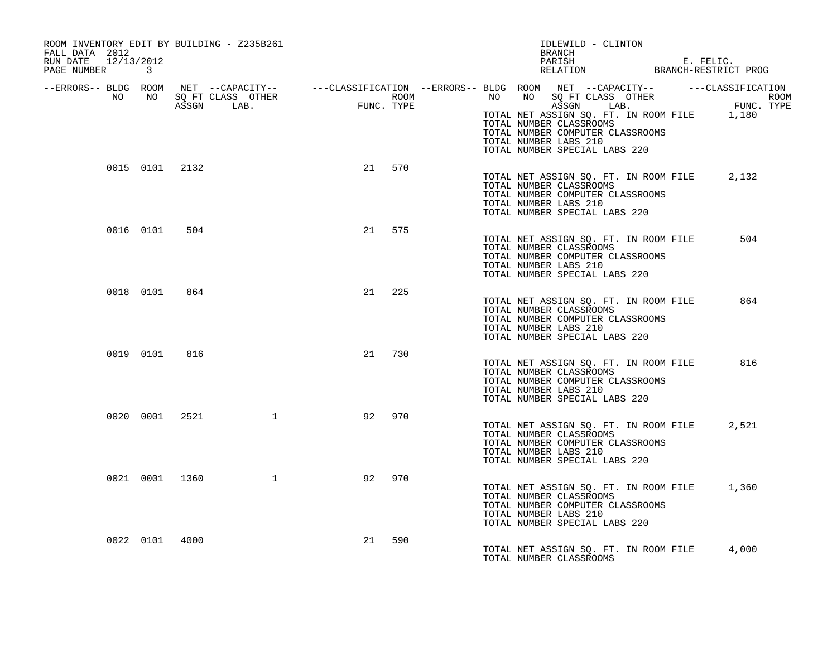| ROOM INVENTORY EDIT BY BUILDING - Z235B261<br>FALL DATA 2012<br>RUN DATE 12/13/2012<br>PAGE NUMBER 3                                                                                                                                 |                  |                        |        |     |                       | IDLEWILD - CLINTON<br>BRANCH<br>PARISH E. FELIC.<br>RELATION BRANCH-RESTRICT PROG                                                                                    |       |
|--------------------------------------------------------------------------------------------------------------------------------------------------------------------------------------------------------------------------------------|------------------|------------------------|--------|-----|-----------------------|----------------------------------------------------------------------------------------------------------------------------------------------------------------------|-------|
| ERRORS-- BLDG ROOM NET --CAPACITY--------CLASSIFICATION--ERRORS-- BLDG ROOM NET --CAPACITY-----------CLASSIFICATION--<br>NO NO SQ FT CLASS OTHER ROOM ROOM ROOM ROOM ROOM NO SQ FT CLASS OTHER ROOM<br>ASSGN LAB. FUNC. TYPE ASSGN A |                  |                        |        |     | TOTAL NUMBER LABS 210 | TOTAL NET ASSIGN SQ. FT. IN ROOM FILE 1,180<br>TOTAL NUMBER CLASSROOMS<br>TOTAL NUMBER COMPUTER CLASSROOMS<br>TOTAL NUMBER SPECIAL LABS 220                          |       |
| 0015 0101 2132                                                                                                                                                                                                                       |                  |                        | 21 570 |     |                       | TOTAL NET ASSIGN SQ. FT. IN ROOM FILE 2,132<br>TOTAL NUMBER CLASSROOMS<br>TOTAL NUMBER COMPUTER CLASSROOMS<br>TOTAL NUMBER LABS 210<br>TOTAL NUMBER SPECIAL LABS 220 |       |
| 0016 0101                                                                                                                                                                                                                            | 504              |                        | 21 575 |     | TOTAL NUMBER LABS 210 | TOTAL NET ASSIGN SQ. FT. IN ROOM FILE<br>TOTAL NUMBER CLASSROOMS<br>TOTAL NUMBER COMPUTER CLASSROOMS<br>TOTAL NUMBER SPECIAL LABS 220                                | 504   |
| 0018 0101                                                                                                                                                                                                                            | 864              |                        | 21     | 225 |                       | TOTAL NET ASSIGN SQ. FT. IN ROOM FILE<br>TOTAL NUMBER CLASSROOMS<br>TOTAL NUMBER COMPUTER CLASSROOMS<br>TOTAL NUMBER LABS 210<br>TOTAL NUMBER SPECIAL LABS 220       | 864   |
| 0019 0101                                                                                                                                                                                                                            | 816              |                        | 21 730 |     | TOTAL NUMBER LABS 210 | TOTAL NET ASSIGN SQ. FT. IN ROOM FILE<br>TOTAL NUMBER CLASSROOMS<br>TOTAL NUMBER COMPUTER CLASSROOMS<br>TOTAL NUMBER SPECIAL LABS 220                                | 816   |
|                                                                                                                                                                                                                                      | 0020 0001 2521 1 |                        | 92     | 970 | TOTAL NUMBER LABS 210 | TOTAL NET ASSIGN SQ. FT. IN ROOM FILE<br>TOTAL NUMBER CLASSROOMS<br>TOTAL NUMBER COMPUTER CLASSROOMS<br>TOTAL NUMBER SPECIAL LABS 220                                | 2,521 |
| 0021 0001 1360                                                                                                                                                                                                                       |                  | $1 \quad \blacksquare$ | 92     | 970 |                       | TOTAL NET ASSIGN SQ. FT. IN ROOM FILE 1,360<br>TOTAL NUMBER CLASSROOMS<br>TOTAL NUMBER COMPUTER CLASSROOMS<br>TOTAL NUMBER LABS 210<br>TOTAL NUMBER SPECIAL LABS 220 |       |
| 0022 0101 4000                                                                                                                                                                                                                       |                  |                        | 21     | 590 |                       | TOTAL NET ASSIGN SQ. FT. IN ROOM FILE 4,000<br>TOTAL NUMBER CLASSROOMS                                                                                               |       |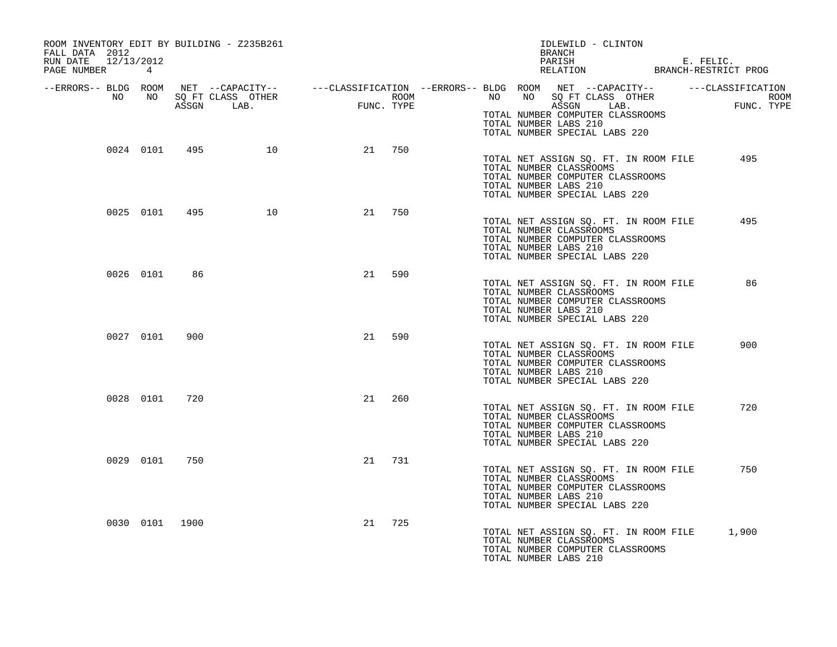| ROOM INVENTORY EDIT BY BUILDING - Z235B261<br>FALL DATA 2012<br>RUN DATE 12/13/2012<br>PAGE NUMBER 4 |           |                |                  |    |        |  | IDLEWILD - CLINTON<br>BRANCH<br>PARISH E. FELIC.<br>RELATION BRANCH-RESTRICT PROG                                                                                                                                                                                                                                                                     |                    |
|------------------------------------------------------------------------------------------------------|-----------|----------------|------------------|----|--------|--|-------------------------------------------------------------------------------------------------------------------------------------------------------------------------------------------------------------------------------------------------------------------------------------------------------------------------------------------------------|--------------------|
|                                                                                                      |           |                |                  |    |        |  | --ERRORS-- BLDG ROOM NET --CAPACITY-- ----CLASSIFICATION --ERRORS-- BLDG ROOM NET --CAPACITY-- -----CLASSIFICATION<br>NO NO SQ FT CLASS OTHER<br>NO NO SQ FT CLASS OTHER ROOM NO NO SQ FT CLASS OTHER<br>ASSGN LAB. FUNC. TYPE ASSGN LAB.<br>ASSGN LAB.<br>TOTAL NUMBER COMPUTER CLASSROOMS<br>TOTAL NUMBER LABS 210<br>TOTAL NUMBER SPECIAL LABS 220 | ROOM<br>FUNC. TYPE |
|                                                                                                      |           |                | 0024 0101 495 10 |    | 21 750 |  | TOTAL NET ASSIGN SQ. FT. IN ROOM FILE<br>TOTAL NUMBER CLASSROOMS<br>TOTAL NUMBER COMPUTER CLASSROOMS<br>TOTAL NUMBER LABS 210<br>TOTAL NUMBER SPECIAL LABS 220                                                                                                                                                                                        | 495                |
|                                                                                                      |           | 0025 0101 495  | 10               |    | 21 750 |  | TOTAL NET ASSIGN SQ. FT. IN ROOM FILE<br>TOTAL NUMBER CLASSROOMS<br>TOTAL NUMBER COMPUTER CLASSROOMS<br>TOTAL NUMBER LABS 210<br>TOTAL NUMBER SPECIAL LABS 220                                                                                                                                                                                        | 495                |
|                                                                                                      | 0026 0101 | 86             |                  | 21 | 590    |  | TOTAL NET ASSIGN SQ. FT. IN ROOM FILE<br>TOTAL NUMBER CLASSROOMS<br>TOTAL NUMBER COMPUTER CLASSROOMS<br>TOTAL NUMBER LABS 210<br>TOTAL NUMBER SPECIAL LABS 220                                                                                                                                                                                        | 86                 |
|                                                                                                      | 0027 0101 | 900            |                  | 21 | 590    |  | TOTAL NET ASSIGN SQ. FT. IN ROOM FILE<br>TOTAL NUMBER CLASSROOMS<br>TOTAL NUMBER COMPUTER CLASSROOMS<br>TOTAL NUMBER LABS 210<br>TOTAL NUMBER SPECIAL LABS 220                                                                                                                                                                                        | 900                |
|                                                                                                      |           | 0028 0101 720  |                  | 21 | 260    |  | TOTAL NET ASSIGN SQ. FT. IN ROOM FILE<br>TOTAL NUMBER CLASSROOMS<br>TOTAL NUMBER COMPUTER CLASSROOMS<br>TOTAL NUMBER LABS 210<br>TOTAL NUMBER SPECIAL LABS 220                                                                                                                                                                                        | 720                |
|                                                                                                      |           | 0029 0101 750  |                  | 21 | 731    |  | TOTAL NET ASSIGN SQ. FT. IN ROOM FILE<br>TOTAL NUMBER CLASSROOMS<br>TOTAL NUMBER COMPUTER CLASSROOMS<br>TOTAL NUMBER LABS 210<br>TOTAL NUMBER SPECIAL LABS 220                                                                                                                                                                                        | 750                |
|                                                                                                      |           | 0030 0101 1900 |                  | 21 | 725    |  | TOTAL NET ASSIGN SQ. FT. IN ROOM FILE 1,900<br>TOTAL NUMBER CLASSROOMS<br>TOTAL NUMBER COMPUTER CLASSROOMS<br>TOTAL NUMBER LABS 210                                                                                                                                                                                                                   |                    |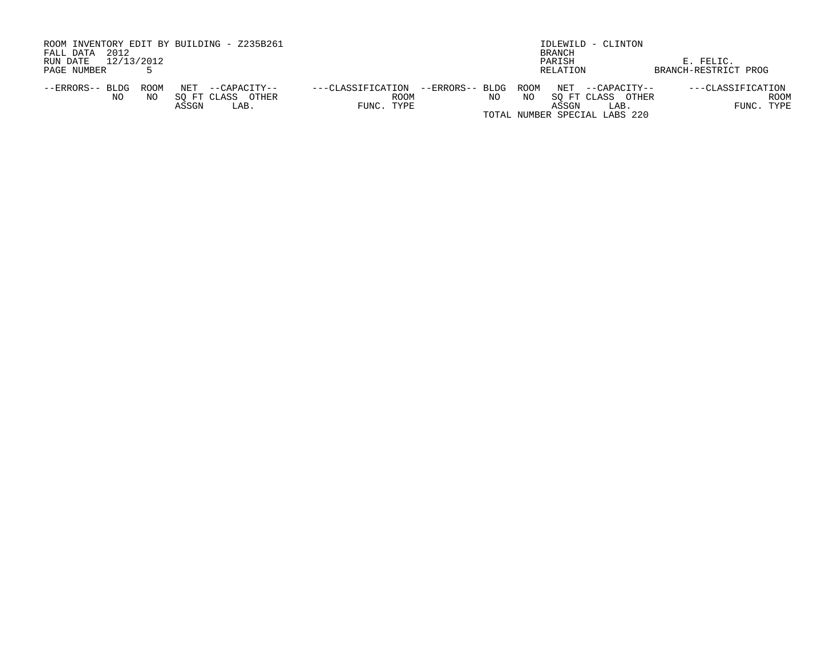| ROOM INVENTORY EDIT BY BUILDING - Z235B261<br>2012<br>FALL DATA                                      |                                                                       | IDLEWILD - CLINTON<br><b>BRANCH</b>                                                           |                                         |
|------------------------------------------------------------------------------------------------------|-----------------------------------------------------------------------|-----------------------------------------------------------------------------------------------|-----------------------------------------|
| 12/13/2012<br>RUN DATE                                                                               |                                                                       | PARISH                                                                                        | E. FELIC.                               |
| PAGE NUMBER                                                                                          |                                                                       | RELATION                                                                                      | BRANCH-RESTRICT PROG                    |
| NET<br>ROOM<br>--ERRORS-- BLDG<br>--CAPACITY--<br>SO FT CLASS<br>OTHER<br>NO.<br>NO<br>ASSGN<br>LAB. | --ERRORS-- BLDG ROOM<br>---CLASSIFICATION<br>ROOM<br>NO<br>FUNC. TYPE | NET --CAPACITY--<br>ΝO<br>SO FT CLASS OTHER<br>ASSGN<br>LAB.<br>TOTAL NUMBER SPECIAL LABS 220 | ---CLASSIFICATION<br>ROOM<br>FUNC. TYPE |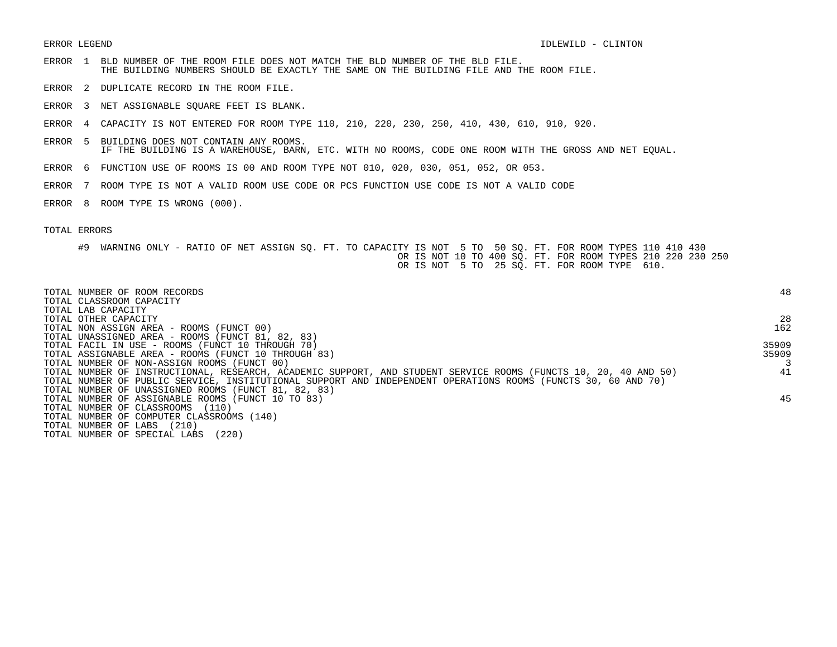- ERROR 1 BLD NUMBER OF THE ROOM FILE DOES NOT MATCH THE BLD NUMBER OF THE BLD FILE. THE BUILDING NUMBERS SHOULD BE EXACTLY THE SAME ON THE BUILDING FILE AND THE ROOM FILE.
- ERROR 2 DUPLICATE RECORD IN THE ROOM FILE.
- ERROR 3 NET ASSIGNABLE SQUARE FEET IS BLANK.
- ERROR 4 CAPACITY IS NOT ENTERED FOR ROOM TYPE 110, 210, 220, 230, 250, 410, 430, 610, 910, 920.
- ERROR 5 BUILDING DOES NOT CONTAIN ANY ROOMS. IF THE BUILDING IS A WAREHOUSE, BARN, ETC. WITH NO ROOMS, CODE ONE ROOM WITH THE GROSS AND NET EQUAL.
- ERROR 6 FUNCTION USE OF ROOMS IS 00 AND ROOM TYPE NOT 010, 020, 030, 051, 052, OR 053.
- ERROR 7 ROOM TYPE IS NOT A VALID ROOM USE CODE OR PCS FUNCTION USE CODE IS NOT A VALID CODE
- ERROR 8 ROOM TYPE IS WRONG (000).

| TOTAL NUMBER OF ROOM RECORDS<br>TOTAL CLASSROOM CAPACITY                                                        | 48    |
|-----------------------------------------------------------------------------------------------------------------|-------|
| TOTAL LAB CAPACITY                                                                                              |       |
| TOTAL OTHER CAPACITY                                                                                            | 28    |
| TOTAL NON ASSIGN AREA - ROOMS (FUNCT 00)                                                                        | 162   |
| TOTAL UNASSIGNED AREA - ROOMS (FUNCT 81, 82, 83)                                                                |       |
| TOTAL FACIL IN USE - ROOMS (FUNCT 10 THROUGH 70)                                                                | 35909 |
| TOTAL ASSIGNABLE AREA - ROOMS (FUNCT 10 THROUGH 83)                                                             | 35909 |
| TOTAL NUMBER OF NON-ASSIGN ROOMS (FUNCT 00)                                                                     |       |
| TOTAL NUMBER OF INSTRUCTIONAL, RESEARCH, ACADEMIC SUPPORT, AND STUDENT SERVICE ROOMS (FUNCTS 10, 20, 40 AND 50) | 41    |
| TOTAL NUMBER OF PUBLIC SERVICE, INSTITUTIONAL SUPPORT AND INDEPENDENT OPERATIONS ROOMS (FUNCTS 30, 60 AND 70)   |       |
| TOTAL NUMBER OF UNASSIGNED ROOMS (FUNCT 81, 82, 83)                                                             |       |
| TOTAL NUMBER OF ASSIGNABLE ROOMS (FUNCT 10 TO 83)                                                               | 45    |
| TOTAL NUMBER OF CLASSROOMS<br>(110)                                                                             |       |
| TOTAL NUMBER OF COMPUTER CLASSROOMS (140)                                                                       |       |
| (210)<br>TOTAL NUMBER OF LABS                                                                                   |       |
| (220)<br>TOTAL NUMBER OF SPECIAL LABS                                                                           |       |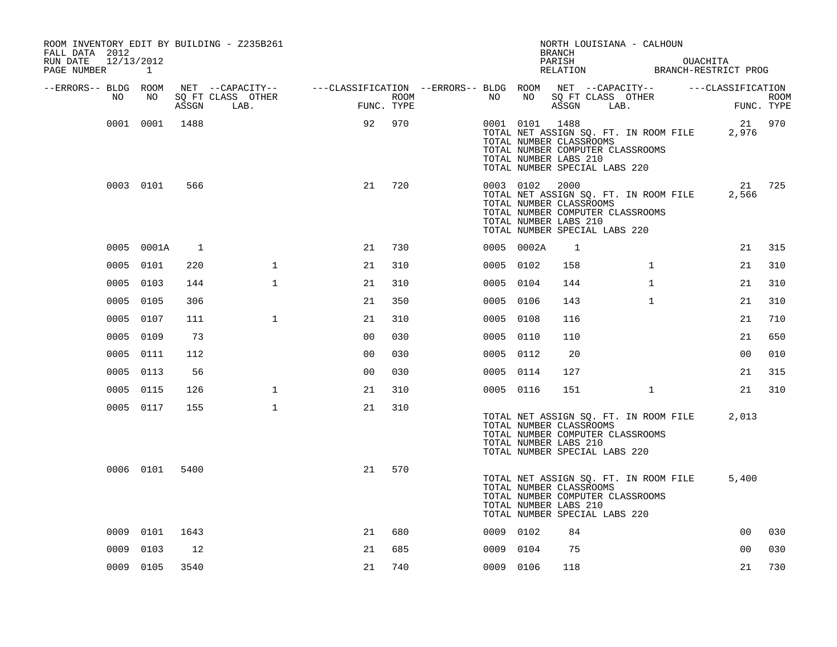| ROOM INVENTORY EDIT BY BUILDING - Z235B261<br>FALL DATA 2012 |                |       |                                                                             |                |      |           |                | NORTH LOUISIANA - CALHOUN<br><b>BRANCH</b>                                                                                                                     |              |          |                   |                           |
|--------------------------------------------------------------|----------------|-------|-----------------------------------------------------------------------------|----------------|------|-----------|----------------|----------------------------------------------------------------------------------------------------------------------------------------------------------------|--------------|----------|-------------------|---------------------------|
| RUN DATE<br>12/13/2012<br>PAGE NUMBER                        | 1              |       |                                                                             |                |      |           |                | PARISH<br>PARISH OUACHITA<br>RELATION BRANCH-RESTRICT PROG                                                                                                     |              | OUACHITA |                   |                           |
| --ERRORS-- BLDG ROOM                                         |                |       | NET --CAPACITY--    ---CLASSIFICATION --ERRORS-- BLDG ROOM NET --CAPACITY-- |                |      |           |                |                                                                                                                                                                |              |          | ---CLASSIFICATION |                           |
| NO                                                           | NO             | ASSGN | SQ FT CLASS OTHER<br>LAB.                                                   | FUNC. TYPE     | ROOM | NO        | NO             | SQ FT CLASS OTHER<br>ASSGN                                                                                                                                     | LAB.         |          |                   | <b>ROOM</b><br>FUNC. TYPE |
|                                                              | 0001 0001 1488 |       |                                                                             | 92             | 970  |           | 0001 0101 1488 | TOTAL NET ASSIGN SQ. FT. IN ROOM FILE<br>TOTAL NUMBER CLASSROOMS<br>TOTAL NUMBER COMPUTER CLASSROOMS<br>TOTAL NUMBER LABS 210<br>TOTAL NUMBER SPECIAL LABS 220 |              |          | 2,976             | 21 970                    |
|                                                              | 0003 0101      | 566   |                                                                             | 21             | 720  |           | 0003 0102 2000 | TOTAL NET ASSIGN SQ. FT. IN ROOM FILE<br>TOTAL NUMBER CLASSROOMS<br>TOTAL NUMBER COMPUTER CLASSROOMS<br>TOTAL NUMBER LABS 210<br>TOTAL NUMBER SPECIAL LABS 220 |              |          | 2,566             | 21 725                    |
|                                                              | 0005 0001A     | 1     |                                                                             | 21             | 730  |           | 0005 0002A     | 1                                                                                                                                                              |              |          | 21                | 315                       |
| 0005                                                         | 0101           | 220   | $\mathbf{1}$                                                                | 21             | 310  | 0005 0102 |                | 158                                                                                                                                                            | $\mathbf{1}$ |          | 21                | 310                       |
|                                                              | 0005 0103      | 144   | $\mathbf{1}$                                                                | 21             | 310  | 0005 0104 |                | 144                                                                                                                                                            | $\mathbf{1}$ |          | 21                | 310                       |
|                                                              | 0005 0105      | 306   |                                                                             | 21             | 350  | 0005 0106 |                | 143                                                                                                                                                            | $\mathbf{1}$ |          | 21                | 310                       |
|                                                              | 0005 0107      | 111   | $\mathbf 1$                                                                 | 21             | 310  | 0005 0108 |                | 116                                                                                                                                                            |              |          | 21                | 710                       |
|                                                              | 0005 0109      | 73    |                                                                             | 0 <sub>0</sub> | 030  | 0005 0110 |                | 110                                                                                                                                                            |              |          | 21                | 650                       |
|                                                              | 0005 0111      | 112   |                                                                             | 0 <sub>0</sub> | 030  | 0005 0112 |                | 20                                                                                                                                                             |              |          | 0 <sub>0</sub>    | 010                       |
|                                                              | 0005 0113      | 56    |                                                                             | 0 <sub>0</sub> | 030  | 0005 0114 |                | 127                                                                                                                                                            |              |          | 21                | 315                       |
|                                                              | 0005 0115      | 126   | $\mathbf{1}$                                                                | 21             | 310  | 0005 0116 |                | 151                                                                                                                                                            | $\mathbf{1}$ |          | 21                | 310                       |
|                                                              | 0005 0117      | 155   | $\mathbf 1$                                                                 | 21             | 310  |           |                | TOTAL NET ASSIGN SQ. FT. IN ROOM FILE<br>TOTAL NUMBER CLASSROOMS<br>TOTAL NUMBER COMPUTER CLASSROOMS<br>TOTAL NUMBER LABS 210<br>TOTAL NUMBER SPECIAL LABS 220 |              |          | 2,013             |                           |
|                                                              | 0006 0101      | 5400  |                                                                             | 21             | 570  |           |                | TOTAL NET ASSIGN SQ. FT. IN ROOM FILE<br>TOTAL NUMBER CLASSROOMS<br>TOTAL NUMBER COMPUTER CLASSROOMS<br>TOTAL NUMBER LABS 210<br>TOTAL NUMBER SPECIAL LABS 220 |              |          | 5,400             |                           |
| 0009                                                         | 0101           | 1643  |                                                                             | 21             | 680  | 0009 0102 |                | 84                                                                                                                                                             |              |          | 0 <sub>0</sub>    | 030                       |
| 0009                                                         | 0103           | 12    |                                                                             | 21             | 685  | 0009 0104 |                | 75                                                                                                                                                             |              |          | 0 <sub>0</sub>    | 030                       |
|                                                              | 0009 0105      | 3540  |                                                                             | 21             | 740  | 0009 0106 |                | 118                                                                                                                                                            |              |          | 21                | 730                       |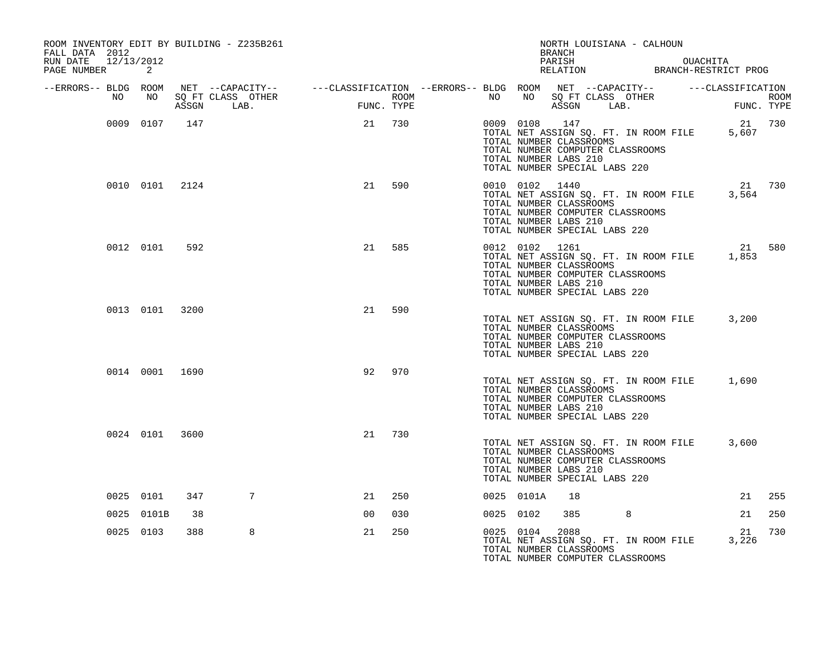| ROOM INVENTORY EDIT BY BUILDING - Z235B261<br>FALL DATA 2012 |                |     |                                                                                                |                |            |                  |           |            | NORTH LOUISIANA - CALHOUN<br>BRANCH                                                                                                                                              |                   |                                                  |        |
|--------------------------------------------------------------|----------------|-----|------------------------------------------------------------------------------------------------|----------------|------------|------------------|-----------|------------|----------------------------------------------------------------------------------------------------------------------------------------------------------------------------------|-------------------|--------------------------------------------------|--------|
| 12/13/2012<br>RUN DATE<br>PAGE NUMBER                        | 2              |     |                                                                                                |                |            |                  |           |            |                                                                                                                                                                                  |                   | PARISH OUACHITA<br>RELATION BRANCH-RESTRICT PROG |        |
| --ERRORS-- BLDG ROOM                                         |                |     | NET --CAPACITY-- - ---CLASSIFICATION --ERRORS-- BLDG ROOM NET --CAPACITY-- - ---CLASSIFICATION |                |            |                  |           |            |                                                                                                                                                                                  |                   |                                                  |        |
| NO                                                           | NO             |     | SQ FT CLASS OTHER<br>ASSGN LAB.                                                                | FUNC           | FUNC. TYPE | ROOM <b>ROOM</b> | NO NO     | NO         | ASSGN LAB.                                                                                                                                                                       | SQ FT CLASS OTHER | FIDM<br>FUNC. TYPE                               | ROOM   |
|                                                              | 0009 0107      | 147 |                                                                                                | 21             | 730        |                  |           | 0009 0108  | 147<br>TOTAL NET ASSIGN SQ. FT. IN ROOM FILE<br>TOTAL NUMBER CLASSROOMS<br>TOTAL NUMBER COMPUTER CLASSROOMS<br>TOTAL NUMBER LABS 210<br>TOTAL NUMBER SPECIAL LABS 220            |                   | 5,607                                            | 21 730 |
|                                                              | 0010 0101 2124 |     |                                                                                                | 21             | 590        |                  |           |            | 0010 0102 1440<br>TOTAL NET ASSIGN SQ. FT. IN ROOM FILE<br>TOTAL NUMBER CLASSROOMS<br>TOTAL NUMBER COMPUTER CLASSROOMS<br>TOTAL NUMBER LABS 210<br>TOTAL NUMBER SPECIAL LABS 220 |                   | 21 730<br>3,564                                  |        |
|                                                              | 0012 0101      | 592 |                                                                                                | 21             | 585        |                  |           |            | 0012 0102 1261<br>TOTAL NET ASSIGN SQ. FT. IN ROOM FILE<br>TOTAL NUMBER CLASSROOMS<br>TOTAL NUMBER COMPUTER CLASSROOMS<br>TOTAL NUMBER LABS 210<br>TOTAL NUMBER SPECIAL LABS 220 |                   | 1,853                                            | 21 580 |
|                                                              | 0013 0101 3200 |     |                                                                                                | 21             | 590        |                  |           |            | TOTAL NUMBER CLASSROOMS<br>TOTAL NUMBER COMPUTER CLASSROOMS<br>TOTAL NUMBER LABS 210<br>TOTAL NUMBER SPECIAL LABS 220                                                            |                   | TOTAL NET ASSIGN SQ. FT. IN ROOM FILE 3,200      |        |
|                                                              | 0014 0001 1690 |     |                                                                                                | 92             | 970        |                  |           |            | TOTAL NET ASSIGN SQ. FT. IN ROOM FILE<br>TOTAL NUMBER CLASSROOMS<br>TOTAL NUMBER COMPUTER CLASSROOMS<br>TOTAL NUMBER LABS 210<br>TOTAL NUMBER SPECIAL LABS 220                   |                   | 1,690                                            |        |
|                                                              | 0024 0101 3600 |     |                                                                                                | 21             | 730        |                  |           |            | TOTAL NET ASSIGN SQ. FT. IN ROOM FILE<br>TOTAL NUMBER CLASSROOMS<br>TOTAL NUMBER COMPUTER CLASSROOMS<br>TOTAL NUMBER LABS 210<br>TOTAL NUMBER SPECIAL LABS 220                   |                   | 3,600                                            |        |
|                                                              | 0025 0101      | 347 | 7                                                                                              | 21             | 250        |                  |           | 0025 0101A | 18                                                                                                                                                                               |                   | 21                                               | 255    |
|                                                              | 0025 0101B     | 38  |                                                                                                | 0 <sup>0</sup> | 030        |                  | 0025 0102 |            | 385                                                                                                                                                                              | 8                 | 21                                               | 250    |
|                                                              | 0025 0103      | 388 | 8                                                                                              | 21             | 250        |                  |           | 0025 0104  | 2088<br>TOTAL NET ASSIGN SQ. FT. IN ROOM FILE<br>TOTAL NUMBER CLASSROOMS<br>TOTAL NUMBER COMPUTER CLASSROOMS                                                                     |                   | 21<br>3,226                                      | 730    |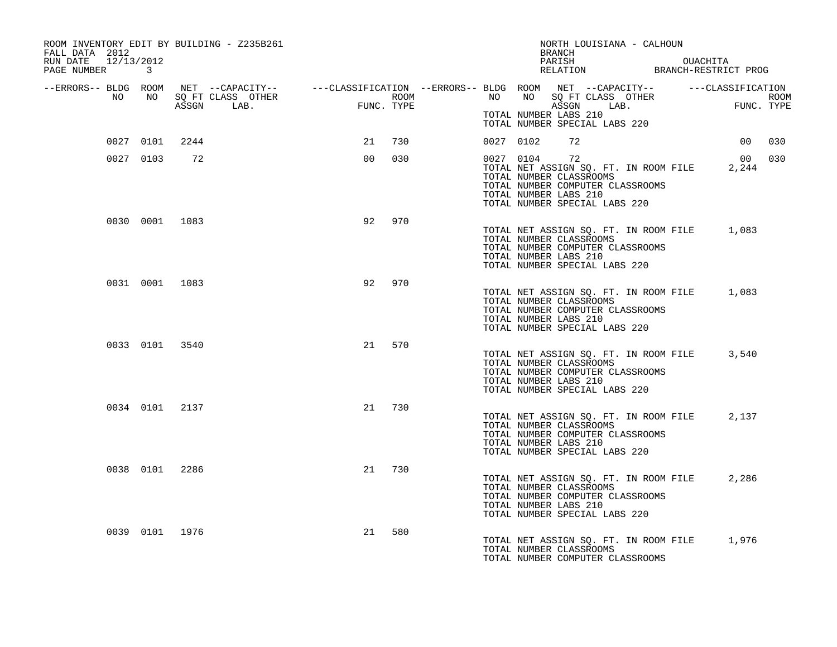| ROOM INVENTORY EDIT BY BUILDING - Z235B261<br>FALL DATA 2012<br>RUN DATE 12/13/2012<br>PAGE NUMBER 3                                                                                                                                 |                |                |        |        |  | NORTH LOUISIANA - CALHOUN<br>BRANCH<br>PARISH DUACHITA<br>RELATION BRANCH-RESTRICT PROG                                                                                        |  |             |     |
|--------------------------------------------------------------------------------------------------------------------------------------------------------------------------------------------------------------------------------------|----------------|----------------|--------|--------|--|--------------------------------------------------------------------------------------------------------------------------------------------------------------------------------|--|-------------|-----|
| ERRORS-- BLDG ROOM NET --CAPACITY--- --CLASSIFICATION --ERRORS-- BLDG ROOM NET --CAPACITY--------------------<br>NO NO SQ FT CLASS OTHER ROOM ROOM NO SQ FT CLASS OTHER ROOM ROOM NO SQ FT CLASS OTHER ROOM ROOM ROOM ROOM ROOM<br>A |                |                |        |        |  | TOTAL NUMBER LABS 210                                                                                                                                                          |  |             |     |
|                                                                                                                                                                                                                                      |                | 0027 0101 2244 |        | 21 730 |  | TOTAL NUMBER SPECIAL LABS 220<br>0027 0102 72                                                                                                                                  |  | 00 030      |     |
|                                                                                                                                                                                                                                      | 0027 0103      | 72             | 00     | 030    |  | 0027 0104 72<br>TOTAL NET ASSIGN SQ. FT. IN ROOM FILE<br>TOTAL NUMBER CLASSROOMS<br>TOTAL NUMBER COMPUTER CLASSROOMS<br>TOTAL NUMBER LABS 210<br>TOTAL NUMBER SPECIAL LABS 220 |  | 00<br>2,244 | 030 |
|                                                                                                                                                                                                                                      |                | 0030 0001 1083 | 92     | 970    |  | TOTAL NET ASSIGN SQ. FT. IN ROOM FILE 1,083<br>TOTAL NUMBER CLASSROOMS<br>TOTAL NUMBER COMPUTER CLASSROOMS<br>TOTAL NUMBER LABS 210<br>TOTAL NUMBER SPECIAL LABS 220           |  |             |     |
|                                                                                                                                                                                                                                      |                | 0031 0001 1083 | 92     | 970    |  | TOTAL NET ASSIGN SQ. FT. IN ROOM FILE 1,083<br>TOTAL NUMBER CLASSROOMS<br>TOTAL NUMBER COMPUTER CLASSROOMS<br>TOTAL NUMBER LABS 210<br>TOTAL NUMBER SPECIAL LABS 220           |  |             |     |
|                                                                                                                                                                                                                                      | 0033 0101 3540 |                | 21     | 570    |  | TOTAL NET ASSIGN SQ. FT. IN ROOM FILE 3,540<br>TOTAL NUMBER CLASSROOMS<br>TOTAL NUMBER COMPUTER CLASSROOMS<br>TOTAL NUMBER LABS 210<br>TOTAL NUMBER SPECIAL LABS 220           |  |             |     |
|                                                                                                                                                                                                                                      |                | 0034 0101 2137 | 21     | 730    |  | TOTAL NET ASSIGN SQ. FT. IN ROOM FILE 2,137<br>TOTAL NUMBER CLASSROOMS<br>TOTAL NUMBER COMPUTER CLASSROOMS<br>TOTAL NUMBER LABS 210<br>TOTAL NUMBER SPECIAL LABS 220           |  |             |     |
|                                                                                                                                                                                                                                      | 0038 0101 2286 |                | 21 730 |        |  | TOTAL NET ASSIGN SQ. FT. IN ROOM FILE<br>TOTAL NUMBER CLASSROOMS<br>TOTAL NUMBER COMPUTER CLASSROOMS<br>TOTAL NUMBER LABS 210<br>TOTAL NUMBER SPECIAL LABS 220                 |  | 2,286       |     |
|                                                                                                                                                                                                                                      | 0039 0101 1976 |                | 21     | 580    |  | TOTAL NET ASSIGN SQ. FT. IN ROOM FILE 1,976<br>TOTAL NUMBER CLASSROOMS<br>TOTAL NUMBER COMPUTER CLASSROOMS                                                                     |  |             |     |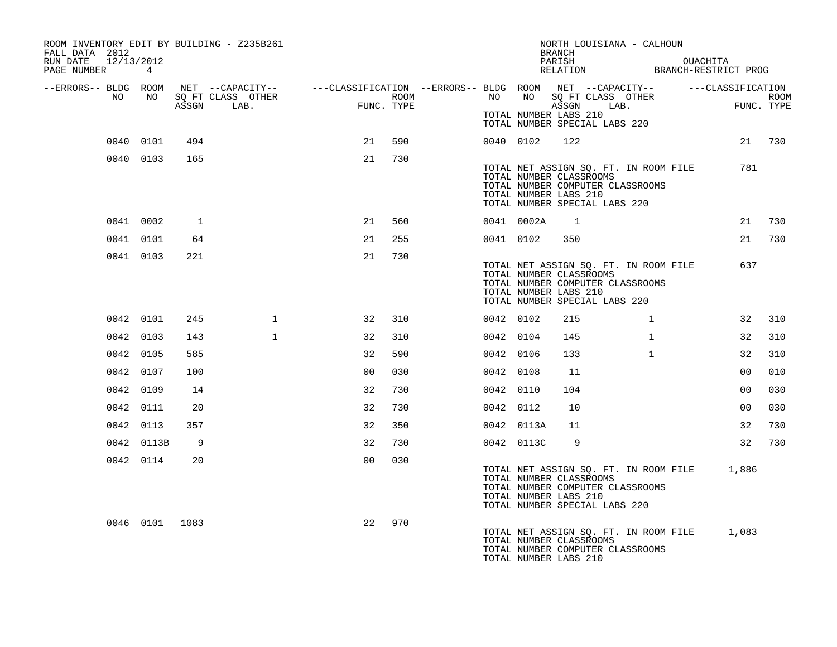| ROOM INVENTORY EDIT BY BUILDING - Z235B261<br>FALL DATA 2012<br>RUN DATE 12/13/2012<br>PAGE NUMBER 4 |                |       |                                                                                                                     |                    |      |           |            | NORTH LOUISIANA - CALHOUN<br><b>BRANCH</b><br>PARISH OUACHITA<br>RELATION BRANCH-RESTRICT PROG                                                                       |              |       |                |      |
|------------------------------------------------------------------------------------------------------|----------------|-------|---------------------------------------------------------------------------------------------------------------------|--------------------|------|-----------|------------|----------------------------------------------------------------------------------------------------------------------------------------------------------------------|--------------|-------|----------------|------|
| --ERRORS-- BLDG ROOM<br>NO                                                                           | NO             |       | NET --CAPACITY-- - ---CLASSIFICATION --ERRORS-- BLDG ROOM NET --CAPACITY-- - ---CLASSIFICATION<br>SQ FT CLASS OTHER |                    | ROOM | NO        |            | NO SQ FT CLASS OTHER                                                                                                                                                 |              |       |                | ROOM |
|                                                                                                      |                | ASSGN | LAB.                                                                                                                | FIMC<br>FUNC. TYPE |      |           |            | ASSGN<br>TOTAL NUMBER LABS 210<br>TOTAL NUMBER SPECIAL LABS 220                                                                                                      | LAB.         | FUNC. | FUNC. TYPE     |      |
|                                                                                                      | 0040 0101      | 494   |                                                                                                                     | 21                 | 590  |           | 0040 0102  | 122                                                                                                                                                                  |              |       | 21 730         |      |
|                                                                                                      | 0040 0103      | 165   |                                                                                                                     | 21                 | 730  |           |            | TOTAL NET ASSIGN SQ. FT. IN ROOM FILE<br>TOTAL NUMBER CLASSROOMS<br>TOTAL NUMBER COMPUTER CLASSROOMS<br>TOTAL NUMBER LABS 210<br>TOTAL NUMBER SPECIAL LABS 220       |              |       | 781            |      |
|                                                                                                      | 0041 0002      | 1     |                                                                                                                     | 21                 | 560  |           | 0041 0002A | $\overline{1}$                                                                                                                                                       |              |       | 21             | 730  |
|                                                                                                      | 0041 0101      | 64    |                                                                                                                     | 21                 | 255  |           | 0041 0102  | 350                                                                                                                                                                  |              |       | 21 730         |      |
|                                                                                                      | 0041 0103      | 221   |                                                                                                                     | 21                 | 730  |           |            | TOTAL NET ASSIGN SQ. FT. IN ROOM FILE<br>TOTAL NUMBER CLASSROOMS<br>TOTAL NUMBER COMPUTER CLASSROOMS<br>TOTAL NUMBER LABS 210<br>TOTAL NUMBER SPECIAL LABS 220       |              |       | 637            |      |
|                                                                                                      | 0042 0101      | 245   | $\mathbf{1}$                                                                                                        | 32                 | 310  | 0042 0102 |            | 215                                                                                                                                                                  | $\mathbf{1}$ |       | 32             | 310  |
|                                                                                                      | 0042 0103      | 143   | $\mathbf{1}$                                                                                                        | 32                 | 310  | 0042 0104 |            | 145                                                                                                                                                                  | $\mathbf{1}$ |       | 32             | 310  |
|                                                                                                      | 0042 0105      | 585   |                                                                                                                     | 32                 | 590  | 0042 0106 |            | 133                                                                                                                                                                  | $\mathbf{1}$ |       | 32             | 310  |
|                                                                                                      | 0042 0107      | 100   |                                                                                                                     | 0 <sub>0</sub>     | 030  | 0042 0108 |            | 11                                                                                                                                                                   |              |       | 00             | 010  |
|                                                                                                      | 0042 0109      | 14    |                                                                                                                     | 32                 | 730  | 0042 0110 |            | 104                                                                                                                                                                  |              |       | 0 <sub>0</sub> | 030  |
|                                                                                                      | 0042 0111      | 20    |                                                                                                                     | 32                 | 730  | 0042 0112 |            | 10                                                                                                                                                                   |              |       | 00             | 030  |
|                                                                                                      | 0042 0113      | 357   |                                                                                                                     | 32                 | 350  |           | 0042 0113A | 11                                                                                                                                                                   |              |       | 32             | 730  |
|                                                                                                      | 0042 0113B     | 9     |                                                                                                                     | 32                 | 730  |           | 0042 0113C | 9                                                                                                                                                                    |              |       | 32             | 730  |
|                                                                                                      | 0042 0114      | 20    |                                                                                                                     | 0 <sup>0</sup>     | 030  |           |            | TOTAL NET ASSIGN SQ. FT. IN ROOM FILE 1,886<br>TOTAL NUMBER CLASSROOMS<br>TOTAL NUMBER COMPUTER CLASSROOMS<br>TOTAL NUMBER LABS 210<br>TOTAL NUMBER SPECIAL LABS 220 |              |       |                |      |
|                                                                                                      | 0046 0101 1083 |       |                                                                                                                     | 22                 | 970  |           |            | TOTAL NET ASSIGN SQ. FT. IN ROOM FILE<br>TOTAL NUMBER CLASSROOMS<br>TOTAL NUMBER COMPUTER CLASSROOMS<br>TOTAL NUMBER LABS 210                                        |              |       | 1,083          |      |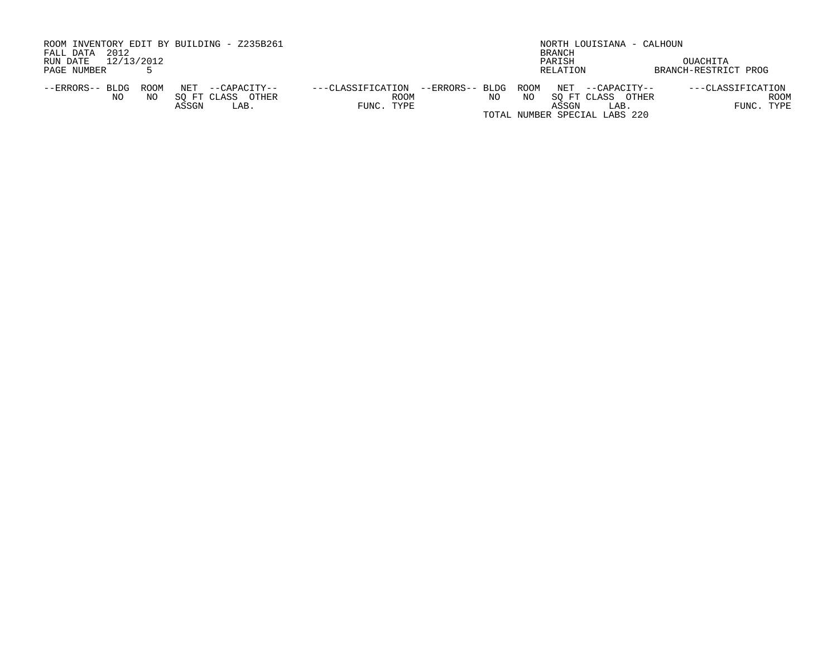| ROOM INVENTORY EDIT BY BUILDING - Z235B261 |                      |                   | NORTH LOUISIANA - CALHOUN |                               |              |                      |  |  |  |
|--------------------------------------------|----------------------|-------------------|---------------------------|-------------------------------|--------------|----------------------|--|--|--|
| 2012<br>FALL DATA                          |                      |                   | BRANCH                    |                               |              |                      |  |  |  |
| 12/13/2012<br>RUN DATE                     |                      |                   |                           | PARISH                        |              | OUACHITA             |  |  |  |
| PAGE NUMBER                                |                      |                   |                           | RELATION                      |              | BRANCH-RESTRICT PROG |  |  |  |
| ROOM<br>--ERRORS-- BLDG                    | NET<br>--CAPACITY--  | ---CLASSIFICATION | --ERRORS-- BLDG           | ROOM<br>NET                   | --CAPACITY-- | ---CLASSIFICATION    |  |  |  |
| NO.<br>NO.                                 | SO FT CLASS<br>OTHER | ROOM              | NO.                       | NO<br>SO FT CLASS             | OTHER        | ROOM                 |  |  |  |
|                                            | ASSGN<br>LAB.        | FUNC. TYPE        |                           | ASSGN                         | LAB.         | FUNC. TYPE           |  |  |  |
|                                            |                      |                   |                           | TOTAL NUMBER SPECIAL LABS 220 |              |                      |  |  |  |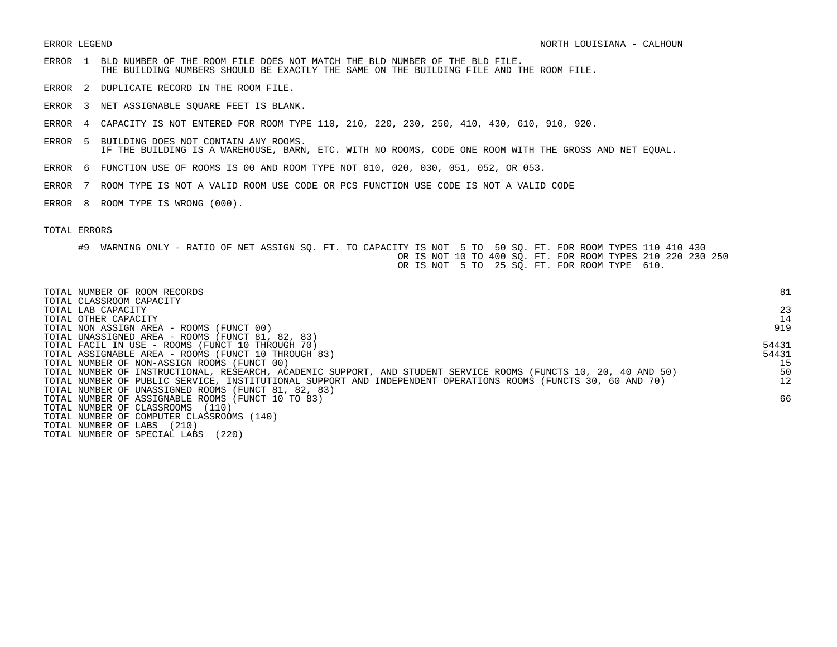- ERROR 1 BLD NUMBER OF THE ROOM FILE DOES NOT MATCH THE BLD NUMBER OF THE BLD FILE. THE BUILDING NUMBERS SHOULD BE EXACTLY THE SAME ON THE BUILDING FILE AND THE ROOM FILE.
- ERROR 2 DUPLICATE RECORD IN THE ROOM FILE.
- ERROR 3 NET ASSIGNABLE SQUARE FEET IS BLANK.
- ERROR 4 CAPACITY IS NOT ENTERED FOR ROOM TYPE 110, 210, 220, 230, 250, 410, 430, 610, 910, 920.
- ERROR 5 BUILDING DOES NOT CONTAIN ANY ROOMS. IF THE BUILDING IS A WAREHOUSE, BARN, ETC. WITH NO ROOMS, CODE ONE ROOM WITH THE GROSS AND NET EQUAL.
- ERROR 6 FUNCTION USE OF ROOMS IS 00 AND ROOM TYPE NOT 010, 020, 030, 051, 052, OR 053.
- ERROR 7 ROOM TYPE IS NOT A VALID ROOM USE CODE OR PCS FUNCTION USE CODE IS NOT A VALID CODE
- ERROR 8 ROOM TYPE IS WRONG (000).

| TOTAL NUMBER OF ROOM RECORDS                                                                                    | 81    |
|-----------------------------------------------------------------------------------------------------------------|-------|
| TOTAL CLASSROOM CAPACITY<br>TOTAL LAB CAPACITY                                                                  | 23    |
| TOTAL OTHER CAPACITY                                                                                            | 14    |
| TOTAL NON ASSIGN AREA - ROOMS (FUNCT 00)                                                                        | 919   |
| TOTAL UNASSIGNED AREA - ROOMS (FUNCT 81, 82, 83)                                                                |       |
| TOTAL FACIL IN USE - ROOMS (FUNCT 10 THROUGH 70)                                                                | 54431 |
| TOTAL ASSIGNABLE AREA - ROOMS (FUNCT 10 THROUGH 83)                                                             | 54431 |
| TOTAL NUMBER OF NON-ASSIGN ROOMS (FUNCT 00)                                                                     | 15    |
| TOTAL NUMBER OF INSTRUCTIONAL, RESEARCH, ACADEMIC SUPPORT, AND STUDENT SERVICE ROOMS (FUNCTS 10, 20, 40 AND 50) | 50    |
| TOTAL NUMBER OF PUBLIC SERVICE, INSTITUTIONAL SUPPORT AND INDEPENDENT OPERATIONS ROOMS (FUNCTS 30, 60 AND 70)   | 12    |
| TOTAL NUMBER OF UNASSIGNED ROOMS (FUNCT 81, 82, 83)                                                             |       |
| TOTAL NUMBER OF ASSIGNABLE ROOMS (FUNCT 10 TO 83)                                                               | 66    |
| TOTAL NUMBER OF CLASSROOMS<br>(110)                                                                             |       |
| TOTAL NUMBER OF COMPUTER CLASSROOMS (140)                                                                       |       |
| (210)<br>TOTAL NUMBER OF LABS                                                                                   |       |
| (220)<br>TOTAL NUMBER OF SPECIAL LABS                                                                           |       |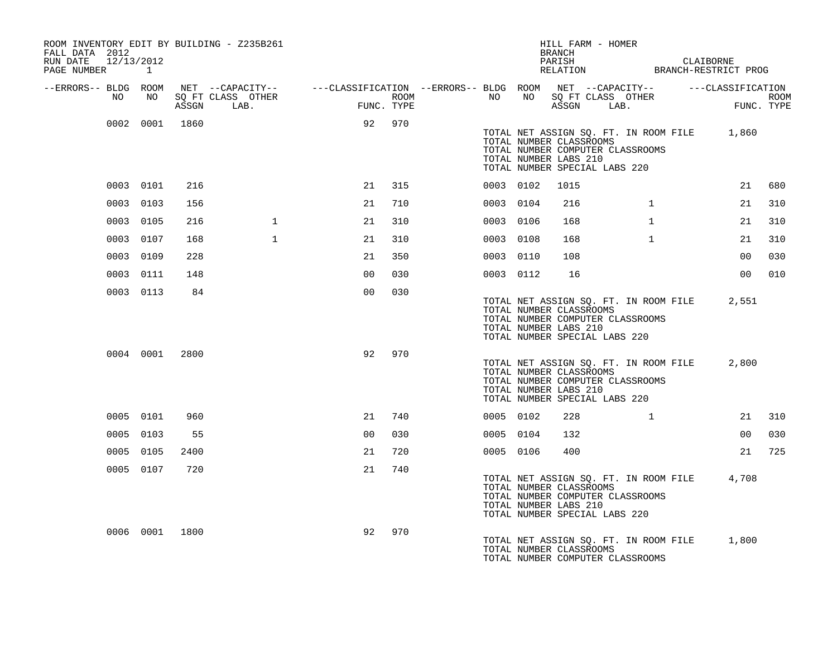| ROOM INVENTORY EDIT BY BUILDING - Z235B261<br>FALL DATA 2012 |                |      |                                 |                                                                                                                                                                                                                                          |            |             |           |           | BRANCH                                           | HILL FARM - HOMER                                                                                          |              |                                                          |        |
|--------------------------------------------------------------|----------------|------|---------------------------------|------------------------------------------------------------------------------------------------------------------------------------------------------------------------------------------------------------------------------------------|------------|-------------|-----------|-----------|--------------------------------------------------|------------------------------------------------------------------------------------------------------------|--------------|----------------------------------------------------------|--------|
| RUN DATE 12/13/2012<br>PAGE NUMBER 1                         |                |      |                                 |                                                                                                                                                                                                                                          |            |             |           |           |                                                  |                                                                                                            |              | PARISH CLAIBORNE<br>RELATION BRANCH-RESTRICT PROG        |        |
| --ERRORS-- BLDG ROOM                                         |                |      |                                 | $\begin{array}{cccccccccccccc} \texttt{NET} & -\texttt{CAPACITY} & - & -\texttt{-CLASSIFICATION} & -\texttt{ERRORS} & - & \texttt{BLDG} & \texttt{ROOM} & \texttt{NET} & -\texttt{CAPACITY} & - & -\texttt{-CLASSIFICATION} \end{array}$ |            |             |           |           |                                                  |                                                                                                            |              |                                                          |        |
| NO .                                                         | NO             |      | SQ FT CLASS OTHER<br>ASSGN LAB. | and the state of the state of the state of the state of the state of the state of the state of the state of th<br>The state of the state of the state of the state of the state of the state of the state of the state of the st<br>     | FUNC. TYPE | <b>ROOM</b> | NO .      |           |                                                  | NO SQ FT CLASS OTHER<br>ASSGN LAB.                                                                         |              | $\begin{array}{c} \text{FIMC} \end{array}$<br>FUNC. TYPE | ROOM   |
|                                                              | 0002 0001 1860 |      |                                 |                                                                                                                                                                                                                                          | 92 970     |             |           |           | TOTAL NUMBER CLASSROOMS<br>TOTAL NUMBER LABS 210 | TOTAL NUMBER COMPUTER CLASSROOMS<br>TOTAL NUMBER SPECIAL LABS 220                                          |              | TOTAL NET ASSIGN SQ. FT. IN ROOM FILE 1,860              |        |
|                                                              | 0003 0101      | 216  |                                 | 21                                                                                                                                                                                                                                       | 315        |             |           | 0003 0102 | 1015                                             |                                                                                                            |              |                                                          | 21 680 |
|                                                              | 0003 0103      | 156  |                                 | 21                                                                                                                                                                                                                                       | 710        |             | 0003 0104 |           | 216                                              |                                                                                                            | $\mathbf{1}$ | 21                                                       | 310    |
|                                                              | 0003 0105      | 216  | $\mathbf{1}$                    | 21                                                                                                                                                                                                                                       | 310        |             | 0003 0106 |           | 168                                              |                                                                                                            | $\mathbf{1}$ | 21                                                       | 310    |
|                                                              | 0003 0107      | 168  | $\mathbf{1}$                    | 21                                                                                                                                                                                                                                       | 310        |             | 0003 0108 |           | 168                                              |                                                                                                            | $\mathbf{1}$ | 21                                                       | 310    |
|                                                              | 0003 0109      | 228  |                                 | 21                                                                                                                                                                                                                                       | 350        |             | 0003 0110 |           | 108                                              |                                                                                                            |              | 00                                                       | 030    |
|                                                              | 0003 0111      | 148  |                                 | 0 <sub>0</sub>                                                                                                                                                                                                                           | 030        |             | 0003 0112 |           | 16                                               |                                                                                                            |              | 00 <sub>o</sub>                                          | 010    |
|                                                              | 0003 0113      | 84   |                                 | 0 <sub>0</sub>                                                                                                                                                                                                                           | 030        |             |           |           | TOTAL NUMBER CLASSROOMS<br>TOTAL NUMBER LABS 210 | TOTAL NET ASSIGN SQ. FT. IN ROOM FILE<br>TOTAL NUMBER COMPUTER CLASSROOMS<br>TOTAL NUMBER SPECIAL LABS 220 |              | 2.551                                                    |        |
|                                                              | 0004 0001 2800 |      |                                 | 92                                                                                                                                                                                                                                       | 970        |             |           |           | TOTAL NUMBER CLASSROOMS<br>TOTAL NUMBER LABS 210 | TOTAL NET ASSIGN SQ. FT. IN ROOM FILE<br>TOTAL NUMBER COMPUTER CLASSROOMS<br>TOTAL NUMBER SPECIAL LABS 220 |              | 2,800                                                    |        |
|                                                              | 0005 0101      | 960  |                                 | 21                                                                                                                                                                                                                                       | 740        |             | 0005 0102 |           | 228                                              | $\mathbf{1}$                                                                                               |              | 21                                                       | 310    |
|                                                              | 0005 0103      | 55   |                                 | 0 <sub>0</sub>                                                                                                                                                                                                                           | 030        |             | 0005 0104 |           | 132                                              |                                                                                                            |              | 00                                                       | 030    |
|                                                              | 0005 0105      | 2400 |                                 | 21                                                                                                                                                                                                                                       | 720        |             |           | 0005 0106 | 400                                              |                                                                                                            |              | 21                                                       | 725    |
|                                                              | 0005 0107      | 720  |                                 | 21                                                                                                                                                                                                                                       | 740        |             |           |           | TOTAL NUMBER CLASSROOMS<br>TOTAL NUMBER LABS 210 | TOTAL NUMBER COMPUTER CLASSROOMS<br>TOTAL NUMBER SPECIAL LABS 220                                          |              | TOTAL NET ASSIGN SQ. FT. IN ROOM FILE 4,708              |        |
|                                                              | 0006 0001 1800 |      |                                 | 92                                                                                                                                                                                                                                       | 970        |             |           |           | TOTAL NUMBER CLASSROOMS                          | TOTAL NET ASSIGN SQ. FT. IN ROOM FILE<br>TOTAL NUMBER COMPUTER CLASSROOMS                                  |              | 1,800                                                    |        |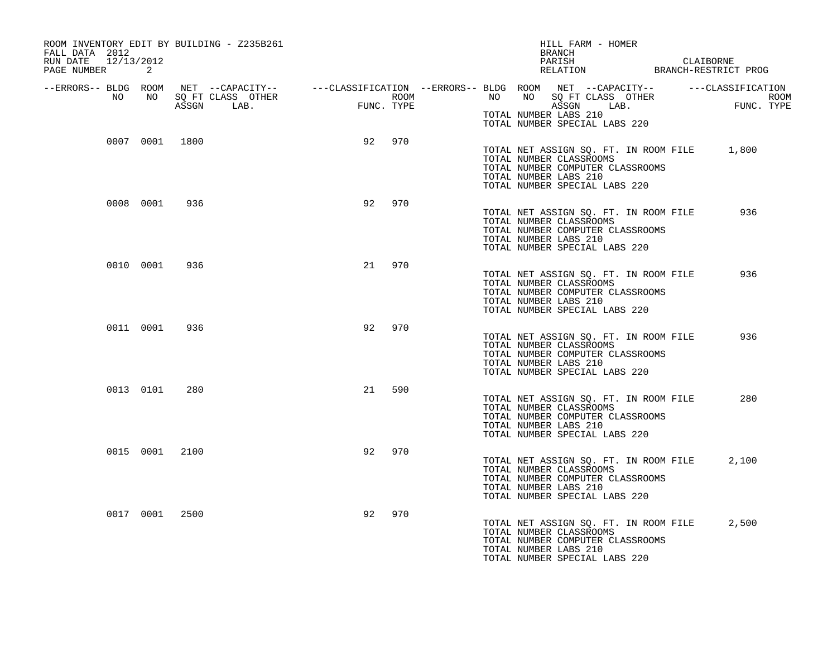| ROOM INVENTORY EDIT BY BUILDING - Z235B261<br>FALL DATA 2012<br>RUN DATE 12/13/2012<br>PAGE NUMBER | 2              |                |                                                                                                                                                                                                    |    |     |  | HILL FARM - HOMER<br>BRANCH<br>PARISH CLAIBORNE RELATION BRANCH-RESTRICT PROG                                                                                        |  |       |  |
|----------------------------------------------------------------------------------------------------|----------------|----------------|----------------------------------------------------------------------------------------------------------------------------------------------------------------------------------------------------|----|-----|--|----------------------------------------------------------------------------------------------------------------------------------------------------------------------|--|-------|--|
| --ERRORS-- BLDG ROOM                                                                               |                |                |                                                                                                                                                                                                    |    |     |  |                                                                                                                                                                      |  |       |  |
| NO                                                                                                 | NO NO          |                | NET --CAPACITY-- ----CLASSIFICATION --ERRORS--- BLDG ROOM NET --CAPACITY-- ------CLASSIFICATION<br>SQ FT CLASS OTHER ROOM NO SQ FT CLASS OTHER ROOM<br>ASSGN LAB. FUNC. TYPE ASSGN LAB. FUNC. TYPE |    |     |  | TOTAL NUMBER LABS 210                                                                                                                                                |  |       |  |
|                                                                                                    |                |                |                                                                                                                                                                                                    |    |     |  | TOTAL NUMBER SPECIAL LABS 220                                                                                                                                        |  |       |  |
|                                                                                                    |                | 0007 0001 1800 |                                                                                                                                                                                                    | 92 | 970 |  | TOTAL NET ASSIGN SQ. FT. IN ROOM FILE 1,800<br>TOTAL NUMBER CLASSROOMS<br>TOTAL NUMBER COMPUTER CLASSROOMS<br>TOTAL NUMBER LABS 210<br>TOTAL NUMBER SPECIAL LABS 220 |  |       |  |
|                                                                                                    | 0008 0001      | 936            |                                                                                                                                                                                                    | 92 | 970 |  | TOTAL NET ASSIGN SQ. FT. IN ROOM FILE<br>TOTAL NUMBER CLASSROOMS<br>TOTAL NUMBER COMPUTER CLASSROOMS<br>TOTAL NUMBER LABS 210<br>TOTAL NUMBER SPECIAL LABS 220       |  | 936   |  |
|                                                                                                    | 0010 0001      | 936            |                                                                                                                                                                                                    | 21 | 970 |  | TOTAL NET ASSIGN SQ. FT. IN ROOM FILE<br>TOTAL NUMBER CLASSROOMS<br>TOTAL NUMBER COMPUTER CLASSROOMS<br>TOTAL NUMBER LABS 210<br>TOTAL NUMBER SPECIAL LABS 220       |  | 936   |  |
|                                                                                                    | 0011 0001      | 936            |                                                                                                                                                                                                    | 92 | 970 |  | TOTAL NET ASSIGN SQ. FT. IN ROOM FILE<br>TOTAL NUMBER CLASSROOMS<br>TOTAL NUMBER COMPUTER CLASSROOMS<br>TOTAL NUMBER LABS 210<br>TOTAL NUMBER SPECIAL LABS 220       |  | 936   |  |
|                                                                                                    | 0013 0101      | 280            |                                                                                                                                                                                                    | 21 | 590 |  | TOTAL NET ASSIGN SQ. FT. IN ROOM FILE<br>TOTAL NUMBER CLASSROOMS<br>TOTAL NUMBER COMPUTER CLASSROOMS<br>TOTAL NUMBER LABS 210<br>TOTAL NUMBER SPECIAL LABS 220       |  | 280   |  |
|                                                                                                    | 0015 0001 2100 |                |                                                                                                                                                                                                    | 92 | 970 |  | TOTAL NET ASSIGN SQ. FT. IN ROOM FILE<br>TOTAL NUMBER CLASSROOMS<br>TOTAL NUMBER COMPUTER CLASSROOMS<br>TOTAL NUMBER LABS 210<br>TOTAL NUMBER SPECIAL LABS 220       |  | 2,100 |  |
|                                                                                                    | 0017 0001 2500 |                |                                                                                                                                                                                                    | 92 | 970 |  | TOTAL NET ASSIGN SQ. FT. IN ROOM FILE<br>TOTAL NUMBER CLASSROOMS<br>TOTAL NUMBER COMPUTER CLASSROOMS<br>TOTAL NUMBER LABS 210<br>TOTAL NUMBER SPECIAL LABS 220       |  | 2,500 |  |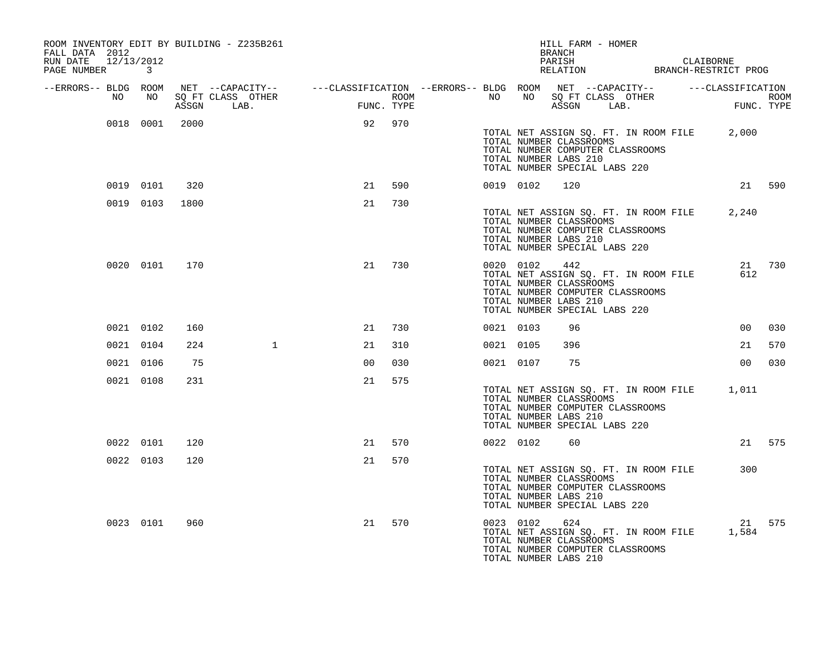| FALL DATA 2012<br>RUN DATE 12/13/2012<br>PAGE NUMBER |    | $\mathbf{3}$ |                | ROOM INVENTORY EDIT BY BUILDING - Z235B261                                                                                                                                                                 |                |        |           |                                                                                                    | HILL FARM - HOMER<br>BRANCH |                                                                           | PARISH CLAIBORNE RELATION BRANCH-RESTRICT PROG |        |
|------------------------------------------------------|----|--------------|----------------|------------------------------------------------------------------------------------------------------------------------------------------------------------------------------------------------------------|----------------|--------|-----------|----------------------------------------------------------------------------------------------------|-----------------------------|---------------------------------------------------------------------------|------------------------------------------------|--------|
| --ERRORS-- BLDG ROOM                                 | NO | NO           |                | NET --CAPACITY-- ----CLASSIFICATION --ERRORS-- BLDG ROOM NET --CAPACITY-- -----CLASSIFICATION<br>SQ FT CLASS OTHER ROOM ROOM NO SQ FT CLASS OTHER ROOM ROOM<br>ASSGN LAB. FUNC. TYPE ASSGN LAB. FUNC. TYPE |                |        |           |                                                                                                    |                             |                                                                           |                                                |        |
|                                                      |    |              |                |                                                                                                                                                                                                            |                |        |           |                                                                                                    |                             |                                                                           |                                                |        |
|                                                      |    |              | 0018 0001 2000 |                                                                                                                                                                                                            |                | 92 970 |           | TOTAL NUMBER CLASSROOMS<br>TOTAL NUMBER LABS 210<br>TOTAL NUMBER SPECIAL LABS 220                  |                             | TOTAL NUMBER COMPUTER CLASSROOMS                                          | TOTAL NET ASSIGN SQ. FT. IN ROOM FILE 2,000    |        |
|                                                      |    | 0019 0101    | 320            |                                                                                                                                                                                                            | 21             | 590    |           | 0019 0102                                                                                          | 120                         |                                                                           |                                                | 21 590 |
|                                                      |    | 0019 0103    | 1800           |                                                                                                                                                                                                            | 21             | 730    |           | TOTAL NUMBER CLASSROOMS<br>TOTAL NUMBER LABS 210<br>TOTAL NUMBER SPECIAL LABS 220                  |                             | TOTAL NUMBER COMPUTER CLASSROOMS                                          | TOTAL NET ASSIGN SQ. FT. IN ROOM FILE 2,240    |        |
|                                                      |    | 0020 0101    | 170            |                                                                                                                                                                                                            | 21             | 730    |           | 0020 0102 442<br>TOTAL NUMBER CLASSROOMS<br>TOTAL NUMBER LABS 210<br>TOTAL NUMBER SPECIAL LABS 220 |                             | TOTAL NET ASSIGN SQ. FT. IN ROOM FILE<br>TOTAL NUMBER COMPUTER CLASSROOMS | 612                                            | 21 730 |
|                                                      |    | 0021 0102    | 160            |                                                                                                                                                                                                            | 21             | 730    | 0021 0103 |                                                                                                    | 96                          |                                                                           | 00                                             | 030    |
|                                                      |    | 0021 0104    | 224            | $\mathbf{1}$                                                                                                                                                                                               | 21             | 310    | 0021 0105 |                                                                                                    | 396                         |                                                                           | 21                                             | 570    |
|                                                      |    | 0021 0106    | 75             |                                                                                                                                                                                                            | 0 <sub>0</sub> | 030    |           | 0021 0107                                                                                          | 75                          |                                                                           | 00                                             | 030    |
|                                                      |    | 0021 0108    | 231            |                                                                                                                                                                                                            | 21             | 575    |           | TOTAL NUMBER CLASSROOMS<br>TOTAL NUMBER LABS 210<br>TOTAL NUMBER SPECIAL LABS 220                  |                             | TOTAL NUMBER COMPUTER CLASSROOMS                                          | TOTAL NET ASSIGN SQ. FT. IN ROOM FILE 1,011    |        |
|                                                      |    | 0022 0101    | 120            |                                                                                                                                                                                                            | 21             | 570    |           | 0022 0102                                                                                          | 60                          |                                                                           |                                                | 21 575 |
|                                                      |    | 0022 0103    | 120            |                                                                                                                                                                                                            | 21             | 570    |           | TOTAL NUMBER CLASSROOMS<br>TOTAL NUMBER LABS 210<br>TOTAL NUMBER SPECIAL LABS 220                  |                             | TOTAL NET ASSIGN SQ. FT. IN ROOM FILE<br>TOTAL NUMBER COMPUTER CLASSROOMS | 300                                            |        |
|                                                      |    | 0023 0101    | 960            |                                                                                                                                                                                                            | 21             | 570    |           | 0023 0102<br>TOTAL NUMBER CLASSROOMS<br>TOTAL NUMBER LABS 210                                      | 624                         | TOTAL NUMBER COMPUTER CLASSROOMS                                          | TOTAL NET ASSIGN SQ. FT. IN ROOM FILE 1,584    | 21 575 |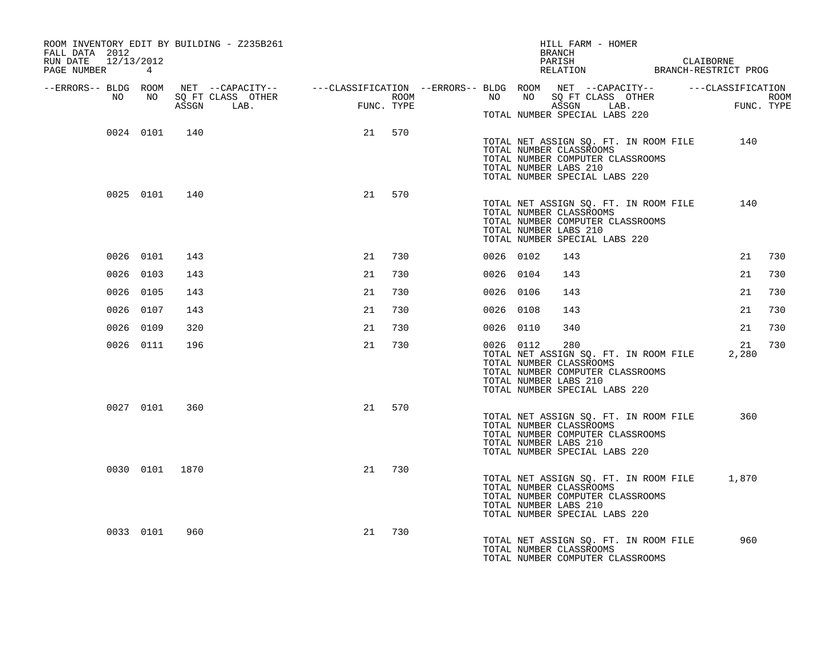| ROOM INVENTORY EDIT BY BUILDING - Z235B261<br>FALL DATA 2012<br>RUN DATE 12/13/2012 |           |                |                                                                                                                                                                                                                                     |    |        |           |                                                                                   | BRANCH | HILL FARM - HOMER |                                  |                                       |                                                   |             |     |
|-------------------------------------------------------------------------------------|-----------|----------------|-------------------------------------------------------------------------------------------------------------------------------------------------------------------------------------------------------------------------------------|----|--------|-----------|-----------------------------------------------------------------------------------|--------|-------------------|----------------------------------|---------------------------------------|---------------------------------------------------|-------------|-----|
| PAGE NUMBER 4                                                                       |           |                |                                                                                                                                                                                                                                     |    |        |           |                                                                                   |        |                   |                                  |                                       | PARISH CLAIBORNE<br>RELATION BRANCH-RESTRICT PROG |             |     |
|                                                                                     |           |                | ERRORS-- BLDG ROOM NET --CAPACITY--- --CLASSIFICATION--ERRORS-- BLDG ROOM NET --CAPACITY---------CLASSIFICATION-<br>NO NO SQ FT CLASS OTHER ROOM NO SQ FT CLASS OTHER ROOM NO SQ FT CLASS OTHER ROOM<br>ASSGN LAB. FUNC. TYPE ASSGN |    |        |           |                                                                                   |        |                   | TOTAL NUMBER SPECIAL LABS 220    |                                       |                                                   |             |     |
|                                                                                     |           | 0024 0101 140  |                                                                                                                                                                                                                                     |    | 21 570 |           | TOTAL NUMBER CLASSROOMS<br>TOTAL NUMBER LABS 210<br>TOTAL NUMBER SPECIAL LABS 220 |        |                   | TOTAL NUMBER COMPUTER CLASSROOMS |                                       | TOTAL NET ASSIGN SQ. FT. IN ROOM FILE 140         |             |     |
|                                                                                     | 0025 0101 | 140            |                                                                                                                                                                                                                                     | 21 | 570    |           | TOTAL NUMBER CLASSROOMS<br>TOTAL NUMBER LABS 210<br>TOTAL NUMBER SPECIAL LABS 220 |        |                   | TOTAL NUMBER COMPUTER CLASSROOMS | TOTAL NET ASSIGN SQ. FT. IN ROOM FILE |                                                   | 140         |     |
|                                                                                     | 0026 0101 | 143            |                                                                                                                                                                                                                                     | 21 | 730    | 0026 0102 |                                                                                   | 143    |                   |                                  |                                       |                                                   | 21          | 730 |
|                                                                                     | 0026 0103 | 143            |                                                                                                                                                                                                                                     | 21 | 730    | 0026 0104 |                                                                                   | 143    |                   |                                  |                                       |                                                   | 21          | 730 |
|                                                                                     | 0026 0105 | 143            |                                                                                                                                                                                                                                     | 21 | 730    | 0026 0106 |                                                                                   | 143    |                   |                                  |                                       |                                                   | 21          | 730 |
|                                                                                     | 0026 0107 | 143            |                                                                                                                                                                                                                                     | 21 | 730    | 0026 0108 |                                                                                   | 143    |                   |                                  |                                       |                                                   | 21          | 730 |
|                                                                                     | 0026 0109 | 320            |                                                                                                                                                                                                                                     | 21 | 730    | 0026 0110 |                                                                                   | 340    |                   |                                  |                                       |                                                   | 21          | 730 |
|                                                                                     | 0026 0111 | 196            |                                                                                                                                                                                                                                     | 21 | 730    | 0026 0112 | TOTAL NUMBER CLASSROOMS<br>TOTAL NUMBER LABS 210<br>TOTAL NUMBER SPECIAL LABS 220 | 280    |                   | TOTAL NUMBER COMPUTER CLASSROOMS | TOTAL NET ASSIGN SQ. FT. IN ROOM FILE |                                                   | 21<br>2,280 | 730 |
|                                                                                     | 0027 0101 | 360            |                                                                                                                                                                                                                                     | 21 | 570    |           | TOTAL NUMBER CLASSROOMS<br>TOTAL NUMBER LABS 210<br>TOTAL NUMBER SPECIAL LABS 220 |        |                   | TOTAL NUMBER COMPUTER CLASSROOMS | TOTAL NET ASSIGN SQ. FT. IN ROOM FILE |                                                   | 360         |     |
|                                                                                     |           | 0030 0101 1870 |                                                                                                                                                                                                                                     |    | 21 730 |           | TOTAL NUMBER CLASSROOMS<br>TOTAL NUMBER LABS 210<br>TOTAL NUMBER SPECIAL LABS 220 |        |                   | TOTAL NUMBER COMPUTER CLASSROOMS |                                       | TOTAL NET ASSIGN SQ. FT. IN ROOM FILE 1,870       |             |     |
|                                                                                     | 0033 0101 | 960            |                                                                                                                                                                                                                                     | 21 | 730    |           | TOTAL NUMBER CLASSROOMS                                                           |        |                   | TOTAL NUMBER COMPUTER CLASSROOMS | TOTAL NET ASSIGN SQ. FT. IN ROOM FILE |                                                   | 960         |     |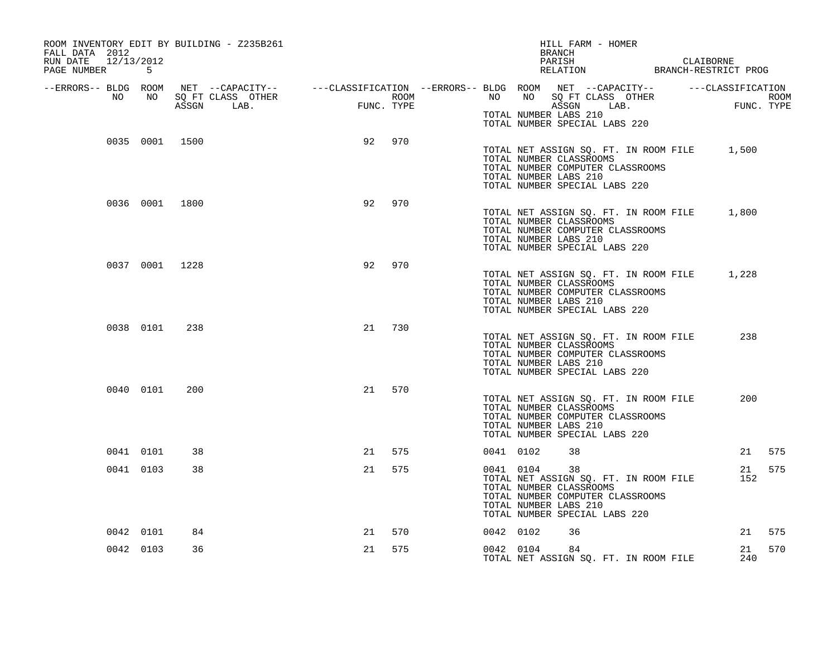| ROOM INVENTORY EDIT BY BUILDING - Z235B261<br>FALL DATA 2012<br>RUN DATE 12/13/2012<br>PAGE NUMBER 5 |           |                |                                                                                                                                                                                                            |    |        |           |           | HILL FARM - HOMER<br>BRANCH<br>PARISH CLAIBORNE RELATION BRANCH-RESTRICT PROG                                                                                        |  |           |        |
|------------------------------------------------------------------------------------------------------|-----------|----------------|------------------------------------------------------------------------------------------------------------------------------------------------------------------------------------------------------------|----|--------|-----------|-----------|----------------------------------------------------------------------------------------------------------------------------------------------------------------------|--|-----------|--------|
| --ERRORS-- BLDG ROOM<br>NO                                                                           | NO        |                | NET --CAPACITY-- ----CLASSIFICATION --ERRORS-- BLDG ROOM NET --CAPACITY-- -----CLASSIFICATION<br>SQ FT CLASS OTHER ROOM ROOM NO SQ FT CLASS OTHER ROOM ROOM<br>ASSGN LAB. FUNC. TYPE ASSGN LAB. FUNC. TYPE |    |        |           |           | TOTAL NUMBER LABS 210<br>TOTAL NUMBER SPECIAL LABS 220                                                                                                               |  |           |        |
|                                                                                                      |           | 0035 0001 1500 |                                                                                                                                                                                                            | 92 | 970    |           |           | TOTAL NET ASSIGN SQ. FT. IN ROOM FILE 1,500<br>TOTAL NUMBER CLASSROOMS<br>TOTAL NUMBER COMPUTER CLASSROOMS<br>TOTAL NUMBER LABS 210<br>TOTAL NUMBER SPECIAL LABS 220 |  |           |        |
|                                                                                                      |           | 0036 0001 1800 |                                                                                                                                                                                                            | 92 | 970    |           |           | TOTAL NET ASSIGN SQ. FT. IN ROOM FILE 1,800<br>TOTAL NUMBER CLASSROOMS<br>TOTAL NUMBER COMPUTER CLASSROOMS<br>TOTAL NUMBER LABS 210<br>TOTAL NUMBER SPECIAL LABS 220 |  |           |        |
|                                                                                                      |           | 0037 0001 1228 |                                                                                                                                                                                                            | 92 | 970    |           |           | TOTAL NET ASSIGN SQ. FT. IN ROOM FILE 1,228<br>TOTAL NUMBER CLASSROOMS<br>TOTAL NUMBER COMPUTER CLASSROOMS<br>TOTAL NUMBER LABS 210<br>TOTAL NUMBER SPECIAL LABS 220 |  |           |        |
|                                                                                                      | 0038 0101 | 238            |                                                                                                                                                                                                            | 21 | 730    |           |           | TOTAL NET ASSIGN SQ. FT. IN ROOM FILE<br>TOTAL NUMBER CLASSROOMS<br>TOTAL NUMBER COMPUTER CLASSROOMS<br>TOTAL NUMBER LABS 210<br>TOTAL NUMBER SPECIAL LABS 220       |  | 238       |        |
|                                                                                                      | 0040 0101 | 200            |                                                                                                                                                                                                            | 21 | 570    |           |           | TOTAL NET ASSIGN SQ. FT. IN ROOM FILE<br>TOTAL NUMBER CLASSROOMS<br>TOTAL NUMBER COMPUTER CLASSROOMS<br>TOTAL NUMBER LABS 210<br>TOTAL NUMBER SPECIAL LABS 220       |  | 200       |        |
|                                                                                                      | 0041 0101 | 38             |                                                                                                                                                                                                            |    | 21 575 | 0041 0102 |           | 38                                                                                                                                                                   |  |           | 21 575 |
|                                                                                                      | 0041 0103 | 38             |                                                                                                                                                                                                            | 21 | 575    | 0041 0104 |           | 38<br>TOTAL NET ASSIGN SQ. FT. IN ROOM FILE<br>TOTAL NUMBER CLASSROOMS<br>TOTAL NUMBER COMPUTER CLASSROOMS<br>TOTAL NUMBER LABS 210<br>TOTAL NUMBER SPECIAL LABS 220 |  | 21<br>152 | 575    |
|                                                                                                      | 0042 0101 | 84             |                                                                                                                                                                                                            | 21 | 570    | 0042 0102 |           | 36                                                                                                                                                                   |  |           | 21 575 |
|                                                                                                      | 0042 0103 | 36             |                                                                                                                                                                                                            | 21 | 575    |           | 0042 0104 | 84<br>TOTAL NET ASSIGN SQ. FT. IN ROOM FILE                                                                                                                          |  | 21<br>240 | 570    |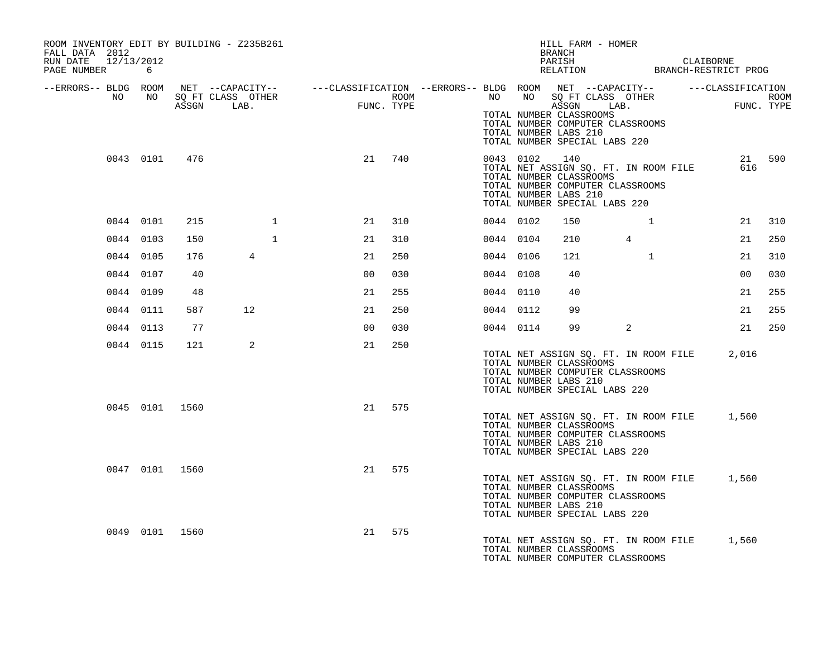| ROOM INVENTORY EDIT BY BUILDING - Z235B261<br>FALL DATA 2012<br>RUN DATE 12/13/2012                                       |           |                |                   |              |                |            |           |           | HILL FARM - HOMER<br>BRANCH                                                                                                                                           |                 |                    |        |
|---------------------------------------------------------------------------------------------------------------------------|-----------|----------------|-------------------|--------------|----------------|------------|-----------|-----------|-----------------------------------------------------------------------------------------------------------------------------------------------------------------------|-----------------|--------------------|--------|
| PAGE NUMBER 6                                                                                                             |           |                |                   |              |                |            |           |           | PARISH CLAIBORNE<br>RELATION BRANCH-RESTRICT PROG                                                                                                                     |                 |                    |        |
| --ERRORS-- BLDG ROOM NET --CAPACITY-- -----CLASSIFICATION --ERRORS-- BLDG ROOM NET --CAPACITY-- -----CLASSIFICATION<br>NO | NO 11     |                | SQ FT CLASS OTHER |              |                | ROOM       |           |           | NO NO SQ FT CLASS OTHER                                                                                                                                               |                 |                    |        |
|                                                                                                                           |           |                | ASSGN LAB.        |              | $_{\rm{FUNC}}$ | FUNC. TYPE |           |           | ASSGN LAB.<br>TOTAL NUMBER CLASSROOMS<br>TOTAL NUMBER COMPUTER CLASSROOMS<br>TOTAL NUMBER LABS 210<br>TOTAL NUMBER SPECIAL LABS 220                                   |                 | ROOM<br>FUNC. TYPE |        |
|                                                                                                                           |           | 0043 0101 476  |                   |              | 21             | 740        |           | 0043 0102 | 140<br>TOTAL NET ASSIGN SQ. FT. IN ROOM FILE<br>TOTAL NUMBER CLASSROOMS<br>TOTAL NUMBER COMPUTER CLASSROOMS<br>TOTAL NUMBER LABS 210<br>TOTAL NUMBER SPECIAL LABS 220 |                 | 616                | 21 590 |
|                                                                                                                           | 0044 0101 | 215            |                   | $\mathbf{1}$ | 21             | 310        | 0044 0102 |           | 150                                                                                                                                                                   | $\mathbf{1}$    | 21                 | 310    |
|                                                                                                                           | 0044 0103 | 150            |                   | $\mathbf{1}$ | 21             | 310        | 0044 0104 |           | 210                                                                                                                                                                   | $4\overline{ }$ | 21                 | 250    |
|                                                                                                                           | 0044 0105 | 176            | $4\overline{ }$   |              | 21             | 250        | 0044 0106 |           | 121                                                                                                                                                                   | $\mathbf{1}$    | 21                 | 310    |
|                                                                                                                           | 0044 0107 | 40             |                   |              | 0 <sub>0</sub> | 030        | 0044 0108 |           | 40                                                                                                                                                                    |                 | 0 <sub>0</sub>     | 030    |
|                                                                                                                           | 0044 0109 | 48             |                   |              | 21             | 255        | 0044 0110 |           | 40                                                                                                                                                                    |                 | 21                 | 255    |
|                                                                                                                           | 0044 0111 | 587            | 12                |              | 21             | 250        | 0044 0112 |           | 99                                                                                                                                                                    |                 | 21                 | 255    |
|                                                                                                                           | 0044 0113 | 77             |                   |              | 0 <sub>0</sub> | 030        | 0044 0114 |           | 99                                                                                                                                                                    | 2               | 21                 | 250    |
|                                                                                                                           | 0044 0115 | 121            | 2                 |              | 21             | 250        |           |           | TOTAL NET ASSIGN SQ. FT. IN ROOM FILE<br>TOTAL NUMBER CLASSROOMS<br>TOTAL NUMBER COMPUTER CLASSROOMS<br>TOTAL NUMBER LABS 210<br>TOTAL NUMBER SPECIAL LABS 220        |                 | 2,016              |        |
|                                                                                                                           |           | 0045 0101 1560 |                   |              |                | 21 575     |           |           | TOTAL NET ASSIGN SQ. FT. IN ROOM FILE<br>TOTAL NUMBER CLASSROOMS<br>TOTAL NUMBER COMPUTER CLASSROOMS<br>TOTAL NUMBER LABS 210<br>TOTAL NUMBER SPECIAL LABS 220        |                 | 1,560              |        |
|                                                                                                                           |           | 0047 0101 1560 |                   |              |                | 21 575     |           |           | TOTAL NET ASSIGN SQ. FT. IN ROOM FILE<br>TOTAL NUMBER CLASSROOMS<br>TOTAL NUMBER COMPUTER CLASSROOMS<br>TOTAL NUMBER LABS 210<br>TOTAL NUMBER SPECIAL LABS 220        |                 | 1,560              |        |
|                                                                                                                           |           | 0049 0101 1560 |                   |              | 21             | 575        |           |           | TOTAL NET ASSIGN SQ. FT. IN ROOM FILE 1,560<br>TOTAL NUMBER CLASSROOMS<br>TOTAL NUMBER COMPUTER CLASSROOMS                                                            |                 |                    |        |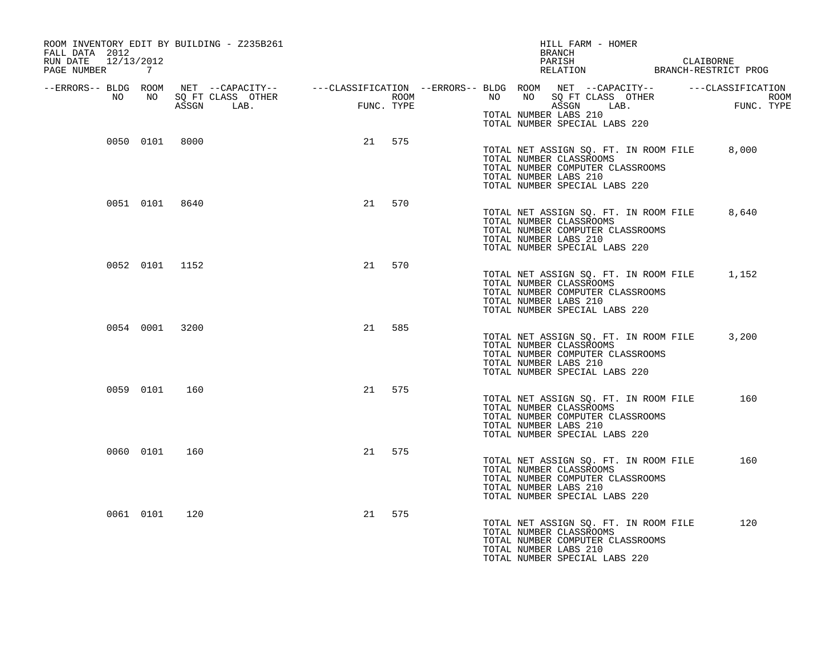| ROOM INVENTORY EDIT BY BUILDING - Z235B261<br>FALL DATA 2012<br>RUN DATE 12/13/2012<br>PAGE NUMBER 7 |                |                |    |        |  | HILL FARM - HOMER<br>BRANCH<br>PARISH CLAIBORNE RELATION BRANCH-RESTRICT PROG                                                                                                                                                                                        |       |
|------------------------------------------------------------------------------------------------------|----------------|----------------|----|--------|--|----------------------------------------------------------------------------------------------------------------------------------------------------------------------------------------------------------------------------------------------------------------------|-------|
| --ERRORS-- BLDG ROOM<br>NO                                                                           | NO             |                |    |        |  | NET --CAPACITY-- ----CLASSIFICATION --ERRORS-- BLDG ROOM NET --CAPACITY-- -----CLASSIFICATION<br>SQ FT CLASS OTHER ROOM ROOM NO SQ FT CLASS OTHER ROOM ROOM<br>ASSGN LAB. FUNC. TYPE ASSGN LAB. FUNC. TYPE<br>TOTAL NUMBER LABS 210<br>TOTAL NUMBER SPECIAL LABS 220 |       |
|                                                                                                      |                | 0050 0101 8000 |    | 21 575 |  | TOTAL NET ASSIGN SQ. FT. IN ROOM FILE 8,000<br>TOTAL NUMBER CLASSROOMS<br>TOTAL NUMBER COMPUTER CLASSROOMS<br>TOTAL NUMBER LABS 210<br>TOTAL NUMBER SPECIAL LABS 220                                                                                                 |       |
|                                                                                                      | 0051 0101 8640 |                | 21 | 570    |  | TOTAL NET ASSIGN SQ. FT. IN ROOM FILE<br>TOTAL NUMBER CLASSROOMS<br>TOTAL NUMBER COMPUTER CLASSROOMS<br>TOTAL NUMBER LABS 210<br>TOTAL NUMBER SPECIAL LABS 220                                                                                                       | 8,640 |
|                                                                                                      |                | 0052 0101 1152 | 21 | 570    |  | TOTAL NET ASSIGN SQ. FT. IN ROOM FILE<br>TOTAL NUMBER CLASSROOMS<br>TOTAL NUMBER COMPUTER CLASSROOMS<br>TOTAL NUMBER LABS 210<br>TOTAL NUMBER SPECIAL LABS 220                                                                                                       | 1,152 |
|                                                                                                      | 0054 0001 3200 |                |    | 21 585 |  | TOTAL NET ASSIGN SQ. FT. IN ROOM FILE<br>TOTAL NUMBER CLASSROOMS<br>TOTAL NUMBER COMPUTER CLASSROOMS<br>TOTAL NUMBER LABS 210<br>TOTAL NUMBER SPECIAL LABS 220                                                                                                       | 3,200 |
|                                                                                                      | 0059 0101      | 160            | 21 | 575    |  | TOTAL NET ASSIGN SQ. FT. IN ROOM FILE<br>TOTAL NUMBER CLASSROOMS<br>TOTAL NUMBER COMPUTER CLASSROOMS<br>TOTAL NUMBER LABS 210<br>TOTAL NUMBER SPECIAL LABS 220                                                                                                       | 160   |
|                                                                                                      | 0060 0101      | 160            |    | 21 575 |  | TOTAL NET ASSIGN SQ. FT. IN ROOM FILE<br>TOTAL NUMBER CLASSROOMS<br>TOTAL NUMBER COMPUTER CLASSROOMS<br>TOTAL NUMBER LABS 210<br>TOTAL NUMBER SPECIAL LABS 220                                                                                                       | 160   |
|                                                                                                      | 0061 0101      | 120            |    | 21 575 |  | TOTAL NET ASSIGN SQ. FT. IN ROOM FILE<br>TOTAL NUMBER CLASSROOMS<br>TOTAL NUMBER COMPUTER CLASSROOMS<br>TOTAL NUMBER LABS 210<br>TOTAL NUMBER SPECIAL LABS 220                                                                                                       | 120   |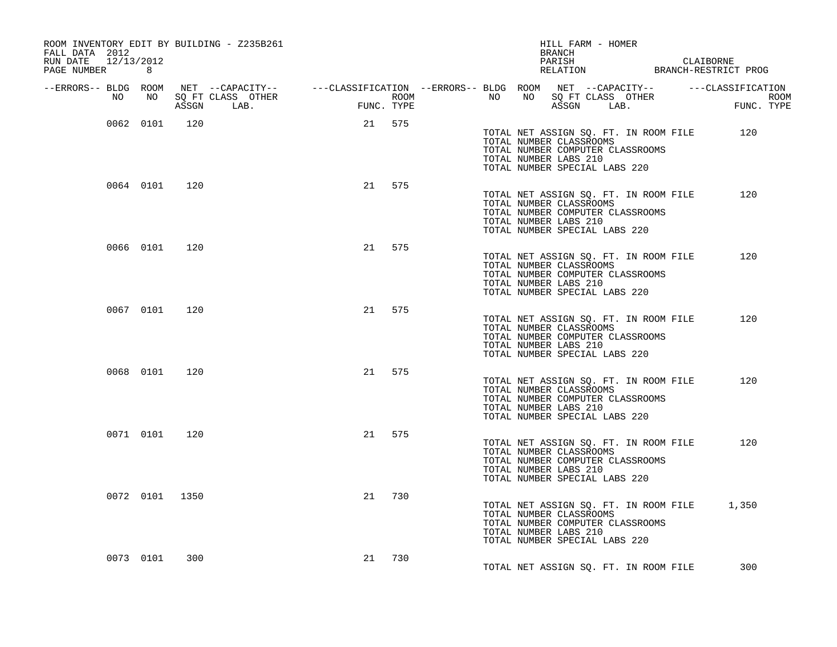| ROOM INVENTORY EDIT BY BUILDING - Z235B261<br>FALL DATA 2012<br>RUN DATE 12/13/2012<br>PAGE NUMBER<br>8 |     | HILL FARM - HOMER<br><b>BRANCH</b><br>PARISH CLAIBORNE RELATION BRANCH-RESTRICT PROG |     |                                                                                                                                                                                                                                      |       |  |  |  |  |
|---------------------------------------------------------------------------------------------------------|-----|--------------------------------------------------------------------------------------|-----|--------------------------------------------------------------------------------------------------------------------------------------------------------------------------------------------------------------------------------------|-------|--|--|--|--|
|                                                                                                         |     |                                                                                      |     |                                                                                                                                                                                                                                      |       |  |  |  |  |
|                                                                                                         |     |                                                                                      |     | ERRORS-- BLDG ROOM NET --CAPACITY--- --CLASSIFICATION--ERRORS-- BLDG ROOM NET --CAPACITY---------CLASSIFICATION--<br>NO NO SQ FT CLASS OTHER ROOM NO ROOM NO SQ FT CLASS OTHER ROOM NO SQ FT CLASS OTHER<br>ASSGN LAB. FUNC. TYPE AS |       |  |  |  |  |
| 0062 0101 120                                                                                           |     | 21 575                                                                               |     |                                                                                                                                                                                                                                      |       |  |  |  |  |
|                                                                                                         |     |                                                                                      |     | TOTAL NET ASSIGN SQ. FT. IN ROOM FILE 120<br>TOTAL NUMBER CLASSROOMS<br>TOTAL NUMBER COMPUTER CLASSROOMS<br>TOTAL NUMBER LABS 210<br>TOTAL NUMBER SPECIAL LABS 220                                                                   |       |  |  |  |  |
| 0064 0101 120                                                                                           |     | 21 575                                                                               |     | TOTAL NET ASSIGN SQ. FT. IN ROOM FILE<br>TOTAL NUMBER CLASSROOMS<br>TOTAL NUMBER COMPUTER CLASSROOMS<br>TOTAL NUMBER LABS 210<br>TOTAL NUMBER SPECIAL LABS 220                                                                       | 120   |  |  |  |  |
| 0066 0101 120                                                                                           |     | 21 575                                                                               |     | TOTAL NET ASSIGN SQ. FT. IN ROOM FILE<br>TOTAL NUMBER CLASSROOMS<br>TOTAL NUMBER COMPUTER CLASSROOMS<br>TOTAL NUMBER LABS 210<br>TOTAL NUMBER SPECIAL LABS 220                                                                       | 120   |  |  |  |  |
| 0067 0101                                                                                               | 120 | 21 575                                                                               |     | TOTAL NET ASSIGN SQ. FT. IN ROOM FILE<br>TOTAL NUMBER CLASSROOMS<br>TOTAL NUMBER COMPUTER CLASSROOMS<br>TOTAL NUMBER LABS 210<br>TOTAL NUMBER SPECIAL LABS 220                                                                       | 120   |  |  |  |  |
| 0068 0101 120                                                                                           |     | 21 575                                                                               |     | TOTAL NET ASSIGN SQ. FT. IN ROOM FILE<br>TOTAL NUMBER CLASSROOMS<br>TOTAL NUMBER COMPUTER CLASSROOMS<br>TOTAL NUMBER LABS 210<br>TOTAL NUMBER SPECIAL LABS 220                                                                       | 120   |  |  |  |  |
| 0071 0101 120                                                                                           |     | 21 575                                                                               |     | TOTAL NET ASSIGN SQ. FT. IN ROOM FILE<br>TOTAL NUMBER CLASSROOMS<br>TOTAL NUMBER COMPUTER CLASSROOMS<br>TOTAL NUMBER LABS 210<br>TOTAL NUMBER SPECIAL LABS 220                                                                       | 120   |  |  |  |  |
| 0072 0101 1350                                                                                          |     | 21                                                                                   | 730 | TOTAL NET ASSIGN SQ. FT. IN ROOM FILE<br>TOTAL NUMBER CLASSROOMS<br>TOTAL NUMBER COMPUTER CLASSROOMS<br>TOTAL NUMBER LABS 210<br>TOTAL NUMBER SPECIAL LABS 220                                                                       | 1,350 |  |  |  |  |
| 0073 0101                                                                                               | 300 | 21 730                                                                               |     | TOTAL NET ASSIGN SQ. FT. IN ROOM FILE                                                                                                                                                                                                | 300   |  |  |  |  |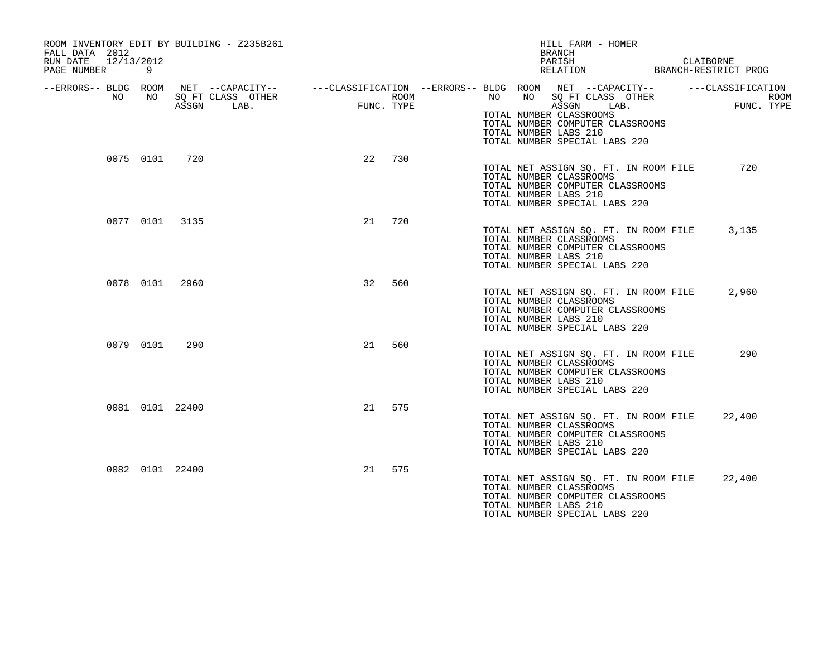| FALL DATA 2012<br>12/13/2012<br>RUN DATE<br>PAGE NUMBER | 9         | ROOM INVENTORY EDIT BY BUILDING - Z235B261 |            |      | HILL FARM - HOMER<br><b>BRANCH</b><br>PARISH<br>RELATION                                                                                                                                                                                                                     | CLAIBORNE<br>BRANCH-RESTRICT PROG |
|---------------------------------------------------------|-----------|--------------------------------------------|------------|------|------------------------------------------------------------------------------------------------------------------------------------------------------------------------------------------------------------------------------------------------------------------------------|-----------------------------------|
| --ERRORS-- BLDG ROOM<br>NO                              | NO.       | SQ FT CLASS OTHER<br>ASSGN LAB.            | FUNC. TYPE | ROOM | NET --CAPACITY-- - ---CLASSIFICATION --ERRORS-- BLDG ROOM NET --CAPACITY-- - ----CLASSIFICATION<br>NO .<br>NO<br>SQ FT CLASS OTHER<br>LAB.<br>ASSGN<br>TOTAL NUMBER CLASSROOMS<br>TOTAL NUMBER COMPUTER CLASSROOMS<br>TOTAL NUMBER LABS 210<br>TOTAL NUMBER SPECIAL LABS 220 | <b>ROOM</b><br>FUNC. TYPE         |
|                                                         | 0075 0101 | 720                                        | 22         | 730  | TOTAL NET ASSIGN SQ. FT. IN ROOM FILE<br>TOTAL NUMBER CLASSROOMS<br>TOTAL NUMBER COMPUTER CLASSROOMS<br>TOTAL NUMBER LABS 210<br>TOTAL NUMBER SPECIAL LABS 220                                                                                                               | 720                               |
|                                                         |           | 0077 0101 3135                             | 21         | 720  | TOTAL NET ASSIGN SQ. FT. IN ROOM FILE<br>TOTAL NUMBER CLASSROOMS<br>TOTAL NUMBER COMPUTER CLASSROOMS<br>TOTAL NUMBER LABS 210<br>TOTAL NUMBER SPECIAL LABS 220                                                                                                               | 3,135                             |
|                                                         | 0078 0101 | 2960                                       | 32         | 560  | TOTAL NET ASSIGN SQ. FT. IN ROOM FILE<br>TOTAL NUMBER CLASSROOMS<br>TOTAL NUMBER COMPUTER CLASSROOMS<br>TOTAL NUMBER LABS 210<br>TOTAL NUMBER SPECIAL LABS 220                                                                                                               | 2,960                             |
|                                                         | 0079 0101 | 290                                        | 21         | 560  | TOTAL NET ASSIGN SO. FT. IN ROOM FILE<br>TOTAL NUMBER CLASSROOMS<br>TOTAL NUMBER COMPUTER CLASSROOMS<br>TOTAL NUMBER LABS 210<br>TOTAL NUMBER SPECIAL LABS 220                                                                                                               | 290                               |
|                                                         |           | 0081 0101 22400                            | 21         | 575  | TOTAL NET ASSIGN SQ. FT. IN ROOM FILE<br>TOTAL NUMBER CLASSROOMS<br>TOTAL NUMBER COMPUTER CLASSROOMS<br>TOTAL NUMBER LABS 210<br>TOTAL NUMBER SPECIAL LABS 220                                                                                                               | 22,400                            |
|                                                         |           | 0082 0101 22400                            | 21         | 575  | TOTAL NET ASSIGN SQ. FT. IN ROOM FILE<br>TOTAL NUMBER CLASSROOMS<br>TOTAL NUMBER COMPUTER CLASSROOMS<br>TOTAL NUMBER LABS 210<br>TOTAL NUMBER SPECIAL LABS 220                                                                                                               | 22,400                            |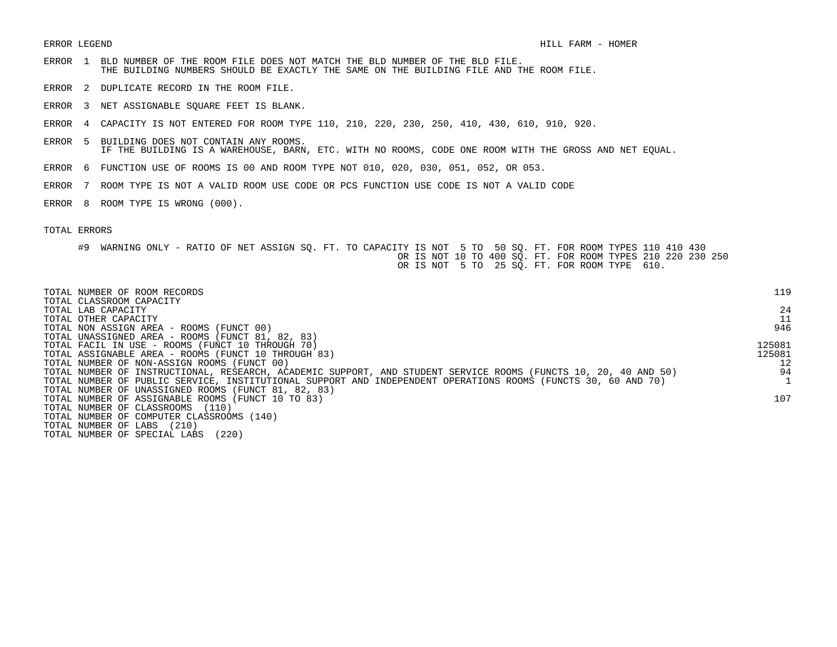- ERROR 1 BLD NUMBER OF THE ROOM FILE DOES NOT MATCH THE BLD NUMBER OF THE BLD FILE. THE BUILDING NUMBERS SHOULD BE EXACTLY THE SAME ON THE BUILDING FILE AND THE ROOM FILE.
- ERROR 2 DUPLICATE RECORD IN THE ROOM FILE.
- ERROR 3 NET ASSIGNABLE SQUARE FEET IS BLANK.
- ERROR 4 CAPACITY IS NOT ENTERED FOR ROOM TYPE 110, 210, 220, 230, 250, 410, 430, 610, 910, 920.
- ERROR 5 BUILDING DOES NOT CONTAIN ANY ROOMS. IF THE BUILDING IS A WAREHOUSE, BARN, ETC. WITH NO ROOMS, CODE ONE ROOM WITH THE GROSS AND NET EQUAL.
- ERROR 6 FUNCTION USE OF ROOMS IS 00 AND ROOM TYPE NOT 010, 020, 030, 051, 052, OR 053.
- ERROR 7 ROOM TYPE IS NOT A VALID ROOM USE CODE OR PCS FUNCTION USE CODE IS NOT A VALID CODE
- ERROR 8 ROOM TYPE IS WRONG (000).

| TOTAL NUMBER OF ROOM RECORDS<br>TOTAL CLASSROOM CAPACITY                                                        | 119    |
|-----------------------------------------------------------------------------------------------------------------|--------|
| TOTAL LAB CAPACITY                                                                                              | 24     |
| TOTAL OTHER CAPACITY                                                                                            | 11     |
| TOTAL NON ASSIGN AREA - ROOMS (FUNCT 00)                                                                        | 946    |
| TOTAL UNASSIGNED AREA - ROOMS (FUNCT 81, 82, 83)                                                                |        |
| TOTAL FACIL IN USE - ROOMS (FUNCT 10 THROUGH 70)                                                                | 125081 |
| TOTAL ASSIGNABLE AREA - ROOMS (FUNCT 10 THROUGH 83)                                                             | 125081 |
| TOTAL NUMBER OF NON-ASSIGN ROOMS (FUNCT 00)                                                                     | 12     |
| TOTAL NUMBER OF INSTRUCTIONAL, RESEARCH, ACADEMIC SUPPORT, AND STUDENT SERVICE ROOMS (FUNCTS 10, 20, 40 AND 50) | 94     |
| TOTAL NUMBER OF PUBLIC SERVICE, INSTITUTIONAL SUPPORT AND INDEPENDENT OPERATIONS ROOMS (FUNCTS 30, 60 AND 70)   |        |
| TOTAL NUMBER OF UNASSIGNED ROOMS (FUNCT 81, 82, 83)                                                             |        |
| TOTAL NUMBER OF ASSIGNABLE ROOMS (FUNCT 10 TO 83)                                                               | 107    |
| TOTAL NUMBER OF CLASSROOMS<br>(110)                                                                             |        |
| TOTAL NUMBER OF COMPUTER CLASSROOMS (140)                                                                       |        |
| (210)<br>TOTAL NUMBER OF LABS                                                                                   |        |
| (220)<br>TOTAL NUMBER OF SPECIAL LABS                                                                           |        |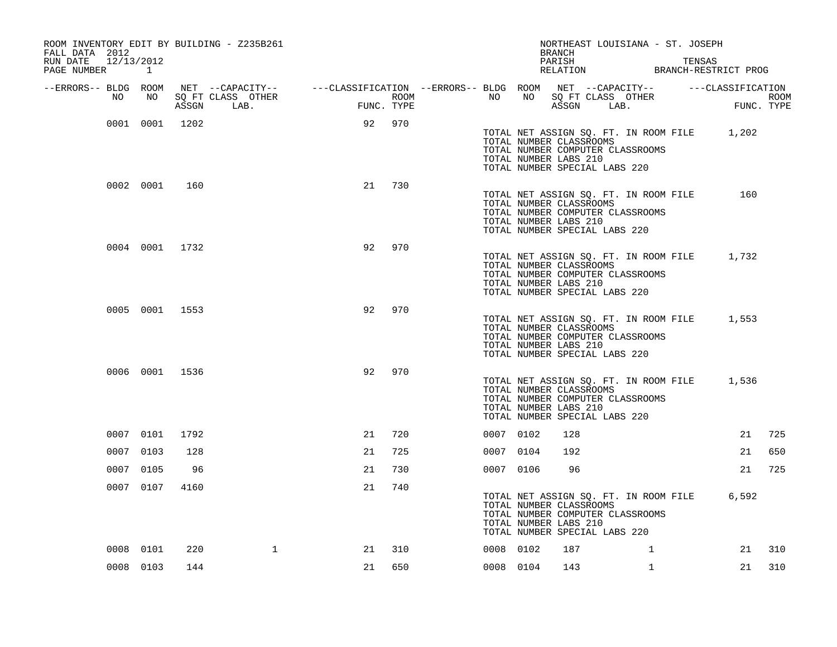| ROOM INVENTORY EDIT BY BUILDING - Z235B261<br>FALL DATA 2012 |           |                |                                                                                                                     |                                                                                 |            |      |                 |           | NORTHEAST LOUISIANA - ST. JOSEPH<br><b>BRANCH</b>                                                                                                              |              |                                                          |            |
|--------------------------------------------------------------|-----------|----------------|---------------------------------------------------------------------------------------------------------------------|---------------------------------------------------------------------------------|------------|------|-----------------|-----------|----------------------------------------------------------------------------------------------------------------------------------------------------------------|--------------|----------------------------------------------------------|------------|
| RUN DATE<br>12/13/2012<br>PAGE NUMBER 1                      |           |                |                                                                                                                     |                                                                                 |            |      |                 |           | PARISH                                                                                                                                                         |              | TENSAS<br>PARISH TENSAS<br>RELATION BRANCH-RESTRICT PROG |            |
| --ERRORS-- BLDG ROOM<br>NO                                   | NO        |                | NET --CAPACITY-- - ---CLASSIFICATION --ERRORS-- BLDG ROOM NET --CAPACITY-- - ---CLASSIFICATION<br>SQ FT CLASS OTHER |                                                                                 |            | ROOM | NO <sub>1</sub> |           | NO SQ FT CLASS OTHER                                                                                                                                           |              |                                                          | ROOM       |
|                                                              |           |                | ASSGN LAB.                                                                                                          | $\begin{aligned} \mathcal{L}_\text{max} = \mathcal{L}_\text{max} \end{aligned}$ | FUNC. TYPE |      |                 |           | ASSGN LAB.                                                                                                                                                     |              |                                                          | FUNC. TYPE |
|                                                              |           | 0001 0001 1202 |                                                                                                                     | 92                                                                              | 970        |      |                 |           | TOTAL NUMBER CLASSROOMS<br>TOTAL NUMBER COMPUTER CLASSROOMS<br>TOTAL NUMBER LABS 210<br>TOTAL NUMBER SPECIAL LABS 220                                          |              | TOTAL NET ASSIGN SQ. FT. IN ROOM FILE 1,202              |            |
|                                                              | 0002 0001 | 160            |                                                                                                                     | 21                                                                              | 730        |      |                 |           | TOTAL NET ASSIGN SQ. FT. IN ROOM FILE<br>TOTAL NUMBER CLASSROOMS<br>TOTAL NUMBER COMPUTER CLASSROOMS<br>TOTAL NUMBER LABS 210<br>TOTAL NUMBER SPECIAL LABS 220 |              | 160                                                      |            |
|                                                              |           | 0004 0001 1732 |                                                                                                                     | 92                                                                              | 970        |      |                 |           | TOTAL NUMBER CLASSROOMS<br>TOTAL NUMBER COMPUTER CLASSROOMS<br>TOTAL NUMBER LABS 210<br>TOTAL NUMBER SPECIAL LABS 220                                          |              | TOTAL NET ASSIGN SQ. FT. IN ROOM FILE 1,732              |            |
|                                                              |           | 0005 0001 1553 |                                                                                                                     | 92                                                                              | 970        |      |                 |           | TOTAL NUMBER CLASSROOMS<br>TOTAL NUMBER COMPUTER CLASSROOMS<br>TOTAL NUMBER LABS 210<br>TOTAL NUMBER SPECIAL LABS 220                                          |              | TOTAL NET ASSIGN SQ. FT. IN ROOM FILE 1,553              |            |
|                                                              |           | 0006 0001 1536 |                                                                                                                     | 92                                                                              | 970        |      |                 |           | TOTAL NUMBER CLASSROOMS<br>TOTAL NUMBER COMPUTER CLASSROOMS<br>TOTAL NUMBER LABS 210<br>TOTAL NUMBER SPECIAL LABS 220                                          |              | TOTAL NET ASSIGN SQ. FT. IN ROOM FILE 1,536              |            |
|                                                              | 0007 0101 | 1792           |                                                                                                                     | 21                                                                              | 720        |      |                 | 0007 0102 | 128                                                                                                                                                            |              | 21                                                       | 725        |
|                                                              | 0007 0103 | 128            |                                                                                                                     | 21                                                                              | 725        |      |                 | 0007 0104 | 192                                                                                                                                                            |              | 21                                                       | 650        |
|                                                              | 0007 0105 | 96             |                                                                                                                     | 21                                                                              | 730        |      |                 | 0007 0106 | 96                                                                                                                                                             |              | 21                                                       | 725        |
|                                                              | 0007 0107 | 4160           |                                                                                                                     | 21                                                                              | 740        |      |                 |           | TOTAL NUMBER CLASSROOMS<br>TOTAL NUMBER COMPUTER CLASSROOMS<br>TOTAL NUMBER LABS 210<br>TOTAL NUMBER SPECIAL LABS 220                                          |              | TOTAL NET ASSIGN SQ. FT. IN ROOM FILE 6,592              |            |
|                                                              | 0008 0101 | 220            | $\mathbf{1}$                                                                                                        | 21                                                                              | 310        |      |                 | 0008 0102 | 187                                                                                                                                                            | $\mathbf{1}$ | 21                                                       | 310        |
|                                                              | 0008 0103 | 144            |                                                                                                                     | 21                                                                              | 650        |      |                 | 0008 0104 | 143                                                                                                                                                            | $\mathbf{1}$ | 21                                                       | 310        |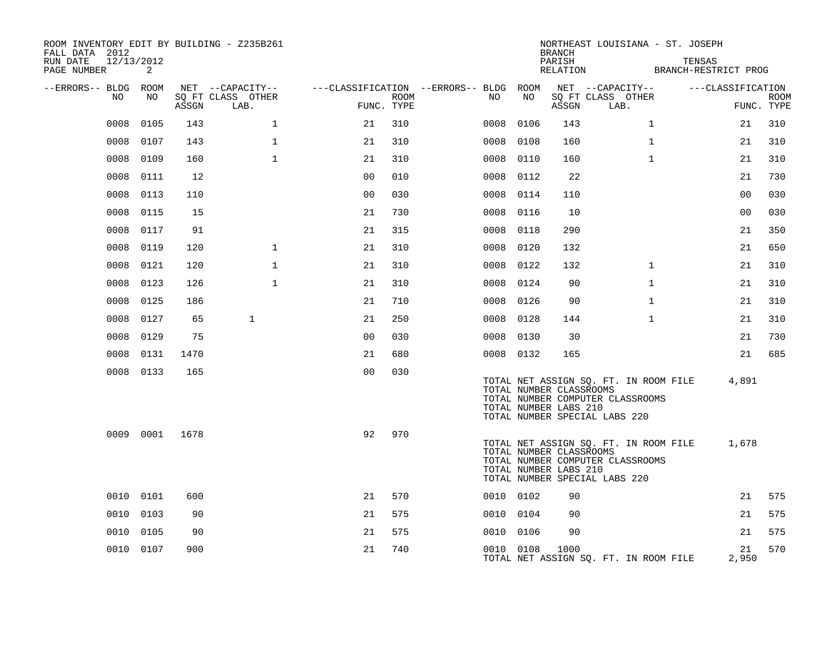| ROOM INVENTORY EDIT BY BUILDING - Z235B261<br>FALL DATA 2012<br>RUN DATE<br>PAGE NUMBER | 12/13/2012<br>2 |       |                                       |                |      |                                               |           | <b>BRANCH</b><br>PARISH<br>RELATION              | NORTHEAST LOUISIANA - ST. JOSEPH                                                                           | TENSAS<br>BRANCH-RESTRICT PROG |                   |             |
|-----------------------------------------------------------------------------------------|-----------------|-------|---------------------------------------|----------------|------|-----------------------------------------------|-----------|--------------------------------------------------|------------------------------------------------------------------------------------------------------------|--------------------------------|-------------------|-------------|
| --ERRORS-- BLDG ROOM<br>NO                                                              | NO              |       | NET --CAPACITY--<br>SQ FT CLASS OTHER |                | ROOM | ---CLASSIFICATION --ERRORS-- BLDG ROOM<br>NO. | NO        |                                                  | NET --CAPACITY--<br>SQ FT CLASS OTHER                                                                      |                                | ---CLASSIFICATION | <b>ROOM</b> |
|                                                                                         |                 | ASSGN | LAB.                                  | FUNC. TYPE     |      |                                               |           | ASSGN                                            | LAB.                                                                                                       |                                |                   | FUNC. TYPE  |
| 0008                                                                                    | 0105            | 143   | $\mathbf 1$                           | 21             | 310  | 0008                                          | 0106      | 143                                              | $\mathbf{1}$                                                                                               |                                | 21                | 310         |
| 0008                                                                                    | 0107            | 143   | 1                                     | 21             | 310  | 0008                                          | 0108      | 160                                              | $\mathbf{1}$                                                                                               |                                | 21                | 310         |
| 0008                                                                                    | 0109            | 160   | $\mathbf{1}$                          | 21             | 310  | 0008                                          | 0110      | 160                                              | $\mathbf{1}$                                                                                               |                                | 21                | 310         |
| 0008                                                                                    | 0111            | 12    |                                       | 0 <sub>0</sub> | 010  | 0008                                          | 0112      | 22                                               |                                                                                                            |                                | 21                | 730         |
| 0008                                                                                    | 0113            | 110   |                                       | 0 <sub>0</sub> | 030  | 0008                                          | 0114      | 110                                              |                                                                                                            |                                | 0 <sub>0</sub>    | 030         |
| 0008                                                                                    | 0115            | 15    |                                       | 21             | 730  | 0008                                          | 0116      | 10                                               |                                                                                                            |                                | 0 <sub>0</sub>    | 030         |
| 0008                                                                                    | 0117            | 91    |                                       | 21             | 315  |                                               | 0008 0118 | 290                                              |                                                                                                            |                                | 21                | 350         |
| 0008                                                                                    | 0119            | 120   | $\mathbf{1}$                          | 21             | 310  | 0008                                          | 0120      | 132                                              |                                                                                                            |                                | 21                | 650         |
| 0008                                                                                    | 0121            | 120   | $\mathbf{1}$                          | 21             | 310  |                                               | 0008 0122 | 132                                              | $\mathbf{1}$                                                                                               |                                | 21                | 310         |
| 0008                                                                                    | 0123            | 126   | 1                                     | 21             | 310  | 0008                                          | 0124      | 90                                               | $\mathbf{1}$                                                                                               |                                | 21                | 310         |
| 0008                                                                                    | 0125            | 186   |                                       | 21             | 710  |                                               | 0008 0126 | 90                                               | $\mathbf{1}$                                                                                               |                                | 21                | 310         |
| 0008                                                                                    | 0127            | 65    | $\mathbf{1}$                          | 21             | 250  |                                               | 0008 0128 | 144                                              | $\mathbf{1}$                                                                                               |                                | 21                | 310         |
| 0008                                                                                    | 0129            | 75    |                                       | 0 <sub>0</sub> | 030  |                                               | 0008 0130 | 30                                               |                                                                                                            |                                | 21                | 730         |
| 0008                                                                                    | 0131            | 1470  |                                       | 21             | 680  |                                               | 0008 0132 | 165                                              |                                                                                                            |                                | 21                | 685         |
|                                                                                         | 0008 0133       | 165   |                                       | 0 <sub>0</sub> | 030  |                                               |           | TOTAL NUMBER CLASSROOMS<br>TOTAL NUMBER LABS 210 | TOTAL NET ASSIGN SQ. FT. IN ROOM FILE<br>TOTAL NUMBER COMPUTER CLASSROOMS<br>TOTAL NUMBER SPECIAL LABS 220 |                                | 4,891             |             |
|                                                                                         | 0009 0001       | 1678  |                                       | 92             | 970  |                                               |           | TOTAL NUMBER CLASSROOMS<br>TOTAL NUMBER LABS 210 | TOTAL NET ASSIGN SQ. FT. IN ROOM FILE<br>TOTAL NUMBER COMPUTER CLASSROOMS<br>TOTAL NUMBER SPECIAL LABS 220 |                                | 1,678             |             |
|                                                                                         | 0010 0101       | 600   |                                       | 21             | 570  |                                               | 0010 0102 | 90                                               |                                                                                                            |                                | 21                | 575         |
| 0010                                                                                    | 0103            | 90    |                                       | 21             | 575  |                                               | 0010 0104 | 90                                               |                                                                                                            |                                | 21                | 575         |
| 0010                                                                                    | 0105            | 90    |                                       | 21             | 575  |                                               | 0010 0106 | 90                                               |                                                                                                            |                                | 21                | 575         |
|                                                                                         | 0010 0107       | 900   |                                       | 21             | 740  |                                               | 0010 0108 | 1000                                             | TOTAL NET ASSIGN SQ. FT. IN ROOM FILE                                                                      |                                | 21<br>2,950       | 570         |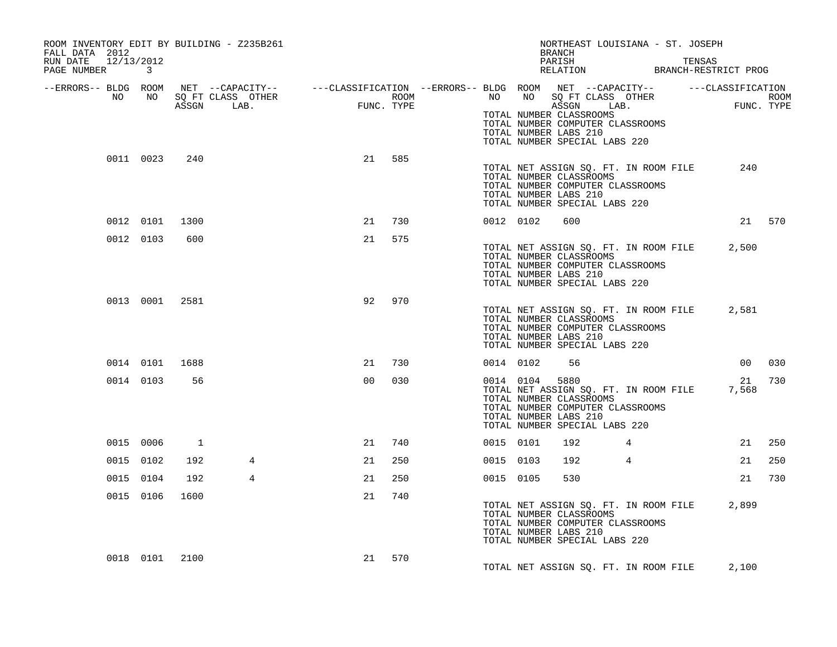| ROOM INVENTORY EDIT BY BUILDING - Z235B261<br>FALL DATA 2012<br>RUN DATE 12/13/2012 |                |                |   |    |        |  |           | NORTHEAST LOUISIANA - ST. JOSEPH<br>BRANCH<br>PARISH                                                                                                                   |            |             |        |
|-------------------------------------------------------------------------------------|----------------|----------------|---|----|--------|--|-----------|------------------------------------------------------------------------------------------------------------------------------------------------------------------------|------------|-------------|--------|
| PAGE NUMBER 3                                                                       |                |                |   |    |        |  |           | PARISH TENSAS TERSAS RELATION BRANCH-RESTRICT PROG                                                                                                                     |            |             |        |
| --ERRORS-- BLDG ROOM<br>NO                                                          | NO             |                |   |    |        |  |           |                                                                                                                                                                        |            |             |        |
|                                                                                     |                |                |   |    |        |  |           | TOTAL NUMBER CLASSROOMS<br>TOTAL NUMBER COMPUTER CLASSROOMS<br>TOTAL NUMBER LABS 210<br>TOTAL NUMBER SPECIAL LABS 220                                                  |            |             |        |
|                                                                                     | 0011 0023      | 240            |   | 21 | 585    |  |           | TOTAL NET ASSIGN SQ. FT. IN ROOM FILE<br>TOTAL NUMBER CLASSROOMS<br>TOTAL NUMBER COMPUTER CLASSROOMS<br>TOTAL NUMBER LABS 210<br>TOTAL NUMBER SPECIAL LABS 220         |            | 240         |        |
|                                                                                     |                | 0012 0101 1300 |   | 21 | 730    |  | 0012 0102 | 600                                                                                                                                                                    |            |             | 21 570 |
|                                                                                     | 0012 0103      | 600            |   | 21 | 575    |  |           | TOTAL NET ASSIGN SQ. FT. IN ROOM FILE 2,500<br>TOTAL NUMBER CLASSROOMS<br>TOTAL NUMBER COMPUTER CLASSROOMS<br>TOTAL NUMBER LABS 210<br>TOTAL NUMBER SPECIAL LABS 220   |            |             |        |
|                                                                                     |                | 0013 0001 2581 |   | 92 | 970    |  |           | TOTAL NET ASSIGN SQ. FT. IN ROOM FILE 2,581<br>TOTAL NUMBER CLASSROOMS<br>TOTAL NUMBER COMPUTER CLASSROOMS<br>TOTAL NUMBER LABS 210<br>TOTAL NUMBER SPECIAL LABS 220   |            |             |        |
|                                                                                     | 0014 0101 1688 |                |   | 21 | 730    |  | 0014 0102 | 56                                                                                                                                                                     |            |             | 00 030 |
|                                                                                     | 0014 0103      | 56             |   | 00 | 030    |  | 0014 0104 | 5880<br>TOTAL NET ASSIGN SQ. FT. IN ROOM FILE<br>TOTAL NUMBER CLASSROOMS<br>TOTAL NUMBER COMPUTER CLASSROOMS<br>TOTAL NUMBER LABS 210<br>TOTAL NUMBER SPECIAL LABS 220 |            | 21<br>7,568 | 730    |
|                                                                                     | 0015 0006      | $\overline{1}$ |   | 21 | 740    |  | 0015 0101 | 192 — 192 — 193 — 193 — 193 — 194 — 194 — 194 — 195 — 196 — 197 — 198 — 198 — 198 — 198 — 198 — 198 — 198 — 19                                                         | $4\degree$ | 21          | 250    |
|                                                                                     | 0015 0102      | 192            | 4 | 21 | 250    |  | 0015 0103 | 192                                                                                                                                                                    | 4          | 21          | 250    |
|                                                                                     | 0015 0104      | 192            | 4 | 21 | 250    |  | 0015 0105 | 530                                                                                                                                                                    |            | 21          | 730    |
|                                                                                     | 0015 0106      | 1600           |   | 21 | 740    |  |           | TOTAL NET ASSIGN SQ. FT. IN ROOM FILE 2,899<br>TOTAL NUMBER CLASSROOMS<br>TOTAL NUMBER COMPUTER CLASSROOMS<br>TOTAL NUMBER LABS 210<br>TOTAL NUMBER SPECIAL LABS 220   |            |             |        |
|                                                                                     |                | 0018 0101 2100 |   |    | 21 570 |  |           | TOTAL NET ASSIGN SQ. FT. IN ROOM FILE                                                                                                                                  |            | 2,100       |        |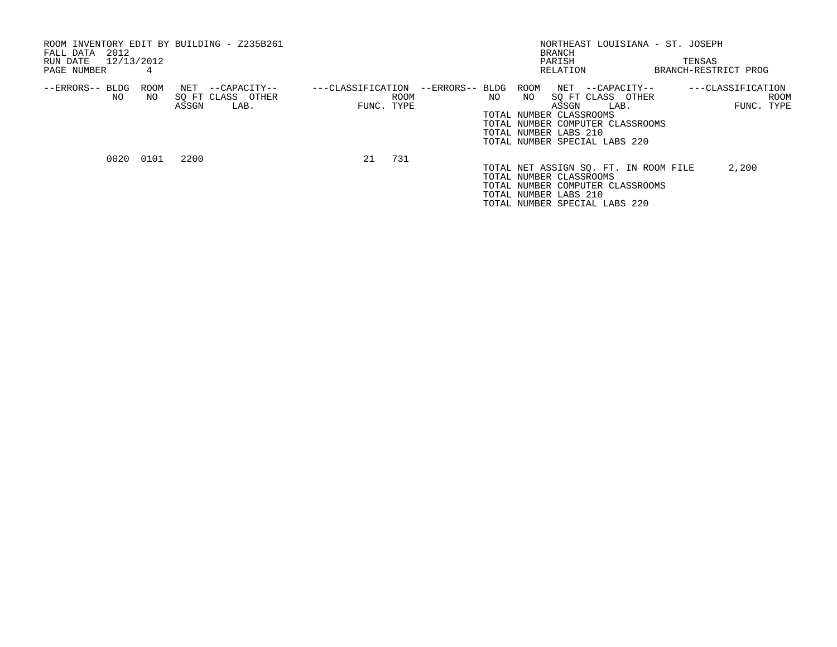| 2012<br>FALL DATA<br>RUN DATE 12/13/2012<br>PAGE NUMBER | 4           | ROOM INVENTORY EDIT BY BUILDING - Z235B261             |                   |                    |      | NORTHEAST LOUISIANA - ST. JOSEPH<br>BRANCH<br>PARISH<br>RELATION                                                                                                                                            | TENSAS<br>BRANCH-RESTRICT PROG          |
|---------------------------------------------------------|-------------|--------------------------------------------------------|-------------------|--------------------|------|-------------------------------------------------------------------------------------------------------------------------------------------------------------------------------------------------------------|-----------------------------------------|
| --ERRORS-- BLDG<br>NO                                   | ROOM<br>NO. | NET --CAPACITY--<br>SO FT CLASS OTHER<br>ASSGN<br>LAB. | ---CLASSIFICATION | ROOM<br>FUNC. TYPE | NO . | --ERRORS-- BLDG ROOM NET --CAPACITY--<br>SO FT CLASS OTHER<br>NO.<br>ASSGN<br>LAB.<br>TOTAL NUMBER CLASSROOMS<br>TOTAL NUMBER COMPUTER CLASSROOMS<br>TOTAL NUMBER LABS 210<br>TOTAL NUMBER SPECIAL LABS 220 | ---CLASSIFICATION<br>ROOM<br>FUNC. TYPE |
|                                                         | 0020 0101   | 2200                                                   | 21                | 731                |      | TOTAL NET ASSIGN SO. FT. IN ROOM FILE<br>TOTAL NUMBER CLASSROOMS<br>TOTAL NUMBER COMPUTER CLASSROOMS<br>TOTAL NUMBER LABS 210<br>TOTAL NUMBER SPECIAL LABS 220                                              | 2,200                                   |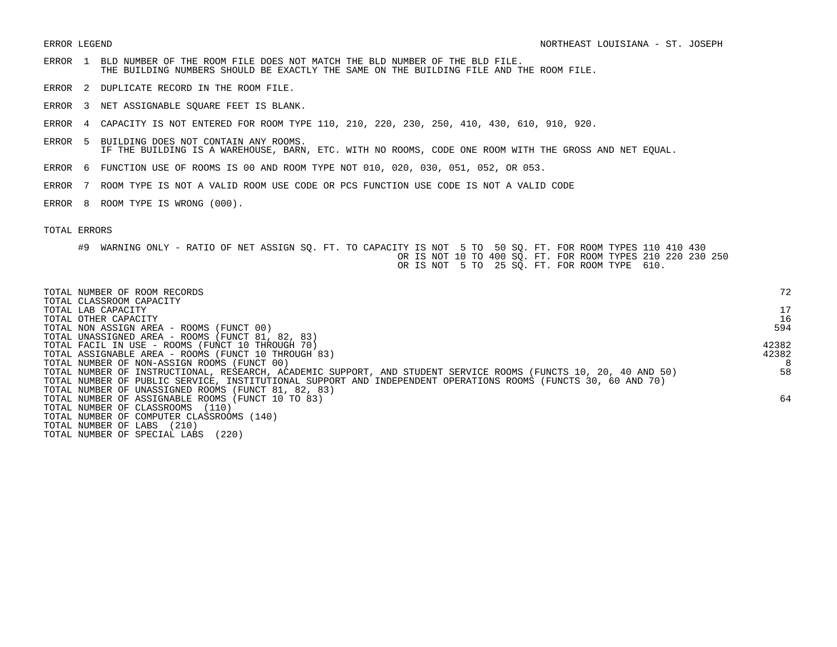- ERROR 1 BLD NUMBER OF THE ROOM FILE DOES NOT MATCH THE BLD NUMBER OF THE BLD FILE. THE BUILDING NUMBERS SHOULD BE EXACTLY THE SAME ON THE BUILDING FILE AND THE ROOM FILE.
- ERROR 2 DUPLICATE RECORD IN THE ROOM FILE.
- ERROR 3 NET ASSIGNABLE SQUARE FEET IS BLANK.
- ERROR 4 CAPACITY IS NOT ENTERED FOR ROOM TYPE 110, 210, 220, 230, 250, 410, 430, 610, 910, 920.
- ERROR 5 BUILDING DOES NOT CONTAIN ANY ROOMS. IF THE BUILDING IS A WAREHOUSE, BARN, ETC. WITH NO ROOMS, CODE ONE ROOM WITH THE GROSS AND NET EQUAL.
- ERROR 6 FUNCTION USE OF ROOMS IS 00 AND ROOM TYPE NOT 010, 020, 030, 051, 052, OR 053.
- ERROR 7 ROOM TYPE IS NOT A VALID ROOM USE CODE OR PCS FUNCTION USE CODE IS NOT A VALID CODE
- ERROR 8 ROOM TYPE IS WRONG (000).

| TOTAL NUMBER OF ROOM RECORDS<br>TOTAL CLASSROOM CAPACITY                                                        | 72    |
|-----------------------------------------------------------------------------------------------------------------|-------|
| TOTAL LAB CAPACITY                                                                                              | 17    |
| TOTAL OTHER CAPACITY                                                                                            | 16    |
| TOTAL NON ASSIGN AREA - ROOMS (FUNCT 00)                                                                        | 594   |
| TOTAL UNASSIGNED AREA - ROOMS (FUNCT 81, 82, 83)                                                                |       |
| TOTAL FACIL IN USE - ROOMS (FUNCT 10 THROUGH 70)                                                                | 42382 |
| TOTAL ASSIGNABLE AREA - ROOMS (FUNCT 10 THROUGH 83)                                                             | 42382 |
| TOTAL NUMBER OF NON-ASSIGN ROOMS (FUNCT 00)                                                                     | 8     |
| TOTAL NUMBER OF INSTRUCTIONAL, RESEARCH, ACADEMIC SUPPORT, AND STUDENT SERVICE ROOMS (FUNCTS 10, 20, 40 AND 50) | 58    |
| TOTAL NUMBER OF PUBLIC SERVICE, INSTITUTIONAL SUPPORT AND INDEPENDENT OPERATIONS ROOMS (FUNCTS 30, 60 AND 70)   |       |
| TOTAL NUMBER OF UNASSIGNED ROOMS (FUNCT 81, 82, 83)                                                             |       |
| TOTAL NUMBER OF ASSIGNABLE ROOMS (FUNCT 10 TO 83)                                                               | 64    |
| TOTAL NUMBER OF CLASSROOMS<br>(110)                                                                             |       |
| TOTAL NUMBER OF COMPUTER CLASSROOMS (140)                                                                       |       |
| TOTAL NUMBER OF LABS<br>(210)                                                                                   |       |
| (220)<br>TOTAL NUMBER OF SPECIAL LABS                                                                           |       |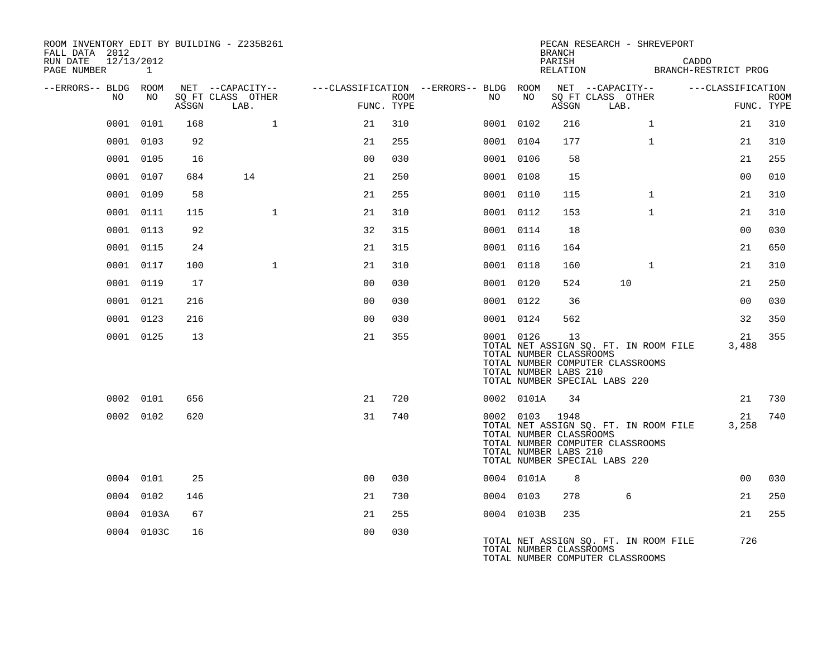| ROOM INVENTORY EDIT BY BUILDING - Z235B261<br>FALL DATA 2012<br>RUN DATE<br>12/13/2012<br>PAGE NUMBER | 1          |       |                           |                |      |                                        |                                                                    | <b>BRANCH</b><br>PARISH | PECAN RESEARCH - SHREVEPORT                                                                                |              | CADDO<br>RELATION BRANCH-RESTRICT PROG |                           |
|-------------------------------------------------------------------------------------------------------|------------|-------|---------------------------|----------------|------|----------------------------------------|--------------------------------------------------------------------|-------------------------|------------------------------------------------------------------------------------------------------------|--------------|----------------------------------------|---------------------------|
| --ERRORS-- BLDG ROOM                                                                                  |            |       | NET --CAPACITY--          |                |      | ---CLASSIFICATION --ERRORS-- BLDG ROOM |                                                                    |                         | NET --CAPACITY--                                                                                           |              | ---CLASSIFICATION                      |                           |
| NO                                                                                                    | NO         | ASSGN | SO FT CLASS OTHER<br>LAB. | FUNC. TYPE     | ROOM | NO .                                   | NO                                                                 | ASSGN                   | SQ FT CLASS OTHER<br>LAB.                                                                                  |              |                                        | <b>ROOM</b><br>FUNC. TYPE |
|                                                                                                       | 0001 0101  | 168   | $\mathbf{1}$              | 21             | 310  |                                        | 0001 0102                                                          | 216                     |                                                                                                            | $\mathbf{1}$ | 21                                     | 310                       |
|                                                                                                       | 0001 0103  | 92    |                           | 21             | 255  |                                        | 0001 0104                                                          | 177                     |                                                                                                            | $\mathbf{1}$ | 21                                     | 310                       |
|                                                                                                       | 0001 0105  | 16    |                           | 0 <sub>0</sub> | 030  |                                        | 0001 0106                                                          | 58                      |                                                                                                            |              | 21                                     | 255                       |
|                                                                                                       | 0001 0107  | 684   | 14                        | 21             | 250  |                                        | 0001 0108                                                          | 15                      |                                                                                                            |              | 0 <sub>0</sub>                         | 010                       |
|                                                                                                       | 0001 0109  | 58    |                           | 21             | 255  |                                        | 0001 0110                                                          | 115                     |                                                                                                            | $\mathbf{1}$ | 21                                     | 310                       |
|                                                                                                       | 0001 0111  | 115   | $\mathbf{1}$              | 21             | 310  |                                        | 0001 0112                                                          | 153                     |                                                                                                            | $\mathbf{1}$ | 21                                     | 310                       |
|                                                                                                       | 0001 0113  | 92    |                           | 32             | 315  |                                        | 0001 0114                                                          | 18                      |                                                                                                            |              | 0 <sub>0</sub>                         | 030                       |
|                                                                                                       | 0001 0115  | 24    |                           | 21             | 315  |                                        | 0001 0116                                                          | 164                     |                                                                                                            |              | 21                                     | 650                       |
|                                                                                                       | 0001 0117  | 100   | $\mathbf{1}$              | 21             | 310  |                                        | 0001 0118                                                          | 160                     |                                                                                                            | $\mathbf{1}$ | 21                                     | 310                       |
|                                                                                                       | 0001 0119  | 17    |                           | 0 <sub>0</sub> | 030  |                                        | 0001 0120                                                          | 524                     | 10                                                                                                         |              | 21                                     | 250                       |
|                                                                                                       | 0001 0121  | 216   |                           | 0 <sub>0</sub> | 030  |                                        | 0001 0122                                                          | 36                      |                                                                                                            |              | 0 <sub>0</sub>                         | 030                       |
|                                                                                                       | 0001 0123  | 216   |                           | 0 <sub>0</sub> | 030  |                                        | 0001 0124                                                          | 562                     |                                                                                                            |              | 32                                     | 350                       |
|                                                                                                       | 0001 0125  | 13    |                           | 21             | 355  |                                        | 0001 0126<br>TOTAL NUMBER CLASSROOMS<br>TOTAL NUMBER LABS 210      | 13                      | TOTAL NET ASSIGN SQ. FT. IN ROOM FILE<br>TOTAL NUMBER COMPUTER CLASSROOMS<br>TOTAL NUMBER SPECIAL LABS 220 |              | 21<br>3,488                            | 355                       |
|                                                                                                       | 0002 0101  | 656   |                           | 21             | 720  |                                        | 0002 0101A                                                         | 34                      |                                                                                                            |              | 21                                     | 730                       |
|                                                                                                       | 0002 0102  | 620   |                           | 31             | 740  |                                        | 0002 0103 1948<br>TOTAL NUMBER CLASSROOMS<br>TOTAL NUMBER LABS 210 |                         | TOTAL NET ASSIGN SQ. FT. IN ROOM FILE<br>TOTAL NUMBER COMPUTER CLASSROOMS<br>TOTAL NUMBER SPECIAL LABS 220 |              | 21<br>3,258                            | 740                       |
|                                                                                                       | 0004 0101  | 25    |                           | 0 <sup>0</sup> | 030  |                                        | 0004 0101A                                                         | 8                       |                                                                                                            |              | 00                                     | 030                       |
|                                                                                                       | 0004 0102  | 146   |                           | 21             | 730  |                                        | 0004 0103                                                          | 278                     | 6                                                                                                          |              | 21                                     | 250                       |
|                                                                                                       | 0004 0103A | 67    |                           | 21             | 255  |                                        | 0004 0103B                                                         | 235                     |                                                                                                            |              | 21                                     | 255                       |
|                                                                                                       | 0004 0103C | 16    |                           | 0 <sub>0</sub> | 030  |                                        | TOTAL NUMBER CLASSROOMS                                            |                         | TOTAL NET ASSIGN SO. FT. IN ROOM FILE<br>TOTAL NUMBER COMPUTER CLASSROOMS                                  |              | 726                                    |                           |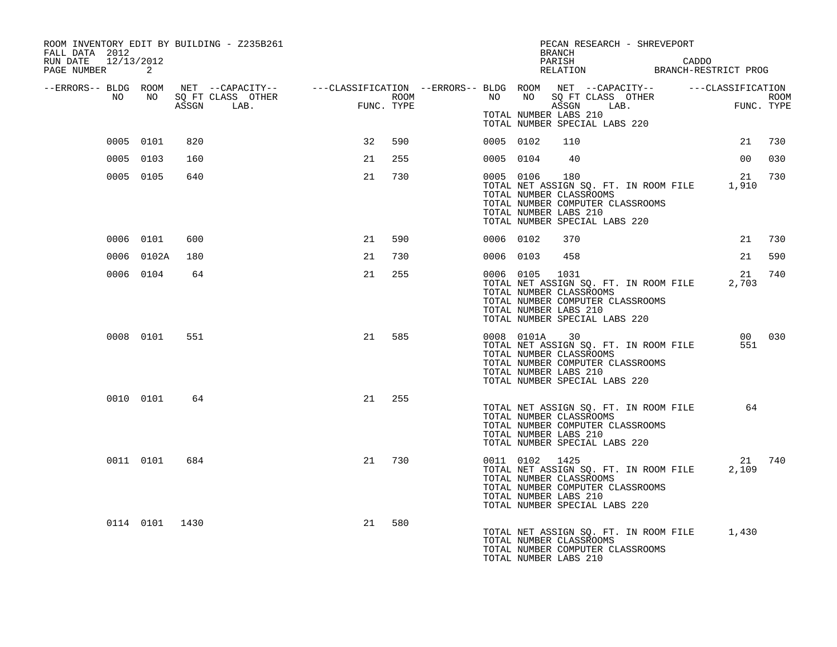| ROOM INVENTORY EDIT BY BUILDING - Z235B261<br>FALL DATA 2012 |                |     |    |     |           |           | PECAN RESEARCH - SHREVEPORT<br>BRANCH                                                                                                                                                                      |       |                 |        |
|--------------------------------------------------------------|----------------|-----|----|-----|-----------|-----------|------------------------------------------------------------------------------------------------------------------------------------------------------------------------------------------------------------|-------|-----------------|--------|
| RUN DATE 12/13/2012<br>PAGE NUMBER                           | 2              |     |    |     |           |           | PARISH<br>PARISH CADDO<br>RELATION BRANCH-RESTRICT PROG                                                                                                                                                    | CADDO |                 |        |
| --ERRORS-- BLDG ROOM<br>NO                                   | NO             |     |    |     |           |           | NET --CAPACITY-- ----CLASSIFICATION --ERRORS-- BLDG ROOM NET --CAPACITY-- -----CLASSIFICATION<br>SQ FT CLASS OTHER ROOM ROOM NO SQ FT CLASS OTHER ROOM ROOM<br>ASSGN LAB. FUNC. TYPE ASSGN LAB. FUNC. TYPE |       |                 |        |
|                                                              |                |     |    |     |           |           | TOTAL NUMBER LABS 210<br>TOTAL NUMBER SPECIAL LABS 220                                                                                                                                                     |       |                 |        |
|                                                              | 0005 0101      | 820 | 32 | 590 | 0005 0102 |           | 110                                                                                                                                                                                                        |       | 21              | 730    |
|                                                              | 0005 0103      | 160 | 21 | 255 | 0005 0104 |           | 40                                                                                                                                                                                                         |       | 00 <sup>o</sup> | 030    |
|                                                              | 0005 0105      | 640 | 21 | 730 | 0005 0106 |           | 180<br>TOTAL NET ASSIGN SQ. FT. IN ROOM FILE 1,910<br>TOTAL NUMBER CLASSROOMS<br>TOTAL NUMBER COMPUTER CLASSROOMS<br>TOTAL NUMBER LABS 210<br>TOTAL NUMBER SPECIAL LABS 220                                |       | 21              | 730    |
|                                                              | 0006 0101      | 600 | 21 | 590 | 0006 0102 |           | 370                                                                                                                                                                                                        |       | 21              | 730    |
|                                                              | 0006 0102A     | 180 | 21 | 730 | 0006 0103 |           | 458                                                                                                                                                                                                        |       | 21              | 590    |
|                                                              | 0006 0104      | 64  | 21 | 255 |           | 0006 0105 | 1031<br>TOTAL NET ASSIGN SQ. FT. IN ROOM FILE<br>TOTAL NUMBER CLASSROOMS<br>TOTAL NUMBER COMPUTER CLASSROOMS<br>TOTAL NUMBER LABS 210<br>TOTAL NUMBER SPECIAL LABS 220                                     |       | 21<br>2,703     | 740    |
|                                                              | 0008 0101      | 551 | 21 | 585 |           |           | 0008 0101A 30<br>TOTAL NET ASSIGN SQ. FT. IN ROOM FILE<br>TOTAL NUMBER CLASSROOMS<br>TOTAL NUMBER COMPUTER CLASSROOMS<br>TOTAL NUMBER LABS 210<br>TOTAL NUMBER SPECIAL LABS 220                            |       | 551             | 00 030 |
|                                                              | 0010 0101      | 64  | 21 | 255 |           |           | TOTAL NET ASSIGN SQ. FT. IN ROOM FILE<br>TOTAL NUMBER CLASSROOMS<br>TOTAL NUMBER COMPUTER CLASSROOMS<br>TOTAL NUMBER LABS 210<br>TOTAL NUMBER SPECIAL LABS 220                                             |       | 64              |        |
|                                                              | 0011 0101      | 684 | 21 | 730 |           |           | 0011 0102 1425<br>TOTAL NET ASSIGN SQ. FT. IN ROOM FILE<br>TOTAL NUMBER CLASSROOMS<br>TOTAL NUMBER COMPUTER CLASSROOMS<br>TOTAL NUMBER LABS 210<br>TOTAL NUMBER SPECIAL LABS 220                           |       | 2,109           | 21 740 |
|                                                              | 0114 0101 1430 |     | 21 | 580 |           |           | TOTAL NET ASSIGN SQ. FT. IN ROOM FILE 1,430<br>TOTAL NUMBER CLASSROOMS<br>TOTAL NUMBER COMPUTER CLASSROOMS<br>TOTAL NUMBER LABS 210                                                                        |       |                 |        |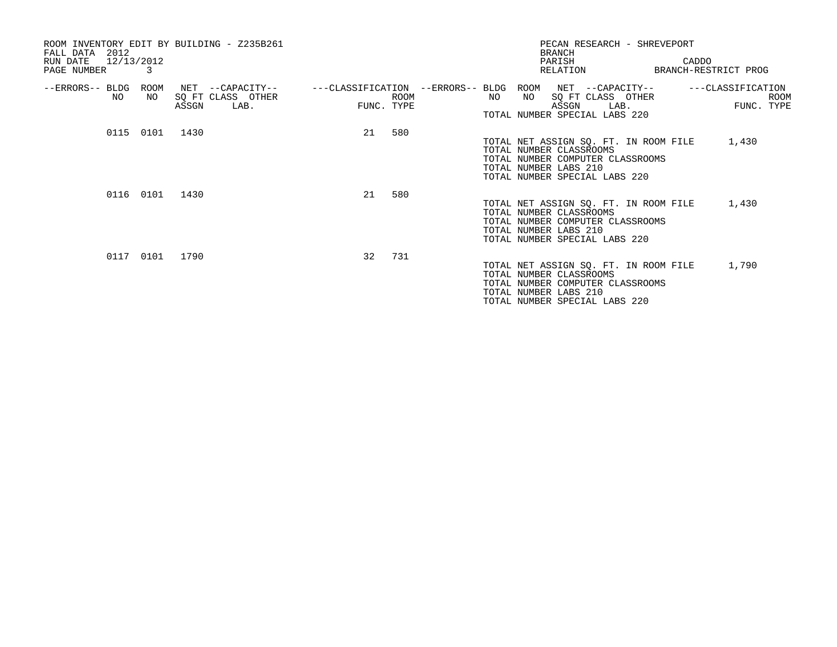| ROOM INVENTORY EDIT BY BUILDING - Z235B261<br>2012<br>FALL DATA<br>12/13/2012<br>RUN DATE<br>PAGE NUMBER<br>3 | <b>BRANCH</b><br>PARISH<br>RELATION                                                                                                | PECAN RESEARCH - SHREVEPORT<br>CADDO<br>BRANCH-RESTRICT PROG                             |
|---------------------------------------------------------------------------------------------------------------|------------------------------------------------------------------------------------------------------------------------------------|------------------------------------------------------------------------------------------|
| --ERRORS-- BLDG<br>ROOM<br>NET --CAPACITY--<br>SQ FT CLASS OTHER<br>NO.<br>NO.<br>ASSGN<br>LAB.               | ---CLASSIFICATION --ERRORS-- BLDG<br>ROOM<br>NO<br>NO<br><b>ROOM</b><br>ASSGN<br>FUNC. TYPE<br>TOTAL NUMBER SPECIAL LABS 220       | ---CLASSIFICATION<br>NET --CAPACITY--<br>SQ FT CLASS OTHER<br>ROOM<br>FUNC. TYPE<br>LAB. |
| 0115 0101 1430                                                                                                | 21<br>580<br>TOTAL NUMBER CLASSROOMS<br>TOTAL NUMBER LABS 210<br>TOTAL NUMBER SPECIAL LABS 220                                     | TOTAL NET ASSIGN SQ. FT. IN ROOM FILE<br>1,430<br>TOTAL NUMBER COMPUTER CLASSROOMS       |
| 0116 0101 1430                                                                                                | 580<br>21<br>TOTAL NUMBER CLASSROOMS<br>TOTAL NUMBER COMPUTER CLASSROOMS<br>TOTAL NUMBER LABS 210<br>TOTAL NUMBER SPECIAL LABS 220 | 1,430<br>TOTAL NET ASSIGN SQ. FT. IN ROOM FILE                                           |
| 0117 0101<br>1790                                                                                             | 32<br>731<br>TOTAL NUMBER CLASSROOMS<br>TOTAL NUMBER COMPUTER CLASSROOMS<br>TOTAL NUMBER LABS 210<br>TOTAL NUMBER SPECIAL LABS 220 | TOTAL NET ASSIGN SQ. FT. IN ROOM FILE<br>1,790                                           |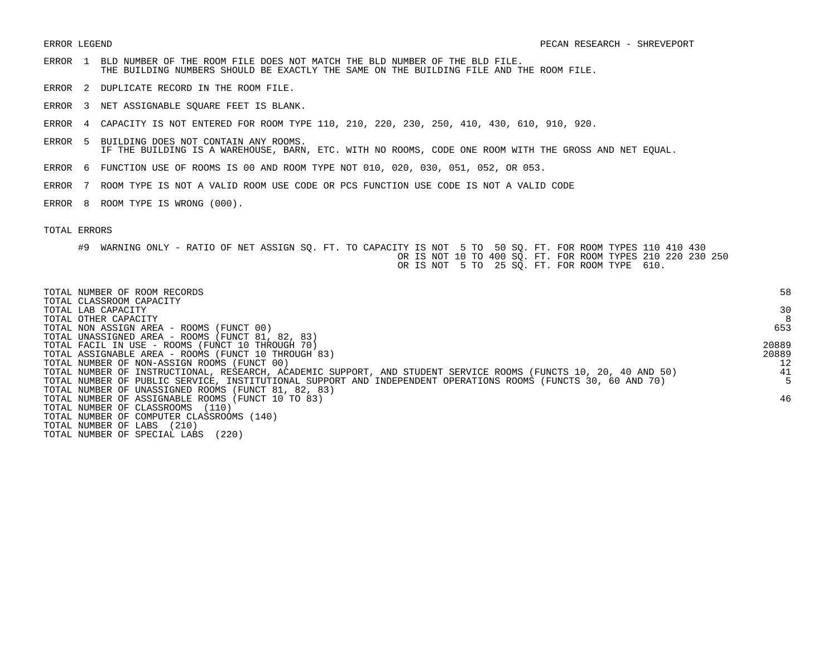- ERROR 1 BLD NUMBER OF THE ROOM FILE DOES NOT MATCH THE BLD NUMBER OF THE BLD FILE. THE BUILDING NUMBERS SHOULD BE EXACTLY THE SAME ON THE BUILDING FILE AND THE ROOM FILE.
- ERROR 2 DUPLICATE RECORD IN THE ROOM FILE.
- ERROR 3 NET ASSIGNABLE SQUARE FEET IS BLANK.
- ERROR 4 CAPACITY IS NOT ENTERED FOR ROOM TYPE 110, 210, 220, 230, 250, 410, 430, 610, 910, 920.
- ERROR 5 BUILDING DOES NOT CONTAIN ANY ROOMS. IF THE BUILDING IS A WAREHOUSE, BARN, ETC. WITH NO ROOMS, CODE ONE ROOM WITH THE GROSS AND NET EQUAL.
- ERROR 6 FUNCTION USE OF ROOMS IS 00 AND ROOM TYPE NOT 010, 020, 030, 051, 052, OR 053.
- ERROR 7 ROOM TYPE IS NOT A VALID ROOM USE CODE OR PCS FUNCTION USE CODE IS NOT A VALID CODE
- ERROR 8 ROOM TYPE IS WRONG (000).

| TOTAL NUMBER OF ROOM RECORDS<br>TOTAL CLASSROOM CAPACITY                                                        | 58    |
|-----------------------------------------------------------------------------------------------------------------|-------|
| TOTAL LAB CAPACITY                                                                                              | 30    |
| TOTAL OTHER CAPACITY                                                                                            | 8     |
| TOTAL NON ASSIGN AREA - ROOMS (FUNCT 00)                                                                        | 653   |
| TOTAL UNASSIGNED AREA - ROOMS (FUNCT 81, 82, 83)                                                                |       |
| TOTAL FACIL IN USE - ROOMS (FUNCT 10 THROUGH 70)                                                                | 20889 |
| TOTAL ASSIGNABLE AREA - ROOMS (FUNCT 10 THROUGH 83)                                                             | 20889 |
| TOTAL NUMBER OF NON-ASSIGN ROOMS (FUNCT 00)                                                                     | 12    |
| TOTAL NUMBER OF INSTRUCTIONAL, RESEARCH, ACADEMIC SUPPORT, AND STUDENT SERVICE ROOMS (FUNCTS 10, 20, 40 AND 50) | 41    |
| TOTAL NUMBER OF PUBLIC SERVICE, INSTITUTIONAL SUPPORT AND INDEPENDENT OPERATIONS ROOMS (FUNCTS 30, 60 AND 70)   |       |
| TOTAL NUMBER OF UNASSIGNED ROOMS (FUNCT 81, 82, 83)                                                             |       |
| TOTAL NUMBER OF ASSIGNABLE ROOMS (FUNCT 10 TO 83)                                                               | 46    |
| TOTAL NUMBER OF CLASSROOMS<br>(110)                                                                             |       |
| TOTAL NUMBER OF COMPUTER CLASSROOMS (140)                                                                       |       |
| (210)<br>TOTAL NUMBER OF LABS                                                                                   |       |
| (220)<br>TOTAL NUMBER OF SPECIAL LABS                                                                           |       |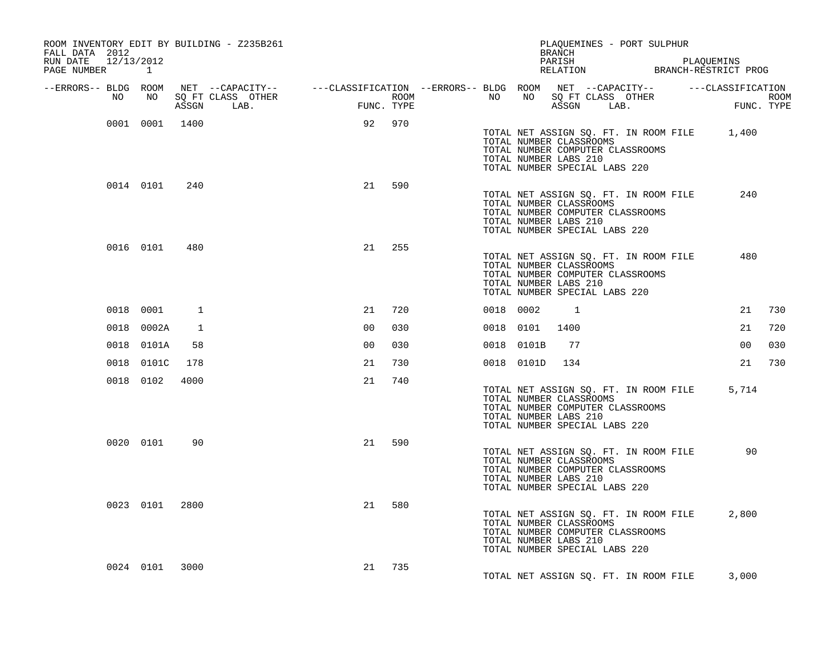| ROOM INVENTORY EDIT BY BUILDING - Z235B261<br>FALL DATA 2012<br>RUN DATE 12/13/2012 |                |              |                                                                                                                              |                |            |                  |    |            | PLAQUEMINES - PORT SULPHUR<br>BRANCH<br>PARISH                                                                                                                       |  | PLAQUEMINS     |                           |
|-------------------------------------------------------------------------------------|----------------|--------------|------------------------------------------------------------------------------------------------------------------------------|----------------|------------|------------------|----|------------|----------------------------------------------------------------------------------------------------------------------------------------------------------------------|--|----------------|---------------------------|
| PAGE NUMBER                                                                         | $\mathbf{1}$   |              |                                                                                                                              |                |            |                  |    |            | PARISH PARISH PARISH PLAQUEMINS<br>RELATION BRANCH-RESTRICT PROG                                                                                                     |  |                |                           |
| --ERRORS-- BLDG ROOM<br>NO                                                          | NO             | ASSGN        | NET --CAPACITY-- - ---CLASSIFICATION --ERRORS-- BLDG ROOM NET --CAPACITY-- - ----CLASSIFICATION<br>SQ FT CLASS OTHER<br>LAB. |                | FUNC. TYPE | ROOM <b>ROOM</b> | NO |            | NO SQ FT CLASS OTHER<br>ASSGN LAB.                                                                                                                                   |  |                | <b>ROOM</b><br>FUNC. TYPE |
|                                                                                     | 0001 0001 1400 |              |                                                                                                                              |                | 92 970     |                  |    |            | TOTAL NET ASSIGN SQ. FT. IN ROOM FILE 1,400<br>TOTAL NUMBER CLASSROOMS<br>TOTAL NUMBER COMPUTER CLASSROOMS<br>TOTAL NUMBER LABS 210<br>TOTAL NUMBER SPECIAL LABS 220 |  |                |                           |
|                                                                                     | 0014 0101      | 240          |                                                                                                                              | 21             | 590        |                  |    |            | TOTAL NET ASSIGN SQ. FT. IN ROOM FILE<br>TOTAL NUMBER CLASSROOMS<br>TOTAL NUMBER COMPUTER CLASSROOMS<br>TOTAL NUMBER LABS 210<br>TOTAL NUMBER SPECIAL LABS 220       |  | 240            |                           |
|                                                                                     | 0016 0101      | 480          |                                                                                                                              | 21             | 255        |                  |    |            | TOTAL NET ASSIGN SQ. FT. IN ROOM FILE<br>TOTAL NUMBER CLASSROOMS<br>TOTAL NUMBER COMPUTER CLASSROOMS<br>TOTAL NUMBER LABS 210<br>TOTAL NUMBER SPECIAL LABS 220       |  | 480            |                           |
|                                                                                     | 0018 0001      | 1            |                                                                                                                              | 21             | 720        |                  |    | 0018 0002  | $\overline{1}$                                                                                                                                                       |  | 21             | 730                       |
|                                                                                     | 0018 0002A     | $\mathbf{1}$ |                                                                                                                              | 0 <sub>0</sub> | 030        |                  |    | 0018 0101  | 1400                                                                                                                                                                 |  | 21             | 720                       |
|                                                                                     | 0018 0101A     | 58           |                                                                                                                              | 0 <sub>0</sub> | 030        |                  |    | 0018 0101B | 77                                                                                                                                                                   |  | 0 <sub>0</sub> | 030                       |
|                                                                                     | 0018 0101C     | 178          |                                                                                                                              | 21             | 730        |                  |    | 0018 0101D | 134                                                                                                                                                                  |  | 21             | 730                       |
|                                                                                     | 0018 0102      | 4000         |                                                                                                                              | 21             | 740        |                  |    |            | TOTAL NET ASSIGN SQ. FT. IN ROOM FILE 5,714<br>TOTAL NUMBER CLASSROOMS<br>TOTAL NUMBER COMPUTER CLASSROOMS<br>TOTAL NUMBER LABS 210<br>TOTAL NUMBER SPECIAL LABS 220 |  |                |                           |
|                                                                                     | 0020 0101      | 90           |                                                                                                                              | 21             | 590        |                  |    |            | TOTAL NET ASSIGN SQ. FT. IN ROOM FILE<br>TOTAL NUMBER CLASSROOMS<br>TOTAL NUMBER COMPUTER CLASSROOMS<br>TOTAL NUMBER LABS 210<br>TOTAL NUMBER SPECIAL LABS 220       |  | 90             |                           |
|                                                                                     | 0023 0101 2800 |              |                                                                                                                              | 21             | 580        |                  |    |            | TOTAL NET ASSIGN SQ. FT. IN ROOM FILE<br>TOTAL NUMBER CLASSROOMS<br>TOTAL NUMBER COMPUTER CLASSROOMS<br>TOTAL NUMBER LABS 210<br>TOTAL NUMBER SPECIAL LABS 220       |  | 2,800          |                           |
|                                                                                     | 0024 0101 3000 |              |                                                                                                                              | 21             | 735        |                  |    |            | TOTAL NET ASSIGN SQ. FT. IN ROOM FILE                                                                                                                                |  | 3,000          |                           |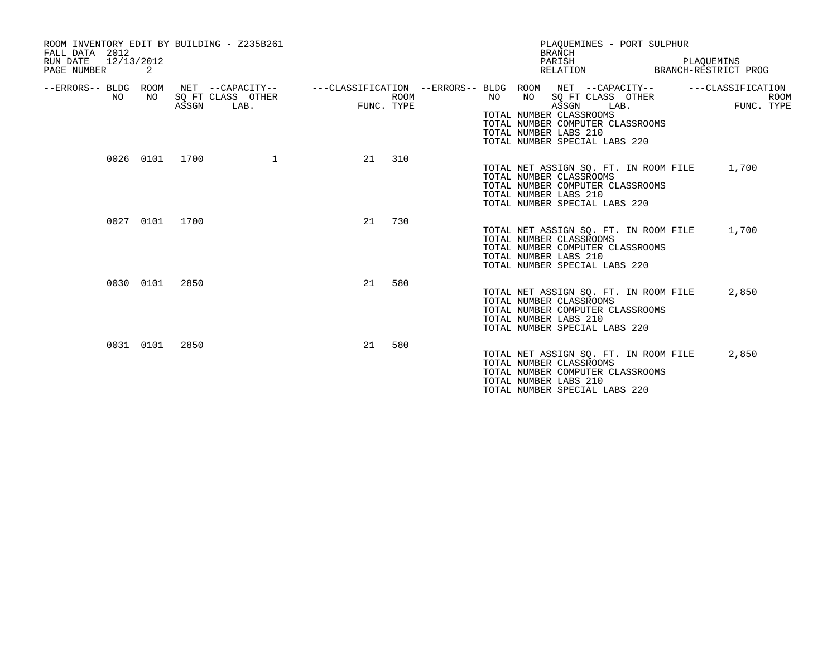| ROOM INVENTORY EDIT BY BUILDING - Z235B261<br>FALL DATA 2012<br>12/13/2012<br>RUN DATE<br>PAGE NUMBER | 2              |       |                           |    |                    |          | PLAOUEMINES - PORT SULPHUR<br><b>BRANCH</b><br>PARISH<br>RELATION                                                                                                                                                                          | PLAOUEMINS<br>BRANCH-RESTRICT PROG             |
|-------------------------------------------------------------------------------------------------------|----------------|-------|---------------------------|----|--------------------|----------|--------------------------------------------------------------------------------------------------------------------------------------------------------------------------------------------------------------------------------------------|------------------------------------------------|
| --ERRORS-- BLDG ROOM<br>NO                                                                            | NO.            | ASSGN | SQ FT CLASS OTHER<br>LAB. |    | ROOM<br>FUNC. TYPE | NO<br>NO | NET --CAPACITY--    ---CLASSIFICATION --ERRORS-- BLDG ROOM NET --CAPACITY--<br>SQ FT CLASS OTHER<br>ASSGN<br>LAB.<br>TOTAL NUMBER CLASSROOMS<br>TOTAL NUMBER COMPUTER CLASSROOMS<br>TOTAL NUMBER LABS 210<br>TOTAL NUMBER SPECIAL LABS 220 | ---CLASSIFICATION<br><b>ROOM</b><br>FUNC. TYPE |
|                                                                                                       | 0026 0101 1700 |       | $\mathbf{1}$              | 21 | 310                |          | TOTAL NET ASSIGN SQ. FT. IN ROOM FILE<br>TOTAL NUMBER CLASSROOMS<br>TOTAL NUMBER COMPUTER CLASSROOMS<br>TOTAL NUMBER LABS 210<br>TOTAL NUMBER SPECIAL LABS 220                                                                             | 1,700                                          |
|                                                                                                       | 0027 0101      | 1700  |                           | 21 | 730                |          | TOTAL NET ASSIGN SQ. FT. IN ROOM FILE<br>TOTAL NUMBER CLASSROOMS<br>TOTAL NUMBER COMPUTER CLASSROOMS<br>TOTAL NUMBER LABS 210<br>TOTAL NUMBER SPECIAL LABS 220                                                                             | 1,700                                          |
|                                                                                                       | 0030 0101      | 2850  |                           | 21 | 580                |          | TOTAL NET ASSIGN SQ. FT. IN ROOM FILE<br>TOTAL NUMBER CLASSROOMS<br>TOTAL NUMBER COMPUTER CLASSROOMS<br>TOTAL NUMBER LABS 210<br>TOTAL NUMBER SPECIAL LABS 220                                                                             | 2,850                                          |
|                                                                                                       | 0031 0101      | 2850  |                           | 21 | 580                |          | TOTAL NET ASSIGN SQ. FT. IN ROOM FILE<br>TOTAL NUMBER CLASSROOMS<br>TOTAL NUMBER COMPUTER CLASSROOMS<br>TOTAL NUMBER LABS 210<br>TOTAL NUMBER SPECIAL LABS 220                                                                             | 2,850                                          |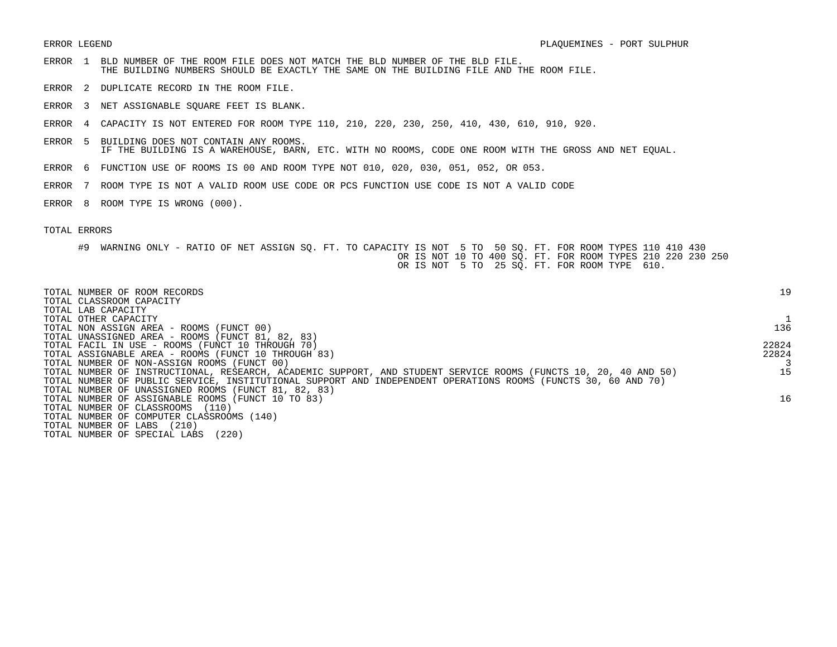- ERROR 1 BLD NUMBER OF THE ROOM FILE DOES NOT MATCH THE BLD NUMBER OF THE BLD FILE. THE BUILDING NUMBERS SHOULD BE EXACTLY THE SAME ON THE BUILDING FILE AND THE ROOM FILE.
- ERROR 2 DUPLICATE RECORD IN THE ROOM FILE.
- ERROR 3 NET ASSIGNABLE SQUARE FEET IS BLANK.
- ERROR 4 CAPACITY IS NOT ENTERED FOR ROOM TYPE 110, 210, 220, 230, 250, 410, 430, 610, 910, 920.
- ERROR 5 BUILDING DOES NOT CONTAIN ANY ROOMS. IF THE BUILDING IS A WAREHOUSE, BARN, ETC. WITH NO ROOMS, CODE ONE ROOM WITH THE GROSS AND NET EQUAL.
- ERROR 6 FUNCTION USE OF ROOMS IS 00 AND ROOM TYPE NOT 010, 020, 030, 051, 052, OR 053.
- ERROR 7 ROOM TYPE IS NOT A VALID ROOM USE CODE OR PCS FUNCTION USE CODE IS NOT A VALID CODE
- ERROR 8 ROOM TYPE IS WRONG (000).

| TOTAL NUMBER OF ROOM RECORDS<br>TOTAL CLASSROOM CAPACITY                                                        | 19    |
|-----------------------------------------------------------------------------------------------------------------|-------|
| TOTAL LAB CAPACITY                                                                                              |       |
| TOTAL OTHER CAPACITY                                                                                            |       |
| TOTAL NON ASSIGN AREA - ROOMS (FUNCT 00)                                                                        | 136   |
| TOTAL UNASSIGNED AREA - ROOMS (FUNCT 81, 82, 83)                                                                |       |
| TOTAL FACIL IN USE - ROOMS (FUNCT 10 THROUGH 70)                                                                | 22824 |
| TOTAL ASSIGNABLE AREA - ROOMS (FUNCT 10 THROUGH 83)                                                             | 22824 |
| TOTAL NUMBER OF NON-ASSIGN ROOMS (FUNCT 00)                                                                     |       |
| TOTAL NUMBER OF INSTRUCTIONAL, RESEARCH, ACADEMIC SUPPORT, AND STUDENT SERVICE ROOMS (FUNCTS 10, 20, 40 AND 50) | 15    |
| TOTAL NUMBER OF PUBLIC SERVICE, INSTITUTIONAL SUPPORT AND INDEPENDENT OPERATIONS ROOMS (FUNCTS 30, 60 AND 70)   |       |
| TOTAL NUMBER OF UNASSIGNED ROOMS (FUNCT 81, 82, 83)                                                             |       |
| TOTAL NUMBER OF ASSIGNABLE ROOMS (FUNCT 10 TO 83)                                                               | 16    |
| TOTAL NUMBER OF CLASSROOMS<br>(110)                                                                             |       |
| TOTAL NUMBER OF COMPUTER CLASSROOMS (140)                                                                       |       |
| (210)<br>TOTAL NUMBER OF LABS                                                                                   |       |
| (220)<br>TOTAL NUMBER OF SPECIAL LABS                                                                           |       |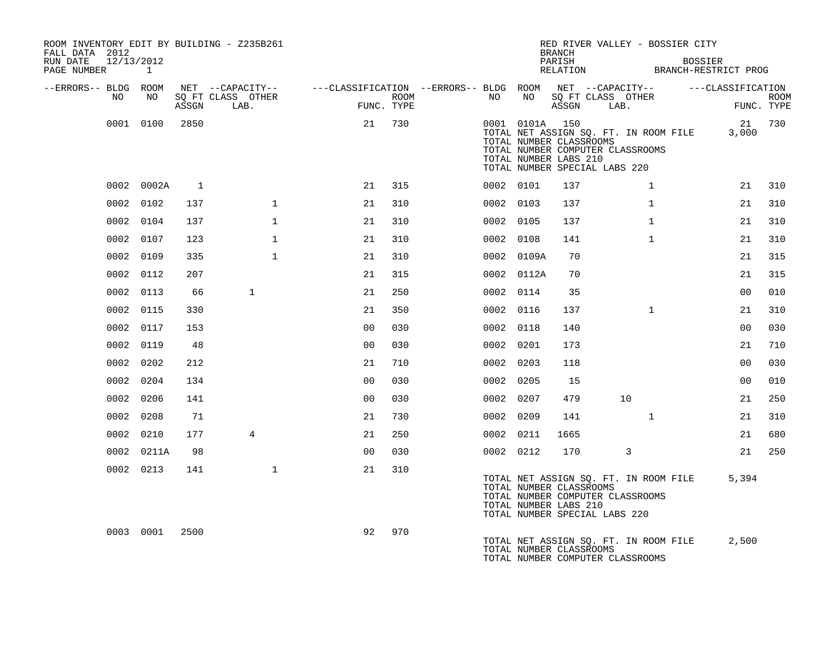| ROOM INVENTORY EDIT BY BUILDING - Z235B261<br>FALL DATA 2012<br>RUN DATE<br>12/13/2012 |              |       |                                       |                                                         |      |           |                | <b>BRANCH</b><br>PARISH                          |                               |                                                                           | RED RIVER VALLEY - BOSSIER CITY<br><b>BOSSIER</b> |                   |             |
|----------------------------------------------------------------------------------------|--------------|-------|---------------------------------------|---------------------------------------------------------|------|-----------|----------------|--------------------------------------------------|-------------------------------|---------------------------------------------------------------------------|---------------------------------------------------|-------------------|-------------|
| PAGE NUMBER                                                                            | $\mathbf{1}$ |       |                                       |                                                         |      |           |                | RELATION                                         |                               |                                                                           | BRANCH-RESTRICT PROG                              |                   |             |
| --ERRORS-- BLDG ROOM<br>NO.                                                            | NO.          |       | NET --CAPACITY--<br>SQ FT CLASS OTHER | ---CLASSIFICATION --ERRORS-- BLDG ROOM NET --CAPACITY-- | ROOM | NO.       | NO             |                                                  | SQ FT CLASS OTHER             |                                                                           |                                                   | ---CLASSIFICATION | <b>ROOM</b> |
|                                                                                        |              | ASSGN | LAB.                                  | FUNC. TYPE                                              |      |           |                | ASSGN                                            | LAB.                          |                                                                           |                                                   | FUNC. TYPE        |             |
|                                                                                        | 0001 0100    | 2850  |                                       | 21                                                      | 730  |           | 0001 0101A 150 | TOTAL NUMBER CLASSROOMS<br>TOTAL NUMBER LABS 210 | TOTAL NUMBER SPECIAL LABS 220 | TOTAL NUMBER COMPUTER CLASSROOMS                                          | TOTAL NET ASSIGN SQ. FT. IN ROOM FILE             | 3,000             | 21 730      |
|                                                                                        | 0002 0002A   | 1     |                                       | 21                                                      | 315  |           | 0002 0101      | 137                                              |                               | $\mathbf{1}$                                                              |                                                   | 21                | 310         |
|                                                                                        | 0002 0102    | 137   | $\mathbf{1}$                          | 21                                                      | 310  |           | 0002 0103      | 137                                              |                               | $\mathbf{1}$                                                              |                                                   | 21                | 310         |
|                                                                                        | 0002 0104    | 137   | $\mathbf{1}$                          | 21                                                      | 310  | 0002 0105 |                | 137                                              |                               | $\mathbf{1}$                                                              |                                                   | 21                | 310         |
|                                                                                        | 0002 0107    | 123   | $\mathbf{1}$                          | 21                                                      | 310  |           | 0002 0108      | 141                                              |                               | $\mathbf{1}$                                                              |                                                   | 21                | 310         |
|                                                                                        | 0002 0109    | 335   | $\mathbf{1}$                          | 21                                                      | 310  |           | 0002 0109A     | 70                                               |                               |                                                                           |                                                   | 21                | 315         |
|                                                                                        | 0002 0112    | 207   |                                       | 21                                                      | 315  |           | 0002 0112A     | 70                                               |                               |                                                                           |                                                   | 21                | 315         |
| 0002                                                                                   | 0113         | 66    | $\mathbf{1}$                          | 21                                                      | 250  |           | 0002 0114      | 35                                               |                               |                                                                           |                                                   | 00                | 010         |
| 0002                                                                                   | 0115         | 330   |                                       | 21                                                      | 350  |           | 0002 0116      | 137                                              |                               | $\mathbf{1}$                                                              |                                                   | 21                | 310         |
|                                                                                        | 0002 0117    | 153   |                                       | 0 <sub>0</sub>                                          | 030  |           | 0002 0118      | 140                                              |                               |                                                                           |                                                   | 0 <sub>0</sub>    | 030         |
|                                                                                        | 0002 0119    | 48    |                                       | 0 <sub>0</sub>                                          | 030  |           | 0002 0201      | 173                                              |                               |                                                                           |                                                   | 21                | 710         |
|                                                                                        | 0002 0202    | 212   |                                       | 21                                                      | 710  |           | 0002 0203      | 118                                              |                               |                                                                           |                                                   | 0 <sub>0</sub>    | 030         |
|                                                                                        | 0002 0204    | 134   |                                       | 0 <sub>0</sub>                                          | 030  |           | 0002 0205      | 15                                               |                               |                                                                           |                                                   | 00                | 010         |
|                                                                                        | 0002 0206    | 141   |                                       | 0 <sub>0</sub>                                          | 030  |           | 0002 0207      | 479                                              |                               | 10                                                                        |                                                   | 21                | 250         |
|                                                                                        | 0002 0208    | 71    |                                       | 21                                                      | 730  | 0002 0209 |                | 141                                              |                               | $\mathbf{1}$                                                              |                                                   | 21                | 310         |
|                                                                                        | 0002 0210    | 177   | $\overline{4}$                        | 21                                                      | 250  |           | 0002 0211      | 1665                                             |                               |                                                                           |                                                   | 21                | 680         |
|                                                                                        | 0002 0211A   | 98    |                                       | 0 <sub>0</sub>                                          | 030  |           | 0002 0212      | 170                                              |                               | 3                                                                         |                                                   | 21                | 250         |
|                                                                                        | 0002 0213    | 141   | $\mathbf 1$                           | 21                                                      | 310  |           |                | TOTAL NUMBER CLASSROOMS<br>TOTAL NUMBER LABS 210 | TOTAL NUMBER SPECIAL LABS 220 | TOTAL NUMBER COMPUTER CLASSROOMS                                          | TOTAL NET ASSIGN SQ. FT. IN ROOM FILE             | 5,394             |             |
|                                                                                        | 0003 0001    | 2500  |                                       | 92                                                      | 970  |           |                | TOTAL NUMBER CLASSROOMS                          |                               | TOTAL NET ASSIGN SQ. FT. IN ROOM FILE<br>TOTAL NUMBER COMPUTER CLASSROOMS |                                                   | 2,500             |             |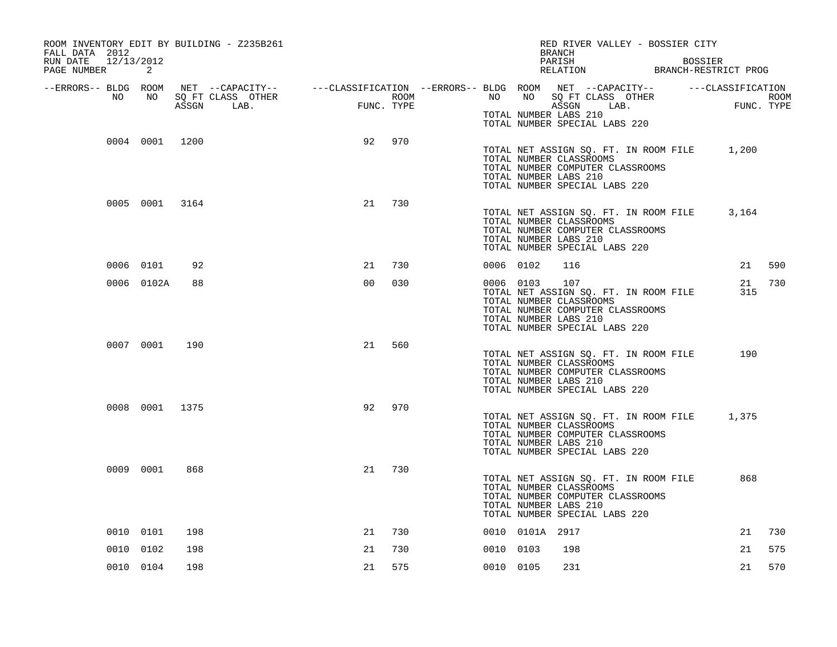| ROOM INVENTORY EDIT BY BUILDING - Z235B261<br>FALL DATA 2012<br>12/13/2012<br>RUN DATE<br>PAGE NUMBER | 2              |     |                                                                                                |                |                    |           |                 | RED RIVER VALLEY - BOSSIER CITY<br><b>BRANCH</b><br>PARISH<br>RELATION BRANCH-RESTRICT PROG                                                                           | <b>BOSSIER</b> |            |        |
|-------------------------------------------------------------------------------------------------------|----------------|-----|------------------------------------------------------------------------------------------------|----------------|--------------------|-----------|-----------------|-----------------------------------------------------------------------------------------------------------------------------------------------------------------------|----------------|------------|--------|
| --ERRORS-- BLDG ROOM<br>NO                                                                            |                |     | NET --CAPACITY-- - ---CLASSIFICATION --ERRORS-- BLDG ROOM NET --CAPACITY-- - ---CLASSIFICATION |                |                    |           | NO              |                                                                                                                                                                       |                |            |        |
|                                                                                                       | NO             |     | SQ FT CLASS OTHER<br>ASSGN LAB.                                                                | FUNC           | ROOM<br>FUNC. TYPE | NO NO     |                 | SQ FT CLASS OTHER<br>ASSGN LAB.<br>TOTAL NUMBER LABS 210<br>TOTAL NUMBER SPECIAL LABS 220                                                                             |                | FUNC. TYPE | ROOM   |
|                                                                                                       | 0004 0001 1200 |     |                                                                                                | 92             | 970                |           |                 | TOTAL NET ASSIGN SQ. FT. IN ROOM FILE 1,200<br>TOTAL NUMBER CLASSROOMS<br>TOTAL NUMBER COMPUTER CLASSROOMS<br>TOTAL NUMBER LABS 210<br>TOTAL NUMBER SPECIAL LABS 220  |                |            |        |
|                                                                                                       | 0005 0001 3164 |     |                                                                                                | 21             | 730                |           |                 | TOTAL NET ASSIGN SQ. FT. IN ROOM FILE<br>TOTAL NUMBER CLASSROOMS<br>TOTAL NUMBER COMPUTER CLASSROOMS<br>TOTAL NUMBER LABS 210<br>TOTAL NUMBER SPECIAL LABS 220        |                | 3,164      |        |
|                                                                                                       | 0006 0101      | 92  |                                                                                                | 21             | 730                | 0006 0102 |                 | 116                                                                                                                                                                   |                |            | 21 590 |
|                                                                                                       | 0006 0102A     | 88  |                                                                                                | 0 <sub>0</sub> | 030                |           | 0006 0103       | 107<br>TOTAL NET ASSIGN SQ. FT. IN ROOM FILE<br>TOTAL NUMBER CLASSROOMS<br>TOTAL NUMBER COMPUTER CLASSROOMS<br>TOTAL NUMBER LABS 210<br>TOTAL NUMBER SPECIAL LABS 220 |                | 21<br>315  | 730    |
|                                                                                                       | 0007 0001      | 190 |                                                                                                | 21             | 560                |           |                 | TOTAL NET ASSIGN SQ. FT. IN ROOM FILE<br>TOTAL NUMBER CLASSROOMS<br>TOTAL NUMBER COMPUTER CLASSROOMS<br>TOTAL NUMBER LABS 210<br>TOTAL NUMBER SPECIAL LABS 220        |                | 190        |        |
|                                                                                                       | 0008 0001 1375 |     |                                                                                                | 92             | 970                |           |                 | TOTAL NET ASSIGN SQ. FT. IN ROOM FILE<br>TOTAL NUMBER CLASSROOMS<br>TOTAL NUMBER COMPUTER CLASSROOMS<br>TOTAL NUMBER LABS 210<br>TOTAL NUMBER SPECIAL LABS 220        |                | 1,375      |        |
|                                                                                                       | 0009 0001      | 868 |                                                                                                | 21             | 730                |           |                 | TOTAL NET ASSIGN SQ. FT. IN ROOM FILE<br>TOTAL NUMBER CLASSROOMS<br>TOTAL NUMBER COMPUTER CLASSROOMS<br>TOTAL NUMBER LABS 210<br>TOTAL NUMBER SPECIAL LABS 220        |                | 868        |        |
|                                                                                                       | 0010 0101      | 198 |                                                                                                | 21             | 730                |           | 0010 0101A 2917 |                                                                                                                                                                       |                | 21         | 730    |
|                                                                                                       | 0010 0102      | 198 |                                                                                                | 21             | 730                | 0010 0103 |                 | 198                                                                                                                                                                   |                | 21         | 575    |
|                                                                                                       | 0010 0104      | 198 |                                                                                                | 21             | 575                | 0010 0105 |                 | 231                                                                                                                                                                   |                | 21         | 570    |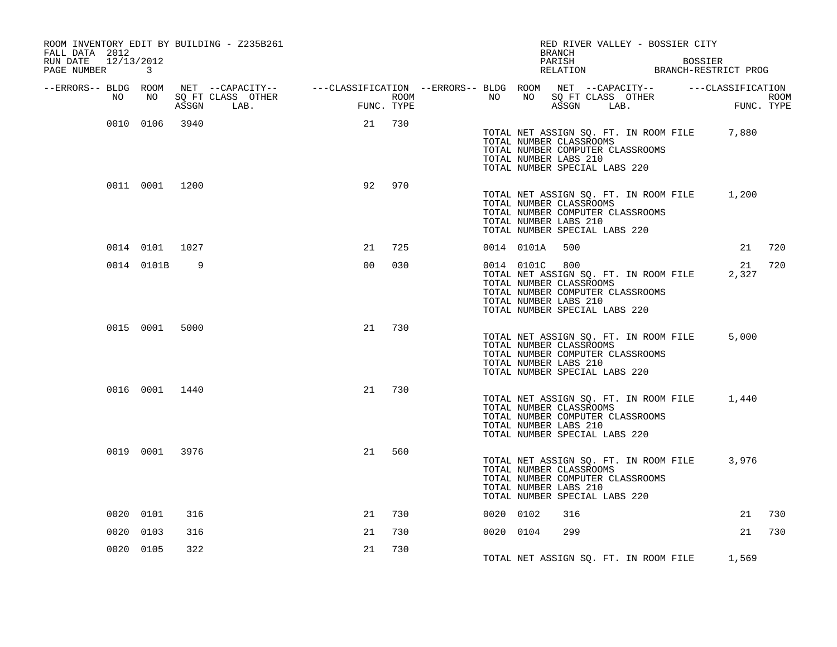| ROOM INVENTORY EDIT BY BUILDING - Z235B261<br>FALL DATA 2012 |                |     |                                                                                                |                |            |                  |           |                                                                                                     | BRANCH |            |                                  | RED RIVER VALLEY - BOSSIER CITY       |                                                 |                    |
|--------------------------------------------------------------|----------------|-----|------------------------------------------------------------------------------------------------|----------------|------------|------------------|-----------|-----------------------------------------------------------------------------------------------------|--------|------------|----------------------------------|---------------------------------------|-------------------------------------------------|--------------------|
| RUN DATE<br>12/13/2012<br>PAGE NUMBER                        | $\overline{3}$ |     |                                                                                                |                |            |                  |           |                                                                                                     | PARISH |            |                                  | <b>BOSSIER</b>                        | PARISH BOSSIER<br>RELATION BRANCH-RESTRICT PROG |                    |
| --ERRORS-- BLDG ROOM                                         |                |     | NET --CAPACITY-- - ---CLASSIFICATION --ERRORS-- BLDG ROOM NET --CAPACITY-- - ---CLASSIFICATION |                |            |                  |           |                                                                                                     |        |            |                                  |                                       |                                                 |                    |
| NO                                                           | NO             |     | SQ FT CLASS OTHER<br>ASSGN LAB.                                                                |                | FUNC. TYPE | ROOM <b>ROOM</b> | NO        |                                                                                                     |        | ASSGN LAB. | NO SQ FT CLASS OTHER             |                                       |                                                 | ROOM<br>FUNC. TYPE |
|                                                              | 0010 0106 3940 |     |                                                                                                | 21             | 730        |                  |           | TOTAL NUMBER CLASSROOMS<br>TOTAL NUMBER LABS 210<br>TOTAL NUMBER SPECIAL LABS 220                   |        |            | TOTAL NUMBER COMPUTER CLASSROOMS | TOTAL NET ASSIGN SQ. FT. IN ROOM FILE | 7,880                                           |                    |
|                                                              | 0011 0001 1200 |     |                                                                                                | 92             | 970        |                  |           | TOTAL NUMBER CLASSROOMS<br>TOTAL NUMBER LABS 210<br>TOTAL NUMBER SPECIAL LABS 220                   |        |            | TOTAL NUMBER COMPUTER CLASSROOMS | TOTAL NET ASSIGN SQ. FT. IN ROOM FILE | 1,200                                           |                    |
|                                                              | 0014 0101 1027 |     |                                                                                                | 21             | 725        |                  |           | 0014 0101A                                                                                          | 500    |            |                                  |                                       | 21                                              | 720                |
|                                                              | 0014 0101B     | 9   |                                                                                                | 0 <sub>0</sub> | 030        |                  |           | 0014 0101C 800<br>TOTAL NUMBER CLASSROOMS<br>TOTAL NUMBER LABS 210<br>TOTAL NUMBER SPECIAL LABS 220 |        |            | TOTAL NUMBER COMPUTER CLASSROOMS | TOTAL NET ASSIGN SQ. FT. IN ROOM FILE | 21<br>2,327                                     | 720                |
|                                                              | 0015 0001 5000 |     |                                                                                                | 21             | 730        |                  |           | TOTAL NUMBER CLASSROOMS<br>TOTAL NUMBER LABS 210<br>TOTAL NUMBER SPECIAL LABS 220                   |        |            | TOTAL NUMBER COMPUTER CLASSROOMS | TOTAL NET ASSIGN SQ. FT. IN ROOM FILE | 5,000                                           |                    |
|                                                              | 0016 0001 1440 |     |                                                                                                | 21             | 730        |                  |           | TOTAL NUMBER CLASSROOMS<br>TOTAL NUMBER LABS 210<br>TOTAL NUMBER SPECIAL LABS 220                   |        |            | TOTAL NUMBER COMPUTER CLASSROOMS | TOTAL NET ASSIGN SQ. FT. IN ROOM FILE | 1,440                                           |                    |
|                                                              | 0019 0001 3976 |     |                                                                                                | 21             | 560        |                  |           | TOTAL NUMBER CLASSROOMS<br>TOTAL NUMBER LABS 210<br>TOTAL NUMBER SPECIAL LABS 220                   |        |            | TOTAL NUMBER COMPUTER CLASSROOMS | TOTAL NET ASSIGN SQ. FT. IN ROOM FILE | 3,976                                           |                    |
|                                                              | 0020 0101      | 316 |                                                                                                | 21             | 730        |                  | 0020 0102 |                                                                                                     | 316    |            |                                  |                                       | 21                                              | 730                |
|                                                              | 0020 0103      | 316 |                                                                                                | 21             | 730        |                  | 0020 0104 |                                                                                                     | 299    |            |                                  |                                       | 21                                              | 730                |
|                                                              | 0020 0105      | 322 |                                                                                                | 21             | 730        |                  |           |                                                                                                     |        |            |                                  |                                       | TOTAL NET ASSIGN SQ. FT. IN ROOM FILE 1,569     |                    |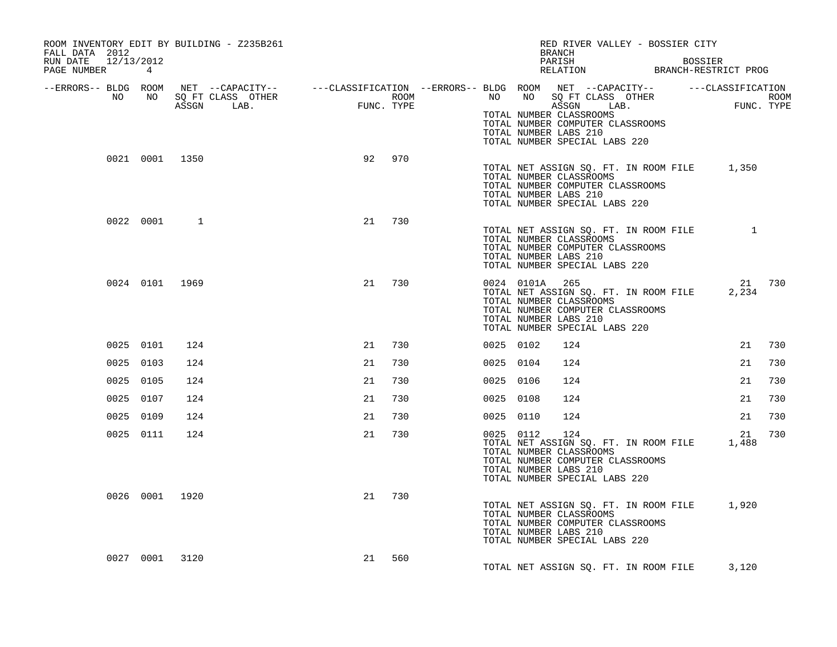| ROOM INVENTORY EDIT BY BUILDING - Z235B261<br>FALL DATA 2012 |                |                |    |        |           |                | RED RIVER VALLEY - BOSSIER CITY<br>BRANCH                                                                                                                                                                                                                                                                                                                     |                 |     |
|--------------------------------------------------------------|----------------|----------------|----|--------|-----------|----------------|---------------------------------------------------------------------------------------------------------------------------------------------------------------------------------------------------------------------------------------------------------------------------------------------------------------------------------------------------------------|-----------------|-----|
| RUN DATE 12/13/2012<br>PAGE NUMBER 4                         |                |                |    |        |           |                | PARISH BOSSIER<br>RELATION BRANCH-RESTRICT PROG                                                                                                                                                                                                                                                                                                               |                 |     |
|                                                              |                |                |    |        |           |                | ERRORS-- BLDG ROOM NET --CAPACITY-- ---CLASSIFICATION --ERRORS-- BLDG ROOM NET --CAPACITY--------------------<br>NO NO SQ FT CLASS OTHER ROOM ROOM NO SQ FT CLASS OTHER ROOM ROOM NO SQ FT CLASS OTHER<br>ASSGN LAB. FUNC. TYPE ASSG<br>TOTAL NUMBER CLASSROOMS<br>TOTAL NUMBER COMPUTER CLASSROOMS<br>TOTAL NUMBER LABS 210<br>TOTAL NUMBER SPECIAL LABS 220 |                 |     |
|                                                              | 0021 0001 1350 |                | 92 | 970    |           |                | TOTAL NET ASSIGN SQ. FT. IN ROOM FILE 1,350<br>TOTAL NUMBER CLASSROOMS<br>TOTAL NUMBER COMPUTER CLASSROOMS<br>TOTAL NUMBER LABS 210<br>TOTAL NUMBER SPECIAL LABS 220                                                                                                                                                                                          |                 |     |
|                                                              | 0022 0001      | $\overline{1}$ | 21 | 730    |           |                | TOTAL NET ASSIGN SQ. FT. IN ROOM FILE 1<br>TOTAL NUMBER CLASSROOMS<br>TOTAL NUMBER COMPUTER CLASSROOMS<br>TOTAL NUMBER LABS 210<br>TOTAL NUMBER SPECIAL LABS 220                                                                                                                                                                                              |                 |     |
|                                                              | 0024 0101 1969 |                | 21 | 730    |           | 0024 0101A 265 | TOTAL NET ASSIGN SQ. FT. IN ROOM FILE<br>TOTAL NUMBER CLASSROOMS<br>TOTAL NUMBER COMPUTER CLASSROOMS<br>TOTAL NUMBER LABS 210<br>TOTAL NUMBER SPECIAL LABS 220                                                                                                                                                                                                | 21 730<br>2,234 |     |
|                                                              | 0025 0101      | 124            | 21 | 730    | 0025 0102 |                | 124                                                                                                                                                                                                                                                                                                                                                           | 21              | 730 |
|                                                              | 0025 0103      | 124            | 21 | 730    | 0025 0104 |                | 124                                                                                                                                                                                                                                                                                                                                                           | 21              | 730 |
|                                                              | 0025 0105      | 124            | 21 | 730    | 0025 0106 |                | 124                                                                                                                                                                                                                                                                                                                                                           | 21              | 730 |
|                                                              | 0025 0107      | 124            | 21 | 730    | 0025 0108 |                | 124                                                                                                                                                                                                                                                                                                                                                           | 21              | 730 |
|                                                              | 0025 0109      | 124            | 21 | 730    | 0025 0110 |                | 124                                                                                                                                                                                                                                                                                                                                                           | 21              | 730 |
|                                                              | 0025 0111      | 124            | 21 | 730    |           | 0025 0112      | 124<br>TOTAL NET ASSIGN SQ. FT. IN ROOM FILE 1,488<br>TOTAL NUMBER CLASSROOMS<br>TOTAL NUMBER COMPUTER CLASSROOMS<br>TOTAL NUMBER LABS 210<br>TOTAL NUMBER SPECIAL LABS 220                                                                                                                                                                                   | 21              | 730 |
|                                                              | 0026 0001 1920 |                |    | 21 730 |           |                | TOTAL NET ASSIGN SQ. FT. IN ROOM FILE 1,920<br>TOTAL NUMBER CLASSROOMS<br>TOTAL NUMBER COMPUTER CLASSROOMS<br>TOTAL NUMBER LABS 210<br>TOTAL NUMBER SPECIAL LABS 220                                                                                                                                                                                          |                 |     |
|                                                              | 0027 0001 3120 |                | 21 | 560    |           |                | TOTAL NET ASSIGN SQ. FT. IN ROOM FILE                                                                                                                                                                                                                                                                                                                         | 3,120           |     |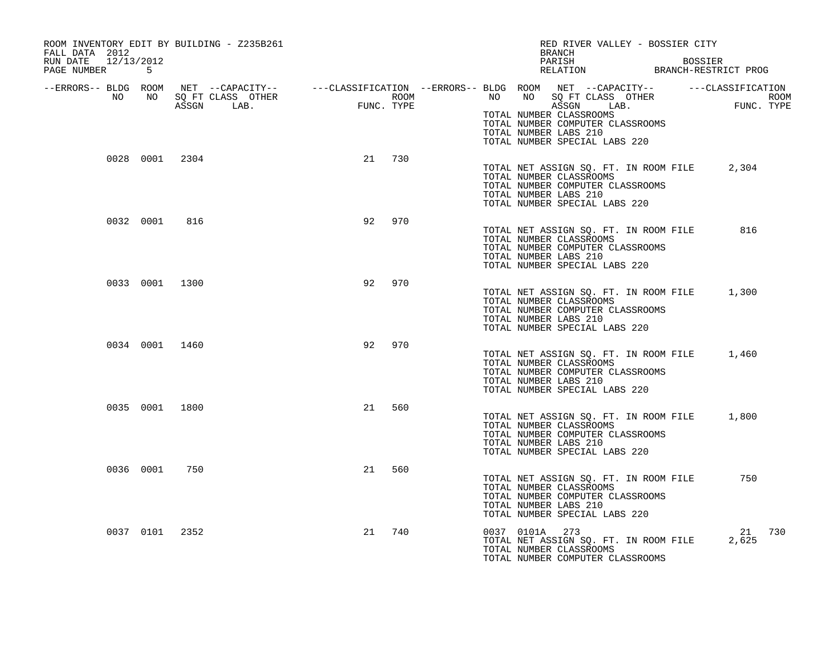| ROOM INVENTORY EDIT BY BUILDING - Z235B261<br>FALL DATA 2012 |           |                                    |                 |            |                  |                | RED RIVER VALLEY - BOSSIER CITY<br>BRANCH                                                                                                                                                                                                                                            |                |                    |     |
|--------------------------------------------------------------|-----------|------------------------------------|-----------------|------------|------------------|----------------|--------------------------------------------------------------------------------------------------------------------------------------------------------------------------------------------------------------------------------------------------------------------------------------|----------------|--------------------|-----|
| RUN DATE 12/13/2012<br>PAGE NUMBER 5                         |           |                                    |                 |            |                  |                | PARISH<br>PARISH BOSSIER<br>RELATION BRANCH-RESTRICT PROG                                                                                                                                                                                                                            | <b>BOSSIER</b> |                    |     |
| NO                                                           |           | NO SQ FT CLASS OTHER<br>ASSGN LAB. | $_{\rm FUNC}$ . | FUNC. TYPE | ROOM <b>ROOM</b> |                | --ERRORS-- BLDG ROOM NET --CAPACITY-- ----CLASSIFICATION --ERRORS-- BLDG ROOM NET --CAPACITY-- -----CLASSIFICATION<br>NO NO SQ FT CLASS OTHER<br>ASSGN LAB.<br>TOTAL NUMBER CLASSROOMS<br>TOTAL NUMBER COMPUTER CLASSROOMS<br>TOTAL NUMBER LABS 210<br>TOTAL NUMBER SPECIAL LABS 220 |                | ROOM<br>FUNC. TYPE |     |
|                                                              |           | 0028 0001 2304                     |                 | 21 730     |                  |                | TOTAL NET ASSIGN SQ. FT. IN ROOM FILE<br>TOTAL NUMBER CLASSROOMS<br>TOTAL NUMBER COMPUTER CLASSROOMS<br>TOTAL NUMBER LABS 210<br>TOTAL NUMBER SPECIAL LABS 220                                                                                                                       |                | 2,304              |     |
|                                                              | 0032 0001 | 816                                | 92              | 970        |                  |                | TOTAL NET ASSIGN SQ. FT. IN ROOM FILE<br>TOTAL NUMBER CLASSROOMS<br>TOTAL NUMBER COMPUTER CLASSROOMS<br>TOTAL NUMBER LABS 210<br>TOTAL NUMBER SPECIAL LABS 220                                                                                                                       |                | 816                |     |
|                                                              |           | 0033 0001 1300                     | 92              | 970        |                  |                | TOTAL NET ASSIGN SO. FT. IN ROOM FILE 1,300<br>TOTAL NUMBER CLASSROOMS<br>TOTAL NUMBER COMPUTER CLASSROOMS<br>TOTAL NUMBER LABS 210<br>TOTAL NUMBER SPECIAL LABS 220                                                                                                                 |                |                    |     |
|                                                              |           | 0034 0001 1460                     | 92              | 970        |                  |                | TOTAL NET ASSIGN SQ. FT. IN ROOM FILE 1,460<br>TOTAL NUMBER CLASSROOMS<br>TOTAL NUMBER COMPUTER CLASSROOMS<br>TOTAL NUMBER LABS 210<br>TOTAL NUMBER SPECIAL LABS 220                                                                                                                 |                |                    |     |
|                                                              |           | 0035 0001 1800                     | 21              | 560        |                  |                | TOTAL NET ASSIGN SQ. FT. IN ROOM FILE<br>TOTAL NUMBER CLASSROOMS<br>TOTAL NUMBER COMPUTER CLASSROOMS<br>TOTAL NUMBER LABS 210<br>TOTAL NUMBER SPECIAL LABS 220                                                                                                                       |                | 1,800              |     |
|                                                              |           | 0036 0001 750                      |                 | 21 560     |                  |                | TOTAL NET ASSIGN SQ. FT. IN ROOM FILE<br>TOTAL NUMBER CLASSROOMS<br>TOTAL NUMBER COMPUTER CLASSROOMS<br>TOTAL NUMBER LABS 210<br>TOTAL NUMBER SPECIAL LABS 220                                                                                                                       |                | 750                |     |
|                                                              |           | 0037 0101 2352                     | 21              | 740        |                  | 0037 0101A 273 | TOTAL NET ASSIGN SQ. FT. IN ROOM FILE<br>TOTAL NUMBER CLASSROOMS<br>TOTAL NUMBER COMPUTER CLASSROOMS                                                                                                                                                                                 |                | 21<br>2,625        | 730 |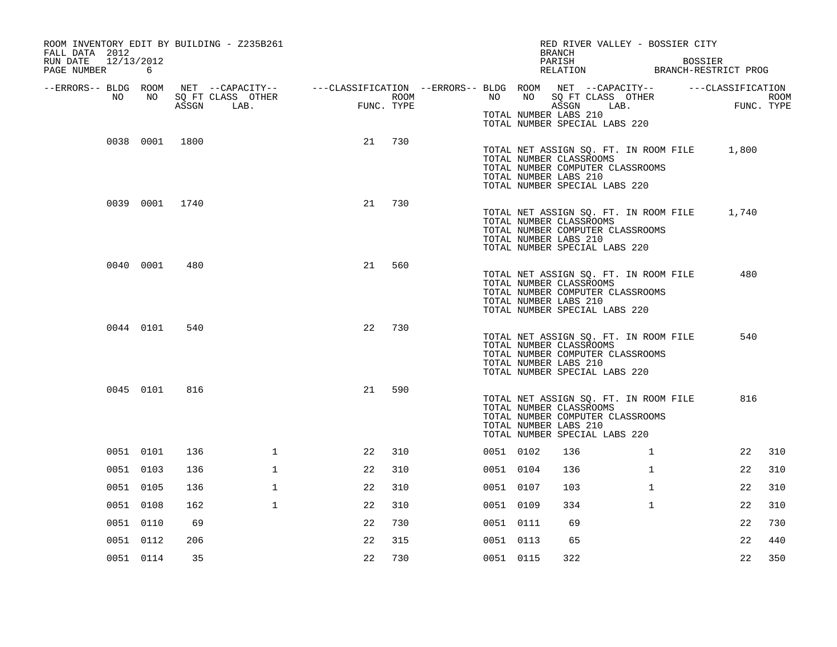| ROOM INVENTORY EDIT BY BUILDING - Z235B261<br>FALL DATA 2012<br>RUN DATE<br>12/13/2012<br>PAGE NUMBER | 6              |     |                                                                                                                                         |            |      |           | RED RIVER VALLEY - BOSSIER CITY<br><b>BRANCH</b><br>PARISH<br>PARISH BOSSIER<br>RELATION BRANCH-RESTRICT PROG                                                        |              | <b>BOSSIER</b> |                     |      |
|-------------------------------------------------------------------------------------------------------|----------------|-----|-----------------------------------------------------------------------------------------------------------------------------------------|------------|------|-----------|----------------------------------------------------------------------------------------------------------------------------------------------------------------------|--------------|----------------|---------------------|------|
| --ERRORS-- BLDG ROOM<br>NO                                                                            | NO             |     | NET --CAPACITY-- - ---CLASSIFICATION --ERRORS-- BLDG ROOM NET --CAPACITY-- - ---CLASSIFICATION<br>SQ FT CLASS OTHER<br>ASSGN LAB. FUNC. | FUNC. TYPE | ROOM |           | NO NO SQ FT CLASS OTHER<br>ASSGN                                                                                                                                     | LAB.         |                | FUNC.<br>FUNC. TYPE | ROOM |
|                                                                                                       |                |     |                                                                                                                                         |            |      |           | TOTAL NUMBER LABS 210<br>TOTAL NUMBER SPECIAL LABS 220                                                                                                               |              |                |                     |      |
|                                                                                                       | 0038 0001 1800 |     |                                                                                                                                         | 21         | 730  |           | TOTAL NET ASSIGN SQ. FT. IN ROOM FILE 1,800<br>TOTAL NUMBER CLASSROOMS<br>TOTAL NUMBER COMPUTER CLASSROOMS<br>TOTAL NUMBER LABS 210<br>TOTAL NUMBER SPECIAL LABS 220 |              |                |                     |      |
|                                                                                                       | 0039 0001 1740 |     |                                                                                                                                         | 21         | 730  |           | TOTAL NET ASSIGN SQ. FT. IN ROOM FILE 1,740<br>TOTAL NUMBER CLASSROOMS<br>TOTAL NUMBER COMPUTER CLASSROOMS<br>TOTAL NUMBER LABS 210<br>TOTAL NUMBER SPECIAL LABS 220 |              |                |                     |      |
|                                                                                                       | 0040 0001      | 480 |                                                                                                                                         | 21         | 560  |           | TOTAL NET ASSIGN SQ. FT. IN ROOM FILE<br>TOTAL NUMBER CLASSROOMS<br>TOTAL NUMBER COMPUTER CLASSROOMS<br>TOTAL NUMBER LABS 210<br>TOTAL NUMBER SPECIAL LABS 220       |              |                | 480                 |      |
|                                                                                                       | 0044 0101      | 540 |                                                                                                                                         | 22         | 730  |           | TOTAL NET ASSIGN SQ. FT. IN ROOM FILE<br>TOTAL NUMBER CLASSROOMS<br>TOTAL NUMBER COMPUTER CLASSROOMS<br>TOTAL NUMBER LABS 210<br>TOTAL NUMBER SPECIAL LABS 220       |              |                | 540                 |      |
|                                                                                                       | 0045 0101      | 816 |                                                                                                                                         | 21         | 590  |           | TOTAL NET ASSIGN SQ. FT. IN ROOM FILE<br>TOTAL NUMBER CLASSROOMS<br>TOTAL NUMBER COMPUTER CLASSROOMS<br>TOTAL NUMBER LABS 210<br>TOTAL NUMBER SPECIAL LABS 220       |              |                | 816                 |      |
|                                                                                                       | 0051 0101      | 136 | $\mathbf{1}$                                                                                                                            | 22         | 310  | 0051 0102 | 136                                                                                                                                                                  | $\mathbf{1}$ |                | 22                  | 310  |
|                                                                                                       | 0051 0103      | 136 | $\mathbf{1}$                                                                                                                            | 22         | 310  | 0051 0104 | 136                                                                                                                                                                  | $\mathbf{1}$ |                | 22                  | 310  |
|                                                                                                       | 0051 0105      | 136 | $\mathbf{1}$                                                                                                                            | 22         | 310  | 0051 0107 | 103                                                                                                                                                                  | $\mathbf{1}$ |                | 22                  | 310  |
|                                                                                                       | 0051 0108      | 162 | $\mathbf 1$                                                                                                                             | 22         | 310  | 0051 0109 | 334                                                                                                                                                                  | $\mathbf{1}$ |                | 22                  | 310  |
|                                                                                                       | 0051 0110      | 69  |                                                                                                                                         | 22         | 730  | 0051 0111 | 69                                                                                                                                                                   |              |                | 22                  | 730  |
|                                                                                                       | 0051 0112      | 206 |                                                                                                                                         | 22         | 315  | 0051 0113 | 65                                                                                                                                                                   |              |                | 22                  | 440  |
|                                                                                                       | 0051 0114      | 35  |                                                                                                                                         | 22         | 730  | 0051 0115 | 322                                                                                                                                                                  |              |                | 22                  | 350  |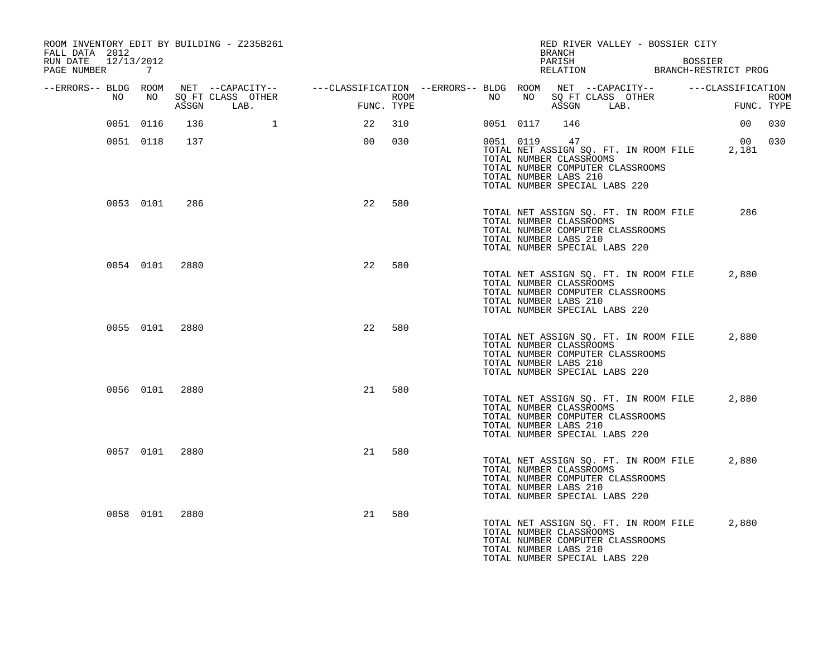| ROOM INVENTORY EDIT BY BUILDING - Z235B261<br>FALL DATA 2012<br>RUN DATE<br>12/13/2012<br>PAGE NUMBER | $\overline{7}$ |       |                           |                                                                                                |            |      |    |           | RED RIVER VALLEY - BOSSIER CITY<br>BRANCH<br>PARISH                                                                                                                  |  | <b>BOSSIER</b><br>PARISH BOSSIER<br>RELATION BRANCH-RESTRICT PROG |        |
|-------------------------------------------------------------------------------------------------------|----------------|-------|---------------------------|------------------------------------------------------------------------------------------------|------------|------|----|-----------|----------------------------------------------------------------------------------------------------------------------------------------------------------------------|--|-------------------------------------------------------------------|--------|
| --ERRORS-- BLDG ROOM<br>NO                                                                            | NO             | ASSGN | SO FT CLASS OTHER<br>LAB. | NET --CAPACITY-- - ---CLASSIFICATION --ERRORS-- BLDG ROOM NET --CAPACITY-- - ---CLASSIFICATION | FUNC. TYPE | ROOM | NO | NO        | SQ FT CLASS OTHER<br>ASSGN LAB.                                                                                                                                      |  | ROOM<br>FUNC. TYPE                                                |        |
|                                                                                                       | 0051 0116      | 136   | $\mathbf{1}$              | 22                                                                                             | 310        |      |    | 0051 0117 | 146                                                                                                                                                                  |  | 00                                                                | 030    |
|                                                                                                       | 0051 0118      | 137   |                           | 00                                                                                             | 030        |      |    | 0051 0119 | 47<br>TOTAL NET ASSIGN SQ. FT. IN ROOM FILE<br>TOTAL NUMBER CLASSROOMS<br>TOTAL NUMBER COMPUTER CLASSROOMS<br>TOTAL NUMBER LABS 210<br>TOTAL NUMBER SPECIAL LABS 220 |  | 2,181                                                             | 00 030 |
|                                                                                                       | 0053 0101      | 286   |                           | 22                                                                                             | 580        |      |    |           | TOTAL NET ASSIGN SQ. FT. IN ROOM FILE<br>TOTAL NUMBER CLASSROOMS<br>TOTAL NUMBER COMPUTER CLASSROOMS<br>TOTAL NUMBER LABS 210<br>TOTAL NUMBER SPECIAL LABS 220       |  | 286                                                               |        |
|                                                                                                       | 0054 0101 2880 |       |                           | 22                                                                                             | 580        |      |    |           | TOTAL NET ASSIGN SQ. FT. IN ROOM FILE<br>TOTAL NUMBER CLASSROOMS<br>TOTAL NUMBER COMPUTER CLASSROOMS<br>TOTAL NUMBER LABS 210<br>TOTAL NUMBER SPECIAL LABS 220       |  | 2,880                                                             |        |
|                                                                                                       | 0055 0101 2880 |       |                           | 22                                                                                             | 580        |      |    |           | TOTAL NET ASSIGN SQ. FT. IN ROOM FILE<br>TOTAL NUMBER CLASSROOMS<br>TOTAL NUMBER COMPUTER CLASSROOMS<br>TOTAL NUMBER LABS 210<br>TOTAL NUMBER SPECIAL LABS 220       |  | 2,880                                                             |        |
|                                                                                                       | 0056 0101 2880 |       |                           | 21                                                                                             | 580        |      |    |           | TOTAL NET ASSIGN SQ. FT. IN ROOM FILE<br>TOTAL NUMBER CLASSROOMS<br>TOTAL NUMBER COMPUTER CLASSROOMS<br>TOTAL NUMBER LABS 210<br>TOTAL NUMBER SPECIAL LABS 220       |  | 2,880                                                             |        |
|                                                                                                       | 0057 0101 2880 |       |                           | 21                                                                                             | 580        |      |    |           | TOTAL NET ASSIGN SQ. FT. IN ROOM FILE<br>TOTAL NUMBER CLASSROOMS<br>TOTAL NUMBER COMPUTER CLASSROOMS<br>TOTAL NUMBER LABS 210<br>TOTAL NUMBER SPECIAL LABS 220       |  | 2,880                                                             |        |
|                                                                                                       | 0058 0101 2880 |       |                           | 21                                                                                             | 580        |      |    |           | TOTAL NET ASSIGN SQ. FT. IN ROOM FILE<br>TOTAL NUMBER CLASSROOMS<br>TOTAL NUMBER COMPUTER CLASSROOMS<br>TOTAL NUMBER LABS 210<br>TOTAL NUMBER SPECIAL LABS 220       |  | 2,880                                                             |        |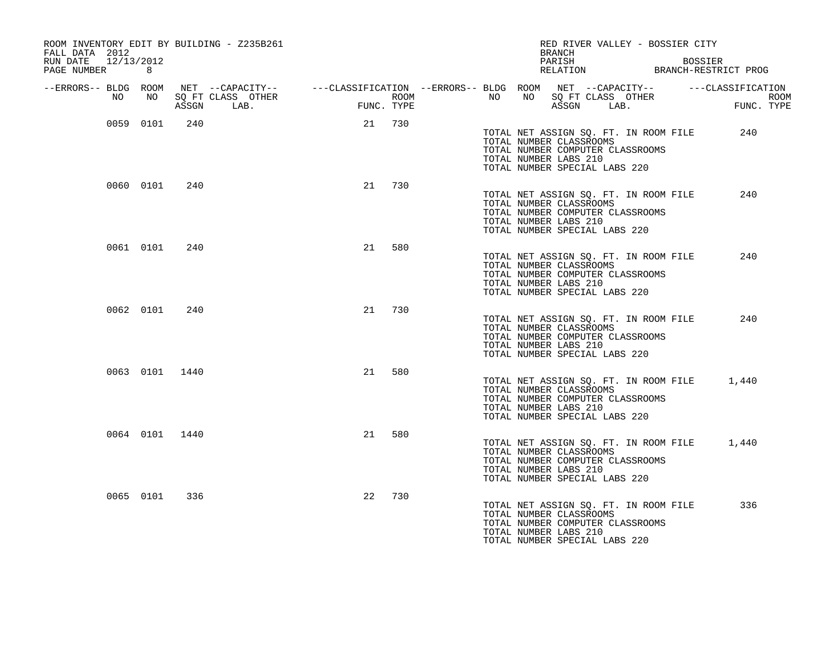| ROOM INVENTORY EDIT BY BUILDING - Z235B261<br>FALL DATA 2012 |                |       |      |    |            |  | RED RIVER VALLEY - BOSSIER CITY<br>BRANCH                                                                                                                      |      |                                                                   |
|--------------------------------------------------------------|----------------|-------|------|----|------------|--|----------------------------------------------------------------------------------------------------------------------------------------------------------------|------|-------------------------------------------------------------------|
| 12/13/2012<br>RUN DATE<br>PAGE NUMBER                        | 8              |       |      |    |            |  | PARISH                                                                                                                                                         |      | <b>BOSSIER</b><br>PARISH BOSSIER<br>RELATION BRANCH-RESTRICT PROG |
| --ERRORS-- BLDG ROOM<br>NO                                   | NO 11          | ASSGN | LAB. |    | FUNC. TYPE |  | ASSGN                                                                                                                                                          | LAB. | <b>FU</b><br>FUNC. TYPE                                           |
|                                                              | 0059 0101      | 240   |      |    | 21 730     |  | TOTAL NET ASSIGN SQ. FT. IN ROOM FILE<br>TOTAL NUMBER CLASSROOMS<br>TOTAL NUMBER COMPUTER CLASSROOMS<br>TOTAL NUMBER LABS 210<br>TOTAL NUMBER SPECIAL LABS 220 |      | 240                                                               |
|                                                              | 0060 0101      | 240   |      | 21 | 730        |  | TOTAL NET ASSIGN SQ. FT. IN ROOM FILE<br>TOTAL NUMBER CLASSROOMS<br>TOTAL NUMBER COMPUTER CLASSROOMS<br>TOTAL NUMBER LABS 210<br>TOTAL NUMBER SPECIAL LABS 220 |      | 240                                                               |
|                                                              | 0061 0101      | 240   |      | 21 | 580        |  | TOTAL NET ASSIGN SQ. FT. IN ROOM FILE<br>TOTAL NUMBER CLASSROOMS<br>TOTAL NUMBER COMPUTER CLASSROOMS<br>TOTAL NUMBER LABS 210<br>TOTAL NUMBER SPECIAL LABS 220 |      | 240                                                               |
|                                                              | 0062 0101      | 240   |      | 21 | 730        |  | TOTAL NET ASSIGN SQ. FT. IN ROOM FILE<br>TOTAL NUMBER CLASSROOMS<br>TOTAL NUMBER COMPUTER CLASSROOMS<br>TOTAL NUMBER LABS 210<br>TOTAL NUMBER SPECIAL LABS 220 |      | 240                                                               |
|                                                              | 0063 0101 1440 |       |      | 21 | 580        |  | TOTAL NET ASSIGN SQ. FT. IN ROOM FILE<br>TOTAL NUMBER CLASSROOMS<br>TOTAL NUMBER COMPUTER CLASSROOMS<br>TOTAL NUMBER LABS 210<br>TOTAL NUMBER SPECIAL LABS 220 |      | 1,440                                                             |
|                                                              | 0064 0101 1440 |       |      | 21 | 580        |  | TOTAL NET ASSIGN SQ. FT. IN ROOM FILE<br>TOTAL NUMBER CLASSROOMS<br>TOTAL NUMBER COMPUTER CLASSROOMS<br>TOTAL NUMBER LABS 210<br>TOTAL NUMBER SPECIAL LABS 220 |      | 1,440                                                             |
|                                                              | 0065 0101      | 336   |      | 22 | 730        |  | TOTAL NET ASSIGN SQ. FT. IN ROOM FILE<br>TOTAL NUMBER CLASSROOMS<br>TOTAL NUMBER COMPUTER CLASSROOMS<br>TOTAL NUMBER LABS 210<br>TOTAL NUMBER SPECIAL LABS 220 |      | 336                                                               |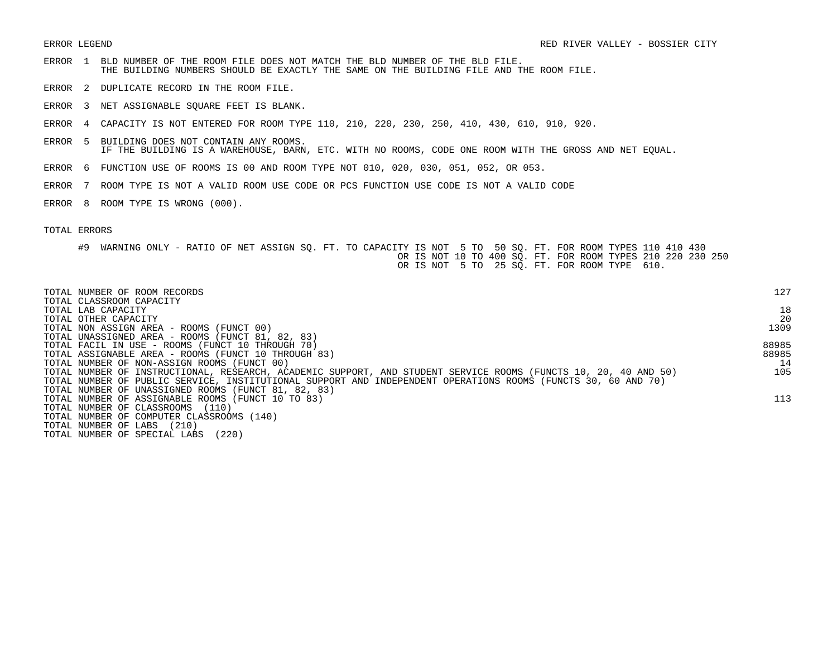- ERROR 1 BLD NUMBER OF THE ROOM FILE DOES NOT MATCH THE BLD NUMBER OF THE BLD FILE. THE BUILDING NUMBERS SHOULD BE EXACTLY THE SAME ON THE BUILDING FILE AND THE ROOM FILE.
- ERROR 2 DUPLICATE RECORD IN THE ROOM FILE.
- ERROR 3 NET ASSIGNABLE SQUARE FEET IS BLANK.
- ERROR 4 CAPACITY IS NOT ENTERED FOR ROOM TYPE 110, 210, 220, 230, 250, 410, 430, 610, 910, 920.
- ERROR 5 BUILDING DOES NOT CONTAIN ANY ROOMS. IF THE BUILDING IS A WAREHOUSE, BARN, ETC. WITH NO ROOMS, CODE ONE ROOM WITH THE GROSS AND NET EQUAL.
- ERROR 6 FUNCTION USE OF ROOMS IS 00 AND ROOM TYPE NOT 010, 020, 030, 051, 052, OR 053.
- ERROR 7 ROOM TYPE IS NOT A VALID ROOM USE CODE OR PCS FUNCTION USE CODE IS NOT A VALID CODE
- ERROR 8 ROOM TYPE IS WRONG (000).

| TOTAL NUMBER OF ROOM RECORDS<br>TOTAL CLASSROOM CAPACITY                                                        | 127   |
|-----------------------------------------------------------------------------------------------------------------|-------|
| TOTAL LAB CAPACITY                                                                                              | 18    |
| TOTAL OTHER CAPACITY                                                                                            | 20    |
| TOTAL NON ASSIGN AREA - ROOMS (FUNCT 00)                                                                        | 1309  |
| TOTAL UNASSIGNED AREA - ROOMS (FUNCT 81, 82, 83)                                                                |       |
| TOTAL FACIL IN USE - ROOMS (FUNCT 10 THROUGH 70)                                                                | 88985 |
| TOTAL ASSIGNABLE AREA - ROOMS (FUNCT 10 THROUGH 83)                                                             | 88985 |
| TOTAL NUMBER OF NON-ASSIGN ROOMS (FUNCT 00)                                                                     | 14    |
| TOTAL NUMBER OF INSTRUCTIONAL, RESEARCH, ACADEMIC SUPPORT, AND STUDENT SERVICE ROOMS (FUNCTS 10, 20, 40 AND 50) | 105   |
| TOTAL NUMBER OF PUBLIC SERVICE, INSTITUTIONAL SUPPORT AND INDEPENDENT OPERATIONS ROOMS (FUNCTS 30, 60 AND 70)   |       |
| TOTAL NUMBER OF UNASSIGNED ROOMS (FUNCT 81, 82, 83)                                                             |       |
| TOTAL NUMBER OF ASSIGNABLE ROOMS (FUNCT 10 TO 83)                                                               | 113   |
| TOTAL NUMBER OF CLASSROOMS<br>(110)                                                                             |       |
| TOTAL NUMBER OF COMPUTER CLASSROOMS (140)                                                                       |       |
| (210)<br>TOTAL NUMBER OF LABS                                                                                   |       |
| (220)<br>TOTAL NUMBER OF SPECIAL LABS                                                                           |       |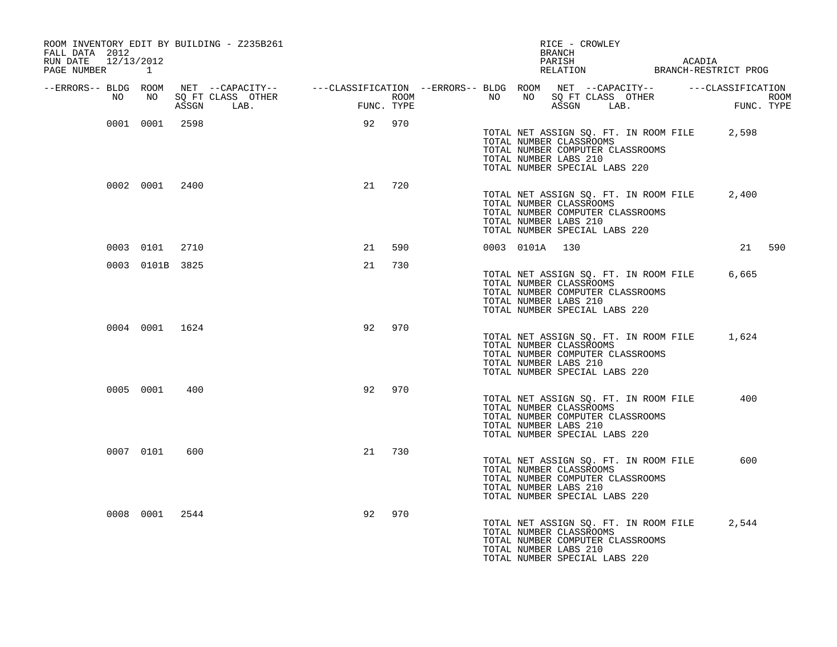| ROOM INVENTORY EDIT BY BUILDING - Z235B261<br>FALL DATA 2012<br>RUN DATE 12/13/2012<br>PAGE NUMBER 1 |                 |     |                                                                                                                                                                                                            |    |        |  | RICE - CROWLEY<br>BRANCH                                                                                              |  |                                       | PARISH ACADIA RELATION BRANCH-RESTRICT PROG |        |
|------------------------------------------------------------------------------------------------------|-----------------|-----|------------------------------------------------------------------------------------------------------------------------------------------------------------------------------------------------------------|----|--------|--|-----------------------------------------------------------------------------------------------------------------------|--|---------------------------------------|---------------------------------------------|--------|
| --ERRORS-- BLDG ROOM<br>NO                                                                           | NO              |     | NET --CAPACITY-- ----CLASSIFICATION --ERRORS-- BLDG ROOM NET --CAPACITY-- -----CLASSIFICATION<br>SQ FT CLASS OTHER ROOM ROOM NO SQ FT CLASS OTHER ROOM ROOM<br>ASSGN LAB. FUNC. TYPE ASSGN LAB. FUNC. TYPE |    |        |  |                                                                                                                       |  |                                       |                                             |        |
|                                                                                                      | 0001 0001 2598  |     |                                                                                                                                                                                                            |    | 92 970 |  | TOTAL NUMBER CLASSROOMS<br>TOTAL NUMBER COMPUTER CLASSROOMS<br>TOTAL NUMBER LABS 210<br>TOTAL NUMBER SPECIAL LABS 220 |  | TOTAL NET ASSIGN SQ. FT. IN ROOM FILE | 2,598                                       |        |
|                                                                                                      | 0002 0001 2400  |     |                                                                                                                                                                                                            |    | 21 720 |  | TOTAL NUMBER CLASSROOMS<br>TOTAL NUMBER COMPUTER CLASSROOMS<br>TOTAL NUMBER LABS 210<br>TOTAL NUMBER SPECIAL LABS 220 |  | TOTAL NET ASSIGN SQ. FT. IN ROOM FILE | 2,400                                       |        |
|                                                                                                      | 0003 0101 2710  |     |                                                                                                                                                                                                            | 21 | 590    |  | 0003 0101A 130                                                                                                        |  |                                       |                                             | 21 590 |
|                                                                                                      | 0003 0101B 3825 |     |                                                                                                                                                                                                            | 21 | 730    |  | TOTAL NUMBER CLASSROOMS<br>TOTAL NUMBER COMPUTER CLASSROOMS<br>TOTAL NUMBER LABS 210<br>TOTAL NUMBER SPECIAL LABS 220 |  | TOTAL NET ASSIGN SQ. FT. IN ROOM FILE | 6,665                                       |        |
|                                                                                                      | 0004 0001 1624  |     |                                                                                                                                                                                                            | 92 | 970    |  | TOTAL NUMBER CLASSROOMS<br>TOTAL NUMBER COMPUTER CLASSROOMS<br>TOTAL NUMBER LABS 210<br>TOTAL NUMBER SPECIAL LABS 220 |  |                                       | TOTAL NET ASSIGN SQ. FT. IN ROOM FILE 1,624 |        |
|                                                                                                      | 0005 0001       | 400 |                                                                                                                                                                                                            | 92 | 970    |  | TOTAL NUMBER CLASSROOMS<br>TOTAL NUMBER COMPUTER CLASSROOMS<br>TOTAL NUMBER LABS 210<br>TOTAL NUMBER SPECIAL LABS 220 |  | TOTAL NET ASSIGN SQ. FT. IN ROOM FILE | 400                                         |        |
|                                                                                                      | 0007 0101       | 600 |                                                                                                                                                                                                            | 21 | 730    |  | TOTAL NUMBER CLASSROOMS<br>TOTAL NUMBER COMPUTER CLASSROOMS<br>TOTAL NUMBER LABS 210<br>TOTAL NUMBER SPECIAL LABS 220 |  | TOTAL NET ASSIGN SQ. FT. IN ROOM FILE | 600                                         |        |
|                                                                                                      | 0008 0001 2544  |     |                                                                                                                                                                                                            | 92 | 970    |  | TOTAL NUMBER CLASSROOMS<br>TOTAL NUMBER COMPUTER CLASSROOMS<br>TOTAL NUMBER LABS 210<br>TOTAL NUMBER SPECIAL LABS 220 |  | TOTAL NET ASSIGN SQ. FT. IN ROOM FILE | 2,544                                       |        |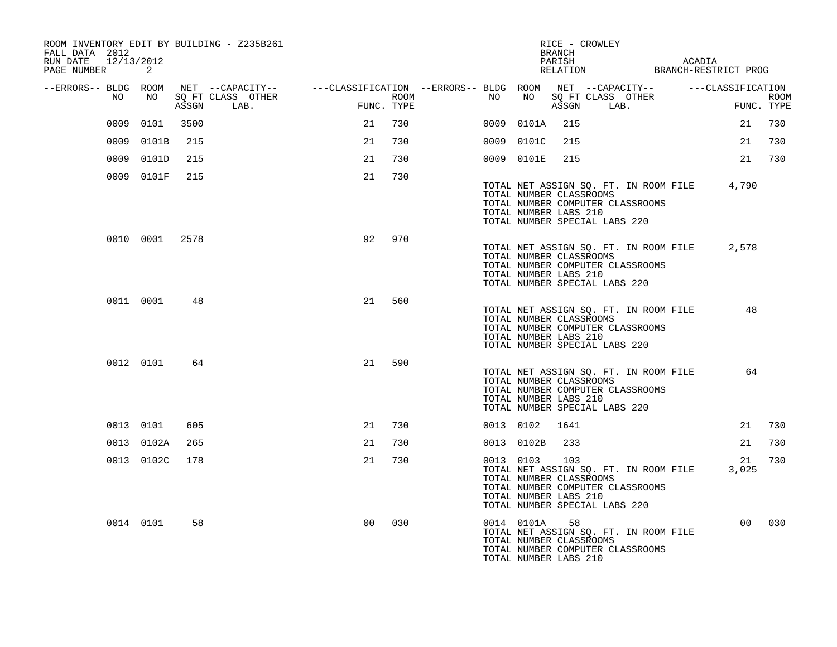| ROOM INVENTORY EDIT BY BUILDING - Z235B261<br>FALL DATA 2012<br>RUN DATE 12/13/2012<br>PAGE NUMBER | 2              |       |                                                                                                                             |                |      |    |               | RICE - CROWLEY<br>BRANCH<br>PARISH                                                       |            |                                                                           | ACADIA | PARISH ACADIA<br>RELATION BRANCH-RESTRICT PROG |                           |
|----------------------------------------------------------------------------------------------------|----------------|-------|-----------------------------------------------------------------------------------------------------------------------------|----------------|------|----|---------------|------------------------------------------------------------------------------------------|------------|---------------------------------------------------------------------------|--------|------------------------------------------------|---------------------------|
| --ERRORS-- BLDG ROOM<br>NO                                                                         | NO             | ASSGN | NET --CAPACITY-- - ---CLASSIFICATION --ERRORS-- BLDG ROOM NET --CAPACITY-- - ---CLASSIFICATION<br>SQ FT CLASS OTHER<br>LAB. | FUNC. TYPE     | ROOM | NO |               |                                                                                          | ASSGN LAB. | NO SQ FT CLASS OTHER                                                      |        |                                                | <b>ROOM</b><br>FUNC. TYPE |
| 0009                                                                                               | 0101           | 3500  |                                                                                                                             | 21             | 730  |    | 0009 0101A    | 215                                                                                      |            |                                                                           |        | 21                                             | 730                       |
|                                                                                                    | 0009 0101B     | 215   |                                                                                                                             | 21             | 730  |    | 0009 0101C    | 215                                                                                      |            |                                                                           |        | 21                                             | 730                       |
|                                                                                                    | 0009 0101D     | 215   |                                                                                                                             | 21             | 730  |    | 0009 0101E    | 215                                                                                      |            |                                                                           |        | 21                                             | 730                       |
|                                                                                                    | 0009 0101F     | 215   |                                                                                                                             | 21             | 730  |    |               | TOTAL NUMBER CLASSROOMS<br>TOTAL NUMBER LABS 210<br>TOTAL NUMBER SPECIAL LABS 220        |            | TOTAL NUMBER COMPUTER CLASSROOMS                                          |        | TOTAL NET ASSIGN SQ. FT. IN ROOM FILE 4,790    |                           |
|                                                                                                    | 0010 0001 2578 |       |                                                                                                                             | 92             | 970  |    |               | TOTAL NUMBER CLASSROOMS<br>TOTAL NUMBER LABS 210<br>TOTAL NUMBER SPECIAL LABS 220        |            | TOTAL NUMBER COMPUTER CLASSROOMS                                          |        | TOTAL NET ASSIGN SO. FT. IN ROOM FILE 2,578    |                           |
|                                                                                                    | 0011 0001      | 48    |                                                                                                                             | 21             | 560  |    |               | TOTAL NUMBER CLASSROOMS<br>TOTAL NUMBER LABS 210<br>TOTAL NUMBER SPECIAL LABS 220        |            | TOTAL NET ASSIGN SQ. FT. IN ROOM FILE<br>TOTAL NUMBER COMPUTER CLASSROOMS |        | 48                                             |                           |
|                                                                                                    | 0012 0101      | 64    |                                                                                                                             | 21             | 590  |    |               | TOTAL NUMBER CLASSROOMS<br>TOTAL NUMBER LABS 210<br>TOTAL NUMBER SPECIAL LABS 220        |            | TOTAL NET ASSIGN SQ. FT. IN ROOM FILE<br>TOTAL NUMBER COMPUTER CLASSROOMS |        | 64                                             |                           |
|                                                                                                    | 0013 0101      | 605   |                                                                                                                             | 21             | 730  |    | 0013 0102     | 1641                                                                                     |            |                                                                           |        | 21                                             | 730                       |
|                                                                                                    | 0013 0102A     | 265   |                                                                                                                             | 21             | 730  |    | 0013 0102B    | 233                                                                                      |            |                                                                           |        | 21                                             | 730                       |
|                                                                                                    | 0013 0102C     | 178   |                                                                                                                             | 21             | 730  |    | 0013 0103     | 103<br>TOTAL NUMBER CLASSROOMS<br>TOTAL NUMBER LABS 210<br>TOTAL NUMBER SPECIAL LABS 220 |            | TOTAL NET ASSIGN SQ. FT. IN ROOM FILE<br>TOTAL NUMBER COMPUTER CLASSROOMS |        | 21<br>3,025                                    | 730                       |
|                                                                                                    | 0014 0101      | 58    |                                                                                                                             | 0 <sup>0</sup> | 030  |    | 0014 0101A 58 | TOTAL NUMBER CLASSROOMS<br>TOTAL NUMBER LABS 210                                         |            | TOTAL NET ASSIGN SQ. FT. IN ROOM FILE<br>TOTAL NUMBER COMPUTER CLASSROOMS |        |                                                | 00 030                    |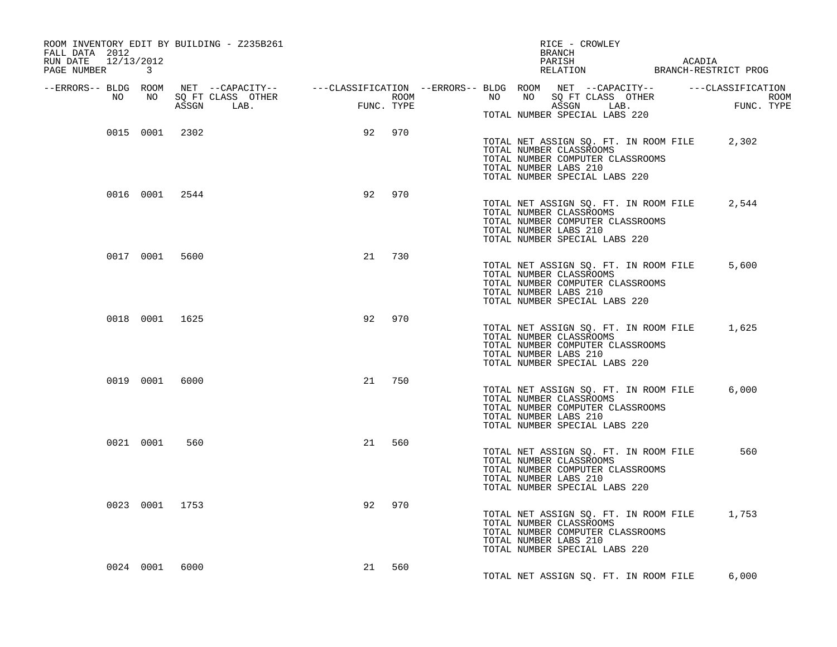| ROOM INVENTORY EDIT BY BUILDING - Z235B261<br>FALL DATA 2012<br>RUN DATE 12/13/2012<br>PAGE NUMBER 3                                                                                                                                 |        |     | RICE - CROWLEY<br>BRANCH                                                                                                                                             |       |
|--------------------------------------------------------------------------------------------------------------------------------------------------------------------------------------------------------------------------------------|--------|-----|----------------------------------------------------------------------------------------------------------------------------------------------------------------------|-------|
| ERRORS-- BLDG ROOM NET --CAPACITY--- --CLASSIFICATION--ERRORS-- BLDG ROOM NET --CAPACITY----------CLASSIFICATION--<br>NO NO SQ FT CLASS OTHER ROOM NO ROOM NO SQ FT CLASS OTHER ROOM NO SQ FT CLASS OTHER<br>ASSGN LAB. FUNC. TYPE A |        |     | TOTAL NUMBER SPECIAL LABS 220                                                                                                                                        |       |
| 0015 0001 2302                                                                                                                                                                                                                       | 92 970 |     | TOTAL NET ASSIGN SQ. FT. IN ROOM FILE 2,302<br>TOTAL NUMBER CLASSROOMS<br>TOTAL NUMBER COMPUTER CLASSROOMS<br>TOTAL NUMBER LABS 210<br>TOTAL NUMBER SPECIAL LABS 220 |       |
| 0016 0001 2544                                                                                                                                                                                                                       | 92     | 970 | TOTAL NET ASSIGN SQ. FT. IN ROOM FILE 2,544<br>TOTAL NUMBER CLASSROOMS<br>TOTAL NUMBER COMPUTER CLASSROOMS<br>TOTAL NUMBER LABS 210<br>TOTAL NUMBER SPECIAL LABS 220 |       |
| 0017 0001 5600                                                                                                                                                                                                                       | 21     | 730 | TOTAL NET ASSIGN SQ. FT. IN ROOM FILE<br>TOTAL NUMBER CLASSROOMS<br>TOTAL NUMBER COMPUTER CLASSROOMS<br>TOTAL NUMBER LABS 210<br>TOTAL NUMBER SPECIAL LABS 220       | 5,600 |
| 0018 0001 1625                                                                                                                                                                                                                       | 92     | 970 | TOTAL NET ASSIGN SQ. FT. IN ROOM FILE 1,625<br>TOTAL NUMBER CLASSROOMS<br>TOTAL NUMBER COMPUTER CLASSROOMS<br>TOTAL NUMBER LABS 210<br>TOTAL NUMBER SPECIAL LABS 220 |       |
| 0019 0001 6000                                                                                                                                                                                                                       | 21     | 750 | TOTAL NET ASSIGN SQ. FT. IN ROOM FILE<br>TOTAL NUMBER CLASSROOMS<br>TOTAL NUMBER COMPUTER CLASSROOMS<br>TOTAL NUMBER LABS 210<br>TOTAL NUMBER SPECIAL LABS 220       | 6.000 |
| 0021 0001<br>560                                                                                                                                                                                                                     | 21 560 |     | TOTAL NET ASSIGN SQ. FT. IN ROOM FILE<br>TOTAL NUMBER CLASSROOMS<br>TOTAL NUMBER COMPUTER CLASSROOMS<br>TOTAL NUMBER LABS 210<br>TOTAL NUMBER SPECIAL LABS 220       | 560   |
| 0023 0001 1753                                                                                                                                                                                                                       | 92     | 970 | TOTAL NET ASSIGN SQ. FT. IN ROOM FILE 1,753<br>TOTAL NUMBER CLASSROOMS<br>TOTAL NUMBER COMPUTER CLASSROOMS<br>TOTAL NUMBER LABS 210<br>TOTAL NUMBER SPECIAL LABS 220 |       |
| 0024 0001 6000                                                                                                                                                                                                                       | 21 560 |     | TOTAL NET ASSIGN SQ. FT. IN ROOM FILE                                                                                                                                | 6,000 |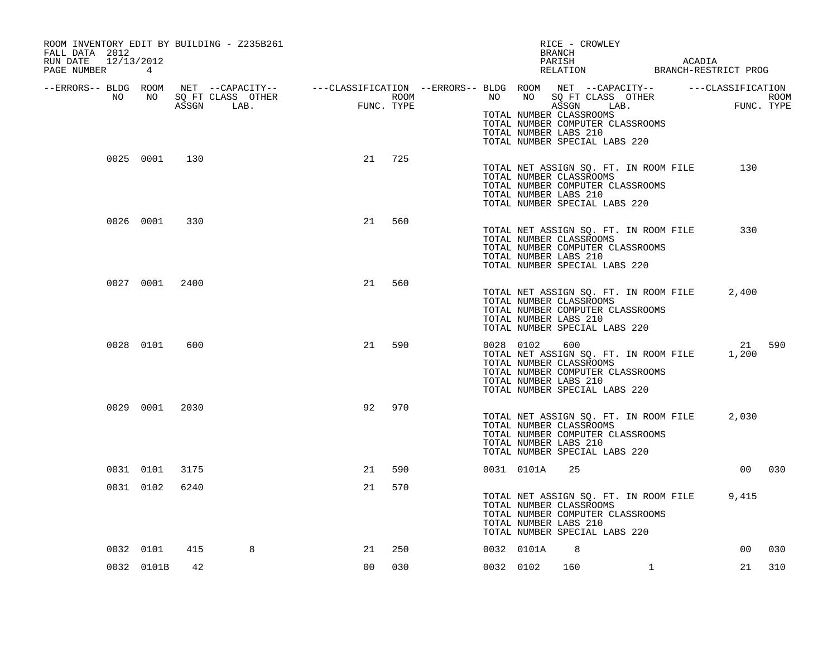| ROOM INVENTORY EDIT BY BUILDING - Z235B261<br>FALL DATA 2012 |                |      |                                                                                                                                                          |        |            | RICE - CROWLEY<br>BRANCH |               |                                                                                                                                                                      |                |                    |        |
|--------------------------------------------------------------|----------------|------|----------------------------------------------------------------------------------------------------------------------------------------------------------|--------|------------|--------------------------|---------------|----------------------------------------------------------------------------------------------------------------------------------------------------------------------|----------------|--------------------|--------|
| RUN DATE 12/13/2012<br>PAGE NUMBER 4                         |                |      |                                                                                                                                                          |        |            |                          |               | PARISH                                                                                                                                                               |                |                    |        |
| NO                                                           |                |      | --ERRORS-- BLDG ROOM NET --CAPACITY-- ----CLASSIFICATION --ERRORS-- BLDG ROOM NET --CAPACITY-- -----CLASSIFICATION<br>NO SQ FT CLASS OTHER<br>ASSGN LAB. | FUNC.  | FUNC. TYPE | <b>ROOM</b>              |               | NO NO SQ FT CLASS OTHER<br>ASSGN LAB.<br>TOTAL NUMBER CLASSROOMS<br>TOTAL NUMBER COMPUTER CLASSROOMS<br>TOTAL NUMBER LABS 210<br>TOTAL NUMBER SPECIAL LABS 220       |                | ROOM<br>FUNC. TYPE |        |
|                                                              | 0025 0001 130  |      |                                                                                                                                                          | 21 725 |            |                          |               | TOTAL NET ASSIGN SQ. FT. IN ROOM FILE<br>TOTAL NUMBER CLASSROOMS<br>TOTAL NUMBER COMPUTER CLASSROOMS<br>TOTAL NUMBER LABS 210<br>TOTAL NUMBER SPECIAL LABS 220       |                | 130                |        |
|                                                              | 0026 0001      | 330  |                                                                                                                                                          | 21     | 560        |                          |               | TOTAL NET ASSIGN SQ. FT. IN ROOM FILE<br>TOTAL NUMBER CLASSROOMS<br>TOTAL NUMBER COMPUTER CLASSROOMS<br>TOTAL NUMBER LABS 210<br>TOTAL NUMBER SPECIAL LABS 220       |                | 330                |        |
|                                                              | 0027 0001 2400 |      |                                                                                                                                                          | 21     | 560        |                          |               | TOTAL NET ASSIGN SQ. FT. IN ROOM FILE<br>TOTAL NUMBER CLASSROOMS<br>TOTAL NUMBER COMPUTER CLASSROOMS<br>TOTAL NUMBER LABS 210<br>TOTAL NUMBER SPECIAL LABS 220       |                | 2,400              |        |
|                                                              | 0028 0101      | 600  |                                                                                                                                                          | 21     | 590        |                          | 0028 0102 600 | TOTAL NET ASSIGN SQ. FT. IN ROOM FILE<br>TOTAL NUMBER CLASSROOMS<br>TOTAL NUMBER COMPUTER CLASSROOMS<br>TOTAL NUMBER LABS 210<br>TOTAL NUMBER SPECIAL LABS 220       |                | 21 590<br>1,200    |        |
|                                                              | 0029 0001 2030 |      |                                                                                                                                                          | 92     | 970        |                          |               | TOTAL NET ASSIGN SQ. FT. IN ROOM FILE<br>TOTAL NUMBER CLASSROOMS<br>TOTAL NUMBER COMPUTER CLASSROOMS<br>TOTAL NUMBER LABS 210<br>TOTAL NUMBER SPECIAL LABS 220       |                | 2,030              |        |
|                                                              | 0031 0101 3175 |      |                                                                                                                                                          | 21     | 590        |                          | 0031 0101A    | 25                                                                                                                                                                   |                |                    | 00 030 |
|                                                              | 0031 0102      | 6240 |                                                                                                                                                          | 21     | 570        |                          |               | TOTAL NET ASSIGN SQ. FT. IN ROOM FILE 9,415<br>TOTAL NUMBER CLASSROOMS<br>TOTAL NUMBER COMPUTER CLASSROOMS<br>TOTAL NUMBER LABS 210<br>TOTAL NUMBER SPECIAL LABS 220 |                |                    |        |
|                                                              | 0032 0101      | 415  | 8                                                                                                                                                        | 21     | 250        |                          | 0032 0101A    | 8                                                                                                                                                                    |                | 00 <sub>o</sub>    | 030    |
|                                                              | 0032 0101B     | 42   |                                                                                                                                                          | 00     | 030        |                          | 0032 0102     | 160 1                                                                                                                                                                | $\overline{1}$ | 21                 | 310    |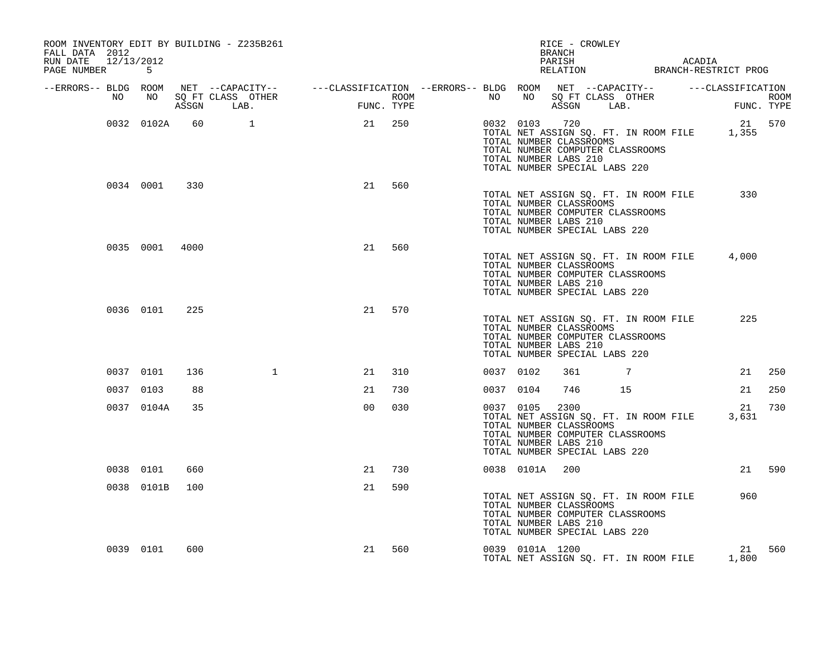| ROOM INVENTORY EDIT BY BUILDING - Z235B261<br>FALL DATA 2012<br>RUN DATE 12/13/2012 |                |     |                                                                                                                                                                                                                |                |        |           |                 | RICE - CROWLEY<br>BRANCH                                                                                                                                               |    | PARISH ACADIA RELATION BRANCH-RESTRICT PROG                            |        |
|-------------------------------------------------------------------------------------|----------------|-----|----------------------------------------------------------------------------------------------------------------------------------------------------------------------------------------------------------------|----------------|--------|-----------|-----------------|------------------------------------------------------------------------------------------------------------------------------------------------------------------------|----|------------------------------------------------------------------------|--------|
| PAGE NUMBER 5                                                                       |                |     |                                                                                                                                                                                                                |                |        |           |                 |                                                                                                                                                                        |    |                                                                        |        |
| --ERRORS-- BLDG ROOM<br>NO                                                          |                |     | ROOM NET --CAPACITY-- ----CLASSIFICATION --ERRORS---BLDG ROOM NET --CAPACITY-- ------CLASSIFICATION<br>NO SQ FT CLASS OTHER ROOM ROOM NO SQ FT CLASS OTHER ROOM<br>ASSGN LAB. FUNC. TYPE ASSGN LAB. FUNC. TYPE |                |        |           |                 |                                                                                                                                                                        |    | NO NO SQ FT CLASS OTHER ROOM ROOM NO SQ FT CLASS OTHER ROOM            |        |
|                                                                                     | 0032 0102A     | 60  | $\sim$ $\sim$ 1                                                                                                                                                                                                | 21 250         |        |           |                 | 0032 0103 720<br>TOTAL NUMBER CLASSROOMS<br>TOTAL NUMBER COMPUTER CLASSROOMS<br>TOTAL NUMBER LABS 210<br>TOTAL NUMBER SPECIAL LABS 220                                 |    | 21 570<br>0032 0103 720<br>TOTAL NET ASSIGN SQ. FT. IN ROOM FILE 1,355 |        |
|                                                                                     | 0034 0001 330  |     |                                                                                                                                                                                                                | 21             | 560    |           |                 | TOTAL NET ASSIGN SQ. FT. IN ROOM FILE<br>TOTAL NUMBER CLASSROOMS<br>TOTAL NUMBER COMPUTER CLASSROOMS<br>TOTAL NUMBER LABS 210<br>TOTAL NUMBER SPECIAL LABS 220         |    | 330                                                                    |        |
|                                                                                     | 0035 0001 4000 |     |                                                                                                                                                                                                                | 21             | 560    |           |                 | TOTAL NET ASSIGN SQ. FT. IN ROOM FILE<br>TOTAL NUMBER CLASSROOMS<br>TOTAL NUMBER COMPUTER CLASSROOMS<br>TOTAL NUMBER LABS 210<br>TOTAL NUMBER SPECIAL LABS 220         |    | 4,000                                                                  |        |
|                                                                                     | 0036 0101      | 225 |                                                                                                                                                                                                                |                | 21 570 |           |                 | TOTAL NET ASSIGN SQ. FT. IN ROOM FILE<br>TOTAL NUMBER CLASSROOMS<br>TOTAL NUMBER COMPUTER CLASSROOMS<br>TOTAL NUMBER LABS 210<br>TOTAL NUMBER SPECIAL LABS 220         |    | 225                                                                    |        |
|                                                                                     | 0037 0101      | 136 | $\mathbf{1}$                                                                                                                                                                                                   | 21             | 310    | 0037 0102 |                 | 361                                                                                                                                                                    | 7  |                                                                        | 21 250 |
|                                                                                     | 0037 0103      | 88  |                                                                                                                                                                                                                | 21             | 730    | 0037 0104 |                 | 746                                                                                                                                                                    | 15 | 21                                                                     | 250    |
|                                                                                     | 0037 0104A     | 35  |                                                                                                                                                                                                                | 0 <sub>0</sub> | 030    |           | 0037 0105       | 2300<br>TOTAL NET ASSIGN SQ. FT. IN ROOM FILE<br>TOTAL NUMBER CLASSROOMS<br>TOTAL NUMBER COMPUTER CLASSROOMS<br>TOTAL NUMBER LABS 210<br>TOTAL NUMBER SPECIAL LABS 220 |    | 21<br>3,631                                                            | 730    |
|                                                                                     | 0038 0101      | 660 |                                                                                                                                                                                                                | 21             | 730    |           | 0038 0101A      | 200                                                                                                                                                                    |    |                                                                        | 21 590 |
|                                                                                     | 0038 0101B     | 100 |                                                                                                                                                                                                                | 21             | 590    |           |                 | TOTAL NET ASSIGN SQ. FT. IN ROOM FILE<br>TOTAL NUMBER CLASSROOMS<br>TOTAL NUMBER COMPUTER CLASSROOMS<br>TOTAL NUMBER LABS 210<br>TOTAL NUMBER SPECIAL LABS 220         |    | 960                                                                    |        |
|                                                                                     | 0039 0101      | 600 |                                                                                                                                                                                                                |                | 21 560 |           | 0039 0101A 1200 | TOTAL NET ASSIGN SQ. FT. IN ROOM FILE                                                                                                                                  |    | 1,800                                                                  | 21 560 |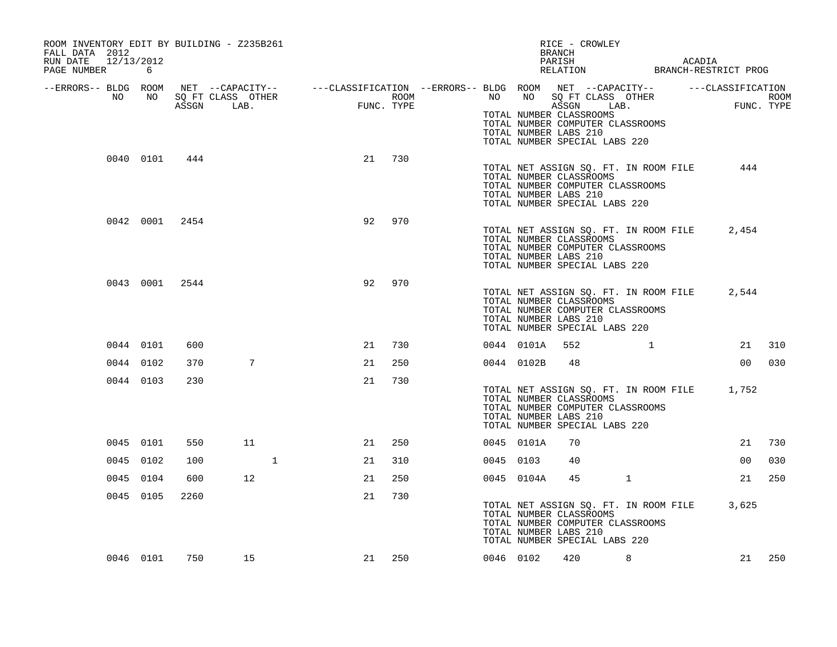| ROOM INVENTORY EDIT BY BUILDING - Z235B261<br>FALL DATA 2012<br>RUN DATE 12/13/2012 |           |                |    |                                                                                                                                                                                                    |        |           |            | RICE - CROWLEY<br>BRANCH<br>PARISH ACADIA RELATION BRANCH-RESTRICT PROG                                                                                              |                                           |       |        |
|-------------------------------------------------------------------------------------|-----------|----------------|----|----------------------------------------------------------------------------------------------------------------------------------------------------------------------------------------------------|--------|-----------|------------|----------------------------------------------------------------------------------------------------------------------------------------------------------------------|-------------------------------------------|-------|--------|
| PAGE NUMBER 6                                                                       |           |                |    |                                                                                                                                                                                                    |        |           |            |                                                                                                                                                                      |                                           |       |        |
| --ERRORS-- BLDG ROOM<br>NO                                                          | NO        |                |    | NET --CAPACITY-- ----CLASSIFICATION --ERRORS--- BLDG ROOM NET --CAPACITY-- ------CLASSIFICATION<br>SQ FT CLASS OTHER ROOM NO SQ FT CLASS OTHER ROOM<br>ASSGN LAB. FUNC. TYPE ASSGN LAB. FUNC. TYPE |        |           |            |                                                                                                                                                                      |                                           |       |        |
|                                                                                     |           |                |    |                                                                                                                                                                                                    |        |           |            | TOTAL NUMBER CLASSROOMS<br>TOTAL NUMBER COMPUTER CLASSROOMS<br>TOTAL NUMBER LABS 210<br>TOTAL NUMBER SPECIAL LABS 220                                                |                                           |       |        |
|                                                                                     |           | 0040 0101 444  |    | 21                                                                                                                                                                                                 | 730    |           |            | TOTAL NET ASSIGN SQ. FT. IN ROOM FILE<br>TOTAL NUMBER CLASSROOMS<br>TOTAL NUMBER COMPUTER CLASSROOMS<br>TOTAL NUMBER LABS 210<br>TOTAL NUMBER SPECIAL LABS 220       |                                           | 444   |        |
|                                                                                     |           | 0042 0001 2454 |    | 92                                                                                                                                                                                                 | 970    |           |            | TOTAL NET ASSIGN SQ. FT. IN ROOM FILE<br>TOTAL NUMBER CLASSROOMS<br>TOTAL NUMBER COMPUTER CLASSROOMS<br>TOTAL NUMBER LABS 210<br>TOTAL NUMBER SPECIAL LABS 220       |                                           | 2,454 |        |
|                                                                                     |           | 0043 0001 2544 |    | 92                                                                                                                                                                                                 | 970    |           |            | TOTAL NET ASSIGN SQ. FT. IN ROOM FILE 2,544<br>TOTAL NUMBER CLASSROOMS<br>TOTAL NUMBER COMPUTER CLASSROOMS<br>TOTAL NUMBER LABS 210<br>TOTAL NUMBER SPECIAL LABS 220 |                                           |       |        |
|                                                                                     | 0044 0101 | 600            |    | 21                                                                                                                                                                                                 | 730    |           | 0044 0101A | 552                                                                                                                                                                  | $\sim$ $\sim$ $\sim$ $\sim$ $\sim$ $\sim$ |       | 21 310 |
|                                                                                     | 0044 0102 | 370            | 7  | 21                                                                                                                                                                                                 | 250    |           | 0044 0102B | 48                                                                                                                                                                   |                                           |       | 00 030 |
|                                                                                     | 0044 0103 | 230            |    | 21                                                                                                                                                                                                 | 730    |           |            | TOTAL NET ASSIGN SQ. FT. IN ROOM FILE 1,752<br>TOTAL NUMBER CLASSROOMS<br>TOTAL NUMBER COMPUTER CLASSROOMS<br>TOTAL NUMBER LABS 210<br>TOTAL NUMBER SPECIAL LABS 220 |                                           |       |        |
|                                                                                     | 0045 0101 | 550            | 11 | 21                                                                                                                                                                                                 | 250    |           | 0045 0101A | 70                                                                                                                                                                   |                                           |       | 21 730 |
|                                                                                     | 0045 0102 | 100            | 1  | 21                                                                                                                                                                                                 | 310    | 0045 0103 |            | 40                                                                                                                                                                   |                                           | 00    | 030    |
|                                                                                     | 0045 0104 | 600            | 12 | 21                                                                                                                                                                                                 | 250    |           | 0045 0104A | 45                                                                                                                                                                   | $\mathbf{1}$                              | 21    | 250    |
|                                                                                     | 0045 0105 | 2260           |    | 21                                                                                                                                                                                                 | 730    |           |            | TOTAL NET ASSIGN SQ. FT. IN ROOM FILE 3,625<br>TOTAL NUMBER CLASSROOMS<br>TOTAL NUMBER COMPUTER CLASSROOMS<br>TOTAL NUMBER LABS 210<br>TOTAL NUMBER SPECIAL LABS 220 |                                           |       |        |
|                                                                                     |           | 0046 0101 750  | 15 |                                                                                                                                                                                                    | 21 250 |           | 0046 0102  | 420                                                                                                                                                                  | 8                                         |       | 21 250 |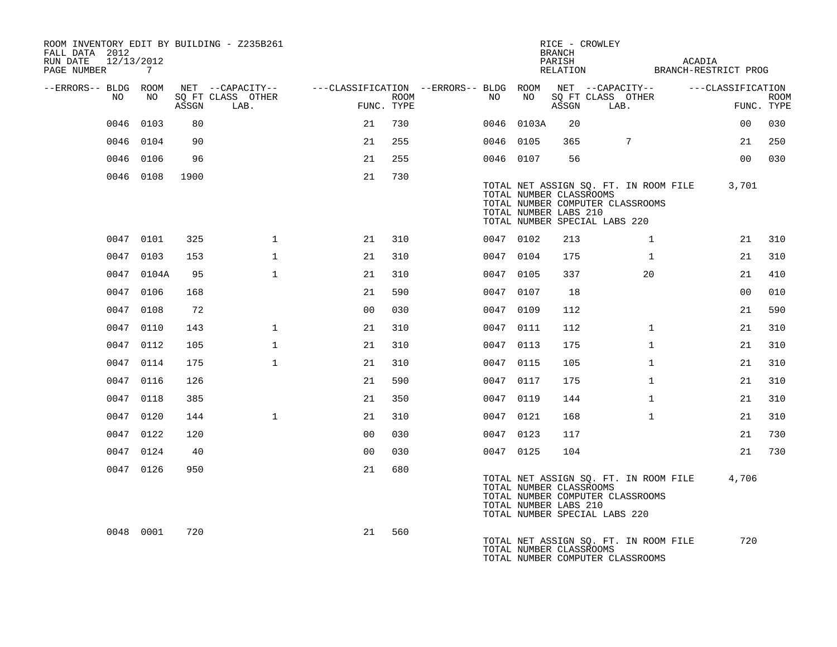| ROOM INVENTORY EDIT BY BUILDING - Z235B261<br>FALL DATA 2012<br>RUN DATE<br>12/13/2012<br>PAGE NUMBER 7 |            |       |                                               |                                                                       |      |           |            | RICE - CROWLEY<br><b>BRANCH</b><br>PARISH        | RELATION BRANCH-RESTRICT PROG                                                                              |              | ACADIA            |                |             |
|---------------------------------------------------------------------------------------------------------|------------|-------|-----------------------------------------------|-----------------------------------------------------------------------|------|-----------|------------|--------------------------------------------------|------------------------------------------------------------------------------------------------------------|--------------|-------------------|----------------|-------------|
| --ERRORS-- BLDG ROOM<br>NO                                                                              | NO         | ASSGN | NET --CAPACITY--<br>SQ FT CLASS OTHER<br>LAB. | ---CLASSIFICATION --ERRORS-- BLDG ROOM NET --CAPACITY--<br>FUNC. TYPE | ROOM | NO .      | NO         | ASSGN                                            | SQ FT CLASS OTHER<br>LAB.                                                                                  |              | ---CLASSIFICATION | FUNC. TYPE     | <b>ROOM</b> |
| 0046                                                                                                    | 0103       | 80    |                                               | 21                                                                    | 730  |           | 0046 0103A | 20                                               |                                                                                                            |              |                   | 00             | 030         |
|                                                                                                         | 0046 0104  | 90    |                                               | 21                                                                    | 255  | 0046 0105 |            | 365                                              | $7\phantom{.0}$                                                                                            |              |                   | 21             | 250         |
|                                                                                                         | 0046 0106  | 96    |                                               | 21                                                                    | 255  | 0046 0107 |            | 56                                               |                                                                                                            |              |                   | 0 <sub>0</sub> | 030         |
|                                                                                                         | 0046 0108  | 1900  |                                               | 21                                                                    | 730  |           |            | TOTAL NUMBER CLASSROOMS<br>TOTAL NUMBER LABS 210 | TOTAL NET ASSIGN SQ. FT. IN ROOM FILE<br>TOTAL NUMBER COMPUTER CLASSROOMS<br>TOTAL NUMBER SPECIAL LABS 220 |              |                   | 3,701          |             |
|                                                                                                         | 0047 0101  | 325   | $\mathbf{1}$                                  | 21                                                                    | 310  | 0047 0102 |            | 213                                              |                                                                                                            | $\mathbf{1}$ |                   | 21             | 310         |
|                                                                                                         | 0047 0103  | 153   | $\mathbf{1}$                                  | 21                                                                    | 310  | 0047 0104 |            | 175                                              |                                                                                                            | $\mathbf{1}$ |                   | 21             | 310         |
|                                                                                                         | 0047 0104A | 95    | $\mathbf{1}$                                  | 21                                                                    | 310  | 0047 0105 |            | 337                                              |                                                                                                            | 20           |                   | 21             | 410         |
|                                                                                                         | 0047 0106  | 168   |                                               | 21                                                                    | 590  | 0047 0107 |            | 18                                               |                                                                                                            |              |                   | 0 <sub>0</sub> | 010         |
|                                                                                                         | 0047 0108  | 72    |                                               | 0 <sub>0</sub>                                                        | 030  | 0047 0109 |            | 112                                              |                                                                                                            |              |                   | 21             | 590         |
|                                                                                                         | 0047 0110  | 143   | $\mathbf{1}$                                  | 21                                                                    | 310  | 0047 0111 |            | 112                                              |                                                                                                            | $\mathbf{1}$ |                   | 21             | 310         |
|                                                                                                         | 0047 0112  | 105   | $\mathbf{1}$                                  | 21                                                                    | 310  | 0047 0113 |            | 175                                              |                                                                                                            | $\mathbf{1}$ |                   | 21             | 310         |
|                                                                                                         | 0047 0114  | 175   | $\mathbf{1}$                                  | 21                                                                    | 310  | 0047 0115 |            | 105                                              |                                                                                                            | $\mathbf{1}$ |                   | 21             | 310         |
|                                                                                                         | 0047 0116  | 126   |                                               | 21                                                                    | 590  | 0047 0117 |            | 175                                              |                                                                                                            | $\mathbf{1}$ |                   | 21             | 310         |
|                                                                                                         | 0047 0118  | 385   |                                               | 21                                                                    | 350  | 0047 0119 |            | 144                                              |                                                                                                            | $\mathbf{1}$ |                   | 21             | 310         |
|                                                                                                         | 0047 0120  | 144   | $\mathbf{1}$                                  | 21                                                                    | 310  | 0047 0121 |            | 168                                              |                                                                                                            | $\mathbf{1}$ |                   | 21             | 310         |
|                                                                                                         | 0047 0122  | 120   |                                               | 0 <sub>0</sub>                                                        | 030  | 0047 0123 |            | 117                                              |                                                                                                            |              |                   | 21             | 730         |
|                                                                                                         | 0047 0124  | 40    |                                               | 0 <sub>0</sub>                                                        | 030  | 0047 0125 |            | 104                                              |                                                                                                            |              |                   | 21             | 730         |
|                                                                                                         | 0047 0126  | 950   |                                               | 21                                                                    | 680  |           |            | TOTAL NUMBER CLASSROOMS<br>TOTAL NUMBER LABS 210 | TOTAL NET ASSIGN SQ. FT. IN ROOM FILE<br>TOTAL NUMBER COMPUTER CLASSROOMS<br>TOTAL NUMBER SPECIAL LABS 220 |              |                   | 4,706          |             |
|                                                                                                         | 0048 0001  | 720   |                                               | 21                                                                    | 560  |           |            | TOTAL NUMBER CLASSROOMS                          | TOTAL NET ASSIGN SQ. FT. IN ROOM FILE<br>TOTAL NUMBER COMPUTER CLASSROOMS                                  |              |                   | 720            |             |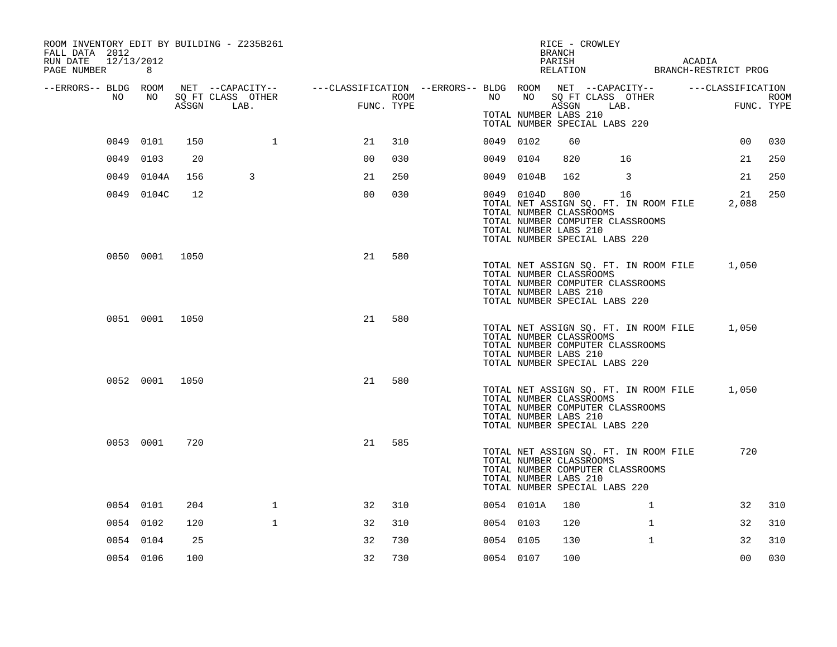| ROOM INVENTORY EDIT BY BUILDING - Z235B261<br>FALL DATA 2012<br>12/13/2012<br>RUN DATE |                |     |                   |                                                                                                |            |           |                                                                | BRANCH<br>PARISH | RICE - CROWLEY                                                                                                       |              | ACADIA |                |             |
|----------------------------------------------------------------------------------------|----------------|-----|-------------------|------------------------------------------------------------------------------------------------|------------|-----------|----------------------------------------------------------------|------------------|----------------------------------------------------------------------------------------------------------------------|--------------|--------|----------------|-------------|
| PAGE NUMBER                                                                            | 8              |     |                   |                                                                                                |            |           |                                                                |                  | RELATION BRANCH-RESTRICT PROG                                                                                        |              |        |                |             |
| --ERRORS-- BLDG ROOM<br>NO                                                             | NO             |     | SQ FT CLASS OTHER | NET --CAPACITY-- - ---CLASSIFICATION --ERRORS-- BLDG ROOM NET --CAPACITY-- - ---CLASSIFICATION | ROOM       | NO        | NO                                                             |                  | SQ FT CLASS OTHER                                                                                                    |              |        |                | <b>ROOM</b> |
|                                                                                        |                |     | ASSGN LAB.        |                                                                                                | FUNC. TYPE |           | TOTAL NUMBER LABS 210                                          |                  | ASSGN LAB.<br>TOTAL NUMBER SPECIAL LABS 220                                                                          |              |        | FUNC. TYPE     |             |
|                                                                                        | 0049 0101      | 150 | 1                 | 21                                                                                             | 310        | 0049 0102 |                                                                | 60               |                                                                                                                      |              |        | 00             | 030         |
| 0049                                                                                   | 0103           | 20  |                   | 0 <sub>0</sub>                                                                                 | 030        | 0049 0104 |                                                                | 820              | 16                                                                                                                   |              |        | 21             | 250         |
|                                                                                        | 0049 0104A     | 156 | 3                 | 21                                                                                             | 250        | 0049      | 0104B                                                          | 162              | 3                                                                                                                    |              |        | 21             | 250         |
|                                                                                        | 0049 0104C     | 12  |                   | 0 <sub>0</sub>                                                                                 | 030        |           | 0049 0104D<br>TOTAL NUMBER CLASSROOMS<br>TOTAL NUMBER LABS 210 |                  | 800 16<br>TOTAL NET ASSIGN SQ. FT. IN ROOM FILE<br>TOTAL NUMBER COMPUTER CLASSROOMS<br>TOTAL NUMBER SPECIAL LABS 220 |              |        | 21<br>2,088    | 250         |
|                                                                                        | 0050 0001 1050 |     |                   | 21                                                                                             | 580        |           | TOTAL NUMBER CLASSROOMS<br>TOTAL NUMBER LABS 210               |                  | TOTAL NET ASSIGN SQ. FT. IN ROOM FILE<br>TOTAL NUMBER COMPUTER CLASSROOMS<br>TOTAL NUMBER SPECIAL LABS 220           |              |        | 1,050          |             |
|                                                                                        | 0051 0001 1050 |     |                   | 21                                                                                             | 580        |           | TOTAL NUMBER CLASSROOMS<br>TOTAL NUMBER LABS 210               |                  | TOTAL NET ASSIGN SQ. FT. IN ROOM FILE<br>TOTAL NUMBER COMPUTER CLASSROOMS<br>TOTAL NUMBER SPECIAL LABS 220           |              |        | 1,050          |             |
|                                                                                        | 0052 0001 1050 |     |                   | 21                                                                                             | 580        |           | TOTAL NUMBER CLASSROOMS<br>TOTAL NUMBER LABS 210               |                  | TOTAL NET ASSIGN SQ. FT. IN ROOM FILE<br>TOTAL NUMBER COMPUTER CLASSROOMS<br>TOTAL NUMBER SPECIAL LABS 220           |              |        | 1,050          |             |
|                                                                                        | 0053 0001      | 720 |                   | 21                                                                                             | 585        |           | TOTAL NUMBER CLASSROOMS<br>TOTAL NUMBER LABS 210               |                  | TOTAL NET ASSIGN SQ. FT. IN ROOM FILE<br>TOTAL NUMBER COMPUTER CLASSROOMS<br>TOTAL NUMBER SPECIAL LABS 220           |              |        | 720            |             |
|                                                                                        | 0054 0101      | 204 | $\mathbf{1}$      | 32                                                                                             | 310        |           | 0054 0101A                                                     | 180              |                                                                                                                      | $\mathbf{1}$ |        | 32             | 310         |
|                                                                                        | 0054 0102      | 120 | $\mathbf{1}$      | 32                                                                                             | 310        | 0054 0103 |                                                                | 120              |                                                                                                                      | $\mathbf{1}$ |        | 32             | 310         |
|                                                                                        | 0054 0104      | 25  |                   | 32                                                                                             | 730        | 0054 0105 |                                                                | 130              |                                                                                                                      | $\mathbf{1}$ |        | 32             | 310         |
|                                                                                        | 0054 0106      | 100 |                   | 32                                                                                             | 730        | 0054 0107 |                                                                | 100              |                                                                                                                      |              |        | 0 <sub>0</sub> | 030         |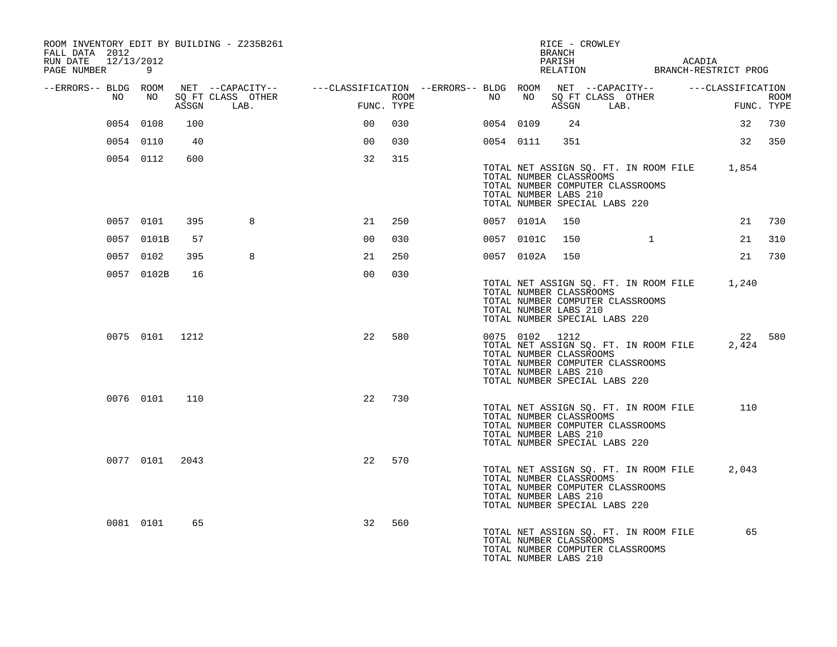| ROOM INVENTORY EDIT BY BUILDING - Z235B261<br>FALL DATA 2012<br>RUN DATE 12/13/2012<br>PAGE NUMBER 9 |                |     |                                                                                                                                 |                |            |                  |    |                | RICE - CROWLEY<br>BRANCH                                                                                                                                                         |          | PARISH ACADIA<br>RELATION BRANCH-RESTRICT PROG    |                 |     |
|------------------------------------------------------------------------------------------------------|----------------|-----|---------------------------------------------------------------------------------------------------------------------------------|----------------|------------|------------------|----|----------------|----------------------------------------------------------------------------------------------------------------------------------------------------------------------------------|----------|---------------------------------------------------|-----------------|-----|
|                                                                                                      |                |     |                                                                                                                                 |                |            |                  |    |                |                                                                                                                                                                                  |          |                                                   |                 |     |
| --ERRORS-- BLDG ROOM<br>NO                                                                           | NO             |     | NET --CAPACITY-- $---CLASSIFICATION --ERRORS-- BLDG ROM NET --CAPACITY-- --- CLASSIFICATION$<br>SQ FT CLASS OTHER<br>ASSGN LAB. |                | FUNC. TYPE | ROOM <b>ROOM</b> | NO |                |                                                                                                                                                                                  |          | NO SOFT CLASS OTHER THE ROOM ASSGN LAB. FUNC TYPE |                 |     |
|                                                                                                      | 0054 0108      | 100 |                                                                                                                                 | 00             | 030        |                  |    | 0054 0109      | 24                                                                                                                                                                               |          |                                                   | 32 730          |     |
|                                                                                                      | 0054 0110      | 40  |                                                                                                                                 | 0 <sub>0</sub> | 030        |                  |    | 0054 0111      | 351                                                                                                                                                                              |          |                                                   | 32 350          |     |
|                                                                                                      | 0054 0112      | 600 |                                                                                                                                 | 32             | 315        |                  |    |                |                                                                                                                                                                                  |          |                                                   |                 |     |
|                                                                                                      |                |     |                                                                                                                                 |                |            |                  |    |                | TOTAL NUMBER CLASSROOMS<br>TOTAL NUMBER COMPUTER CLASSROOMS<br>TOTAL NUMBER LABS 210<br>TOTAL NUMBER SPECIAL LABS 220                                                            |          | TOTAL NET ASSIGN SQ. FT. IN ROOM FILE 1,854       |                 |     |
|                                                                                                      | 0057 0101      | 395 | 8                                                                                                                               | 21             | 250        |                  |    | 0057 0101A     | 150                                                                                                                                                                              |          |                                                   | 21              | 730 |
|                                                                                                      | 0057 0101B     | 57  |                                                                                                                                 | 0 <sub>0</sub> | 030        |                  |    | 0057 0101C     | 150                                                                                                                                                                              | $\sim$ 1 |                                                   | 21              | 310 |
|                                                                                                      | 0057 0102      | 395 | 8                                                                                                                               | 21             | 250        |                  |    | 0057 0102A 150 |                                                                                                                                                                                  |          |                                                   | 21              | 730 |
|                                                                                                      | 0057 0102B     | 16  |                                                                                                                                 | 0 <sub>0</sub> | 030        |                  |    |                | TOTAL NUMBER CLASSROOMS<br>TOTAL NUMBER COMPUTER CLASSROOMS<br>TOTAL NUMBER LABS 210<br>TOTAL NUMBER SPECIAL LABS 220                                                            |          | TOTAL NET ASSIGN SQ. FT. IN ROOM FILE 1,240       |                 |     |
|                                                                                                      | 0075 0101 1212 |     |                                                                                                                                 | 22             | 580        |                  |    |                | 0075 0102 1212<br>TOTAL NET ASSIGN SQ. FT. IN ROOM FILE<br>TOTAL NUMBER CLASSROOMS<br>TOTAL NUMBER COMPUTER CLASSROOMS<br>TOTAL NUMBER LABS 210<br>TOTAL NUMBER SPECIAL LABS 220 |          |                                                   | 22 580<br>2,424 |     |
|                                                                                                      | 0076 0101      | 110 |                                                                                                                                 | 22             | 730        |                  |    |                | TOTAL NET ASSIGN SQ. FT. IN ROOM FILE<br>TOTAL NUMBER CLASSROOMS<br>TOTAL NUMBER COMPUTER CLASSROOMS<br>TOTAL NUMBER LABS 210<br>TOTAL NUMBER SPECIAL LABS 220                   |          |                                                   | 110             |     |
|                                                                                                      | 0077 0101 2043 |     |                                                                                                                                 | 22             | 570        |                  |    |                | TOTAL NET ASSIGN SQ. FT. IN ROOM FILE<br>TOTAL NUMBER CLASSROOMS<br>TOTAL NUMBER COMPUTER CLASSROOMS<br>TOTAL NUMBER LABS 210<br>TOTAL NUMBER SPECIAL LABS 220                   |          |                                                   | 2,043           |     |
|                                                                                                      | 0081 0101      | 65  |                                                                                                                                 | 32             | 560        |                  |    |                | TOTAL NUMBER CLASSROOMS<br>TOTAL NUMBER COMPUTER CLASSROOMS<br>TOTAL NUMBER LABS 210                                                                                             |          | TOTAL NET ASSIGN SQ. FT. IN ROOM FILE 65          |                 |     |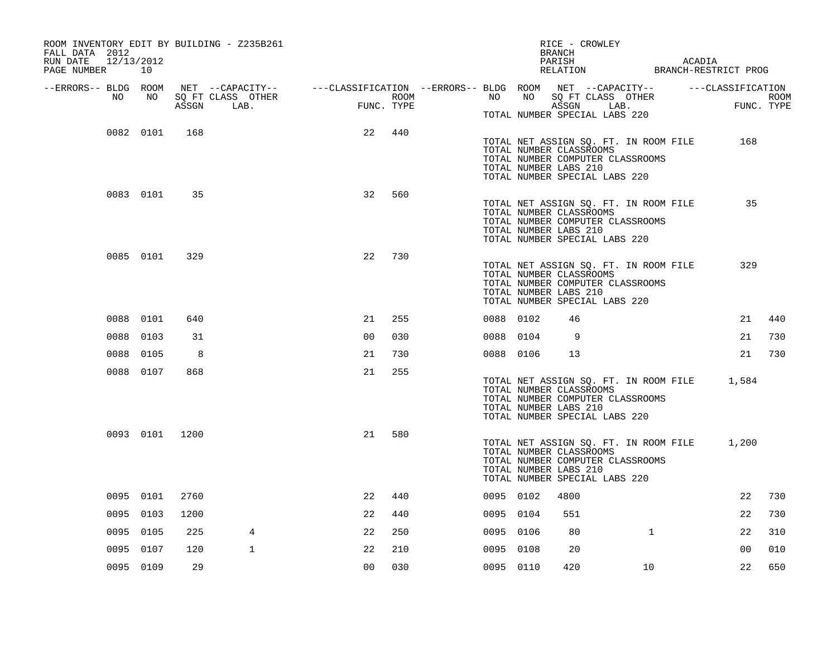| ROOM INVENTORY EDIT BY BUILDING - Z235B261<br>FALL DATA 2012<br>RUN DATE<br>12/13/2012<br>PAGE NUMBER 10 |                 |      |                                                                                                |                |                    |           |    | RICE - CROWLEY<br>BRANCH<br>PARISH               |                                                                                                            | ACADIA<br>PARISH ACADIA<br>RELATION BRANCH-RESTRICT PROG |                    |
|----------------------------------------------------------------------------------------------------------|-----------------|------|------------------------------------------------------------------------------------------------|----------------|--------------------|-----------|----|--------------------------------------------------|------------------------------------------------------------------------------------------------------------|----------------------------------------------------------|--------------------|
| --ERRORS-- BLDG ROOM                                                                                     |                 |      | NET --CAPACITY-- - ---CLASSIFICATION --ERRORS-- BLDG ROOM NET --CAPACITY-- - ---CLASSIFICATION |                |                    |           |    |                                                  |                                                                                                            |                                                          |                    |
| NO                                                                                                       | NO <sub>1</sub> |      | SQ FT CLASS OTHER<br>ASSGN LAB.                                                                |                | ROOM<br>FUNC. TYPE | NO        | NO |                                                  | SQ FT CLASS OTHER<br>ASSGN LAB.                                                                            |                                                          | ROOM<br>FUNC. TYPE |
|                                                                                                          |                 |      |                                                                                                |                |                    |           |    |                                                  | TOTAL NUMBER SPECIAL LABS 220                                                                              |                                                          |                    |
|                                                                                                          | 0082 0101       | 168  |                                                                                                | 22             | 440                |           |    | TOTAL NUMBER CLASSROOMS<br>TOTAL NUMBER LABS 210 | TOTAL NET ASSIGN SQ. FT. IN ROOM FILE<br>TOTAL NUMBER COMPUTER CLASSROOMS<br>TOTAL NUMBER SPECIAL LABS 220 | 168                                                      |                    |
|                                                                                                          | 0083 0101       | 35   |                                                                                                | 32             | 560                |           |    | TOTAL NUMBER CLASSROOMS<br>TOTAL NUMBER LABS 210 | TOTAL NET ASSIGN SQ. FT. IN ROOM FILE<br>TOTAL NUMBER COMPUTER CLASSROOMS<br>TOTAL NUMBER SPECIAL LABS 220 | 35                                                       |                    |
|                                                                                                          | 0085 0101       | 329  |                                                                                                | 22             | 730                |           |    | TOTAL NUMBER CLASSROOMS<br>TOTAL NUMBER LABS 210 | TOTAL NET ASSIGN SQ. FT. IN ROOM FILE<br>TOTAL NUMBER COMPUTER CLASSROOMS<br>TOTAL NUMBER SPECIAL LABS 220 | 329                                                      |                    |
|                                                                                                          | 0088 0101       | 640  |                                                                                                | 21             | 255                | 0088 0102 |    | 46                                               |                                                                                                            | 21                                                       | 440                |
|                                                                                                          | 0088 0103       | 31   |                                                                                                | 0 <sub>0</sub> | 030                | 0088 0104 |    | 9                                                |                                                                                                            | 21                                                       | 730                |
|                                                                                                          | 0088 0105       | 8    |                                                                                                | 21             | 730                | 0088 0106 |    | 13                                               |                                                                                                            | 21                                                       | 730                |
|                                                                                                          | 0088 0107       | 868  |                                                                                                | 21             | 255                |           |    | TOTAL NUMBER CLASSROOMS<br>TOTAL NUMBER LABS 210 | TOTAL NUMBER COMPUTER CLASSROOMS<br>TOTAL NUMBER SPECIAL LABS 220                                          | TOTAL NET ASSIGN SQ. FT. IN ROOM FILE 1,584              |                    |
|                                                                                                          | 0093 0101 1200  |      |                                                                                                | 21             | 580                |           |    | TOTAL NUMBER CLASSROOMS<br>TOTAL NUMBER LABS 210 | TOTAL NET ASSIGN SQ. FT. IN ROOM FILE<br>TOTAL NUMBER COMPUTER CLASSROOMS<br>TOTAL NUMBER SPECIAL LABS 220 | 1,200                                                    |                    |
|                                                                                                          | 0095 0101       | 2760 |                                                                                                | 22             | 440                | 0095 0102 |    | 4800                                             |                                                                                                            | 22                                                       | 730                |
|                                                                                                          | 0095 0103       | 1200 |                                                                                                | 22             | 440                | 0095 0104 |    | 551                                              |                                                                                                            | 22                                                       | 730                |
|                                                                                                          | 0095 0105       | 225  | 4                                                                                              | 22             | 250                | 0095 0106 |    | 80                                               | $\mathbf{1}$                                                                                               | 22                                                       | 310                |
|                                                                                                          | 0095 0107       | 120  | $\mathbf{1}$                                                                                   | 22             | 210                | 0095 0108 |    | 20                                               |                                                                                                            | 00                                                       | 010                |
|                                                                                                          | 0095 0109       | 29   |                                                                                                | 0 <sub>0</sub> | 030                | 0095 0110 |    | 420                                              | 10                                                                                                         | 22                                                       | 650                |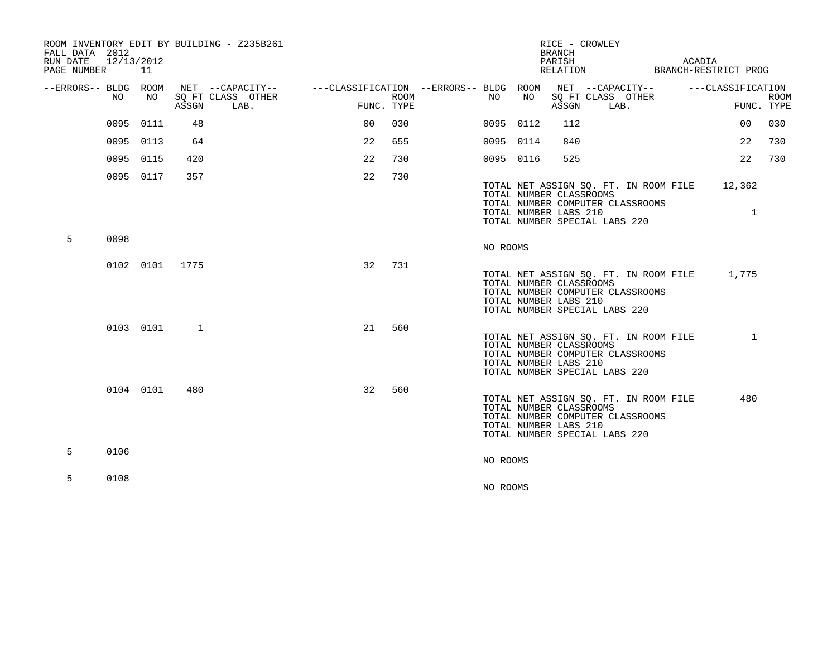| FALL DATA 2012<br>RUN DATE 12/13/2012<br>PAGE NUMBER |           | 11        |                | ROOM INVENTORY EDIT BY BUILDING - Z235B261 |                                        |            |          |           | <b>BRANCH</b><br>PARISH<br>RELATION              | RICE - CROWLEY                |                                                                           | ACADIA | BRANCH-RESTRICT PROG                        |             |
|------------------------------------------------------|-----------|-----------|----------------|--------------------------------------------|----------------------------------------|------------|----------|-----------|--------------------------------------------------|-------------------------------|---------------------------------------------------------------------------|--------|---------------------------------------------|-------------|
| --ERRORS-- BLDG ROOM                                 | NO.       | NO.       |                | NET --CAPACITY--<br>SO FT CLASS OTHER      | ---CLASSIFICATION --ERRORS-- BLDG ROOM | ROOM       | NO.      | NO        |                                                  | SQ FT CLASS OTHER             | NET --CAPACITY--                                                          |        | ---CLASSIFICATION                           | <b>ROOM</b> |
|                                                      |           |           | ASSGN          | LAB.                                       |                                        | FUNC. TYPE |          |           | ASSGN                                            | LAB.                          |                                                                           |        |                                             | FUNC. TYPE  |
|                                                      |           | 0095 0111 | 48             |                                            | 0 <sup>0</sup>                         | 030        |          | 0095 0112 | 112                                              |                               |                                                                           |        | 00                                          | 030         |
|                                                      | 0095 0113 |           | 64             |                                            | 22                                     | 655        |          | 0095 0114 | 840                                              |                               |                                                                           |        | 22                                          | 730         |
|                                                      | 0095 0115 |           | 420            |                                            | 22                                     | 730        |          | 0095 0116 | 525                                              |                               |                                                                           |        | 22                                          | 730         |
|                                                      |           | 0095 0117 | 357            |                                            | 22                                     | 730        |          |           | TOTAL NUMBER CLASSROOMS<br>TOTAL NUMBER LABS 210 | TOTAL NUMBER SPECIAL LABS 220 | TOTAL NET ASSIGN SQ. FT. IN ROOM FILE<br>TOTAL NUMBER COMPUTER CLASSROOMS |        | 12,362<br>$\mathbf{1}$                      |             |
| 5                                                    | 0098      |           |                |                                            |                                        |            | NO ROOMS |           |                                                  |                               |                                                                           |        |                                             |             |
|                                                      |           |           | 0102 0101 1775 |                                            | 32                                     | 731        |          |           | TOTAL NUMBER CLASSROOMS<br>TOTAL NUMBER LABS 210 | TOTAL NUMBER SPECIAL LABS 220 | TOTAL NUMBER COMPUTER CLASSROOMS                                          |        | TOTAL NET ASSIGN SQ. FT. IN ROOM FILE 1,775 |             |
|                                                      |           | 0103 0101 | 1              |                                            | 21                                     | 560        |          |           | TOTAL NUMBER CLASSROOMS<br>TOTAL NUMBER LABS 210 | TOTAL NUMBER SPECIAL LABS 220 | TOTAL NET ASSIGN SQ. FT. IN ROOM FILE<br>TOTAL NUMBER COMPUTER CLASSROOMS |        | $\mathbf{1}$                                |             |
|                                                      |           | 0104 0101 | 480            |                                            | 32                                     | 560        |          |           | TOTAL NUMBER CLASSROOMS<br>TOTAL NUMBER LABS 210 | TOTAL NUMBER SPECIAL LABS 220 | TOTAL NET ASSIGN SQ. FT. IN ROOM FILE<br>TOTAL NUMBER COMPUTER CLASSROOMS |        | 480                                         |             |
| 5                                                    | 0106      |           |                |                                            |                                        |            | NO ROOMS |           |                                                  |                               |                                                                           |        |                                             |             |
|                                                      |           |           |                |                                            |                                        |            |          |           |                                                  |                               |                                                                           |        |                                             |             |
| 5                                                    | 0108      |           |                |                                            |                                        |            | NO ROOMS |           |                                                  |                               |                                                                           |        |                                             |             |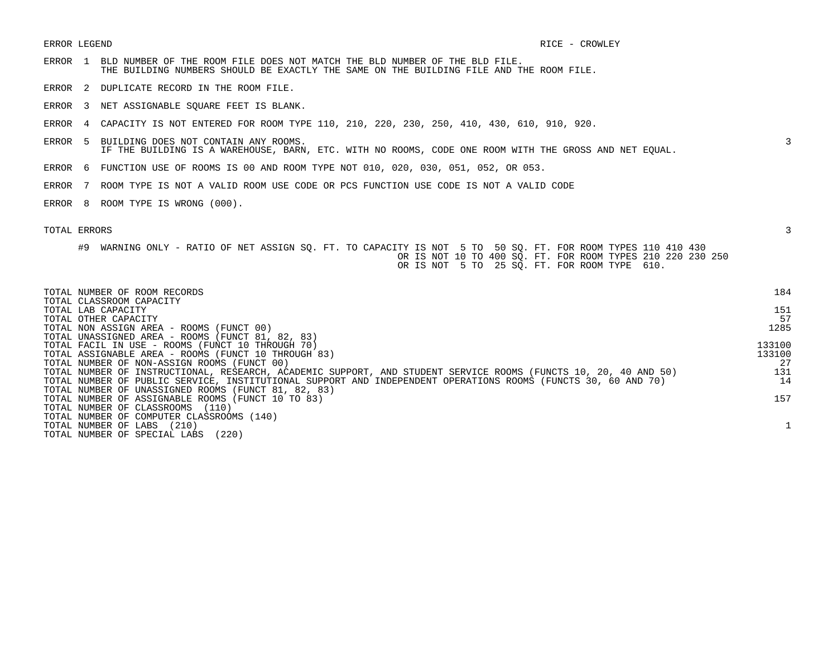- ERROR 1 BLD NUMBER OF THE ROOM FILE DOES NOT MATCH THE BLD NUMBER OF THE BLD FILE. THE BUILDING NUMBERS SHOULD BE EXACTLY THE SAME ON THE BUILDING FILE AND THE ROOM FILE.
- ERROR 2 DUPLICATE RECORD IN THE ROOM FILE.
- ERROR 3 NET ASSIGNABLE SQUARE FEET IS BLANK.
- ERROR 4 CAPACITY IS NOT ENTERED FOR ROOM TYPE 110, 210, 220, 230, 250, 410, 430, 610, 910, 920.
- ERROR 5 BUILDING DOES NOT CONTAIN ANY ROOMS. 3 IF THE BUILDING IS A WAREHOUSE, BARN, ETC. WITH NO ROOMS, CODE ONE ROOM WITH THE GROSS AND NET EQUAL.
- ERROR 6 FUNCTION USE OF ROOMS IS 00 AND ROOM TYPE NOT 010, 020, 030, 051, 052, OR 053.
- ERROR 7 ROOM TYPE IS NOT A VALID ROOM USE CODE OR PCS FUNCTION USE CODE IS NOT A VALID CODE
- ERROR 8 ROOM TYPE IS WRONG (000).

| TOTAL NUMBER OF ROOM RECORDS<br>TOTAL CLASSROOM CAPACITY                                                        | 184    |
|-----------------------------------------------------------------------------------------------------------------|--------|
| TOTAL LAB CAPACITY                                                                                              | 151    |
| TOTAL OTHER CAPACITY                                                                                            | 57     |
| TOTAL NON ASSIGN AREA - ROOMS (FUNCT 00)                                                                        | 1285   |
| TOTAL UNASSIGNED AREA - ROOMS (FUNCT 81, 82, 83)                                                                |        |
| TOTAL FACIL IN USE - ROOMS (FUNCT 10 THROUGH 70)                                                                | 133100 |
| TOTAL ASSIGNABLE AREA - ROOMS (FUNCT 10 THROUGH 83)                                                             | 133100 |
| TOTAL NUMBER OF NON-ASSIGN ROOMS (FUNCT 00)                                                                     | 27     |
| TOTAL NUMBER OF INSTRUCTIONAL, RESEARCH, ACADEMIC SUPPORT, AND STUDENT SERVICE ROOMS (FUNCTS 10, 20, 40 AND 50) | 131    |
| TOTAL NUMBER OF PUBLIC SERVICE, INSTITUTIONAL SUPPORT AND INDEPENDENT OPERATIONS ROOMS (FUNCTS 30, 60 AND 70)   | 14     |
| TOTAL NUMBER OF UNASSIGNED ROOMS (FUNCT 81, 82, 83)                                                             |        |
| TOTAL NUMBER OF ASSIGNABLE ROOMS (FUNCT 10 TO 83)                                                               | 157    |
| TOTAL NUMBER OF CLASSROOMS<br>(110)                                                                             |        |
| TOTAL NUMBER OF COMPUTER CLASSROOMS (140)                                                                       |        |
| TOTAL NUMBER OF LABS<br>(210)                                                                                   |        |
| (220)<br>TOTAL NUMBER OF SPECIAL LABS                                                                           |        |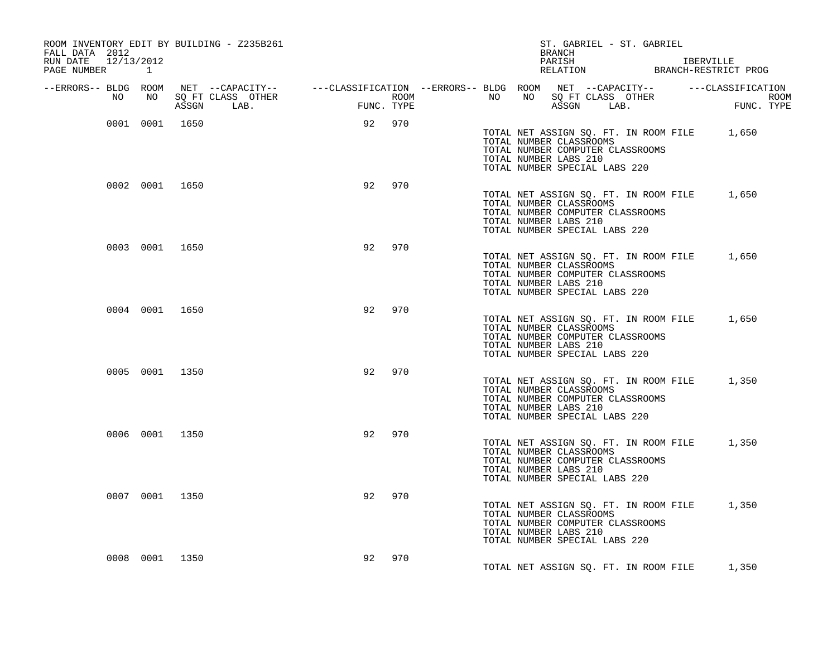| ROOM INVENTORY EDIT BY BUILDING - Z235B261<br>FALL DATA 2012                                                             |                |                |                   |                 |            |      |  | BRANCH                                                                            | ST. GABRIEL - ST. GABRIEL                                                 |                                                                |
|--------------------------------------------------------------------------------------------------------------------------|----------------|----------------|-------------------|-----------------|------------|------|--|-----------------------------------------------------------------------------------|---------------------------------------------------------------------------|----------------------------------------------------------------|
| RUN DATE 12/13/2012<br>PAGE NUMBER 1                                                                                     |                |                |                   |                 |            |      |  | PARISH                                                                            |                                                                           | IBERVILLE<br>PARISH IBERVILLE<br>RELATION BRANCH-RESTRICT PROG |
| --ERRORS-- BLDG ROOM NET --CAPACITY-- ----CLASSIFICATION --ERRORS-- BLDG ROOM NET --CAPACITY-- -----CLASSIFICATION<br>NO | NO 11          |                | SQ FT CLASS OTHER | <b>EXECUTE:</b> |            | ROOM |  |                                                                                   | NO NO SQ FT CLASS OTHER                                                   | ROOM<br>FUNC. TYPE                                             |
|                                                                                                                          |                |                | ASSGN LAB.        |                 | FUNC. TYPE |      |  |                                                                                   | ASSGN LAB.                                                                |                                                                |
|                                                                                                                          |                | 0001 0001 1650 |                   |                 | 92 970     |      |  | TOTAL NUMBER CLASSROOMS<br>TOTAL NUMBER LABS 210<br>TOTAL NUMBER SPECIAL LABS 220 | TOTAL NUMBER COMPUTER CLASSROOMS                                          | TOTAL NET ASSIGN SQ. FT. IN ROOM FILE 1,650                    |
|                                                                                                                          | 0002 0001 1650 |                |                   | 92              | 970        |      |  | TOTAL NUMBER CLASSROOMS<br>TOTAL NUMBER LABS 210<br>TOTAL NUMBER SPECIAL LABS 220 | TOTAL NUMBER COMPUTER CLASSROOMS                                          | TOTAL NET ASSIGN SQ. FT. IN ROOM FILE 1,650                    |
|                                                                                                                          | 0003 0001 1650 |                |                   | 92              | 970        |      |  | TOTAL NUMBER CLASSROOMS<br>TOTAL NUMBER LABS 210<br>TOTAL NUMBER SPECIAL LABS 220 | TOTAL NUMBER COMPUTER CLASSROOMS                                          | TOTAL NET ASSIGN SQ. FT. IN ROOM FILE 1,650                    |
|                                                                                                                          |                | 0004 0001 1650 |                   | 92              | 970        |      |  | TOTAL NUMBER CLASSROOMS<br>TOTAL NUMBER LABS 210<br>TOTAL NUMBER SPECIAL LABS 220 | TOTAL NET ASSIGN SQ. FT. IN ROOM FILE<br>TOTAL NUMBER COMPUTER CLASSROOMS | 1,650                                                          |
|                                                                                                                          | 0005 0001 1350 |                |                   | 92              | 970        |      |  | TOTAL NUMBER CLASSROOMS<br>TOTAL NUMBER LABS 210<br>TOTAL NUMBER SPECIAL LABS 220 | TOTAL NUMBER COMPUTER CLASSROOMS                                          | TOTAL NET ASSIGN SQ. FT. IN ROOM FILE 1,350                    |
|                                                                                                                          | 0006 0001 1350 |                |                   | 92              | 970        |      |  | TOTAL NUMBER CLASSROOMS<br>TOTAL NUMBER LABS 210<br>TOTAL NUMBER SPECIAL LABS 220 | TOTAL NUMBER COMPUTER CLASSROOMS                                          | TOTAL NET ASSIGN SQ. FT. IN ROOM FILE 1,350                    |
|                                                                                                                          | 0007 0001 1350 |                |                   | 92              | 970        |      |  | TOTAL NUMBER CLASSROOMS<br>TOTAL NUMBER LABS 210<br>TOTAL NUMBER SPECIAL LABS 220 | TOTAL NUMBER COMPUTER CLASSROOMS                                          | TOTAL NET ASSIGN SQ. FT. IN ROOM FILE 1,350                    |
|                                                                                                                          | 0008 0001 1350 |                |                   | 92              | 970        |      |  |                                                                                   | TOTAL NET ASSIGN SQ. FT. IN ROOM FILE                                     | 1,350                                                          |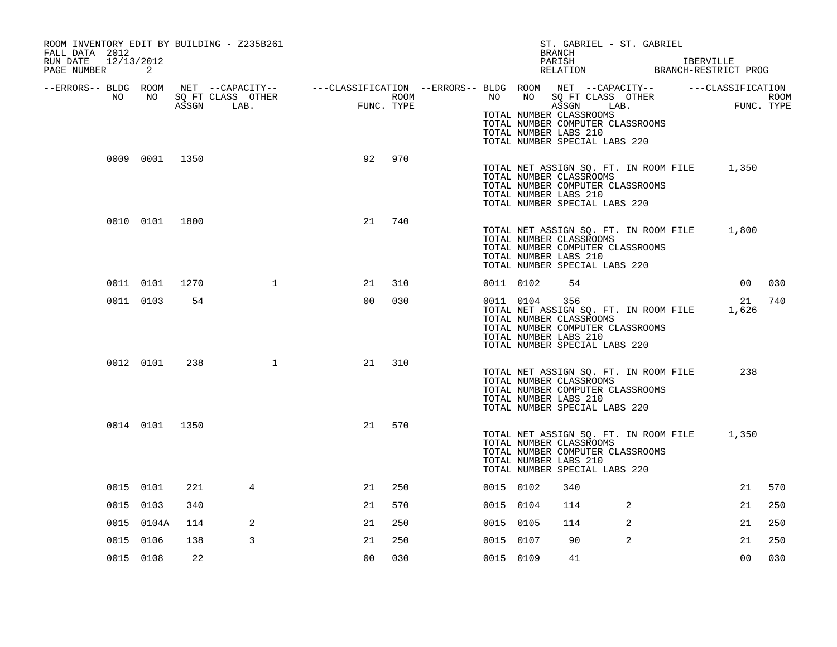| ROOM INVENTORY EDIT BY BUILDING - Z235B261<br>FALL DATA 2012 |                |      |                                 |                                                                                                |                    |           |       | ST. GABRIEL - ST. GABRIEL<br><b>BRANCH</b>                                                                                                                            |   |                |      |
|--------------------------------------------------------------|----------------|------|---------------------------------|------------------------------------------------------------------------------------------------|--------------------|-----------|-------|-----------------------------------------------------------------------------------------------------------------------------------------------------------------------|---|----------------|------|
| 12/13/2012<br>RUN DATE<br>PAGE NUMBER                        | 2              |      |                                 |                                                                                                |                    |           |       | PARISH<br>RELATION BRANCH-RESTRICT PROG                                                                                                                               |   | IBERVILLE      |      |
| --ERRORS-- BLDG ROOM                                         |                |      |                                 | NET --CAPACITY-- - ---CLASSIFICATION --ERRORS-- BLDG ROOM NET --CAPACITY-- - ---CLASSIFICATION |                    |           |       |                                                                                                                                                                       |   |                |      |
| NO                                                           | NO             |      | SQ FT CLASS OTHER<br>ASSGN LAB. | FUNG                                                                                           | ROOM<br>FUNC. TYPE | NO        | NO 11 | SQ FT CLASS OTHER<br>ASSGN LAB.<br>TOTAL NUMBER CLASSROOMS<br>TOTAL NUMBER COMPUTER CLASSROOMS<br>TOTAL NUMBER LABS 210<br>TOTAL NUMBER SPECIAL LABS 220              |   | FUNC. TYPE     | ROOM |
|                                                              | 0009 0001 1350 |      |                                 | 92                                                                                             | 970                |           |       | TOTAL NET ASSIGN SQ. FT. IN ROOM FILE 1,350<br>TOTAL NUMBER CLASSROOMS<br>TOTAL NUMBER COMPUTER CLASSROOMS<br>TOTAL NUMBER LABS 210<br>TOTAL NUMBER SPECIAL LABS 220  |   |                |      |
|                                                              | 0010 0101 1800 |      |                                 | 21                                                                                             | 740                |           |       | TOTAL NET ASSIGN SQ. FT. IN ROOM FILE<br>TOTAL NUMBER CLASSROOMS<br>TOTAL NUMBER COMPUTER CLASSROOMS<br>TOTAL NUMBER LABS 210<br>TOTAL NUMBER SPECIAL LABS 220        |   | 1,800          |      |
|                                                              | 0011 0101      | 1270 | $\mathbf{1}$                    | 21                                                                                             | 310                | 0011 0102 |       | 54                                                                                                                                                                    |   | 00             | 030  |
|                                                              | 0011 0103      | 54   |                                 | 0 <sub>0</sub>                                                                                 | 030                | 0011 0104 |       | 356<br>TOTAL NET ASSIGN SQ. FT. IN ROOM FILE<br>TOTAL NUMBER CLASSROOMS<br>TOTAL NUMBER COMPUTER CLASSROOMS<br>TOTAL NUMBER LABS 210<br>TOTAL NUMBER SPECIAL LABS 220 |   | 21<br>1,626    | 740  |
|                                                              | 0012 0101      | 238  | 1                               | 21                                                                                             | 310                |           |       | TOTAL NET ASSIGN SQ. FT. IN ROOM FILE<br>TOTAL NUMBER CLASSROOMS<br>TOTAL NUMBER COMPUTER CLASSROOMS<br>TOTAL NUMBER LABS 210<br>TOTAL NUMBER SPECIAL LABS 220        |   | 238            |      |
|                                                              | 0014 0101 1350 |      |                                 | 21                                                                                             | 570                |           |       | TOTAL NET ASSIGN SQ. FT. IN ROOM FILE<br>TOTAL NUMBER CLASSROOMS<br>TOTAL NUMBER COMPUTER CLASSROOMS<br>TOTAL NUMBER LABS 210<br>TOTAL NUMBER SPECIAL LABS 220        |   | 1,350          |      |
|                                                              | 0015 0101      | 221  | 4                               | 21                                                                                             | 250                | 0015 0102 |       | 340                                                                                                                                                                   |   | 21             | 570  |
|                                                              | 0015 0103      | 340  |                                 | 21                                                                                             | 570                | 0015 0104 |       | 114                                                                                                                                                                   | 2 | 21             | 250  |
|                                                              | 0015 0104A     | 114  | 2                               | 21                                                                                             | 250                | 0015 0105 |       | 114                                                                                                                                                                   | 2 | 21             | 250  |
|                                                              | 0015 0106      | 138  | 3                               | 21                                                                                             | 250                | 0015 0107 |       | 90                                                                                                                                                                    | 2 | 21             | 250  |
|                                                              | 0015 0108      | 22   |                                 | 0 <sub>0</sub>                                                                                 | 030                | 0015 0109 |       | 41                                                                                                                                                                    |   | 0 <sub>0</sub> | 030  |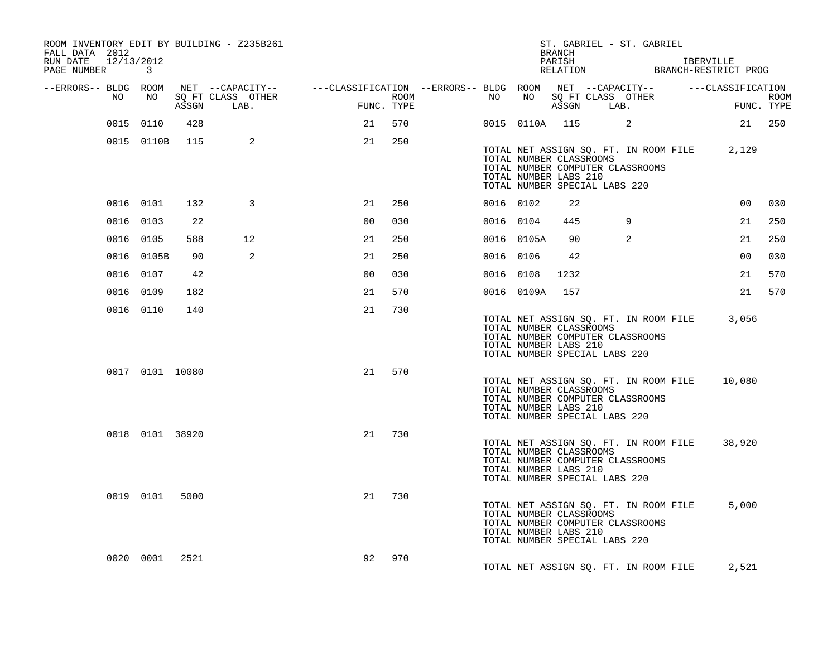| FALL DATA 2012<br>RUN DATE 12/13/2012 |                 |       |     | ROOM INVENTORY EDIT BY BUILDING - Z235B261 |                                                                                                |            |      |    |                                                                                                                       | BRANCH<br>PARISH | ST. GABRIEL - ST. GABRIEL |                |                                       | IBERVILLE                                         |                |             |
|---------------------------------------|-----------------|-------|-----|--------------------------------------------|------------------------------------------------------------------------------------------------|------------|------|----|-----------------------------------------------------------------------------------------------------------------------|------------------|---------------------------|----------------|---------------------------------------|---------------------------------------------------|----------------|-------------|
| PAGE NUMBER 3                         |                 |       |     |                                            |                                                                                                |            |      |    |                                                                                                                       |                  |                           |                |                                       | PARISH IBERVILLE<br>RELATION BRANCH-RESTRICT PROG |                |             |
| --ERRORS-- BLDG ROOM                  | NO              | NO 11 |     | SQ FT CLASS OTHER                          | NET --CAPACITY-- - ---CLASSIFICATION --ERRORS-- BLDG ROOM NET --CAPACITY-- - ---CLASSIFICATION |            | ROOM | NO |                                                                                                                       |                  | NO SQ FT CLASS OTHER      |                |                                       |                                                   |                | <b>ROOM</b> |
|                                       |                 |       |     | ASSGN LAB.                                 |                                                                                                | FUNC. TYPE |      |    |                                                                                                                       |                  | ASSGN LAB.                |                |                                       |                                                   | FUNC. TYPE     |             |
|                                       | 0015 0110       |       | 428 |                                            | 21                                                                                             | 570        |      |    | 0015 0110A 115 2                                                                                                      |                  |                           |                |                                       |                                                   | 21 250         |             |
|                                       | 0015 0110B 115  |       |     | 2                                          | 21                                                                                             | 250        |      |    | TOTAL NUMBER CLASSROOMS<br>TOTAL NUMBER COMPUTER CLASSROOMS<br>TOTAL NUMBER LABS 210<br>TOTAL NUMBER SPECIAL LABS 220 |                  |                           |                |                                       | TOTAL NET ASSIGN SQ. FT. IN ROOM FILE 2,129       |                |             |
|                                       | 0016 0101       |       | 132 | 3                                          | 21                                                                                             | 250        |      |    | 0016 0102                                                                                                             | 22               |                           |                |                                       |                                                   | 0 <sub>0</sub> | 030         |
|                                       | 0016 0103       |       | 22  |                                            | 0 <sup>0</sup>                                                                                 | 030        |      |    | 0016 0104                                                                                                             | 445              |                           | 9              |                                       |                                                   | 21             | 250         |
|                                       | 0016 0105       |       | 588 | 12 <sup>°</sup>                            | 21                                                                                             | 250        |      |    | 0016 0105A                                                                                                            | 90               |                           | $\overline{a}$ |                                       |                                                   | 21             | 250         |
|                                       | 0016 0105B      |       | 90  | 2                                          | 21                                                                                             | 250        |      |    | 0016 0106                                                                                                             | 42               |                           |                |                                       |                                                   | 00             | 030         |
|                                       | 0016 0107       |       | 42  |                                            | 0 <sub>0</sub>                                                                                 | 030        |      |    | 0016 0108                                                                                                             | 1232             |                           |                |                                       |                                                   | 21             | 570         |
|                                       | 0016 0109       |       | 182 |                                            | 21                                                                                             | 570        |      |    | 0016 0109A 157                                                                                                        |                  |                           |                |                                       |                                                   | 21             | 570         |
|                                       | 0016 0110       |       | 140 |                                            | 21                                                                                             | 730        |      |    | TOTAL NUMBER CLASSROOMS<br>TOTAL NUMBER COMPUTER CLASSROOMS<br>TOTAL NUMBER LABS 210<br>TOTAL NUMBER SPECIAL LABS 220 |                  |                           |                | TOTAL NET ASSIGN SQ. FT. IN ROOM FILE |                                                   | 3,056          |             |
|                                       | 0017 0101 10080 |       |     |                                            | 21                                                                                             | 570        |      |    | TOTAL NUMBER CLASSROOMS<br>TOTAL NUMBER COMPUTER CLASSROOMS<br>TOTAL NUMBER LABS 210<br>TOTAL NUMBER SPECIAL LABS 220 |                  |                           |                | TOTAL NET ASSIGN SQ. FT. IN ROOM FILE |                                                   | 10,080         |             |
|                                       | 0018 0101 38920 |       |     |                                            | 21                                                                                             | 730        |      |    | TOTAL NUMBER CLASSROOMS<br>TOTAL NUMBER COMPUTER CLASSROOMS<br>TOTAL NUMBER LABS 210<br>TOTAL NUMBER SPECIAL LABS 220 |                  |                           |                | TOTAL NET ASSIGN SQ. FT. IN ROOM FILE |                                                   | 38,920         |             |
|                                       | 0019 0101 5000  |       |     |                                            | 21                                                                                             | 730        |      |    | TOTAL NUMBER CLASSROOMS<br>TOTAL NUMBER COMPUTER CLASSROOMS<br>TOTAL NUMBER LABS 210<br>TOTAL NUMBER SPECIAL LABS 220 |                  |                           |                | TOTAL NET ASSIGN SQ. FT. IN ROOM FILE |                                                   | 5,000          |             |
|                                       | 0020 0001 2521  |       |     |                                            | 92                                                                                             | 970        |      |    |                                                                                                                       |                  |                           |                |                                       | TOTAL NET ASSIGN SQ. FT. IN ROOM FILE 2,521       |                |             |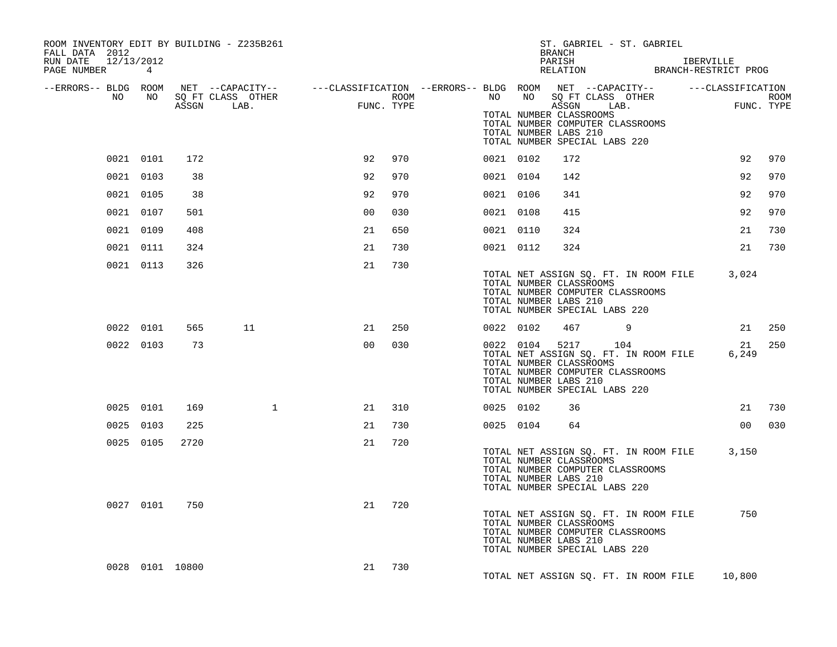| ROOM INVENTORY EDIT BY BUILDING - Z235B261<br>FALL DATA 2012<br>12/13/2012<br>RUN DATE<br>PAGE NUMBER | $4^{\circ}$ |                 |                                                                             |                |      |           |                                                               | <b>BRANCH</b><br>PARISH<br>RELATION | ST. GABRIEL - ST. GABRIEL                                                                                              | IBERVILLE<br>BRANCH-RESTRICT PROG |                           |
|-------------------------------------------------------------------------------------------------------|-------------|-----------------|-----------------------------------------------------------------------------|----------------|------|-----------|---------------------------------------------------------------|-------------------------------------|------------------------------------------------------------------------------------------------------------------------|-----------------------------------|---------------------------|
| --ERRORS-- BLDG ROOM                                                                                  | NO          |                 | NET --CAPACITY--    ---CLASSIFICATION --ERRORS-- BLDG ROOM NET --CAPACITY-- |                |      |           |                                                               |                                     |                                                                                                                        | ---CLASSIFICATION                 |                           |
| NO                                                                                                    |             | ASSGN           | SQ FT CLASS OTHER<br>LAB.                                                   | FUNC. TYPE     | ROOM | NO        | TOTAL NUMBER CLASSROOMS<br>TOTAL NUMBER LABS 210              | ASSGN                               | NO SQ FT CLASS OTHER<br>LAB.<br>TOTAL NUMBER COMPUTER CLASSROOMS<br>TOTAL NUMBER SPECIAL LABS 220                      |                                   | <b>ROOM</b><br>FUNC. TYPE |
|                                                                                                       | 0021 0101   | 172             |                                                                             | 92             | 970  | 0021 0102 |                                                               | 172                                 |                                                                                                                        | 92                                | 970                       |
| 0021 0103                                                                                             |             | 38              |                                                                             | 92             | 970  | 0021 0104 |                                                               | 142                                 |                                                                                                                        | 92                                | 970                       |
|                                                                                                       | 0021 0105   | 38              |                                                                             | 92             | 970  | 0021 0106 |                                                               | 341                                 |                                                                                                                        | 92                                | 970                       |
|                                                                                                       | 0021 0107   | 501             |                                                                             | 00             | 030  | 0021 0108 |                                                               | 415                                 |                                                                                                                        | 92                                | 970                       |
|                                                                                                       | 0021 0109   | 408             |                                                                             | 21             | 650  | 0021 0110 |                                                               | 324                                 |                                                                                                                        | 21                                | 730                       |
|                                                                                                       | 0021 0111   | 324             |                                                                             | 21             | 730  | 0021 0112 |                                                               | 324                                 |                                                                                                                        | 21                                | 730                       |
| 0021 0113                                                                                             |             | 326             |                                                                             | 21             | 730  |           | TOTAL NUMBER CLASSROOMS<br>TOTAL NUMBER LABS 210              |                                     | TOTAL NET ASSIGN SQ. FT. IN ROOM FILE<br>TOTAL NUMBER COMPUTER CLASSROOMS<br>TOTAL NUMBER SPECIAL LABS 220             | 3,024                             |                           |
|                                                                                                       | 0022 0101   | 565             | 11                                                                          | 21             | 250  | 0022 0102 |                                                               | 467                                 | 9                                                                                                                      | 21                                | 250                       |
|                                                                                                       | 0022 0103   | 73              |                                                                             | 0 <sub>0</sub> | 030  |           | 0022 0104<br>TOTAL NUMBER CLASSROOMS<br>TOTAL NUMBER LABS 210 |                                     | 5217 104<br>TOTAL NET ASSIGN SQ. FT. IN ROOM FILE<br>TOTAL NUMBER COMPUTER CLASSROOMS<br>TOTAL NUMBER SPECIAL LABS 220 | 21<br>6,249                       | 250                       |
|                                                                                                       | 0025 0101   | 169             | $\mathbf{1}$                                                                | 21             | 310  | 0025 0102 |                                                               | 36                                  |                                                                                                                        | 21                                | 730                       |
| 0025 0103                                                                                             |             | 225             |                                                                             | 21             | 730  | 0025 0104 |                                                               | 64                                  |                                                                                                                        | 00                                | 030                       |
|                                                                                                       | 0025 0105   | 2720            |                                                                             | 21             | 720  |           | TOTAL NUMBER CLASSROOMS<br>TOTAL NUMBER LABS 210              |                                     | TOTAL NET ASSIGN SQ. FT. IN ROOM FILE<br>TOTAL NUMBER COMPUTER CLASSROOMS<br>TOTAL NUMBER SPECIAL LABS 220             | 3,150                             |                           |
|                                                                                                       | 0027 0101   | 750             |                                                                             | 21             | 720  |           | TOTAL NUMBER CLASSROOMS<br>TOTAL NUMBER LABS 210              |                                     | TOTAL NET ASSIGN SQ. FT. IN ROOM FILE<br>TOTAL NUMBER COMPUTER CLASSROOMS<br>TOTAL NUMBER SPECIAL LABS 220             | 750                               |                           |
|                                                                                                       |             | 0028 0101 10800 |                                                                             | 21             | 730  |           |                                                               |                                     | TOTAL NET ASSIGN SQ. FT. IN ROOM FILE                                                                                  | 10,800                            |                           |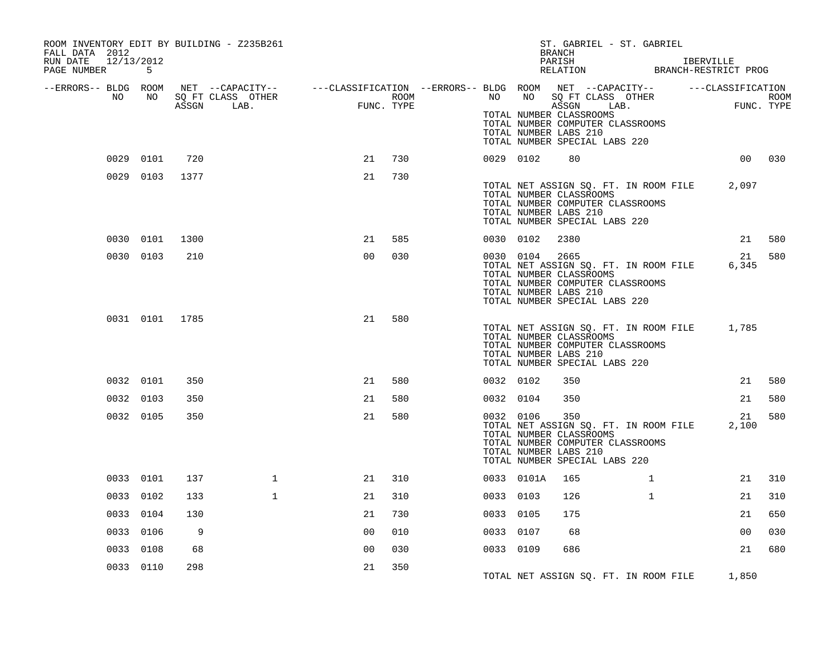| ROOM INVENTORY EDIT BY BUILDING - Z235B261<br>FALL DATA 2012<br>RUN DATE 12/13/2012<br>PAGE NUMBER 5 |                |      |                                                                                                                                   |                                                           |      |           |            | ST. GABRIEL - ST. GABRIEL<br><b>BRANCH</b><br>PARISH<br>PARISH IBERVILLE<br>RELATION BRANCH-RESTRICT PROG                                                              |              | IBERVILLE |                |        |
|------------------------------------------------------------------------------------------------------|----------------|------|-----------------------------------------------------------------------------------------------------------------------------------|-----------------------------------------------------------|------|-----------|------------|------------------------------------------------------------------------------------------------------------------------------------------------------------------------|--------------|-----------|----------------|--------|
| --ERRORS-- BLDG ROOM<br>NO                                                                           | NO             |      | NET --CAPACITY-- - ---CLASSIFICATION --ERRORS-- BLDG ROOM NET --CAPACITY-- - ---CLASSIFICATION<br>SQ FT CLASS OTHER<br>ASSGN LAB. | $\begin{array}{cc} \text{FUNC} \end{array}$<br>FUNC. TYPE | ROOM |           |            | NO NO SQ FT CLASS OTHER<br>ASSGN LAB.<br>TOTAL NUMBER CLASSROOMS<br>TOTAL NUMBER COMPUTER CLASSROOMS<br>TOTAL NUMBER LABS 210<br>TOTAL NUMBER SPECIAL LABS 220         |              |           | FUNC. TYPE     | ROOM   |
|                                                                                                      | 0029 0101      | 720  |                                                                                                                                   | 21                                                        | 730  | 0029 0102 |            | 80                                                                                                                                                                     |              |           |                | 00 030 |
|                                                                                                      | 0029 0103      | 1377 |                                                                                                                                   | 21                                                        | 730  |           |            | TOTAL NET ASSIGN SQ. FT. IN ROOM FILE 2,097<br>TOTAL NUMBER CLASSROOMS<br>TOTAL NUMBER COMPUTER CLASSROOMS<br>TOTAL NUMBER LABS 210<br>TOTAL NUMBER SPECIAL LABS 220   |              |           |                |        |
|                                                                                                      | 0030 0101      | 1300 |                                                                                                                                   | 21                                                        | 585  | 0030 0102 |            | 2380                                                                                                                                                                   |              |           | 21             | 580    |
|                                                                                                      | 0030 0103      | 210  |                                                                                                                                   | 0 <sup>0</sup>                                            | 030  |           | 0030 0104  | 2665<br>TOTAL NET ASSIGN SQ. FT. IN ROOM FILE<br>TOTAL NUMBER CLASSROOMS<br>TOTAL NUMBER COMPUTER CLASSROOMS<br>TOTAL NUMBER LABS 210<br>TOTAL NUMBER SPECIAL LABS 220 |              |           | 21<br>6,345    | 580    |
|                                                                                                      | 0031 0101 1785 |      |                                                                                                                                   | 21                                                        | 580  |           |            | TOTAL NET ASSIGN SQ. FT. IN ROOM FILE 1,785<br>TOTAL NUMBER CLASSROOMS<br>TOTAL NUMBER COMPUTER CLASSROOMS<br>TOTAL NUMBER LABS 210<br>TOTAL NUMBER SPECIAL LABS 220   |              |           |                |        |
|                                                                                                      | 0032 0101      | 350  |                                                                                                                                   | 21                                                        | 580  | 0032 0102 |            | 350                                                                                                                                                                    |              |           | 21             | 580    |
| 0032 0103                                                                                            |                | 350  |                                                                                                                                   | 21                                                        | 580  | 0032 0104 |            | 350                                                                                                                                                                    |              |           | 21             | 580    |
| 0032 0105                                                                                            |                | 350  |                                                                                                                                   | 21                                                        | 580  | 0032 0106 |            | 350<br>TOTAL NET ASSIGN SQ. FT. IN ROOM FILE<br>TOTAL NUMBER CLASSROOMS<br>TOTAL NUMBER COMPUTER CLASSROOMS<br>TOTAL NUMBER LABS 210<br>TOTAL NUMBER SPECIAL LABS 220  |              |           | 21<br>2,100    | 580    |
|                                                                                                      | 0033 0101      | 137  | $\mathbf{1}$                                                                                                                      | 21                                                        | 310  |           | 0033 0101A | 165                                                                                                                                                                    | $\mathbf{1}$ |           | 21             | 310    |
| 0033 0102                                                                                            |                | 133  | $\mathbf{1}$                                                                                                                      | 21                                                        | 310  | 0033 0103 |            | 126                                                                                                                                                                    | $\mathbf{1}$ |           | 21             | 310    |
| 0033 0104                                                                                            |                | 130  |                                                                                                                                   | 21                                                        | 730  | 0033 0105 |            | 175                                                                                                                                                                    |              |           | 21             | 650    |
| 0033 0106                                                                                            |                | 9    |                                                                                                                                   | 0 <sub>0</sub>                                            | 010  | 0033 0107 |            | 68                                                                                                                                                                     |              |           | 0 <sub>0</sub> | 030    |
| 0033 0108                                                                                            |                | 68   |                                                                                                                                   | 0 <sub>0</sub>                                            | 030  | 0033 0109 |            | 686                                                                                                                                                                    |              |           | 21             | 680    |
| 0033 0110                                                                                            |                | 298  |                                                                                                                                   | 21                                                        | 350  |           |            | TOTAL NET ASSIGN SQ. FT. IN ROOM FILE 1,850                                                                                                                            |              |           |                |        |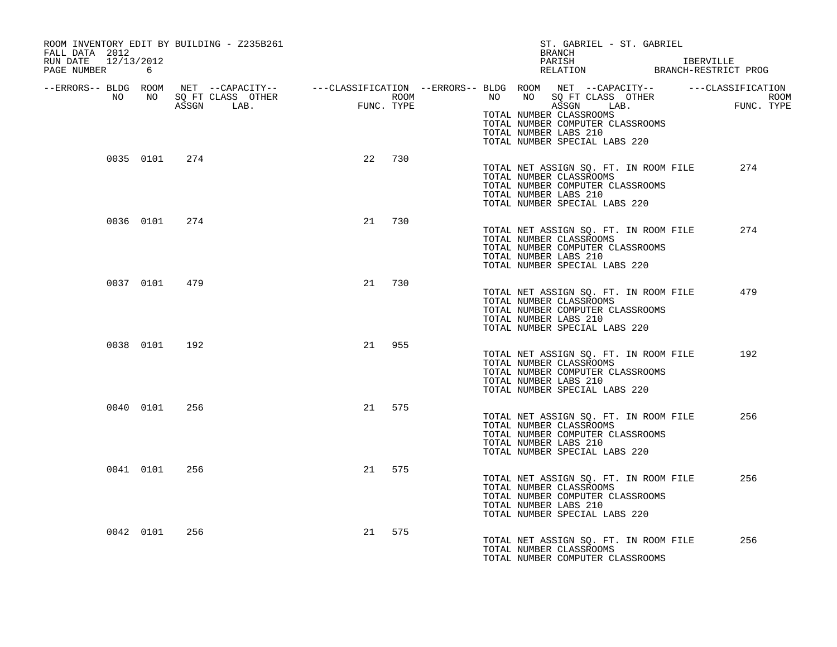| ROOM INVENTORY EDIT BY BUILDING - Z235B261<br>FALL DATA 2012<br>RUN DATE 12/13/2012<br>PAGE NUMBER 6 |               |    |        | ST. GABRIEL - ST. GABRIEL<br>BRANCH<br>PARISH IBERVILLE RELATION BRANCH-RESTRICT PROG                                                                                                                                                                                                                                                                        |  |
|------------------------------------------------------------------------------------------------------|---------------|----|--------|--------------------------------------------------------------------------------------------------------------------------------------------------------------------------------------------------------------------------------------------------------------------------------------------------------------------------------------------------------------|--|
|                                                                                                      |               |    |        | ERRORS-- BLDG ROOM NET --CAPACITY--- --CLASSIFICATION--ERRORS-- BLDG ROOM NET --CAPACITY---------CLASSIFICATION--<br>NO NO SQ FT CLASS OTHER ROOM NO ROOM NO SQ FT CLASS OTHER ROOM<br>ASSGN LAB. FUNC. TYPE ASSGN ASSGN ASSGN LAB.<br>TOTAL NUMBER CLASSROOMS<br>TOTAL NUMBER COMPUTER CLASSROOMS<br>TOTAL NUMBER LABS 210<br>TOTAL NUMBER SPECIAL LABS 220 |  |
|                                                                                                      | 0035 0101 274 | 22 | 730    | TOTAL NET ASSIGN SO. FT. IN ROOM FILE<br>274<br>TOTAL NUMBER CLASSROOMS<br>TOTAL NUMBER COMPUTER CLASSROOMS<br>TOTAL NUMBER LABS 210<br>TOTAL NUMBER SPECIAL LABS 220                                                                                                                                                                                        |  |
| 0036 0101                                                                                            | 274           | 21 | 730    | TOTAL NET ASSIGN SQ. FT. IN ROOM FILE<br>274<br>TOTAL NUMBER CLASSROOMS<br>TOTAL NUMBER COMPUTER CLASSROOMS<br>TOTAL NUMBER LABS 210<br>TOTAL NUMBER SPECIAL LABS 220                                                                                                                                                                                        |  |
|                                                                                                      | 0037 0101 479 | 21 | 730    | TOTAL NET ASSIGN SQ. FT. IN ROOM FILE<br>479<br>TOTAL NUMBER CLASSROOMS<br>TOTAL NUMBER COMPUTER CLASSROOMS<br>TOTAL NUMBER LABS 210<br>TOTAL NUMBER SPECIAL LABS 220                                                                                                                                                                                        |  |
| 0038 0101                                                                                            | 192           | 21 | 955    | TOTAL NET ASSIGN SQ. FT. IN ROOM FILE<br>192<br>TOTAL NUMBER CLASSROOMS<br>TOTAL NUMBER COMPUTER CLASSROOMS<br>TOTAL NUMBER LABS 210<br>TOTAL NUMBER SPECIAL LABS 220                                                                                                                                                                                        |  |
| 0040 0101                                                                                            | 256           |    | 21 575 | 256<br>TOTAL NET ASSIGN SQ. FT. IN ROOM FILE<br>TOTAL NUMBER CLASSROOMS<br>TOTAL NUMBER COMPUTER CLASSROOMS<br>TOTAL NUMBER LABS 210<br>TOTAL NUMBER SPECIAL LABS 220                                                                                                                                                                                        |  |
| 0041 0101                                                                                            | 256           |    | 21 575 | 256<br>TOTAL NET ASSIGN SQ. FT. IN ROOM FILE<br>TOTAL NUMBER CLASSROOMS<br>TOTAL NUMBER COMPUTER CLASSROOMS<br>TOTAL NUMBER LABS 210<br>TOTAL NUMBER SPECIAL LABS 220                                                                                                                                                                                        |  |
| 0042 0101                                                                                            | 256           | 21 | 575    | 256<br>TOTAL NET ASSIGN SQ. FT. IN ROOM FILE<br>TOTAL NUMBER CLASSROOMS<br>TOTAL NUMBER COMPUTER CLASSROOMS                                                                                                                                                                                                                                                  |  |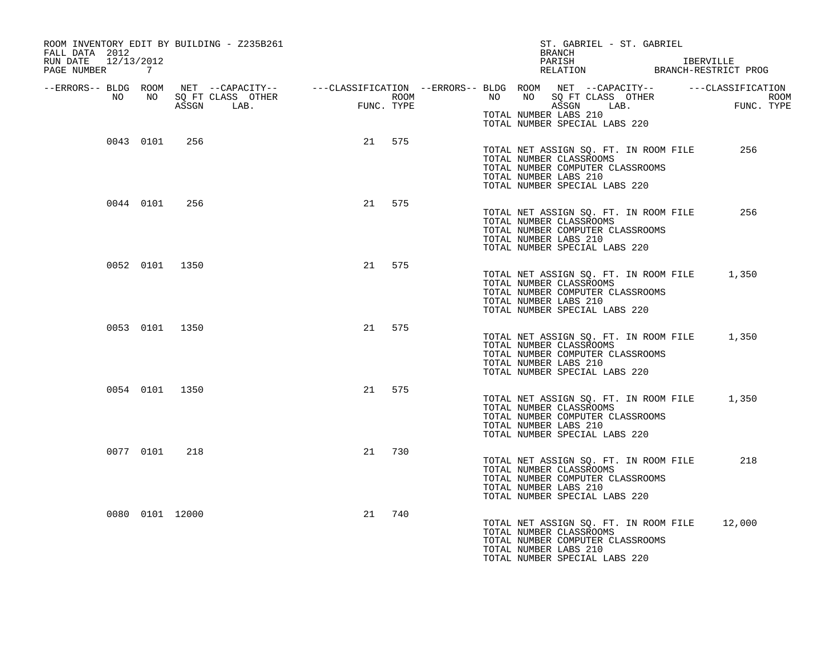| ROOM INVENTORY EDIT BY BUILDING - Z235B261<br>FALL DATA 2012<br>RUN DATE 12/13/2012<br>PAGE NUMBER 7 |                 |                |    |        | ST. GABRIEL - ST. GABRIEL<br><b>BRANCH</b><br>PARISH<br>PARISH IBERVILLE<br>RELATION BRANCH-RESTRICT PROG                                                                                                                                                                                  | IBERVILLE |
|------------------------------------------------------------------------------------------------------|-----------------|----------------|----|--------|--------------------------------------------------------------------------------------------------------------------------------------------------------------------------------------------------------------------------------------------------------------------------------------------|-----------|
|                                                                                                      |                 |                |    |        | ERRORS-- BLDG ROOM NET --CAPACITY--- --CLASSIFICATION --ERRORS-- BLDG ROOM NET --CAPACITY--------------------<br>NO NO SQ FT CLASS OTHER ROOM NO BO THER ROOM NO ASSGN LAB. TUNC. TYPE ASSGN ASSGN ASSGN ASSGN ASSGN ASSGN ASSGN<br>TOTAL NUMBER LABS 210<br>TOTAL NUMBER SPECIAL LABS 220 |           |
|                                                                                                      | 0043 0101 256   |                |    | 21 575 | TOTAL NET ASSIGN SQ. FT. IN ROOM FILE<br>TOTAL NUMBER CLASSROOMS<br>TOTAL NUMBER COMPUTER CLASSROOMS<br>TOTAL NUMBER LABS 210<br>TOTAL NUMBER SPECIAL LABS 220                                                                                                                             | 256       |
|                                                                                                      | 0044 0101 256   |                |    | 21 575 | TOTAL NET ASSIGN SQ. FT. IN ROOM FILE<br>TOTAL NUMBER CLASSROOMS<br>TOTAL NUMBER COMPUTER CLASSROOMS<br>TOTAL NUMBER LABS 210<br>TOTAL NUMBER SPECIAL LABS 220                                                                                                                             | 256       |
|                                                                                                      |                 | 0052 0101 1350 |    | 21 575 | TOTAL NET ASSIGN SQ. FT. IN ROOM FILE 1,350<br>TOTAL NUMBER CLASSROOMS<br>TOTAL NUMBER COMPUTER CLASSROOMS<br>TOTAL NUMBER LABS 210<br>TOTAL NUMBER SPECIAL LABS 220                                                                                                                       |           |
|                                                                                                      | 0053 0101 1350  |                |    | 21 575 | TOTAL NET ASSIGN SQ. FT. IN ROOM FILE 1,350<br>TOTAL NUMBER CLASSROOMS<br>TOTAL NUMBER COMPUTER CLASSROOMS<br>TOTAL NUMBER LABS 210<br>TOTAL NUMBER SPECIAL LABS 220                                                                                                                       |           |
|                                                                                                      |                 | 0054 0101 1350 |    | 21 575 | TOTAL NET ASSIGN SQ. FT. IN ROOM FILE 1,350<br>TOTAL NUMBER CLASSROOMS<br>TOTAL NUMBER COMPUTER CLASSROOMS<br>TOTAL NUMBER LABS 210<br>TOTAL NUMBER SPECIAL LABS 220                                                                                                                       |           |
|                                                                                                      | 0077 0101       | 218            | 21 | 730    | TOTAL NET ASSIGN SQ. FT. IN ROOM FILE<br>TOTAL NUMBER CLASSROOMS<br>TOTAL NUMBER COMPUTER CLASSROOMS<br>TOTAL NUMBER LABS 210<br>TOTAL NUMBER SPECIAL LABS 220                                                                                                                             | 218       |
|                                                                                                      | 0080 0101 12000 |                | 21 | 740    | TOTAL NET ASSIGN SQ. FT. IN ROOM FILE<br>TOTAL NUMBER CLASSROOMS<br>TOTAL NUMBER COMPUTER CLASSROOMS<br>TOTAL NUMBER LABS 210<br>TOTAL NUMBER SPECIAL LABS 220                                                                                                                             | 12,000    |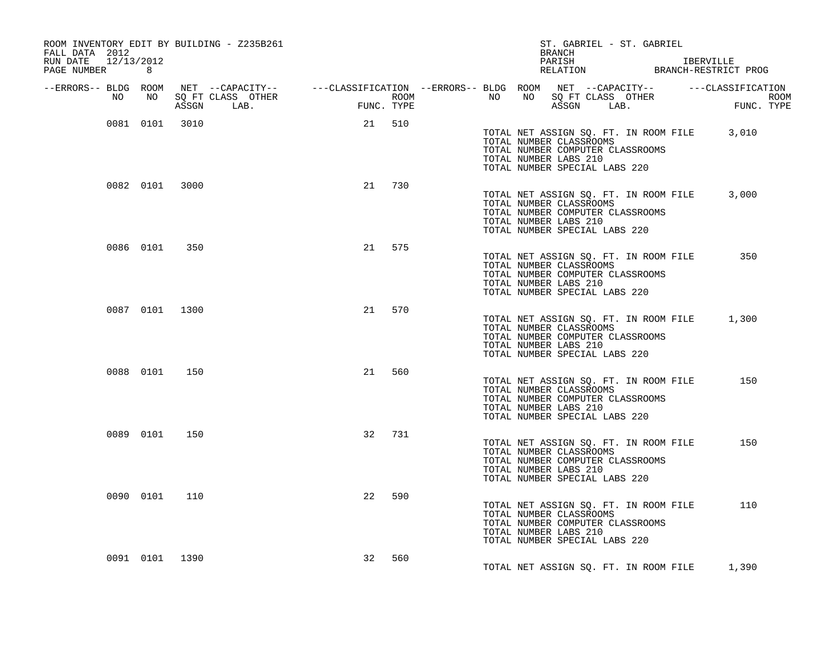| ROOM INVENTORY EDIT BY BUILDING - Z235B261<br>FALL DATA 2012 |            |                            |     | ST. GABRIEL - ST. GABRIEL<br>BRANCH                                                                                                                                                                                                  |            |
|--------------------------------------------------------------|------------|----------------------------|-----|--------------------------------------------------------------------------------------------------------------------------------------------------------------------------------------------------------------------------------------|------------|
| RUN DATE 12/13/2012<br>PAGE NUMBER 8                         |            |                            |     |                                                                                                                                                                                                                                      |            |
|                                                              |            |                            |     | ERRORS-- BLDG ROOM NET --CAPACITY--- --CLASSIFICATION--ERRORS-- BLDG ROOM NET --CAPACITY---------CLASSIFICATION<br>NO NO SQ FT CLASS OTHER ROOM ROOM NO SQ FT CLASS OTHER ROOM ROOM NO SQ FT CLASS OTHER<br>ASSGN LAB. FUNC. TYPE AS |            |
|                                                              | ASSGN LAB. | <b>EUNCE</b><br>FUNC. TYPE |     | ASSGN LAB.                                                                                                                                                                                                                           | FUNC. TYPE |
| 0081 0101 3010                                               |            | 21 510                     |     | TOTAL NET ASSIGN SQ. FT. IN ROOM FILE 3,010<br>TOTAL NUMBER CLASSROOMS<br>TOTAL NUMBER COMPUTER CLASSROOMS<br>TOTAL NUMBER LABS 210<br>TOTAL NUMBER SPECIAL LABS 220                                                                 |            |
| 0082 0101 3000                                               |            | 21 730                     |     | TOTAL NET ASSIGN SQ. FT. IN ROOM FILE 3,000<br>TOTAL NUMBER CLASSROOMS<br>TOTAL NUMBER COMPUTER CLASSROOMS<br>TOTAL NUMBER LABS 210<br>TOTAL NUMBER SPECIAL LABS 220                                                                 |            |
| 0086 0101 350                                                |            | 21 575                     |     | TOTAL NET ASSIGN SQ. FT. IN ROOM FILE<br>TOTAL NUMBER CLASSROOMS<br>TOTAL NUMBER COMPUTER CLASSROOMS<br>TOTAL NUMBER LABS 210<br>TOTAL NUMBER SPECIAL LABS 220                                                                       | 350        |
| 0087 0101 1300                                               |            | 21 570                     |     | TOTAL NET ASSIGN SQ. FT. IN ROOM FILE<br>TOTAL NUMBER CLASSROOMS<br>TOTAL NUMBER COMPUTER CLASSROOMS<br>TOTAL NUMBER LABS 210<br>TOTAL NUMBER SPECIAL LABS 220                                                                       | 1,300      |
| 0088 0101 150                                                |            | 21 560                     |     | TOTAL NET ASSIGN SQ. FT. IN ROOM FILE<br>TOTAL NUMBER CLASSROOMS<br>TOTAL NUMBER COMPUTER CLASSROOMS<br>TOTAL NUMBER LABS 210<br>TOTAL NUMBER SPECIAL LABS 220                                                                       | 150        |
| 0089 0101 150                                                |            | 32                         | 731 | TOTAL NET ASSIGN SQ. FT. IN ROOM FILE<br>TOTAL NUMBER CLASSROOMS<br>TOTAL NUMBER COMPUTER CLASSROOMS<br>TOTAL NUMBER LABS 210<br>TOTAL NUMBER SPECIAL LABS 220                                                                       | 150        |
| 0090 0101                                                    | 110        | 22                         | 590 | TOTAL NET ASSIGN SQ. FT. IN ROOM FILE<br>TOTAL NUMBER CLASSROOMS<br>TOTAL NUMBER COMPUTER CLASSROOMS<br>TOTAL NUMBER LABS 210<br>TOTAL NUMBER SPECIAL LABS 220                                                                       | 110        |
| 0091 0101 1390                                               |            | 32                         | 560 | TOTAL NET ASSIGN SQ. FT. IN ROOM FILE                                                                                                                                                                                                | 1,390      |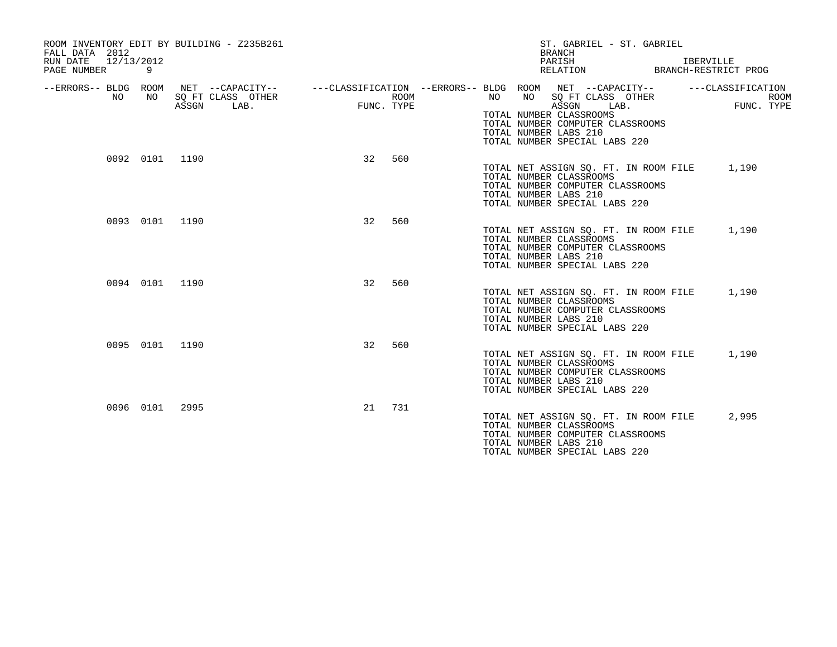| FALL DATA 2012<br>12/13/2012<br>RUN DATE<br>PAGE NUMBER | 9              | ROOM INVENTORY EDIT BY BUILDING - Z235B261                                                                        |            |      |                                   | ST. GABRIEL - ST. GABRIEL<br><b>BRANCH</b><br>PARISH<br>RELATION                                                                            | IBERVILLE<br>BRANCH-RESTRICT PROG              |
|---------------------------------------------------------|----------------|-------------------------------------------------------------------------------------------------------------------|------------|------|-----------------------------------|---------------------------------------------------------------------------------------------------------------------------------------------|------------------------------------------------|
| --ERRORS-- BLDG ROOM<br>NO                              | NO             | NET --CAPACITY--    ---CLASSIFICATION --ERRORS-- BLDG ROOM NET --CAPACITY--<br>SQ FT CLASS OTHER<br>ASSGN<br>LAB. | FUNC. TYPE | ROOM | NO<br>NO<br>TOTAL NUMBER LABS 210 | SQ FT CLASS OTHER<br>ASSGN<br>LAB.<br>TOTAL NUMBER CLASSROOMS<br>TOTAL NUMBER COMPUTER CLASSROOMS<br>TOTAL NUMBER SPECIAL LABS 220          | ---CLASSIFICATION<br><b>ROOM</b><br>FUNC. TYPE |
|                                                         | 0092 0101 1190 |                                                                                                                   | 32         | 560  | TOTAL NUMBER LABS 210             | TOTAL NET ASSIGN SQ. FT. IN ROOM FILE 1,190<br>TOTAL NUMBER CLASSROOMS<br>TOTAL NUMBER COMPUTER CLASSROOMS<br>TOTAL NUMBER SPECIAL LABS 220 |                                                |
|                                                         | 0093 0101 1190 |                                                                                                                   | 32         | 560  | TOTAL NUMBER LABS 210             | TOTAL NET ASSIGN SQ. FT. IN ROOM FILE<br>TOTAL NUMBER CLASSROOMS<br>TOTAL NUMBER COMPUTER CLASSROOMS<br>TOTAL NUMBER SPECIAL LABS 220       | 1,190                                          |
|                                                         | 0094 0101      | 1190                                                                                                              | 32         | 560  | TOTAL NUMBER LABS 210             | TOTAL NET ASSIGN SQ. FT. IN ROOM FILE<br>TOTAL NUMBER CLASSROOMS<br>TOTAL NUMBER COMPUTER CLASSROOMS<br>TOTAL NUMBER SPECIAL LABS 220       | 1,190                                          |
|                                                         | 0095 0101 1190 |                                                                                                                   | 32         | 560  | TOTAL NUMBER LABS 210             | TOTAL NET ASSIGN SQ. FT. IN ROOM FILE<br>TOTAL NUMBER CLASSROOMS<br>TOTAL NUMBER COMPUTER CLASSROOMS<br>TOTAL NUMBER SPECIAL LABS 220       | 1,190                                          |
|                                                         | 0096 0101      | 2995                                                                                                              | 21         | 731  | TOTAL NUMBER LABS 210             | TOTAL NET ASSIGN SQ. FT. IN ROOM FILE<br>TOTAL NUMBER CLASSROOMS<br>TOTAL NUMBER COMPUTER CLASSROOMS<br>TOTAL NUMBER SPECIAL LABS 220       | 2,995                                          |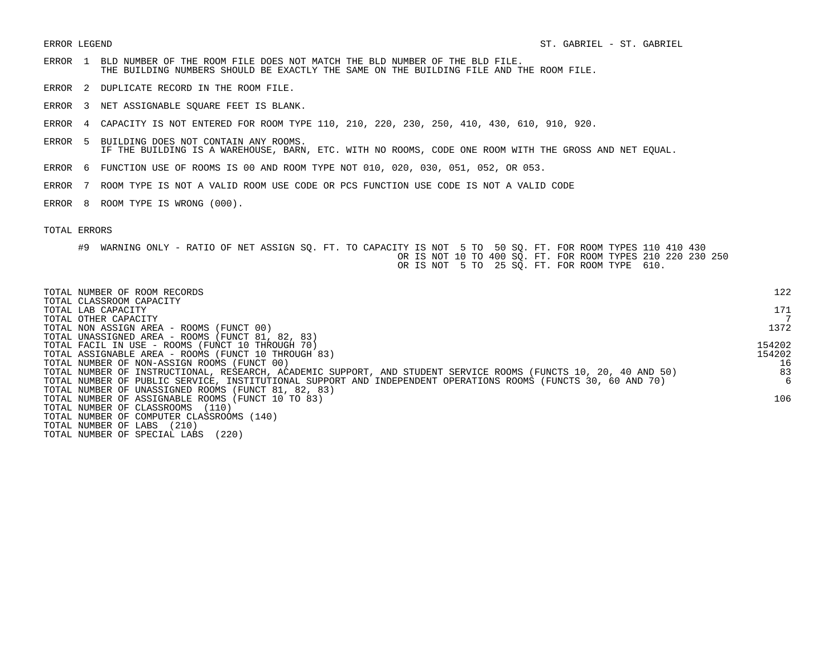- ERROR 1 BLD NUMBER OF THE ROOM FILE DOES NOT MATCH THE BLD NUMBER OF THE BLD FILE. THE BUILDING NUMBERS SHOULD BE EXACTLY THE SAME ON THE BUILDING FILE AND THE ROOM FILE.
- ERROR 2 DUPLICATE RECORD IN THE ROOM FILE.
- ERROR 3 NET ASSIGNABLE SQUARE FEET IS BLANK.
- ERROR 4 CAPACITY IS NOT ENTERED FOR ROOM TYPE 110, 210, 220, 230, 250, 410, 430, 610, 910, 920.
- ERROR 5 BUILDING DOES NOT CONTAIN ANY ROOMS. IF THE BUILDING IS A WAREHOUSE, BARN, ETC. WITH NO ROOMS, CODE ONE ROOM WITH THE GROSS AND NET EQUAL.
- ERROR 6 FUNCTION USE OF ROOMS IS 00 AND ROOM TYPE NOT 010, 020, 030, 051, 052, OR 053.
- ERROR 7 ROOM TYPE IS NOT A VALID ROOM USE CODE OR PCS FUNCTION USE CODE IS NOT A VALID CODE
- ERROR 8 ROOM TYPE IS WRONG (000).

| TOTAL NUMBER OF ROOM RECORDS                                                                                    | 122    |
|-----------------------------------------------------------------------------------------------------------------|--------|
| TOTAL CLASSROOM CAPACITY<br>TOTAL LAB CAPACITY                                                                  | 171    |
| TOTAL OTHER CAPACITY                                                                                            |        |
| TOTAL NON ASSIGN AREA - ROOMS (FUNCT 00)                                                                        | 1372   |
| TOTAL UNASSIGNED AREA - ROOMS (FUNCT 81, 82, 83)                                                                |        |
| TOTAL FACIL IN USE - ROOMS (FUNCT 10 THROUGH 70)                                                                | 154202 |
| TOTAL ASSIGNABLE AREA - ROOMS (FUNCT 10 THROUGH 83)                                                             | 154202 |
| TOTAL NUMBER OF NON-ASSIGN ROOMS (FUNCT 00)                                                                     | 16     |
| TOTAL NUMBER OF INSTRUCTIONAL, RESEARCH, ACADEMIC SUPPORT, AND STUDENT SERVICE ROOMS (FUNCTS 10, 20, 40 AND 50) | 83     |
| TOTAL NUMBER OF PUBLIC SERVICE, INSTITUTIONAL SUPPORT AND INDEPENDENT OPERATIONS ROOMS (FUNCTS 30, 60 AND 70)   | 6      |
| TOTAL NUMBER OF UNASSIGNED ROOMS (FUNCT 81, 82, 83)                                                             |        |
| TOTAL NUMBER OF ASSIGNABLE ROOMS (FUNCT 10 TO 83)                                                               | 106    |
| TOTAL NUMBER OF CLASSROOMS<br>(110)                                                                             |        |
| TOTAL NUMBER OF COMPUTER CLASSROOMS (140)                                                                       |        |
| (210)<br>TOTAL NUMBER OF LABS                                                                                   |        |
| (220)<br>TOTAL NUMBER OF SPECIAL LABS                                                                           |        |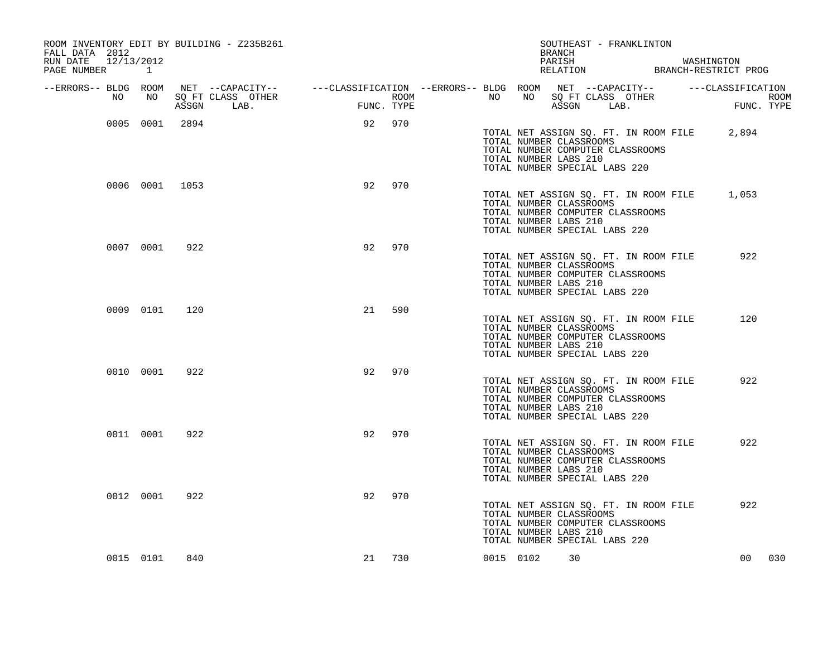| ROOM INVENTORY EDIT BY BUILDING - Z235B261<br>FALL DATA 2012<br>RUN DATE 12/13/2012 |           |                |                                                                                                |                            |            |                                   |       |                       | BRANCH |                                                          | SOUTHEAST - FRANKLINTON                                                   | PARISH WASHINGTON RELATION BRANCH-RESTRICT PROG |                    |
|-------------------------------------------------------------------------------------|-----------|----------------|------------------------------------------------------------------------------------------------|----------------------------|------------|-----------------------------------|-------|-----------------------|--------|----------------------------------------------------------|---------------------------------------------------------------------------|-------------------------------------------------|--------------------|
| PAGE NUMBER 1                                                                       |           |                |                                                                                                |                            |            |                                   |       |                       |        |                                                          |                                                                           |                                                 |                    |
| --ERRORS-- BLDG ROOM                                                                |           |                | NET --CAPACITY-- - ---CLASSIFICATION --ERRORS-- BLDG ROOM NET --CAPACITY-- - ---CLASSIFICATION |                            |            |                                   |       |                       |        |                                                          |                                                                           |                                                 |                    |
| NO                                                                                  | NO        |                | SO FT CLASS OTHER<br>ASSGN LAB.                                                                | =<br>ואז זי <del>ג</del> ו | FUNC. TYPE | ROOM <b>NAME IS NOT THE STATE</b> | NO NO |                       |        | ASSGN LAB.                                               | NO SQ FT CLASS OTHER                                                      |                                                 | ROOM<br>FUNC. TYPE |
|                                                                                     |           | 0005 0001 2894 |                                                                                                |                            | 92 970     |                                   |       | TOTAL NUMBER LABS 210 |        | TOTAL NUMBER CLASSROOMS<br>TOTAL NUMBER SPECIAL LABS 220 | TOTAL NET ASSIGN SQ. FT. IN ROOM FILE<br>TOTAL NUMBER COMPUTER CLASSROOMS | 2,894                                           |                    |
|                                                                                     |           | 0006 0001 1053 |                                                                                                | 92                         | 970        |                                   |       | TOTAL NUMBER LABS 210 |        | TOTAL NUMBER CLASSROOMS<br>TOTAL NUMBER SPECIAL LABS 220 | TOTAL NUMBER COMPUTER CLASSROOMS                                          | TOTAL NET ASSIGN SQ. FT. IN ROOM FILE 1,053     |                    |
|                                                                                     | 0007 0001 | 922            |                                                                                                | 92                         | 970        |                                   |       | TOTAL NUMBER LABS 210 |        | TOTAL NUMBER CLASSROOMS<br>TOTAL NUMBER SPECIAL LABS 220 | TOTAL NET ASSIGN SQ. FT. IN ROOM FILE<br>TOTAL NUMBER COMPUTER CLASSROOMS | 922                                             |                    |
|                                                                                     | 0009 0101 | 120            |                                                                                                | 21                         | 590        |                                   |       | TOTAL NUMBER LABS 210 |        | TOTAL NUMBER CLASSROOMS<br>TOTAL NUMBER SPECIAL LABS 220 | TOTAL NET ASSIGN SQ. FT. IN ROOM FILE<br>TOTAL NUMBER COMPUTER CLASSROOMS | 120                                             |                    |
|                                                                                     | 0010 0001 | 922            |                                                                                                | 92                         | 970        |                                   |       | TOTAL NUMBER LABS 210 |        | TOTAL NUMBER CLASSROOMS<br>TOTAL NUMBER SPECIAL LABS 220 | TOTAL NET ASSIGN SQ. FT. IN ROOM FILE<br>TOTAL NUMBER COMPUTER CLASSROOMS | 922                                             |                    |
|                                                                                     | 0011 0001 | 922            |                                                                                                | 92                         | 970        |                                   |       | TOTAL NUMBER LABS 210 |        | TOTAL NUMBER CLASSROOMS<br>TOTAL NUMBER SPECIAL LABS 220 | TOTAL NET ASSIGN SQ. FT. IN ROOM FILE<br>TOTAL NUMBER COMPUTER CLASSROOMS | 922                                             |                    |
|                                                                                     | 0012 0001 | 922            |                                                                                                | 92                         | 970        |                                   |       | TOTAL NUMBER LABS 210 |        | TOTAL NUMBER CLASSROOMS<br>TOTAL NUMBER SPECIAL LABS 220 | TOTAL NET ASSIGN SQ. FT. IN ROOM FILE<br>TOTAL NUMBER COMPUTER CLASSROOMS | 922                                             |                    |
|                                                                                     | 0015 0101 | 840            |                                                                                                |                            | 21 730     |                                   |       | 0015 0102             | 30     |                                                          |                                                                           | 00                                              | 030                |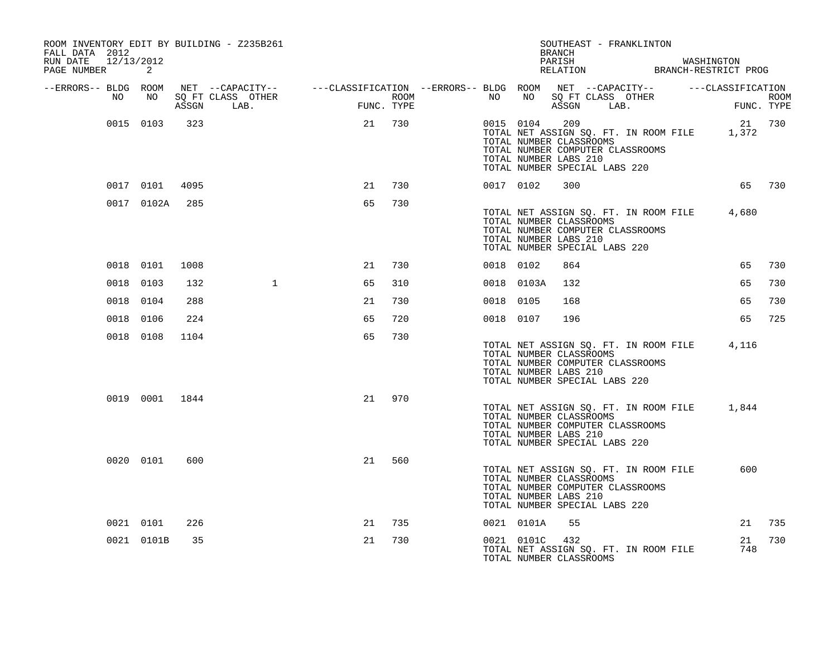| ROOM INVENTORY EDIT BY BUILDING - Z235B261<br>FALL DATA 2012 |                |       |                           |                                                                                               |      |           |                | SOUTHEAST - FRANKLINTON<br><b>BRANCH</b>                                                                                                                       |  |                                                       |                           |
|--------------------------------------------------------------|----------------|-------|---------------------------|-----------------------------------------------------------------------------------------------|------|-----------|----------------|----------------------------------------------------------------------------------------------------------------------------------------------------------------|--|-------------------------------------------------------|---------------------------|
| RUN DATE<br>12/13/2012<br>PAGE NUMBER                        | 2              |       |                           |                                                                                               |      |           |                | PARISH                                                                                                                                                         |  | WASHINGTON<br>PARISH<br>RELATION BRANCH-RESTRICT PROG |                           |
| --ERRORS-- BLDG ROOM                                         |                |       |                           | NET --CAPACITY-- ----CLASSIFICATION --ERRORS-- BLDG ROOM NET --CAPACITY-- -----CLASSIFICATION |      |           |                |                                                                                                                                                                |  |                                                       |                           |
| NO                                                           | NO             | ASSGN | SO FT CLASS OTHER<br>LAB. | FUNC. TYPE                                                                                    | ROOM | NO .      | NO             | SQ FT CLASS OTHER<br>ASSGN LAB.                                                                                                                                |  |                                                       | <b>ROOM</b><br>FUNC. TYPE |
|                                                              | 0015 0103      | 323   |                           | 21                                                                                            | 730  |           | 0015 0104      | 209<br>TOTAL NUMBER CLASSROOMS<br>TOTAL NUMBER COMPUTER CLASSROOMS<br>TOTAL NUMBER LABS 210<br>TOTAL NUMBER SPECIAL LABS 220                                   |  | TOTAL NET ASSIGN SQ. FT. IN ROOM FILE 1,372           | 21 730                    |
|                                                              | 0017 0101      | 4095  |                           | 21                                                                                            | 730  | 0017 0102 |                | 300                                                                                                                                                            |  |                                                       | 65 730                    |
|                                                              | 0017 0102A     | 285   |                           | 65                                                                                            | 730  |           |                | TOTAL NET ASSIGN SQ. FT. IN ROOM FILE<br>TOTAL NUMBER CLASSROOMS<br>TOTAL NUMBER COMPUTER CLASSROOMS<br>TOTAL NUMBER LABS 210<br>TOTAL NUMBER SPECIAL LABS 220 |  | 4,680                                                 |                           |
|                                                              | 0018 0101      | 1008  |                           | 21                                                                                            | 730  | 0018 0102 |                | 864                                                                                                                                                            |  | 65                                                    | 730                       |
|                                                              | 0018 0103      | 132   | $\mathbf{1}$              | 65                                                                                            | 310  |           | 0018 0103A     | 132                                                                                                                                                            |  | 65                                                    | 730                       |
|                                                              | 0018 0104      | 288   |                           | 21                                                                                            | 730  | 0018 0105 |                | 168                                                                                                                                                            |  | 65                                                    | 730                       |
|                                                              | 0018 0106      | 224   |                           | 65                                                                                            | 720  | 0018 0107 |                | 196                                                                                                                                                            |  | 65                                                    | 725                       |
|                                                              | 0018 0108      | 1104  |                           | 65                                                                                            | 730  |           |                | TOTAL NUMBER CLASSROOMS<br>TOTAL NUMBER COMPUTER CLASSROOMS<br>TOTAL NUMBER LABS 210<br>TOTAL NUMBER SPECIAL LABS 220                                          |  | TOTAL NET ASSIGN SQ. FT. IN ROOM FILE 4,116           |                           |
|                                                              | 0019 0001 1844 |       |                           | 21                                                                                            | 970  |           |                | TOTAL NET ASSIGN SQ. FT. IN ROOM FILE<br>TOTAL NUMBER CLASSROOMS<br>TOTAL NUMBER COMPUTER CLASSROOMS<br>TOTAL NUMBER LABS 210<br>TOTAL NUMBER SPECIAL LABS 220 |  | 1,844                                                 |                           |
|                                                              | 0020 0101      | 600   |                           | 21                                                                                            | 560  |           |                | TOTAL NET ASSIGN SQ. FT. IN ROOM FILE<br>TOTAL NUMBER CLASSROOMS<br>TOTAL NUMBER COMPUTER CLASSROOMS<br>TOTAL NUMBER LABS 210<br>TOTAL NUMBER SPECIAL LABS 220 |  | 600                                                   |                           |
|                                                              | 0021 0101      | 226   |                           | 21                                                                                            | 735  |           | 0021 0101A     | 55                                                                                                                                                             |  | 21                                                    | 735                       |
|                                                              | 0021 0101B     | 35    |                           | 21                                                                                            | 730  |           | 0021 0101C 432 | TOTAL NET ASSIGN SQ. FT. IN ROOM FILE<br>TOTAL NUMBER CLASSROOMS                                                                                               |  | 21<br>748                                             | 730                       |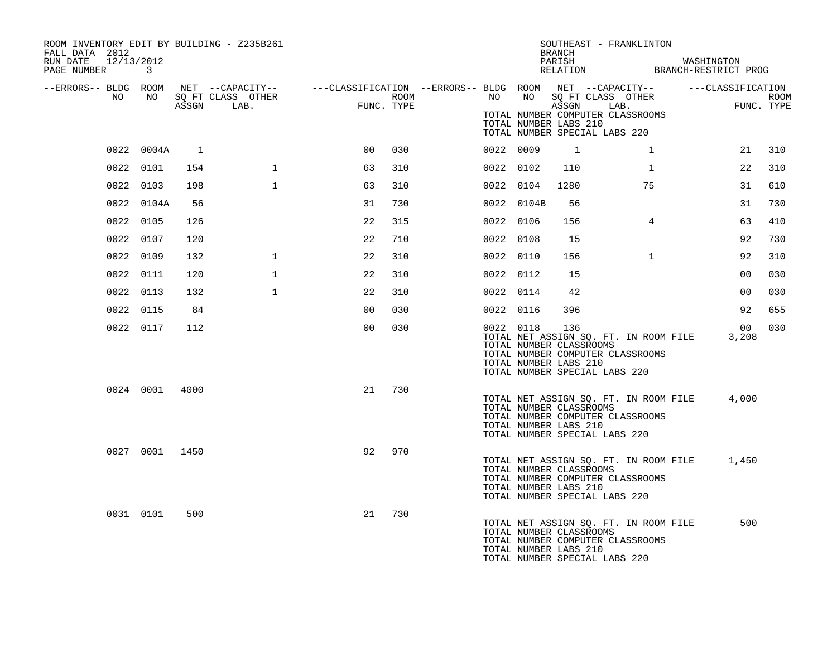| ROOM INVENTORY EDIT BY BUILDING - Z235B261<br>FALL DATA 2012<br>RUN DATE 12/13/2012<br>PAGE NUMBER | 3              |              |                   |                                                                                                |      |           |            | BRANCH<br>PARISH                                        | SOUTHEAST - FRANKLINTON<br>PARISH WASHINGTON<br>RELATION BRANCH-RESTRICT PROG                                    | WASHINGTON |                |            |
|----------------------------------------------------------------------------------------------------|----------------|--------------|-------------------|------------------------------------------------------------------------------------------------|------|-----------|------------|---------------------------------------------------------|------------------------------------------------------------------------------------------------------------------|------------|----------------|------------|
| --ERRORS-- BLDG ROOM<br>NO                                                                         | NO             |              | SQ FT CLASS OTHER | NET --CAPACITY-- - ---CLASSIFICATION --ERRORS-- BLDG ROOM NET --CAPACITY-- - ---CLASSIFICATION | ROOM |           | NO NO      |                                                         | SQ FT CLASS OTHER                                                                                                |            |                | ROOM       |
|                                                                                                    |                |              | ASSGN LAB.        | <b>FUN</b><br>FUNC. TYPE                                                                       |      |           |            | ASSGN<br>TOTAL NUMBER LABS 210                          | LAB.<br>TOTAL NUMBER COMPUTER CLASSROOMS<br>TOTAL NUMBER SPECIAL LABS 220                                        |            |                | FUNC. TYPE |
|                                                                                                    | 0022 0004A     | $\mathbf{1}$ |                   | 0 <sup>0</sup>                                                                                 | 030  | 0022 0009 |            | $\overline{1}$                                          | $\mathbf{1}$                                                                                                     |            | 21             | 310        |
|                                                                                                    | 0022 0101      | 154          | $\mathbf{1}$      | 63                                                                                             | 310  | 0022 0102 |            | 110                                                     | $\mathbf{1}$                                                                                                     |            | 22             | 310        |
|                                                                                                    | 0022 0103      | 198          | $\mathbf{1}$      | 63                                                                                             | 310  | 0022 0104 |            | 1280                                                    | 75                                                                                                               |            | 31             | 610        |
|                                                                                                    | 0022 0104A     | 56           |                   | 31                                                                                             | 730  |           | 0022 0104B | 56                                                      |                                                                                                                  |            | 31             | 730        |
|                                                                                                    | 0022 0105      | 126          |                   | 22                                                                                             | 315  | 0022 0106 |            | 156                                                     | $\overline{4}$                                                                                                   |            | 63             | 410        |
|                                                                                                    | 0022 0107      | 120          |                   | 22                                                                                             | 710  | 0022 0108 |            | 15                                                      |                                                                                                                  |            | 92             | 730        |
|                                                                                                    | 0022 0109      | 132          | $\mathbf{1}$      | 22                                                                                             | 310  | 0022 0110 |            | 156                                                     | $\mathbf{1}$                                                                                                     |            | 92             | 310        |
|                                                                                                    | 0022 0111      | 120          | $\mathbf{1}$      | 22                                                                                             | 310  | 0022 0112 |            | 15                                                      |                                                                                                                  |            | 0 <sub>0</sub> | 030        |
|                                                                                                    | 0022 0113      | 132          | $\mathbf{1}$      | 22                                                                                             | 310  | 0022 0114 |            | 42                                                      |                                                                                                                  |            | 0 <sub>0</sub> | 030        |
|                                                                                                    | 0022 0115      | 84           |                   | 0 <sub>0</sub>                                                                                 | 030  | 0022 0116 |            | 396                                                     |                                                                                                                  |            | 92             | 655        |
|                                                                                                    | 0022 0117      | 112          |                   | 0 <sub>0</sub>                                                                                 | 030  |           | 0022 0118  | 136<br>TOTAL NUMBER CLASSROOMS<br>TOTAL NUMBER LABS 210 | TOTAL NET ASSIGN SQ. FT. IN ROOM FILE<br>TOTAL NUMBER COMPUTER CLASSROOMS<br>TOTAL NUMBER SPECIAL LABS 220       | 3,208      | 0 <sub>0</sub> | 030        |
|                                                                                                    | 0024 0001      | 4000         |                   | 21                                                                                             | 730  |           |            | TOTAL NUMBER CLASSROOMS<br>TOTAL NUMBER LABS 210        | TOTAL NET ASSIGN SQ. FT. IN ROOM FILE<br>TOTAL NUMBER COMPUTER CLASSROOMS<br>TOTAL NUMBER SPECIAL LABS 220       | 4,000      |                |            |
|                                                                                                    | 0027 0001 1450 |              |                   | 92                                                                                             | 970  |           |            | TOTAL NUMBER CLASSROOMS<br>TOTAL NUMBER LABS 210        | TOTAL NET ASSIGN SQ. FT. IN ROOM FILE 1,450<br>TOTAL NUMBER COMPUTER CLASSROOMS<br>TOTAL NUMBER SPECIAL LABS 220 |            |                |            |
|                                                                                                    | 0031 0101      | 500          |                   | 21                                                                                             | 730  |           |            | TOTAL NUMBER CLASSROOMS<br>TOTAL NUMBER LABS 210        | TOTAL NET ASSIGN SQ. FT. IN ROOM FILE<br>TOTAL NUMBER COMPUTER CLASSROOMS<br>TOTAL NUMBER SPECIAL LABS 220       |            | 500            |            |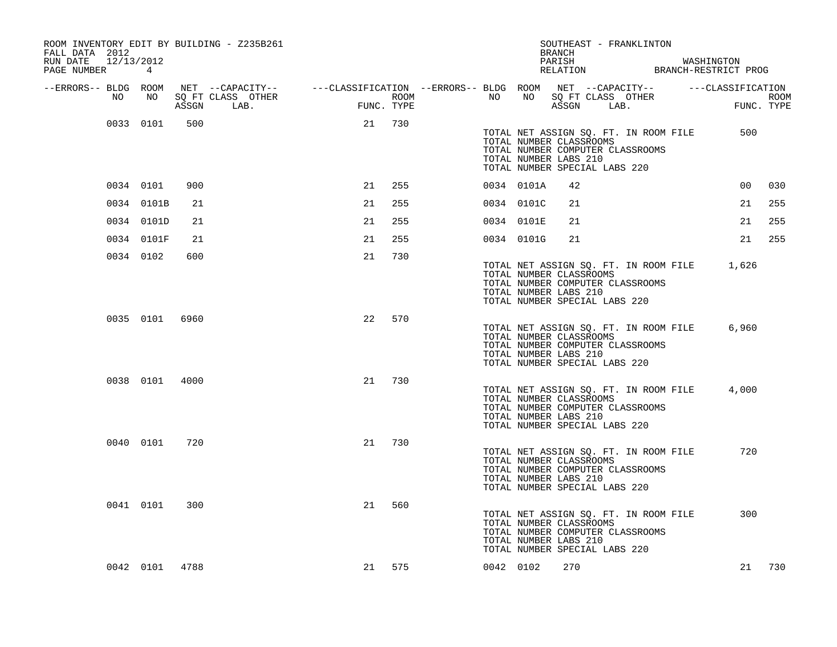| ROOM INVENTORY EDIT BY BUILDING - Z235B261<br>FALL DATA 2012<br>RUN DATE 12/13/2012<br>PAGE NUMBER | 4              |       |                                                                                                                            |            |     |      |           |                                                  | BRANCH<br>PARISH<br>RELATION | SOUTHEAST - FRANKLINTON                                           |                                       | WASHINGTON<br>BRANCH-RESTRICT PROG |                 |             |
|----------------------------------------------------------------------------------------------------|----------------|-------|----------------------------------------------------------------------------------------------------------------------------|------------|-----|------|-----------|--------------------------------------------------|------------------------------|-------------------------------------------------------------------|---------------------------------------|------------------------------------|-----------------|-------------|
| --ERRORS-- BLDG ROOM<br>NO                                                                         | NO             | ASSGN | NET --CAPACITY-- ----CLASSIFICATION --ERRORS-- BLDG ROOM NET --CAPACITY-- -----CLASSIFICATION<br>SQ FT CLASS OTHER<br>LAB. | FUNC. TYPE |     | ROOM | NO        | NO                                               |                              | SQ FT CLASS OTHER<br>ASSGN LAB.                                   |                                       |                                    | FUNC. TYPE      | <b>ROOM</b> |
|                                                                                                    | 0033 0101      | 500   |                                                                                                                            | 21         | 730 |      |           | TOTAL NUMBER CLASSROOMS<br>TOTAL NUMBER LABS 210 |                              | TOTAL NUMBER COMPUTER CLASSROOMS<br>TOTAL NUMBER SPECIAL LABS 220 | TOTAL NET ASSIGN SQ. FT. IN ROOM FILE |                                    | 500             |             |
|                                                                                                    | 0034 0101      | 900   |                                                                                                                            | 21         | 255 |      |           | 0034 0101A                                       | 42                           |                                                                   |                                       |                                    | 00 <sub>o</sub> | 030         |
|                                                                                                    | 0034 0101B     | 21    |                                                                                                                            | 21         | 255 |      |           | 0034 0101C                                       | 21                           |                                                                   |                                       |                                    | 21              | 255         |
|                                                                                                    | 0034 0101D     | 21    |                                                                                                                            | 21         | 255 |      |           | 0034 0101E                                       | 21                           |                                                                   |                                       |                                    | 21              | 255         |
|                                                                                                    | 0034 0101F     | 21    |                                                                                                                            | 21         | 255 |      |           | 0034 0101G                                       | 21                           |                                                                   |                                       |                                    | 21              | 255         |
|                                                                                                    | 0034 0102      | 600   |                                                                                                                            | 21         | 730 |      |           | TOTAL NUMBER CLASSROOMS<br>TOTAL NUMBER LABS 210 |                              | TOTAL NUMBER COMPUTER CLASSROOMS<br>TOTAL NUMBER SPECIAL LABS 220 | TOTAL NET ASSIGN SQ. FT. IN ROOM FILE |                                    | 1,626           |             |
|                                                                                                    | 0035 0101 6960 |       |                                                                                                                            | 22         | 570 |      |           | TOTAL NUMBER CLASSROOMS<br>TOTAL NUMBER LABS 210 |                              | TOTAL NUMBER COMPUTER CLASSROOMS<br>TOTAL NUMBER SPECIAL LABS 220 | TOTAL NET ASSIGN SQ. FT. IN ROOM FILE |                                    | 6,960           |             |
|                                                                                                    | 0038 0101 4000 |       |                                                                                                                            | 21         | 730 |      |           | TOTAL NUMBER CLASSROOMS<br>TOTAL NUMBER LABS 210 |                              | TOTAL NUMBER COMPUTER CLASSROOMS<br>TOTAL NUMBER SPECIAL LABS 220 | TOTAL NET ASSIGN SQ. FT. IN ROOM FILE |                                    | 4,000           |             |
|                                                                                                    | 0040 0101      | 720   |                                                                                                                            | 21         | 730 |      |           | TOTAL NUMBER CLASSROOMS<br>TOTAL NUMBER LABS 210 |                              | TOTAL NUMBER COMPUTER CLASSROOMS<br>TOTAL NUMBER SPECIAL LABS 220 | TOTAL NET ASSIGN SQ. FT. IN ROOM FILE |                                    | 720             |             |
|                                                                                                    | 0041 0101      | 300   |                                                                                                                            | 21         | 560 |      |           | TOTAL NUMBER CLASSROOMS<br>TOTAL NUMBER LABS 210 |                              | TOTAL NUMBER COMPUTER CLASSROOMS<br>TOTAL NUMBER SPECIAL LABS 220 | TOTAL NET ASSIGN SQ. FT. IN ROOM FILE |                                    | 300             |             |
|                                                                                                    | 0042 0101 4788 |       |                                                                                                                            | 21 575     |     |      | 0042 0102 |                                                  | 270                          |                                                                   |                                       |                                    | 21              | 730         |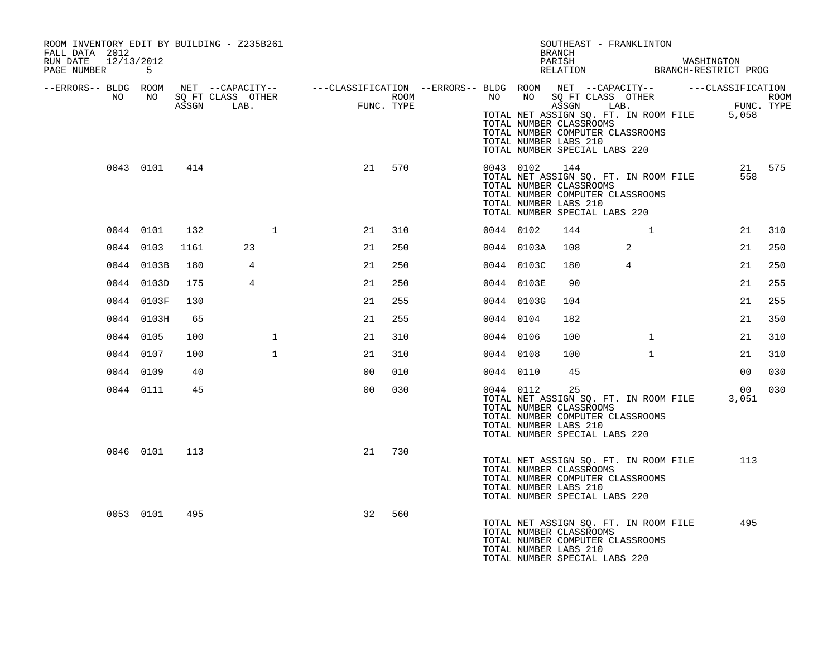| ROOM INVENTORY EDIT BY BUILDING - Z235B261<br>FALL DATA 2012<br>RUN DATE<br>12/13/2012 |            |      |                      |                                                                                                |     |           |               | SOUTHEAST - FRANKLINTON<br>BRANCH<br>PARISH WASHINGTON RELATION BRANCH-RESTRICT PROG                                                                                                                  |              |                          |     |
|----------------------------------------------------------------------------------------|------------|------|----------------------|------------------------------------------------------------------------------------------------|-----|-----------|---------------|-------------------------------------------------------------------------------------------------------------------------------------------------------------------------------------------------------|--------------|--------------------------|-----|
| PAGE NUMBER 5                                                                          |            |      |                      |                                                                                                |     |           |               |                                                                                                                                                                                                       |              |                          |     |
| --ERRORS-- BLDG ROOM<br>NO                                                             |            |      | NO SQ FT CLASS OTHER | NET --CAPACITY-- - ---CLASSIFICATION --ERRORS-- BLDG ROOM NET --CAPACITY-- - ---CLASSIFICATION |     |           |               |                                                                                                                                                                                                       |              |                          |     |
|                                                                                        |            |      | ASSGN LAB.           | ROOM<br>FUNC. TYPE                                                                             |     |           |               | NO NO SOFT CLASS OTHER ROOM ASSESS ASSESS TO ASSESS ASSESS TO THE PUNC. TYPE<br>TOTAL NUMBER CLASSROOMS<br>TOTAL NUMBER COMPUTER CLASSROOMS<br>TOTAL NUMBER LABS 210<br>TOTAL NUMBER SPECIAL LABS 220 |              |                          |     |
|                                                                                        | 0043 0101  | 414  |                      | 21 570                                                                                         |     |           | 0043 0102 144 | TOTAL NET ASSIGN SQ. FT. IN ROOM FILE<br>TOTAL NUMBER CLASSROOMS<br>TOTAL NUMBER COMPUTER CLASSROOMS<br>TOTAL NUMBER LABS 210<br>TOTAL NUMBER SPECIAL LABS 220                                        |              | 21 575<br>558            |     |
|                                                                                        | 0044 0101  | 132  | 1                    | 21                                                                                             | 310 | 0044 0102 |               | 144                                                                                                                                                                                                   | 1            | 21                       | 310 |
|                                                                                        | 0044 0103  | 1161 | 23                   | 21                                                                                             | 250 |           | 0044 0103A    | 108                                                                                                                                                                                                   | 2            | 21                       | 250 |
|                                                                                        | 0044 0103B | 180  | 4                    | 21                                                                                             | 250 |           | 0044 0103C    | 180                                                                                                                                                                                                   | 4            | 21                       | 250 |
|                                                                                        | 0044 0103D | 175  | $\overline{4}$       | 21                                                                                             | 250 |           | 0044 0103E    | 90                                                                                                                                                                                                    |              | 21                       | 255 |
|                                                                                        | 0044 0103F | 130  |                      | 21                                                                                             | 255 |           | 0044 0103G    | 104                                                                                                                                                                                                   |              | 21                       | 255 |
|                                                                                        | 0044 0103H | 65   |                      | 21                                                                                             | 255 | 0044 0104 |               | 182                                                                                                                                                                                                   |              | 21                       | 350 |
|                                                                                        | 0044 0105  | 100  | $\mathbf{1}$         | 21                                                                                             | 310 | 0044 0106 |               | 100                                                                                                                                                                                                   | $\mathbf{1}$ | 21                       | 310 |
|                                                                                        | 0044 0107  | 100  | $\mathbf{1}$         | 21                                                                                             | 310 | 0044 0108 |               | 100                                                                                                                                                                                                   | $\mathbf{1}$ | 21                       | 310 |
|                                                                                        | 0044 0109  | 40   |                      | 0 <sub>0</sub><br>010                                                                          |     | 0044 0110 |               | 45                                                                                                                                                                                                    |              | 0 <sub>0</sub>           | 030 |
|                                                                                        | 0044 0111  | 45   |                      | 0 <sub>0</sub>                                                                                 | 030 | 0044 0112 |               | 25<br>TOTAL NET ASSIGN SQ. FT. IN ROOM FILE<br>TOTAL NUMBER CLASSROOMS<br>TOTAL NUMBER COMPUTER CLASSROOMS<br>TOTAL NUMBER LABS 210<br>TOTAL NUMBER SPECIAL LABS 220                                  |              | 00 <sup>o</sup><br>3,051 | 030 |
|                                                                                        | 0046 0101  | 113  |                      | 730<br>21                                                                                      |     |           |               | TOTAL NET ASSIGN SQ. FT. IN ROOM FILE<br>TOTAL NUMBER CLASSROOMS<br>TOTAL NUMBER COMPUTER CLASSROOMS<br>TOTAL NUMBER LABS 210<br>TOTAL NUMBER SPECIAL LABS 220                                        |              | 113                      |     |
|                                                                                        | 0053 0101  | 495  |                      | 560<br>32                                                                                      |     |           |               | TOTAL NET ASSIGN SQ. FT. IN ROOM FILE<br>TOTAL NUMBER CLASSROOMS<br>TOTAL NUMBER COMPUTER CLASSROOMS<br>TOTAL NUMBER LABS 210<br>TOTAL NUMBER SPECIAL LABS 220                                        |              | 495                      |     |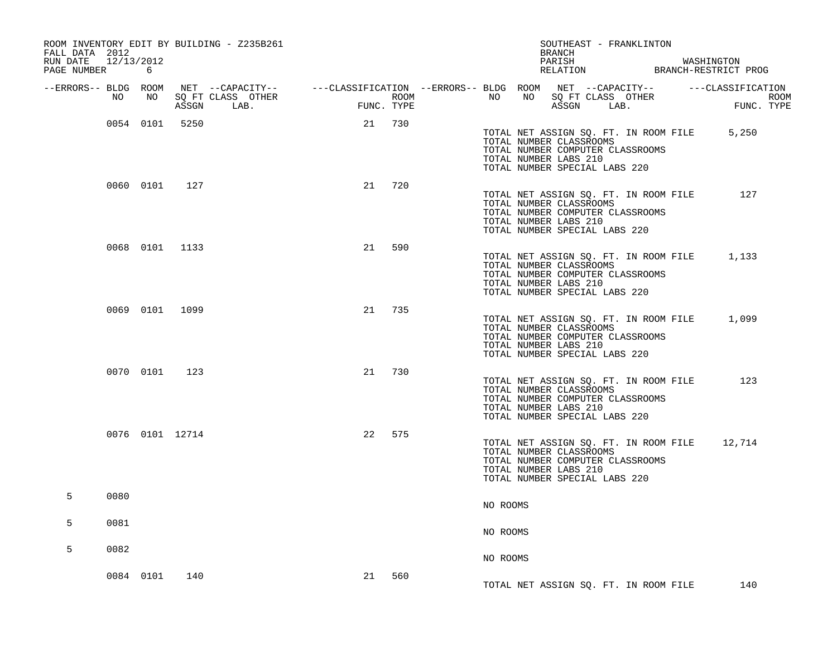| ROOM INVENTORY EDIT BY BUILDING - Z235B261<br>FALL DATA 2012<br>RUN DATE 12/13/2012<br>PAGE NUMBER | 6               |       |                           |    |            |                  |          | BRANCH<br>PARISH<br>RELATION                                                                                                                                          | SOUTHEAST - FRANKLINTON            | WASHINGTON<br>BRANCH-RESTRICT PROG                                                                                                       |
|----------------------------------------------------------------------------------------------------|-----------------|-------|---------------------------|----|------------|------------------|----------|-----------------------------------------------------------------------------------------------------------------------------------------------------------------------|------------------------------------|------------------------------------------------------------------------------------------------------------------------------------------|
| NO                                                                                                 | NO              | ASSGN | SQ FT CLASS OTHER<br>LAB. |    | FUNC. TYPE | ROOM <b>ROOM</b> | NO       |                                                                                                                                                                       | NO SQ FT CLASS OTHER<br>ASSGN LAB. | --ERRORS-- BLDG ROOM NET --CAPACITY-- ----CLASSIFICATION --ERRORS-- BLDG ROOM NET --CAPACITY-- -----CLASSIFICATION<br>ROOM<br>FUNC. TYPE |
|                                                                                                    | 0054 0101 5250  |       |                           | 21 | 730        |                  |          | TOTAL NET ASSIGN SQ. FT. IN ROOM FILE<br>TOTAL NUMBER CLASSROOMS<br>TOTAL NUMBER COMPUTER CLASSROOMS<br>TOTAL NUMBER LABS 210<br>TOTAL NUMBER SPECIAL LABS 220        |                                    | 5,250                                                                                                                                    |
|                                                                                                    | 0060 0101       | 127   |                           | 21 | 720        |                  |          | TOTAL NET ASSIGN SQ. FT. IN ROOM FILE<br>TOTAL NUMBER CLASSROOMS<br>TOTAL NUMBER COMPUTER CLASSROOMS<br>TOTAL NUMBER LABS 210<br>TOTAL NUMBER SPECIAL LABS 220        |                                    | 127                                                                                                                                      |
|                                                                                                    | 0068 0101 1133  |       |                           | 21 | 590        |                  |          | TOTAL NET ASSIGN SQ. FT. IN ROOM FILE 1,133<br>TOTAL NUMBER CLASSROOMS<br>TOTAL NUMBER COMPUTER CLASSROOMS<br>TOTAL NUMBER LABS 210<br>TOTAL NUMBER SPECIAL LABS 220  |                                    |                                                                                                                                          |
|                                                                                                    | 0069 0101 1099  |       |                           |    | 21 735     |                  |          | TOTAL NET ASSIGN SQ. FT. IN ROOM FILE 1,099<br>TOTAL NUMBER CLASSROOMS<br>TOTAL NUMBER COMPUTER CLASSROOMS<br>TOTAL NUMBER LABS 210<br>TOTAL NUMBER SPECIAL LABS 220  |                                    |                                                                                                                                          |
|                                                                                                    | 0070 0101 123   |       |                           | 21 | 730        |                  |          | TOTAL NET ASSIGN SQ. FT. IN ROOM FILE<br>TOTAL NUMBER CLASSROOMS<br>TOTAL NUMBER COMPUTER CLASSROOMS<br>TOTAL NUMBER LABS 210<br>TOTAL NUMBER SPECIAL LABS 220        |                                    | 123                                                                                                                                      |
|                                                                                                    | 0076 0101 12714 |       |                           | 22 | 575        |                  |          | TOTAL NET ASSIGN SQ. FT. IN ROOM FILE 12,714<br>TOTAL NUMBER CLASSROOMS<br>TOTAL NUMBER COMPUTER CLASSROOMS<br>TOTAL NUMBER LABS 210<br>TOTAL NUMBER SPECIAL LABS 220 |                                    |                                                                                                                                          |
| 5<br>0080                                                                                          |                 |       |                           |    |            |                  | NO ROOMS |                                                                                                                                                                       |                                    |                                                                                                                                          |
| 5<br>0081                                                                                          |                 |       |                           |    |            |                  | NO ROOMS |                                                                                                                                                                       |                                    |                                                                                                                                          |
| 5<br>0082                                                                                          |                 |       |                           |    |            |                  | NO ROOMS |                                                                                                                                                                       |                                    |                                                                                                                                          |
|                                                                                                    | 0084 0101       | 140   |                           | 21 | 560        |                  |          | TOTAL NET ASSIGN SQ. FT. IN ROOM FILE                                                                                                                                 |                                    | 140                                                                                                                                      |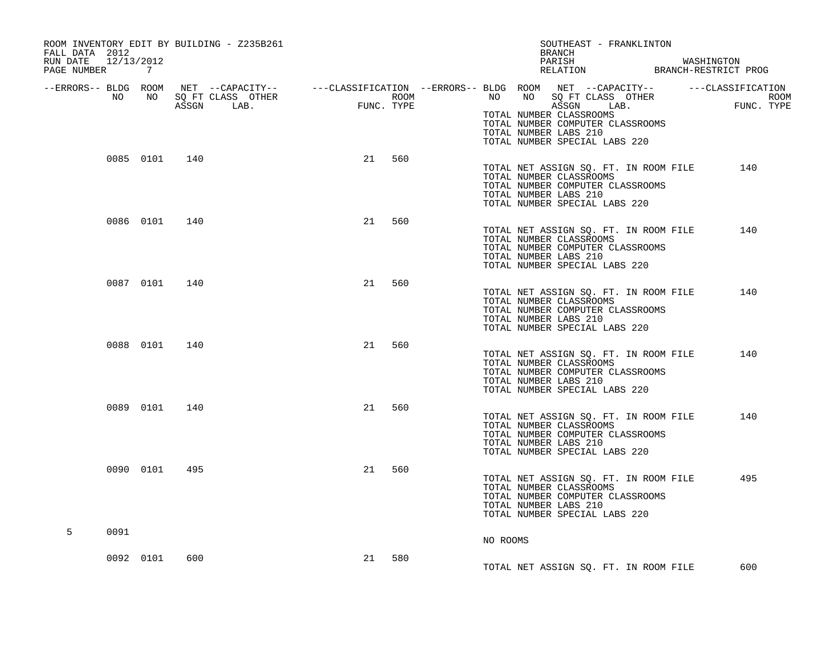| ROOM INVENTORY EDIT BY BUILDING - Z235B261<br>FALL DATA 2012<br>12/13/2012<br>RUN DATE<br>PAGE NUMBER 7 |                 |               |                                 |      |            |      |          | SOUTHEAST - FRANKLINTON<br>BRANCH<br>PARISH WASHINGTON RELATION BRANCH-RESTRICT PROG                                                                           |                                                                                                                      |
|---------------------------------------------------------------------------------------------------------|-----------------|---------------|---------------------------------|------|------------|------|----------|----------------------------------------------------------------------------------------------------------------------------------------------------------------|----------------------------------------------------------------------------------------------------------------------|
| --ERRORS-- BLDG ROOM<br>NO                                                                              | NO <sub>1</sub> |               | SQ FT CLASS OTHER<br>ASSGN LAB. | FUNC | FUNC. TYPE | ROOM |          | NO NO SQ FT CLASS OTHER<br>ASSGN LAB.<br>TOTAL NUMBER CLASSROOMS<br>TOTAL NUMBER COMPUTER CLASSROOMS<br>TOTAL NUMBER LABS 210<br>TOTAL NUMBER SPECIAL LABS 220 | NET --CAPACITY-- - ---CLASSIFICATION --ERRORS-- BLDG ROOM NET --CAPACITY-- - ---CLASSIFICATION<br>ROOM<br>FUNC. TYPE |
|                                                                                                         |                 | 0085 0101 140 |                                 |      | 21 560     |      |          | TOTAL NET ASSIGN SQ. FT. IN ROOM FILE<br>TOTAL NUMBER CLASSROOMS<br>TOTAL NUMBER COMPUTER CLASSROOMS<br>TOTAL NUMBER LABS 210<br>TOTAL NUMBER SPECIAL LABS 220 | 140                                                                                                                  |
|                                                                                                         | 0086 0101       | 140           |                                 | 21   | 560        |      |          | TOTAL NET ASSIGN SQ. FT. IN ROOM FILE<br>TOTAL NUMBER CLASSROOMS<br>TOTAL NUMBER COMPUTER CLASSROOMS<br>TOTAL NUMBER LABS 210<br>TOTAL NUMBER SPECIAL LABS 220 | 140                                                                                                                  |
|                                                                                                         | 0087 0101       | 140           |                                 | 21   | 560        |      |          | TOTAL NET ASSIGN SQ. FT. IN ROOM FILE<br>TOTAL NUMBER CLASSROOMS<br>TOTAL NUMBER COMPUTER CLASSROOMS<br>TOTAL NUMBER LABS 210<br>TOTAL NUMBER SPECIAL LABS 220 | 140                                                                                                                  |
|                                                                                                         | 0088 0101       | 140           |                                 | 21   | 560        |      |          | TOTAL NET ASSIGN SQ. FT. IN ROOM FILE<br>TOTAL NUMBER CLASSROOMS<br>TOTAL NUMBER COMPUTER CLASSROOMS<br>TOTAL NUMBER LABS 210<br>TOTAL NUMBER SPECIAL LABS 220 | 140                                                                                                                  |
|                                                                                                         | 0089 0101       | 140           |                                 | 21   | 560        |      |          | TOTAL NET ASSIGN SQ. FT. IN ROOM FILE<br>TOTAL NUMBER CLASSROOMS<br>TOTAL NUMBER COMPUTER CLASSROOMS<br>TOTAL NUMBER LABS 210<br>TOTAL NUMBER SPECIAL LABS 220 | 140                                                                                                                  |
|                                                                                                         | 0090 0101       | 495           |                                 | 21   | 560        |      |          | TOTAL NET ASSIGN SQ. FT. IN ROOM FILE<br>TOTAL NUMBER CLASSROOMS<br>TOTAL NUMBER COMPUTER CLASSROOMS<br>TOTAL NUMBER LABS 210<br>TOTAL NUMBER SPECIAL LABS 220 | 495                                                                                                                  |
| 5<br>0091                                                                                               |                 |               |                                 |      |            |      | NO ROOMS |                                                                                                                                                                |                                                                                                                      |
|                                                                                                         | 0092 0101       | 600           |                                 | 21   | 580        |      |          | TOTAL NET ASSIGN SQ. FT. IN ROOM FILE                                                                                                                          | 600                                                                                                                  |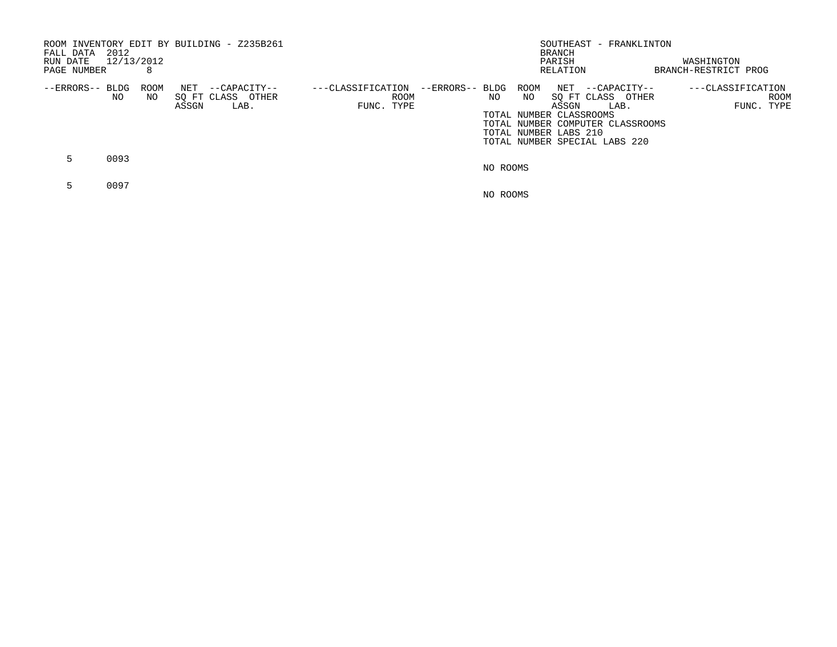| 2012<br>FALL DATA<br>RUN DATE<br>PAGE NUMBER | 12/13/2012<br>8 | ROOM INVENTORY EDIT BY BUILDING - Z235B261                |                                                            | SOUTHEAST - FRANKLINTON<br>BRANCH<br>PARISH<br>RELATION                                                                                                                                              | WASHINGTON<br>BRANCH-RESTRICT PROG      |
|----------------------------------------------|-----------------|-----------------------------------------------------------|------------------------------------------------------------|------------------------------------------------------------------------------------------------------------------------------------------------------------------------------------------------------|-----------------------------------------|
| --ERRORS-- BLDG<br>NO.                       | ROOM<br>NO.     | NET<br>--CAPACITY--<br>SO FT CLASS OTHER<br>ASSGN<br>LAB. | ---CLASSIFICATION<br>--ERRORS-- BLDG<br>ROOM<br>FUNC. TYPE | ROOM<br>NET --CAPACITY--<br>SO FT CLASS OTHER<br>NO.<br>NO<br>ASSGN<br>LAB.<br>TOTAL NUMBER CLASSROOMS<br>TOTAL NUMBER COMPUTER CLASSROOMS<br>TOTAL NUMBER LABS 210<br>TOTAL NUMBER SPECIAL LABS 220 | ---CLASSIFICATION<br>ROOM<br>FUNC. TYPE |
| 0093<br>$\mathbf{b}$                         |                 |                                                           |                                                            | NO ROOMS                                                                                                                                                                                             |                                         |
| 0097                                         |                 |                                                           |                                                            | NO ROOMS                                                                                                                                                                                             |                                         |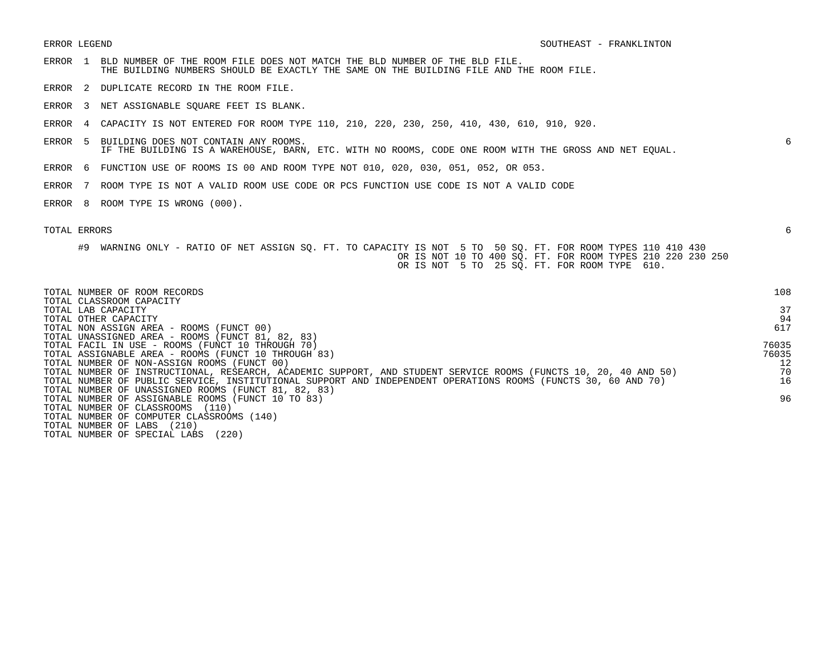- ERROR 1 BLD NUMBER OF THE ROOM FILE DOES NOT MATCH THE BLD NUMBER OF THE BLD FILE. THE BUILDING NUMBERS SHOULD BE EXACTLY THE SAME ON THE BUILDING FILE AND THE ROOM FILE.
- ERROR 2 DUPLICATE RECORD IN THE ROOM FILE.
- ERROR 3 NET ASSIGNABLE SQUARE FEET IS BLANK.
- ERROR 4 CAPACITY IS NOT ENTERED FOR ROOM TYPE 110, 210, 220, 230, 250, 410, 430, 610, 910, 920.
- ERROR 5 BUILDING DOES NOT CONTAIN ANY ROOMS. 6 IF THE BUILDING IS A WAREHOUSE, BARN, ETC. WITH NO ROOMS, CODE ONE ROOM WITH THE GROSS AND NET EQUAL.
- ERROR 6 FUNCTION USE OF ROOMS IS 00 AND ROOM TYPE NOT 010, 020, 030, 051, 052, OR 053.
- ERROR 7 ROOM TYPE IS NOT A VALID ROOM USE CODE OR PCS FUNCTION USE CODE IS NOT A VALID CODE
- ERROR 8 ROOM TYPE IS WRONG (000).

| TOTAL NUMBER OF ROOM RECORDS<br>TOTAL CLASSROOM CAPACITY                                                        | 108   |
|-----------------------------------------------------------------------------------------------------------------|-------|
| TOTAL LAB CAPACITY                                                                                              | 37    |
| TOTAL OTHER CAPACITY                                                                                            | 94    |
| TOTAL NON ASSIGN AREA - ROOMS (FUNCT 00)                                                                        | 617   |
| TOTAL UNASSIGNED AREA - ROOMS (FUNCT 81, 82, 83)                                                                |       |
| TOTAL FACIL IN USE - ROOMS (FUNCT 10 THROUGH 70)                                                                | 76035 |
| TOTAL ASSIGNABLE AREA - ROOMS (FUNCT 10 THROUGH 83)                                                             | 76035 |
| TOTAL NUMBER OF NON-ASSIGN ROOMS (FUNCT 00)                                                                     | 12    |
| TOTAL NUMBER OF INSTRUCTIONAL, RESEARCH, ACADEMIC SUPPORT, AND STUDENT SERVICE ROOMS (FUNCTS 10, 20, 40 AND 50) | 70    |
| TOTAL NUMBER OF PUBLIC SERVICE, INSTITUTIONAL SUPPORT AND INDEPENDENT OPERATIONS ROOMS (FUNCTS 30, 60 AND 70)   | 16    |
| TOTAL NUMBER OF UNASSIGNED ROOMS (FUNCT 81, 82, 83)                                                             |       |
| TOTAL NUMBER OF ASSIGNABLE ROOMS (FUNCT 10 TO 83)                                                               | 96    |
| TOTAL NUMBER OF CLASSROOMS<br>(110)                                                                             |       |
| TOTAL NUMBER OF COMPUTER CLASSROOMS (140)                                                                       |       |
| (210)<br>TOTAL NUMBER OF LABS                                                                                   |       |
| (220)<br>TOTAL NUMBER OF SPECIAL LABS                                                                           |       |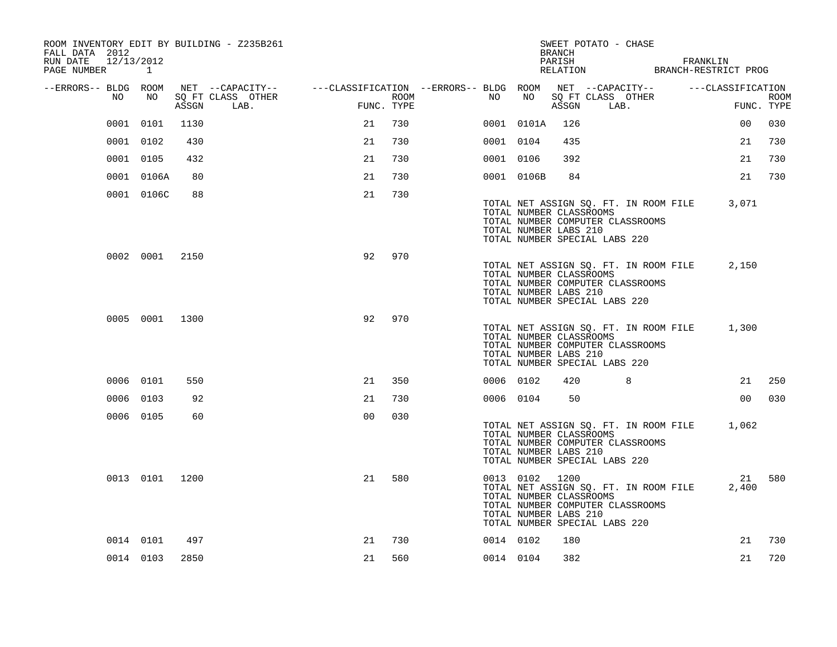| ROOM INVENTORY EDIT BY BUILDING - Z235B261<br>FALL DATA 2012 |                |       |                                                                                                                             |                                                   |      |           |                                                                    | BRANCH | SWEET POTATO - CHASE                                                                                       |                                                              |                    |
|--------------------------------------------------------------|----------------|-------|-----------------------------------------------------------------------------------------------------------------------------|---------------------------------------------------|------|-----------|--------------------------------------------------------------------|--------|------------------------------------------------------------------------------------------------------------|--------------------------------------------------------------|--------------------|
| RUN DATE 12/13/2012<br>PAGE NUMBER 1                         |                |       |                                                                                                                             |                                                   |      |           |                                                                    | PARISH |                                                                                                            | FRANKLIN<br>PARISH FRANKLIN<br>RELATION BRANCH-RESTRICT PROG |                    |
| --ERRORS-- BLDG ROOM<br>NO                                   | NO             | ASSGN | NET --CAPACITY-- - ---CLASSIFICATION --ERRORS-- BLDG ROOM NET --CAPACITY-- - ---CLASSIFICATION<br>SQ FT CLASS OTHER<br>LAB. | and a strategic and a strategic and<br>FUNC. TYPE | ROOM | NO        | NO                                                                 | ASSGN  | SQ FT CLASS OTHER<br>LAB.                                                                                  |                                                              | ROOM<br>FUNC. TYPE |
|                                                              | 0001 0101      | 1130  |                                                                                                                             | 21                                                | 730  |           | 0001 0101A                                                         | 126    |                                                                                                            | 0 <sub>0</sub>                                               | 030                |
|                                                              | 0001 0102      | 430   |                                                                                                                             | 21                                                | 730  | 0001 0104 |                                                                    | 435    |                                                                                                            | 21                                                           | 730                |
|                                                              | 0001 0105      | 432   |                                                                                                                             | 21                                                | 730  | 0001 0106 |                                                                    | 392    |                                                                                                            | 21                                                           | 730                |
|                                                              | 0001 0106A     | 80    |                                                                                                                             | 21                                                | 730  |           | 0001 0106B                                                         | 84     |                                                                                                            | 21                                                           | 730                |
|                                                              | 0001 0106C     | 88    |                                                                                                                             | 21                                                | 730  |           | TOTAL NUMBER CLASSROOMS<br>TOTAL NUMBER LABS 210                   |        | TOTAL NUMBER COMPUTER CLASSROOMS<br>TOTAL NUMBER SPECIAL LABS 220                                          | TOTAL NET ASSIGN SQ. FT. IN ROOM FILE 3,071                  |                    |
|                                                              | 0002 0001 2150 |       |                                                                                                                             | 92                                                | 970  |           | TOTAL NUMBER CLASSROOMS<br>TOTAL NUMBER LABS 210                   |        | TOTAL NET ASSIGN SQ. FT. IN ROOM FILE<br>TOTAL NUMBER COMPUTER CLASSROOMS<br>TOTAL NUMBER SPECIAL LABS 220 | 2,150                                                        |                    |
|                                                              | 0005 0001 1300 |       |                                                                                                                             | 92                                                | 970  |           | TOTAL NUMBER CLASSROOMS<br>TOTAL NUMBER LABS 210                   |        | TOTAL NUMBER COMPUTER CLASSROOMS<br>TOTAL NUMBER SPECIAL LABS 220                                          | TOTAL NET ASSIGN SQ. FT. IN ROOM FILE 1,300                  |                    |
|                                                              | 0006 0101      | 550   |                                                                                                                             | 21                                                | 350  | 0006 0102 |                                                                    | 420    | 8                                                                                                          | 21                                                           | 250                |
|                                                              | 0006 0103      | 92    |                                                                                                                             | 21                                                | 730  | 0006 0104 |                                                                    | 50     |                                                                                                            | 0 <sub>0</sub>                                               | 030                |
|                                                              | 0006 0105      | 60    |                                                                                                                             | 0 <sub>0</sub>                                    | 030  |           | TOTAL NUMBER CLASSROOMS<br>TOTAL NUMBER LABS 210                   |        | TOTAL NUMBER COMPUTER CLASSROOMS<br>TOTAL NUMBER SPECIAL LABS 220                                          | TOTAL NET ASSIGN SQ. FT. IN ROOM FILE 1,062                  |                    |
|                                                              | 0013 0101 1200 |       |                                                                                                                             | 21                                                | 580  |           | 0013 0102 1200<br>TOTAL NUMBER CLASSROOMS<br>TOTAL NUMBER LABS 210 |        | TOTAL NET ASSIGN SQ. FT. IN ROOM FILE<br>TOTAL NUMBER COMPUTER CLASSROOMS<br>TOTAL NUMBER SPECIAL LABS 220 | 2,400                                                        | 21 580             |
|                                                              | 0014 0101      | 497   |                                                                                                                             | 21                                                | 730  | 0014 0102 |                                                                    | 180    |                                                                                                            | 21                                                           | 730                |
|                                                              | 0014 0103      | 2850  |                                                                                                                             | 21                                                | 560  | 0014 0104 |                                                                    | 382    |                                                                                                            | 21                                                           | 720                |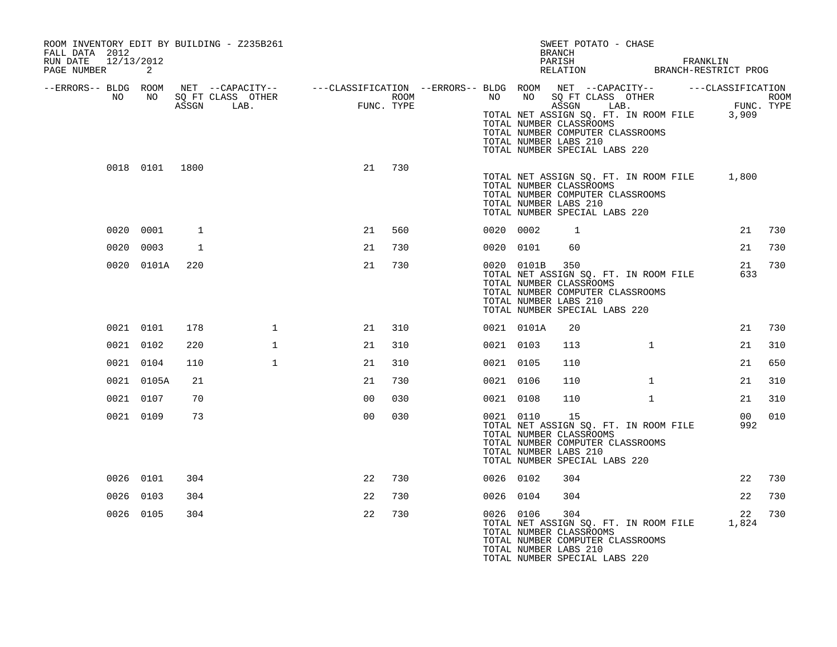| ROOM INVENTORY EDIT BY BUILDING - Z235B261<br>FALL DATA 2012<br>RUN DATE 12/13/2012<br>PAGE NUMBER | 2              |     |                                                                                                                                                                                                                       |                |        |           |                | SWEET POTATO - CHASE<br>BRANCH<br>PARISH FRANKLIN RELATION BRANCH-RESTRICT PROG                                                                                                                                               |              |                        |        |
|----------------------------------------------------------------------------------------------------|----------------|-----|-----------------------------------------------------------------------------------------------------------------------------------------------------------------------------------------------------------------------|----------------|--------|-----------|----------------|-------------------------------------------------------------------------------------------------------------------------------------------------------------------------------------------------------------------------------|--------------|------------------------|--------|
| --ERRORS-- BLDG ROOM<br>NO                                                                         |                |     |                                                                                                                                                                                                                       |                |        |           |                |                                                                                                                                                                                                                               |              |                        |        |
|                                                                                                    |                |     | ROOM NET --CAPACITY-- ---CLASSIFICATION --ERRORS---BLDG ROOM NET --CAPACITY-- -----CLASSIFICATION<br>NO SQ FT CLASS OTHER ROOM ROOM NO SQ FT CLASS OTHER ROOM<br>ASSGN LAB. FUNC.TYPE ASSGN LAB. FUNC.TYPE ASSGN LAB. |                |        |           |                | NO NO SOFT CLASS OTHER<br>NO NO SOFT CLASS OTHER ROOM<br>TOTAL NET ASSIGN SQ. FT. IN ROOM FILE 3,909<br>TOTAL NUMBER CLASSROOMS<br>TOTAL NUMBER COMPUTER CLASSROOMS<br>TOTAL NUMBER LABS 210<br>TOTAL NUMBER SPECIAL LABS 220 |              |                        |        |
|                                                                                                    | 0018 0101 1800 |     |                                                                                                                                                                                                                       |                | 21 730 |           |                | TOTAL NET ASSIGN SQ. FT. IN ROOM FILE 1,800<br>TOTAL NUMBER CLASSROOMS<br>TOTAL NUMBER COMPUTER CLASSROOMS<br>TOTAL NUMBER LABS 210<br>TOTAL NUMBER SPECIAL LABS 220                                                          |              |                        |        |
|                                                                                                    | 0020 0001      | 1   |                                                                                                                                                                                                                       | 21             | 560    | 0020 0002 |                | $\overline{1}$                                                                                                                                                                                                                |              |                        | 21 730 |
|                                                                                                    | 0020 0003      | 1   |                                                                                                                                                                                                                       | 21             | 730    |           | 0020 0101      | 60                                                                                                                                                                                                                            |              | 21                     | 730    |
|                                                                                                    | 0020 0101A     | 220 |                                                                                                                                                                                                                       | 21             | 730    |           | 0020 0101B 350 | TOTAL NET ASSIGN SQ. FT. IN ROOM FILE<br>TOTAL NUMBER CLASSROOMS<br>TOTAL NUMBER COMPUTER CLASSROOMS<br>TOTAL NUMBER LABS 210<br>TOTAL NUMBER SPECIAL LABS 220                                                                |              | 21<br>633              | 730    |
|                                                                                                    | 0021 0101      | 178 | $\mathbf{1}$                                                                                                                                                                                                          | 21             | 310    |           | 0021 0101A     | 20                                                                                                                                                                                                                            |              | 21                     | 730    |
|                                                                                                    | 0021 0102      | 220 | $\mathbf{1}$                                                                                                                                                                                                          | 21             | 310    | 0021 0103 |                | 113                                                                                                                                                                                                                           | $\mathbf{1}$ | 21                     | 310    |
|                                                                                                    | 0021 0104      | 110 | $\mathbf{1}$                                                                                                                                                                                                          | 21             | 310    | 0021 0105 |                | 110                                                                                                                                                                                                                           |              | 21                     | 650    |
|                                                                                                    | 0021 0105A     | 21  |                                                                                                                                                                                                                       | 21             | 730    | 0021 0106 |                | 110                                                                                                                                                                                                                           | $\mathbf{1}$ | 21                     | 310    |
|                                                                                                    | 0021 0107      | 70  |                                                                                                                                                                                                                       | 0 <sub>0</sub> | 030    | 0021 0108 |                | 110                                                                                                                                                                                                                           | $\mathbf{1}$ | 21                     | 310    |
|                                                                                                    | 0021 0109      | 73  |                                                                                                                                                                                                                       | 0 <sub>0</sub> | 030    |           | 0021 0110      | 15<br>TOTAL NET ASSIGN SQ. FT. IN ROOM FILE<br>TOTAL NUMBER CLASSROOMS<br>TOTAL NUMBER COMPUTER CLASSROOMS<br>TOTAL NUMBER LABS 210<br>TOTAL NUMBER SPECIAL LABS 220                                                          |              | 00 <sup>1</sup><br>992 | 010    |
|                                                                                                    | 0026 0101      | 304 |                                                                                                                                                                                                                       | 22             | 730    | 0026 0102 |                | 304                                                                                                                                                                                                                           |              | 22                     | 730    |
|                                                                                                    | 0026 0103      | 304 |                                                                                                                                                                                                                       | 22             | 730    | 0026 0104 |                | 304                                                                                                                                                                                                                           |              | 22                     | 730    |
|                                                                                                    | 0026 0105      | 304 |                                                                                                                                                                                                                       | 22             | 730    |           | 0026 0106      | 304<br>TOTAL NET ASSIGN SQ. FT. IN ROOM FILE 1,824<br>TOTAL NUMBER CLASSROOMS<br>TOTAL NUMBER COMPUTER CLASSROOMS<br>TOTAL NUMBER LABS 210<br>TOTAL NUMBER SPECIAL LABS 220                                                   |              | 22                     | 730    |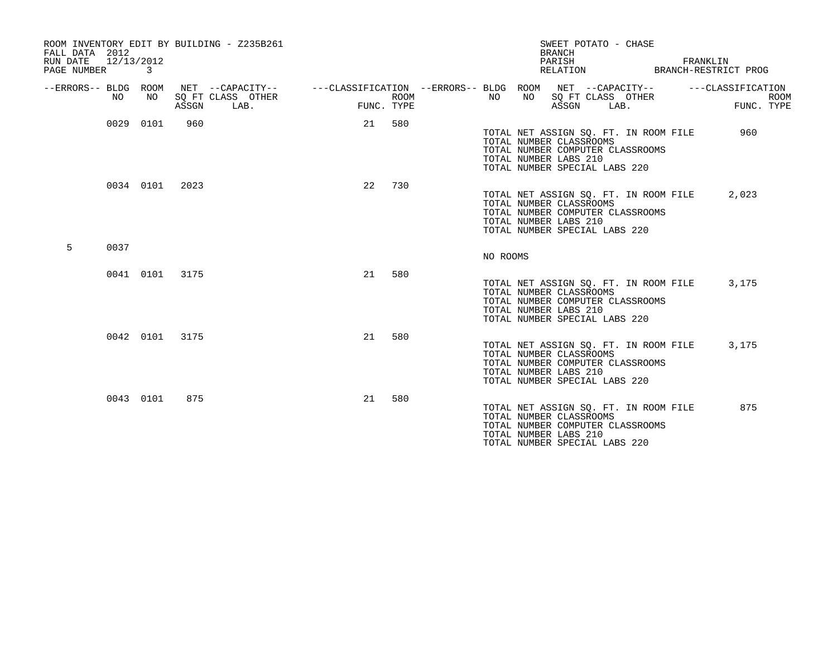| FALL DATA 2012<br>RUN DATE<br>PAGE NUMBER | 12/13/2012 | 3         |                | ROOM INVENTORY EDIT BY BUILDING - Z235B261    |                                                                             |                    |          |    | SWEET POTATO - CHASE<br><b>BRANCH</b><br>PARISH<br>RELATION                                                                                                    |      | FRANKLIN<br>BRANCH-RESTRICT PROG |            |             |
|-------------------------------------------|------------|-----------|----------------|-----------------------------------------------|-----------------------------------------------------------------------------|--------------------|----------|----|----------------------------------------------------------------------------------------------------------------------------------------------------------------|------|----------------------------------|------------|-------------|
| --ERRORS-- BLDG ROOM                      | NO         | NO        | ASSGN          | NET --CAPACITY--<br>SO FT CLASS OTHER<br>LAB. | ---CLASSIFICATION --ERRORS-- BLDG ROOM NET --CAPACITY--   ---CLASSIFICATION | ROOM<br>FUNC. TYPE | NO       | NO | SQ FT CLASS OTHER<br>ASSGN                                                                                                                                     | LAB. |                                  | FUNC. TYPE | <b>ROOM</b> |
|                                           |            | 0029 0101 | 960            |                                               | 21                                                                          | 580                |          |    | TOTAL NET ASSIGN SQ. FT. IN ROOM FILE<br>TOTAL NUMBER CLASSROOMS<br>TOTAL NUMBER COMPUTER CLASSROOMS<br>TOTAL NUMBER LABS 210<br>TOTAL NUMBER SPECIAL LABS 220 |      |                                  | 960        |             |
|                                           |            |           | 0034 0101 2023 |                                               | 22                                                                          | 730                |          |    | TOTAL NET ASSIGN SQ. FT. IN ROOM FILE<br>TOTAL NUMBER CLASSROOMS<br>TOTAL NUMBER COMPUTER CLASSROOMS<br>TOTAL NUMBER LABS 210<br>TOTAL NUMBER SPECIAL LABS 220 |      |                                  | 2,023      |             |
| 5                                         | 0037       |           |                |                                               |                                                                             |                    | NO ROOMS |    |                                                                                                                                                                |      |                                  |            |             |
|                                           |            |           | 0041 0101 3175 |                                               | 21                                                                          | 580                |          |    | TOTAL NET ASSIGN SQ. FT. IN ROOM FILE<br>TOTAL NUMBER CLASSROOMS<br>TOTAL NUMBER COMPUTER CLASSROOMS<br>TOTAL NUMBER LABS 210<br>TOTAL NUMBER SPECIAL LABS 220 |      |                                  | 3,175      |             |
|                                           |            |           | 0042 0101 3175 |                                               | 21                                                                          | 580                |          |    | TOTAL NET ASSIGN SQ. FT. IN ROOM FILE<br>TOTAL NUMBER CLASSROOMS<br>TOTAL NUMBER COMPUTER CLASSROOMS<br>TOTAL NUMBER LABS 210<br>TOTAL NUMBER SPECIAL LABS 220 |      |                                  | 3,175      |             |
|                                           |            | 0043 0101 | 875            |                                               | 21                                                                          | 580                |          |    | TOTAL NET ASSIGN SQ. FT. IN ROOM FILE<br>TOTAL NUMBER CLASSROOMS<br>TOTAL NUMBER COMPUTER CLASSROOMS<br>TOTAL NUMBER LABS 210<br>TOTAL NUMBER SPECIAL LABS 220 |      |                                  | 875        |             |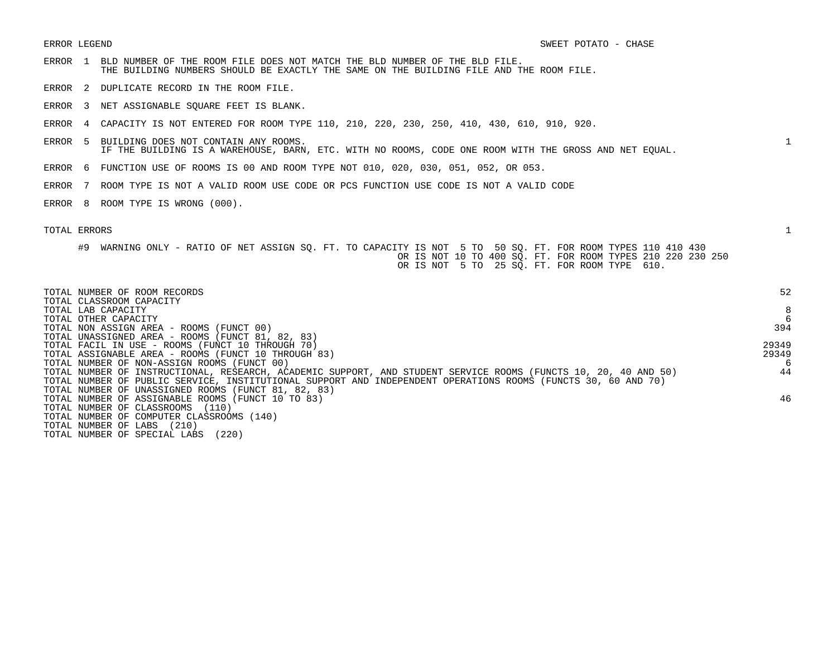- ERROR 1 BLD NUMBER OF THE ROOM FILE DOES NOT MATCH THE BLD NUMBER OF THE BLD FILE. THE BUILDING NUMBERS SHOULD BE EXACTLY THE SAME ON THE BUILDING FILE AND THE ROOM FILE.
- ERROR 2 DUPLICATE RECORD IN THE ROOM FILE.
- ERROR 3 NET ASSIGNABLE SQUARE FEET IS BLANK.
- ERROR 4 CAPACITY IS NOT ENTERED FOR ROOM TYPE 110, 210, 220, 230, 250, 410, 430, 610, 910, 920.
- ERROR 5 BUILDING DOES NOT CONTAIN ANY ROOMS. 1 IF THE BUILDING IS A WAREHOUSE, BARN, ETC. WITH NO ROOMS, CODE ONE ROOM WITH THE GROSS AND NET EQUAL.
- ERROR 6 FUNCTION USE OF ROOMS IS 00 AND ROOM TYPE NOT 010, 020, 030, 051, 052, OR 053.
- ERROR 7 ROOM TYPE IS NOT A VALID ROOM USE CODE OR PCS FUNCTION USE CODE IS NOT A VALID CODE
- ERROR 8 ROOM TYPE IS WRONG (000).

|  |  |  |  |  | #9 WARNING ONLY - RATIO OF NET ASSIGN SO. FT. TO CAPACITY IS NOT 5 TO 50 SO. FT. FOR ROOM TYPES 110 410 430 |  |  |  |  |                                                            |  |  |  |
|--|--|--|--|--|-------------------------------------------------------------------------------------------------------------|--|--|--|--|------------------------------------------------------------|--|--|--|
|  |  |  |  |  |                                                                                                             |  |  |  |  | OR IS NOT 10 TO 400 SO. FT. FOR ROOM TYPES 210 220 230 250 |  |  |  |
|  |  |  |  |  |                                                                                                             |  |  |  |  | OR IS NOT 5 TO 25 SO. FT. FOR ROOM TYPE 610.               |  |  |  |

| TOTAL NUMBER OF ROOM RECORDS<br>TOTAL CLASSROOM CAPACITY                                                        | 52         |
|-----------------------------------------------------------------------------------------------------------------|------------|
| TOTAL LAB CAPACITY                                                                                              | 8          |
| TOTAL OTHER CAPACITY<br>TOTAL NON ASSIGN AREA - ROOMS (FUNCT 00)                                                | 6<br>394   |
| TOTAL UNASSIGNED AREA - ROOMS (FUNCT 81, 82, 83)                                                                |            |
| TOTAL FACIL IN USE - ROOMS (FUNCT 10 THROUGH 70)                                                                | 29349      |
| TOTAL ASSIGNABLE AREA - ROOMS (FUNCT 10 THROUGH 83)<br>TOTAL NUMBER OF NON-ASSIGN ROOMS (FUNCT 00)              | 29349<br>6 |
| TOTAL NUMBER OF INSTRUCTIONAL, RESEARCH, ACADEMIC SUPPORT, AND STUDENT SERVICE ROOMS (FUNCTS 10, 20, 40 AND 50) | 44         |
| TOTAL NUMBER OF PUBLIC SERVICE, INSTITUTIONAL SUPPORT AND INDEPENDENT OPERATIONS ROOMS (FUNCTS 30, 60 AND 70)   |            |
| TOTAL NUMBER OF UNASSIGNED ROOMS (FUNCT 81, 82, 83)<br>TOTAL NUMBER OF ASSIGNABLE ROOMS (FUNCT 10 TO 83)        | 46         |
| TOTAL NUMBER OF CLASSROOMS<br>(110)                                                                             |            |
| TOTAL NUMBER OF COMPUTER CLASSROOMS (140)                                                                       |            |
| (210)<br>TOTAL NUMBER OF LABS                                                                                   |            |
| (220)<br>TOTAL NUMBER OF SPECIAL LABS                                                                           |            |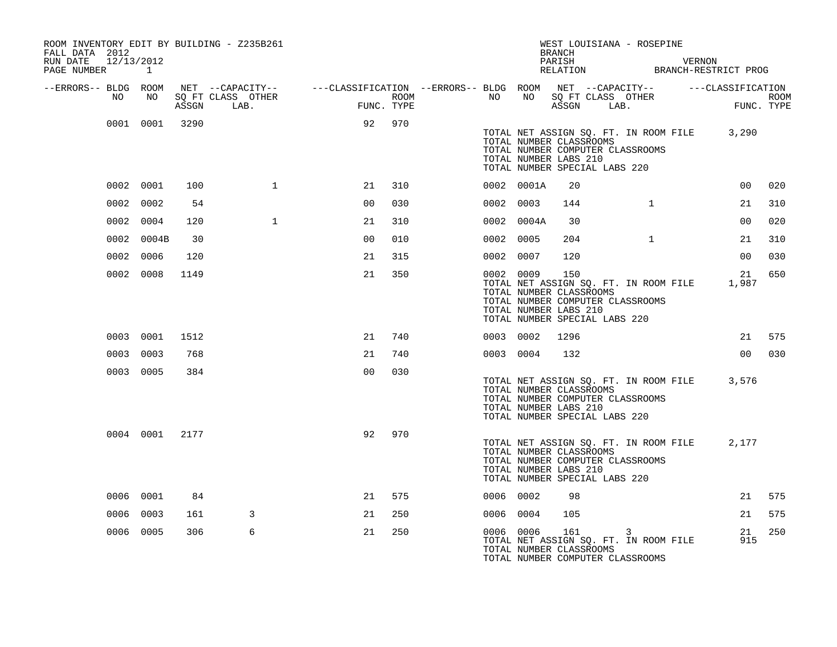| ROOM INVENTORY EDIT BY BUILDING - Z235B261<br>FALL DATA 2012<br>RUN DATE 12/13/2012<br>PAGE NUMBER 1 |                 |       |              |                |     |                  |           |            | BRANCH                                                                                   | WEST LOUISIANA - ROSEPINE                                                       | PARISH VERNON RELATION BRANCH-RESTRICT PROG                                                                          |  |
|------------------------------------------------------------------------------------------------------|-----------------|-------|--------------|----------------|-----|------------------|-----------|------------|------------------------------------------------------------------------------------------|---------------------------------------------------------------------------------|----------------------------------------------------------------------------------------------------------------------|--|
| --ERRORS-- BLDG ROOM<br>NO                                                                           | NO <sub>N</sub> | ASSGN | LAB.         | FUNC. TYPE     |     | ROOM <b>ROOM</b> |           |            |                                                                                          | NO NO SQ FT CLASS OTHER<br>ASSGN LAB.                                           | NET --CAPACITY-- - ---CLASSIFICATION --ERRORS-- BLDG ROOM NET --CAPACITY-- - ---CLASSIFICATION<br>ROOM<br>FUNC. TYPE |  |
|                                                                                                      | 0001 0001 3290  |       |              | 92 970         |     |                  |           |            | TOTAL NUMBER CLASSROOMS<br>TOTAL NUMBER LABS 210<br>TOTAL NUMBER SPECIAL LABS 220        | TOTAL NET ASSIGN SQ. FT. IN ROOM FILE 3,290<br>TOTAL NUMBER COMPUTER CLASSROOMS |                                                                                                                      |  |
|                                                                                                      | 0002 0001       | 100   | $\mathbf{1}$ | 21             | 310 |                  |           | 0002 0001A | 20                                                                                       |                                                                                 | 00 <sub>o</sub><br>020                                                                                               |  |
|                                                                                                      | 0002 0002       | 54    |              | 0 <sub>0</sub> | 030 |                  |           | 0002 0003  | 144                                                                                      | $\mathbf{1}$                                                                    | 310<br>21                                                                                                            |  |
|                                                                                                      | 0002 0004       | 120   | $\mathbf{1}$ | 21             | 310 |                  |           | 0002 0004A | 30                                                                                       |                                                                                 | 00<br>020                                                                                                            |  |
|                                                                                                      | 0002 0004B      | 30    |              | 0 <sub>0</sub> | 010 |                  | 0002 0005 |            | 204                                                                                      | $\mathbf{1}$                                                                    | 310<br>21                                                                                                            |  |
|                                                                                                      | 0002 0006       | 120   |              | 21             | 315 |                  | 0002 0007 |            | 120                                                                                      |                                                                                 | 030<br>00 <sub>o</sub>                                                                                               |  |
|                                                                                                      | 0002 0008       | 1149  |              | 21             | 350 |                  |           | 0002 0009  | 150<br>TOTAL NUMBER CLASSROOMS<br>TOTAL NUMBER LABS 210<br>TOTAL NUMBER SPECIAL LABS 220 | TOTAL NET ASSIGN SQ. FT. IN ROOM FILE<br>TOTAL NUMBER COMPUTER CLASSROOMS       | 650<br>21<br>1,987                                                                                                   |  |
|                                                                                                      | 0003 0001       | 1512  |              | 21             | 740 |                  |           | 0003 0002  | 1296                                                                                     |                                                                                 | 21 575                                                                                                               |  |
|                                                                                                      | 0003 0003       | 768   |              | 21             | 740 |                  |           | 0003 0004  | 132                                                                                      |                                                                                 | 00 030                                                                                                               |  |
|                                                                                                      | 0003 0005       | 384   |              | 0 <sub>0</sub> | 030 |                  |           |            | TOTAL NUMBER CLASSROOMS<br>TOTAL NUMBER LABS 210<br>TOTAL NUMBER SPECIAL LABS 220        | TOTAL NET ASSIGN SQ. FT. IN ROOM FILE<br>TOTAL NUMBER COMPUTER CLASSROOMS       | 3,576                                                                                                                |  |
|                                                                                                      | 0004 0001 2177  |       |              | 92             | 970 |                  |           |            | TOTAL NUMBER CLASSROOMS<br>TOTAL NUMBER LABS 210<br>TOTAL NUMBER SPECIAL LABS 220        | TOTAL NET ASSIGN SQ. FT. IN ROOM FILE<br>TOTAL NUMBER COMPUTER CLASSROOMS       | 2,177                                                                                                                |  |
|                                                                                                      | 0006 0001       | 84    |              | 21             | 575 |                  | 0006 0002 |            | 98                                                                                       |                                                                                 | 21 575                                                                                                               |  |
|                                                                                                      | 0006 0003       | 161   | 3            | 21             | 250 |                  |           | 0006 0004  | 105                                                                                      |                                                                                 | 21<br>575                                                                                                            |  |
|                                                                                                      | 0006 0005       | 306   | 6            | 21             | 250 |                  |           |            | 0006 0006 161 3<br>TOTAL NUMBER CLASSROOMS                                               | TOTAL NET ASSIGN SO. FT. IN ROOM FILE<br>TOTAL NUMBER COMPUTER CLASSROOMS       | 250<br>21<br>915                                                                                                     |  |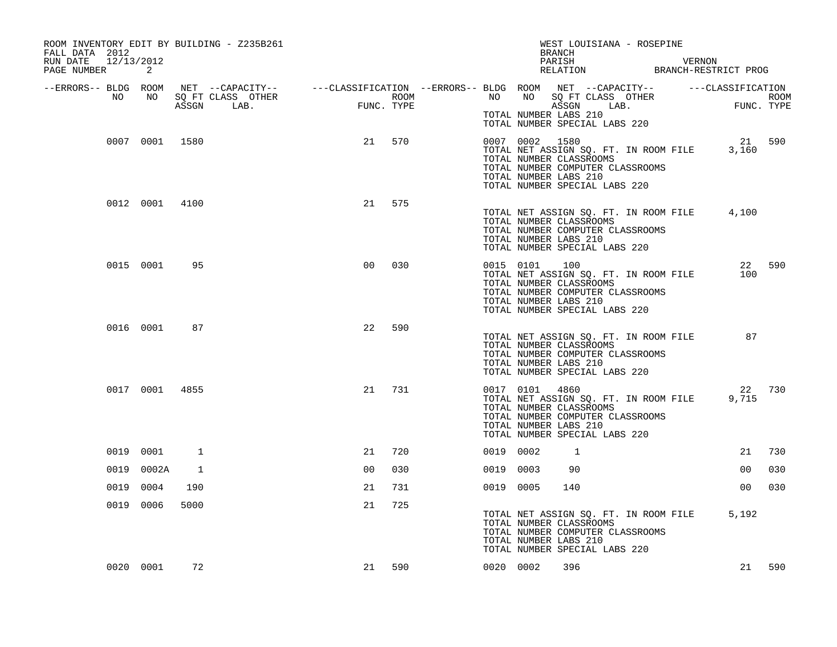| ROOM INVENTORY EDIT BY BUILDING - Z235B261<br>FALL DATA 2012<br>12/13/2012<br>RUN DATE<br>PAGE NUMBER | 2              |      |                |     |           |                | WEST LOUISIANA - ROSEPINE<br>BRANCH<br>PARISH VERNON RELATION BRANCH-RESTRICT PROG                                                                                                     |                 |        |
|-------------------------------------------------------------------------------------------------------|----------------|------|----------------|-----|-----------|----------------|----------------------------------------------------------------------------------------------------------------------------------------------------------------------------------------|-----------------|--------|
| --ERRORS-- BLDG ROOM                                                                                  |                |      |                |     |           |                |                                                                                                                                                                                        |                 |        |
| NO                                                                                                    | NO 11          |      |                |     |           |                | TOTAL NUMBER LABS 210<br>TOTAL NUMBER SPECIAL LABS 220                                                                                                                                 |                 |        |
|                                                                                                       | 0007 0001 1580 |      | 21             | 570 |           |                | 0007 0002 1580<br>TOTAL NET ASSIGN SQ. FT. IN ROOM FILE 3,160<br>TOTAL NUMBER CLASSROOMS<br>TOTAL NUMBER COMPUTER CLASSROOMS<br>TOTAL NUMBER LABS 210<br>TOTAL NUMBER SPECIAL LABS 220 | 21 590          |        |
|                                                                                                       | 0012 0001 4100 |      | 21             | 575 |           |                | TOTAL NET ASSIGN SQ. FT. IN ROOM FILE 4,100<br>TOTAL NUMBER CLASSROOMS<br>TOTAL NUMBER COMPUTER CLASSROOMS<br>TOTAL NUMBER LABS 210<br>TOTAL NUMBER SPECIAL LABS 220                   |                 |        |
|                                                                                                       | 0015 0001      | 95   | 0 <sup>0</sup> | 030 |           | 0015 0101 100  | TOTAL NET ASSIGN SQ. FT. IN ROOM FILE<br>TOTAL NUMBER CLASSROOMS<br>TOTAL NUMBER COMPUTER CLASSROOMS<br>TOTAL NUMBER LABS 210<br>TOTAL NUMBER SPECIAL LABS 220                         | 100             | 22 590 |
|                                                                                                       | 0016 0001      | 87   | 22             | 590 |           |                | TOTAL NET ASSIGN SQ. FT. IN ROOM FILE 87<br>TOTAL NUMBER CLASSROOMS<br>TOTAL NUMBER COMPUTER CLASSROOMS<br>TOTAL NUMBER LABS 210<br>TOTAL NUMBER SPECIAL LABS 220                      |                 |        |
|                                                                                                       | 0017 0001 4855 |      | 21             | 731 |           | 0017 0101 4860 | TOTAL NET ASSIGN SQ. FT. IN ROOM FILE<br>TOTAL NUMBER CLASSROOMS<br>TOTAL NUMBER COMPUTER CLASSROOMS<br>TOTAL NUMBER LABS 210<br>TOTAL NUMBER SPECIAL LABS 220                         | 9,715           | 22 730 |
|                                                                                                       | 0019 0001      | 1    | 21             | 720 | 0019 0002 |                | $\mathbf{1}$                                                                                                                                                                           | 21              | 730    |
|                                                                                                       | 0019 0002A     | 1    | 0 <sup>0</sup> | 030 | 0019 0003 |                | 90                                                                                                                                                                                     | 00              | 030    |
|                                                                                                       | 0019 0004      | 190  | 21             | 731 | 0019 0005 |                | 140                                                                                                                                                                                    | 00 <sub>o</sub> | 030    |
|                                                                                                       | 0019 0006      | 5000 | 21             | 725 |           |                | TOTAL NET ASSIGN SQ. FT. IN ROOM FILE<br>TOTAL NUMBER CLASSROOMS<br>TOTAL NUMBER COMPUTER CLASSROOMS<br>TOTAL NUMBER LABS 210<br>TOTAL NUMBER SPECIAL LABS 220                         | 5,192           |        |
|                                                                                                       | 0020 0001      | 72   | 21             | 590 | 0020 0002 |                | 396                                                                                                                                                                                    |                 | 21 590 |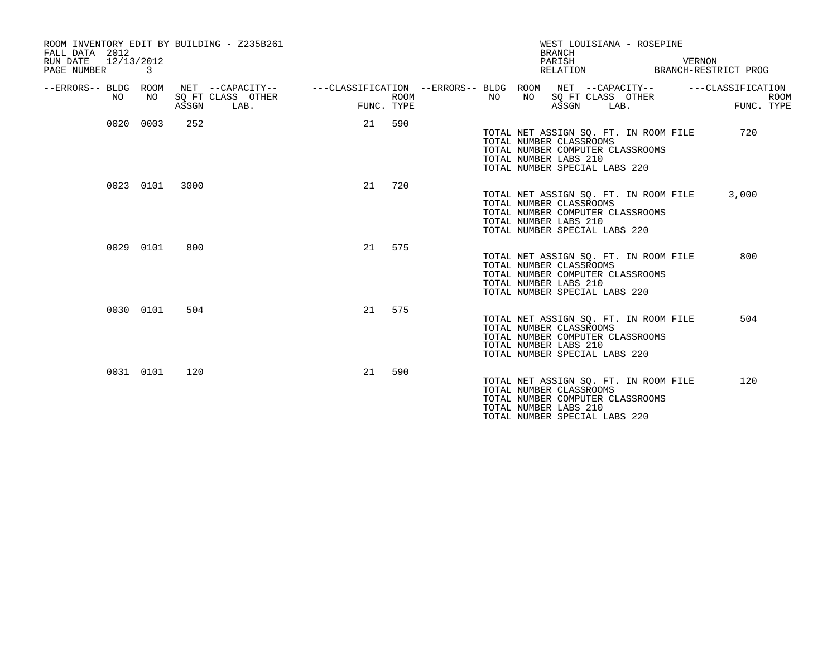| ROOM INVENTORY EDIT BY BUILDING - Z235B261<br>FALL DATA 2012<br>12/13/2012<br>RUN DATE<br>PAGE NUMBER | 3         |       |                                               |    |                    |                                                         |    |                                                                                   | <b>BRANCH</b><br>PARISH<br>RELATION |                           | WEST LOUISIANA - ROSEPINE                                                 | VERNON<br>BRANCH-RESTRICT PROG |            |             |
|-------------------------------------------------------------------------------------------------------|-----------|-------|-----------------------------------------------|----|--------------------|---------------------------------------------------------|----|-----------------------------------------------------------------------------------|-------------------------------------|---------------------------|---------------------------------------------------------------------------|--------------------------------|------------|-------------|
| --ERRORS-- BLDG ROOM<br>NO.                                                                           | NO        | ASSGN | NET --CAPACITY--<br>SQ FT CLASS OTHER<br>LAB. |    | ROOM<br>FUNC. TYPE | ---CLASSIFICATION --ERRORS-- BLDG ROOM NET --CAPACITY-- | NO | NO                                                                                | ASSGN                               | SQ FT CLASS OTHER<br>LAB. |                                                                           | ---CLASSIFICATION              | FUNC. TYPE | <b>ROOM</b> |
|                                                                                                       | 0020 0003 | 252   |                                               |    | 21 590             |                                                         |    | TOTAL NUMBER CLASSROOMS<br>TOTAL NUMBER LABS 210<br>TOTAL NUMBER SPECIAL LABS 220 |                                     |                           | TOTAL NET ASSIGN SQ. FT. IN ROOM FILE<br>TOTAL NUMBER COMPUTER CLASSROOMS |                                | 720        |             |
|                                                                                                       | 0023 0101 | 3000  |                                               | 21 | 720                |                                                         |    | TOTAL NUMBER CLASSROOMS<br>TOTAL NUMBER LABS 210<br>TOTAL NUMBER SPECIAL LABS 220 |                                     |                           | TOTAL NET ASSIGN SO. FT. IN ROOM FILE<br>TOTAL NUMBER COMPUTER CLASSROOMS |                                | 3,000      |             |
|                                                                                                       | 0029 0101 | 800   |                                               | 21 | 575                |                                                         |    | TOTAL NUMBER CLASSROOMS<br>TOTAL NUMBER LABS 210<br>TOTAL NUMBER SPECIAL LABS 220 |                                     |                           | TOTAL NET ASSIGN SO. FT. IN ROOM FILE<br>TOTAL NUMBER COMPUTER CLASSROOMS |                                | 800        |             |
|                                                                                                       | 0030 0101 | 504   |                                               | 21 | 575                |                                                         |    | TOTAL NUMBER CLASSROOMS<br>TOTAL NUMBER LABS 210<br>TOTAL NUMBER SPECIAL LABS 220 |                                     |                           | TOTAL NET ASSIGN SQ. FT. IN ROOM FILE<br>TOTAL NUMBER COMPUTER CLASSROOMS |                                | 504        |             |
|                                                                                                       | 0031 0101 | 120   |                                               | 21 | 590                |                                                         |    | TOTAL NUMBER CLASSROOMS<br>TOTAL NUMBER LABS 210<br>TOTAL NUMBER SPECIAL LABS 220 |                                     |                           | TOTAL NET ASSIGN SQ. FT. IN ROOM FILE<br>TOTAL NUMBER COMPUTER CLASSROOMS |                                | 120        |             |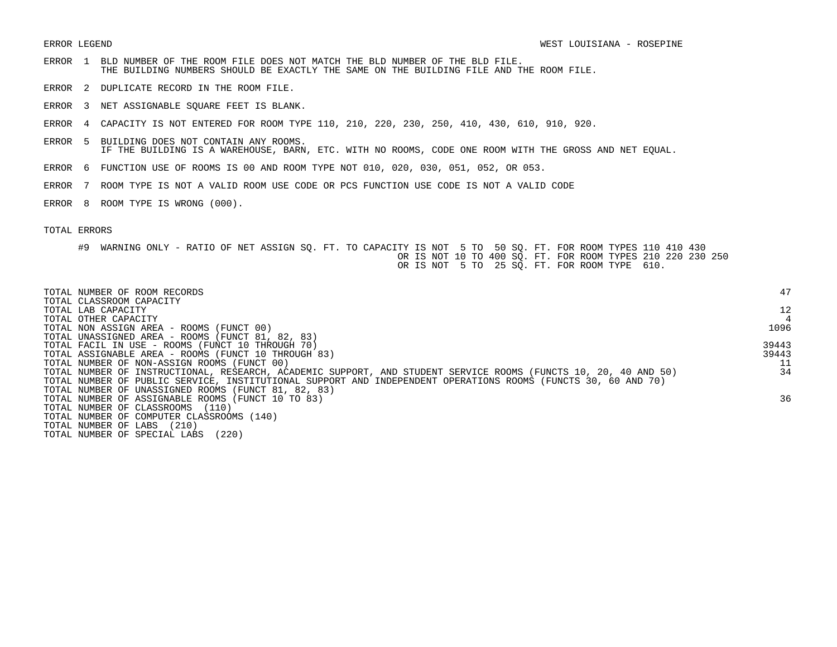- ERROR 1 BLD NUMBER OF THE ROOM FILE DOES NOT MATCH THE BLD NUMBER OF THE BLD FILE. THE BUILDING NUMBERS SHOULD BE EXACTLY THE SAME ON THE BUILDING FILE AND THE ROOM FILE.
- ERROR 2 DUPLICATE RECORD IN THE ROOM FILE.
- ERROR 3 NET ASSIGNABLE SQUARE FEET IS BLANK.
- ERROR 4 CAPACITY IS NOT ENTERED FOR ROOM TYPE 110, 210, 220, 230, 250, 410, 430, 610, 910, 920.
- ERROR 5 BUILDING DOES NOT CONTAIN ANY ROOMS. IF THE BUILDING IS A WAREHOUSE, BARN, ETC. WITH NO ROOMS, CODE ONE ROOM WITH THE GROSS AND NET EQUAL.
- ERROR 6 FUNCTION USE OF ROOMS IS 00 AND ROOM TYPE NOT 010, 020, 030, 051, 052, OR 053.
- ERROR 7 ROOM TYPE IS NOT A VALID ROOM USE CODE OR PCS FUNCTION USE CODE IS NOT A VALID CODE
- ERROR 8 ROOM TYPE IS WRONG (000).

| TOTAL NUMBER OF ROOM RECORDS<br>TOTAL CLASSROOM CAPACITY                                                        | 47    |
|-----------------------------------------------------------------------------------------------------------------|-------|
| TOTAL LAB CAPACITY                                                                                              | 12    |
| TOTAL OTHER CAPACITY                                                                                            |       |
| TOTAL NON ASSIGN AREA - ROOMS (FUNCT 00)                                                                        | 1096  |
| TOTAL UNASSIGNED AREA - ROOMS (FUNCT 81, 82, 83)                                                                |       |
| TOTAL FACIL IN USE - ROOMS (FUNCT 10 THROUGH 70)                                                                | 39443 |
| TOTAL ASSIGNABLE AREA - ROOMS (FUNCT 10 THROUGH 83)                                                             | 39443 |
| TOTAL NUMBER OF NON-ASSIGN ROOMS (FUNCT 00)                                                                     |       |
| TOTAL NUMBER OF INSTRUCTIONAL, RESEARCH, ACADEMIC SUPPORT, AND STUDENT SERVICE ROOMS (FUNCTS 10, 20, 40 AND 50) | 34    |
| TOTAL NUMBER OF PUBLIC SERVICE, INSTITUTIONAL SUPPORT AND INDEPENDENT OPERATIONS ROOMS (FUNCTS 30, 60 AND 70)   |       |
| TOTAL NUMBER OF UNASSIGNED ROOMS (FUNCT 81, 82, 83)                                                             |       |
| TOTAL NUMBER OF ASSIGNABLE ROOMS (FUNCT 10 TO 83)                                                               | 36    |
| TOTAL NUMBER OF CLASSROOMS<br>(110)                                                                             |       |
| TOTAL NUMBER OF COMPUTER CLASSROOMS (140)                                                                       |       |
| (210)<br>TOTAL NUMBER OF LABS                                                                                   |       |
| (220)<br>TOTAL NUMBER OF SPECIAL LABS                                                                           |       |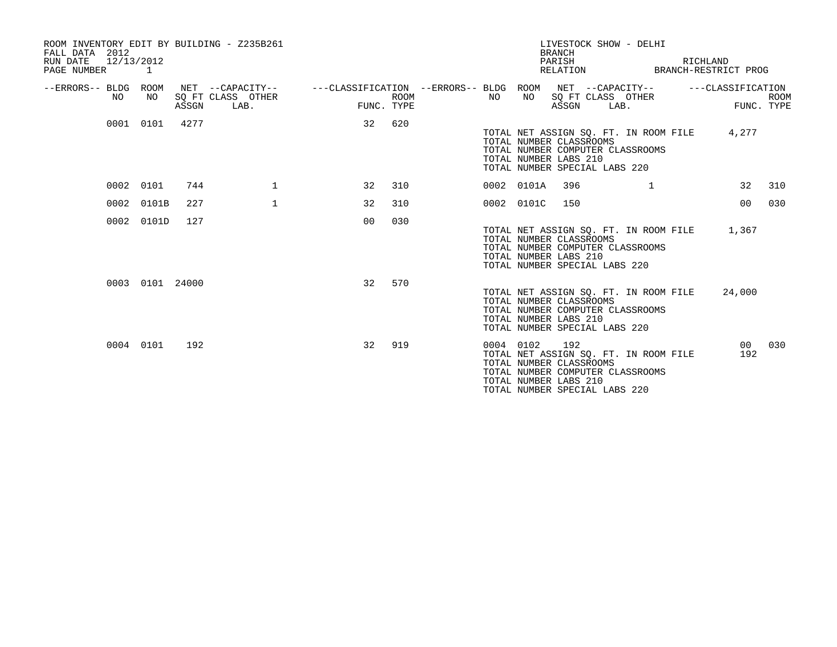| ROOM INVENTORY EDIT BY BUILDING - Z235B261<br>FALL DATA 2012<br>RUN DATE<br>PAGE NUMBER | 12/13/2012<br>1 |       |                           |                                                                                          |             |           |            | <b>BRANCH</b><br>PARISH                                 | LIVESTOCK SHOW - DELHI<br>RELATION BRANCH-RESTRICT PROG                                                          | RICHLAND          |                           |
|-----------------------------------------------------------------------------------------|-----------------|-------|---------------------------|------------------------------------------------------------------------------------------|-------------|-----------|------------|---------------------------------------------------------|------------------------------------------------------------------------------------------------------------------|-------------------|---------------------------|
| --ERRORS-- BLDG ROOM<br>NO.                                                             | NO              | ASSGN | SQ FT CLASS OTHER<br>LAB. | NET --CAPACITY--   ---CLASSIFICATION --ERRORS-- BLDG ROOM NET --CAPACITY--<br>FUNC. TYPE | <b>ROOM</b> | NO        | NO         | ASSGN                                                   | SQ FT CLASS OTHER<br>LAB.                                                                                        | ---CLASSIFICATION | <b>ROOM</b><br>FUNC. TYPE |
|                                                                                         | 0001 0101       | 4277  |                           | 32                                                                                       | 620         |           |            | TOTAL NUMBER CLASSROOMS<br>TOTAL NUMBER LABS 210        | TOTAL NET ASSIGN SO. FT. IN ROOM FILE<br>TOTAL NUMBER COMPUTER CLASSROOMS<br>TOTAL NUMBER SPECIAL LABS 220       | 4,277             |                           |
| 0002                                                                                    | 0101            | 744   | $\mathbf{1}$              | 32                                                                                       | 310         |           | 0002 0101A | 396                                                     | $\mathbf{1}$                                                                                                     | 32                | 310                       |
| 0002                                                                                    | 0101B           | 227   | $\mathbf 1$               | 32                                                                                       | 310         |           | 0002 0101C | 150                                                     |                                                                                                                  | 00 <sub>o</sub>   | 030                       |
| 0002                                                                                    | 0101D           | 127   |                           | 0 <sup>0</sup>                                                                           | 030         |           |            | TOTAL NUMBER CLASSROOMS<br>TOTAL NUMBER LABS 210        | TOTAL NET ASSIGN SQ. FT. IN ROOM FILE 1,367<br>TOTAL NUMBER COMPUTER CLASSROOMS<br>TOTAL NUMBER SPECIAL LABS 220 |                   |                           |
|                                                                                         | 0003 0101 24000 |       |                           | 32                                                                                       | 570         |           |            | TOTAL NUMBER CLASSROOMS<br>TOTAL NUMBER LABS 210        | TOTAL NET ASSIGN SO. FT. IN ROOM FILE<br>TOTAL NUMBER COMPUTER CLASSROOMS<br>TOTAL NUMBER SPECIAL LABS 220       | 24,000            |                           |
|                                                                                         | 0004 0101       | 192   |                           | 32                                                                                       | 919         | 0004 0102 |            | 192<br>TOTAL NUMBER CLASSROOMS<br>TOTAL NUMBER LABS 210 | TOTAL NET ASSIGN SQ. FT. IN ROOM FILE<br>TOTAL NUMBER COMPUTER CLASSROOMS<br>TOTAL NUMBER SPECIAL LABS 220       | 00<br>192         | 030                       |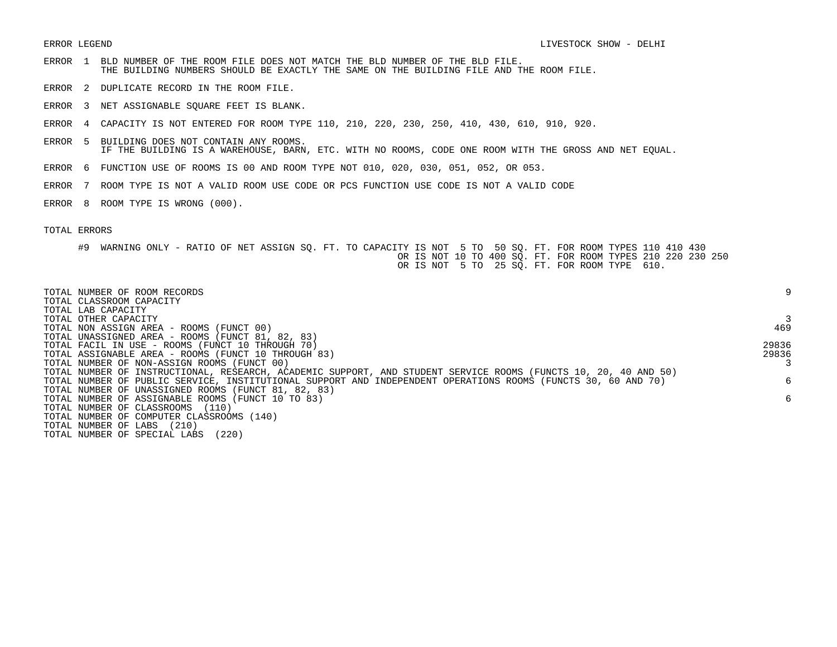- ERROR 1 BLD NUMBER OF THE ROOM FILE DOES NOT MATCH THE BLD NUMBER OF THE BLD FILE. THE BUILDING NUMBERS SHOULD BE EXACTLY THE SAME ON THE BUILDING FILE AND THE ROOM FILE.
- ERROR 2 DUPLICATE RECORD IN THE ROOM FILE.
- ERROR 3 NET ASSIGNABLE SQUARE FEET IS BLANK.
- ERROR 4 CAPACITY IS NOT ENTERED FOR ROOM TYPE 110, 210, 220, 230, 250, 410, 430, 610, 910, 920.
- ERROR 5 BUILDING DOES NOT CONTAIN ANY ROOMS. IF THE BUILDING IS A WAREHOUSE, BARN, ETC. WITH NO ROOMS, CODE ONE ROOM WITH THE GROSS AND NET EQUAL.
- ERROR 6 FUNCTION USE OF ROOMS IS 00 AND ROOM TYPE NOT 010, 020, 030, 051, 052, OR 053.
- ERROR 7 ROOM TYPE IS NOT A VALID ROOM USE CODE OR PCS FUNCTION USE CODE IS NOT A VALID CODE
- ERROR 8 ROOM TYPE IS WRONG (000).

| TOTAL NUMBER OF ROOM RECORDS<br>TOTAL CLASSROOM CAPACITY                                                        | 9     |
|-----------------------------------------------------------------------------------------------------------------|-------|
| TOTAL LAB CAPACITY                                                                                              |       |
| TOTAL OTHER CAPACITY                                                                                            |       |
| TOTAL NON ASSIGN AREA - ROOMS (FUNCT 00)                                                                        | 469   |
| TOTAL UNASSIGNED AREA - ROOMS (FUNCT 81, 82, 83)                                                                |       |
| TOTAL FACIL IN USE - ROOMS (FUNCT 10 THROUGH 70)                                                                | 29836 |
| TOTAL ASSIGNABLE AREA - ROOMS (FUNCT 10 THROUGH 83)                                                             | 29836 |
| TOTAL NUMBER OF NON-ASSIGN ROOMS (FUNCT 00)                                                                     |       |
| TOTAL NUMBER OF INSTRUCTIONAL, RESEARCH, ACADEMIC SUPPORT, AND STUDENT SERVICE ROOMS (FUNCTS 10, 20, 40 AND 50) |       |
| TOTAL NUMBER OF PUBLIC SERVICE, INSTITUTIONAL SUPPORT AND INDEPENDENT OPERATIONS ROOMS (FUNCTS 30, 60 AND 70)   | б.    |
| TOTAL NUMBER OF UNASSIGNED ROOMS (FUNCT 81, 82, 83)                                                             |       |
| TOTAL NUMBER OF ASSIGNABLE ROOMS (FUNCT 10 TO 83)                                                               | 6     |
| TOTAL NUMBER OF CLASSROOMS (110)                                                                                |       |
| TOTAL NUMBER OF COMPUTER CLASSROOMS (140)                                                                       |       |
| TOTAL NUMBER OF LABS<br>(210)                                                                                   |       |
| TOTAL NUMBER OF SPECIAL LABS<br>(220)                                                                           |       |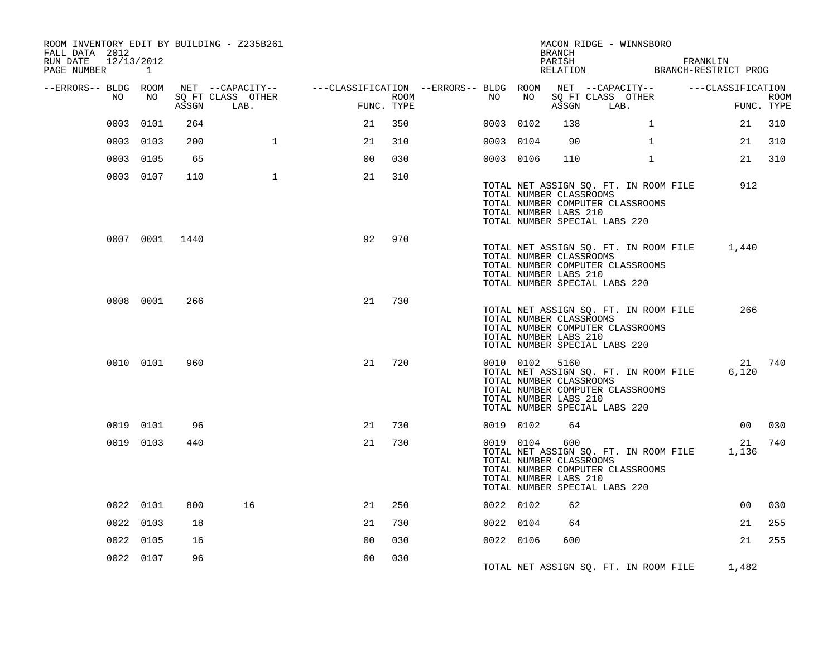| ROOM INVENTORY EDIT BY BUILDING - Z235B261<br>FALL DATA 2012<br>RUN DATE<br>12/13/2012<br>PAGE NUMBER 1 |                |       |                   |                                                                                                |      |           |           | BRANCH<br>PARISH                                                                                    |            | MACON RIDGE - WINNSBORO<br>PARISH FRANKLIN RELATION BRANCH-RESTRICT PROG        |                 |             |
|---------------------------------------------------------------------------------------------------------|----------------|-------|-------------------|------------------------------------------------------------------------------------------------|------|-----------|-----------|-----------------------------------------------------------------------------------------------------|------------|---------------------------------------------------------------------------------|-----------------|-------------|
| --ERRORS-- BLDG ROOM<br>NO                                                                              | NO             |       | SQ FT CLASS OTHER | NET --CAPACITY-- - ---CLASSIFICATION --ERRORS-- BLDG ROOM NET --CAPACITY-- - ---CLASSIFICATION | ROOM | NO        | NO        |                                                                                                     |            | SQ FT CLASS OTHER                                                               |                 | <b>ROOM</b> |
|                                                                                                         |                | ASSGN | LAB.              | FUNC. TYPE                                                                                     |      |           |           |                                                                                                     | ASSGN LAB. |                                                                                 |                 | FUNC. TYPE  |
| 0003                                                                                                    | 0101           | 264   |                   | 21                                                                                             | 350  | 0003 0102 |           | 138                                                                                                 |            | $\mathbf{1}$                                                                    | 21              | 310         |
|                                                                                                         | 0003 0103      | 200   | $\mathbf{1}$      | 21                                                                                             | 310  | 0003 0104 |           | 90                                                                                                  |            | $\mathbf{1}$                                                                    | 21              | 310         |
|                                                                                                         | 0003 0105      | 65    |                   | 0 <sup>0</sup>                                                                                 | 030  | 0003 0106 |           | 110                                                                                                 |            | $\mathbf{1}$                                                                    | 21              | 310         |
|                                                                                                         | 0003 0107      | 110   | $\mathbf{1}$      | 21                                                                                             | 310  |           |           | TOTAL NUMBER CLASSROOMS<br>TOTAL NUMBER LABS 210<br>TOTAL NUMBER SPECIAL LABS 220                   |            | TOTAL NET ASSIGN SQ. FT. IN ROOM FILE<br>TOTAL NUMBER COMPUTER CLASSROOMS       | 912             |             |
|                                                                                                         | 0007 0001 1440 |       |                   | 92                                                                                             | 970  |           |           | TOTAL NUMBER CLASSROOMS<br>TOTAL NUMBER LABS 210<br>TOTAL NUMBER SPECIAL LABS 220                   |            | TOTAL NET ASSIGN SQ. FT. IN ROOM FILE<br>TOTAL NUMBER COMPUTER CLASSROOMS       | 1,440           |             |
|                                                                                                         | 0008 0001      | 266   |                   | 21                                                                                             | 730  |           |           | TOTAL NUMBER CLASSROOMS<br>TOTAL NUMBER LABS 210<br>TOTAL NUMBER SPECIAL LABS 220                   |            | TOTAL NET ASSIGN SQ. FT. IN ROOM FILE<br>TOTAL NUMBER COMPUTER CLASSROOMS       | 266             |             |
|                                                                                                         | 0010 0101      | 960   |                   | 21                                                                                             | 720  |           |           | 0010 0102 5160<br>TOTAL NUMBER CLASSROOMS<br>TOTAL NUMBER LABS 210<br>TOTAL NUMBER SPECIAL LABS 220 |            | TOTAL NET ASSIGN SQ. FT. IN ROOM FILE<br>TOTAL NUMBER COMPUTER CLASSROOMS       | 6,120           | 21 740      |
|                                                                                                         | 0019 0101      | 96    |                   | 21                                                                                             | 730  | 0019 0102 |           | 64                                                                                                  |            |                                                                                 | 00 <sub>0</sub> | 030         |
|                                                                                                         | 0019 0103      | 440   |                   | 21                                                                                             | 730  |           | 0019 0104 | 600<br>TOTAL NUMBER CLASSROOMS<br>TOTAL NUMBER LABS 210<br>TOTAL NUMBER SPECIAL LABS 220            |            | TOTAL NET ASSIGN SQ. FT. IN ROOM FILE 1,136<br>TOTAL NUMBER COMPUTER CLASSROOMS | 21              | 740         |
|                                                                                                         | 0022 0101      | 800   | 16                | 21                                                                                             | 250  | 0022 0102 |           | 62                                                                                                  |            |                                                                                 | 00              | 030         |
|                                                                                                         | 0022 0103      | 18    |                   | 21                                                                                             | 730  | 0022 0104 |           | 64                                                                                                  |            |                                                                                 | 21              | 255         |
|                                                                                                         | 0022 0105      | 16    |                   | 0 <sub>0</sub>                                                                                 | 030  | 0022 0106 |           | 600                                                                                                 |            |                                                                                 | 21              | 255         |
|                                                                                                         | 0022 0107      | 96    |                   | 0 <sub>0</sub>                                                                                 | 030  |           |           |                                                                                                     |            | TOTAL NET ASSIGN SQ. FT. IN ROOM FILE 1,482                                     |                 |             |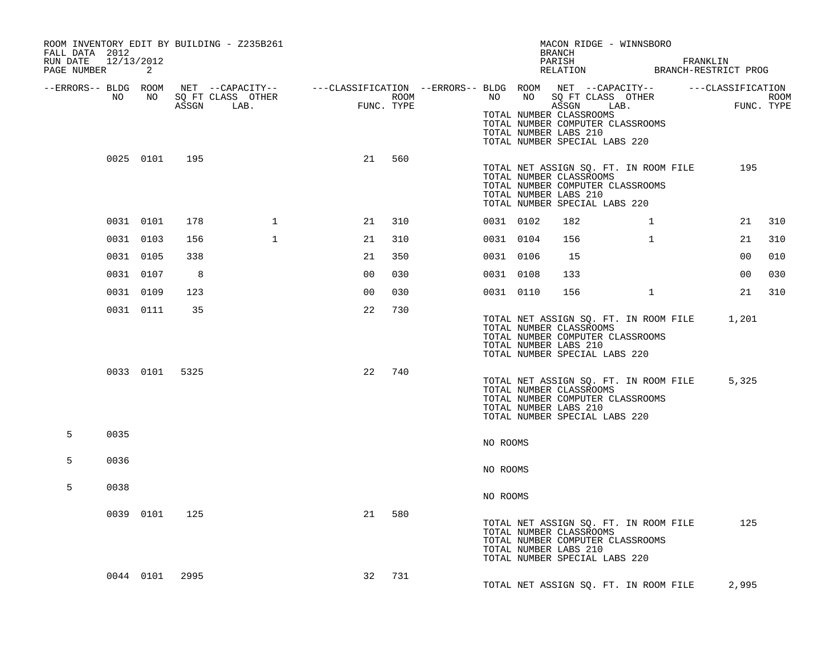| FALL DATA 2012<br>RUN DATE 12/13/2012<br>PAGE NUMBER |           | 2     |                | ROOM INVENTORY EDIT BY BUILDING - Z235B261                                                                                                            |                |            |                  |           |           | MACON RIDGE - WINNSBORO<br>BRANCH<br>PARISH FRANKLIN RELATION BRANCH-RESTRICT PROG                                                                                                         |              |       |     |
|------------------------------------------------------|-----------|-------|----------------|-------------------------------------------------------------------------------------------------------------------------------------------------------|----------------|------------|------------------|-----------|-----------|--------------------------------------------------------------------------------------------------------------------------------------------------------------------------------------------|--------------|-------|-----|
|                                                      | NO        | NO NO |                | --ERRORS-- BLDG ROOM NET --CAPACITY-- ----CLASSIFICATION --ERRORS-- BLDG ROOM NET --CAPACITY-- -----CLASSIFICATION<br>SQ FT CLASS OTHER<br>ASSGN LAB. | $_{\rm{FUNC}}$ | FUNC. TYPE | ROOM <b>ROOM</b> |           |           | ELDG ROOM<br>NO NO SQ FT CLASS OTHER ROOM<br>AGGCN LAB. FUNC TYPE<br>TOTAL NUMBER CLASSROOMS<br>TOTAL NUMBER COMPUTER CLASSROOMS<br>TOTAL NUMBER LABS 210<br>TOTAL NUMBER SPECIAL LABS 220 |              |       |     |
|                                                      |           |       | 0025 0101 195  |                                                                                                                                                       | 21             | 560        |                  |           |           | TOTAL NET ASSIGN SQ. FT. IN ROOM FILE<br>TOTAL NUMBER CLASSROOMS<br>TOTAL NUMBER COMPUTER CLASSROOMS<br>TOTAL NUMBER LABS 210<br>TOTAL NUMBER SPECIAL LABS 220                             |              | 195   |     |
|                                                      | 0031 0101 |       | 178            | $\mathbf{1}$                                                                                                                                          | 21             | 310        |                  |           | 0031 0102 | 182                                                                                                                                                                                        | $\mathbf{1}$ | 21    | 310 |
|                                                      | 0031 0103 |       | 156            | $\mathbf{1}$                                                                                                                                          | 21             | 310        |                  | 0031 0104 |           | 156                                                                                                                                                                                        | $\mathbf{1}$ | 21    | 310 |
|                                                      | 0031 0105 |       | 338            |                                                                                                                                                       | 21             | 350        |                  |           | 0031 0106 | 15                                                                                                                                                                                         |              | 00    | 010 |
|                                                      | 0031 0107 |       | 8              |                                                                                                                                                       | 0 <sub>0</sub> | 030        |                  | 0031 0108 |           | 133                                                                                                                                                                                        |              | 00    | 030 |
|                                                      | 0031 0109 |       | 123            |                                                                                                                                                       | 0 <sup>0</sup> | 030        |                  |           | 0031 0110 | 156                                                                                                                                                                                        | $\mathbf{1}$ | 21    | 310 |
|                                                      | 0031 0111 |       | 35             |                                                                                                                                                       | 22             | 730        |                  |           |           | TOTAL NET ASSIGN SQ. FT. IN ROOM FILE 1,201<br>TOTAL NUMBER CLASSROOMS<br>TOTAL NUMBER COMPUTER CLASSROOMS<br>TOTAL NUMBER LABS 210<br>TOTAL NUMBER SPECIAL LABS 220                       |              |       |     |
|                                                      |           |       | 0033 0101 5325 |                                                                                                                                                       | 22             | 740        |                  |           |           | TOTAL NET ASSIGN SQ. FT. IN ROOM FILE<br>TOTAL NUMBER CLASSROOMS<br>TOTAL NUMBER COMPUTER CLASSROOMS<br>TOTAL NUMBER LABS 210<br>TOTAL NUMBER SPECIAL LABS 220                             |              | 5,325 |     |
| 5                                                    | 0035      |       |                |                                                                                                                                                       |                |            |                  | NO ROOMS  |           |                                                                                                                                                                                            |              |       |     |
| 5                                                    | 0036      |       |                |                                                                                                                                                       |                |            |                  | NO ROOMS  |           |                                                                                                                                                                                            |              |       |     |
| 5                                                    | 0038      |       |                |                                                                                                                                                       |                |            |                  | NO ROOMS  |           |                                                                                                                                                                                            |              |       |     |
|                                                      | 0039 0101 |       | 125            |                                                                                                                                                       | 21             | 580        |                  |           |           | TOTAL NET ASSIGN SQ. FT. IN ROOM FILE<br>TOTAL NUMBER CLASSROOMS<br>TOTAL NUMBER COMPUTER CLASSROOMS<br>TOTAL NUMBER LABS 210<br>TOTAL NUMBER SPECIAL LABS 220                             |              | 125   |     |
|                                                      |           |       | 0044 0101 2995 |                                                                                                                                                       | 32             | 731        |                  |           |           | TOTAL NET ASSIGN SQ. FT. IN ROOM FILE                                                                                                                                                      |              | 2,995 |     |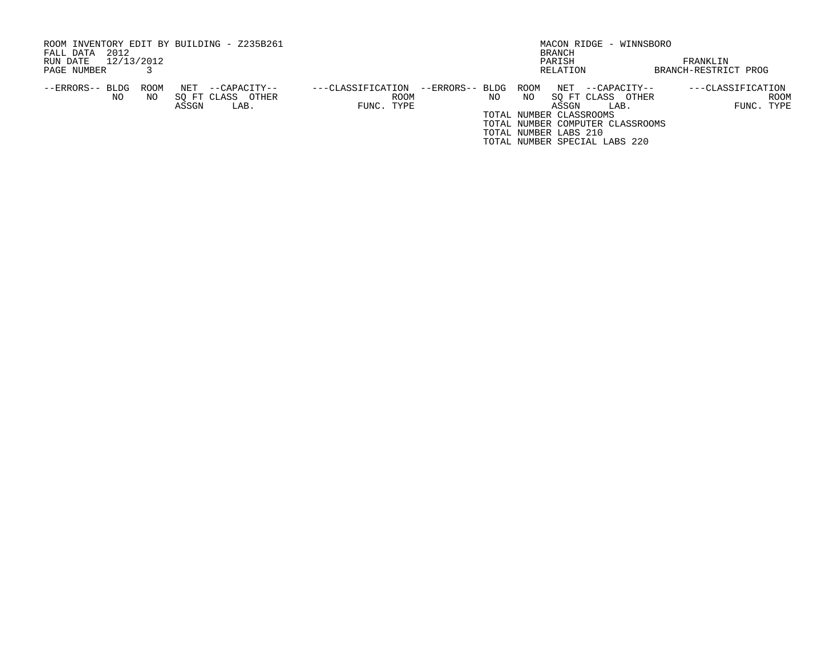| ROOM INVENTORY EDIT BY BUILDING - Z235B261<br>2012<br>FALL DATA |      |       |                   |                   |                 |     |      | BRANCH                  | MACON RIDGE - WINNSBORO          |                      |
|-----------------------------------------------------------------|------|-------|-------------------|-------------------|-----------------|-----|------|-------------------------|----------------------------------|----------------------|
| 12/13/2012<br>RUN DATE                                          |      |       |                   |                   |                 |     |      | PARISH                  |                                  | FRANKLIN             |
| PAGE NUMBER                                                     |      |       |                   |                   |                 |     |      | RELATION                |                                  | BRANCH-RESTRICT PROG |
| --ERRORS-- BLDG                                                 | ROOM | NET   | --CAPACITY--      | ---CLASSIFICATION | --ERRORS-- BLDG |     | ROOM | NET                     | --CAPACITY--                     | ---CLASSIFICATION    |
| NO.                                                             | NO.  |       | SO FT CLASS OTHER | ROOM              |                 | NO. | NO.  |                         | SO FT CLASS<br>OTHER             | ROOM                 |
|                                                                 |      | ASSGN | LAB.              | FUNC. TYPE        |                 |     |      | ASSGN                   | LAB.                             | FUNC. TYPE           |
|                                                                 |      |       |                   |                   |                 |     |      | TOTAL NUMBER CLASSROOMS |                                  |                      |
|                                                                 |      |       |                   |                   |                 |     |      |                         | TOTAL NUMBER COMPUTER CLASSROOMS |                      |
|                                                                 |      |       |                   |                   |                 |     |      | TOTAL NUMBER LABS 210   |                                  |                      |
|                                                                 |      |       |                   |                   |                 |     |      |                         | TOTAL NUMBER SPECIAL LABS 220    |                      |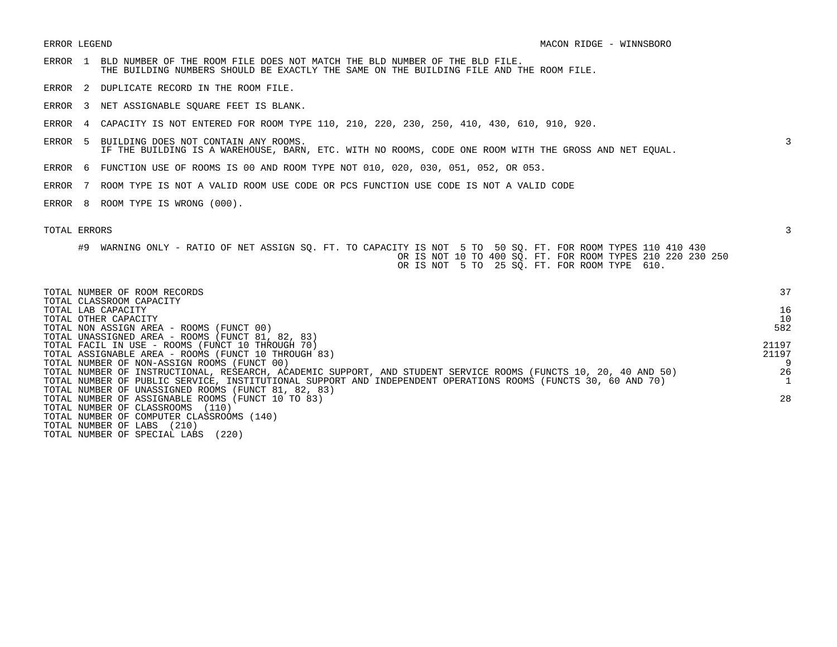- ERROR 1 BLD NUMBER OF THE ROOM FILE DOES NOT MATCH THE BLD NUMBER OF THE BLD FILE. THE BUILDING NUMBERS SHOULD BE EXACTLY THE SAME ON THE BUILDING FILE AND THE ROOM FILE.
- ERROR 2 DUPLICATE RECORD IN THE ROOM FILE.
- ERROR 3 NET ASSIGNABLE SQUARE FEET IS BLANK.
- ERROR 4 CAPACITY IS NOT ENTERED FOR ROOM TYPE 110, 210, 220, 230, 250, 410, 430, 610, 910, 920.
- ERROR 5 BUILDING DOES NOT CONTAIN ANY ROOMS. 3 IF THE BUILDING IS A WAREHOUSE, BARN, ETC. WITH NO ROOMS, CODE ONE ROOM WITH THE GROSS AND NET EQUAL.
- ERROR 6 FUNCTION USE OF ROOMS IS 00 AND ROOM TYPE NOT 010, 020, 030, 051, 052, OR 053.
- ERROR 7 ROOM TYPE IS NOT A VALID ROOM USE CODE OR PCS FUNCTION USE CODE IS NOT A VALID CODE
- ERROR 8 ROOM TYPE IS WRONG (000).

| TOTAL NUMBER OF ROOM RECORDS<br>TOTAL CLASSROOM CAPACITY                                                        | 37    |
|-----------------------------------------------------------------------------------------------------------------|-------|
| TOTAL LAB CAPACITY                                                                                              | 16    |
| TOTAL OTHER CAPACITY                                                                                            | 10    |
| TOTAL NON ASSIGN AREA - ROOMS (FUNCT 00)                                                                        | 582   |
| TOTAL UNASSIGNED AREA - ROOMS (FUNCT 81, 82, 83)                                                                |       |
| TOTAL FACIL IN USE - ROOMS (FUNCT 10 THROUGH 70)                                                                | 21197 |
| TOTAL ASSIGNABLE AREA - ROOMS (FUNCT 10 THROUGH 83)                                                             | 21197 |
| TOTAL NUMBER OF NON-ASSIGN ROOMS (FUNCT 00)                                                                     |       |
| TOTAL NUMBER OF INSTRUCTIONAL, RESEARCH, ACADEMIC SUPPORT, AND STUDENT SERVICE ROOMS (FUNCTS 10, 20, 40 AND 50) | 26    |
| TOTAL NUMBER OF PUBLIC SERVICE, INSTITUTIONAL SUPPORT AND INDEPENDENT OPERATIONS ROOMS (FUNCTS 30, 60 AND 70)   |       |
| TOTAL NUMBER OF UNASSIGNED ROOMS (FUNCT 81, 82, 83)                                                             |       |
| TOTAL NUMBER OF ASSIGNABLE ROOMS (FUNCT 10 TO 83)                                                               | 28    |
| TOTAL NUMBER OF CLASSROOMS (110)                                                                                |       |
| TOTAL NUMBER OF COMPUTER CLASSROOMS (140)                                                                       |       |
| (210)<br>TOTAL NUMBER OF LABS                                                                                   |       |
| (220)<br>TOTAL NUMBER OF SPECIAL LABS                                                                           |       |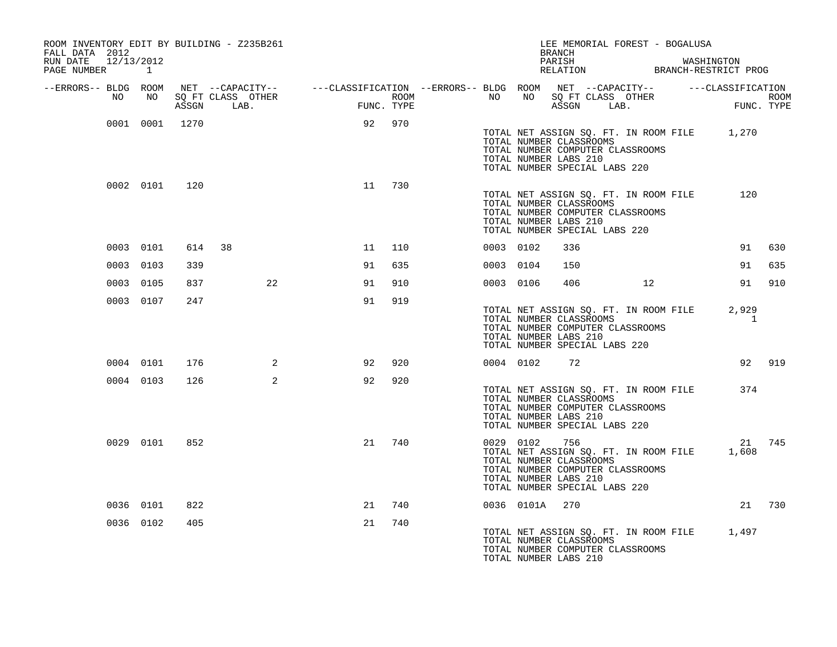| FALL DATA 2012                       |           |                | ROOM INVENTORY EDIT BY BUILDING - Z235B261 |        | LEE MEMORIAL FOREST - BOGALUSA<br><b>BRANCH</b> |  |  |                |                                                                                          |  |                                                                                                      |  |                                                       |        |
|--------------------------------------|-----------|----------------|--------------------------------------------|--------|-------------------------------------------------|--|--|----------------|------------------------------------------------------------------------------------------|--|------------------------------------------------------------------------------------------------------|--|-------------------------------------------------------|--------|
| RUN DATE 12/13/2012<br>PAGE NUMBER 1 |           |                |                                            |        |                                                 |  |  |                |                                                                                          |  |                                                                                                      |  | PARISH WASHINGTON RELATION BRANCH-RESTRICT PROG       |        |
| --ERRORS-- BLDG ROOM                 | NO NO     |                |                                            |        |                                                 |  |  |                |                                                                                          |  |                                                                                                      |  |                                                       |        |
|                                      |           |                |                                            |        |                                                 |  |  |                |                                                                                          |  |                                                                                                      |  |                                                       |        |
|                                      |           | 0001 0001 1270 |                                            | 92 970 |                                                 |  |  |                | TOTAL NUMBER LABS 210<br>TOTAL NUMBER SPECIAL LABS 220                                   |  | TOTAL NUMBER CLASSROOMS<br>TOTAL NUMBER COMPUTER CLASSROOMS                                          |  | TOTAL NET ASSIGN SQ. FT. IN ROOM FILE 1,270           |        |
|                                      |           | 0002 0101 120  |                                            | 11 730 |                                                 |  |  |                | TOTAL NUMBER CLASSROOMS<br>TOTAL NUMBER LABS 210<br>TOTAL NUMBER SPECIAL LABS 220        |  | TOTAL NET ASSIGN SQ. FT. IN ROOM FILE<br>TOTAL NUMBER COMPUTER CLASSROOMS                            |  | 120                                                   |        |
|                                      | 0003 0101 |                | 614 38                                     | 11     | 110                                             |  |  | 0003 0102      | 336                                                                                      |  |                                                                                                      |  |                                                       | 91 630 |
|                                      | 0003 0103 | 339            |                                            | 91     | 635                                             |  |  | 0003 0104      | 150                                                                                      |  |                                                                                                      |  | 91                                                    | 635    |
|                                      | 0003 0105 | 837            | 22                                         | 91     | 910                                             |  |  | 0003 0106      |                                                                                          |  | 406 12                                                                                               |  |                                                       | 91 910 |
|                                      | 0003 0107 | 247            |                                            | 91     | 919                                             |  |  |                | TOTAL NUMBER LABS 210<br>TOTAL NUMBER SPECIAL LABS 220                                   |  | TOTAL NET ASSIGN SQ. FT. IN ROOM FILE<br>TOTAL NUMBER CLASSROOMS<br>TOTAL NUMBER COMPUTER CLASSROOMS |  | 2,929<br>1                                            |        |
|                                      | 0004 0101 | 176            | $\overline{\mathbf{a}}$                    | 92     | 920                                             |  |  | 0004 0102 72   |                                                                                          |  |                                                                                                      |  |                                                       | 92 919 |
|                                      | 0004 0103 | 126            | 2                                          | 92     | 920                                             |  |  |                | TOTAL NUMBER CLASSROOMS<br>TOTAL NUMBER LABS 210<br>TOTAL NUMBER SPECIAL LABS 220        |  | TOTAL NET ASSIGN SQ. FT. IN ROOM FILE<br>TOTAL NUMBER COMPUTER CLASSROOMS                            |  | 374                                                   |        |
|                                      | 0029 0101 | 852            |                                            | 21     | 740                                             |  |  | 0029 0102      | 756<br>TOTAL NUMBER CLASSROOMS<br>TOTAL NUMBER LABS 210<br>TOTAL NUMBER SPECIAL LABS 220 |  | TOTAL NUMBER COMPUTER CLASSROOMS                                                                     |  | 21 745<br>TOTAL NET ASSIGN SQ. FT. IN ROOM FILE 1,608 |        |
|                                      | 0036 0101 | 822            |                                            | 21     | 740                                             |  |  | 0036 0101A 270 |                                                                                          |  |                                                                                                      |  |                                                       | 21 730 |
|                                      | 0036 0102 | 405            |                                            | 21     | 740                                             |  |  |                | TOTAL NUMBER CLASSROOMS<br>TOTAL NUMBER LABS 210                                         |  | TOTAL NUMBER COMPUTER CLASSROOMS                                                                     |  | TOTAL NET ASSIGN SQ. FT. IN ROOM FILE 1,497           |        |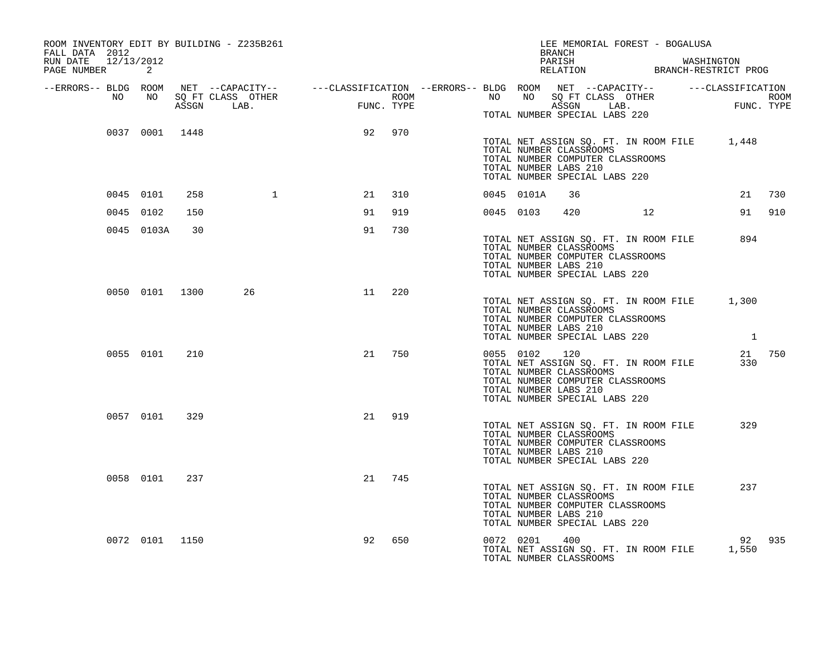| ROOM INVENTORY EDIT BY BUILDING - Z235B261<br>FALL DATA 2012<br>RUN DATE 12/13/2012 |                |     |                                                                                                                                                                                                            |    |        |           |               | BRANCH<br>PARISH                                                                                                      |                |    | LEE MEMORIAL FOREST - BOGALUSA        |                                                       |        |
|-------------------------------------------------------------------------------------|----------------|-----|------------------------------------------------------------------------------------------------------------------------------------------------------------------------------------------------------------|----|--------|-----------|---------------|-----------------------------------------------------------------------------------------------------------------------|----------------|----|---------------------------------------|-------------------------------------------------------|--------|
| PAGE NUMBER                                                                         | 2              |     |                                                                                                                                                                                                            |    |        |           |               |                                                                                                                       |                |    |                                       | PARISH WASHINGTON<br>RELATION BRANCH-RESTRICT PROG    |        |
| --ERRORS-- BLDG ROOM<br>NO                                                          | NO             |     | NET --CAPACITY-- ----CLASSIFICATION --ERRORS-- BLDG ROOM NET --CAPACITY-- -----CLASSIFICATION<br>SQ FT CLASS OTHER ROOM ROOM NO SQ FT CLASS OTHER ROOM ROOM<br>ASSGN LAB. FUNC. TYPE ASSGN LAB. FUNC. TYPE |    |        |           |               |                                                                                                                       |                |    |                                       |                                                       |        |
|                                                                                     |                |     |                                                                                                                                                                                                            |    |        |           |               |                                                                                                                       |                |    |                                       |                                                       |        |
|                                                                                     |                |     |                                                                                                                                                                                                            |    |        |           |               | TOTAL NUMBER SPECIAL LABS 220                                                                                         |                |    |                                       |                                                       |        |
|                                                                                     | 0037 0001 1448 |     |                                                                                                                                                                                                            | 92 | 970    |           |               | TOTAL NUMBER CLASSROOMS<br>TOTAL NUMBER COMPUTER CLASSROOMS<br>TOTAL NUMBER LABS 210<br>TOTAL NUMBER SPECIAL LABS 220 |                |    |                                       | TOTAL NET ASSIGN SQ. FT. IN ROOM FILE 1,448           |        |
|                                                                                     | 0045 0101      | 258 | $\overline{1}$                                                                                                                                                                                             | 21 | 310    |           | 0045 0101A    | 36                                                                                                                    |                |    |                                       |                                                       | 21 730 |
|                                                                                     | 0045 0102      | 150 |                                                                                                                                                                                                            | 91 | 919    |           | 0045 0103     |                                                                                                                       | 420 and $\sim$ | 12 |                                       |                                                       | 91 910 |
|                                                                                     | 0045 0103A     | 30  |                                                                                                                                                                                                            | 91 | 730    |           |               | TOTAL NUMBER CLASSROOMS<br>TOTAL NUMBER COMPUTER CLASSROOMS<br>TOTAL NUMBER LABS 210<br>TOTAL NUMBER SPECIAL LABS 220 |                |    | TOTAL NET ASSIGN SQ. FT. IN ROOM FILE | 894                                                   |        |
|                                                                                     | 0050 0101 1300 |     | 26 — 26                                                                                                                                                                                                    | 11 | 220    |           |               | TOTAL NUMBER CLASSROOMS<br>TOTAL NUMBER COMPUTER CLASSROOMS<br>TOTAL NUMBER LABS 210<br>TOTAL NUMBER SPECIAL LABS 220 |                |    |                                       | TOTAL NET ASSIGN SQ. FT. IN ROOM FILE 1,300           |        |
|                                                                                     | 0055 0101      | 210 |                                                                                                                                                                                                            |    | 21 750 |           | 0055 0102 120 | TOTAL NUMBER CLASSROOMS<br>TOTAL NUMBER COMPUTER CLASSROOMS<br>TOTAL NUMBER LABS 210<br>TOTAL NUMBER SPECIAL LABS 220 |                |    | TOTAL NET ASSIGN SQ. FT. IN ROOM FILE | 330                                                   | 21 750 |
|                                                                                     | 0057 0101      | 329 |                                                                                                                                                                                                            | 21 | 919    |           |               | TOTAL NUMBER CLASSROOMS<br>TOTAL NUMBER COMPUTER CLASSROOMS<br>TOTAL NUMBER LABS 210<br>TOTAL NUMBER SPECIAL LABS 220 |                |    | TOTAL NET ASSIGN SQ. FT. IN ROOM FILE | 329                                                   |        |
|                                                                                     | 0058 0101      | 237 |                                                                                                                                                                                                            | 21 | 745    |           |               | TOTAL NUMBER CLASSROOMS<br>TOTAL NUMBER COMPUTER CLASSROOMS<br>TOTAL NUMBER LABS 210<br>TOTAL NUMBER SPECIAL LABS 220 |                |    | TOTAL NET ASSIGN SQ. FT. IN ROOM FILE | 237                                                   |        |
|                                                                                     | 0072 0101 1150 |     |                                                                                                                                                                                                            | 92 | 650    | 0072 0201 |               | 400<br>TOTAL NUMBER CLASSROOMS                                                                                        |                |    |                                       | 92 935<br>TOTAL NET ASSIGN SQ. FT. IN ROOM FILE 1,550 |        |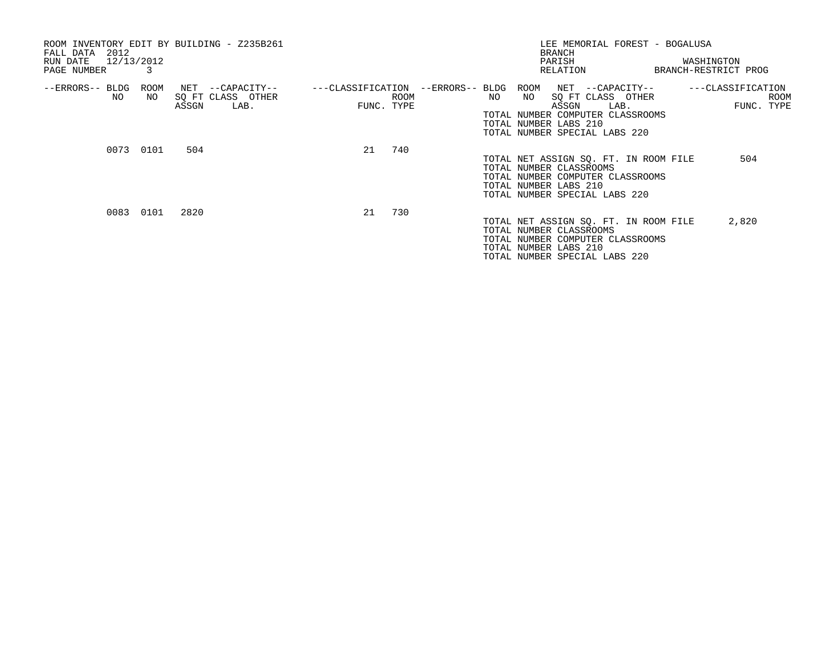| ROOM INVENTORY EDIT BY BUILDING - Z235B261<br>2012<br>FALL DATA<br>12/13/2012<br>RUN DATE<br>PAGE NUMBER |            |       |                                               |                                 |      |                 |     | LEE MEMORIAL FOREST - BOGALUSA<br><b>BRANCH</b><br>PARISH<br>RELATION                                                                                              | WASHINGTON<br>BRANCH-RESTRICT PROG |            |      |
|----------------------------------------------------------------------------------------------------------|------------|-------|-----------------------------------------------|---------------------------------|------|-----------------|-----|--------------------------------------------------------------------------------------------------------------------------------------------------------------------|------------------------------------|------------|------|
| --ERRORS-- BLDG<br>NO                                                                                    | ROOM<br>NO | ASSGN | NET --CAPACITY--<br>SQ FT CLASS OTHER<br>LAB. | ---CLASSIFICATION<br>FUNC. TYPE | ROOM | --ERRORS-- BLDG | NO. | ROOM<br>NET --CAPACITY--<br>SQ FT CLASS OTHER<br>NO<br>ASSGN<br>LAB.<br>TOTAL NUMBER COMPUTER CLASSROOMS<br>TOTAL NUMBER LABS 210<br>TOTAL NUMBER SPECIAL LABS 220 | ---CLASSIFICATION                  | FUNC. TYPE | ROOM |
|                                                                                                          | 0073 0101  | 504   |                                               | 21                              | 740  |                 |     | TOTAL NET ASSIGN SQ. FT. IN ROOM FILE<br>TOTAL NUMBER CLASSROOMS<br>TOTAL NUMBER COMPUTER CLASSROOMS<br>TOTAL NUMBER LABS 210<br>TOTAL NUMBER SPECIAL LABS 220     |                                    | 504        |      |
|                                                                                                          | 0083 0101  | 2820  |                                               | 21                              | 730  |                 |     | TOTAL NET ASSIGN SQ. FT. IN ROOM FILE<br>TOTAL NUMBER CLASSROOMS<br>TOTAL NUMBER COMPUTER CLASSROOMS<br>TOTAL NUMBER LABS 210<br>TOTAL NUMBER SPECIAL LABS 220     |                                    | 2,820      |      |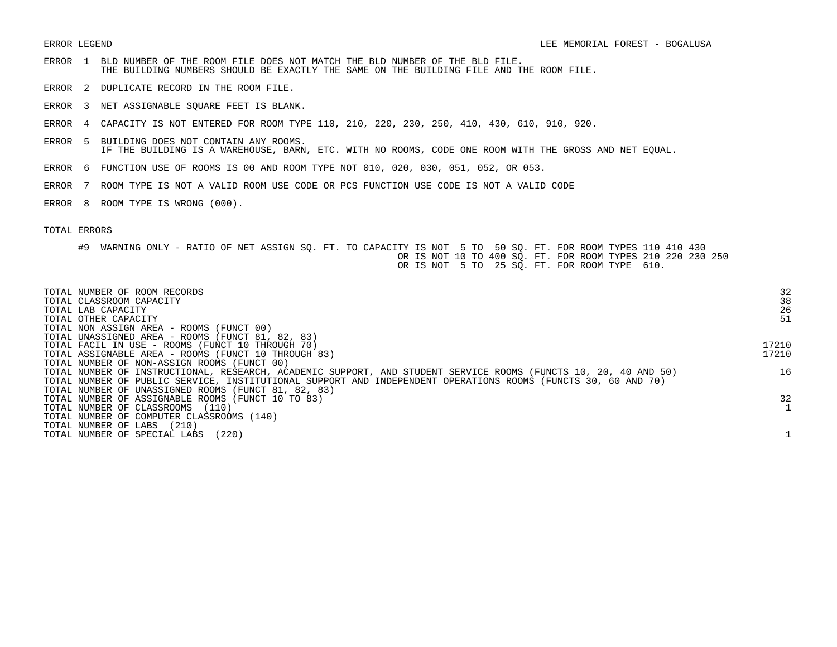- ERROR 1 BLD NUMBER OF THE ROOM FILE DOES NOT MATCH THE BLD NUMBER OF THE BLD FILE. THE BUILDING NUMBERS SHOULD BE EXACTLY THE SAME ON THE BUILDING FILE AND THE ROOM FILE.
- ERROR 2 DUPLICATE RECORD IN THE ROOM FILE.
- ERROR 3 NET ASSIGNABLE SQUARE FEET IS BLANK.
- ERROR 4 CAPACITY IS NOT ENTERED FOR ROOM TYPE 110, 210, 220, 230, 250, 410, 430, 610, 910, 920.
- ERROR 5 BUILDING DOES NOT CONTAIN ANY ROOMS. IF THE BUILDING IS A WAREHOUSE, BARN, ETC. WITH NO ROOMS, CODE ONE ROOM WITH THE GROSS AND NET EQUAL.
- ERROR 6 FUNCTION USE OF ROOMS IS 00 AND ROOM TYPE NOT 010, 020, 030, 051, 052, OR 053.
- ERROR 7 ROOM TYPE IS NOT A VALID ROOM USE CODE OR PCS FUNCTION USE CODE IS NOT A VALID CODE
- ERROR 8 ROOM TYPE IS WRONG (000).

## TOTAL ERRORS

#9 WARNING ONLY - RATIO OF NET ASSIGN SQ. FT. TO CAPACITY IS NOT 5 TO 50 SQ. FT. FOR ROOM TYPES 110 410 430 OR IS NOT 10 TO 400 SQ. FT. FOR ROOM TYPES 210 220 230 250 OR IS NOT 5 TO 25 SQ. FT. FOR ROOM TYPE 610.

| TOTAL NUMBER OF ROOM RECORDS<br>TOTAL CLASSROOM CAPACITY<br>TOTAL LAB CAPACITY                                  | 32<br>38<br>26 |
|-----------------------------------------------------------------------------------------------------------------|----------------|
| TOTAL OTHER CAPACITY                                                                                            | 51             |
| TOTAL NON ASSIGN AREA - ROOMS (FUNCT 00)                                                                        |                |
| TOTAL UNASSIGNED AREA - ROOMS (FUNCT 81, 82, 83)                                                                |                |
| TOTAL FACIL IN USE - ROOMS (FUNCT 10 THROUGH 70)                                                                | 17210          |
| TOTAL ASSIGNABLE AREA - ROOMS (FUNCT 10 THROUGH 83)                                                             | 17210          |
| TOTAL NUMBER OF NON-ASSIGN ROOMS (FUNCT 00)                                                                     |                |
| TOTAL NUMBER OF INSTRUCTIONAL, RESEARCH, ACADEMIC SUPPORT, AND STUDENT SERVICE ROOMS (FUNCTS 10, 20, 40 AND 50) | 16             |
| TOTAL NUMBER OF PUBLIC SERVICE, INSTITUTIONAL SUPPORT AND INDEPENDENT OPERATIONS ROOMS (FUNCTS 30, 60 AND 70)   |                |
| TOTAL NUMBER OF UNASSIGNED ROOMS (FUNCT 81, 82, 83)                                                             |                |
| TOTAL NUMBER OF ASSIGNABLE ROOMS (FUNCT 10 TO 83)                                                               | 32             |
| TOTAL NUMBER OF CLASSROOMS<br>(110)                                                                             |                |
| TOTAL NUMBER OF COMPUTER CLASSROOMS (140)                                                                       |                |
| (210)<br>TOTAL NUMBER OF LABS                                                                                   |                |
| (220)<br>TOTAL NUMBER OF SPECIAL LABS                                                                           |                |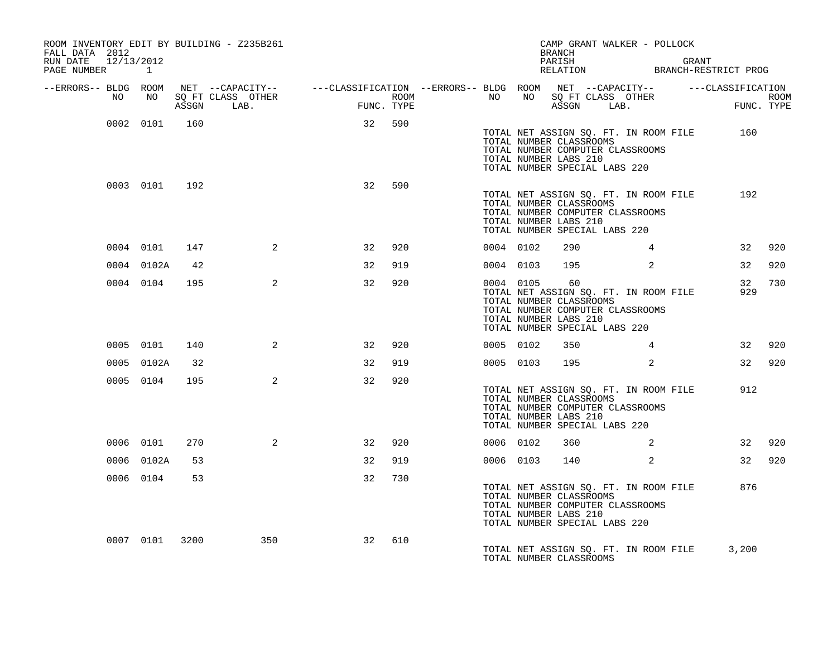| FALL DATA 2012<br>RUN DATE<br>PAGE NUMBER |    | 12/13/2012<br>$\mathbf{1}$ |       | ROOM INVENTORY EDIT BY BUILDING - Z235B261 |                                                                                                                                                                                                                                                    |     |           |           | <b>BRANCH</b><br>PARISH                                                                 | CAMP GRANT WALKER - POLLOCK                                               | GRANT | PARISH GRANT GRANT RELATION BRANCH-RESTRICT PROG |            |
|-------------------------------------------|----|----------------------------|-------|--------------------------------------------|----------------------------------------------------------------------------------------------------------------------------------------------------------------------------------------------------------------------------------------------------|-----|-----------|-----------|-----------------------------------------------------------------------------------------|---------------------------------------------------------------------------|-------|--------------------------------------------------|------------|
| --ERRORS-- BLDG ROOM                      | NO |                            | ASSGN | LAB.                                       | ROOM NET --CAPACITY-- - ---CLASSIFICATION --ERRORS---BLDG ROOM NET --CAPACITY-- - ----CLASSIFICATION<br>NO SQ FT CLASS OTHER ROOM --ERRORS--- NO NO SQ FT CLASS OTHER ROOM<br>ASSGN LAB.     FUNC. TYPE     ASSGN LAB.     FUNC. TYP<br>FUNC. TYPE |     |           |           | ASSGN LAB.                                                                              |                                                                           |       | $_{\rm FUNC}$ .                                  | FUNC. TYPE |
|                                           |    | 0002 0101                  | 160   |                                            | 32 590                                                                                                                                                                                                                                             |     |           |           | TOTAL NUMBER CLASSROOMS<br>TOTAL NUMBER LABS 210<br>TOTAL NUMBER SPECIAL LABS 220       | TOTAL NUMBER COMPUTER CLASSROOMS                                          |       | TOTAL NET ASSIGN SQ. FT. IN ROOM FILE 160        |            |
|                                           |    | 0003 0101 192              |       |                                            | 32                                                                                                                                                                                                                                                 | 590 |           |           | TOTAL NUMBER CLASSROOMS<br>TOTAL NUMBER LABS 210<br>TOTAL NUMBER SPECIAL LABS 220       | TOTAL NET ASSIGN SQ. FT. IN ROOM FILE<br>TOTAL NUMBER COMPUTER CLASSROOMS |       | 192                                              |            |
|                                           |    | 0004 0101                  | 147   | $\overline{a}$                             | 32                                                                                                                                                                                                                                                 | 920 | 0004 0102 |           | 290                                                                                     | 4                                                                         |       | 32                                               | 920        |
|                                           |    | 0004 0102A                 | 42    |                                            | 32                                                                                                                                                                                                                                                 | 919 |           | 0004 0103 | 195                                                                                     | 2                                                                         |       | 32                                               | 920        |
|                                           |    | 0004 0104                  | 195   | 2                                          | 32                                                                                                                                                                                                                                                 | 920 |           | 0004 0105 | 60<br>TOTAL NUMBER CLASSROOMS<br>TOTAL NUMBER LABS 210<br>TOTAL NUMBER SPECIAL LABS 220 | TOTAL NET ASSIGN SQ. FT. IN ROOM FILE<br>TOTAL NUMBER COMPUTER CLASSROOMS |       | 32<br>929                                        | 730        |
|                                           |    | 0005 0101                  | 140   | 2                                          | 32                                                                                                                                                                                                                                                 | 920 | 0005 0102 |           | 350                                                                                     | $4\overline{ }$                                                           |       |                                                  | 32 920     |
|                                           |    | 0005 0102A                 | 32    |                                            | 32                                                                                                                                                                                                                                                 | 919 |           | 0005 0103 | 195                                                                                     | 2                                                                         |       |                                                  | 32 920     |
|                                           |    | 0005 0104                  | 195   | $\overline{2}$                             | 32                                                                                                                                                                                                                                                 | 920 |           |           | TOTAL NUMBER CLASSROOMS<br>TOTAL NUMBER LABS 210<br>TOTAL NUMBER SPECIAL LABS 220       | TOTAL NET ASSIGN SQ. FT. IN ROOM FILE<br>TOTAL NUMBER COMPUTER CLASSROOMS |       | 912                                              |            |
|                                           |    | 0006 0101                  | 270   | 2                                          | 32                                                                                                                                                                                                                                                 | 920 |           | 0006 0102 | 360                                                                                     | 2                                                                         |       |                                                  | 32 920     |
|                                           |    | 0006 0102A                 | 53    |                                            | 32                                                                                                                                                                                                                                                 | 919 |           | 0006 0103 |                                                                                         | 2                                                                         |       |                                                  | 32 920     |
|                                           |    | 0006 0104                  | 53    |                                            | 32                                                                                                                                                                                                                                                 | 730 |           |           | TOTAL NUMBER CLASSROOMS<br>TOTAL NUMBER LABS 210<br>TOTAL NUMBER SPECIAL LABS 220       | TOTAL NET ASSIGN SQ. FT. IN ROOM FILE<br>TOTAL NUMBER COMPUTER CLASSROOMS |       | 876                                              |            |
|                                           |    | 0007 0101 3200             |       | 350                                        | 32                                                                                                                                                                                                                                                 | 610 |           |           | TOTAL NUMBER CLASSROOMS                                                                 | TOTAL NET ASSIGN SQ. FT. IN ROOM FILE                                     |       | 3,200                                            |            |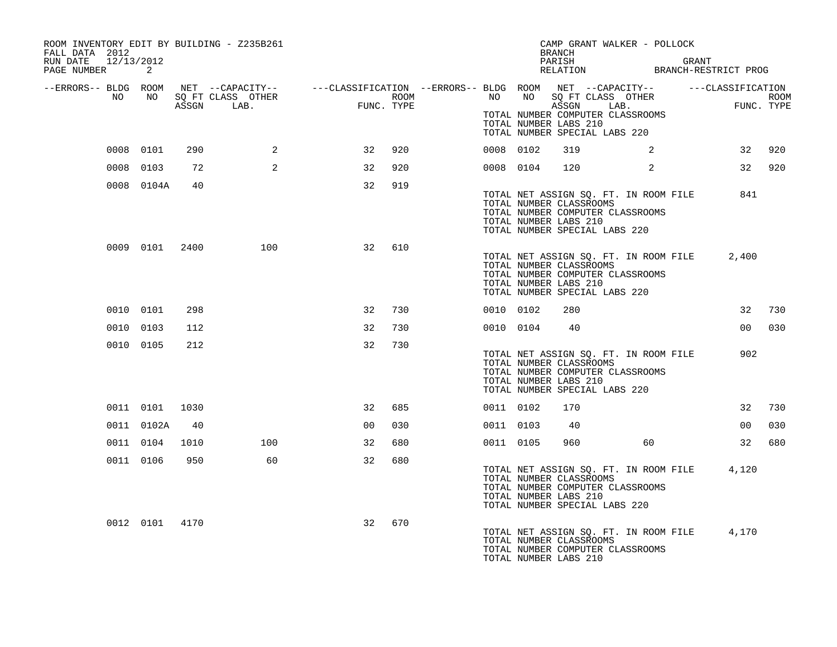| ROOM INVENTORY EDIT BY BUILDING - Z235B261<br>FALL DATA 2012 |                |      |     |                                                                                                                                                                                                    |     |  |           | <b>BRANCH</b>                                    | CAMP GRANT WALKER - POLLOCK                                                                                |       |                 |        |
|--------------------------------------------------------------|----------------|------|-----|----------------------------------------------------------------------------------------------------------------------------------------------------------------------------------------------------|-----|--|-----------|--------------------------------------------------|------------------------------------------------------------------------------------------------------------|-------|-----------------|--------|
| RUN DATE 12/13/2012<br>PAGE NUMBER 2                         |                |      |     |                                                                                                                                                                                                    |     |  |           | PARISH                                           | PARISH GRANT<br>RELATION BRANCH-RESTRICT PROG                                                              | GRANT |                 |        |
| --ERRORS-- BLDG ROOM<br>NO                                   | NO NO          |      |     | NET --CAPACITY-- ----CLASSIFICATION --ERRORS--- BLDG ROOM NET --CAPACITY-- ------CLASSIFICATION<br>SQ FT CLASS OTHER ROOM NO SQ FT CLASS OTHER ROOM<br>ASSGN LAB. FUNC. TYPE ASSGN LAB. FUNC. TYPE |     |  |           |                                                  |                                                                                                            |       |                 |        |
|                                                              |                |      |     |                                                                                                                                                                                                    |     |  |           | TOTAL NUMBER LABS 210                            | TOTAL NUMBER COMPUTER CLASSROOMS<br>TOTAL NUMBER SPECIAL LABS 220                                          |       |                 |        |
|                                                              | 0008 0101      | 290  | 2   | 32                                                                                                                                                                                                 | 920 |  | 0008 0102 | 319                                              | 2                                                                                                          |       |                 | 32 920 |
|                                                              | 0008 0103      | 72   | 2   | 32                                                                                                                                                                                                 | 920 |  | 0008 0104 | 120                                              | 2                                                                                                          |       |                 | 32 920 |
|                                                              | 0008 0104A     | 40   |     | 32                                                                                                                                                                                                 | 919 |  |           | TOTAL NUMBER CLASSROOMS<br>TOTAL NUMBER LABS 210 | TOTAL NET ASSIGN SQ. FT. IN ROOM FILE<br>TOTAL NUMBER COMPUTER CLASSROOMS<br>TOTAL NUMBER SPECIAL LABS 220 |       | 841             |        |
|                                                              | 0009 0101 2400 |      | 100 | 32                                                                                                                                                                                                 | 610 |  |           | TOTAL NUMBER CLASSROOMS<br>TOTAL NUMBER LABS 210 | TOTAL NET ASSIGN SQ. FT. IN ROOM FILE<br>TOTAL NUMBER COMPUTER CLASSROOMS<br>TOTAL NUMBER SPECIAL LABS 220 |       | 2,400           |        |
|                                                              | 0010 0101      | 298  |     | 32                                                                                                                                                                                                 | 730 |  | 0010 0102 | 280                                              |                                                                                                            |       | 32              | 730    |
|                                                              | 0010 0103      | 112  |     | 32                                                                                                                                                                                                 | 730 |  | 0010 0104 | 40                                               |                                                                                                            |       | 00 <sub>o</sub> | 030    |
|                                                              | 0010 0105      | 212  |     | 32                                                                                                                                                                                                 | 730 |  |           | TOTAL NUMBER CLASSROOMS<br>TOTAL NUMBER LABS 210 | TOTAL NET ASSIGN SQ. FT. IN ROOM FILE<br>TOTAL NUMBER COMPUTER CLASSROOMS<br>TOTAL NUMBER SPECIAL LABS 220 |       | 902             |        |
|                                                              | 0011 0101 1030 |      |     | 32                                                                                                                                                                                                 | 685 |  | 0011 0102 | 170                                              |                                                                                                            |       | 32              | 730    |
|                                                              | 0011 0102A     | 40   |     | 00                                                                                                                                                                                                 | 030 |  | 0011 0103 | 40                                               |                                                                                                            |       | 00              | 030    |
|                                                              | 0011 0104      | 1010 | 100 | 32                                                                                                                                                                                                 | 680 |  | 0011 0105 | 960                                              | 60                                                                                                         |       | 32              | 680    |
|                                                              | 0011 0106      | 950  | 60  | 32                                                                                                                                                                                                 | 680 |  |           | TOTAL NUMBER CLASSROOMS<br>TOTAL NUMBER LABS 210 | TOTAL NET ASSIGN SQ. FT. IN ROOM FILE<br>TOTAL NUMBER COMPUTER CLASSROOMS<br>TOTAL NUMBER SPECIAL LABS 220 |       | 4,120           |        |
|                                                              | 0012 0101 4170 |      |     | 32                                                                                                                                                                                                 | 670 |  |           | TOTAL NUMBER CLASSROOMS<br>TOTAL NUMBER LABS 210 | TOTAL NET ASSIGN SQ. FT. IN ROOM FILE 4,170<br>TOTAL NUMBER COMPUTER CLASSROOMS                            |       |                 |        |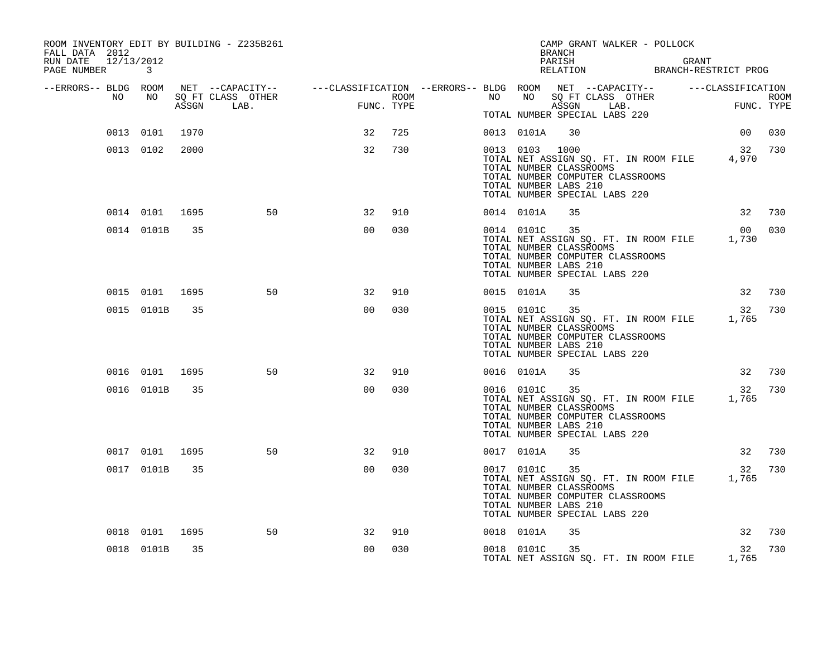| ROOM INVENTORY EDIT BY BUILDING - Z235B261<br>FALL DATA 2012<br>RUN DATE<br>12/13/2012<br>PAGE NUMBER | $\mathbf{3}$   |       |                                                                                                                     |                                                                                                                                                                                                                                                                                                                                                                                                                                                                                              |      |    |                | CAMP GRANT WALKER - POLLOCK<br><b>BRANCH</b><br>PARISH<br>PARISH GRANT<br>RELATION BRANCH-RESTRICT PROG                                                                    | GRANT |                 |                    |
|-------------------------------------------------------------------------------------------------------|----------------|-------|---------------------------------------------------------------------------------------------------------------------|----------------------------------------------------------------------------------------------------------------------------------------------------------------------------------------------------------------------------------------------------------------------------------------------------------------------------------------------------------------------------------------------------------------------------------------------------------------------------------------------|------|----|----------------|----------------------------------------------------------------------------------------------------------------------------------------------------------------------------|-------|-----------------|--------------------|
| --ERRORS-- BLDG ROOM<br>NO                                                                            | NO             |       | NET --CAPACITY-- - ---CLASSIFICATION --ERRORS-- BLDG ROOM NET --CAPACITY-- - ---CLASSIFICATION<br>SQ FT CLASS OTHER | $\begin{aligned} \text{Lip}(\mathcal{A}) = \mathcal{A}(\mathcal{A}) = \mathcal{A}(\mathcal{A}) = \mathcal{A}(\mathcal{A}) = \mathcal{A}(\mathcal{A}) = \mathcal{A}(\mathcal{A}) = \mathcal{A}(\mathcal{A}) = \mathcal{A}(\mathcal{A}) = \mathcal{A}(\mathcal{A}) = \mathcal{A}(\mathcal{A}) = \mathcal{A}(\mathcal{A}) = \mathcal{A}(\mathcal{A}) = \mathcal{A}(\mathcal{A}) = \mathcal{A}(\mathcal{A}) = \mathcal{A}(\mathcal{A}) = \mathcal{A}(\mathcal{A}) = \mathcal{A}(\$<br>FUNC. TYPE | ROOM | NO | NO             |                                                                                                                                                                            |       |                 | ROOM<br>FUNC. TYPE |
|                                                                                                       |                | ASSGN | LAB.                                                                                                                |                                                                                                                                                                                                                                                                                                                                                                                                                                                                                              |      |    |                | TOTAL NUMBER SPECIAL LABS 220                                                                                                                                              |       |                 |                    |
|                                                                                                       | 0013 0101      | 1970  |                                                                                                                     | 32                                                                                                                                                                                                                                                                                                                                                                                                                                                                                           | 725  |    | 0013 0101A     | 30                                                                                                                                                                         |       | 00 <sup>o</sup> | 030                |
|                                                                                                       | 0013 0102      | 2000  |                                                                                                                     | 32                                                                                                                                                                                                                                                                                                                                                                                                                                                                                           | 730  |    | 0013 0103 1000 | TOTAL NET ASSIGN SQ. FT. IN ROOM FILE<br>TOTAL NUMBER CLASSROOMS<br>TOTAL NUMBER COMPUTER CLASSROOMS<br>TOTAL NUMBER LABS 210<br>TOTAL NUMBER SPECIAL LABS 220             |       | 4,970           | 32 730             |
|                                                                                                       | 0014 0101 1695 |       | 50                                                                                                                  | 32                                                                                                                                                                                                                                                                                                                                                                                                                                                                                           | 910  |    | 0014 0101A     | 35                                                                                                                                                                         |       |                 | 32 730             |
|                                                                                                       | 0014 0101B     | 35    |                                                                                                                     | 0 <sub>0</sub>                                                                                                                                                                                                                                                                                                                                                                                                                                                                               | 030  |    | 0014 0101C     | 35<br>TOTAL NET ASSIGN SQ. FT. IN ROOM FILE 1,730<br>TOTAL NUMBER CLASSROOMS<br>TOTAL NUMBER COMPUTER CLASSROOMS<br>TOTAL NUMBER LABS 210<br>TOTAL NUMBER SPECIAL LABS 220 |       | 00              | 030                |
|                                                                                                       | 0015 0101 1695 |       | 50                                                                                                                  | 32                                                                                                                                                                                                                                                                                                                                                                                                                                                                                           | 910  |    | 0015 0101A     | 35                                                                                                                                                                         |       |                 | 32 730             |
|                                                                                                       | 0015 0101B     | 35    |                                                                                                                     | 0 <sub>0</sub>                                                                                                                                                                                                                                                                                                                                                                                                                                                                               | 030  |    | 0015 0101C 35  | TOTAL NET ASSIGN SQ. FT. IN ROOM FILE 1,765<br>TOTAL NUMBER CLASSROOMS<br>TOTAL NUMBER COMPUTER CLASSROOMS<br>TOTAL NUMBER LABS 210<br>TOTAL NUMBER SPECIAL LABS 220       |       | 32              | 730                |
|                                                                                                       | 0016 0101 1695 |       | 50                                                                                                                  | 32                                                                                                                                                                                                                                                                                                                                                                                                                                                                                           | 910  |    | 0016 0101A     | 35                                                                                                                                                                         |       | 32              | 730                |
|                                                                                                       | 0016 0101B     | 35    |                                                                                                                     | 0 <sub>0</sub>                                                                                                                                                                                                                                                                                                                                                                                                                                                                               | 030  |    | 0016 0101C     | 35<br>TOTAL NET ASSIGN SQ. FT. IN ROOM FILE<br>TOTAL NUMBER CLASSROOMS<br>TOTAL NUMBER COMPUTER CLASSROOMS<br>TOTAL NUMBER LABS 210<br>TOTAL NUMBER SPECIAL LABS 220       |       | 1,765           | 32 730             |
|                                                                                                       | 0017 0101 1695 |       | 50                                                                                                                  | 32                                                                                                                                                                                                                                                                                                                                                                                                                                                                                           | 910  |    | 0017 0101A     | 35                                                                                                                                                                         |       | 32              | 730                |
|                                                                                                       | 0017 0101B     | 35    |                                                                                                                     | 0 <sub>0</sub>                                                                                                                                                                                                                                                                                                                                                                                                                                                                               | 030  |    | 0017 0101C     | 35<br>TOTAL NET ASSIGN SQ. FT. IN ROOM FILE 1,765<br>TOTAL NUMBER CLASSROOMS<br>TOTAL NUMBER COMPUTER CLASSROOMS<br>TOTAL NUMBER LABS 210<br>TOTAL NUMBER SPECIAL LABS 220 |       | 32              | 730                |
|                                                                                                       | 0018 0101      | 1695  | 50                                                                                                                  | 32                                                                                                                                                                                                                                                                                                                                                                                                                                                                                           | 910  |    | 0018 0101A     | 35                                                                                                                                                                         |       | 32              | 730                |
|                                                                                                       | 0018 0101B     | 35    |                                                                                                                     | 0 <sub>0</sub>                                                                                                                                                                                                                                                                                                                                                                                                                                                                               | 030  |    | 0018 0101C     | 35<br>TOTAL NET ASSIGN SQ. FT. IN ROOM FILE 1,765                                                                                                                          |       | 32              | 730                |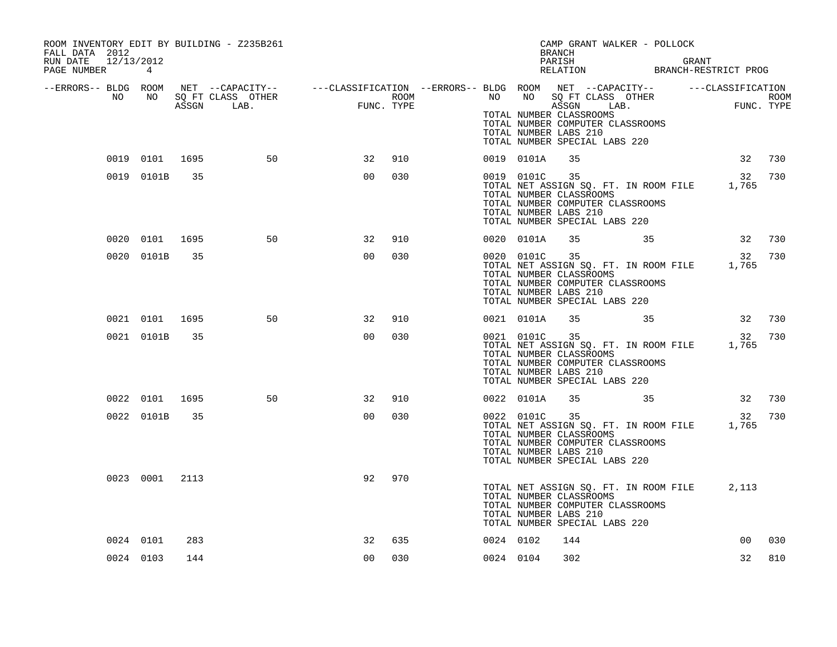| ROOM INVENTORY EDIT BY BUILDING - Z235B261<br>FALL DATA 2012 |                |     |    |                                                                                                                                                                                                                                      |     |           |               | CAMP GRANT WALKER - POLLOCK<br><b>BRANCH</b>                                                                                                                                                              |  |                 |     |
|--------------------------------------------------------------|----------------|-----|----|--------------------------------------------------------------------------------------------------------------------------------------------------------------------------------------------------------------------------------------|-----|-----------|---------------|-----------------------------------------------------------------------------------------------------------------------------------------------------------------------------------------------------------|--|-----------------|-----|
| RUN DATE 12/13/2012<br>PAGE NUMBER 4                         |                |     |    |                                                                                                                                                                                                                                      |     |           |               | PARISH GRANT GRANT RELATION BRANCH-RESTRICT PROG                                                                                                                                                          |  |                 |     |
|                                                              |                |     |    | ERRORS-- BLDG ROOM NET --CAPACITY--- --CLASSIFICATION --ERRORS-- BLDG ROOM NET --CAPACITY-----------CLASSIFICATION<br>NO NO SQ FT CLASS OTHER ROOM NO ROOM NO SQ FT CLASS OTHER ROOM<br>ASSGN LAB. FUNC. TYPE ---------------------- |     |           |               | TOTAL NUMBER CLASSROOMS<br>TOTAL NUMBER COMPUTER CLASSROOMS<br>TOTAL NUMBER LABS 210<br>TOTAL NUMBER SPECIAL LABS 220                                                                                     |  |                 |     |
|                                                              | 0019 0101 1695 |     | 50 | 32                                                                                                                                                                                                                                   | 910 |           | 0019 0101A    | 35                                                                                                                                                                                                        |  | 32 730          |     |
|                                                              | 0019 0101B 35  |     |    | 0 <sub>0</sub>                                                                                                                                                                                                                       | 030 |           | 0019 0101C 35 | TOTAL NET ASSIGN SQ. FT. IN ROOM FILE 1,765<br>TOTAL NUMBER CLASSROOMS<br>TOTAL NUMBER COMPUTER CLASSROOMS<br>TOTAL NUMBER LABS 210<br>TOTAL NUMBER SPECIAL LABS 220                                      |  | 32 730          |     |
|                                                              | 0020 0101 1695 |     | 50 | 32                                                                                                                                                                                                                                   | 910 |           | 0020 0101A    | 35 35 32 730                                                                                                                                                                                              |  |                 |     |
|                                                              | 0020 0101B     | 35  |    | 0 <sub>0</sub>                                                                                                                                                                                                                       | 030 |           | 0020 0101C 35 | TOTAL NET ASSIGN SQ. FT. IN ROOM FILE 1,765<br>TOTAL NUMBER CLASSROOMS<br>TOTAL NUMBER COMPUTER CLASSROOMS<br>TOTAL NUMBER LABS 210<br>TOTAL NUMBER SPECIAL LABS 220                                      |  | 32 730          |     |
|                                                              | 0021 0101 1695 |     | 50 | 32                                                                                                                                                                                                                                   | 910 |           |               | 0021 0101A 35 35 32 730                                                                                                                                                                                   |  |                 |     |
|                                                              | 0021 0101B     | 35  |    | 0 <sub>0</sub>                                                                                                                                                                                                                       | 030 |           |               | 0021 0101C 35<br>0021 0101C 35 32<br>TOTAL NET ASSIGN SQ. FT. IN ROOM FILE 1,765<br>TOTAL NUMBER CLASSROOMS<br>TOTAL NUMBER COMPUTER CLASSROOMS<br>TOTAL NUMBER LABS 210<br>TOTAL NUMBER SPECIAL LABS 220 |  | 32              | 730 |
|                                                              | 0022 0101 1695 |     | 50 | 32                                                                                                                                                                                                                                   | 910 |           | 0022 0101A    | 35 35                                                                                                                                                                                                     |  | 32 730          |     |
|                                                              | 0022 0101B 35  |     |    | 0 <sub>0</sub>                                                                                                                                                                                                                       | 030 |           | 0022 0101C 35 | TOTAL NET ASSIGN SQ. FT. IN ROOM FILE 1,765<br>TOTAL NUMBER CLASSROOMS<br>TOTAL NUMBER COMPUTER CLASSROOMS<br>TOTAL NUMBER LABS 210<br>TOTAL NUMBER SPECIAL LABS 220                                      |  | 32              | 730 |
|                                                              | 0023 0001 2113 |     |    | 92                                                                                                                                                                                                                                   | 970 |           |               | TOTAL NET ASSIGN SQ. FT. IN ROOM FILE 2,113<br>TOTAL NUMBER CLASSROOMS<br>TOTAL NUMBER COMPUTER CLASSROOMS<br>TOTAL NUMBER LABS 210<br>TOTAL NUMBER SPECIAL LABS 220                                      |  |                 |     |
|                                                              | 0024 0101      | 283 |    | 32                                                                                                                                                                                                                                   | 635 | 0024 0102 |               | 144                                                                                                                                                                                                       |  | 00 <sub>o</sub> | 030 |
|                                                              | 0024 0103      | 144 |    | 0 <sub>0</sub>                                                                                                                                                                                                                       | 030 | 0024 0104 |               | 302                                                                                                                                                                                                       |  | 32              | 810 |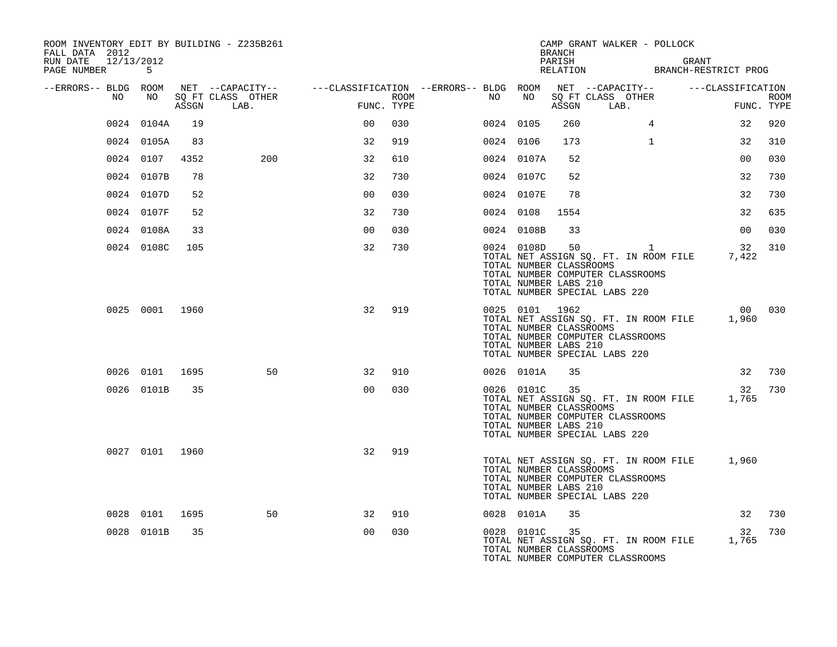| ROOM INVENTORY EDIT BY BUILDING - Z235B261<br>FALL DATA 2012<br>RUN DATE 12/13/2012 |                |       |                                                                                                         |                |      |           |                                                                    | <b>BRANCH</b><br>PARISH | CAMP GRANT WALKER - POLLOCK                                                                                      | GRANT        |                   |                           |
|-------------------------------------------------------------------------------------|----------------|-------|---------------------------------------------------------------------------------------------------------|----------------|------|-----------|--------------------------------------------------------------------|-------------------------|------------------------------------------------------------------------------------------------------------------|--------------|-------------------|---------------------------|
| PAGE NUMBER                                                                         | -5             |       |                                                                                                         |                |      |           |                                                                    |                         | PARISH GRANT<br>RELATION BRANCH-RESTRICT PROG                                                                    |              |                   |                           |
| --ERRORS-- BLDG ROOM<br>NO                                                          | NO             | ASSGN | NET --CAPACITY-- - ---CLASSIFICATION --ERRORS-- BLDG ROOM NET --CAPACITY--<br>SQ FT CLASS OTHER<br>LAB. | FUNC. TYPE     | ROOM | NO        | NO                                                                 | ASSGN                   | SQ FT CLASS OTHER<br>LAB.                                                                                        |              | ---CLASSIFICATION | <b>ROOM</b><br>FUNC. TYPE |
|                                                                                     | 0024 0104A     | 19    |                                                                                                         | 0 <sub>0</sub> | 030  | 0024 0105 |                                                                    | 260                     |                                                                                                                  | 4            | 32                | 920                       |
|                                                                                     | 0024 0105A     | 83    |                                                                                                         | 32             | 919  | 0024 0106 |                                                                    | 173                     | $\mathbf{1}$                                                                                                     |              | 32                | 310                       |
|                                                                                     | 0024 0107      | 4352  | 200                                                                                                     | 32             | 610  |           | 0024 0107A                                                         | 52                      |                                                                                                                  |              | 0 <sub>0</sub>    | 030                       |
|                                                                                     | 0024 0107B     | 78    |                                                                                                         | 32             | 730  |           | 0024 0107C                                                         | 52                      |                                                                                                                  |              | 32                | 730                       |
|                                                                                     | 0024 0107D     | 52    |                                                                                                         | 0 <sub>0</sub> | 030  |           | 0024 0107E                                                         | 78                      |                                                                                                                  |              | 32                | 730                       |
|                                                                                     | 0024 0107F     | 52    |                                                                                                         | 32             | 730  |           | 0024 0108                                                          | 1554                    |                                                                                                                  |              | 32                | 635                       |
|                                                                                     | 0024 0108A     | 33    |                                                                                                         | 0 <sub>0</sub> | 030  |           | 0024 0108B                                                         | 33                      |                                                                                                                  |              | 0 <sub>0</sub>    | 030                       |
|                                                                                     | 0024 0108C     | 105   |                                                                                                         | 32             | 730  |           | 0024 0108D<br>TOTAL NUMBER CLASSROOMS<br>TOTAL NUMBER LABS 210     | 50                      | TOTAL NET ASSIGN SQ. FT. IN ROOM FILE<br>TOTAL NUMBER COMPUTER CLASSROOMS<br>TOTAL NUMBER SPECIAL LABS 220       | $\mathbf{1}$ | 32<br>7,422       | 310                       |
|                                                                                     | 0025 0001 1960 |       |                                                                                                         | 32             | 919  |           | 0025 0101 1962<br>TOTAL NUMBER CLASSROOMS<br>TOTAL NUMBER LABS 210 |                         | TOTAL NET ASSIGN SQ. FT. IN ROOM FILE<br>TOTAL NUMBER COMPUTER CLASSROOMS<br>TOTAL NUMBER SPECIAL LABS 220       |              | 00 030<br>1,960   |                           |
|                                                                                     | 0026 0101 1695 |       | 50                                                                                                      | 32             | 910  |           | 0026 0101A                                                         | 35                      |                                                                                                                  |              | 32                | 730                       |
|                                                                                     | 0026 0101B     | 35    |                                                                                                         | 0 <sub>0</sub> | 030  |           | 0026 0101C<br>TOTAL NUMBER CLASSROOMS<br>TOTAL NUMBER LABS 210     | 35                      | TOTAL NET ASSIGN SQ. FT. IN ROOM FILE<br>TOTAL NUMBER COMPUTER CLASSROOMS<br>TOTAL NUMBER SPECIAL LABS 220       |              | 32<br>1,765       | 730                       |
|                                                                                     | 0027 0101 1960 |       |                                                                                                         | 32             | 919  |           | TOTAL NUMBER CLASSROOMS<br>TOTAL NUMBER LABS 210                   |                         | TOTAL NET ASSIGN SQ. FT. IN ROOM FILE 1,960<br>TOTAL NUMBER COMPUTER CLASSROOMS<br>TOTAL NUMBER SPECIAL LABS 220 |              |                   |                           |
|                                                                                     | 0028 0101      | 1695  | 50                                                                                                      | 32             | 910  |           | 0028 0101A                                                         | 35                      |                                                                                                                  |              | 32                | 730                       |
|                                                                                     | 0028 0101B     | 35    |                                                                                                         | 0 <sub>0</sub> | 030  |           | 0028 0101C<br>TOTAL NUMBER CLASSROOMS                              | 35                      | TOTAL NET ASSIGN SQ. FT. IN ROOM FILE<br>TOTAL NUMBER COMPUTER CLASSROOMS                                        |              | 32<br>1,765       | 730                       |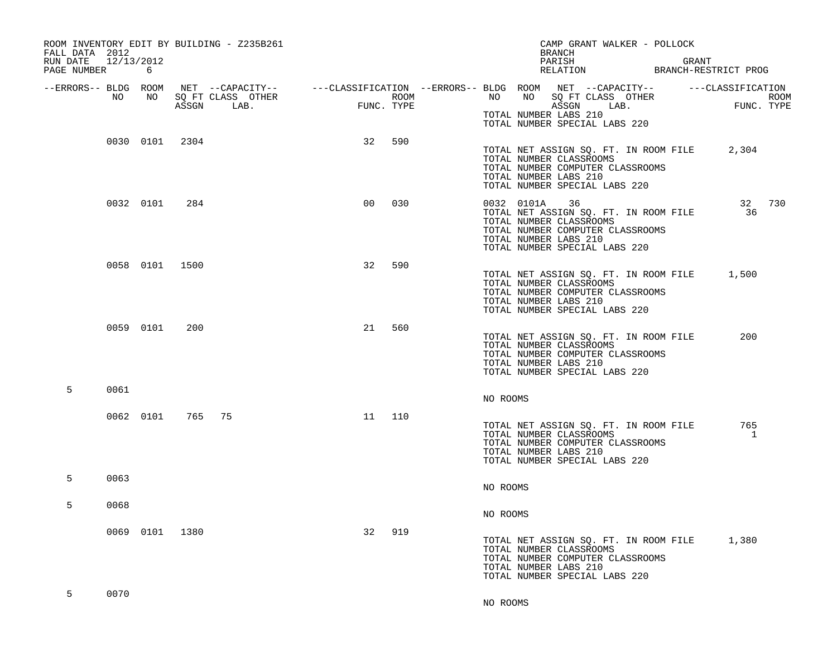| ROOM INVENTORY EDIT BY BUILDING - Z235B261<br>FALL DATA 2012<br>RUN DATE<br>PAGE NUMBER | 12/13/2012<br>6 |       |                                                                                                                             |            |      |          |                                                                                                                                     | <b>BRANCH</b><br>PARISH<br>RELATION |                           | CAMP GRANT WALKER - POLLOCK           | GRANT<br>BRANCH-RESTRICT PROG |                    |
|-----------------------------------------------------------------------------------------|-----------------|-------|-----------------------------------------------------------------------------------------------------------------------------|------------|------|----------|-------------------------------------------------------------------------------------------------------------------------------------|-------------------------------------|---------------------------|---------------------------------------|-------------------------------|--------------------|
| --ERRORS-- BLDG ROOM<br>NO                                                              | NO              | ASSGN | NET --CAPACITY-- - ---CLASSIFICATION --ERRORS-- BLDG ROOM NET --CAPACITY-- - ---CLASSIFICATION<br>SQ FT CLASS OTHER<br>LAB. | FUNC. TYPE | ROOM | NO       | NO<br>TOTAL NUMBER LABS 210<br>TOTAL NUMBER SPECIAL LABS 220                                                                        | ASSGN                               | SQ FT CLASS OTHER<br>LAB. |                                       |                               | ROOM<br>FUNC. TYPE |
|                                                                                         | 0030 0101       | 2304  |                                                                                                                             | 32         | 590  |          | TOTAL NUMBER CLASSROOMS<br>TOTAL NUMBER COMPUTER CLASSROOMS<br>TOTAL NUMBER LABS 210<br>TOTAL NUMBER SPECIAL LABS 220               |                                     |                           | TOTAL NET ASSIGN SQ. FT. IN ROOM FILE | 2,304                         |                    |
|                                                                                         | 0032 0101       | 284   |                                                                                                                             | 00         | 030  |          | 0032 0101A<br>TOTAL NUMBER CLASSROOMS<br>TOTAL NUMBER COMPUTER CLASSROOMS<br>TOTAL NUMBER LABS 210<br>TOTAL NUMBER SPECIAL LABS 220 | 36                                  |                           | TOTAL NET ASSIGN SQ. FT. IN ROOM FILE | 36                            | 32 730             |
|                                                                                         | 0058 0101 1500  |       |                                                                                                                             | 32         | 590  |          | TOTAL NUMBER CLASSROOMS<br>TOTAL NUMBER COMPUTER CLASSROOMS<br>TOTAL NUMBER LABS 210<br>TOTAL NUMBER SPECIAL LABS 220               |                                     |                           | TOTAL NET ASSIGN SQ. FT. IN ROOM FILE | 1,500                         |                    |
|                                                                                         | 0059 0101       | 200   |                                                                                                                             | 21         | 560  |          | TOTAL NUMBER CLASSROOMS<br>TOTAL NUMBER COMPUTER CLASSROOMS<br>TOTAL NUMBER LABS 210<br>TOTAL NUMBER SPECIAL LABS 220               |                                     |                           | TOTAL NET ASSIGN SQ. FT. IN ROOM FILE | 200                           |                    |
| 5<br>0061                                                                               |                 |       |                                                                                                                             |            |      | NO ROOMS |                                                                                                                                     |                                     |                           |                                       |                               |                    |
|                                                                                         | 0062 0101       | 765   | 75                                                                                                                          | 11         | 110  |          | TOTAL NUMBER CLASSROOMS<br>TOTAL NUMBER COMPUTER CLASSROOMS<br>TOTAL NUMBER LABS 210<br>TOTAL NUMBER SPECIAL LABS 220               |                                     |                           | TOTAL NET ASSIGN SQ. FT. IN ROOM FILE | 765<br>1                      |                    |
| 0063<br>5                                                                               |                 |       |                                                                                                                             |            |      | NO ROOMS |                                                                                                                                     |                                     |                           |                                       |                               |                    |
| 5<br>0068                                                                               |                 |       |                                                                                                                             |            |      | NO ROOMS |                                                                                                                                     |                                     |                           |                                       |                               |                    |
|                                                                                         | 0069 0101       | 1380  |                                                                                                                             | 32         | 919  |          | TOTAL NUMBER CLASSROOMS<br>TOTAL NUMBER COMPUTER CLASSROOMS<br>TOTAL NUMBER LABS 210<br>TOTAL NUMBER SPECIAL LABS 220               |                                     |                           | TOTAL NET ASSIGN SQ. FT. IN ROOM FILE | 1,380                         |                    |
| 5<br>0070                                                                               |                 |       |                                                                                                                             |            |      | NO ROOMS |                                                                                                                                     |                                     |                           |                                       |                               |                    |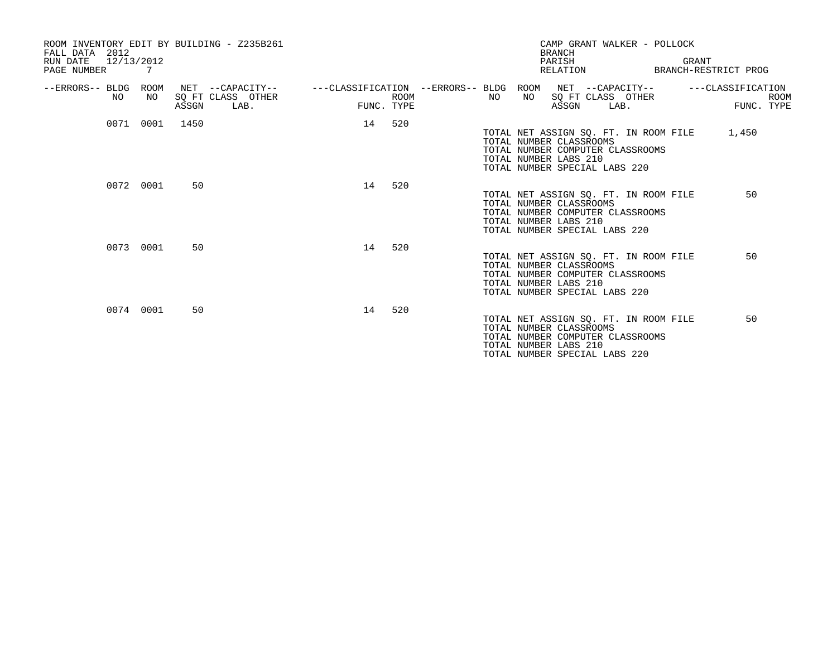| FALL DATA 2012<br>12/13/2012<br>RUN DATE<br>PAGE NUMBER 7 |           | ROOM INVENTORY EDIT BY BUILDING - Z235B261             |                           | CAMP GRANT WALKER - POLLOCK<br><b>BRANCH</b><br>PARISH<br>GRANT<br>RELATION<br>BRANCH-RESTRICT PROG                                                                  |
|-----------------------------------------------------------|-----------|--------------------------------------------------------|---------------------------|----------------------------------------------------------------------------------------------------------------------------------------------------------------------|
| --ERRORS-- BLDG ROOM<br>NO.                               | NO        | NET --CAPACITY--<br>SQ FT CLASS OTHER<br>ASSGN<br>LAB. | <b>ROOM</b><br>FUNC. TYPE | ---CLASSIFICATION --ERRORS-- BLDG ROOM NET --CAPACITY--<br>---CLASSIFICATION<br>SQ FT CLASS OTHER<br>NO<br>NO<br><b>ROOM</b><br>ASSGN<br>FUNC. TYPE<br>LAB.          |
|                                                           | 0071 0001 | 1450                                                   | 520<br>14                 | TOTAL NET ASSIGN SQ. FT. IN ROOM FILE 1,450<br>TOTAL NUMBER CLASSROOMS<br>TOTAL NUMBER COMPUTER CLASSROOMS<br>TOTAL NUMBER LABS 210<br>TOTAL NUMBER SPECIAL LABS 220 |
|                                                           | 0072 0001 | 50                                                     | 520<br>14                 | 50<br>TOTAL NET ASSIGN SQ. FT. IN ROOM FILE<br>TOTAL NUMBER CLASSROOMS<br>TOTAL NUMBER COMPUTER CLASSROOMS<br>TOTAL NUMBER LABS 210<br>TOTAL NUMBER SPECIAL LABS 220 |
|                                                           | 0073 0001 | 50                                                     | 520<br>14                 | TOTAL NET ASSIGN SQ. FT. IN ROOM FILE<br>50<br>TOTAL NUMBER CLASSROOMS<br>TOTAL NUMBER COMPUTER CLASSROOMS<br>TOTAL NUMBER LABS 210<br>TOTAL NUMBER SPECIAL LABS 220 |
|                                                           | 0074 0001 | 50                                                     | 14<br>520                 | TOTAL NET ASSIGN SQ. FT. IN ROOM FILE<br>50<br>TOTAL NUMBER CLASSROOMS<br>TOTAL NUMBER COMPUTER CLASSROOMS<br>TOTAL NUMBER LABS 210<br>TOTAL NUMBER SPECIAL LABS 220 |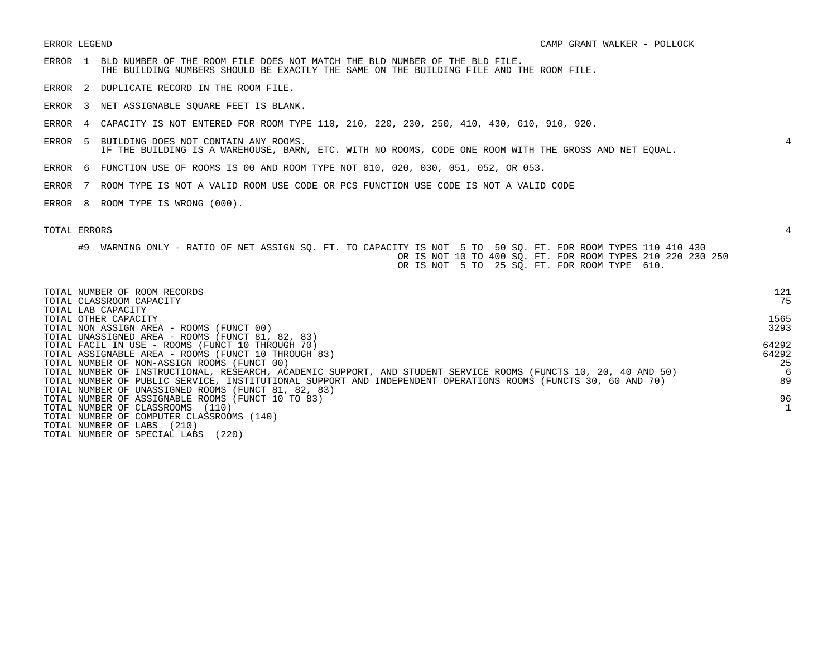- ERROR 1 BLD NUMBER OF THE ROOM FILE DOES NOT MATCH THE BLD NUMBER OF THE BLD FILE. THE BUILDING NUMBERS SHOULD BE EXACTLY THE SAME ON THE BUILDING FILE AND THE ROOM FILE.
- ERROR 2 DUPLICATE RECORD IN THE ROOM FILE.
- ERROR 3 NET ASSIGNABLE SQUARE FEET IS BLANK.
- ERROR 4 CAPACITY IS NOT ENTERED FOR ROOM TYPE 110, 210, 220, 230, 250, 410, 430, 610, 910, 920.
- ERROR 5 BUILDING DOES NOT CONTAIN ANY ROOMS. 4 IF THE BUILDING IS A WAREHOUSE, BARN, ETC. WITH NO ROOMS, CODE ONE ROOM WITH THE GROSS AND NET EQUAL.
- ERROR 6 FUNCTION USE OF ROOMS IS 00 AND ROOM TYPE NOT 010, 020, 030, 051, 052, OR 053.
- ERROR 7 ROOM TYPE IS NOT A VALID ROOM USE CODE OR PCS FUNCTION USE CODE IS NOT A VALID CODE
- ERROR 8 ROOM TYPE IS WRONG (000).

## TOTAL ERRORS 4

#9 WARNING ONLY - RATIO OF NET ASSIGN SQ. FT. TO CAPACITY IS NOT 5 TO 50 SQ. FT. FOR ROOM TYPES 110 410 430 OR IS NOT 10 TO 400 SQ. FT. FOR ROOM TYPES 210 220 230 250 OR IS NOT 5 TO 25 SQ. FT. FOR ROOM TYPE 610.

| TOTAL NUMBER OF ROOM RECORDS<br>TOTAL CLASSROOM CAPACITY                                                        | 121<br>75 |
|-----------------------------------------------------------------------------------------------------------------|-----------|
| TOTAL LAB CAPACITY<br>TOTAL OTHER CAPACITY                                                                      | 1565      |
| TOTAL NON ASSIGN AREA - ROOMS (FUNCT 00)                                                                        | 3293      |
| TOTAL UNASSIGNED AREA - ROOMS (FUNCT 81, 82, 83)                                                                |           |
| TOTAL FACIL IN USE - ROOMS (FUNCT 10 THROUGH 70)                                                                | 64292     |
| TOTAL ASSIGNABLE AREA - ROOMS (FUNCT 10 THROUGH 83)                                                             | 64292     |
| TOTAL NUMBER OF NON-ASSIGN ROOMS (FUNCT 00)                                                                     | -25       |
| TOTAL NUMBER OF INSTRUCTIONAL, RESEARCH, ACADEMIC SUPPORT, AND STUDENT SERVICE ROOMS (FUNCTS 10, 20, 40 AND 50) | 6         |
| TOTAL NUMBER OF PUBLIC SERVICE, INSTITUTIONAL SUPPORT AND INDEPENDENT OPERATIONS ROOMS (FUNCTS 30, 60 AND 70)   | 89        |
| TOTAL NUMBER OF UNASSIGNED ROOMS (FUNCT 81, 82, 83)                                                             |           |
| TOTAL NUMBER OF ASSIGNABLE ROOMS (FUNCT 10 TO 83)                                                               | 96        |
| TOTAL NUMBER OF CLASSROOMS<br>(110)                                                                             |           |
| TOTAL NUMBER OF COMPUTER CLASSROOMS (140)                                                                       |           |
| (210)<br>TOTAL NUMBER OF LABS                                                                                   |           |
| (220)<br>TOTAL NUMBER OF SPECIAL LABS                                                                           |           |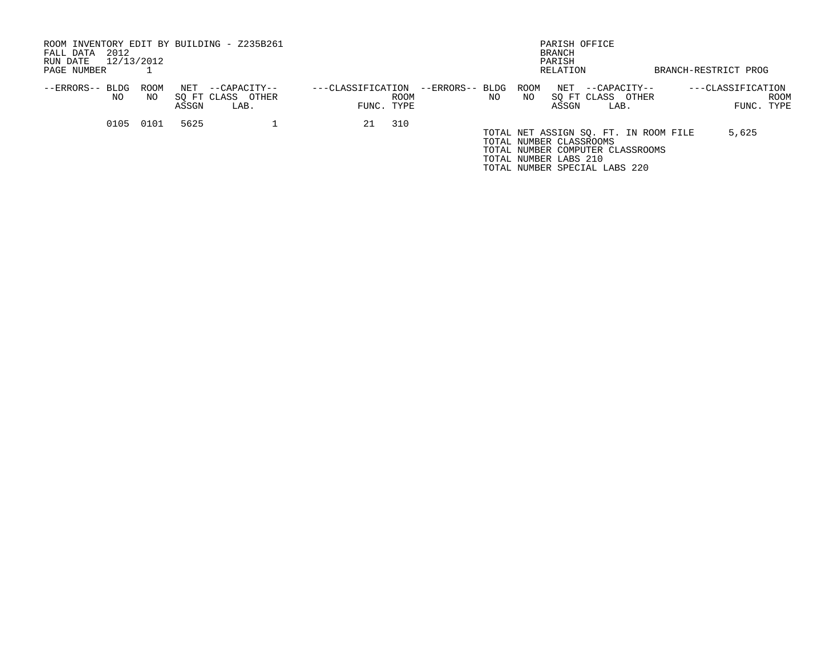| ROOM INVENTORY EDIT BY BUILDING - Z235B261<br>2012<br>FALL DATA<br>12/13/2012<br>RUN DATE<br>PAGE NUMBER |            |              |                                           |                   |                    |                       |            | PARISH OFFICE<br><b>BRANCH</b><br>PARISH<br>RELATION                                                                                                           | BRANCH-RESTRICT PROG            |             |
|----------------------------------------------------------------------------------------------------------|------------|--------------|-------------------------------------------|-------------------|--------------------|-----------------------|------------|----------------------------------------------------------------------------------------------------------------------------------------------------------------|---------------------------------|-------------|
| --ERRORS-- BLDG<br>NO.                                                                                   | ROOM<br>NO | NET<br>ASSGN | --CAPACITY--<br>SO FT CLASS OTHER<br>LAB. | ---CLASSIFICATION | ROOM<br>FUNC. TYPE | --ERRORS-- BLDG<br>NO | ROOM<br>NO | NET<br>--CAPACITY--<br>SO FT CLASS<br>OTHER<br>ASSGN<br>LAB.                                                                                                   | ---CLASSIFICATION<br>FUNC. TYPE | <b>ROOM</b> |
| 0105                                                                                                     | 0101       | 5625         |                                           | 21                | 310                |                       |            |                                                                                                                                                                |                                 |             |
|                                                                                                          |            |              |                                           |                   |                    |                       |            | TOTAL NET ASSIGN SQ. FT. IN ROOM FILE<br>TOTAL NUMBER CLASSROOMS<br>TOTAL NUMBER COMPUTER CLASSROOMS<br>TOTAL NUMBER LABS 210<br>TOTAL NUMBER SPECIAL LABS 220 | 5,625                           |             |